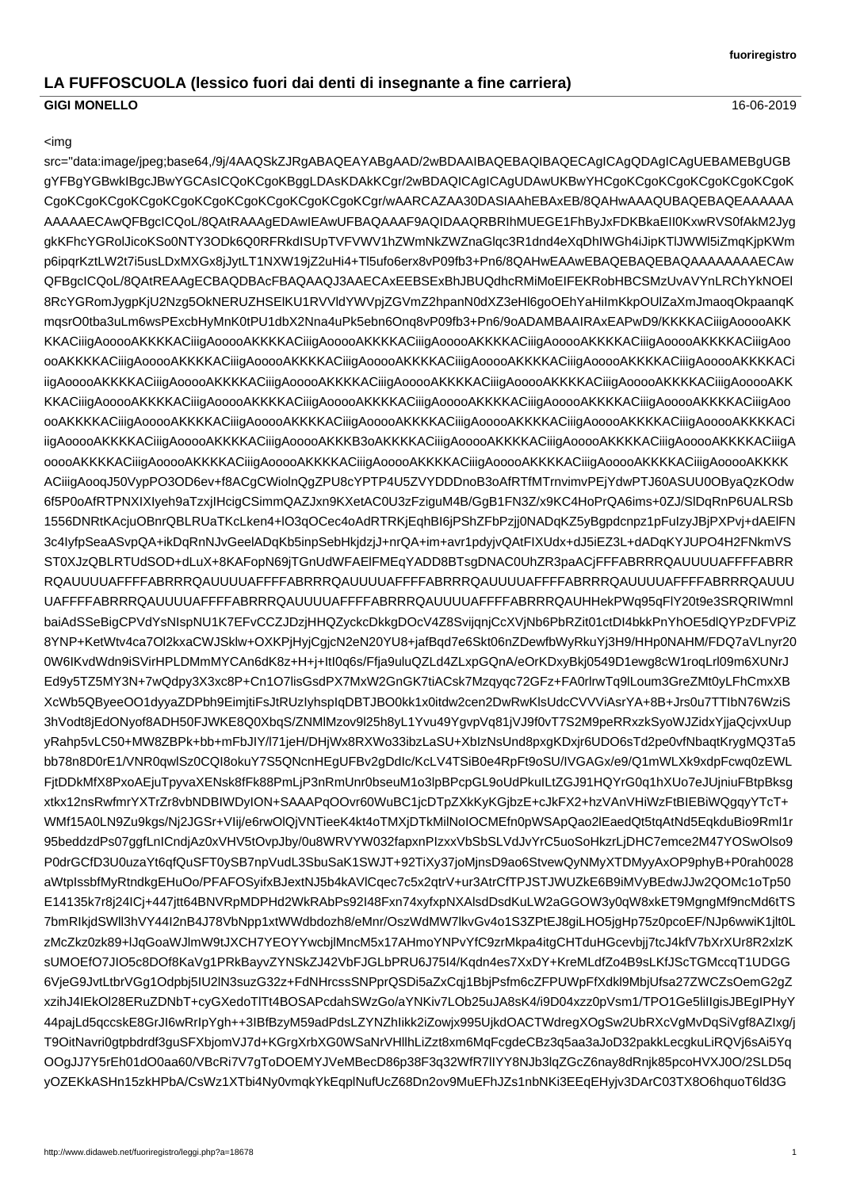## <img

src="data:image/jpeg;base64,/9j/4AAQSkZJRgABAQEAYABgAAD/2wBDAAIBAQEBAQIBAQECAgICAgQDAgICAgUEBAMEBgUGB gYFBgYGBwkIBgcJBwYGCAsICQoKCgoKBggLDAsKDAkKCgr/2wBDAQICAgICAgUDAwUKBwYHCgoKCgoKCgoKCgoKCgoKCgoK CgoKCgoKCgoKCgoKCgoKCgoKCgoKCgoKCgoKCgoKCgr/wAARCAZAA30DASIAAhEBAxEB/8QAHwAAAQUBAQEBAQEAAAAAA AAAAAECAwQFBgcICQoL/8QAtRAAAgEDAwIEAwUFBAQAAAF9AQIDAAQRBRIhMUEGE1FhByJxFDKBkaEII0KxwRVS0fAkM2Jyg gkKFhcYGRolJicoKSo0NTY3ODk6Q0RFRkdISUpTVFVWV1hZWmNkZWZnaGlqc3R1dnd4eXqDhIWGh4iJipKTlJWWl5iZmqKjpKWm p6ipqrKztLW2t7i5usLDxMXGx8jJytLT1NXW19jZ2uHi4+Tl5ufo6erx8vP09fb3+Pn6/8QAHwEAAwEBAQEBAQEBAQAAAAAAAAECAw QFBgcICQoL/8QAtREAAgECBAQDBAcFBAQAAQJ3AAECAxEEBSExBhJBUQdhcRMiMoEIFEKRobHBCSMzUvAVYnLRChYkNOEl 8RcYGRomJygpKjU2Nzg5OkNERUZHSElKU1RVVldYWVpjZGVmZ2hpanN0dXZ3eHl6goOEhYaHiImKkpOUlZaXmJmaoqOkpaanqK mqsrO0tba3uLm6wsPExcbHyMnK0tPU1dbX2Nna4uPk5ebn6Onq8vP09fb3+Pn6/9oADAMBAAIRAxEAPwD9/KKKKACiiigAooooAKK KKACiiigAooooAKKKKACiiigAooooAKKKKACiiigAooooAKKKKACiiigAooooAKKKKACiiigAooooAKKKKACiiigAooooAKKKKACiiigAoo ooAKKKKACiiigAooooAKKKKACiiigAooooAKKKKACiiigAooooAKKKKACiiigAooooAKKKKACiiigAooooAKKKKACiiigAooooAKKKKACi iigAooooAKKKKACiiigAooooAKKKKACiiigAooooAKKKKACiiigAooooAKKKKACiiigAooooAKKKKACiiigAooooAKKKKACiiigAooooAKK KKACiiigAooooAKKKKACiiigAooooAKKKKACiiigAooooAKKKKACiiigAooooAKKKKACiiigAooooAKKKKACiiigAooooAKKKKACiiigAoo ooAKKKKACiiigAooooAKKKKACiiigAooooAKKKKACiiigAooooAKKKKACiiigAooooAKKKKACiiigAooooAKKKKACiiigAooooAKKKKACi iigAooooAKKKKACiiigAooooAKKKKACiiigAooooAKKKB3oAKKKKACiiigAooooAKKKKACiiigAooooAKKKKACiiigAooooAKKKKACiiigA ooooAKKKKACiiigAooooAKKKKACiiigAooooAKKKKACiiigAooooAKKKKACiiigAooooAKKKKACiiigAooooAKKKKACiiigAooooAKKKK ACiiigAooqJ50VypPO3OD6ev+f8ACgCWiolnQgZPU8cYPTP4U5ZVYDDDnoB3oAfRTfMTrnvimvPEjYdwPTJ60ASUU0OByaQzKOdw 6f5P0oAfRTPNXIXIyeh9aTzxjIHcigCSimmQAZJxn9KXetAC0U3zFziguM4B/GgB1FN3Z/x9KC4HoPrQA6ims+0ZJ/SlDqRnP6UALRSb 1556DNRtKAcjuOBnrQBLRUaTKcLken4+lO3qOCec4oAdRTRKjEqhBI6jPShZFbPzjj0NADqKZ5yBgpdcnpz1pFuIzyJBjPXPvj+dAElFN 3c4IyfpSeaASvpQA+ikDqRnNJvGeelADqKb5inpSebHkjdzjJ+nrQA+im+avr1pdyjvQAtFIXUdx+dJ5iEZ3L+dADqKYJUPO4H2FNkmVS ST0XJzQBLRTUdSOD+dLuX+8KAFopN69jTGnUdWFAElFMEqYADD8BTsgDNAC0UhZR3paACjFFFABRRRQAUUUUAFFFFABRR RQAUUUUAFFFFABRRRQAUUUUAFFFFABRRRQAUUUUAFFFFABRRRQAUUUUAFFFFABRRRQAUUUUAFFFFABRRRQAUUU UAFFFFABRRRQAUUUUAFFFFABRRRQAUUUUAFFFFABRRRQAUUUUAFFFFABRRRQAUHHekPWq95qFlY20t9e3SRQRIWmnl baiAdSSeBigCPVdYsNIspNU1K7EFvCCZJDzjHHQZyckcDkkgDOcV4Z8SvijqnjCcXVjNb6PbRZit01ctDI4bkkPnYhOE5dlQYPzDFVPiZ 8YNP+KetWtv4ca7Ol2kxaCWJSklw+OXKPjHyjCgjcN2eN20YU8+jafBqd7e6Skt06nZDewfbWyRkuYj3H9/HHp0NAHM/FDQ7aVLnyr20 0W6IKvdWdn9iSVirHPLDMmMYCAn6dK8z+H+j+ItI0q6s/Ffja9uluQZLd4ZLxpGQnA/eOrKDxyBkj0549D1ewg8cW1roqLrl09m6XUNrJ Ed9y5TZ5MY3N+7wQdpy3X3xc8P+Cn1O7lisGsdPX7MxW2GnGK7tiACsk7Mzqyqc72GFz+FA0rlrwTq9lLoum3GreZMt0yLFhCmxXB XcWb5QByeeOO1dyyaZDPbh9EimjtiFsJtRUzIyhspIqDBTJBO0kk1x0itdw2cen2DwRwKlsUdcCVVViAsrYA+8B+Jrs0u7TTIbN76WziS 3hVodt8jEdONyof8ADH50FJWKE8Q0XbqS/ZNMlMzov9l25h8yL1Yvu49YgvpVq81jVJ9f0vT7S2M9peRRxzkSyoWJZidxYjjaQcjvxUup yRahp5vLC50+MW8ZBPk+bb+mFbJIY/l71jeH/DHjWx8RXWo33ibzLaSU+XbIzNsUnd8pxgKDxjr6UDO6sTd2pe0vfNbaqtKrygMQ3Ta5 bb78n8D0rE1/VNR0qwlSz0CQI8okuY7S5QNcnHEgUFBv2gDdIc/KcLV4TSiB0e4RpFt9oSU/IVGAGx/e9/Q1mWLXk9xdpFcwq0zEWL FjtDDkMfX8PxoAEjuTpyvaXENsk8fFk88PmLjP3nRmUnr0bseuM1o3lpBPcpGL9oUdPkuILtZGJ91HQYrG0q1hXUo7eJUjniuFBtpBksg xtkx12nsRwfmrYXTrZr8vbNDBIWDyION+SAAAPqOOvr60WuBC1jcDTpZXkKyKGjbzE+cJkFX2+hzVAnVHiWzFtBIEBiWQgqyYTcT+ WMf15A0LN9Zu9kgs/Nj2JGSr+VIij/e6rwOlQjVNTieeK4kt4oTMXjDTkMilNoIOCMEfn0pWSApQao2lEaedQt5tqAtNd5EqkduBio9Rml1r 95beddzdPs07ggfLnICndjAz0xVHV5tOvpJby/0u8WRVYW032fapxnPIzxxVbSbSLVdJvYrC5uoSoHkzrLjDHC7emce2M47YOSwOlso9 P0drGCfD3U0uzaYt6qfQuSFT0ySB7npVudL3SbuSaK1SWJT+92TiXy37joMjnsD9ao6StvewQyNMyXTDMyyAxOP9phyB+P0rah0028 aWtpIssbfMyRtndkgEHuOo/PFAFOSyifxBJextNJ5b4kAVlCqec7c5x2qtrV+ur3AtrCfTPJSTJWUZkE6B9iMVyBEdwJJw2QOMc1oTp50 E14135k7r8j24ICj+447jtt64BNVRpMDPHd2WkRAbPs92I48Fxn74xyfxpNXAlsdDsdKuLW2aGGOW3y0qW8xkET9MgngMf9ncMd6tTS 7bmRIkjdSWll3hVY44I2nB4J78VbNpp1xtWWdbdozh8/eMnr/OszWdMW7lkvGv4o1S3ZPtEJ8giLHO5jgHp75z0pcoEF/NJp6wwiK1jlt0L zMcZkz0zk89+lJqGoaWJlmW9tJXCH7YEOYYwcbjlMncM5x17AHmoYNPvYfC9zrMkpa4itgCHTduHGcevbjj7tcJ4kfV7bXrXUr8R2xlzK sUMOEfO7JIO5c8DOf8KaVg1PRkBayvZYNSkZJ42VbFJGLbPRU6J75I4/Kqdn4es7XxDY+KreMLdfZo4B9sLKfJScTGMccqT1UDGG 6VjeG9JvtLtbrVGg1Odpbj5IU2lN3suzG32z+FdNHrcssSNPprQSDi5aZxCqj1BbjPsfm6cZFPUWpFfXdkl9MbjUfsa27ZWCZsOemG2gZ xzihJ4IEkOl28ERuZDNbT+cyGXedoTlTt4BOSAPcdahSWzGo/aYNKiv7LOb25uJA8sK4/i9D04xzz0pVsm1/TPO1Ge5liIIgisJBEgIPHyY 44pajLd5qccskE8GrJI6wRrIpYgh++3IBfBzyM59adPdsLZYNZhIikk2iZowjx995UjkdOACTWdregXOgSw2UbRXcVgMvDqSiVgf8AZIxg/j T9OitNavri0gtpbdrdf3guSFXbjomVJ7d+KGrgXrbXG0WSaNrVHllhLiZzt8xm6MqFcgdeCBz3q5aa3aJoD32pakkLecgkuLiRQVj6sAi5Yq OOgJJ7Y5rEh01dO0aa60/VBcRi7V7gToDOEMYJVeMBecD86p38F3q32WfR7lIYY8NJb3lqZGcZ6nay8dRnjk85pcoHVXJ0O/2SLD5q yOZEKkASHn15zkHPbA/CsWz1XTbi4Ny0vmqkYkEqplNufUcZ68Dn2ov9MuEFhJZs1nbNKi3EEqEHyjv3DArC03TX8O6hquoT6ld3G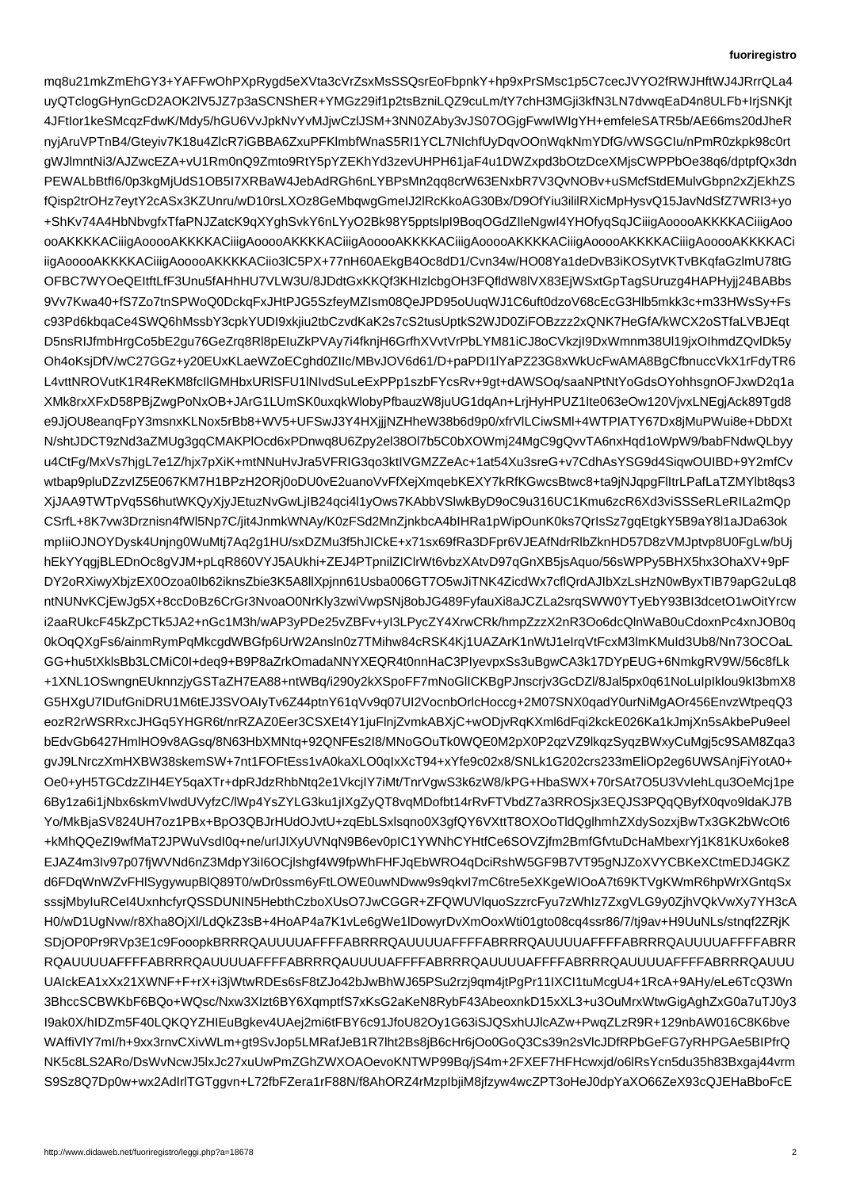mq8u21mkZmEhGY3+YAFFwOhPXpRygd5eXVta3cVrZsxMsSSQsrEoFbpnkY+hp9xPrSMsc1p5C7cecJVYO2fRWJHftWJ4JRrrQLa4 uyQTcloqGHynGcD2AOK2lV5JZ7p3aSCNShER+YMGz29if1p2tsBzniLQZ9cuLm/tY7chH3MGji3kfN3LN7dvwqEaD4n8ULFb+IrjSNKjt 4JFtlor1keSMcqzFdwK/Mdy5/hGU6VvJpkNvYvMJjwCzIJSM+3NN0ZAby3vJS07OGjqFwwlWlqYH+emfeleSATR5b/AE66ms20dJheR nyjAruVPTnB4/Gteyiv7K18u4ZlcR7iGBBA6ZxuPFKImbfWnaS5RI1YCL7NIchfUyDqvOOnWqkNmYDfG/vWSGCIu/nPmR0zkpk98c0rt gWJlmntNi3/AJZwcEZA+vU1Rm0nQ9Zmto9RtY5pYZEKhYd3zevUHPH61jaF4u1DWZxpd3bOtzDceXMjsCWPPbOe38q6/dptpfQx3dn PEWALbBtfl6/0p3kgMjUdS1OB5l7XRBaW4JebAdRGh6nLYBPsMn2qq8crW63ENxbR7V3QvNOBv+uSMcfStdEMulvGbpn2xZjEkhZS fQisp2trOHz7eytY2cASx3KZUnru/wD10rsLXOz8GeMbqwgGmeIJ2lRcKkoAG30Bx/D9OfYiu3ililRXicMpHysvQ15JavNdSfZ7WRI3+yo +ShKv74A4HbNbvgfxTfaPNJZatcK9qXYqhSvkY6nLYyO2Bk98Y5pptslpl9BoqOGdZlleNgwl4YHOfyqSqJCiiigAooooAKKKKACiiigAoo ooAKKKKACiiigAooooAKKKKACiiigAooooAKKKKACiiigAooooAKKKKACiiigAooooAKKKKACiiigAooooAKKKKACiiigAooooAKKKKKACi iigAooooAKKKKACiiigAooooAKKKKACiio3lC5PX+77nH60AEkgB4Oc8dD1/Cvn34w/HO08Ya1deDvB3iKOSytVKTvBKqfaGzlmU78tG OFBC7WYOeQEItftLfF3Unu5fAHhHU7VLW3U/8JDdtGxKKQf3KHIzlcbgOH3FQfldW8IVX83EjWSxtGpTagSUruzg4HAPHyjj24BABbs 9Vv7Kwa40+fS7Zo7tnSPWoQ0DckqFxJHtPJG5SzfeyMZIsm08QeJPD95oUuqWJ1C6uft0dzoV68cEcG3Hlb5mkk3c+m33HWsSy+Fs c93Pd6kbqaCe4SWQ6hMssbY3cpkYUDI9xkjiu2tbCzvdKaK2s7cS2tusUptkS2WJD0ZiFOBzzz2xQNK7HeGfA/kWCX2oSTfaLVBJEqt D5nsRIJfmbHrgCo5bE2gu76GeZrq8Rl8pEIuZkPVAy7i4fknjH6GrfhXVvtVrPbLYM81iCJ8oCVkzjl9DxWmnm38Ul19jxOlhmdZQvlDk5y Oh4oKsiDfV/wC27GGz+v20EUxKLaeWZoECqhd0ZIIc/MBvJOV6d61/D+paPDI1IYaPZ23G8xWkUcFwAMA8BqCfbnuccVkX1rFdvTR6 L4vttNROVutK1R4ReKM8fcllGMHbxURISFU1INIvdSuLeExPPp1szbFYcsRv+9gt+dAWSOq/saaNPtNtYoGdsOYohhsgnOFJxwD2q1a XMk8rxXFxD58PBjZwgPoNxOB+JArG1LUmSK0uxqkWlobyPfbauzW8juUG1dqAn+LrjHyHPUZ1lte063eOw120VjvxLNEgjAck89Tgd8 e9JjOU8eanqFpY3msnxKLNox5rBb8+WV5+UFSwJ3Y4HXjjjNZHheW38b6d9p0/xfrVILCiwSMI+4WTPIATY67Dx8jMuPWui8e+DbDXt N/shtJDCT9zNd3aZMUg3gqCMAKPlOcd6xPDnwq8U6Zpy2el38Ol7b5C0bXOWmj24MgC9gQvvTA6nxHqd1oWpW9/babFNdwQLbyy u4CtFq/MxVs7higL7e1Z/hix7pXiK+mtNNuHvJra5VFRIG3qo3ktIVGMZZeAc+1at54Xu3sreG+v7CdhAsYSG9d4SiqwOUIBD+9Y2mfCv wtbap9pluDZzvlZ5E067KM7H1BPzH2ORj0oDU0vE2uanoVvFfXejXmqebKEXY7kRfKGwcsBtwc8+ta9jNJqpgFlltrLPafLaTZMYlbt8qs3 XiJAA9TWTpVq5S6hutWKQyXjyJEtuzNvGwLjIB24qci4l1yOws7KAbbVSlwkByD9oC9u316UC1Kmu6zcR6Xd3viSSSeRLeRILa2mQp CSrfL+8K7vw3Drznisn4fWl5Np7C/jit4JnmkWNAy/K0zFSd2MnZjnkbcA4bIHRa1pWipOunK0ks7QrlsSz7qqEtqkY5B9aY8l1aJDa63ok mpliiOJNOYDysk4Unjng0WuMtj7Aq2g1HU/sxDZMu3f5hJICkE+x71sx69fRa3DFpr6VJEAfNdrRlbZknHD57D8zVMJptvp8U0FgLw/bUj hEkYYqgjBLEDnOc8gVJM+pLqR860VYJ5AUkhi+ZEJ4PTpnilZIClrWt6vbzXAtvD97qGnXB5jsAquo/56sWPPy5BHX5hx3OhaXV+9pF DY2oRXiwyXbjzEX0Ozoa0lb62iknsZbie3K5A8llXpjnn61Usba006GT7O5wJiTNK4ZicdWx7cflQrdAJlbXzLsHzN0wByxTlB79apG2uLq8 ntNUNvKCjEwJg5X+8ccDoBz6CrGr3NvoaO0NrKly3zwiVwpSNj8obJG489FyfauXi8aJCZLa2srgSWW0YTyEbY93Bl3dcetO1wOitYrcw i2aaRUkcF45kZpCTk5JA2+nGc1M3h/wAP3yPDe25vZBFv+yI3LPycZY4XrwCRk/hmpZzzX2nR3Oo6dcQlnWaB0uCdoxnPc4xnJOB0q 0kOqQXqFs6/ainmRymPqMkcqdWBGfp6UrW2Ansln0z7TMihw84cRSK4Kj1UAZArK1nWtJ1eIrqVtFcxM3lmKMuld3Ub8/Nn73OCOaL GG+hu5tXklsBb3LCMiC0I+deq9+B9P8aZrkOmadaNNYXEQR4t0nnHaC3PIyevpxSs3uBgwCA3k17DYpEUG+6NmkgRV9W/56c8fLk +1XNL1OSwngnEUknnzjyGSTaZH7EA88+ntWBq/i290y2kXSpoFF7mNoGIICKBqPJnscrjv3GcDZI/8Jal5px0q61NoLulplklou9kl3bmX8 G5HXqU7IDufGniDRU1M6tEJ3SVOAIyTv6Z44ptnY61qVv9q07UI2VocnbOrlcHoccq+2M07SNX0qadY0urNiMqAOr456EnvzWtpeqQ3 eozR2rWSRRxcJHGq5YHGR6t/nrRZAZ0Eer3CSXEt4Y1juFlnjZvmkABXjC+wODjvRqKXml6dFqi2kckE026Ka1kJmjXn5sAkbePu9eel bEdvGb6427HmlHO9v8AGsq/8N63HbXMNtq+92QNFEs2l8/MNoGOuTk0WQE0M2pX0P2qzVZ9lkqzSvqzBWxvCuMqi5c9SAM8Zqa3 gvJ9LNrczXmHXBW38skemSW+7nt1FOFtEss1vA0kaXLO0qlxXcT94+xYfe9c02x8/SNLk1G202crs233mEliOp2eg6UWSAniFiYotA0+ Oe0+yH5TGCdzZIH4EY5qaXTr+dpRJdzRhbNtq2e1VkcjIY7iMt/TnrVgwS3k6zW8/kPG+HbaSWX+70rSAt7O5U3VvlehLqu3OeMcj1pe 6By1za6i1jNbx6skmVIwdUVyfzC/IWp4YsZYLG3ku1jIXgZyQT8vqMDofbt14rRvFTVbdZ7a3RROSjx3EQJS3PQqQByfX0qvo9ldaKJ7B Yo/MkBjaSV824UH7oz1PBx+BpO3QBJrHUdOJvtU+zqEbLSxlsqno0X3gfQY6VXttT8OXOoTldQglhmhZXdySozxjBwTx3GK2bWcOt6 +kMhQQeZl9wfMaT2JPWuVsdl0q+ne/urlJIXyUVNqN9B6ev0pIC1YWNhCYHtfCe6SOVZjfm2BmfGfvtuDcHaMbexrYj1K81KUx6oke8 EJAZ4m3lv97p07fjWVNd6nZ3MdpY3iI6OCjlshgf4W9fpWhFHFJqEbWRO4qDciRshW5GF9B7VT95gNJZoXVYCBKeXCtmEDJ4GKZ d6FDqWnWZvFHISyqywupBIQ89T0/wDr0ssm6yFtLOWE0uwNDww9s9qkvl7mC6tre5eXKqeWIOoA7t69KTVqKWmR6hpWrXGntqSx sssiMbyluRCel4UxnhcfyrQSSDUNIN5HebthCzboXUsO7JwCGGR+ZFQWUVlquoSzzrcFyu7zWhlz7ZxqVLG9y0ZjhVQkVwXy7YH3cA H0/wD1UqNvw/r8Xha8OjXl/LdQkZ3sB+4HoAP4a7K1vLe6qWe1lDowyrDvXmOoxWti01qto08cq4ssr86/7/tj9av+H9UuNLs/stnqf2ZRjK SDjOP0Pr9RVp3E1c9FooopkBRRRQAUUUUAFFFFABRRRQAUUUUAFFFFABRRRQAUUUUAFFFFABRRRQAUUUUAFFFFABRR RQAUUUUAFFFFABRRRQAUUUUAFFFFABRRRQAUUUUAFFFFABRRRQAUUUUAFFFFABRRRQAUUUUAFFFFABRRRQAUUU UAIckEA1xXx21XWNF+F+rX+i3jWtwRDEs6sF8tZJo42bJwBhWJ65PSu2rzj9qm4jtPgPr11lXCl1tuMcgU4+1RcA+9AHy/eLe6TcQ3Wn 3BhccSCBWKbF6BQo+WQsc/Nxw3Xlzt6BY6XqmptfS7xKsG2aKeN8RybF43AbeoxnkD15xXL3+u3OuMrxWtwGigAghZxG0a7uTJ0y3 I9ak0X/hIDZm5F40LQKQYZHIEuBgkev4UAej2mi6tFBY6c91JfoU82Oy1G63iSJQSxhUJlcAZw+PwqZLzR9R+129nbAW016C8K6bve WAffiVIY7ml/h+9xx3rnvCXivWLm+gt9SvJop5LMRafJeB1R7lht2Bs8jB6cHr6jOo0GoQ3Cs39n2sVlcJDfRPbGeFG7yRHPGAe5BIPfrQ NK5c8LS2ARo/DsWvNcwJ5lxJc27xuUwPmZGhZWXOAOevoKNTWP99Bq/jS4m+2FXEF7HFHcwxjd/o6lRsYcn5du35h83Bxgaj44vrm S9Sz8Q7Dp0w+wx2AdIrlTGTqqvn+L72fbFZera1rF88N/f8AhORZ4rMzplbjiM8jfzyw4wcZPT3oHeJ0dpYaXO66ZeX93cQJEHaBboFcE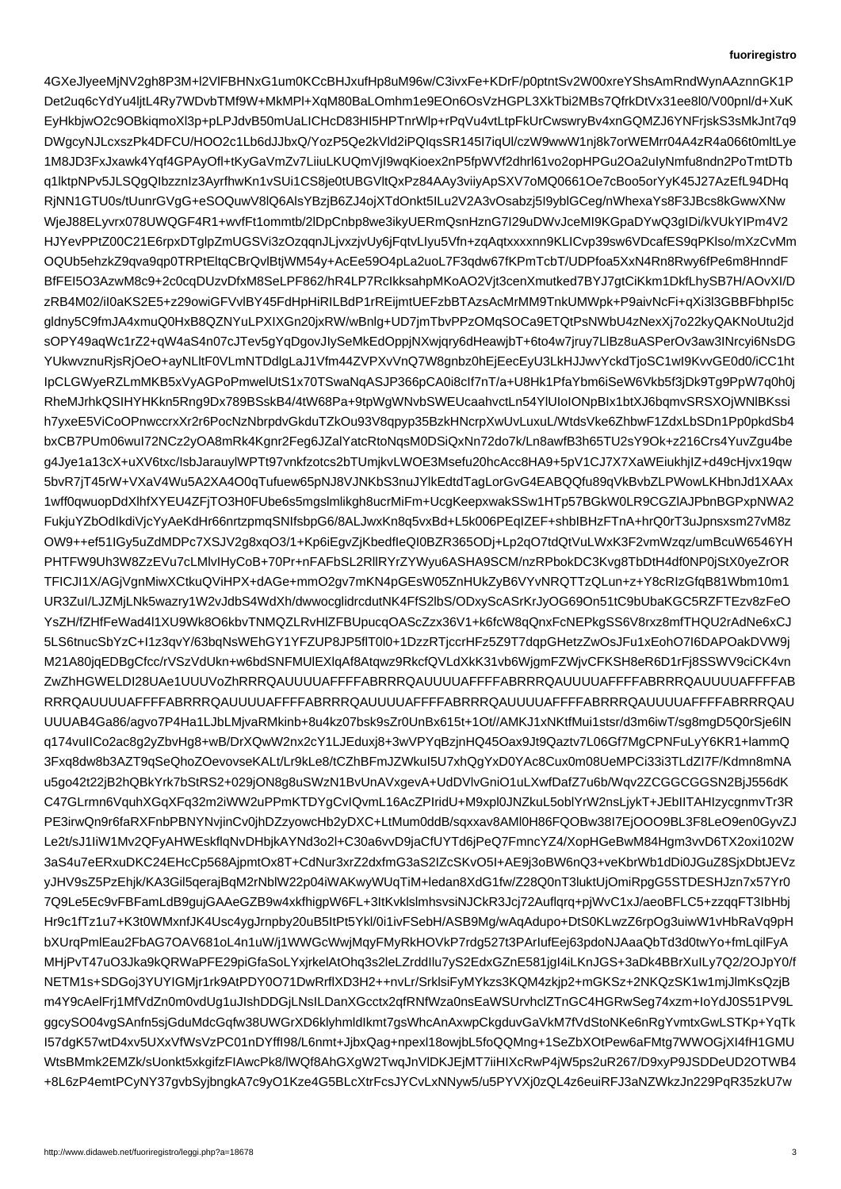4GXeJIyeeMjNV2qh8P3M+I2VIFBHNxG1um0KCcBHJxufHp8uM96w/C3ivxFe+KDrF/p0ptntSv2W00xreYShsAmRndWynAAznnGK1P Det2ug6cYdYu4litL4Ry7WDvbTMf9W+MkMPl+XgM80BaLOmhm1e9EOn6OsVzHGPL3XkTbi2MBs7QfrkDtVx31ee8l0/V00pnl/d+XuK EyHkbjwO2c9OBkigmoXl3p+pLPJdvB50mUaLICHcD83HI5HPTnrWlp+rPqVu4vtLtpFkUrCwswryBv4xnGQMZJ6YNFrjskS3sMkJnt7q9 DWgcyNJLcxszPk4DFCU/HOO2c1Lb6dJJbxQ/YozP5Qe2kVld2iPQlgsSR145I7iqUl/czW9wwW1nj8k7orWEMrr04A4zR4a066t0mltLye 1M8JD3FxJxawk4Yqf4GPAyOfl+tKyGaVmZv7LiiuLKUQmVjI9wqKioex2nP5fpWVf2dhrl61vo2opHPGu2Oa2ulyNmfu8ndn2PoTmtDTb q1lktpNPv5JLSQqQlbzznlz3AyrfhwKn1vSUi1CS8je0tUBGVltQxPz84AAy3viiyApSXV7oMQ0661Oe7cBoo5orYyK45J27AzEfL94DHq RjNN1GTU0s/tUunrGVgG+eSOQuwV8lQ6AlsYBzjB6ZJ4ojXTdOnkt5lLu2V2A3vOsabzj5l9yblGCeg/nWhexaYs8F3JBcs8kGwwXNw WjeJ88ELyvrx078UWQGF4R1+wvfFt1ommtb/2lDpCnbp8we3ikyUERmQsnHznG7I29uDWvJceMl9KGpaDYwQ3glDi/kVUkYIPm4V2 HJYevPPtZ00C21E6rpxDTglpZmUGSVi3zOzqqnJLjvxzjvUy6jFqtvLlyu5Vfn+zqAqtxxxxnn9KLICvp39sw6VDcafES9qPKlso/mXzCvMm OQUb5ehzkZ9qva9qp0TRPtEltqCBrQvlBtjWM54y+AcEe59O4pLa2uoL7F3qdw67fKPmTcbT/UDPfoa5XxN4Rn8Rwy6fPe6m8HnndF BfFEI5O3AzwM8c9+2c0cqDUzvDfxM8SeLPF862/hR4LP7RclkksahpMKoAO2Vjt3cenXmutked7BYJ7gtCiKkm1DkfLhySB7H/AOvXI/D zRB4M02/il0aKS2E5+z29owiGFVvIBY45FdHpHiRILBdP1rREijmtUEFzbBTAzsAcMrMM9TnkUMWpk+P9aivNcFi+qXi3l3GBBFbhpl5c gldny5C9fmJA4xmuQ0HxB8QZNYuLPXIXGn20jxRW/wBnlg+UD7jmTbvPPzOMgSOCa9ETQtPsNWbU4zNexXj7o22kyQAKNoUtu2jd sOPY49aqWc1rZ2+qW4aS4n07cJTev5qYqDgovJIySeMkEdOppjNXwjqry6dHeawjbT+6to4w7jruy7LlBz8uASPerOv3aw3INrcyi6NsDG YUkwyznuRisRiOeO+avNLltF0VLmNTDdlgLaJ1Vfm44ZVPXvVnQ7W8gnbz0hEiEecEvU3LkHJJwvYckdTioSC1wl9KvvGE0d0/iCC1ht IpCLGWyeRZLmMKB5xVyAGPoPmwelUtS1x70TSwaNqASJP366pCA0i8clf7nT/a+U8Hk1PfaYbm6iSeW6Vkb5f3jDk9Tg9PpW7q0h0j RheMJrhkQSIHYHKkn5Rng9Dx789BSskB4/4tW68Pa+9tpWgWNvbSWEUcaahvctLn54YIUIoIONpBIx1btXJ6bqmvSRSXOjWNIBKssi h7yxeE5ViCoOPnwccrxXr2r6PocNzNbrpdvGkduTZkOu93V8qpyp35BzkHNcrpXwUvLuxuL/WtdsVke6ZhbwF1ZdxLbSDn1Pp0pkdSb4 bxCB7PUm06wul72NCz2yOA8mRk4Kgnr2Feg6JZalYatcRtoNqsM0DSiQxNn72do7k/Ln8awfB3h65TU2sY9Ok+z216Crs4YuvZgu4be g4Jye1a13cX+uXV6txc/lsbJarauylWPTt97vnkfzotcs2bTUmjkvLWOE3Msefu20hcAcc8HA9+5pV1CJ7X7XaWEiukhjIZ+d49cHjvx19qw 5bvR7jT45rW+VXaV4Wu5A2XA4O0qTufuew65pNJ8VJNKbS3nuJYlkEdtdTagLorGvG4EABQQfu89qVkBvbZLPWowLKHbnJd1XAAx 1wff0qwuopDdXlhfXYEU4ZFjTO3H0FUbe6s5mgslmlikgh8ucrMiFm+UcqKeepxwakSSw1HTp57BGkW0LR9CGZIAJPbnBGPxpNWA2 FukjuYZbOdlkdiVjcYyAeKdHr66nrtzpmqSNlfsbpG6/8ALJwxKn8q5vxBd+L5k006PEqIZEF+shbIBHzFTnA+hrQ0rT3uJpnsxsm27vM8z OW9++ef51IGy5uZdMDPc7XSJV2g8xqO3/1+Kp6iEgvZjKbedfleQI0BZR365ODj+Lp2qO7tdQtVuLWxK3F2vmWzqz/umBcuW6546YH PHTFW9Uh3W8ZzEVu7cLMlvIHyCoB+70Pr+nFAFbSL2RllRYrZYWyu6ASHA9SCM/nzRPbokDC3Kvg8TbDtH4df0NP0jStX0yeZrOR TFICJI1X/AGjVgnMiwXCtkuQViHPX+dAGe+mmO2gv7mKN4pGEsW05ZnHUkZyB6VYvNRQTTzQLun+z+Y8cRIzGfqB81Wbm10m1 UR3Zul/LJZMjLNk5wazry1W2vJdbS4WdXh/dwwocglidrcdutNK4FfS2lbS/ODxyScASrKrJyOG69On51tC9bUbaKGC5RZFTEzv8zFeO YsZH/fZHfFeWad4I1XU9Wk8O6kbvTNMQZLRvHlZFBUpucqOAScZzx36V1+k6fcW8qQnxFcNEPkgSS6V8rxz8mfTHQU2rAdNe6xCJ 5LS6tnucSbYzC+I1z3qvY/63bqNsWEhGY1YFZUP8JP5fIT0l0+1DzzRTjccrHFz5Z9T7dqpGHetzZwOsJFu1xEohO7l6DAPOakDVW9j M21A80jqEDBgCfcc/rVSzVdUkn+w6bdSNFMUIEXlqAf8Atqwz9RkcfQVLdXkK31vb6WjgmFZWjvCFKSH8eR6D1rFj8SSWV9ciCK4vn ZwZhHGWELDI28UAe1UUUVoZhRRRQAUUUUAFFFFABRRRQAUUUUAFFFFABRRRQAUUUUAFFFFABRRRQAUUUUAFFFFAB RRRQAUUUUAFFFFABRRRQAUUUUAFFFFABRRRQAUUUUAFFFFABRRRQAUUUUAFFFFABRRRQAUUUUAFFFFABRRRQAU UUUAB4Ga86/aqvo7P4Ha1LJbLMjvaRMkinb+8u4kz07bsk9sZr0UnBx615t+1Ot//AMKJ1xNKtfMui1stsr/d3m6iwT/sq8mqD5Q0rSje6lN g174vuIICo2ac8g2vZbvHg8+wB/DrXQwW2nx2cY1LJEduxi8+3wVPYgBzinHQ45Oax9Jt9Qaztv7L06Gf7MgCPNFuLvY6KR1+lammQ 3Fxq8dw8b3AZT9qSeQhoZOevovseKALt/Lr9kLe8/tCZhBFmJZWkuI5U7xhQqYxD0YAc8Cux0m08UeMPCi33i3TLdZI7F/Kdmn8mNA u5go42t22jB2hQBkYrk7bStRS2+029jON8g8uSWzN1BvUnAVxgevA+UdDVlvGniO1uLXwfDafZ7u6b/Wqv2ZCGGCGGSN2BjJ556dK C47GLrmn6VquhXGqXFq32m2iWW2uPPmKTDYgCvIQvmL16AcZPIridU+M9xpl0JNZkuL5oblYrW2nsLjykT+JEbIITAHIzycgnmvTr3R PE3irwQn9r6faRXFnbPBNYNvjinCv0jhDZzyowcHb2yDXC+LtMum0ddB/sqxxav8AMI0H86FQOBw38I7EjOOO9BL3F8LeO9en0GyvZJ Le2t/sJ1liW1Mv2QFyAHWEskflqNvDHbjkAYNd3o2l+C30a6vvD9jaCfUYTd6jPeQ7FmncYZ4/XopHGeBwM84Hqm3vvD6TX2oxi102W 3aS4u7eERxuDKC24EHcCp568AjpmtOx8T+CdNur3xrZ2dxfmG3aS2IZcSKvO5I+AE9j3oBW6nQ3+veKbrWb1dDi0JGuZ8SjxDbtJEVz vJHV9sZ5PzEhjk/KA3Gil5qerajBqM2rNblW22p04iWAKwyWUqTiM+ledan8XdG1fw/Z28Q0nT3luktUjOmiRpqG5STDESHJzn7x57Yr0 7Q9Le5Ec9vFBFamLdB9quiGAAeGZB9w4xkfhiqpW6FL+3ltKvklsImhsvsiNJCkR3Jcj72Auflqrq+pjWvC1xJ/aeoBFLC5+zzqqFT3lbHbj Hr9c1fTz1u7+K3t0WMxnfJK4Usc4yqJrnpby20uB5ltPt5Ykl/0i1ivFSebH/ASB9Mq/wAqAdupo+DtS0KLwzZ6rpOq3uiwW1vHbRaVq9pH bXUrqPmlEau2FbAG7OAV681oL4n1uW/j1WWGcWwjMqyFMyRkHOVkP7rdg527t3PArlufEej63pdoNJAaaQbTd3d0twYo+fmLqilFyA MHjPvT47uO3Jka9kQRWaPFE29piGfaSoLYxjrkelAtOhq3s2leLZrddllu7yS2EdxGZnE581jgl4iLKnJGS+3aDk4BBrXulLy7Q2/2OJpY0/f NETM1s+SDGoj3YUYIGMjr1rk9AtPDY0O71DwRrflXD3H2++nvLr/SrklsiFyMYkzs3KQM4zkjp2+mGKSz+2NKQzSK1w1mjJlmKsQzjB m4Y9cAelFrj1MfVdZn0m0vdUg1uJlshDDGjLNsILDanXGcctx2qfRNfWza0nsEaWSUrvhclZTnGC4HGRwSeg74xzm+loYdJ0S51PV9L ggcySO04vgSAnfn5sjGduMdcGqfw38UWGrXD6klyhmldlkmt7gsWhcAnAxwpCkgduvGaVkM7fVdStoNKe6nRgYvmtxGwLSTKp+YqTk I57dgK57wtD4xv5UXxVfWsVzPC01nDYffI98/L6nmt+JjbxQag+npexl18owjbL5foQQMng+1SeZbXOtPew6aFMtg7WWOGjXI4fH1GMU WtsBMmk2EMZk/sUonkt5xkgifzFIAwcPk8/IWQf8AhGXgW2TwqJnVIDKJEjMT7iiHIXcRwP4jW5ps2uR267/D9xyP9JSDDeUD2OTWB4 +8L6zP4emtPCyNY37gvbSyjbngkA7c9yO1Kze4G5BLcXtrFcsJYCvLxNNyw5/u5PYVXj0zQL4z6euiRFJ3aNZWkzJn229PqR35zkU7w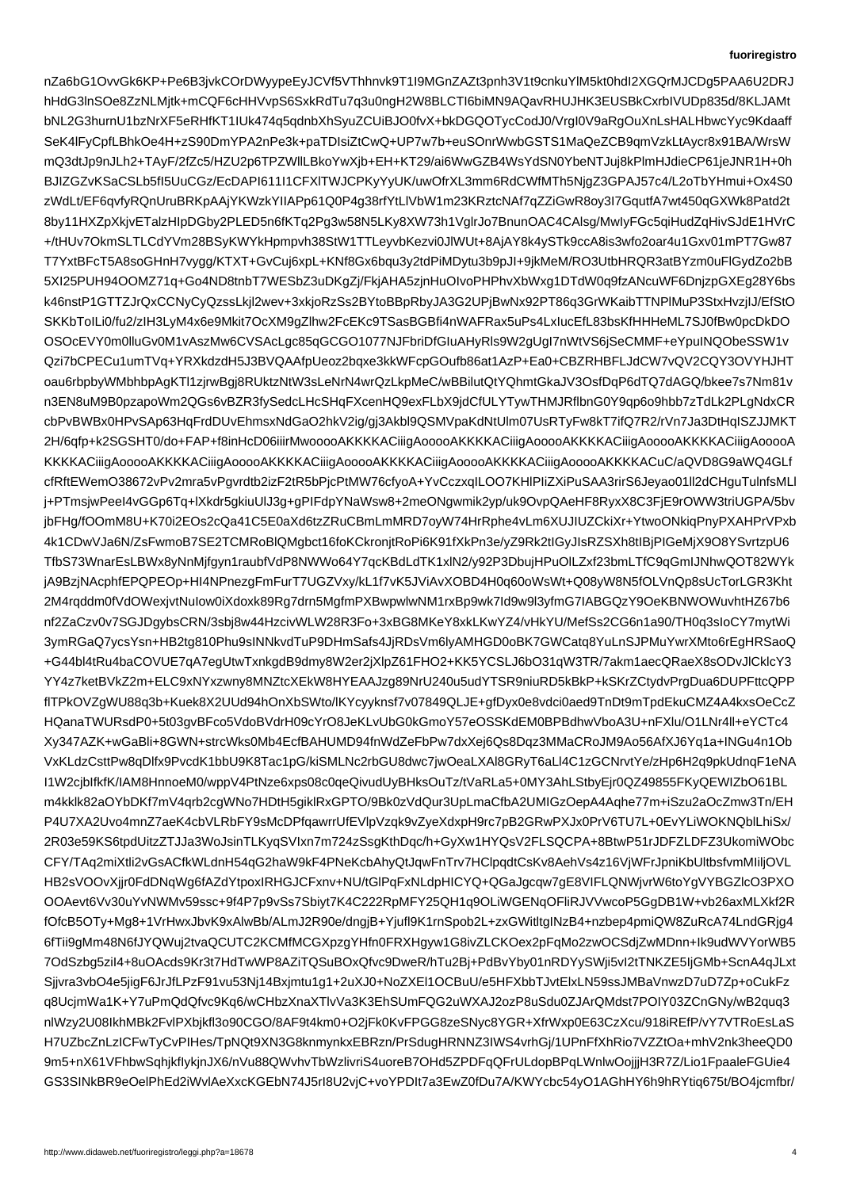nZa6bG1OvvGk6KP+Pe6B3jvkCOrDWyypeEyJCVf5VThhnvk9T1I9MGnZAZt3pnh3V1t9cnkuYlM5kt0hdl2XGQrMJCDg5PAA6U2DRJ hHdG3InSOe8ZzNLMjtk+mCQF6cHHVvpS6SxkRdTu7q3u0ngH2W8BLCTI6biMN9AQavRHUJHK3EUSBkCxrbIVUDp835d/8KLJAMt bNL2G3hurnU1bzNrXF5eRHfKT1IUk474q5qdnbXhSyuZCUiBJO0fvX+bkDGQOTycCodJ0/Vrql0V9aRqOuXnLsHALHbwcYyc9Kdaaff SeK4lFyCpfLBhkOe4H+zS90DmYPA2nPe3k+paTDIsiZtCwQ+UP7w7b+euSOnrWwbGSTS1MaQeZCB9qmVzkLtAycr8x91BA/WrsW mQ3dtJp9nJLh2+TAyF/2fZc5/HZU2p6TPZWIILBkoYwXjb+EH+KT29/ai6WwGZB4WsYdSN0YbeNTJuj8kPlmHJdieCP61jeJNR1H+0h BJIZGZvKSaCSLb5fI5UuCGz/EcDAPI611I1CFXITWJCPKyYyUK/uwOfrXL3mm6RdCWfMTh5NjgZ3GPAJ57c4/L2oTbYHmui+Ox4S0 zWdLt/EF6qvfyRQnUruBRKpAAjYKWzkYIIAPp61Q0P4q38rfYtLlVbW1m23KRztcNAf7qZZiGwR8oy3l7GqutfA7wt450qGXWk8Patd2t 8by11HXZpXkjvETalzHlpDGby2PLED5n6fKTq2Pg3w58N5LKy8XW73h1VglrJo7BnunOAC4CAlsg/MwlyFGc5qiHudZqHivSJdE1HVrC +/tHUv7OkmSLTLCdYVm28BSyKWYkHpmpvh38StW1TTLeyvbKezvi0JlWUt+8AjAY8k4ySTk9ccA8is3wfo2oar4u1Gxv01mPT7Gw87 T7YxtBFcT5A8soGHnH7vygg/KTXT+GvCuj6xpL+KNf8Gx6bqu3y2tdPiMDytu3b9pJI+9jkMeM/RO3UtbHRQR3atBYzm0uFlGydZo2bB 5XI25PUH94OOMZ71q+Go4ND8tnbT7WESbZ3uDKgZj/FkjAHA5zjnHuOIvoPHPhvXbWxg1DTdW0q9fzANcuWF6DnjzpGXEg28Y6bs k46nstP1GTTZJrQxCCNvCvQzssLkil2wev+3xkjoRzSs2BYtoBBpRbyJA3G2UPjBwNx92PT86q3GrWKaibTTNPlMuP3StxHvzjIJ/EfStO SKKbTolLi0/fu2/zIH3LyM4x6e9Mkit7OcXM9qZlhw2FcEKc9TSasBGBfi4nWAFRax5uPs4LxlucEfL83bsKfHHHeML7SJ0fBw0pcDkDO OSOcEVY0m0lluGv0M1vAszMw6CVSAcLgc85qGCGO1077NJFbriDfGluAHyRls9W2gUgl7nWtVS6jSeCMMF+eYpulNQObeSSW1v Qzi7bCPECu1umTVa+YRXkdzdH5J3BVQAAfpUeoz2baxe3kkWFcpGOufb86at1AzP+Ea0+CBZRHBFLJdCW7vQV2CQY3OVYHJHT oau6rbpbyWMbhbpAgKTl1zjrwBgj8RUktzNtW3sLeNrN4wrQzLkpMeC/wBBilutQtYQhmtGkaJV3OsfDqP6dTQ7dAGQ/bkee7s7Nm81v n3EN8uM9B0pzapoWm2QGs6vBZR3fySedcLHcSHqFXcenHQ9exFLbX9jdCfULYTywTHMJRflbnG0Y9qp6o9hbb7zTdLk2PLgNdxCR cbPvBWBx0HPvSAp63HqFrdDUvEhmsxNdGaO2hkV2ig/gj3Akbl9QSMVpaKdNtUlm07UsRTyFw8kT7ifQ7R2/rVn7Ja3DtHqISZJJMKT 2H/6qfp+k2SGSHT0/do+FAP+f8inHcD06iiirMwooooAKKKKACiiigAooooAKKKKACiiigAooooAKKKKACiiigAooooAKKKKACiiigAooooA KKKKACiiiqAooooAKKKKACiiiqAooooAKKKKACiiiqAooooAKKKKACiiiqAooooAKKKKACiiiqAooooAKKKKACuC/aQVD8G9aWQ4GLf cfRftEWemO38672vPv2mra5vPgvrdtb2izF2tR5bPjcPtMW76cfyoA+YvCczxqILOO7KHIPIiZXiPuSAA3rirS6Jeyao01ll2dCHguTuInfsMLI i+PTmsjwPeel4vGGp6Tq+lXkdr5qkiuUlJ3q+qPlFdpYNaWsw8+2meONqwmik2yp/uk9OvpQAeHF8RyxX8C3FjE9rOWW3triUGPA/5bv jbFHg/fOOmM8U+K70i2EOs2cQa41C5E0aXd6tzZRuCBmLmMRD7oyW74HrRphe4vLm6XUJIUZCkiXr+YtwoONkiqPnyPXAHPrVPxb 4k1CDwVJa6N/ZsFwmoB7SE2TCMRoBlQMgbct16foKCkronjtRoPi6K91fXkPn3e/yZ9Rk2tlGyJlsRZSXh8tlBjPlGeMjX9O8YSvrtzpU6 TfbS73WnarEsLBWx8yNnMjfgyn1raubfVdP8NWWo64Y7qcKBdLdTK1xlN2/y92P3DbujHPuOlLZxf23bmLTfC9qGmlJNhwQOT82WYk jA9BzjNAcphfEPQPEOp+HI4NPnezgFmFurT7UGZVxy/kL1f7vK5JViAvXOBD4H0q60oWsWt+Q08yW8N5fOLVnQp8sUcTorLGR3Kht 2M4rgddm0fVdOWexjvtNuIow0iXdoxk89Rg7drn5MgfmPXBwpwlwNM1rxBp9wk7ld9w9l3yfmG7IABGQzY9OeKBNWOWuvhtHZ67b6 nf2ZaCzv0v7SGJDgybsCRN/3sbj8w44HzcivWLW28R3Fo+3xBG8MKeY8xkLKwYZ4/vHkYU/MefSs2CG6n1a90/TH0q3sloCY7mytWi 3ymRGaQ7ycsYsn+HB2tq810Phu9sINNkvdTuP9DHmSafs4JjRDsVm6lyAMHGD0oBK7GWCatq8YuLnSJPMuYwrXMto6rEqHRSaoQ +G44bl4tRu4baCOVUE7qA7egUtwTxnkgdB9dmy8W2er2jXlpZ61FHO2+KK5YCSLJ6bO31qW3TR/7akm1aecQRaeX8sODvJlCklcY3 YY4z7ketBVkZ2m+ELC9xNYxzwny8MNZtcXEkW8HYEAAJzq89NrU240u5udYTSR9niuRD5kBkP+kSKrZCtydvPrqDua6DUPFttcQPP fITPkOVZqWU88q3b+Kuek8X2UUd94hOnXbSWto/lKYcyyknsf7v07849QLJE+qfDyx0e8vdci0aed9TnDt9mTpdEkuCMZ4A4kxsOeCcZ HQanaTWURsdP0+5t03qvBFco5VdoBVdrH09cYrO8JeKLvUbG0kGmoY57eOSSKdEM0BPBdhwVboA3U+nFXlu/O1LNr4ll+eYCTc4 Xv347AZK+wGaBli+8GWN+strcWks0Mb4EcfBAHUMD94fnWdZeFbPw7dxXei6Qs8Dqz3MMaCRoJM9Ao56AfXJ6Yq1a+INGu4n1Ob VxKLdzCsttPw8qDlfx9PvcdK1bbU9K8Tac1pG/kiSMLNc2rbGU8dwc7jwOeaLXAl8GRyT6aLl4C1zGCNrvtYe/zHp6H2q9pkUdnqF1eNA I1W2cjblfkfK/IAM8HnnoeM0/wppV4PtNze6xps08c0qeQivudUyBHksOuTz/tVaRLa5+0MY3AhLStbyEjr0QZ49855FKyQEWIZbO61BL m4kklk82aOYbDKf7mV4qrb2cqWNo7HDtH5qiklRxGPTO/9Bk0zVdQur3UpLmaCfbA2UMIGzOepA4Aqhe77m+iSzu2aOcZmw3Tn/EH P4U7XA2Uvo4mnZ7aeK4cbVLRbFY9sMcDPfqawrrUfEVlpVzqk9vZyeXdxpH9rc7pB2GRwPXJx0PrV6TU7L+0EvYLiWOKNQblLhiSx/ 2R03e59KS6tpdUitzZTJJa3WoJsinTLKyqSVIxn7m724zSsqKthDqc/h+GyXw1HYQsV2FLSQCPA+8BtwP51rJDFZLDFZ3UkomiWObc CFY/TAq2miXtli2vGsACfkWLdnH54qG2haW9kF4PNeKcbAhyQtJqwFnTrv7HClpqdtCsKv8AehVs4z16VjWFrJpniKbUltbsfvmMliljOVL HB2sVOOvXjir0FdDNqWq6fAZdYtpoxIRHGJCFxnv+NU/tGlPqFxNLdpHICYQ+QGaJqcqw7qE8VIFLQNWjvrW6toYqVYBGZIcO3PXO OOAevt6Vv30uYvNWMv59ssc+9f4P7p9vSs7Sbiyt7K4C222RpMFY25QH1q9OLiWGENqOFliRJVVwcoP5GqDB1W+vb26axMLXkf2R fOfcB5OTy+Mq8+1VrHwxJbvK9xAlwBb/ALmJ2R90e/dnqiB+Yjufl9K1rnSpob2L+zxGWitltglNzB4+nzbep4pmiQW8ZuRcA74LndGRjq4 6fTii9gMm48N6fJYQWuj2tvaQCUTC2KCMfMCGXpzgYHfn0FRXHgyw1G8ivZLCKOex2pFqMo2zwOCSdiZwMDnn+lk9udWVYorWB5 7OdSzbg5zil4+8uOAcds9Kr3t7HdTwWP8AZiTQSuBOxQfvc9DweR/hTu2Bj+PdBvYby01nRDYySWji5vl2tTNKZE5IjGMb+ScnA4qJLxt Sjjvra3vbO4e5jigF6JrJfLPzF91vu53Nj14Bxjmtu1g1+2uXJ0+NoZXEl1OCBuU/e5HFXbbTJvtElxLN59ssJMBaVnwzD7uD7Zp+oCukFz q8UcjmWa1K+Y7uPmQdQfvc9Kq6/wCHbzXnaXTlvVa3K3EhSUmFQG2uWXAJ2ozP8uSdu0ZJArQMdst7POIY03ZCnGNy/wB2quq3 nlWzy2U08IkhMBk2FvIPXbjkfl3o90CGO/8AF9t4km0+O2jFk0KvFPGG8zeSNyc8YGR+XfrWxp0E63CzXcu/918iREfP/vY7VTRoEsLaS H7UZbcZnLzICFwTyCvPIHes/TpNQt9XN3G8knmynkxEBRzn/PrSdugHRNNZ3IWS4vrhGj/1UPnFfXhRio7VZZtOa+mhV2nk3heeQD0 9m5+nX61VFhbwSqhjkflykjnJX6/nVu88QWvhvTbWzlivriS4uoreB7OHd5ZPDFqQFrULdopBPqLWnlwOojjjH3R7Z/Lio1FpaaleFGUie4 GS3SINkBR9eOeIPhEd2iWvIAeXxcKGEbN74J5rl8U2vjC+voYPDIt7a3EwZ0fDu7A/KWYcbc54vO1AGhHY6h9hRYtiq675t/BO4jcmfbr/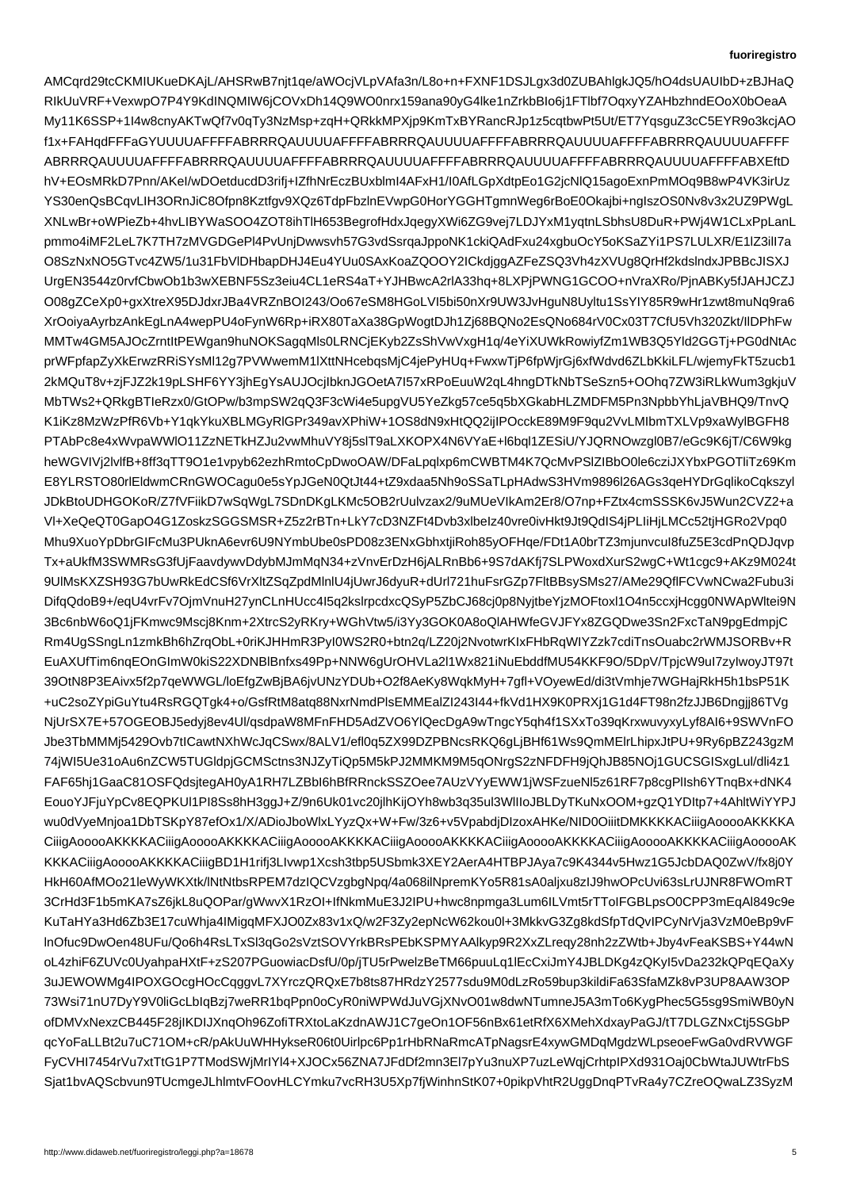AMCqrd29tcCKMIUKueDKAjL/AHSRwB7njt1qe/aWOcjVLpVAfa3n/L8o+n+FXNF1DSJLgx3d0ZUBAhlgkJQ5/hO4dsUAUIbD+zBJHaQ RIkUuVRF+VexwpO7P4Y9KdINQMIW6jCOVxDh14Q9WO0nrx159ana90yG4lke1nZrkbBlo6j1FTlbf7OqxyYZAHbzhndEOoX0bOeaA My11K6SSP+1I4w8cnyAKTwQf7v0qTy3NzMsp+zqH+QRkkMPXjp9KmTxBYRancRJp1z5cqtbwPt5Ut/ET7YqsquZ3cC5EYR9o3kcjAO f1x+FAHqdFFFaGYUUUUAFFFFABRRRQAUUUUAFFFFABRRRQAUUUUAFFFFABRRRQAUUUUAFFFFABRRRQAUUUUAFFFF ABRRRQAUUUUAFFFFABRRRQAUUUUAFFFFABRRRQAUUUUAFFFFABRRRQAUUUUAFFFFABRRRQAUUUUAFFFFABXEftD hV+EOsMRkD7Pnn/AKel/wDOetducdD3rifj+IZfhNrEczBUxblmI4AFxH1/I0AfLGpXdtpEo1G2jcNlQ15agoExnPmMOq9B8wP4VK3irUz YS30enQsBCqvLIH3ORnJiC8Ofpn8Kztfgv9XQz6TdpFbzInEVwpG0HorYGGHTgmnWeg6rBoE0Okajbi+nglszOS0Nv8v3x2UZ9PWgL XNLwBr+oWPieZb+4hvLIBYWaSOO4ZOT8ihTlH653BegrofHdxJqegyXWi6ZG9vej7LDJYxM1yqtnLSbhsU8DuR+PWj4W1CLxPpLanL pmmo4iMF2LeL7K7TH7zMVGDGePl4PvUnjDwwsvh57G3vdSsrqaJppoNK1ckiQAdFxu24xgbuOcY5oKSaZYi1PS7LULXR/E1lZ3ill7a O8SzNxNO5GTvc4ZW5/1u31FbVIDHbapDHJ4Eu4YUu0SAxKoaZQOOY2ICkdjggAZFeZSQ3Vh4zXVUg8QrHf2kdsIndxJPBBcJISXJ UrgEN3544z0rvfCbwOb1b3wXEBNF5Sz3eiu4CL1eRS4aT+YJHBwcA2rlA33hq+8LXPjPWNG1GCOO+nVraXRo/PjnABKy5fJAHJCZJ O08qZCeXp0+qxXtreX95DJdxrJBa4VRZnBOI243/Oo67eSM8HGoLVI5bi50nXr9UW3JvHquN8Uyltu1SsYIY85R9wHr1zwt8muNq9ra6 XrOoiyaAyrbzAnkEqLnA4wepPU4oFynW6Rp+iRX80TaXa38GpWoqtDJh1Zj68BQNo2EsQNo684rV0Cx03T7CfU5Vh320Zkt/IIDPhFw MMTw4GM5AJOcZrntltPEWgan9huNOKSagqMls0LRNCjEKyb2ZsShVwVxgH1g/4eYiXUWkRowiyfZm1WB3Q5Yld2GGTj+PG0dNtAc prWFpfapZyXkErwzRRiSYsMI12g7PVWwemM1IXttNHcebgsMjC4jePyHUq+FwxwTjP6fpWjrGj6xfWdvd6ZLbKkiLFL/wjemyFkT5zucb1 2kMQuT8v+zjFJZ2k19pLSHF6YY3jhEgYsAUJOcjIbknJGOetA7I57xRPoEuuW2qL4hngDTkNbTSeSzn5+OOhg7ZW3iRLkWum3gkjuV MbTWs2+QRkgBTleRzx0/GtOPw/b3mpSW2qQ3F3cWi4e5upgVU5YeZkg57ce5q5bXGkabHLZMDFM5Pn3NpbbYhLjaVBHQ9/TnvQ K1iKz8MzWzPfR6Vb+Y1qkYkuXBLMGyRIGPr349avXPhiW+1OS8dN9xHtQQ2ijIPOcckE89M9F9qu2VvLMIbmTXLVp9xaWyIBGFH8 PTAbPc8e4xWvpaWWIO11ZzNETkHZJu2vwMhuVY8j5sIT9aLXKOPX4N6VYaE+I6bqI1ZESiU/YJQRNOwzgl0B7/eGc9K6jT/C6W9kg heWGVIVi2lvlfB+8ff3qTT9O1e1vpyb62ezhRmtoCpDwoOAW/DFaLpqlxp6mCWBTM4K7QcMvPSIZIBbO0le6cziJXYbxPGOTliTz69Km E8YLRSTO80rlEldwmCRnGWOCagu0e5sYpJGeN0QtJt44+tZ9xdaa5Nh9oSSaTLpHAdwS3HVm9896l26AGs3qeHYDrGqlikoCqkszyl JDkBtoUDHGOKoR/Z7fVFiikD7wSqWqL7SDnDKqLKMc5OB2rUulvzax2/9uMUeVIkAm2Er8/O7np+FZtx4cmSSSK6vJ5Wun2CVZ2+a VI+XeQeQT0GapO4G1ZoskzSGGSMSR+Z5z2rBTn+LkY7cD3NZFt4Dvb3xlbeIz40vre0ivHkt9Jt9QdIS4iPLIiHjLMCc52tiHGRo2Vpq0 Mhu9XuoYpDbrGIFcMu3PUknA6evr6U9NYmbUbe0sPD08z3ENxGbhxtjiRoh85yOFHqe/FDt1A0brTZ3mjunvcul8fuZ5E3cdPnQDJqvp Tx+aUkfM3SWMRsG3fUjFaavdywvDdybMJmMqN34+zVnvErDzH6jALRnBb6+9S7dAKfj7SLPWoxdXurS2wgC+Wt1cgc9+AKz9M024t 9UIMsKXZSH93G7bUwRkEdCSf6VrXltZSqZpdMlnlU4jUwrJ6dyuR+dUrl721huFsrGZp7FltBBsySMs27/AMe29QflFCVwNCwa2Fubu3i DifgQdoB9+/eqU4vrFv7OjmVnuH27ynCLnHUcc4I5q2ksIrpcdxcQSyP5ZbCJ68cj0p8NyjtbeYjzMOFtoxI1O4n5ccxjHcgg0NWApWltei9N 3Bc6nbW6oQ1jFKmwc9Mscj8Knm+2XtrcS2yRKry+WGhVtw5/i3Yy3GOK0A8oQIAHWfeGVJFYx8ZGQDwe3Sn2FxcTaN9pgEdmpjC Rm4UgSSngLn1zmkBh6hZrqObL+0riKJHHmR3PyI0WS2R0+btn2q/LZ20j2NvotwrKIxFHbRqWIYZzk7cdiTnsOuabc2rWMJSORBv+R EuAXUfTim6nqEOnGImW0kiS22XDNBlBnfxs49Pp+NNW6gUrOHVLa2l1Wx821iNuEbddfMU54KKF9O/5DpV/TpjcW9ul7zyIwoyJT97t 39OtN8P3EAivx5f2p7qeWWGL/loEfgZwBjBA6jvUNzYDUb+O2f8AeKy8WqkMyH+7qfl+VOyewEd/di3tVmhje7WGHajRkH5h1bsP51K +uC2soZYpiGuYtu4RsRGQTqk4+o/GsfRtM8atq88NxrNmdPlsEMMEalZl243I44+fkVd1HX9K0PRXj1G1d4FT98n2fzJJB6Dnqji86TVq NjUrSX7E+57OGEOBJ5edyj8ev4Ul/qsdpaW8MFnFHD5AdZVO6YlQecDqA9wTnqcY5qh4f1SXxTo39qKrxwuvyxyLyf8Al6+9SWVnFO Jbe3TbMMMi5429Ovb7tlCawtNXhWcJqCSwx/8ALV1/efl0q5ZX99DZPBNcsRKQ6qLiBHf61Ws9QmMEIrLhipxJtPU+9Rv6pBZ243qzM 74jWI5Ue31oAu6nZCW5TUGIdpjGCMSctns3NJZyTiQp5M5kPJ2MMKM9M5qONrgS2zNFDFH9jQhJB85NOj1GUCSGISxgLul/dli4z1 FAF65hj1GaaC81OSFQdsjtegAH0yA1RH7LZBbl6hBfRRnckSSZOee7AUzVYyEWW1jWSFzueNl5z61RF7p8cgPllsh6YTnqBx+dNK4 EouoYJFjuYpCv8EQPKUI1PI8Ss8hH3ggJ+Z/9n6Uk01vc20jlhKijOYh8wb3q35ul3WIIIoJBLDyTKuNxOOM+gzQ1YDItp7+4AhltWiYYPJ wu0dVyeMnjoa1DbTSKpY87efOx1/X/ADioJboWlxLYyzQx+W+Fw/3z6+v5VpabdjDIzoxAHKe/NID0OiiitDMKKKKACiiigAooooAKKKKA CiiigAooooAKKKKACiiigAooooAKKKKACiiigAooooAKKKKACiiigAooooAKKKKACiiigAooooAKKKKACiiigAooooAKKKKACiiigAooooAK KKKACiiigAooooAKKKKACiiigBD1H1rifj3LIvwp1Xcsh3tbp5USbmk3XEY2AerA4HTBPJAya7c9K4344v5Hwz1G5JcbDAQ0ZwV/fx8j0Y HkH60AfMOo21leWyWKXtk/lNtNtbsRPEM7dzIQCVzqbqNpq/4a068ilNpremKYo5R81sA0aljxu8zIJ9hwOPcUvi63sLrUJNR8FWOmRT 3CrHd3F1b5mKA7sZ6jkL8uQOPar/qWwvX1RzOI+IfNkmMuE3J2IPU+hwc8npmqa3Lum6ILVmt5rTToIFGBLpsO0CPP3mEqAl849c9e KuTaHYa3Hd6Zb3E17cuWhja4IMigqMFXJO0Zx83v1xQ/w2F3Zy2epNcW62kou0l+3MkkvG3Zq8kdSfpTdQvIPCyNrVja3VzM0eBp9vF InOfuc9DwOen48UFu/Qo6h4RsLTxSl3qGo2sVztSOVYrkBRsPEbKSPMYAAlkyp9R2XxZLreqy28nh2zZWtb+Jby4vFeaKSBS+Y44wN oL4zhiF6ZUVc0UyahpaHXtF+zS207PGuowiacDsfU/0p/jTU5rPwelzBeTM66puuLq1lEcCxiJmY4JBLDKg4zQKyI5vDa232kQPqEQaXy 3uJEWOWMg4IPOXGOcgHOcCqggvL7XYrczQRQxE7b8ts87HRdzY2577sdu9M0dLzRo59bup3kildiFa63SfaMZk8vP3UP8AAW3OP 73Wsi71nU7DyY9V0liGcLblqBzj7weRR1bqPpn0oCyR0niWPWdJuVGjXNvO01w8dwNTumneJ5A3mTo6KygPhec5G5sg9SmiWB0yN ofDMVxNexzCB445F28jIKDIJXnqOh96ZofiTRXtoLaKzdnAWJ1C7geOn1OF56nBx61etRfX6XMehXdxayPaGJ/tT7DLGZNxCtj5SGbP qcYoFaLLBt2u7uC71OM+cR/pAkUuWHHykseR06t0Uirlpc6Pp1rHbRNaRmcATpNagsrE4xywGMDqMgdzWLpseoeFwGa0vdRVWGF FyCVHI7454rVu7xtTtG1P7TModSWjMrIYI4+XJOCx56ZNA7JFdDf2mn3EI7pYu3nuXP7uzLeWqjCrhtplPXd931Oaj0CbWtaJUWtrFbS Sjat1bvAQScbvun9TUcmqeJLhlmtvFOovHLCYmku7vcRH3U5Xp7fjWinhnStK07+0pikpVhtR2UqqDnqPTvRa4y7CZreOQwaLZ3SyzM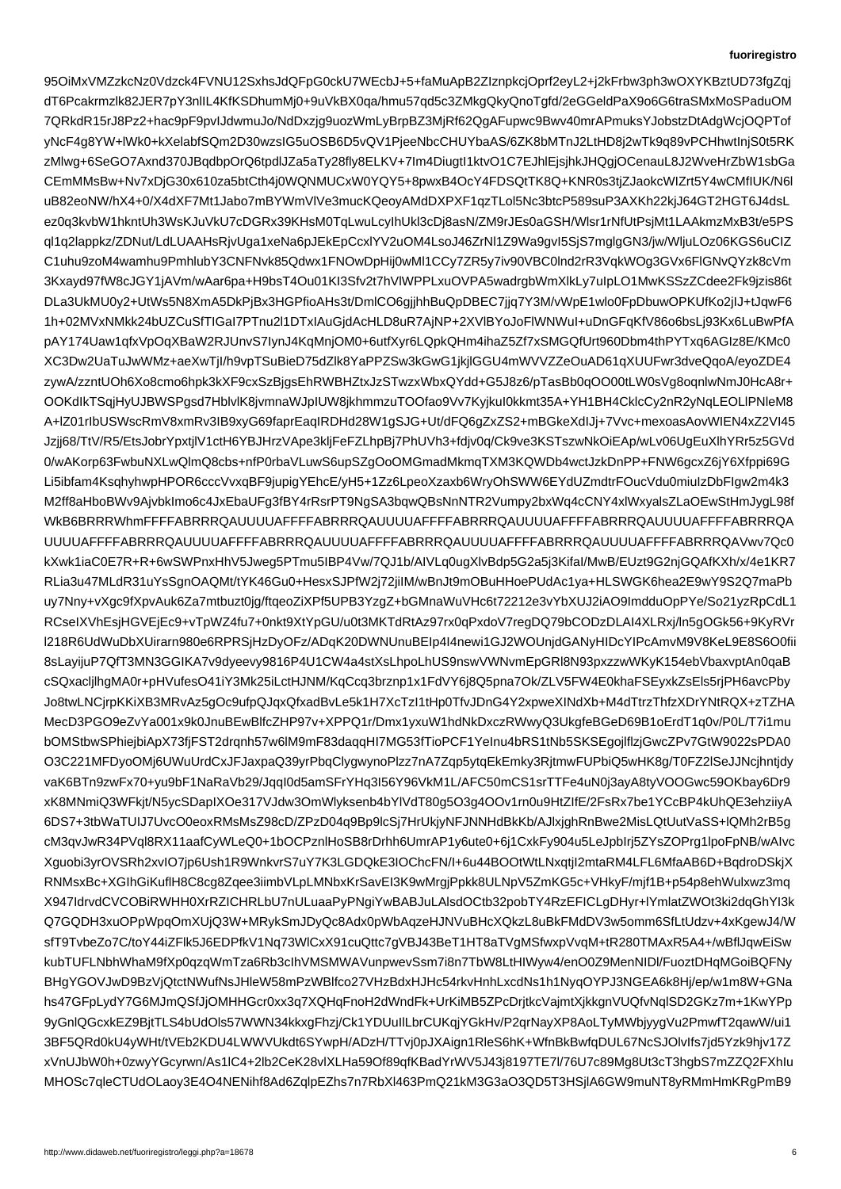95OiMxVMZzkcNz0Vdzck4FVNU12SxhsJdQFpG0ckU7WEcbJ+5+faMuApB2ZlznpkcjOprf2eyL2+j2kFrbw3ph3wOXYKBztUD73fgZqj dT6Pcakrmzlk82JER7pY3nlIL4KfKSDhumMj0+9uVkBX0qa/hmu57qd5c3ZMkgQkyQnoTgfd/2eGGeldPaX9o6G6traSMxMoSPaduOM 7QRkdR15rJ8Pz2+hac9pF9pvlJdwmuJo/NdDxzjq9uozWmLyBrpBZ3MjRf62QqAFupwc9Bwv40mrAPmuksYJobstzDtAdqWcjOQPTof yNcF4q8YW+IWk0+kXelabfSQm2D30wzsIG5uOSB6D5vQV1PjeeNbcCHUYbaAS/6ZK8bMTnJ2LtHD8j2wTk9q89vPCHhwtInjS0t5RK zMlwg+6SeGO7Axnd370JBqdbpOrQ6tpdlJZa5aTy28fly8ELKV+7Im4Diugtl1ktvO1C7EJhlEjsjhkJHQgjOCenauL8J2WveHrZbW1sbGa CEmMMsBw+Nv7xDjG30x610za5btCth4j0WQNMUCxW0YQY5+8pwxB4OcY4FDSQtTK8Q+KNR0s3tjZJaokcWlZrt5Y4wCMfIUK/N6I uB82eoNW/hX4+0/X4dXF7Mt1Jabo7mBYWmVIVe3mucKQeoyAMdDXPXF1qzTLol5Nc3btcP589suP3AXKh22kjJ64GT2HGT6J4dsL ez0q3kvbW1hkntUh3WsKJuVkU7cDGRx39KHsM0TqLwuLcylhUkl3cDj8asN/ZM9rJEs0aGSH/Wlsr1rNfUtPsjMt1LAAkmzMxB3t/e5PS ql1q2lappkz/ZDNut/LdLUAAHsRjvUga1xeNa6pJEkEpCcxlYV2uOM4LsoJ46ZrNl1Z9Wa9gvl5SjS7mglgGN3/jw/WljuLOz06KGS6uClZ C1uhu9zoM4wamhu9PmhlubY3CNFNvk85Qdwx1FNOwDpHij0wMl1CCy7ZR5y7iv90VBC0Ind2rR3VqkWOg3GVx6FIGNvQYzk8cVm 3Kxayd97fW8cJGY1jAVm/wAar6pa+H9bsT4Ou01Kl3Sfv2t7hVlWPPLxuOVPA5wadrgbWmXlkLy7ulpLO1MwKSSzZCdee2Fk9jzis86t DLa3UkMU0y2+UtWs5N8XmA5DkPjBx3HGPfioAHs3t/DmlCO6qjjhhBuQpDBEC7jjq7Y3M/vWpE1wlo0FpDbuwOPKUfKo2jIJ+tJqwF6 1h+02MVxNMkk24bUZCuSfTIGaI7PTnu2l1DTxIAuGidAcHLD8uR7AiNP+2XVIBYoJoFIWNWuI+uDnGFqKfV86o6bsLj93Kx6LuBwPfA pAY174Uaw1qfxVpOqXBaW2RJUnvS7IynJ4KqMnjOM0+6utfXyr6LQpkQHm4ihaZ5Zf7xSMGQfUrt960Dbm4thPYTxq6AGIz8E/KMc0 XC3Dw2UaTuJwWMz+aeXwTjl/h9vpTSuBieD75dZlk8YaPPZSw3kGwG1jkjlGGU4mWVVZZeOuAD61qXUUFwr3dveQqoA/eyoZDE4 zywA/zzntUOh6Xo8cmo6hpk3kXF9cxSzBjgsEhRWBHZtxJzSTwzxWbxQYdd+G5J8z6/pTasBb0qOO00tLW0sVg8oqnlwNmJ0HcA8r+ OOKdlkTSqjHyUJBWSPgsd7HblvlK8jvmnaWJplUW8jkhmmzuTOOfao9Vv7Kyjkul0kkmt35A+YH1BH4CklcCy2nR2yNqLEOLIPNleM8 A+IZ01rlbUSWscRmV8xmRv3IB9xyG69faprEaqIRDHd28W1gSJG+Ut/dFQ6gZxZS2+mBGkeXdIJj+7Vvc+mexoasAovWIEN4xZ2VI45 Jzjj68/TtV/R5/EtsJobrYpxtjlV1ctH6YBJHrzVApe3kljFeFZLhpBj7PhUVh3+fdjv0q/Ck9ve3KSTszwNkOiEAp/wLv06UgEuXlhYRr5z5GVd 0/wAKorp63FwbuNXLwQlmQ8cbs+nfP0rbaVLuwS6upSZqOoOMGmadMkmqTXM3KQWDb4wctJzkDnPP+FNW6qcxZ6jY6Xfppi69G Li5ibfam4KsqhyhwpHPOR6cccVvxqBF9jupigYEhcE/yH5+1Zz6LpeoXzaxb6WryOhSWW6EYdUZmdtrFOucVdu0miuIzDbFlgw2m4k3 M2ff8aHboBWv9AjvbkImo6c4JxEbaUFq3fBY4rRsrPT9NqSA3bqwQBsNnNTR2Vumpy2bxWq4cCNY4xlWxyalsZLaOEwStHmJyqL98f WKB6BRRRWhmFFFFABRRRQAUUUUAFFFFABRRRQAUUUUAFFFFABRRRQAUUUUAFFFFABRRRQAUUUUAFFFFABRRRQA UUUUAFFFFABRRRQAUUUUAFFFFABRRRQAUUUUAFFFFABRRRQAUUUUAFFFFABRRRQAUUUUAFFFFABRRRQAVwy7Qc0 kXwk1iaC0E7R+R+6wSWPnxHhV5Jweg5PTmu5IBP4Vw/7QJ1b/AIVLq0ugXlvBdp5G2a5j3Kifal/MwB/EUzt9G2njGQAfKXh/x/4e1KR7 RLia3u47MLdR31uYsSgnOAQMt/tYK46Gu0+HesxSJPfW2j72jilM/wBnJt9mOBuHHoePUdAc1ya+HLSWGK6hea2E9wY9S2Q7maPb uy7Nny+vXgc9fXpvAuk6Za7mtbuzt0jg/ftgeoZiXPf5UPB3YzgZ+bGMnaWuVHc6t72212e3vYbXUJ2iAO9ImdduOpPYe/So21yzRpCdL1 RCselXVhEsjHGVEjEc9+vTpWZ4fu7+0nkt9XtYpGU/u0t3MKTdRtAz97rx0qPxdoV7regDQ79bCODzDLAI4XLRxj/ln5qOGk56+9KyRVr I218R6UdWuDbXUirarn980e6RPRSiHzDyOFz/ADqK20DWNUnuBEIp4I4newi1GJ2WOUnidGANyHIDcYIPcAmvM9V8KeL9E8S6O0fii 8sLayijuP7QfT3MN3GGIKA7v9dyeevy9816P4U1CW4a4stXsLhpoLhUS9nswVWNvmEpGRI8N93pxzzwWKyK154ebVbaxvptAn0qaB cSQxaclilhgMA0r+pHVufesO41iY3Mk25iLctHJNM/KqCcq3brznp1x1FdVY6j8Q5pna7Ok/ZLV5FW4E0khaFSEyxkZsEls5rjPH6avcPby Jo8twLNCjrpKKiXB3MRvAz5qOc9ufpQJqxQfxadBvLe5k1H7XcTzI1tHp0TfvJDnG4Y2xpweXINdXb+M4dTtrzThfzXDrYNtRQX+zTZHA MecD3PGO9eZvYa001x9k0JnuBEwBlfcZHP97v+XPPQ1r/Dmx1yxuW1hdNkDxczRWwyQ3UkqfeBGeD69B1oErdT1q0v/P0L/T7i1mu bOMStbwSPhieibiApX73fiFST2dranh57w6lM9mF83daggHI7MG53fTioPCF1YeInu4bRS1tNb5SKSEgoilflziGwcZPv7GtW9022sPDA0 O3C221MFDyoOMj6UWuUrdCxJFJaxpaQ39yrPbqClygwynoPlzz7nA7Zqp5ytqEkEmky3RjtmwFUPbiQ5wHK8g/T0FZ2lSeJJNcjhntjdy vaK6BTn9zwFx70+yu9bF1NaRaVb29/Jqql0d5amSFrYHq3l56Y96VkM1L/AFC50mCS1srTTFe4uN0j3ayA8tyVOOGwc59OKbay6Dr9 xK8MNmiQ3WFkjt/N5ycSDapIXOe317VJdw3OmWlyksenb4bYIVdT80g5O3g4OOv1rn0u9HtZIfE/2FsRx7be1YCcBP4kUhQE3ehziiyA 6DS7+3tbWaTUIJ7UvcO0eoxRMsMsZ98cD/ZPzD04q9Bp9lcSj7HrUkjyNFJNNHdBkKb/AJlxjghRnBwe2MisLQtUutVaSS+IQMh2rB5g cM3qvJwR34PVql8RX11aafCyWLeQ0+1bOCPznlHoSB8rDrhh6UmrAP1y6ute0+6j1CxkFy904u5LeJpblrj5ZYsZOPrg1lpoFpNB/wAlvc Xguobi3yrOVSRh2xvIO7jp6Ush1R9WnkvrS7uY7K3LGDQkE3IOChcFN/I+6u44BOOtWtLNxqtjI2mtaRM4LFL6MfaAB6D+BqdroDSkjX RNMsxBc+XGlhGiKuflH8C8cq8Zqee3iimbVLpLMNbxKrSavEl3K9wMrgjPpkk8ULNpV5ZmKG5c+VHkyF/mjf1B+p54p8ehWulxwz3mq X947IdrvdCVCOBiRWHH0XrRZICHRLbU7nULuaaPvPNqiYwBABJuLAIsdOCtb32pobTY4RzEFICLqDHyr+lYmlatZWOt3ki2dqGhYI3k Q7GQDH3xuOPpWpqOmXUjQ3W+MRykSmJDyQc8Adx0pWbAqzeHJNVuBHcXQkzL8uBkFMdDV3w5omm6SfLtUdzv+4xKqewJ4/W sfT9TvbeZo7C/toY44iZFlk5J6EDPfkV1Nq73WlCxX91cuQttc7qVBJ43BeT1HT8aTVgMSfwxpVvqM+tR280TMAxR5A4+/wBflJqwEiSw kubTUFLNbhWhaM9fXp0qzqWmTza6Rb3clhVMSMWAVunpwevSsm7i8n7TbW8LtHIWyw4/enO0Z9MenNIDI/FuoztDHqMGoiBQFNy BHgYGOVJwD9BzVjQtctNWufNsJHleW58mPzWBlfco27VHzBdxHJHc54rkvHnhLxcdNs1h1NyqOYPJ3NGEA6k8Hj/ep/w1m8W+GNa hs47GFpLydY7G6MJmQSfJjOMHHGcr0xx3q7XQHqFnoH2dWndFk+UrKiMB5ZPcDrjtkcVajmtXjkkgnVUQfvNqlSD2GKz7m+1KwYPp 9yGnlQGcxkEZ9BjtTLS4bUdOls57WWN34kkxgFhzj/Ck1YDUullLbrCUKqjYGkHv/P2qrNayXP8AoLTyMWbjyygVu2PmwfT2qawW/ui1 3BF5QRd0kU4yWHt/tVEb2KDU4LWWVUkdt6SYwpH/ADzH/TTvj0pJXAign1RleS6hK+WfnBkBwfqDUL67NcSJOlvlfs7jd5Yzk9hjv17Z xVnUJbW0h+0zwyYGcyrwn/As1lC4+2lb2CeK28vlXLHa59Of89qfKBadYrWV5J43j8197TE7l/76U7c89Mg8Ut3cT3hgbS7mZZQ2FXhlu MHOSc7qleCTUdOLaoy3E4O4NENihf8Ad6ZqlpEZhs7n7RbXl463PmQ21kM3G3aO3QD5T3HSjIA6GW9muNT8yRMmHmKRgPmB9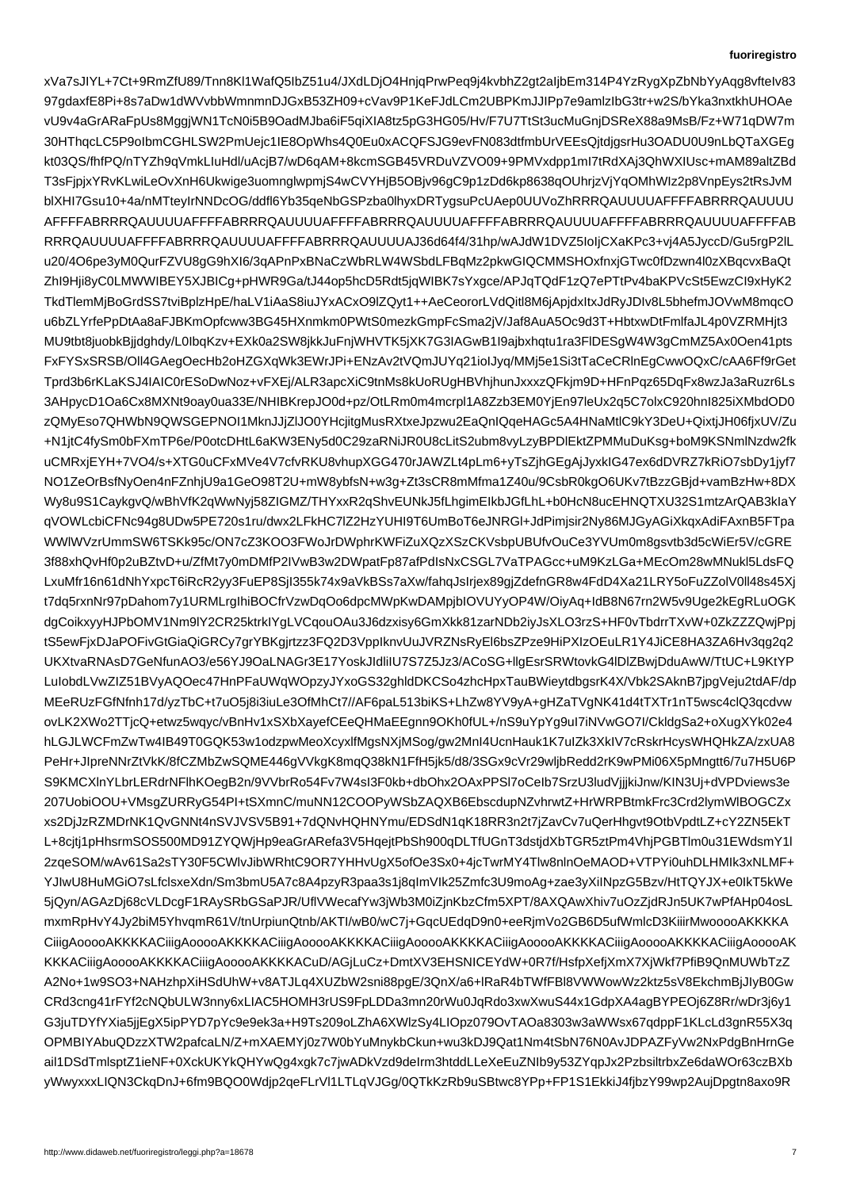xVa7sJIYL+7Ct+9RmZfU89/Tnn8Kl1WafQ5lbZ51u4/JXdLDjO4HnjqPrwPeq9j4kvbhZ2gt2aljbEm314P4YzRygXpZbNbYyAqg8vftelv83 97gdaxfE8Pi+8s7aDw1dWVvbbWmnmnDJGxB53ZH09+cVav9P1KeFJdLCm2UBPKmJJIPp7e9amlzlbG3tr+w2S/bYka3nxtkhUHOAe vU9v4aGrARaFpUs8MgqjWN1TcN0i5B9OadMJba6iF5qiXIA8tz5pG3HG05/Hv/F7U7TtSt3ucMuGnjDSReX88a9MsB/Fz+W71qDW7m 30HThgcLC5P9olbmCGHLSW2PmUeic1IE8OpWhs4Q0Eu0xACQFSJG9evFN083dtfmbUrVEEsQitdigsrHu3OADU0U9nLbQTaXGEg kt03QS/fhfPQ/nTYZh9qVmkLluHdl/uAcjB7/wD6qAM+8kcmSGB45VRDuVZVO09+9PMVxdpp1ml7tRdXAj3QhWXIUsc+mAM89altZBd T3sFjpjxYRvKLwiLeOvXnH6Ukwige3uomnglwpmjS4wCVYHjB5OBjv96gC9p1zDd6kp8638qOUhrjzVjYqOMhWIz2p8VnpEys2tRsJvM blXHI7Gsu10+4a/nMTteyIrNNDcOG/ddfl6Yb35qeNbGSPzba0lhyxDRTygsuPcUAep0UUVoZhRRRQAUUUUAFFFFABRRRQAUUUU AFFFFABRRRQAUUUUAFFFFABRRRQAUUUUAFFFFABRRRQAUUUUAFFFFABRRRQAUUUUAFFFFABRRRQAUUUUAFFFFAB RRRQAUUUUAFFFFABRRRQAUUUUAFFFFABRRRQAUUUUAJ36d64f4/31hp/wAJdW1DVZ5loljCXaKPc3+vj4A5JyccD/Gu5rgP2lL u20/4O6pe3yM0QurFZVU8gG9hXI6/3qAPnPxBNaCzWbRLW4WSbdLFBqMz2pkwGIQCMMSHOxfnxjGTwc0fDzwn4l0zXBqcvxBaQt Zhl9Hji8yC0LMWWIBEY5XJBICg+pHWR9Ga/tJ44op5hcD5Rdt5jqWIBK7sYxgce/APJqTQdF1zQ7ePTtPv4baKPVcSt5EwzCl9xHyK2 TkdTlemMjBoGrdSS7tviBplzHpE/haLV1iAaS8iuJYxACxO9lZQyt1++AeCeororLVdQitl8M6jApjdxltxJdRyJDIv8L5bhefmJOVwM8mgcO u6bZLYrfePpDtAa8aFJBKmOpfcww3BG45HXnmkm0PWtS0mezkGmpFcSma2jV/Jaf8AuA5Oc9d3T+HbtxwDtFmlfaJL4p0VZRMHit3 MU9tbt8juobkBjjdghdy/L0lbqKzv+EXk0a2SW8jkkJuFnjWHVTK5jXK7G3IAGwB1l9ajbxhqtu1ra3FIDESgW4W3gCmMZ5Ax0Oen41pts FxFYSxSRSB/Oll4GAegOecHb2oHZGXgWk3EWrJPi+ENzAv2tVQmJUYg21iolJvg/MMi5e1Si3tTaCeCRInEgCwwOQxC/cAA6Ff9rGet Tprd3b6rKLaKSJ4IAIC0rESoDwNoz+vFXEj/ALR3apcXiC9tnMs8kUoRUgHBVhjhunJxxxzQFkjm9D+HFnPqz65DqFx8wzJa3aRuzr6Ls 3AHpycD1Oa6Cx8MXNt9oay0ua33E/NHIBKrepJO0d+pz/OtLRm0m4mcrpl1A8Zzb3EM0YjEn97leUx2q5C7olxC920hnI825iXMbdOD0 zQMyEso7QHWbN9QWSGEPNOI1MknJJjZIJO0YHcjitgMusRXtxeJpzwu2EaQnIQqeHAGc5A4HNaMtIC9kY3DeU+QixtjJH06fjxUV/Zu +N1jtC4fySm0bFXmTP6e/P0otcDHtL6aKW3ENy5d0C29zaRNiJR0U8cLitS2ubm8vyLzyBPDIEktZPMMuDuKsg+boM9KSNmlNzdw2fk uCMRxiEYH+7VO4/s+XTG0uCFxMVe4V7cfvRKU8vhupXGG470rJAWZLt4pLm6+yTsZihGEqAjJyxkIG47ex6dDVRZ7kRiO7sbDy1jyf7 NO1ZeOrBsfNyOen4nFZnhjU9a1GeO98T2U+mW8ybfsN+w3g+Zt3sCR8mMfma1Z40u/9CsbR0kgO6UKv7tBzzGBjd+vamBzHw+8DX Wy8u9S1CaykgyQ/wBhVfK2qWwNyj58ZIGMZ/THYxxR2qShvEUNkJ5fLhgimElkbJGfLhL+b0HcN8ucEHNQTXU32S1mtzArQAB3klaY qVOWLcbiCFNc94q8UDw5PE720s1ru/dwx2LFkHC7IZ2HzYUHI9T6UmBoT6eJNRGI+JdPimisir2Ny86MJGyAGiXkqxAdiFAxnB5FTpa WWIWVzrUmmSW6TSKk95c/ON7cZ3KOO3FWoJrDWphrKWFiZuXQzXSzCKVsbpUBUfvOuCe3YVUm0m8gsvtb3d5cWiEr5V/cGRE 3f88xhQvHf0p2uBZtvD+u/ZfMt7y0mDMfP2IVwB3w2DWpatFp87afPdlsNxCSGL7VaTPAGcc+uM9KzLGa+MEcOm28wMNukl5LdsFQ LxuMfr16n61dNhYxpcT6iRcR2yy3FuEP8Sjl355k74x9aVkBSs7aXw/fahqJsIrjex89gjZdefnGR8w4FdD4Xa21LRY5oFuZZolV0ll48s45Xj t7dq5rxnNr97pDahom7y1URMLrglhiBOCfrVzwDqOo6dpcMWpKwDAMpjbIOVUYyOP4W/OiyAq+IdB8N67rn2W5v9Uge2kEgRLuOGK dqCoikxvvHJPbOMV1Nm9lY2CR25ktrklYqLVCqouOAu3J6dzxisy6GmXkk81zarNDb2iyJsXLO3rzS+HF0vTbdrrTXvW+0ZkZZZQwjPpj tS5ewFixDJaPOFivGtGiaQiGRCy7grYBKgjrtzz3FQ2D3VppIknvUuJVRZNsRyEl6bsZPze9HiPXIzOEuLR1Y4JiCE8HA3ZA6Hv3gg2g2 UKXtvaRNAsD7GeNfunAO3/e56YJ9OaLNAGr3E17YoskJIdliIU7S7Z5Jz3/ACoSG+IlgEsrSRWtovkG4IDIZBwjDduAwW/TtUC+L9KtYP LulobdLVwZlZ51BVyAQOec47HnPFaUWqWOpzyJYxoGS32qhldDKCSo4zhcHpxTauBWieytdbqsrK4X/Vbk2SAknB7jpqVeju2tdAF/dp MEeRUzFGfNfnh17d/yzTbC+t7uO5j8i3iuLe3OfMhCt7//AF6paL513biKS+LhZw8YV9yA+qHZaTVqNK41d4tTXTr1nT5wsc4clQ3qcdvw ovLK2XWo2TTjcQ+etwz5wqyc/vBnHv1xSXbXayefCEeQHMaEEqnn9OKh0fUL+/nS9uYpYq9ul7iNVwGO7I/CkldqSa2+oXuqXYk02e4 hLGJLWCFmZwTw4IB49T0GQK53w1odzpwMeoXcyxlfMgsNXjMSog/gw2MnI4UcnHauk1K7uIZk3XkIV7cRskrHcysWHQHkZA/zxUA8 PeHr+JIpreNNrZtVkK/8fCZMbZwSQME446gVVkgK8mgQ38kN1FfH5jk5/d8/3SGx9cVr29wljbRedd2rK9wPMi06X5pMngtt6/7u7H5U6P S9KMCXInYLbrLERdrNFlhKOegB2n/9VVbrRo54Fv7W4sI3F0kb+dbOhx2OAxPPSI7oCeIb7SrzU3ludVjjjkiJnw/KIN3Uj+dVPDviews3e 207UobiOOU+VMsgZURRyG54PI+tSXmnC/muNN12COOPyWSbZAQXB6EbscdupNZvhrwtZ+HrWRPBtmkFrc3Crd2lymWlBOGCZx xs2DjJzRZMDrNK1QvGNNt4nSVJVSV5B91+7dQNvHQHNYmu/EDSdN1qK18RR3n2t7jZavCv7uQerHhgvt9OtbVpdtLZ+cY2ZN5EkT L+8citi1pHhsrmSOS500MD91ZYQWiHp9eaGrARefa3V5HqeitPbSh900qDLTfUGnT3dstidXbTGR5ztPm4VhiPGBTlm0u31EWdsmY1l 2zqeSOM/wAv61Sa2sTY30F5CWlvJibWRhtC9OR7YHHvUgX5ofOe3Sx0+4jcTwrMY4Tlw8nlnOeMAOD+VTPYi0uhDLHMIk3xNLMF+ YJIwU8HuMGiO7sLfclsxeXdn/Sm3bmU5A7c8A4pzyR3paa3s1j8qlmVlk25Zmfc3U9moAq+zae3yXilNpzG5Bzv/HtTQYJX+e0lkT5kWe 5jQyn/AGAzDj68cVLDcqF1RAySRbGSaPJR/UflVWecafYw3jWb3M0iZjnKbzCfm5XPT/8AXQAwXhiv7uOzZjdRJn5UK7wPfAHp04osL mxmRpHvY4Jy2biM5YhvqmR61V/tnUrpiunQtnb/AKTI/wB0/wC7j+GqcUEdqD9n0+eeRjmVo2GB6D5ufWmlcD3KiiirMwooooAKKKKA CiiigAooooAKKKKACiiigAooooAKKKKACiiigAooooAKKKKACiiigAooooAKKKKACiiigAooooAKKKKACiiigAooooAKKKKACiiigAooooAK KKKACiiigAooooAKKKKACiiigAooooAKKKKACuD/AGjLuCz+DmtXV3EHSNICEYdW+0R7f/HsfpXefjXmX7XjWkf7PfiB9QnMUWbTzZ A2No+1w9SO3+NAHzhpXiHSdUhW+v8ATJLq4XUZbW2sni88pgE/3QnX/a6+lRaR4bTWfFBl8VWWowWz2ktz5sV8EkchmBjJlyB0Gw CRd3cng41rFYf2cNQbULW3nny6xLIAC5HOMH3rUS9FpLDDa3mn20rWu0JqRdo3xwXwuS44x1GdpXA4agBYPEOj6Z8Rr/wDr3j6y1 G3juTDYfYXia5jjEgX5ipPYD7pYc9e9ek3a+H9Ts209oLZhA6XWlzSy4LIOpz079OvTAOa8303w3aWWsx67qdppF1KLcLd3gnR55X3q OPMBIYAbuQDzzXTW2pafcaLN/Z+mXAEMYj0z7W0bYuMnykbCkun+wu3kDJ9Qat1Nm4tSbN76N0AvJDPAZFyVw2NxPdgBnHrnGe ail1DSdTmlsptZ1ieNF+0XckUKYkQHYwQg4xgk7c7jwADkVzd9deIrm3htddLLeXeEuZNlb9y53ZYqpJx2PzbsiltrbxZe6daWOr63czBXb yWwyxxxLIQN3CkqDnJ+6fm9BQO0Wdjp2qeFLrVI1LTLqVJGg/0QTkKzRb9uSBtwc8YPp+FP1S1EkkiJ4fjbzY99wp2AujDpgtn8axo9R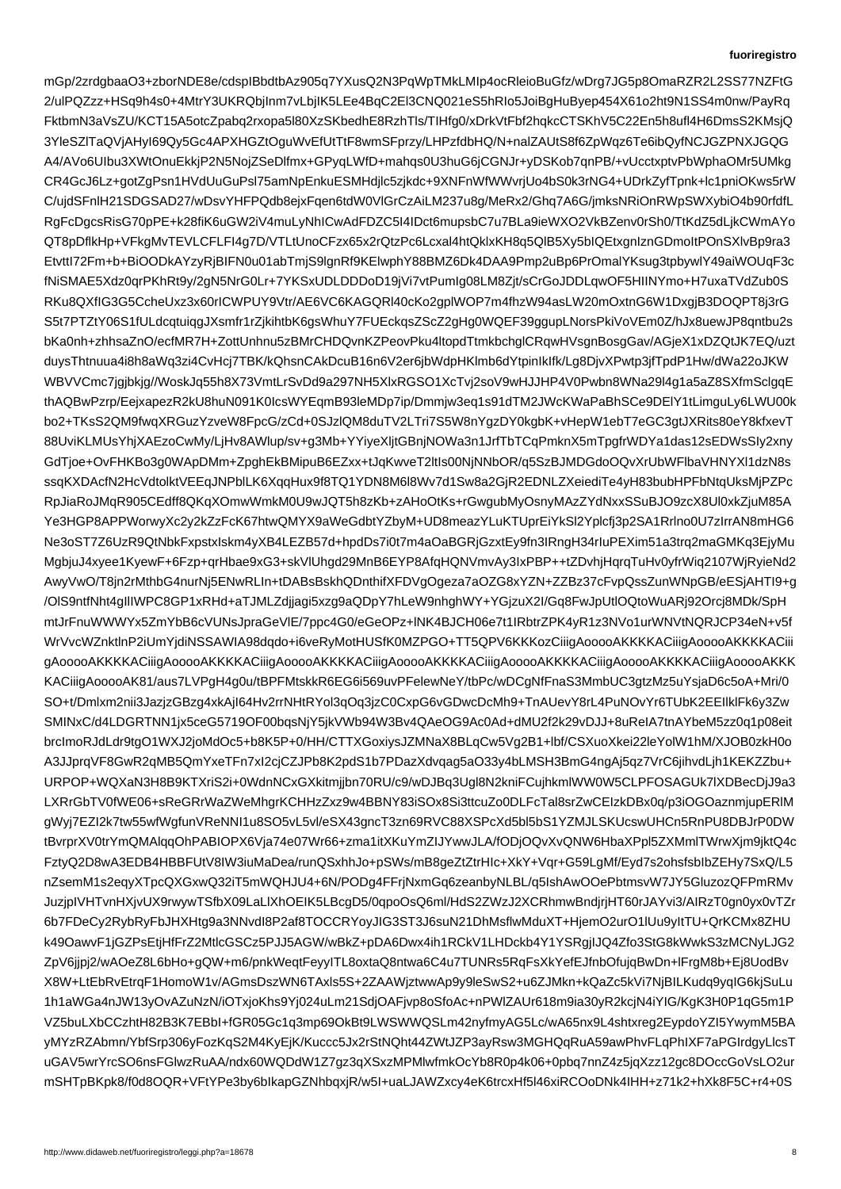mGp/2zrdgbaaO3+zborNDE8e/cdspIBbdtbAz905q7YXusQ2N3PqWpTMkLMIp4ocRleioBuGfz/wDrg7JG5p8OmaRZR2L2SS77NZFtG 2/ulPQZzz+HSq9h4s0+4MtrY3UKRQbjInm7vLbjIK5LEe4BqC2El3CNQ021eS5hRIo5JoiBgHuByep454X61o2ht9N1SS4m0nw/PayRq FktbmN3aVsZU/KCT15A5otcZpabq2rxopa5l80XzSKbedhE8RzhTls/TlHfq0/xDrkVtFbf2hqkcCTSKhV5C22En5h8ufl4H6DmsS2KMsjQ 3YleSZITaQViAHyI69Qy5Gc4APXHGZtOquWvEfUtTtF8wmSFprzy/LHPzfdbHQ/N+nalZAUtS8f6ZpWqz6Te6ibQyfNCJGZPNXJGQG A4/AVo6UIbu3XWtOnuEkkjP2N5NojZSeDIfmx+GPyqLWfD+mahqs0U3huG6jCGNJr+yDSKob7qnPB/+vUcctxptvPbWphaOMr5UMkg CR4GcJ6Lz+gotZgPsn1HVdUuGuPsl75amNpEnkuESMHdjlc5zjkdc+9XNFnWfWWvrjUo4bS0k3rNG4+UDrkZyfTpnk+lc1pniOKws5rW C/ujdSFnIH21SDGSAD27/wDsvYHFPQdb8ejxFqen6tdW0VlGrCzAiLM237u8g/MeRx2/Ghq7A6G/jmksNRiOnRWpSWXybiO4b90rfdfL RgFcDgcsRisG70pPE+k28fiK6uGW2iV4muLyNhlCwAdFDZC5I4IDct6mupsbC7u7BLa9ieWXO2VkBZenv0rSh0/TtKdZ5dLikCWmAYo QT8pDflkHp+VFkgMvTEVLCFLFI4g7D/VTLtUnoCFzx65x2rQtzPc6Lcxal4htQklxKH8q5QlB5Xy5bIQEtxgnIznGDmoItPOnSXlvBp9ra3 Etvttl72Fm+b+BiOODkAYzyRjBlFN0u01abTmjS9lgnRf9KElwphY88BMZ6Dk4DAA9Pmp2uBp6PrOmalYKsug3tpbywlY49aiWOUqF3c fNiSMAE5Xdz0qrPKhRt9y/2gN5NrG0Lr+7YKSxUDLDDDoD19jVi7vtPumIg08LM8Zjt/sCrGoJDDLqwOF5HIINYmo+H7uxaTVdZub0S RKu8QXfIG3G5CcheUxz3x60rICWPUY9Vtr/AE6VC6KAGQRI40cKo2qplWOP7m4fhzW94asLW20mOxtnG6W1DxqjB3DOQPT8j3rG S5t7PTZtY06S1fULdcqtuiqqJXsmfr1rZjkihtbK6qsWhuY7FUEckqsZScZ2qHq0WQEF39qqupLNorsPkiVoVEm0Z/hJx8uewJP8qntbu2s bKa0nh+zhhsaZnO/ecfMR7H+ZottUnhnu5zBMrCHDQvnKZPeovPku4ltopdTtmkbchglCRqwHVsgnBosgGav/AGjeX1xDZQtJK7EQ/uzt duvsThtnuua4i8h8aWq3zi4CvHci7TBK/kQhsnCAkDcuB16n6V2er6ibWdpHKlmb6dYtpinlklfk/Lq8DivXPwtp3ifTpdP1Hw/dWa22oJKW WBVVCmc7jgjbkjg//WoskJq55h8X73VmtLrSvDd9a297NH5XIxRGSO1XcTvj2soV9wHJJHP4V0Pwbn8WNa29l4g1a5aZ8SXfmSclgqE thAQBwPzrp/EejxapezR2kU8huN091K0lcsWYEqmB93leMDp7ip/Dmmjw3eq1s91dTM2JWcKWaPaBhSCe9DElY1tLimguLy6LWU00k bo2+TKsS2QM9fwqXRGuzYzveW8FpcG/zCd+0SJzIQM8duTV2LTri7S5W8nYgzDY0kgbK+vHepW1ebT7eGC3gtJXRits80eY8kfxevT 88UviKLMUsYhjXAEzoCwMy/LjHv8AWlup/sv+g3Mb+YYiyeXljtGBnjNOWa3n1JrfTbTCqPmknX5mTpgfrWDYa1das12sEDWsSly2xny GdTjoe+OvFHKBo3q0WApDMm+ZpqhEkBMipuB6EZxx+tJqKwveT2ltIs00NjNNbOR/q5SzBJMDGdoOQvXrUbWFlbaVHNYXI1dzN8s ssqKXDAcfN2HcVdtolktVEEqJNPblLK6XqqHux9f8TQ1YDN8M6l8Wv7d1Sw8a2GjR2EDNLZXeiediTe4yH83bubHPFbNtqUksMjPZPc RpJiaRoJMqR905CEdff8QKqXOmwWmkM0U9wJQT5h8zKb+zAHoOtKs+rGwqubMyOsnyMAzZYdNxxSSuBJO9zcX8Ul0xkZjuM85A Ye3HGP8APPWorwyXc2y2kZzFcK67htwQMYX9aWeGdbtYZbyM+UD8meazYLuKTUprEiYkSl2Yplcfi3p2SA1Rrlno0U7zIrrAN8mHG6 Ne3oST7Z6UzR9QtNbkFxpstxlskm4yXB4LEZB57d+hpdDs7i0t7m4aOaBGRjGzxtEy9fn3lRngH34rluPEXim51a3trq2maGMKq3EjyMu MgbjuJ4xyee1KyewF+6Fzp+qrHbae9xG3+skVlUhgd29MnB6EYP8AfqHQNVmvAy3lxPBP++tZDvhjHqrqTuHv0yfrWiq2107WjRyieNd2 AwyVwO/T8jn2rMthbG4nurNj5ENwRLIn+tDABsBskhQDnthifXFDVgOgeza7aOZG8xYZN+ZZBz37cFvpQssZunWNpGB/eESjAHTI9+g /OIS9ntfNht4gIIIWPC8GP1xRHd+aTJMLZdjjagi5xzq9aQDpY7hLeW9nhghWY+YGjzuX2I/Gq8FwJpUtlOQtoWuARj92Orcj8MDk/SpH mtJrFnuWWWYx5ZmYbB6cVUNsJpraGeVIE/7ppc4G0/eGeOPz+INK4BJCH06e7t1IRbtrZPK4yR1z3NVo1urWNVtNQRJCP34eN+v5f WrVvcWZnktlnP2iUmYjdiNSSAWIA98dqdo+i6veRyMotHUSfK0MZPGO+TT5QPV6KKKozCiiiqAooooAKKKKACiiiqAooooAKKKKACiii gAooooAKKKKACiiigAooooAKKKKACiiigAooooAKKKKACiiigAooooAKKKKACiiigAooooAKKKKACiiigAooooAKKKKACiiigAooooAKKK KACiiigAooooAK81/aus7LVPgH4g0u/tBPFMtskkR6EG6i569uvPFelewNeY/tbPc/wDCgNfFnaS3MmbUC3gtzMz5uYsjaD6c5oA+Mri/0 SO+t/Dmlxm2nii3JazjzGBzq4xkAjI64Hv2rrNHtRYol3qOq3jzC0CxpG6vGDwcDcMh9+TnAUevY8rL4PuNOvYr6TUbK2EEIIkIFk6y3Zw SMINxC/d4LDGRTNN1jx5ceG5719OF00bqsNjY5jkVWb94W3Bv4QAeOG9Ac0Ad+dMU2f2k29vDJJ+8uReIA7tnAYbeM5zz0q1p08eit brcImoRJdLdr9tgO1WXJ2joMdOc5+b8K5P+0/HH/CTTXGoxiysJZMNaX8BLqCw5Vg2B1+lbf/CSXuoXkei22leYolW1hM/XJOB0zkH0o A3JJprqVF8GwR2qMB5QmYxeTFn7xl2cjCZJPb8K2pdS1b7PDazXdvqaq5aO33y4bLMSH3BmG4ngAj5qz7VrC6jihvdLjh1KEKZZbu+ URPOP+WQXaN3H8B9KTXriS2i+0WdnNCxGXkitmjjbn70RU/c9/wDJBq3Uql8N2kniFCujhkmlWW0W5CLPFOSAGUk7lXDBecDjJ9a3 LXRrGbTV0fWE06+sReGRrWaZWeMhgrKCHHzZxz9w4BBNY83iSOx8Si3ttcuZo0DLFcTal8srZwCEIzkDBx0q/p3iOGOaznmjupERIM gWyj7EZI2k7tw55wfWgfunVReNNI1u8SO5vL5vl/eSX43gncT3zn69RVC88XSPcXd5bl5bS1YZMJLSKUcswUHCn5RnPU8DBJrP0DW tBvrprXV0trYmQMAlqqOhPABIOPX6Vja74e07Wr66+zma1itXKuYmZlJYwwJLA/fODjOQvXvQNW6HbaXPpl5ZXMmlTWrwXjm9jktQ4c FztyQ2D8wA3EDB4HBBFUtV8IW3iuMaDea/runQSxhhJo+pSWs/mB8geZtZtrHlc+XkY+Vqr+G59LgMf/Eyd7s2ohsfsblbZEHy7SxQ/L5 nZsemM1s2eqyXTpcQXGxwQ32iT5mWQHJU4+6N/PODq4FFriNxmGq6zeanbyNLBL/q5lshAwOOePbtmsvW7JY5GluzozQFPmRMv JuzipIVHTvnHXjvUX9rwywTSfbX09LaLIXhOEIK5LBcqD5/0qpoOsQ6ml/HdS2ZWzJ2XCRhmwBndjrjHT60rJAYvi3/AIRzT0qn0yx0vTZr 6b7FDeCy2RybRyFbJHXHtq9a3NNvdl8P2af8TOCCRYoyJIG3ST3J6suN21DhMsflwMduXT+HjemO2urO1IUu9yItTU+QrKCMx8ZHU k49OawvF1jGZPsEtjHfFrZ2MtlcGSCz5PJJ5AGW/wBkZ+pDA6Dwx4ih1RCkV1LHDckb4Y1YSRgjIJQ4Zfo3StG8kWwkS3zMCNyLJG2 ZpV6jjpj2/wAOeZ8L6bHo+gQW+m6/pnkWeqtFeyyITL8oxtaQ8ntwa6C4u7TUNRs5RqFsXkYefEJfnbOfujqBwDn+lFrgM8b+Ej8UodBv X8W+LtEbRvEtrqF1HomoW1v/AGmsDszWN6TAxls5S+2ZAAWjztwwAp9y9leSwS2+u6ZJMkn+kQaZc5kVi7NjBILKudq9yqlG6kjSuLu 1h1aWGa4nJW13yOvAZuNzN/iOTxjoKhs9Yj024uLm21SdjOAFjvp8oSfoAc+nPWlZAUr618m9ia30yR2kcjN4iYIG/KgK3H0P1qG5m1P VZ5buLXbCCzhtH82B3K7EBbl+fGR05Gc1q3mp69OkBt9LWSWWQSLm42nyfmyAG5Lc/wA65nx9L4shtxreg2EypdoYZl5YwymM5BA yMYzRZAbmn/YbfSrp306yFozKqS2M4KyEjK/Kuccc5Jx2rStNQht44ZWtJZP3ayRsw3MGHQqRuA59awPhvFLqPhIXF7aPGIrdqyLlcsT uGAV5wrYrcSO6nsFGlwzRuAA/ndx60WQDdW1Z7gz3qXSxzMPMlwfmkOcYb8R0p4k06+0pbq7nnZ4z5jqXzz12gc8DOccGoVsLO2ur mSHTpBKpk8/f0d8OQR+VFtYPe3by6blkapGZNhbqxjR/w5l+uaLJAWZxcy4eK6trcxHf5l46xiRCOoDNk4lHH+z71k2+hXk8F5C+r4+0S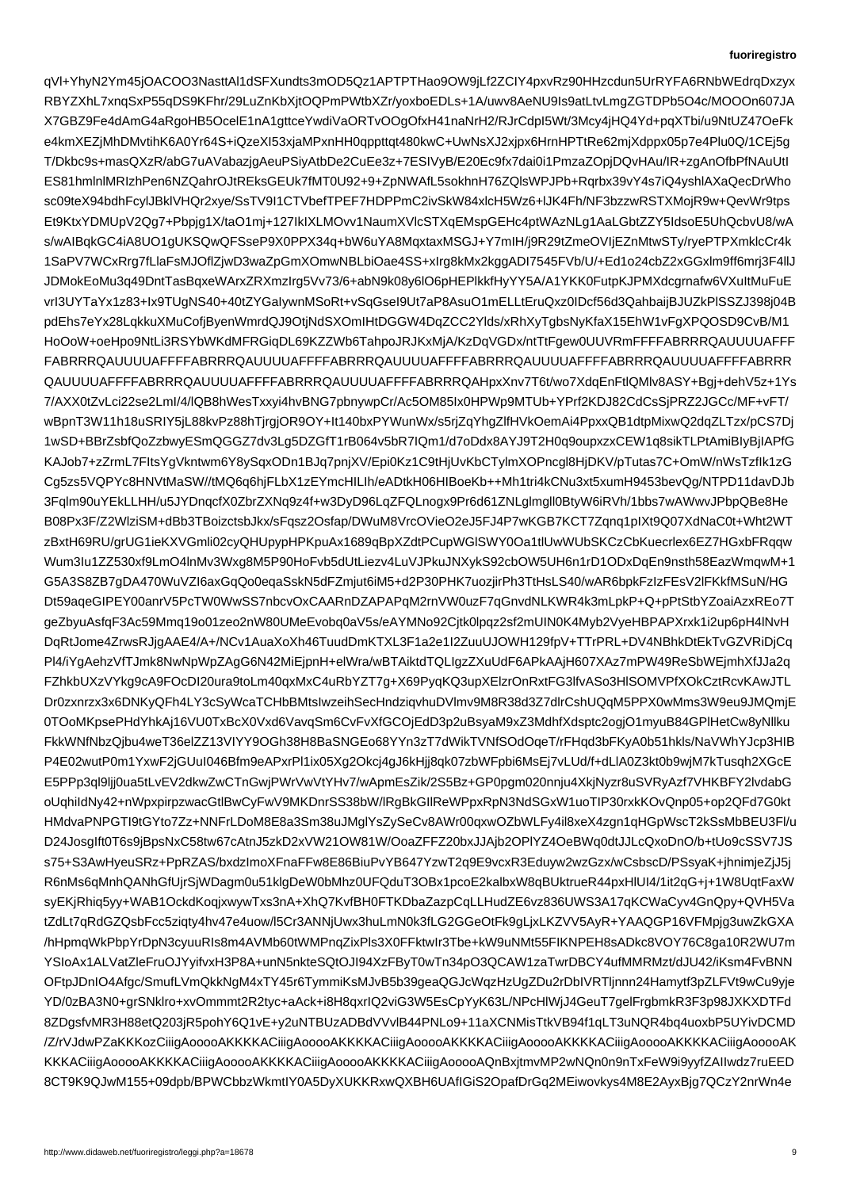qVI+YhyN2Ym45jOACOO3NasttAl1dSFXundts3mOD5Qz1APTPTHao9OW9jLf2ZClY4pxvRz90HHzcdun5UrRYFA6RNbWEdrqDxzyx RBYZXhL7xnqSxP55qDS9KFhr/29LuZnKbXjtOQPmPWtbXZr/yoxboEDLs+1A/uwv8AeNU9Is9atLtvLmgZGTDPb5O4c/MOOOn607JA X7GBZ9Fe4dAmG4aRqoHB5OcelE1nA1qttceYwdiVaORTvOOqOfxH41naNrH2/RJrCdpI5Wt/3Mcy4jHQ4Yd+pqXTbi/u9NtUZ47OeFk e4kmXEZjMhDMvtihK6A0Yr64S+iQzeXI53xjaMPxnHH0qppttqt480kwC+UwNsXJ2xjpx6HrnHPTtRe62mjXdppx05p7e4Plu0Q/1CEj5q T/Dkbc9s+masQXzR/abG7uAVabazjgAeuPSiyAtbDe2CuEe3z+7ESIVyB/E20Ec9fx7dai0i1PmzaZOpjDQvHAu/lR+zgAnOfbPfNAuUtl ES81hmlnlMRIzhPen6NZQahrOJtREksGEUk7fMT0U92+9+ZpNWAfL5sokhnH76ZQlsWPJPb+Rqrbx39vY4s7iQ4yshlAXaQecDrWho sc09teX94bdhFcvlJBklVHQr2xve/SsTV9I1CTVbefTPEF7HDPPmC2ivSkW84xlcH5Wz6+IJK4Fh/NF3bzzwRSTXMoiR9w+QevWr9tps Et9KtxYDMUpV2Qg7+Pbpjg1X/taO1mj+127lklXLMOvv1NaumXVlcSTXqEMspGEHc4ptWAzNLg1AaLGbtZZY5IdsoE5UhQcbvU8/wA s/wAIBqkGC4iA8UO1gUKSQwQFSseP9X0PPX34q+bW6uYA8MqxtaxMSGJ+Y7mlH/j9R29tZmeOVIjEZnMtwSTy/ryePTPXmklcCr4k 1SaPV7WCxRrg7fLlaFsMJOflZjwD3waZpGmXOmwNBLbiOae4SS+xIrg8kMx2kggADI7545FVb/U/+Ed1o24cbZ2xGGxlm9ff6mrj3F4llJ JDMokEoMu3q49DntTasBqxeWArxZRXmzIrg5Vv73/6+abN9k08y6lO6pHEPlkkfHyYY5A/A1YKK0FutpKJPMXdcgrnafw6VXultMuFuE vrl3UYTaYx1z83+lx9TUqNS40+40tZYGalywnMSoRt+vSqGsel9Ut7aP8AsuO1mELLtEruQxz0IDcf56d3QahbaijBJUZkPlSSZJ398j04B pdEhs7eYx28LgkkuXMuCofjByenWmrdQJ9OtjNdSXOmIHtDGGW4DqZCC2Ylds/xRhXyTgbsNyKfaX15EhW1vFqXPQOSD9CvB/M1 HoOoW+oeHpo9NtLi3RSYbWKdMFRGiqDL69KZZWb6TahpoJRJKxMjA/KzDqVGDx/ntTtFgew0UUVRmFFFFABRRRQAUUUUAFFF FABRRRQAUUUUAFFFFABRRRQAUUUUAFFFFABRRRQAUUUUAFFFFABRRRQAUUUUAFFFFABRRRQAUUUUAFFFFABRRR QAUUUUAFFFFABRRRQAUUUUAFFFFABRRRQAUUUUAFFFFABRRRQAHpxXnv7T6t/wo7XdqEnFtlQMlv8ASY+Bqj+dehV5z+1Ys 7/AXX0tZvLci22se2Lml/4/lQB8hWesTxxyi4hvBNG7pbnywpCr/Ac5OM85Ix0HPWp9MTUb+YPrf2KDJ82CdCsSjPRZ2JGCc/MF+vFT/ wBpnT3W11h18uSRIY5jL88kvPz88hTjrgjOR9OY+It140bxPYWunWx/s5rjZqYhgZlfHVkOemAi4PpxxQB1dtpMixwQ2dqZLTzx/pCS7Dj 1wSD+BBrZsbfQoZzbwyESmQGGZ7dv3Lg5DZGfT1rB064v5bR7lQm1/d7oDdx8AYJ9T2H0q9oupxzxCEW1q8sikTLPtAmiBlyBjIAPfG KAJob7+zZrmL7FltsYqVkntwm6Y8ySqxODn1BJq7pnjXV/Epi0Kz1C9tHjUvKbCTylmXOPncql8HjDKV/pTutas7C+OmW/nWsTzflk1zG Cg5zs5VQPYc8HNVtMaSW//tMQ6q6hjFLbX1zEYmcHILIh/eADtkH06HIBoeKb++Mh1tri4kCNu3xt5xumH9453bevQg/NTPD11davDJb 3Fglm90uYEkLLHH/u5JYDngcfX0ZbrZXNg9z4f+w3DyD96LgZFQLnogx9Pr6d61ZNLglmgll0BtyW6iRVh/1bbs7wAWwvJPbpQBe8He B08Px3F/Z2WlziSM+dBb3TBoizctsbJkx/sFqsz2Osfap/DWuM8VrcOVieO2eJ5FJ4P7wKGB7KCT7Zqnq1pIXt9Q07XdNaC0t+Wht2WT zBxtH69RU/grUG1ieKXVGmli02cyQHUpypHPKpuAx1689qBpXZdtPCupWGISWY0Oa1tIUwWUbSKCzCbKuecrlex6EZ7HGxbFRqqw Wum3lu1ZZ530xf9LmO4lnMv3Wxq8M5P90HoFvb5dUtLiezv4LuVJPkuJNXykS92cbOW5UH6n1rD1ODxDqEn9nsth58EazWmqwM+1 G5A3S8ZB7aDA470WuVZI6axGaQo0eaaSskN5dFZmiut6iM5+d2P30PHK7uoziirPh3TtHsLS40/wAR6bpkFzIzFEsV2IFKkfMSuN/HG Dt59ageGIPEY00anrV5PcTW0WwSS7nbcvOxCAARnDZAPAPgM2rnVW0uzF7gGnvdNLKWR4k3mLpkP+Q+pPtStbYZoajAzxREo7T geZbyuAsfqF3Ac59Mmq19o01zeo2nW80UMeEvobq0aV5s/eAYMNo92Cjtk0lpqz2sf2mUIN0K4Myb2VyeHBPAPXrxk1i2up6pH4lNvH DqRtJome4ZrwsRJjqAAE4/A+/NCv1AuaXoXh46TuudDmKTXL3F1a2e1l2ZuuUJOWH129fpV+TTrPRL+DV4NBhkDtEkTvGZVRiDjCq Pl4/iYgAehzVfTJmk8NwNpWpZAgG6N42MiEjpnH+elWra/wBTAiktdTQLIgzZXuUdF6APkAAjH607XAz7mPW49ReSbWEjmhXfJJa2q FZhkbUXzVYkq9cA9FOcDI20ura9toLm40qxMxC4uRbYZT7q+X69PyqKQ3upXElzrOnRxtFG3lfvASo3HISOMVPfXOkCztRcvKAwJTL Dr0zxnrzx3x6DNKyQFh4LY3cSyWcaTCHbBMtsIwzeihSecHndzigvhuDVlmv9M8R38d3Z7dlrCshUQgM5PPX0wMms3W9eu9JMQmjE 0TOoMKpsePHdYhkAj16VU0TxBcX0Vxd6VavqSm6CvFvXfGCOjEdD3p2uBsyaM9xZ3MdhfXdsptc2oqjO1myuB84GPlHetCw8yNllku FkkWNfNbzQibu4weT36elZZ13VIYY9OGh38H8BaSNGEo68YYn3zT7dWikTVNfSOdOgeT/rFHqd3bFKvA0b51hkls/NaVWhYJcp3HIB P4E02wutP0m1YxwF2jGUuI046Bfm9eAPxrPl1ix05Xg2Okcj4gJ6kHjj8qk07zbWFpbi6MsEj7vLUd/f+dLIA0Z3kt0b9wjM7kTusqh2XGcE E5PPp3ql9ljj0ua5tLvEV2dkwZwCTnGwjPWrVwVtYHv7/wApmEsZik/2S5Bz+GP0pgm020nnju4XkjNyzr8uSVRyAzf7VHKBFY2lvdabG oUqhildNy42+nWpxpirpzwacGtlBwCyFwV9MKDnrSS38bW/lRgBkGIIReWPpxRpN3NdSGxW1uoTIP30rxkKOvQnp05+op2QFd7G0kt HMdvaPNPGTI9tGYto7Zz+NNFrLDoM8E8a3Sm38uJMglYsZySeCv8AWr00qxwOZbWLFy4il8xeX4zgn1qHGpWscT2kSsMbBEU3Fl/u D24Josglft0T6s9jBpsNxC58tw67cAtnJ5zkD2xVW21OW81W/OoaZFFZ20bxJJAjb2OPIYZ4OeBWq0dtJJLcQxoDnO/b+tUo9cSSV7JS s75+S3AwHyeuSRz+PpRZAS/bxdzImoXFnaFFw8E86BiuPvYB647YzwT2q9E9vcxR3Eduyw2wzGzx/wCsbscD/PSsyaK+jhnimjeZjJ5j R6nMs6qMnhQANhGfUjrSjWDaqm0u51klqDeW0bMhz0UFQduT3OBx1pcoE2kalbxW8qBUktrueR44pxHlUl4/1it2qG+j+1W8UqtFaxW syEKjRhig5yy+WAB1OckdKogjxwywTxs3nA+XhQ7KvfBH0FTKDbaZazpCgLLHudZE6vz836UWS3A17gKCWaCyv4GnQpy+QVH5Va tZdLt7qRdGZQsbFcc5ziqty4hv47e4uow/l5Cr3ANNjUwx3huLmN0k3fLG2GGeOtFk9qLjxLKZVV5AyR+YAAQGP16VFMpjq3uwZkGXA /hHpmqWkPbpYrDpN3cyuuRIs8m4AVMb60tWMPnqZixPls3X0FFktwIr3Tbe+kW9uNMt55FIKNPEH8sADkc8VOY76C8ga10R2WU7m YSloAx1ALVatZleFruOJYyifvxH3P8A+unN5nkteSQtOJI94XzFByT0wTn34pO3QCAW1zaTwrDBCY4ufMMRMzt/dJU42/iKsm4FvBNN OFtpJDnIO4Afgc/SmufLVmQkkNgM4xTY45r6TymmiKsMJvB5b39geaQGJcWqzHzUgZDu2rDbIVRTIjnnn24Hamytf3pZLFVt9wCu9yje YD/0zBA3N0+grSNklro+xvOmmmt2R2tyc+aAck+i8H8qxrIQ2viG3W5EsCpYyK63L/NPcHlWjJ4GeuT7gelFrgbmkR3F3p98JXKXDTFd 8ZDgsfvMR3H88etQ203jR5pohY6Q1vE+y2uNTBUzADBdVVvIB44PNLo9+11aXCNMisTtkVB94f1qLT3uNQR4bq4uoxbP5UYivDCMD /Z/rVJdwPZaKKKozCiiigAooooAKKKKACiiigAooooAKKKKACiiigAooooAKKKKACiiigAooooAKKKKACiiigAooooAKKKKACiiigAooooAK KKKACiiigAooooAKKKKACiiigAooooAKKKKACiiigAooooAKKKKACiiigAooooAQnBxjtmvMP2wNQn0n9nTxFeW9i9yyfZAllwdz7ruEED 8CT9K9QJwM155+09dpb/BPWCbbzWkmtlY0A5DyXUKKRxwQXBH6UAfIGiS2OpafDrGq2MEiwovkys4M8E2AyxBjg7QCzY2nrWn4e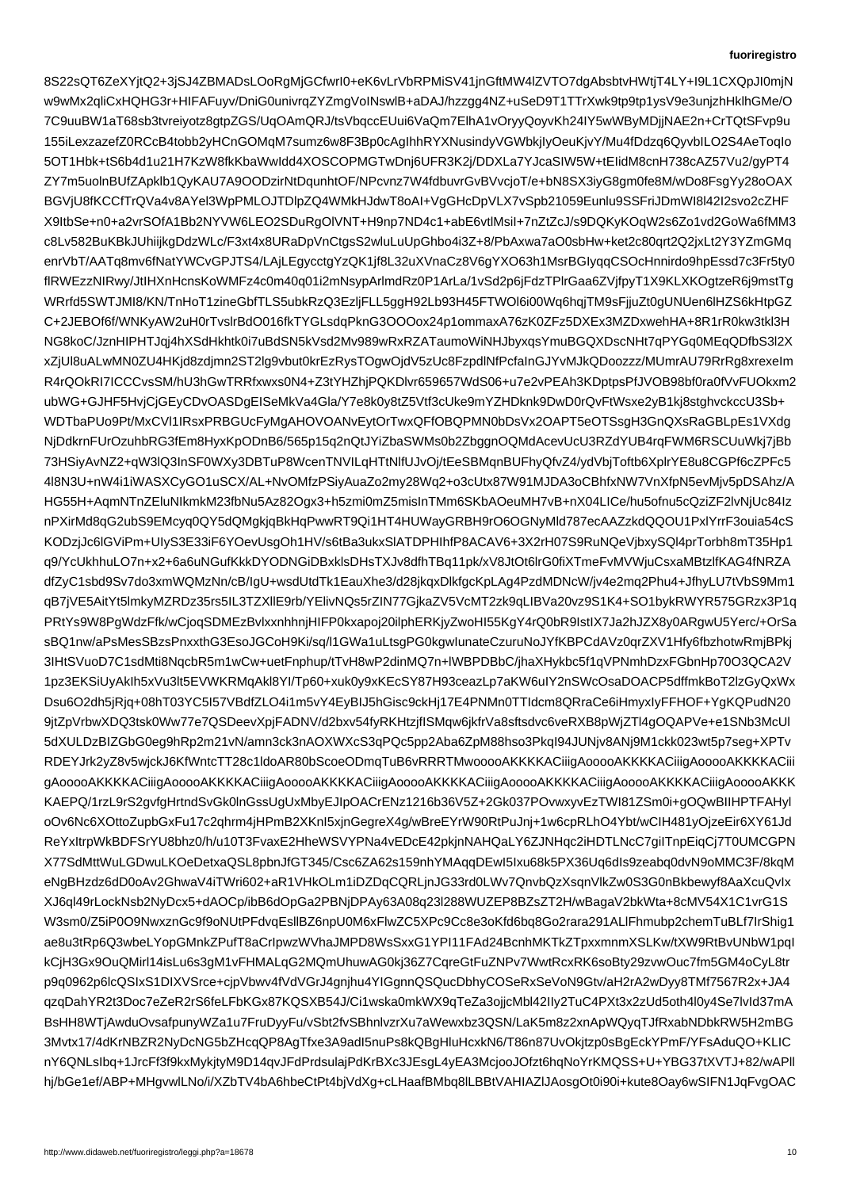8S22sQT6ZeXYjtQ2+3jSJ4ZBMADsLOoRgMjGCfwrl0+eK6vLrVbRPMiSV41jnGftMW4lZVTO7dgAbsbtvHWtjT4LY+I9L1CXQpJl0mjN w9wMx2qliCxHQHG3r+HIFAFuyv/DniG0univrqZYZmgVolNswlB+aDAJ/hzzgg4NZ+uSeD9T1TTrXwk9tp9tp1ysV9e3unjzhHklhGMe/O 7C9uuBW1aT68sb3tvreiyotz8qtpZGS/UqOAmQRJ/tsVbqccEUui6VaQm7ElhA1vOryyQoyvKh24IY5wWByMDjiNAE2n+CrTQtSFvp9u 155iLexzazefZ0RCcB4tobb2yHCnGOMqM7sumz6w8F3Bp0cAglhhRYXNusindyVGWbkjlyOeuKjvY/Mu4fDdzq6QyvblLO2S4AeToqlo 5OT1Hbk+tS6b4d1u21H7KzW8fkKbaWwldd4XOSCOPMGTwDnj6UFR3K2j/DDXLa7YJcaSIW5W+tElidM8cnH738cAZ57Vu2/gyPT4 ZY7m5uoInBUfZApklb1QyKAU7A9OODzirNtDqunhtOF/NPcvnz7W4fdbuvrGvBVvcjoT/e+bN8SX3iyG8gm0fe8M/wDo8FsqYy28oOAX BGVjU8fKCCfTrQVa4v8AYel3WpPMLOJTDlpZQ4WMkHJdwT8oAl+VgGHcDpVLX7vSpb21059Eunlu9SSFriJDmWl8l42l2svo2cZHF X9ltbSe+n0+a2vrSOfA1Bb2NYVW6LEO2SDuRgOlVNT+H9np7ND4c1+abE6vtlMsil+7nZtZcJ/s9DQKyKOqW2s6Zo1vd2GoWa6fMM3 c8Lv582BuKBkJUhiijkgDdzWLc/F3xt4x8URaDpVnCtgsS2wluLuUpGhbo4i3Z+8/PbAxwa7aO0sbHw+ket2c80qrt2Q2jxLt2Y3YZmGMq enrVbT/AATq8mv6fNatYWCvGPJTS4/LAjLEgycctgYzQK1jf8L32uXVnaCz8V6gYXO63h1MsrBGlyqqCSOcHnnirdo9hpEssd7c3Fr5ty0 flRWEzzNIRwy/JtIHXnHcnsKoWMFz4c0m40q01i2mNsypArImdRz0P1ArLa/1vSd2p6jFdzTPIrGaa6ZVjfpyT1X9KLXKOgtzeR6j9mstTg WRrfd5SWTJMI8/KN/TnHoT1zineGbfTLS5ubkRzQ3EzljFLL5ggH92Lb93H45FTWOl6i00Wg6hgjTM9sFjjuZt0qUNUen6lHZS6kHtpGZ C+2JEBOf6f/WNKyAW2uH0rTvslrBdO016fkTYGLsdqPknG3OOOox24p1ommaxA76zK0ZFz5DXEx3MZDxwehHA+8R1rR0kw3tkl3H NG8koC/JznHIPHTJqj4hXSdHkhtk0i7uBdSN5kVsd2Mv989wRxRZATaumoWiNHJbyxqsYmuBGQXDscNHt7qPYGq0MEqQDfbS3l2X xZjUl8uALwMN0ZU4HKjd8zdjmn2ST2lg9vbut0krEzRysTOgwOjdV5zUc8FzpdlNfPcfalnGJYvMJkQDoozzz/MUmrAU79RrRg8xrexelm R4rQOkRI7ICCCvsSM/hU3hGwTRRfxwxs0N4+Z3tYHZhjPQKDlvr659657WdS06+u7e2vPEAh3KDptpsPfJVOB98bf0ra0fVvFUOkxm2 ubWG+GJHF5HvjCjGEyCDvOASDgEISeMkVa4Gla/Y7e8k0y8tZ5Vtf3cUke9mYZHDknk9DwD0rQvFtWsxe2yB1kj8stghvckccU3Sb+ WDTbaPUo9Pt/MxCVI1IRsxPRBGUcFyMgAHOVOANvEytOrTwxQFfOBQPMN0bDsVx2OAPT5eOTSsgH3GnQXsRaGBLpEs1VXdg NjDdkrnFUrOzuhbRG3fEm8HyxKpODnB6/565p15q2nQtJYiZbaSWMs0b2ZbggnOQMdAcevUcU3RZdYUB4rqFWM6RSCUuWkj7jBb 73HSiyAvNZ2+qW3IQ3InSF0WXy3DBTuP8WcenTNVILqHTtNIfUJvOj/tEeSBMqnBUFhyQfvZ4/ydVbjToftb6XplrYE8u8CGPf6cZPFc5 4l8N3U+nW4i1iWASXCyGO1uSCX/AL+NvOMfzPSiyAuaZo2my28Wq2+o3cUtx87W91MJDA3oCBhfxNW7VnXfpN5evMjv5pDSAhz/A HG55H+AgmNTnZEluNIkmkM23fbNu5Az82Ogx3+h5zmi0mZ5misInTMm6SKbAOeuMH7vB+nX04LICe/hu5ofnu5cQziZF2lvNjUc84Iz nPXirMd8qG2ubS9EMcyq0QY5dQMqkiqBkHqPwwRT9Qi1HT4HUWayGRBH9rO6OGNyMld787ecAAZzkdQQOU1PxlYrrF3ouia54cS KODzjJc6lGViPm+UlyS3E33iF6YOevUsqOh1HV/s6tBa3ukxSlATDPHIhfP8ACAV6+3X2rH07S9RuNQeVjbxySQl4prTorbh8mT35Hp1 q9/YcUkhhuLO7n+x2+6a6uNGufKkkDYODNGiDBxklsDHsTXJv8dfhTBq11pk/xV8JtOt6lrG0fiXTmeFvMVWjuCsxaMBtzlfKAG4fNRZA dfZyC1sbd9Sv7do3xmWQMzNn/cB/lgU+wsdUtdTk1EauXhe3/d28jkqxDlkfgcKpLAg4PzdMDNcW/jv4e2mq2Phu4+JfhyLU7tVbS9Mm1 qB7jVE5AitYt5lmkyMZRDz35rs5lL3TZXllE9rb/YElivNQs5rZlN77GjkaZV5VcMT2zk9qLlBVa20vz9S1K4+SO1bykRWYR575GRzx3P1q PRtYs9W8PqWdzFfk/wCjoqSDMEzBvlxxnhhnjHIFP0kxapoj20ilphERKjyZwoHI55KgY4rQ0bR9IstIX7Ja2hJZX8y0ARgwU5Yerc/+OrSa sBQ1nw/aPsMesSBzsPnxxthG3EsoJGCoH9Ki/sq/l1GWa1uLtsgPG0kgwlunateCzuruNoJYfKBPCdAVz0qrZXV1Hfy6fbzhotwRmjBPkj 3lHtSVuoD7C1sdMti8NqcbR5m1wCw+uetFnphup/tTvH8wP2dinMQ7n+lWBPDBbC/jhaXHykbc5f1qVPNmhDzxFGbnHp70O3QCA2V 1pz3EKSiUyAkIh5xVu3lt5EVWKRMqAkl8YI/Tp60+xuk0y9xKEcSY87H93ceazLp7aKW6uIY2nSWcOsaDOACP5dffmkBoT2lzGyQxWx Dsu6O2dh5jRjq+08hT03YC5I57VBdfZLO4i1m5vY4EyBIJ5hGisc9ckHj17E4PNMn0TTIdcm8QRraCe6iHmyxlyFFHOF+YqKQPudN20 9itZpVrbwXDQ3tsk0Ww77e7QSDeevXpiFADNV/d2bxv54fyRKHtzifISMqw6jkfrVa8sftsdvc6veRXB8pWjZTI4qOQAPVe+e1SNb3McUI 5dXULDzBIZGbG0eg9hRp2m21vN/amn3ck3nAOXWXcS3gPQc5pp2Aba6ZpM88hso3Pkgl94JUNiv8ANi9M1ckk023wt5p7seg+XPTv RDEYJrk2yZ8v5wjckJ6KfWntcTT28c1ldoAR80bScoeODmqTuB6vRRRTMwooooAKKKKACiiigAooooAKKKKACiiigAooooAKKKKACiii gAooooAKKKKACiiigAooooAKKKKACiiigAooooAKKKKACiiigAooooAKKKKACiiigAooooAKKKKACiiigAooooAKKKKACiiigAooooAKKK KAEPQ/1rzL9rS2qvfgHrtndSvGk0lnGssUgUxMbyEJIpOACrENz1216b36V5Z+2Gk037POvwxyvEzTWl81ZSm0i+qOQwBIIHPTFAHyl oOv6Nc6XOttoZupbGxFu17c2qhrm4jHPmB2XKnI5xjnGegreX4g/wBreEYrW90RtPuJnj+1w6cpRLhO4Ybt/wClH481yOjzeEir6XY61Jd ReYxltrpWkBDFSrYU8bhz0/h/u10T3FvaxE2HheWSVYPNa4vEDcE42pkinNAHQaLY6ZJNHqc2iHDTLNcC7qilTnpEiqCj7T0UMCGPN X77SdMttWuLGDwuLKOeDetxaQSL8pbnJfGT345/Csc6ZA62s159nhYMAqqDEwl5lxu68k5PX36Uq6dls9zeabq0dvN9oMMC3F/8kqM eNgBHzdz6dD0oAv2GhwaV4iTWri602+aR1VHkOLm1iDZDqCQRLinJG33rd0LWv7QnvbQzXsqnVlkZw0S3G0nBkbewyf8AaXcuQvlx XJ6ql49rLockNsb2NyDcx5+dAOCp/ibB6dOpGa2PBNjDPAy63A08q23l288WUZEP8BZsZT2H/wBaqaV2bkWta+8cMV54X1C1vrG1S W3sm0/Z5iP0O9NwxznGc9f9oNUtPFdvqEsllBZ6npU0M6xFlwZC5XPc9Cc8e3oKfd6bq8Go2rara291ALlFhmubp2chemTuBLf7lrShiq1 ae8u3tRp6Q3wbeLYopGMnkZPufT8aCrlpwzWVhaJMPD8WsSxxG1YPI11FAd24BcnhMKTkZTpxxmnmXSLKw/tXW9RtBvUNbW1pql kCjH3Gx9OuQMirl14isLu6s3gM1vFHMALqG2MQmUhuwAG0kj36Z7CqreGtFuZNPv7WwtRcxRK6soBty29zvwOuc7fm5GM4oCyL8tr p9q0962p6lcQSlxS1DIXVSrce+cjpVbwv4fVdVGrJ4qnjhu4YIGqnnQSQucDbhyCOSeRxSeVoN9Gtv/aH2rA2wDyy8TMf7567R2x+JA4 qzqDahYR2t3Doc7eZeR2rS6feLFbKGx87KQSXB54J/Ci1wska0mkWX9qTeZa3ojjcMbl42IIy2TuC4PXt3x2zUd5oth4l0y4Se7lvId37mA BsHH8WTjAwduOvsafpunyWZa1u7FruDyyFu/vSbt2fvSBhnlvzrXu7aWewxbz3QSN/LaK5m8z2xnApWQyqTJfRxabNDbkRW5H2mBG 3Mvtx17/4dKrNBZR2NyDcNG5bZHcqQP8AgTfxe3A9adl5nuPs8kQBgHluHcxkN6/T86n87UvOkjtzp0sBgEckYPmF/YFsAduQO+KLIC nY6QNLslbq+1JrcFf3f9kxMykjtyM9D14qvJFdPrdsulajPdKrBXc3JEsgL4yEA3McjooJOfzt6hqNoYrKMQSS+U+YBG37tXVTJ+82/wAPll hj/bGe1ef/ABP+MHgvwlLNo/i/XZbTV4bA6hbeCtPt4bjVdXg+cLHaafBMbq8lLBBtVAHIAZIJAosgOt0i90i+kute8Oay6wSIFN1JqFvgOAC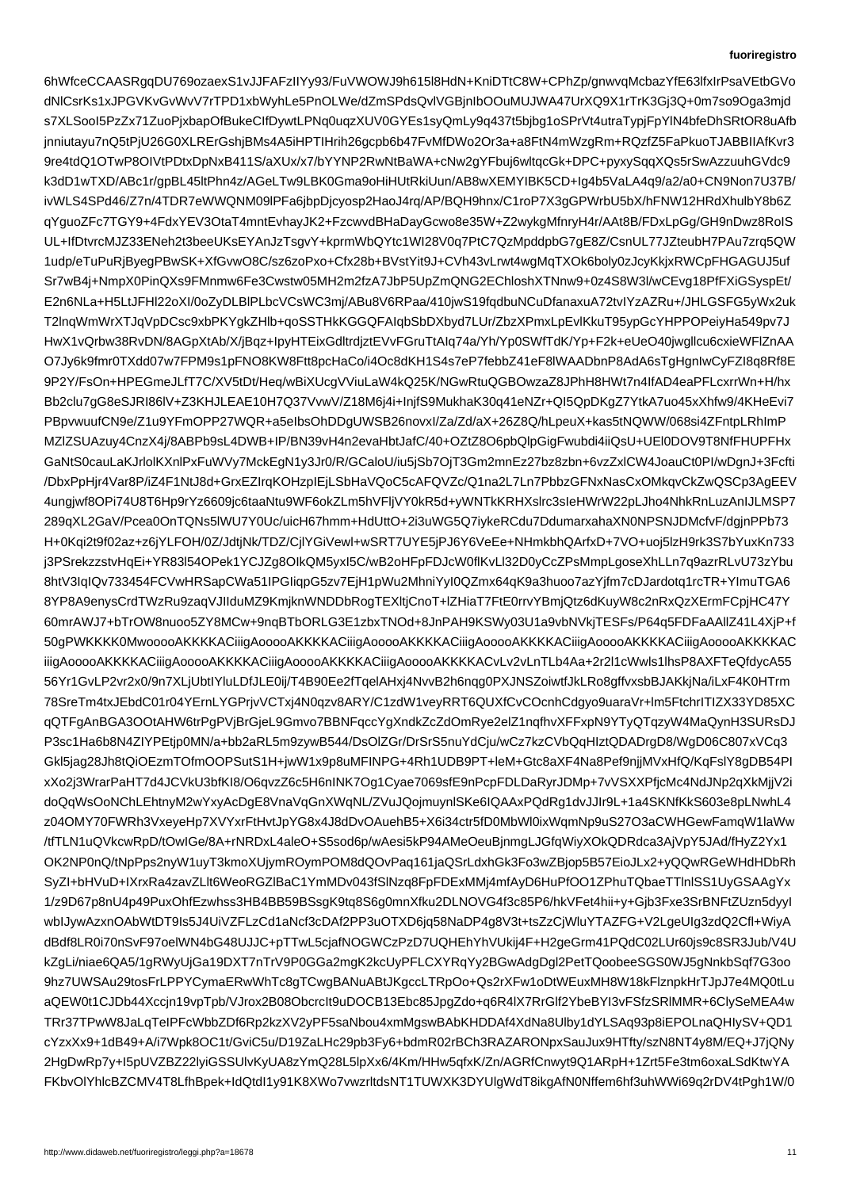6hWfceCCAASRgqDU769ozaexS1vJJFAFzIIYy93/FuVWOWJ9h615l8HdN+KniDTtC8W+CPhZp/gnwvqMcbazYfE63lfxIrPsaVEtbGVo dNICsrKs1xJPGVKvGvWvV7rTPD1xbWyhLe5PnOLWe/dZmSPdsQvIVGBjnIbOOuMUJWA47UrXQ9X1rTrK3Gj3Q+0m7so9Oqa3mjd s7XLSooI5PzZx71ZuoPixbapOfBukeCIfDywtLPNq0uqzXUV0GYEs1syQmLy9q437t5bibq1oSPrVt4utraTypiFpYlN4bfeDhSRtOR8uAfb jnniutayu7nQ5tPjU26G0XLRErGshjBMs4A5iHPTIHrih26qcpb6b47FvMfDWo2Or3a+a8FtN4mWzqRm+RQzfZ5FaPkuoTJABBIIAfKvr3 9re4tdQ1OTwP8OIVtPDtxDpNxB411S/aXUx/x7/bYYNP2RwNtBaWA+cNw2qYFbuj6wltqcGk+DPC+pyxySqqXQs5rSwAzzuuhGVdc9 k3dD1wTXD/ABc1r/gpBL45ltPhn4z/AGeLTw9LBK0Gma9oHiHUtRkiUun/AB8wXEMYIBK5CD+Ig4b5VaLA4q9/a2/a0+CN9Non7U37B/ ivWLS4SPd46/Z7n/4TDR7eWWQNM09lPFa6jbpDjcyosp2HaoJ4rq/AP/BQH9hnx/C1roP7X3gGPWrbU5bX/hFNW12HRdXhulbY8b6Z qYguoZFc7TGY9+4FdxYEV3OtaT4mntEvhayJK2+FzcwvdBHaDayGcwo8e35W+Z2wykgMfnryH4r/AAt8B/FDxLpGg/GH9nDwz8RoIS UL+IfDtvrcMJZ33ENeh2t3beeUKsEYAnJzTsgvY+kprmWbQYtc1WI28V0q7PtC7QzMpddpbG7gE8Z/CsnUL77JZteubH7PAu7zrq5QW 1udp/eTuPuRjByegPBwSK+XfGvwO8C/sz6zoPxo+Cfx28b+BVstYit9J+CVh43vLrwt4wgMqTXOk6boly0zJcyKkjxRWCpFHGAGUJ5uf Sr7wB4j+NmpX0PinQXs9FMnmw6Fe3Cwstw05MH2m2fzA7JbP5UpZmQNG2EChloshXTNnw9+0z4S8W3l/wCEvg18PfFXiGSyspEt/ E2n6NLa+H5LtJFHI22oXI/0oZyDLBIPLbcVCsWC3mj/ABu8V6RPaa/410jwS19fqdbuNCuDfanaxuA72tvlYzAZRu+/JHLGSFG5yWx2uk T2IngWmWrXTJqVpDCsc9xbPKYqkZHlb+qoSSTHkKGGQFAIqbSbDXbyd7LUr/ZbzXPmxLpEvlKkuT95ypGcYHPPOPeiyHa549pv7J HwX1vQrbw38RvDN/8AGpXtAb/X/jBqz+lpyHTEixGdltrdjztEVvFGruTtAlq74a/Yh/Yp0SWfTdK/Yp+F2k+eUeO40jwgllcu6cxieWFlZnAA O7Jv6k9fmr0TXdd07w7FPM9s1pFNO8KW8Ftt8pcHaCo/i4Oc8dKH1S4s7eP7febbZ41eF8IWAADbnP8AdA6sTqHqnIwCvFZI8q8Rf8E 9P2Y/FsOn+HPEGmeJLfT7C/XV5tDt/Heq/wBiXUcgVViuLaW4kQ25K/NGwRtuQGBOwzaZ8JPhH8HWt7n4IfAD4eaPFLcxrrWn+H/hx Bb2clu7gG8eSJRI86IV+Z3KHJLEAE10H7Q37VvwV/Z18M6j4i+InjfS9MukhaK30q41eNZr+QI5QpDKgZ7YtkA7uo45xXhfw9/4KHeEvi7 PBpvwuufCN9e/Z1u9YFmOPP27WQR+a5elbsOhDDgUWSB26novxl/Za/Zd/aX+26Z8Q/hLpeuX+kas5tNQWW/068si4ZFntpLRhlmP MZIZSUAzuy4CnzX4j/8ABPb9sL4DWB+IP/BN39vH4n2evaHbtJafC/40+OZtZ8O6pbQlpGigFwubdi4iiQsU+UEI0DOV9T8NfFHUPFHx GaNtS0cauLaKJrlolKXnlPxFuWVy7MckEqN1y3Jr0/R/GCaloU/iu5jSb7OjT3Gm2mnEz27bz8zbn+6vzZxlCW4JoauCt0Pl/wDqnJ+3Fcfti /DbxPpHjr4Var8P/iZ4F1NtJ8d+GrxEZIrqKOHzplEjLSbHaVQoC5cAFQVZc/Q1na2L7Ln7PbbzGFNxNasCxOMkqvCkZwQSCp3AgEEV 4ungjwf8OPi74U8T6Hp9rYz6609jc6taaNtu9WF6okZLm5hVFljVY0kR5d+yWNTkKRHXslrc3sleHWrW22pLJho4NhkRnLuzAnIJLMSP7 289qXL2GaV/Pcea0OnTQNs5IWU7Y0Uc/uicH67hmm+HdUttO+2i3uWG5Q7iykeRCdu7DdumarxahaXN0NPSNJDMcfvF/dqinPPb73 H+0Kgi2t9f02az+z6jYLFOH/0Z/JdtjNk/TDZ/CjlYGiVewl+wSRT7UYE5jPJ6Y6VeEe+NHmkbhQArfxD+7VO+uoj5lzH9rk3S7bYuxKn733 j3PSrekzzstvHqEi+YR83l54OPek1YCJZg8OlkQM5yxl5C/wB2oHFpFDJcW0flKvLl32D0yCcZPsMmpLgoseXhLLn7q9azrRLvU73zYbu 8htV3lqlQv733454FCVwHRSapCWa51IPGliqpG5zv7EjH1pWu2MhniYyl0QZmx64qK9a3huoo7azYjfm7cDJardotq1rcTR+YlmuTGA6 8YP8A9enysCrdTWzRu9zaqVJIIduMZ9KmjknWNDDbRogTEXItjCnoT+IZHiaT7FtE0rrvYBmjQtz6dKuyW8c2nRxQzXErmFCpjHC47Y 60mrAWJ7+bTrOW8nuoo5ZY8MCw+9nqBTbORLG3E1zbxTNOd+8JnPAH9KSWy03U1a9vbNVkjTESFs/P64q5FDFaAAIIZ41L4XjP+f 50gPWKKKK0MwooooAKKKKACiiigAooooAKKKKACiiigAooooAKKKKACiiigAooooAKKKKACiiigAooooAKKKKACiiigAooooAKKKKAC iiigAooooAKKKKACiiigAooooAKKKKACiiigAooooAKKKKACiiigAooooAKKKKKACvLv2vLnTLb4Aa+2r2l1cWwls1lhsP8AXFTeQfdycA55 56Yr1GvLP2vr2x0/9n7XLjUbtlYluLDfJLE0ij/T4B90Ee2fTqelAHxj4NvvB2h6nqg0PXJNSZoiwtfJkLRo8gffvxsbBJAKkjNa/iLxF4K0HTrm 78SreTm4txJEbdC01r04YErnLYGPrjvVCTxj4N0qzv8ARY/C1zdW1veyRRT6QUXfCvCOcnhCdqyo9uaraVr+Im5FtchrITIZX33YD85XC gQTFgAnBGA3OOtAHW6trPgPVjBrGjeL9Gmvo7BBNFgccYgXndkZcZdOmRye2elZ1ngfhvXFFxpN9YTyQTgzyW4MaQynH3SURsDJ P3sc1Ha6b8N4ZIYPEtjp0MN/a+bb2aRL5m9zywB544/DsOlZGr/DrSrS5nuYdCju/wCz7kzCVbQqHlztQDADrgD8/WgD06C807xVCq3 Gkl5jag28Jh8tQiOEzmTOfmOOPSutS1H+jwW1x9p8uMFINPG+4Rh1UDB9PT+leM+Gtc8aXF4Na8Pef9njjMVxHfQ/KqFslY8gDB54PI xXo2j3WrarPaHT7d4JCVkU3bfKI8/O6qvzZ6c5H6nINK7Og1Cyae7069sfE9nPcpFDLDaRyrJDMp+7vVSXXPfjcMc4NdJNp2qXkMjjV2i doQqWsOoNChLEhtnyM2wYxyAcDgE8VnaVqGnXWqNL/ZVuJQojmuynISKe6IQAAxPQdRg1dvJJIr9L+1a4SKNfKkS603e8pLNwhL4 z04OMY70FWRh3VxeyeHp7XVYxrFtHvtJpYG8x4J8dDvOAuehB5+X6i34ctr5fD0MbWl0ixWqmNp9uS27O3aCWHGewFamqW1laWw /tfTLN1uQVkcwRpD/tOwIGe/8A+rNRDxL4aleO+S5sod6p/wAesi5kP94AMeOeuBjnmqLJGfqWiyXOkQDRdca3AjVpY5JAd/fHyZ2Yx1 OK2NP0nQ/tNpPps2nyW1uyT3kmoXUjymROymPOM8dQOvPaq161jaQSrLdxhGk3Fo3wZBjop5B57EioJLx2+yQQwRGeWHdHDbRh SyZI+bHVuD+IXrxRa4zavZLlt6WeoRGZIBaC1YmMDv043fSINzq8FpFDExMMj4mfAyD6HuPfOO1ZPhuTQbaeTTInISS1UyGSAAqYx 1/z9D67p8nU4p49PuxOhfEzwhss3HB4BB59BSsqK9tq8S6q0mnXfku2DLNOVG4f3c85P6/hkVFet4hii+y+Gjb3Fxe3SrBNFtZUzn5dyyl wblJywAzxnOAbWtDT9Is5J4UiVZFLzCd1aNcf3cDAf2PP3uOTXD6jq58NaDP4q8V3t+tsZzCjWluYTAZFG+V2LqeUlq3zdQ2Cfl+WiyA dBdf8LR0i70nSvF97oelWN4bG48UJJC+pTTwL5cjafNOGWCzPzD7UQHEhYhVUkij4F+H2geGrm41PQdC02LUr60js9c8SR3Jub/V4U kZgLi/niae6QA5/1gRWyUjGa19DXT7nTrV9P0GGa2mgK2kcUyPFLCXYRqYy2BGwAdgDgl2PetTQoobeeSGS0WJ5gNnkbSqf7G3oo 9hz7UWSAu29tosFrLPPYCymaERwWhTc8gTCwgBANuABtJKgccLTRpOo+Qs2rXFw1oDtWEuxMH8W18kFlznpkHrTJpJ7e4MQ0tLu aQEW0t1CJDb44Xccjn19vpTpb/VJrox2B08Obcrclt9uDOCB13Ebc85JpgZdo+q6R4IX7RrGlf2YbeBYI3vFSfzSRIMMR+6ClySeMEA4w TRr37TPwW8JaLqTeIPFcWbbZDf6Rp2kzXV2yPF5saNbou4xmMgswBAbKHDDAf4XdNa8Ulby1dYLSAq93p8iEPOLnaQHIySV+QD1 cYzxXx9+1dB49+A/i7Wpk8OC1t/GviC5u/D19ZaLHc29pb3Fy6+bdmR02rBCh3RAZARONpxSauJux9HTfty/szN8NT4y8M/EQ+J7jQNy 2HgDwRp7y+I5pUVZBZ22lyiGSSUlvKyUA8zYmQ28L5lpXx6/4Km/HHw5qfxK/Zn/AGRfCnwyt9Q1ARpH+1Zrt5Fe3tm6oxaLSdKtwYA FKbvOlYhlcBZCMV4T8LfhBpek+ldQtdl1y91K8XWo7vwzrltdsNT1TUWXK3DYUlgWdT8ikgAfN0Nffem6hf3uhWWi69q2rDV4tPgh1W/0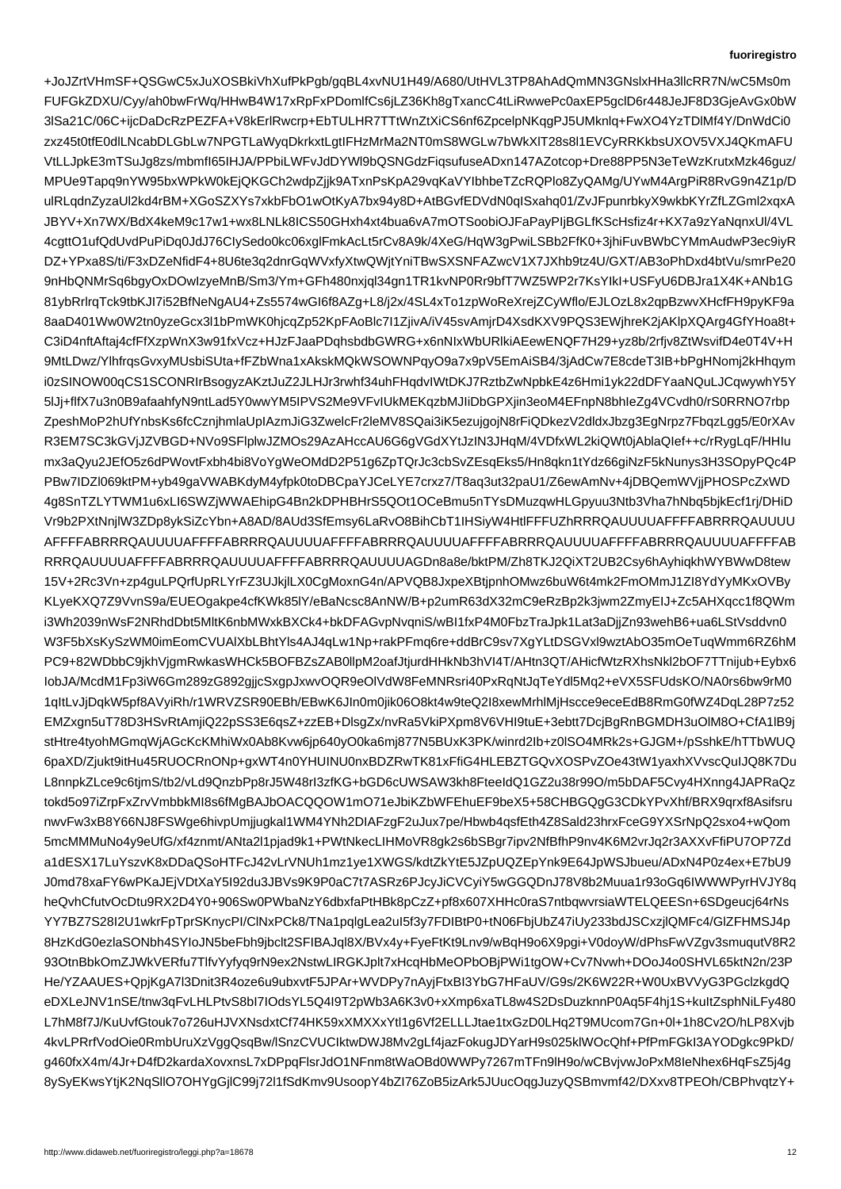+JoJZrtVHmSF+QSGwC5xJuXOSBkiVhXufPkPgb/gqBL4xvNU1H49/A680/UtHVL3TP8AhAdQmMN3GNslxHHa3llcRR7N/wC5Ms0m FUFGkZDXU/Cyy/ah0bwFrWq/HHwB4W17xRpFxPDomlfCs6jLZ36Kh8gTxancC4tLiRwwePc0axEP5gclD6r448JeJF8D3GjeAvGx0bW 3lSa21C/06C+ijcDaDcRzPEZFA+V8kErlRwcrp+EbTULHR7TTtWnZtXiCS6nf6ZpcelpNKqqPJ5UMknlq+FwXO4YzTDlMf4Y/DnWdCi0 zxz45t0tfE0dlLNcabDLGbLw7NPGTLaWyqDkrkxtLqtIFHzMrMa2NT0mS8WGLw7bWkXlT28s8l1EVCyRRKkbsUXOV5VXJ4QKmAFU VtLLJpkE3mTSuJg8zs/mbmfl65IHJA/PPbiLWFvJdDYWl9bQSNGdzFiqsufuseADxn147AZotcop+Dre88PP5N3eTeWzKrutxMzk46guz/ MPUe9Tapq9nYW95bxWPkW0kEjQKGCh2wdpZjjk9ATxnPsKpA29vqKaVYlbhbeTZcRQPlo8ZyQAMg/UYwM4ArgPiR8RvG9n4Z1p/D ulRLqdnZyzaUl2kd4rBM+XGoSZXYs7xkbFbO1wOtKyA7bx94y8D+AtBGvfEDVdN0qlSxahq01/ZvJFpunrbkyX9wkbKYrZfLZGml2xqxA JBYV+Xn7WX/BdX4keM9c17w1+wx8LNLk8ICS50GHxh4xt4bua6vA7mOTSoobiOJFaPavPliBGLfKScHsfiz4r+KX7a9zYaNgnxUl/4VL 4cgttO1ufQdUvdPuPiDq0JdJ76ClySedo0kc06xglFmkAcLt5rCv8A9k/4XeG/HqW3gPwiLSBb2FfK0+3jhiFuvBWbCYMmAudwP3ec9iyR DZ+YPxa8S/ti/F3xDZeNfidF4+8U6te3q2dnrGqWVxfyXtwQWjtYniTBwSXSNFAZwcV1X7JXhb9tz4U/GXT/AB3oPhDxd4btVu/smrPe20 9nHbQNMrSq6bgyOxDOwIzyeMnB/Sm3/Ym+GFh480nxjql34gn1TR1kvNP0Rr9bfT7WZ5WP2r7KsYlkl+USFyU6DBJra1X4K+ANb1G 81ybRrlrqTck9tbKJl7i52BfNeNqAU4+Zs5574wGl6f8AZq+L8/j2x/4SL4xTo1zpWoReXrejZCyWflo/EJLOzL8x2qpBzwvXHcfFH9pyKF9a 8aaD401Ww0W2tn0yzeGcx3l1bPmWK0hjcqZp52KpFAoBlc7l1ZjivA/iV45svAmjrD4XsdKXV9PQS3EWjhreK2jAKlpXQArq4GfYHoa8t+ C3iD4nftAftaj4cfFfXzpWnX3w91fxVcz+HJzFJaaPDqhsbdbGWRG+x6nNIxWbURlkiAEewENQF7H29+yz8b/2rfjv8ZtWsvifD4e0T4V+H 9MtLDwz/YlhfrqsGvxyMUsbiSUta+fFZbWna1xAkskMQkWSOWNPqyO9a7x9pV5EmAiSB4/3jAdCw7E8cdeT3lB+bPgHNomj2kHhqym i0zSINOW00qCS1SCONRIrBsogyzAKztJuZ2JLHJr3rwhf34uhFHqdvIWtDKJ7RztbZwNpbkE4z6Hmi1yk22dDFYaaNQuLJCqwywhY5Y 5IJj+flfX7u3n0B9afaahfyN9ntLad5Y0wwYM5IPVS2Me9VFvIUkMEKqzbMJliDbGPXjin3eoM4EFnpN8bhleZg4VCvdh0/rS0RRNO7rbp ZpeshMoP2hUfYnbsKs6fcCznjhmlaUpIAzmJiG3ZwelcFr2leMV8SQai3iK5ezujgojN8rFiQDkezV2dldxJbzg3EgNrpz7FbqzLgg5/E0rXAv R3EM7SC3kGVjJZVBGD+NVo9SFlplwJZMOs29AzAHccAU6G6gVGdXYtJzIN3JHqM/4VDfxWL2kiQWt0jAblaQlef++c/rRygLqF/HHlu mx3aQyu2JEfO5z6dPWovtFxbh4bi8VoYqWeOMdD2P51q6ZpTQrJc3cbSvZEsqEks5/Hn8qkn1tYdz66qiNzF5kNunys3H3SOpyPQc4P PBw7IDZI069ktPM+yb49gaVWABKdyM4yfpk0toDBCpaYJCeLYE7crxz7/T8aq3ut32paU1/Z6ewAmNv+4jDBQemWVjjPHOSPcZxWD 4q8SnTZLYTWM1u6xLI6SWZjWWAEhipG4Bn2kDPHBHrS5QOt1OCeBmu5nTYsDMuzqwHLGpyuu3Ntb3Vha7hNbq5bjkEcf1rj/DHiD Vr9b2PXtNnjlW3ZDp8ykSiZcYbn+A8AD/8AUd3SfEmsy6LaRvO8BihCbT1IHSiyW4HtlFFFUZhRRRQAUUUUAFFFFABRRRQAUUUU AFFFFABRRRQAUUUUAFFFFABRRRQAUUUUAFFFFABRRRQAUUUUAFFFFABRRRQAUUUUAFFFFABRRRQAUUUUAFFFFAB RRRQAUUUUAFFFFABRRRQAUUUUAFFFFABRRRQAUUUUAGDn8a8e/bktPM/Zh8TKJ2QiXT2UB2Csy6hAyhiqkhWYBWwD8tew 15V+2Rc3Vn+zp4guLPQrfUpRLYrFZ3UJkjlLX0CgMoxnG4n/APVQB8JxpeXBtjpnhOMwz6buW6t4mk2FmOMmJ1ZI8YdYyMKxOVBy KLyeKXQ7Z9VvnS9a/EUEOgakpe4cfKWk85IY/eBaNcsc8AnNW/B+p2umR63dX32mC9eRzBp2k3jwm2ZmyEIJ+Zc5AHXqcc1f8QWm i3Wh2039nWsF2NRhdDbt5MltK6nbMWxkBXCk4+bkDFAGvpNvqniS/wBl1fxP4M0FbzTraJpk1Lat3aDjjZn93wehB6+ua6LStVsddvn0 W3F5bXsKySzWM0imEomCVUAIXbLBhtYls4AJ4qLw1Np+rakPFmq6re+ddBrC9sv7XgYLtDSGVxl9wztAbO35mOeTuqWmm6RZ6hM PC9+82WDbbC9jkhVjgmRwkasWHCk5BOFBZsZAB0llpM2oafJtjurdHHkNb3hVI4T/AHtn3QT/AHicfWtzRXhsNkl2bOF7TTnijub+Eybx6 lobJA/McdM1Fp3iW6Gm289zG892qjjcSxqpJxwvOQR9eOlVdW8FeMNRsri40PxRqNtJqTeYdl5Mq2+eVX5SFUdsKO/NA0rs6bw9rM0 1qltLvJjDqkW5pf8AVyiRh/r1WRVZSR90EBh/EBwK6JIn0m0jik06O8kt4w9teQ2l8xewMrhlMjHscce9eceEdB8RmG0fWZ4DqL28P7z52 EMZxgn5uT78D3HSvRtAmjiQ22pSS3E6gsZ+zzEB+DlsgZx/nvRa5VkiPXpm8V6VHl9tuE+3ebtt7DcjBgRnBGMDH3uOlM8O+CfA1lB9j stHtre4tyohMGmqWjAGcKcKMhiWx0Ab8Kvw6jp640yO0ka6mj877N5BUxK3PK/winrd2lb+z0lSO4MRk2s+GJGM+/pSshkE/hTTbWUQ 6paXD/Zjukt9itHu45RUOCRnONp+gxWT4n0YHUINU0nxBDZRwTK81xFfiG4HLEBZTGQvXOSPvZOe43tW1yaxhXVvscQuIJQ8K7Du L8nnpkZLce9c6tjmS/tb2/vLd9QnzbPp8rJ5W48rl3zfKG+bGD6cUWSAW3kh8FteeIdQ1GZ2u38r99O/m5bDAF5Cvy4HXnng4JAPRaQz tokd5o97iZrpFxZrvVmbbkMl8s6fMgBAJbOACQQOW1mO71eJbiKZbWFEhuEF9beX5+58CHBGQgG3CDkYPvXhf/BRX9qrxf8Asifsru nwvFw3xB8Y66NJ8FSWge6hivpUmjjugkal1WM4YNh2DIAFzgF2uJux7pe/Hbwb4qsfEth4Z8Sald23hrxFceG9YXSrNpQ2sxo4+wQom 5mcMMMuNo4y9eUfG/xf4znmt/ANta2l1pjad9k1+PWtNkecLIHMoVR8qk2s6bSBqr7ipv2NfBfhP9nv4K6M2vrJq2r3AXXvFfiPU7OP7Zd a1dESX17LuYszvK8xDDaQSoHTFcJ42vLrVNUh1mz1ye1XWGS/kdtZkYtE5JZpUQZEpYnk9E64JpWSJbueu/ADxN4P0z4ex+E7bU9 J0md78xaFY6wPKaJEjVDtXaY5l92du3JBVs9K9P0aC7t7ASRz6PJcyJiCVCyiY5wGGQDnJ78V8b2Muua1r93oGq6lWWWPyrHVJY8q heQvhCfutvOcDtu9RX2D4Y0+906Sw0PWbaNzY6dbxfaPtHBk8pCzZ+pf8x607XHHc0raS7ntbqwvrsiaWTELQEESn+6SDqeucj64rNs YY7BZ7S28I2U1wkrFpTprSKnycPI/CINxPCk8/TNa1pqlqLea2uI5f3y7FDIBtP0+tN06FbjUbZ47iUy233bdJSCxzjlQMFc4/GIZFHMSJ4p 8HzKdG0ezlaSONbh4SYloJN5beFbh9jbclt2SFIBAJql8X/BVx4y+FyeFtKt9Lnv9/wBqH9o6X9pgi+V0doyW/dPhsFwVZgv3smuqutV8R2 93OtnBbkOmZJWkVERfu7TlfvYyfyq9rN9ex2NstwLlRGKJplt7xHcqHbMeOPbOBjPWi1tgOW+Cv7Nvwh+DOoJ4o0SHVL65ktN2n/23P He/YZAAUES+QpjKgA7l3Dnit3R4oze6u9ubxvtF5JPAr+WVDPy7nAyjFtxBl3YbG7HFaUV/G9s/2K6W22R+W0UxBVVyG3PGclzkgdQ eDXLeJNV1nSE/tnw3qFvLHLPtvS8bI7IOdsYL5Q4I9T2pWb3A6K3v0+xXmp6xaTL8w4S2DsDuzknnP0Aq5F4hj1S+kultZsphNiLFy480 L7hM8f7J/KuUvfGtouk7o726uHJVXNsdxtCf74HK59xXMXXxYtl1g6Vf2ELLLJtae1txGzD0LHq2T9MUcom7Gn+0l+1h8Cv2O/hLP8Xvjb 4kvLPRrfVodOie0RmbUruXzVggQsqBw/lSnzCVUCIktwDWJ8Mv2gLf4jazFokugJDYarH9s025klWOcQhf+PfPmFGkI3AYODgkc9PkD/ g460fxX4m/4Jr+D4fD2kardaXovxnsL7xDPpqFlsrJdO1NFnm8tWaOBd0WWPy7267mTFn9lH9o/wCBvjvwJoPxM8leNhex6HqFsZ5j4g 8ySyEKwsYtjK2NqSllO7OHYgGjlC99j72l1fSdKmv9UsoopY4bZl76ZoB5izArk5JUucOqgJuzyQSBmvmf42/DXxv8TPEOh/CBPhvqtzY+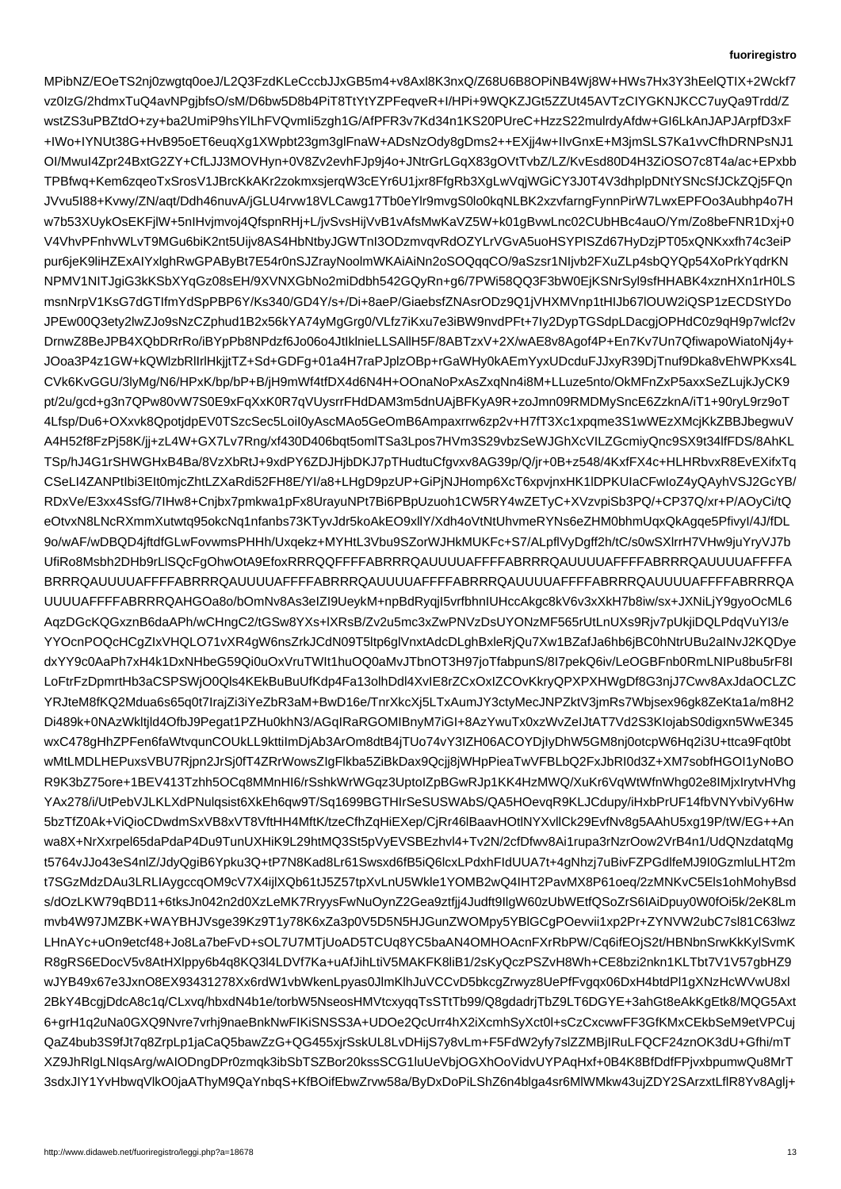MPibNZ/EOeTS2nj0zwgtq0oeJ/L2Q3FzdKLeCccbJJxGB5m4+v8Axl8K3nxQ/Z68U6B8OPiNB4Wj8W+HWs7Hx3Y3hEelQTIX+2Wckf7 vz0lzG/2hdmxTuQ4avNPqibfsO/sM/D6bw5D8b4PiT8TtYtYZPFeqveR+I/HPi+9WQKZJGt5ZZUt45AVTzCIYGKNJKCC7uyQa9Trdd/Z wstZS3uPBZtdO+zy+ba2UmiP9hsYlLhFVQvmli5zqh1G/AfPFR3v7Kd34n1KS20PUreC+HzzS22mulrdyAfdw+Gl6LkAnJAPJArpfD3xF +IWo+IYNUt38G+HvB95oET6euqXq1XWpbt23qm3qlFnaW+ADsNzOdy8qDms2++EXjj4w+IIvGnxE+M3jmSLS7Ka1vvCfhDRNPsNJ1 OI/MwuI4Zpr24BxtG2ZY+CfLJJ3MOVHyn+0V8Zv2evhFJp9j4o+JNtrGrLGqX83gOVtTvbZ/LZ/KvEsd80D4H3ZiOSO7c8T4a/ac+EPxbb TPBfwq+Kem6zqeoTxSrosV1JBrcKkAKr2zokmxsjerqW3cEYr6U1jxr8FfgRb3XgLwVqjWGiCY3J0T4V3dhplpDNtYSNcSfJCkZQj5FQn JVvu5I88+Kvwy/ZN/aqt/Ddh46nuvA/jGLU4rvw18VLCawg17Tb0eYIr9mvqS0lo0kqNLBK2xzvfarngFynnPirW7LwxEPFOo3Aubhp4o7H w7b53XUykOsEKFjlW+5nlHvjmvoj4QfspnRHj+L/jvSvsHijVvB1vAfsMwKaVZ5W+k01gBvwLnc02CUbHBc4auO/Ym/Zo8beFNR1Dxj+0 V4VhvPFnhvWLvT9MGu6biK2nt5Uijv8AS4HbNtbyJGWTnI3ODzmvqvRdOZYLrVGvA5uoHSYPISZd67HyDzjPT05xQNKxxfh74c3eiP pur6jeK9liHZExAIYxlghRwGPAByBt7E54r0nSJZrayNoolmWKAiAiNn2oSOQqqCO/9aSzsr1Nljvb2FXuZLp4sbQYQp54XoPrkYqdrKN NPMV1NITJgiG3kKSbXYqGz08sEH/9XVNXGbNo2miDdbh542GQyRn+g6/7PWi58QQ3F3bW0EjKSNrSyl9sfHHABK4xznHXn1rH0LS msnNrpV1KsG7dGTIfmYdSpPBP6Y/Ks340/GD4Y/s+/Di+8aeP/GiaebsfZNAsrODz9Q1jVHXMVnp1tHIJb67IOUW2iQSP1zECDStYDo JPEw00Q3ety2lwZJo9sNzCZphud1B2x56kYA74yMgGrg0/VLfz7iKxu7e3iBW9nvdPFt+7ly2DypTGSdpLDacgjOPHdC0z9gH9p7wlcf2v DrnwZ8BeJPB4XQbDRrRo/iBYpPb8NPdzf6Jo06o4JtlklnieLLSAllH5F/8ABTzxV+2X/wAE8v8Agof4P+En7Kv7Un7QfiwapoWiatoNj4y+ JOoa3P4z1GW+kQWlzbRlIrlHkiitTZ+Sd+GDFq+01a4H7raPJplzOBp+rGaWHv0kAEmYvxUDcduFJJxvR39DiTnuf9Dka8vEhWPKxs4L CVk6KvGGU/3lyMg/N6/HPxK/bp/bP+B/jH9mWf4tfDX4d6N4H+OOnaNoPxAsZxqNn4i8M+LLuze5nto/OkMFnZxP5axxSeZLujkJyCK9 pt/2u/gcd+g3n7QPw80vW7S0E9xFqXxK0R7qVUysrrFHdDAM3m5dnUAjBFKyA9R+zoJmn09RMDMySncE6ZzknA/iT1+90ryL9rz9oT 4Lfsp/Du6+OXxvk8QpotjdpEV0TSzcSec5Loil0yAscMAo5GeOmB6Ampaxrrw6zp2v+H7fT3Xc1xpqme3S1wWEzXMcjKkZBBJbegwuV A4H52f8FzPj58K/jj+zL4W+GX7Lv7Rng/xf430D406bqt5omlTSa3Lpos7HVm3S29vbzSeWJGhXcVILZGcmiyQnc9SX9t34lfFDS/8AhKL TSp/hJ4G1rSHWGHxB4Ba/8VzXbRtJ+9xdPY6ZDJHjbDKJ7pTHudtuCfqvxv8AG39p/Q/jr+0B+z548/4KxfFX4c+HLHRbvxR8EvEXifxTq CSeLI4ZANPtIbi3EIt0mjcZhtLZXaRdi52FH8E/YI/a8+LHgD9pzUP+GiPjNJHomp6XcT6xpvjnxHK1IDPKUIaCFwIoZ4yQAyhVSJ2GcYB/ RDxVe/E3xx4SsfG/7IHw8+Cnjbx7pmkwa1pFx8UrayuNPt7Bi6PBpUzuoh1CW5RY4wZETyC+XVzvpiSb3PQ/+CP37Q/xr+P/AOyCi/tQ eOtvxN8LNcRXmmXutwtq95okcNq1nfanbs73KTyvJdr5koAkEO9xllY/Xdh4oVtNtUhvmeRYNs6eZHM0bhmUqxQkAqqe5Pfivyl/4J/fDL 9o/wAF/wDBQD4jftdfGLwFovwmsPHHh/Uxqekz+MYHtL3Vbu9SZorWJHkMUKFc+S7/ALpflVyDgff2h/tC/s0wSXlrrH7VHw9juYryVJ7b UfiRo8Msbh2DHb9rLISQcFgOhwOtA9EfoxRRRQQFFFFABRRRQAUUUUAFFFFABRRRQAUUUUAFFFFABRRRQAUUUUAFFFFA BRRRQAUUUUAFFFFABRRRQAUUUUAFFFFABRRRQAUUUUAFFFFABRRRQAUUUUAFFFFABRRRQAUUUUAFFFFABRRRQA UUUUAFFFFABRRRQAHGOa8o/bOmNv8As3eIZI9UeykM+npBdRyqjI5vrfbhnIUHccAkgc8kV6v3xXkH7b8iw/sx+JXNiLjY9qyoOcML6 AgzDGcKQGxznB6daAPh/wCHngC2/tGSw8YXs+IXRsB/Zv2u5mc3xZwPNVzDsUYONzMF565rUtLnUXs9Rjv7pUkjiDQLPdqVuYI3/e YYOcnPOQcHCqZlxVHQLO71vXR4qW6nsZrkJCdN09T5ltp6qlVnxtAdcDLqhBxleRjQu7Xw1BZafJa6hb6jBC0hNtrUBu2alNvJ2KQDve dxYY9c0AaPh7xH4k1DxNHbeG59Qi0uOxVruTWlt1huOQ0aMvJTbnOT3H97joTfabpunS/8l7pekQ6iv/LeOGBFnb0RmLNIPu8bu5rF8l LoFtrFzDpmrtHb3aCSPSWjO0Qls4KEkBuBuUfKdp4Fa13olhDdl4XvIE8rZCxOxIZCOvKkryQPXPXHWqDf8G3njJ7Cwv8AxJdaOCLZC YRJteM8fKQ2Mdua6s65q0t7IrajZi3iYeZbR3aM+BwD16e/TnrXkcXj5LTxAumJY3ctyMecJNPZktV3jmRs7Wbjsex96qk8ZeKta1a/m8H2 Di489k+0NAzWkltild4OfbJ9Pegat1PZHu0khN3/AGgIRaRGOMIBnyM7iGI+8AzYwuTx0xzWvZeIJtAT7Vd2S3KlojabS0digxn5WwE345 wxC478aHhZPFen6faWtvqunCOUkLL9kttilmDiAb3ArOm8dtB4iTUo74vY3IZH06ACOYDilvDhW5GM8ni0otcpW6Hq2i3U+ttca9Fqt0bt wMtLMDLHEPuxsVBU7Rjpn2JrSj0fT4ZRrWowsZlgFlkba5ZiBkDax9Qcjj8jWHpPieaTwVFBLbQ2FxJbRl0d3Z+XM7sobfHGOI1yNoBO R9K3bZ75ore+1BEV413Tzhh5OCq8MMnHl6/rSshkWrWGqz3UptolZpBGwRJp1KK4HzMWQ/XuKr6VqWtWfnWhg02e8lMjxlrytvHVhg YAx278/i/UtPebVJLKLXdPNulqsist6XkEh6qw9T/Sq1699BGTHIrSeSUSWAbS/QA5HOevqR9KLJCdupy/iHxbPrUF14fbVNYvbiVy6Hw 5bzTfZ0Ak+ViQioCDwdmSxVB8xVT8VftHH4MftK/tzeCfhZqHiEXep/CjRr46lBaavHOtlNYXvllCk29EvfNv8g5AAhU5xg19P/tW/EG++An wa8X+NrXxrpel65daPdaP4Du9TunUXHiK9L29htMQ3St5pVyEVSBEzhvl4+Tv2N/2cfDfwv8Ai1rupa3rNzrOow2VrB4n1/UdQNzdatqMg t5764vJJo43eS4nlZ/JdyQgiB6Ypku3Q+tP7N8Kad8Lr61Swsxd6fB5iQ6lcxLPdxhFldUUA7t+4gNhzj7uBivFZPGdlfeMJ9l0GzmluLHT2m t7SGzMdzDAu3LRLIAygccgOM9cV7X4ijlXQb61tJ5Z57tpXvLnU5Wkle1YOMB2wQ4IHT2PavMX8P61oeg/2zMNKvC5Els1ohMohyBsd s/dOzLKW79qBD11+6tksJn042n2d0XzLeMK7RryysFwNuOynZ2Gea9ztfij4Judft9llqW60zUbWEtfQSoZrS6IAiDpuy0W0fOi5k/2eK8Lm mvb4W97JMZBK+WAYBHJVsqe39Kz9T1y78K6xZa3p0V5D5N5HJGunZWOMpy5YBIGCqPOevvii1xp2Pr+ZYNVW2ubC7sl81C63lwz LHnAYc+uOn9etcf48+Jo8La7beFvD+sOL7U7MTjUoAD5TCUq8YC5baAN4OMHOAcnFXrRbPW/Cq6ifEOjS2t/HBNbnSrwKkKylSvmK R8qRS6EDocV5v8AtHXlppy6b4q8KQ3l4LDVf7Ka+uAfJihLtiV5MAKFK8liB1/2sKyQczPSZvH8Wh+CE8bzi2nkn1KLTbt7V1V57qbHZ9 wJYB49x67e3JxnO8EX93431278Xx6rdW1vbWkenLpyas0JlmKlhJuVCCvD5bkcqZrwyz8UePfFvgqx06DxH4btdPl1gXNzHcWVwU8xl 2BkY4BcgjDdcA8c1q/CLxvq/hbxdN4b1e/torbW5NseosHMVtcxyqqTsSTtTb99/Q8gdadrjTbZ9LT6DGYE+3ahGt8eAkKgEtk8/MQG5Axt 6+grH1q2uNa0GXQ9Nvre7vrhj9naeBnkNwFIKiSNSS3A+UDOe2QcUrr4hX2iXcmhSyXct0l+sCzCxcwwFF3GfKMxCEkbSeM9etVPCuj QaZ4bub3S9fJt7q8ZrpLp1jaCaQ5bawZzG+QG455xjrSskUL8LvDHijS7y8vLm+F5FdW2yfy7slZZMBjIRuLFQCF24znOK3dU+Gfhi/mT XZ9JhRlgLNlqsArg/wAIODngDPr0zmqk3ibSbTSZBor20kssSCG1luUeVbjOGXhOoVidvUYPAqHxf+0B4K8BfDdfFPjvxbpumwQu8MrT 3sdxJIY1YvHbwqVlkO0jaAThyM9QaYnbqS+KfBOifEbwZrvw58a/ByDxDoPiLShZ6n4blga4sr6MlWMkw43ujZDY2SArzxtLflR8Yv8Aglj+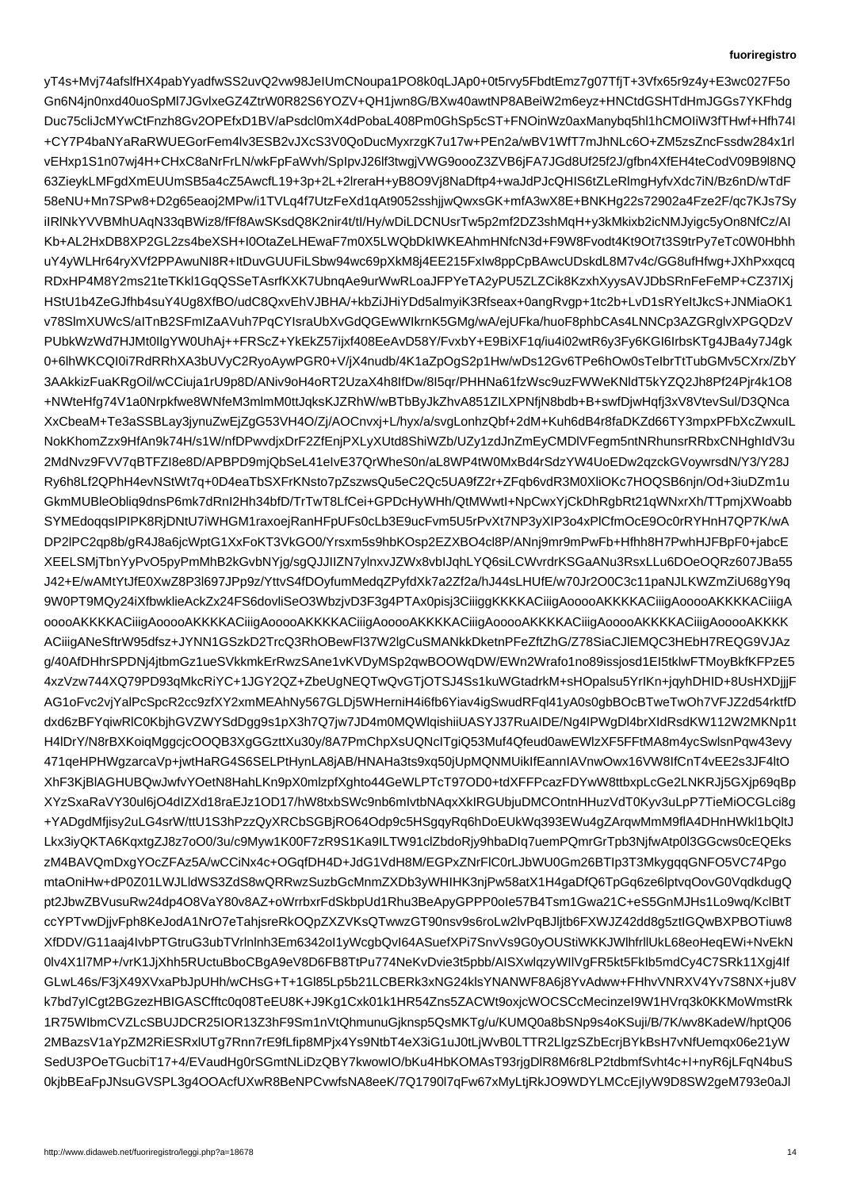yT4s+Mvj74afslfHX4pabYyadfwSS2uvQ2vw98JeIUmCNoupa1PO8k0qLJAp0+0t5rvy5FbdtEmz7g07TfjT+3Vfx65r9z4y+E3wc027F5o Gn6N4in0nxd40uoSpMl7JGvlxeGZ4ZtrW0R82S6YOZV+QH1jwn8G/BXw40awtNP8ABeiW2m6evz+HNCtdGSHTdHmJGGs7YKFhdg Duc75cliJcMYwCtFnzh8Gv2OPEfxD1BV/aPsdcl0mX4dPobaL408Pm0GhSp5cST+FNOinWz0axManybq5hl1hCMOliW3fTHwf+Hfh74I +CY7P4baNYaRaRWUEGorFem4lv3ESB2vJXcS3V0QoDucMyxrzqK7u17w+PEn2a/wBV1WfT7mJhNLc6O+ZM5zsZncFssdw284x1rl vEHxp1S1n07wj4H+CHxC8aNrFrLN/wkFpFaWvh/SplpvJ26lf3twgjVWG9oooZ3ZVB6jFA7JGd8Uf25f2J/gfbn4XfEH4teCodV09B9l8NQ 63ZieykLMFgdXmEUUmSB5a4cZ5AwcfL19+3p+2L+2IreraH+yB8O9Vj8NaDftp4+waJdPJcQHIS6tZLeRImgHyfvXdc7iN/Bz6nD/wTdF 58eNU+Mn7SPw8+D2q65eaoj2MPw/i1TVLq4f7UtzFeXd1qAt9052sshjjwQwxsGK+mfA3wX8E+BNKHq22s72902a4Fze2F/qc7KJs7Sy iIRINkYVVBMhUAqN33qBWiz8/fFf8AwSKsdQ8K2nir4t/tl/Hy/wDiLDCNUsrTw5p2mf2DZ3shMqH+y3kMkixb2icNMJyigc5yOn8NfCz/AI Kb+AL2HxDB8XP2GL2zs4beXSH+I0OtaZeLHEwaF7m0X5LWQbDkIWKEAhmHNfcN3d+F9W8Fvodt4Kt9Ot7t3S9trPy7eTc0W0Hbhh uY4yWLHr64ryXVf2PPAwuNI8R+ItDuvGUUFiLSbw94wc69pXkM8j4EE215FxIw8ppCpBAwcUDskdL8M7v4c/GG8ufHfwg+JXhPxxqcq RDxHP4M8Y2ms21teTKkl1GqQSSeTAsrfKXK7UbnqAe9urWwRLoaJFPYeTA2yPU5ZLZCik8KzxhXyysAVJDbSRnFeFeMP+CZ37IXj HStU1b4ZeGJfhb4suY4Uq8XfBO/udC8QxvEhVJBHA/+kbZiJHiYDd5almyiK3Rfseax+0anqRvqp+1tc2b+LvD1sRYeltJkcS+JNMiaOK1 v78SlmXUWcS/alTnB2SFmlZaAVuh7PqCYIsraUbXvGdQGEwWlkrnK5GMq/wA/ejUFka/huoF8phbCAs4LNNCp3AZGRqlvXPGQDzV PUbkWzWd7HJMt0llgYW0UhAj++FRScZ+YkEkZ57ijxf408EeAvD58Y/FvxbY+E9BiXF1q/iu4i02wtR6y3Fy6KGl6lrbsKTg4JBa4y7J4gk 0+6lhWKCQI0i7RdRRhXA3bUVyC2RyoAywPGR0+V/jX4nudb/4K1aZpOgS2p1Hw/wDs12Gv6TPe6hOw0sTelbrTtTubGMv5CXrx/ZbY 3AAkkizFuaKRgOil/wCCiuja1rU9p8D/ANiv9oH4oRT2UzaX4h8IfDw/8I5qr/PHHNa61fzWsc9uzFWWeKNldT5kYZQ2Jh8Pf24Pjr4k1O8 +NWteHfg74V1a0Nrpkfwe8WNfeM3mlmM0ttJqksKJZRhW/wBTbByJkZhvA851ZILXPNfjN8bdb+B+swfDjwHqfj3xV8VtevSul/D3QNca XxCbeaM+Te3aSSBLay3jynuZwEjZgG53VH4O/Zj/AOCnvxj+L/hyx/a/svgLonhzQbf+2dM+Kuh6dB4r8faDKZd66TY3mpxPFbXcZwxulL NokKhomZzx9HfAn9k74H/s1W/nfDPwvdjxDrF2ZfEnjPXLyXUtd8ShiWZb/UZy1zdJnZmEyCMDIVFegm5ntNRhunsrRRbxCNHghldV3u 2MdNvz9FVV7qBTFZI8e8D/APBPD9mjQbSeL41elvE37QrWheS0n/aL8WP4tW0MxBd4rSdzYW4UoEDw2qzckGVoywrsdN/Y3/Y28J Ry6h8Lf2QPhH4evNStWt7q+0D4eaTbSXFrKNsto7pZszwsQu5eC2Qc5UA9fZ2r+ZFqb6vdR3M0XliOKc7HOQSB6njn/Od+3iuDZm1u GkmMUBleOblig9dnsP6mk7dRnI2Hh34bfD/TrTwT8LfCei+GPDcHyWHh/QtMWwtI+NpCwxYjCkDhRgbRt21gWNxrXh/TTpmjXWoabb SYMEdoggsIPIPK8RjDNtU7iWHGM1raxoejRanHFpUFs0cLb3E9ucFvm5U5rPvXt7NP3vXIP3o4xPlCfmOcE9Oc0rRYHnH7QP7K/wA DP2IPC2qp8b/gR4J8a6jcWptG1XxFoKT3VkGO0/Yrsxm5s9hbKOsp2EZXBO4cl8P/ANnj9mr9mPwFb+Hfhh8H7PwhHJFBpF0+jabcE XEELSMjTbnYyPvO5pyPmMhB2kGvbNYjg/sgQJJIIZN7yInxvJZWx8vbIJqhLYQ6siLCWvrdrKSGaANu3RsxLLu6DOeOQRz607JBa55 J42+E/wAMtYtJfE0XwZ8P3l697JPp9z/YttvS4fDOyfumMedqZPyfdXk7a2Zf2a/hJ44sLHUfE/w70Jr2O0C3c11paNJLKWZmZiU68qY9q 9W0PT9MQy24iXfbwklieAckZx24FS6dovliSeO3WbzjvD3F3g4PTAx0pisj3CiiiggKKKKACiiigAooooAKKKKACiiigAooooAKKKKACiiigA 0000AKKKKACiiigA0000AKKKKACiiigA0000AKKKKACiiigA0000AKKKKACiiigA0000AKKKKACiiigA0000AKKKKACiiigA0000AKKKK ACiiigANeSftrW95dfsz+JYNN1GSzkD2TrcQ3RhOBewFl37W2lgCuSMANkkDketnPFeZftZhG/Z78SiaCJlEMQC3HEbH7REQG9VJAz g/40AfDHhrSPDNj4jtbmGz1ueSVkkmkErRwzSAne1vKVDyMSp2qwBOOWqDW/EWn2Wrafo1no89issjosd1El5tklwFTMoyBkfKFPzE5 4xzVzw744XQ79PD93qMkcRiYC+1JGY2QZ+ZbeUqNEQTwQvGTjOTSJ4Ss1kuWGtadrkM+sHOpalsu5YrlKn+jqyhDHlD+8UsHXDjijF AG1oFvc2vjYalPcSpcR2cc9zfXY2xmMEAhNv567GLDj5WHerniH4i6fb6Yiav4igSwudRFql41yA0s0qbBOcBTweTwOh7VFJZ2d54rktfD dxd6zBFYqiwRlC0KbjhGVZWYSdDqq9s1pX3h7Q7jw7JD4m0MQWlqishiiUASYJ37RuAIDE/Nq4IPWqDl4brXldRsdKW112W2MKNp1t H4IDrY/N8rBXKoiqMggcjcOOQB3XgGGzttXu30y/8A7PmChpXsUQNcITgiQ53Muf4Qfeud0awEWIzXF5FFtMA8m4ycSwlsnPqw43evy 471geHPHWgzarcaVp+jwtHaRG4S6SELPtHynLA8jAB/HNAHa3ts9xq50jUpMQNMUikIfEannIAVnwOwx16VW8IfCnT4vEE2s3JF4ltO XhF3KjBIAGHUBQwJwfvYOetN8HahLKn9pX0mlzpfXghto44GeWLPTcT97OD0+tdXFFPcazFDYwW8ttbxpLcGe2LNKRJj5GXjp69qBp XYzSxaRaVY30ul6jO4dlZXd18raEJz1OD17/hW8txbSWc9nb6mlvtbNAqxXkIRGUbjuDMCOntnHHuzVdT0Kyv3uLpP7TieMiOCGLci8g +YADgdMfjisy2uLG4srW/ttU1S3hPzzQyXRCbSGBjRO64Odp9c5HSgqyRq6hDoEUkWq393EWu4gZArqwMmM9fIA4DHnHWkl1bQltJ Lkx3iyQKTA6KqxtgZJ8z7oO0/3u/c9Myw1K00F7zR9S1Ka9ILTW91clZbdoRjy9hbaDlq7uemPQmrGrTpb3NjfwAtp0l3GGcws0cEQEks zM4BAVQmDxgYOcZFAz5A/wCCiNx4c+OGqfDH4D+JdG1VdH8M/EGPxZNrFIC0rLJbWU0Gm26BTIp3T3MkygqqGNFO5VC74Pgo mtaOniHw+dP0Z01LWJLldWS3ZdS8wQRRwzSuzbGcMnmZXDb3yWHIHK3njPw58atX1H4qaDfQ6TpGq6ze6lptvqOovG0VqdkduqQ pt2JbwZBVusuRw24dp4O8VaY80v8AZ+oWrrbxrFdSkbpUd1Rhu3BeApyGPPP0ole57B4Tsm1Gwa21C+eS5GnMJHs1Lo9wq/KclBtT ccYPTvwDijvFph8KeJodA1NrO7eTahisreRkOQpZXZVKsQTwwzGT90nsv9s6roLw2lvPqBJlitb6FXWJZ42dd8q5ztIGQwBXPBOTiuw8 XfDDV/G11aaj4IvbPTGtruG3ubTVrInInh3Em6342oI1yWcgbQvI64ASuefXPi7SnvVs9G0yOUStiWKKJWlhfrllUkL68eoHeqEWi+NvEkN 0lv4X1l7MP+/vrK1JjXhh5RUctuBboCBgA9eV8D6FB8TtPu774NeKvDvie3t5pbb/AISXwlqzyWIIVgFR5kt5Fklb5mdCy4C7SRk11Xgj4lf GLwL46s/F3jX49XVxaPbJpUHh/wCHsG+T+1Gl85Lp5b21LCBERk3xNG24klsYNANWF8A6j8YvAdww+FHhvVNRXV4Yv7S8NX+ju8V k7bd7ylCgt2BGzezHBIGASCfftc0q08TeEU8K+J9Kg1Cxk01k1HR54Zns5ZACWt9oxjcWOCSCcMecinzel9W1HVrq3k0KKMoWmstRk 1R75WIbmCVZLcSBUJDCR25IOR13Z3hF9Sm1nVtQhmunuGjknsp5QsMKTg/u/KUMQ0a8bSNp9s4oKSuji/B/7K/wv8KadeW/hptQ06 2MBazsV1aYpZM2RiESRxlUTg7Rnn7rE9fLfip8MPjx4Ys9NtbT4eX3iG1uJ0tLjWvB0LTTR2LlgzSZbEcrjBYkBsH7vNfUemqx06e21yW SedU3POeTGucbiT17+4/EVaudHg0rSGmtNLiDzQBY7kwowIO/bKu4HbKOMAsT93rjgDlR8M6r8LP2tdbmfSvht4c+I+nyR6jLFqN4buS 0kjbBEaFpJNsuGVSPL3g4OOAcfUXwR8BeNPCvwfsNA8eeK/7Q1790l7qFw67xMyLtjRkJO9WDYLMCcEjIyW9D8SW2geM793e0aJl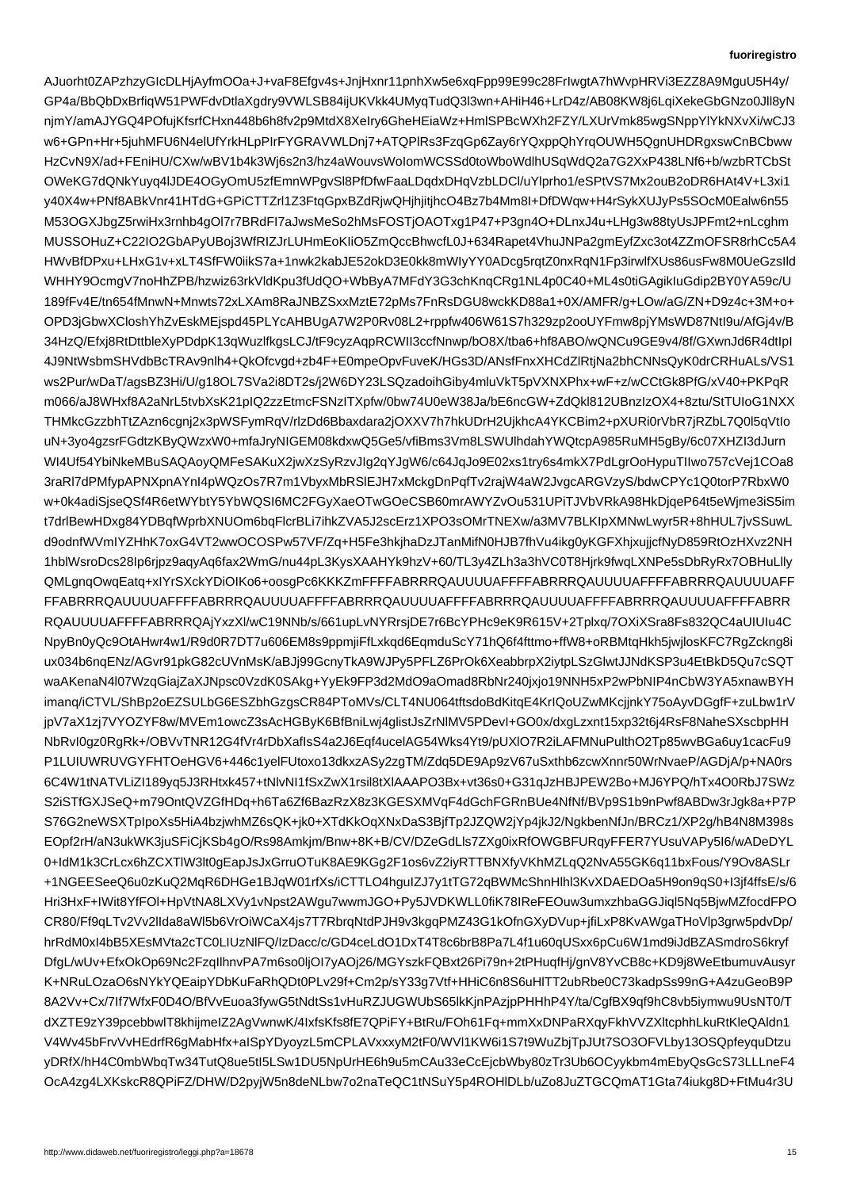AJuorht0ZAPzhzyGlcDLHjAyfmOOa+J+vaF8Efgv4s+JnjHxnr11pnhXw5e6xqFpp99E99c28FrlwgtA7hWvpHRVi3EZZ8A9MguU5H4y/ GP4a/BbQbDxBrfiqW51PWFdvDtlaXgdry9VWLSB84ijUKVkk4UMyqTudQ3l3wn+AHiH46+LrD4z/AB08KW8j6LqiXekeGbGNzo0Jll8yN njmY/amAJYGQ4POfujKfsrfCHxn448b6h8fv2p9MtdX8XeIry6GheHEiaWz+HmISPBcWXh2FZY/LXUrVmk85wqSNppYlYkNXvXi/wCJ3 w6+GPn+Hr+5juhMFU6N4eIUfYrkHLpPIrFYGRAVWLDnj7+ATQPIRs3FzqGp6Zay6rYQxppQhYrqOUWH5QqnUHDRqxswCnBCbww HzCvN9X/ad+FEniHU/CXw/wBV1b4k3Wj6s2n3/hz4aWouvsWolomWCSSd0toWboWdlhUSqWdQ2a7G2XxP438LNf6+b/wzbRTCbSt OWeKG7dQNkYuyq4IJDE4OGyOmU5zfEmnWPgvSl8PfDfwFaaLDgdxDHqVzbLDCl/uYlprho1/eSPtVS7Mx2ouB2oDR6HAt4V+L3xi1 y40X4w+PNf8ABkVnr41HTdG+GPiCTTZrl1Z3FtqGpxBZdRjwQHjhjitjhcO4Bz7b4Mm8I+DfDWqw+H4rSykXUJyPs5SOcM0Ealw6n55 M53OGXJbgZ5rwiHx3rnhb4gOl7r7BRdFI7aJwsMeSo2hMsFOSTjOAOTxg1P47+P3gn4O+DLnxJ4u+LHg3w88tyUsJPFmt2+nLcghm MUSSOHuZ+C22IO2GbAPyUBoj3WfRIZJrLUHmEoKIiO5ZmQccBhwcfL0J+634Rapet4VhuJNPa2gmEyfZxc3ot4ZZmOFSR8rhCc5A4 HWvBfDPxu+LHxG1v+xLT4SfFW0iikS7a+1nwk2kabJE52okD3E0kk8mWlyYY0ADcg5rqtZ0nxRqN1Fp3irwlfXUs86usFw8M0UeGzslld WHHY9OcmgV7noHhZPB/hzwiz63rkVldKpu3fUdQO+WbByA7MFdY3G3chKnqCRg1NL4p0C40+ML4s0tiGAgikluGdip2BY0YA59c/U 189fFv4E/tn654fMnwN+Mnwts72xLXAm8RaJNBZSxxMztE72pMs7FnRsDGU8wckKD88a1+0X/AMFR/q+LOw/aG/ZN+D9z4c+3M+o+ OPD3jGbwXCloshYhZvEskMEjspd45PLYcAHBUgA7W2P0Rv08L2+rppfw406W61S7h329zp2ooUYFmw8pjYMsWD87Ntl9u/AfGj4v/B 34HzQ/Efxj8RtDttbleXyPDdpK13qWuzlfkgsLCJ/tF9cyzAqpRCWII3ccfNnwp/bO8X/tba6+hf8ABO/wQNCu9GE9v4/8f/GXwnJd6R4dtlpl 4J9NtWsbmSHVdbBcTRAv9nlh4+QkOfcvad+zb4F+E0mpeOpvFuveK/HGs3D/ANsfFnxXHCdZlRtiNa2bhCNNsQvK0drCRHuALs/VS1 ws2Pur/wDaT/agsBZ3Hi/U/g18OL7SVa2i8DT2s/j2W6DY23LSQzadoihGiby4mluVkT5pVXNXPhx+wF+z/wCCtGk8PfG/xV40+PKPqR m066/aJ8WHxf8A2aNrL5tvbXsK21pIQ2zzEtmcFSNzITXpfw/0bw74U0eW38Ja/bE6ncGW+ZdQkl812UBnzIzOX4+8ztu/StTUIoG1NXX THMkcGzzbhTtZAzn6cgnj2x3pWSFymRqV/rlzDd6Bbaxdara2jOXXV7h7hkUDrH2UjkhcA4YKCBim2+pXURi0rVbR7jRZbL7Q0l5qVtlo uN+3yo4gzsrFGdtzKByQWzxW0+mfaJryNIGEM08kdxwQ5Ge5/vfiBms3Vm8LSWUlhdahYWQtcpA985RuMH5gBy/6c07XHZI3dJurn WI4Uf54YbiNkeMBuSAQAoyQMFeSAKuX2jwXzSyRzvJIq2qYJqW6/c64JqJo9E02xs1try6s4mkX7PdLqrOoHypuTIIwo757cVej1COa8 3raRl7dPMfypAPNXpnAYnl4pWQzOs7R7m1VbyxMbRSlEJH7xMckgDnPqfTv2rajW4aW2JvgcARGVzyS/bdwCPYc1Q0torP7RbxW0 w+0k4adiSiseQSf4R6etWYbtY5YbWQSI6MC2FGyXaeOTwGOeCSB60mrAWYZvOu531UPiTJVbVRkA98HkDjqeP64t5eWjme3iS5im t7drlBewHDxq84YDBqfWprbXNUOm6bqFlcrBLi7ihkZVA5J2scErz1XPO3sOMrTNEXw/a3MV7BLKIpXMNwLwyr5R+8hHUL7jvSSuwL d9odnfWVmIYZHhK7oxG4VT2wwOCOSPw57VF/Zq+H5Fe3hkjhaDzJTanMifN0HJB7fhVu4ikg0yKGFXhjxujjcfNyD859RtOzHXvz2NH 1hblWsroDcs28lp6rjpz9aqyAq6fax2WmG/nu44pL3KysXAAHYk9hzV+60/TL3y4ZLh3a3hVC0T8Hjrk9fwqLXNPe5sDbRyRx7OBHuLlly QMLgnqOwqEatq+xlYrSXckYDiOIKo6+oosqPc6KKKZmFFFFABRRRQAUUUUAFFFFABRRRQAUUUUAFFFFABRRRQAUUUUAFF FFABRRRQAUUUUAFFFFABRRRQAUUUUAFFFFABRRRQAUUUUAFFFFABRRRQAUUUUAFFFFABRRRQAUUUUAFFFFABRR RQAUUUUAFFFFABRRRQAjYxzXl/wC19NNb/s/661upLvNYRrsjDE7r6BcYPHc9eK9R615V+2Tplxq/7OXiXSra8Fs832QC4aUIUIu4C NpyBn0yQc9OtAHwr4w1/R9d0R7DT7u606EM8s9ppmjiFfLxkqd6EqmduScY71hQ6f4fttmo+ffW8+oRBMtqHkh5jwjlosKFC7RqZcknq8i ux034b6nqENz/AGvr91pkG82cUVnMsK/aBJj99GcnyTkA9WJPy5PFLZ6PrOk6XeabbrpX2iytpLSzGlwtJJNdKSP3u4EtBkD5Qu7cSQT waAKenaN4l07WzqGiajZaXJNpsc0VzdK0SAkq+YyEk9FP3d2MdO9aOmad8RbNr240jxjo19NNH5xP2wPbNIP4nCbW3YA5xnawBYH imang/iCTVL/ShBp2oEZSULbG6ESZbhGzgsCR84PToMVs/CLT4NU064tftsdoBdKitgE4KrlQoUZwMKcjinkY75oAyvDGgfF+zuLbw1rV jpV7aX1zj7VYOZYF8w/MVEm1owcZ3sAcHGByK6BfBniLwj4glistJsZrNlMV5PDevI+GO0x/dxgLzxnt15xp32t6j4RsF8NaheSXscbpHH NbRvI0az0RaRk+/OBVvTNR12G4fVr4rDbXaflsS4a2J6Eaf4uceIAG54Wks4Yt9/pUXIO7R2iLAFMNuPulthO2Tp85wvBGa6uv1cacFu9 P1LUIUWRUVGYFHTOeHGV6+446c1yeIFUtoxo13dkxzASy2zqTM/Zdq5DE9Ap9zV67uSxthb6zcwXnnr50WrNvaeP/AGDjA/p+NA0rs 6C4W1tNATVLiZI189yq5J3RHtxk457+tNlvNI1fSxZwX1rsil8tXlAAAPO3Bx+vt36s0+G31qJzHBJPEW2Bo+MJ6YPQ/hTx4O0RbJ7SWz S2iSTfGXJSeQ+m79OntQVZGfHDq+h6Ta6Zf6BazRzX8z3KGESXMVqF4dGchFGRnBUe4NfNf/BVp9S1b9nPwf8ABDw3rJqk8a+P7P S76G2neWSXTplpoXs5HiA4bzjwhMZ6sQK+jk0+XTdKkOqXNxDaS3BjfTp2JZQW2jYp4jkJ2/NgkbenNfJn/BRCz1/XP2g/hB4N8M398s EOpf2rH/aN3ukWK3juSFiCjKSb4qO/Rs98Amkjm/Bnw+8K+B/CV/DZeGdLls7ZXq0ixRfOWGBFURqyFFER7YUsuVAPy5l6/wADeDYL 0+IdM1k3CrLcx6hZCXTIW3lt0gEapJsJxGrruOTuK8AE9KGg2F1os6vZ2iyRTTBNXfyVKhMZLqQ2NvA55GK6q11bxFous/Y9Ov8ASLr +1NGEESeeQ6u0zKuQ2MgR6DHGe1BJqW01rfXs/iCTTLO4hqulZJ7y1tTG72qBWMcShnHlhl3KvXDAEDOa5H9on9qS0+l3jf4ffsE/s/6 Hri3HxF+IWit8YfFOI+HpVtNA8LXVy1vNpst2AWqu7wwmJGO+Py5JVDKWLL0fiK78IReFEOuw3umxzhbaGGJiql5Nq5BjwMZfocdFPO CR80/Ff9qLTv2Vv2lIda8aWI5b6VrOiWCaX4js7T7RbrgNtdPJH9v3kggPMZ43G1kOfnGXyDVup+jfiLxP8KvAWgaTHoVlp3grw5pdvDp/ hrRdM0xI4bB5XEsMVta2cTC0LIUzNIFQ/IzDacc/c/GD4ceLdO1DxT4T8c6brB8Pa7L4f1u60qUSxx6pCu6W1md9iJdBZASmdroS6kryf DfgL/wUv+EfxOkOp69Nc2FzqllhnvPA7m6so0ljOl7yAOj26/MGYszkFQBxt26Pi79n+2tPHuqfHj/gnV8YvCB8c+KD9j8WeEtbumuvAusyr K+NRuLOzaO6sNYkYQEaipYDbKuFaRhQDt0PLv29f+Cm2p/sY33g7Vtf+HHiC6n8S6uHITT2ubRbe0C73kadpSs99nG+A4zuGeoB9P 8A2Vv+Cx/7If7WfxF0D4O/BfVvEuoa3fywG5tNdtSs1vHuRZJUGWUbS65lkKjnPAzjpPHHhP4Y/ta/CgfBX9qf9hC8vb5iymwu9UsNT0/T dXZTE9zY39pcebbwlT8khijmeIZ2AgVwnwK/4lxfsKfs8fE7QPiFY+BtRu/FOh61Fq+mmXxDNPaRXqyFkhVVZXItcphhLkuRtKleQAldn1 V4Wv45bFrvVvHEdrfR6gMabHfx+alSpYDyoyzL5mCPLAVxxxyM2tF0/WVI1KW6i1S7t9WuZbjTpJUt7SO3OFVLby13OSQpfeyquDtzu yDRfX/hH4C0mbWbqTw34TutQ8ue5tl5LSw1DU5NpUrHE6h9u5mCAu33eCcEjcbWby80zTr3Ub6OCyykbm4mEbyQsGcS73LLLneF4 OcA4zg4LXKskcR8QPiFZ/DHW/D2pyjW5n8deNLbw7o2naTeQC1tNSuY5p4ROHIDLb/uZo8JuZTGCQmAT1Gta74iukg8D+FtMu4r3U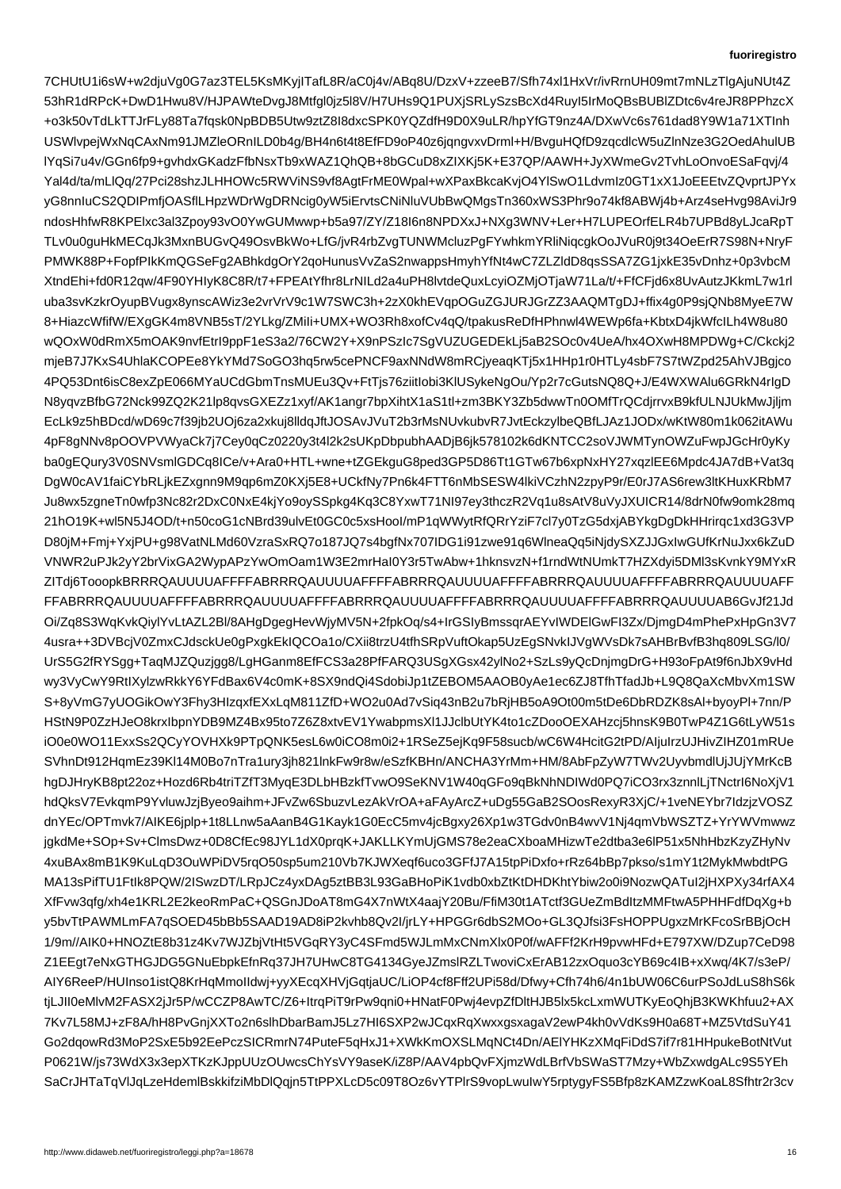7CHUtU1i6sW+w2djuVg0G7az3TEL5KsMKyjITafL8R/aC0j4v/ABq8U/DzxV+zzeeB7/Sfh74xl1HxVr/ivRrnUH09mt7mNLzTlgAjuNUt4Z 53hR1dRPcK+DwD1Hwu8V/HJPAWteDvgJ8Mtfgl0jz5l8V/H7UHs9Q1PUXjSRLySzsBcXd4RuyI5IrMoQBsBUBlZDtc6v4reJR8PPhzcX +o3k50vTdLkTTJrFLy88Ta7fqsk0NpBDB5Utw9ztZ8l8dxcSPK0YQZdfH9D0X9uLR/hpYfGT9nz4A/DXwVc6s761dad8Y9W1a71XTlnh USWIvpejWxNqCAxNm91JMZleORnILD0b4q/BH4n6t4t8EfFD9oP40z6jqnqvxvDrml+H/BvquHQfD9zqcdlcW5uZlnNze3G2OedAhulUB IYqSi7u4v/GGn6fp9+gvhdxGKadzFfbNsxTb9xWAZ1QhQB+8bGCuD8xZIXKj5K+E37QP/AAWH+JyXWmeGv2TvhLoOnvoESaFqvj/4 Yal4d/ta/mLlQq/27Pci28shzJLHHOWc5RWViNS9vf8AgtFrME0Wpal+wXPaxBkcaKvjO4YISwO1Ldvmlz0GT1xX1JoEEEtvZQvprtJPYx yG8nnIuCS2QDIPmfjOASfILHpzWDrWgDRNcig0yW5iErvtsCNiNIuVUbBwQMgsTn360xWS3Phr9o74kf8ABWj4b+Arz4seHvg98AviJr9 ndosHhfwR8KPEIxc3al3Zpoy93vO0YwGUMwwp+b5a97/ZY/Z18I6n8NPDXxJ+NXg3WNV+Ler+H7LUPEOrfELR4b7UPBd8yLJcaRpT TLv0u0guHkMECqJk3MxnBUGvQ49OsvBkWo+LfG/jvR4rbZvgTUNWMcluzPgFYwhkmYRliNiqcgkOoJVuR0j9t34OeErR7S98N+NryF PMWK88P+FopfPlkKmQGSeFg2ABhkdgOrY2qoHunusVvZaS2nwappsHmyhYfNt4wC7ZLZldD8qsSSA7ZG1jxkE35vDnhz+0p3vbcM XtndEhi+fd0R12qw/4F90YHlyK8C8R/t7+FPEAtYfhr8LrNILd2a4uPH8lvtdeQuxLcyiOZMjOTjaW71La/t/+FfCFjd6x8UvAutzJKkmL7w1rl uba3svKzkrOyupBVugx8ynscAWiz3e2vrVrV9c1W7SWC3h+2zX0khEVgpOGuZGJURJGrZZ3AAQMTqDJ+ffix4g0P9siQNb8MyeE7W 8+HiazcWfifW/EXqGK4m8VNB5sT/2YLkq/ZMili+UMX+WO3Rh8xofCv4qQ/tpakusReDfHPhnwl4WEWp6fa+KbtxD4jkWfclLh4W8u80 wQOxW0dRmX5mOAK9nvfEtrl9ppF1eS3a2/76CW2Y+X9nPSzlc7SqVUZUGEDEkLj5aB2SOc0v4UeA/hx4OXwH8MPDWg+C/Ckckj2 mjeB7J7KxS4UhlaKCOPEe8YkYMd7SoGO3hq5rw5cePNCF9axNNdW8mRCjyeaqKTj5x1HHp1r0HTLy4sbF7S7tWZpd25AhVJBqjco 4PQ53Dnt6isC8exZpE066MYaUCdGbmTnsMUEu3Qv+FtTjs76ziitlobi3KlUSykeNgOu/Yp2r7cGutsNQ8Q+J/E4WXWAlu6GRkN4rlgD N8yqvzBfbG72Nck99ZQ2K21lp8qvsGXEZz1xyf/AK1angr7bpXihtX1aS1tl+zm3BKY3Zb5dwwTn0OMfTrQCdjrrvxB9kfULNJUkMwJjljm EcLk9z5hBDcd/wD69c7f39jb2UOj6za2xkuj8lldqJftJOSAvJVuT2b3rMsNUvkubvR7JvtEckzylbeQBfLJAz1JODx/wKtW80m1k062itAWu 4pF8gNNv8pOOVPVWyaCk7j7Cey0qCz0220y3t4l2k2sUKpDbpubhAADjB6jk578102k6dKNTCC2soVJWMTynOWZuFwpJGcHr0yKy ba0qEQury3V0SNVsmlGDCq8ICe/v+Ara0+HTL+wne+tZGEkquG8ped3GP5D86Tt1GTw67b6xpNxHY27xqzIEE6Mpdc4JA7dB+Vat3q DgW0cAV1faiCYbRLjkEZxgnn9M9qp6mZ0KXj5E8+UCkfNy7Pn6k4FTT6nMbSESW4lkiVCzhN2zpyP9r/E0rJ7AS6rew3ltKHuxKRbM7 Ju8wx5zgneTn0wfp3Nc82r2DxC0NxE4kjYo9oySSpkq4Kq3C8YxwT71Nl97ey3thczR2Vq1u8sAtV8uVyJXUICR14/8drN0fw9omk28mg 21hO19K+wl5N5J4OD/t+n50coG1cNBrd39ulvEt0GC0c5xsHool/mP1qWWytRfQRrYziF7cl7y0TzG5dxiABYkgDgDkHHrirgc1xd3G3VP D80jM+Fmj+YxjPU+q98VatNLMd60VzraSxRQ7o187JQ7s4bgfNx707IDG1i91zwe91q6WlneaQq5iNjdySXZJJGxIwGUfKrNuJxx6kZuD VNWR2uPJk2yY2brVixGA2WypAPzYwOmOam1W3E2mrHaI0Y3r5TwAbw+1hknsvzN+f1rndWtNUmkT7HZXdyi5DMl3sKvnkY9MYxR ZITdi6TooopkBRRRQAUUUUAFFFFABRRRQAUUUUAFFFFABRRRQAUUUUAFFFFABRRRQAUUUUAFFFFABRRRQAUUUUAFF FFABRRRQAUUUUAFFFFABRRRQAUUUUAFFFFABRRRQAUUUUAFFFFABRRRQAUUUUAFFFFABRRRQAUUUUAB6GvJf21Jd Oi/Zq8S3WqKvkQiylYvLtAZL2Bl/8AHgDgegHevWjyMV5N+2fpkOq/s4+IrGSIyBmssqrAEYvIWDEIGwFl3Zx/DjmgD4mPhePxHpGn3V7 4usra++3DVBcjV0ZmxCJdsckUe0gPxgkEkIQCOa1o/CXii8trzU4tfhSRpVuftOkap5UzEgSNvkIJVgWVsDk7sAHBrBvfB3hq809LSG/l0/ UrS5G2fRYSgg+TaqMJZQuzjgg8/LgHGanm8EfFCS3a28PfFARQ3USgXGsx42ylNo2+SzLs9yQcDnjmgDrG+H93oFpAt9f6nJbX9vHd wy3VyCwY9RtlXylzwRkkY6YFdBax6V4c0mK+8SX9ndQi4SdobiJp1tZEBOM5AAOB0yAe1ec6ZJ8TfhTfadJb+L9Q8QaXcMbvXm1SW S+8yVmG7yUOGikOwY3Fhy3HIzqxfEXxLqM811ZfD+WO2u0Ad7vSiq43nB2u7bRjHB5oA9Ot00m5tDe6DbRDZK8sAl+byoyPl+7nn/P HStN9P0ZzHJeO8krxlbpnYDB9MZ4Bx95to7Z6Z8xtvEV1YwabpmsXl1JJclbUtYK4to1cZDooOEXAHzcj5hnsK9B0TwP4Z1G6tLyW51s iO0e0WO11ExxSs2QCvYOVHXk9PTpQNK5esL6w0iCO8m0i2+1RSeZ5eiKq9F58sucb/wC6W4HcitG2tPD/AliulrzUJHivZlHZ01mRUe SVhnDt912HqmEz39Kl14M0Bo7nTra1ury3jh821lnkFw9r8w/eSzfKBHn/ANCHA3YrMm+HM/8AbFpZyW7TWv2UyvbmdlUjJUjYMrKcB hgDJHryKB8pt22oz+Hozd6Rb4triTZfT3MyqE3DLbHBzkfTvwO9SeKNV1W40qGFo9qBkNhNDIWd0PQ7iCO3rx3znnlLjTNctrl6NoXjV1 hdQksV7EvkgmP9YvluwJzjByeo9aihm+JFvZw6SbuzvLezAkVrOA+aFAyArcZ+uDg55GaB2SOosRexyR3XjC/+1veNEYbr7ldzjzVOSZ dnYEc/OPTmvk7/AIKE6jplp+1t8LLnw5aAanB4G1Kayk1G0EcC5mv4jcBgxy26Xp1w3TGdv0nB4wvV1Nj4qmVbWSZTZ+YrYWVmwwz jgkdMe+SOp+Sv+ClmsDwz+0D8CfEc98JYL1dX0prgK+JAKLLKYmUjGMS78e2eaCXboaMHizwTe2dtba3e6lP51x5NhHbzKzyZHyNv 4xuBAx8mB1K9KuLqD3OuWPiDV5rqO50sp5um210Vb7KJWXeqf6uco3GFfJ7A15tpPiDxfo+rRz64bBp7pkso/s1mY1t2MykMwbdtPG MA13sPifTU1Ftlk8PQW/2ISwzDT/LRpJCz4yxDAq5ztBB3L93GaBHoPiK1vdb0xbZtKtDHDKhtYbiw2o0i9NozwQATuI2jHXPXy34rfAX4 XfFvw3qfq/xh4e1KRL2E2keoRmPaC+QSGnJDoAT8mG4X7nWtX4aajY20Bu/FfiM30t1ATctf3GUeZmBdItzMMFtwA5PHHFdfDqXq+b y5bvTtPAWMLmFA7qSOED45bBb5SAAD19AD8iP2kvhb8Qv2l/irLY+HPGGr6dbS2MOo+GL3QJfsi3FsHOPPUqxzMrKFcoSrBBjOcH 1/9m//AIK0+HNOZtE8b31z4Kv7WJZbjVtHt5VGqRY3yC4SFmd5WJLmMxCNmXlx0P0f/wAFFf2KrH9pvwHFd+E797XW/DZup7CeD98 Z1EEgt7eNxGTHGJDG5GNuEbpkEfnRq37JH7UHwC8TG4134GyeJZmslRZLTwoviCxErAB12zxOquo3cYB69c4lB+xXwq/4K7/s3eP/ AIY6ReeP/HUInso1istQ8KrHqMmoIIdwj+yyXEcqXHVjGqtjaUC/LiOP4cf8Fff2UPi58d/Dfwy+Cfh74h6/4n1bUW06C6urPSoJdLuS8hS6k tjLJII0eMlvM2FASX2jJr5P/wCCZP8AwTC/Z6+ltrqPiT9rPw9qni0+HNatF0Pwj4evpZfDltHJB5lx5kcLxmWUTKyEoQhjB3KWKhfuu2+AX 7Kv7L58MJ+zF8A/hH8PvGnjXXTo2n6slhDbarBamJ5Lz7HI6SXP2wJCqxRqXwxxgsxagaV2ewP4kh0vVdKs9H0a68T+MZ5VtdSuY41 Go2dqowRd3MoP2SxE5b92EePczSICRmrN74PuteF5qHxJ1+XWkKmOXSLMqNCt4Dn/AEIYHKzXMqFiDdS7if7r81HHpukeBotNtVut P0621W/js73WdX3x3epXTKzKJppUUzOUwcsChYsVY9aseK/iZ8P/AAV4pbQvFXjmzWdLBrfVbSWaST7Mzy+WbZxwdqALc9S5YEh SaCrJHTaTqVIJqLzeHdemlBskkifziMbDlQqjn5TtPPXLcD5c09T8Oz6vYTPlrS9vopLwulwY5rptygyFS5Bfp8zKAMZzwKoaL8Sfhtr2r3cv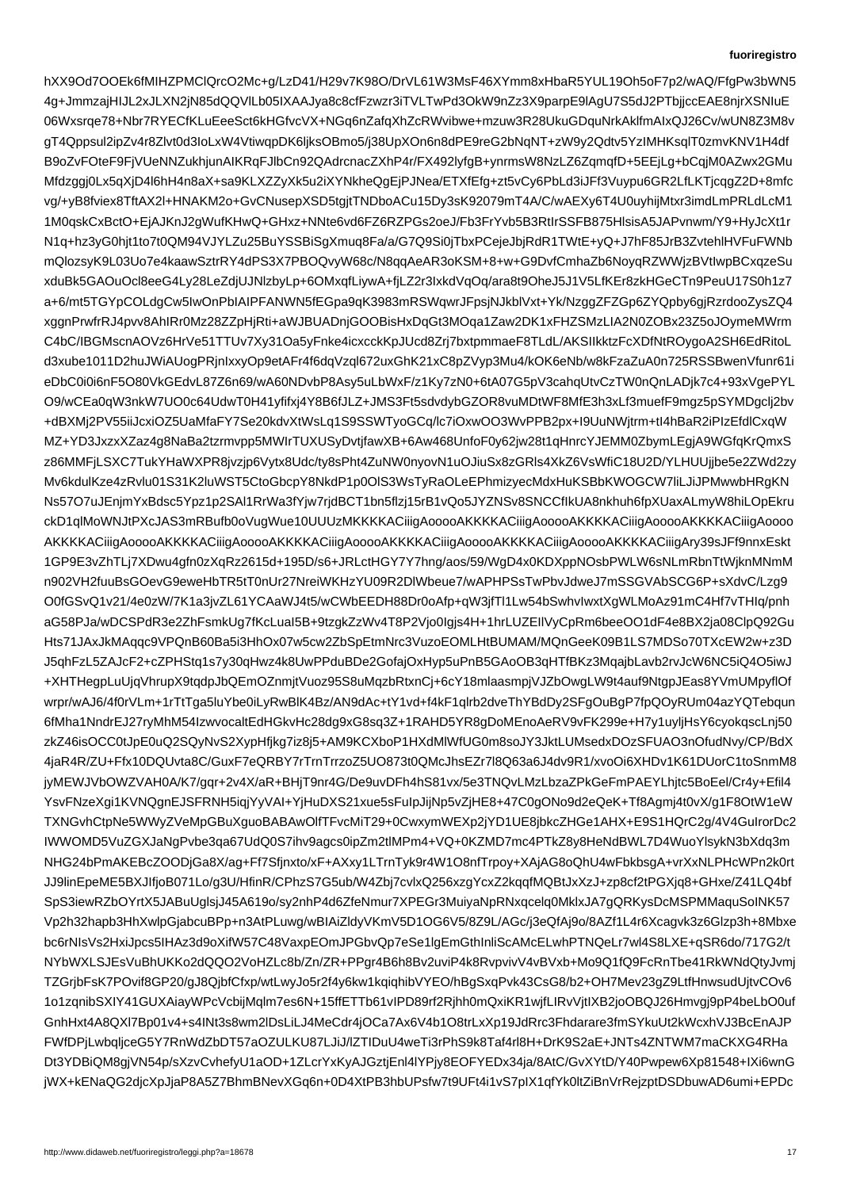hXX9Od7OOEk6fMIHZPMClQrcO2Mc+g/LzD41/H29v7K98O/DrVL61W3MsF46XYmm8xHbaR5YUL19Oh5oF7p2/wAQ/FfgPw3bWN5 4g+JmmzajHIJL2xJLXN2jN85dQQVILb05IXAAJya8c8cfFzwzr3iTVLTwPd3OkW9nZz3X9parpE9IAgU7S5dJ2PTbjjccEAE8njrXSNIuE 06Wxsrge78+Nbr7RYECfKLuEeeSct6kHGfvcVX+NGg6nZafgXhZcRWvibwe+mzuw3R28UkuGDguNrkAklfmAlxQJ26Cv/wUN8Z3M8v gT4Qppsul2ipZv4r8Zlvt0d3loLxW4VtiwqpDK6ljksOBmo5/j38UpXOn6n8dPE9reG2bNqNT+zW9y2Qdtv5YzIMHKsqlT0zmvKNV1H4df B9oZvFOteF9FjVUeNNZukhjunAIKRqFJlbCn92QAdrcnacZXhP4r/FX492lyfgB+ynrmsW8NzLZ6ZqmqfD+5EEjLg+bCqjM0AZwx2GMu Mfdzggj0Lx5qXjD4l6hH4n8aX+sa9KLXZZyXk5u2iXYNkheQgEjPJNea/ETXfEfg+zt5vCy6PbLd3iJFf3Vuypu6GR2LfLKTjcqgZ2D+8mfc vg/+yB8fviex8TftAX2I+HNAKM2o+GvCNusepXSD5tgjtTNDboACu15Dy3sK92079mT4A/C/wAEXy6T4U0uyhijMtxr3imdLmPRLdLcM1 1M0qskCxBctO+EjAJKnJ2gWufKHwQ+GHxz+NNte6vd6FZ6RZPGs2oeJ/Fb3FrYvb5B3RtIrSSFB875HlsisA5JAPvnwm/Y9+HvJcXt1r N1q+hz3yG0hjt1to7t0QM94VJYLZu25BuYSSBiSgXmuq8Fa/a/G7Q9Si0jTbxPCejeJbjRdR1TWtE+yQ+J7hF85JrB3ZvtehlHVFuFWNb mQlozsyK9L03Uo7e4kaawSztrRY4dPS3X7PBOQvyW68c/N8qqAeAR3oKSM+8+w+G9DvfCmhaZb6NoyqRZWWjzBVtlwpBCxqzeSu xduBk5GAOuOcl8eeG4Ly28LeZdjUJNlzbyLp+6OMxqfLiywA+fjLZ2r3lxkdVqOq/ara8t9OheJ5J1V5LfKEr8zkHGeCTn9PeuU17S0h1z7 a+6/mt5TGYpCOLdqCw5IwOnPbIAIPFANWN5fEGpa9qK3983mRSWqwrJFpsiNJkblVxt+Yk/NzqqZFZGp6ZYQpby6qjRzrdooZysZQ4 xggnPrwfrRJ4pvv8AhIRr0Mz28ZZpHjRti+aWJBUADnjGOOBisHxDqGt3MOga1Zaw2DK1xFHZSMzLIA2N0ZOBx23Z5oJOymeMWrm C4bC/IBGMscnAOVz6HrVe51TTUv7Xy31Oa5yFnke4icxcckKpJUcd8Zrj7bxtpmmaeF8TLdL/AKSIIkktzFcXDfNtROygoA2SH6EdRitoL d3xube1011D2huJWiAUogPRjnlxxyOp9etAFr4f6dqVzql672uxGhK21xC8pZVyp3Mu4/kOK6eNb/w8kFzaZuA0n725RSSBwenVfunr61i eDbC0i0i6nF5O80VkGEdvL87Z6n69/wA60NDvbP8Asy5uLbWxF/z1Ky7zN0+6tA07G5pV3cahqUtvCzTW0nQnLADjk7c4+93xVgePYL O9/wCEa0qW3nkW7UO0c64UdwT0H41yfifxj4Y8B6fJLZ+JMS3Ft5sdvdybGZOR8vuMDtWF8MfE3h3xLf3muefF9mgz5pSYMDgclj2bv +dBXMj2PV55iiJcxiOZ5UaMfaFY7Se20kdvXtWsLq1S9SSWTyoGCq/lc7iOxwOO3WvPPB2px+I9UuNWjtrm+tl4hBaR2iPlzEfdlCxqW MZ+YD3JxzxXZaz4g8NaBa2tzrmvpp5MWIrTUXUSyDvtjfawXB+6Aw468UnfoF0y62jw28t1qHnrcYJEMM0ZbymLEgjA9WGfqKrQmxS z86MMFjLSXC7TukYHaWXPR8jvzjp6Vytx8Udc/ty8sPht4ZuNW0nyovN1uOJiuSx8zGRls4XkZ6VsWfiC18U2D/YLHUUjibe5e2ZWd2zy Mv6kdulKze4zRvlu01S31K2luWST5CtoGbcpY8NkdP1p0OlS3WsTyRaOLeEPhmizyecMdxHuKSBbKWOGCW7liLJiJPMwwbHRgKN Ns57O7uJEnjmYxBdsc5Ypz1p2SAI1RrWa3fYjw7rjdBCT1bn5flzj15rB1vQo5JYZNSv8SNCCflkUA8nkhuh6fpXUaxALmyW8hiLOpEkru ckD1qlMoWNJtPXcJAS3mRBufb0oVugWue10UUUzMKKKKACiiigAooooAKKKKACiiigAooooAKKKKACiiigAooooAKKKKACiiigAoooo AKKKKACiiigAooooAKKKKACiiigAooooAKKKKACiiigAooooAKKKKACiiigAooooAKKKKACiiigAooooAKKKKACiiigAry39sJFf9nnxEskt 1GP9E3vZhTLj7XDwu4gfn0zXqRz2615d+195D/s6+JRLctHGY7Y7hng/aos/59/WgD4x0KDXppNOsbPWLW6sNLmRbnTtWjknMNmM n902VH2fuuBsGOevG9eweHbTR5tT0nUr27NreiWKHzYU09R2DIWbeue7/wAPHPSsTwPbvJdweJ7mSSGVAbSCG6P+sXdvC/Lzg9 O0fGSvQ1v21/4e0zW/7K1a3jvZL61YCAaWJ4t5/wCWbEEDH88Dr0oAfp+qW3jfTl1Lw54bSwhvlwxtXqWLMoAz91mC4Hf7vTHlq/pnh aG58PJa/wDCSPdR3e2ZhFsmkUg7fKcLuaI5B+9tzgkZzWv4T8P2Vjo0lgjs4H+1hrLUZEIIVyCpRm6beeOO1dF4e8BX2ja08ClpQ92Gu Hts71JAxJkMAggc9VPQnB60Ba5i3HhOx07w5cw2ZbSpEtmNrc3VuzoEOMLHtBUMAM/MQnGeeK09B1LS7MDSo70TXcEW2w+z3D J5qhFzL5ZAJcF2+cZPHStq1s7y30qHwz4k8UwPPduBDe2GofajOxHyp5uPnB5GAoOB3qHTfBKz3MqajbLavb2rvJcW6NC5iQ4O5iwJ +XHTHegpLuUjqVhrupX9tqdpJbQEmOZnmjtVuoz95S8uMqzbRtxnCj+6cY18mlaasmpjVJZbOwqLW9t4auf9NtgpJEas8YVmUMpyflOf wrpr/wAJ6/4f0rVLm+1rTtTga5luYbe0iLyRwBlK4Bz/AN9dAc+tY1vd+f4kF1qlrb2dveThYBdDv2SFqOuBqP7fpQOvRUm04azYQTebaun 6fMha1NndrEJ27ryMhM54IzwvocaltEdHGkvHc28dq9xG8sq3Z+1RAHD5YR8qDoMEnoAeRV9vFK299e+H7y1uvliHsY6cyokqscLni50 zkZ46isOCC0tJpE0uQ2SQvNvS2XvpHfikq7iz8i5+AM9KCXboP1HXdMlWfUG0m8soJY3JktLUMsedxDOzSFUAO3nOfudNvv/CP/BdX 4jaR4R/ZU+Ffx10DQUvta8C/GuxF7eQRBY7rTrnTrrzoZ5UO873t0QMcJhsEZr7l8Q63a6J4dv9R1/xvoOi6XHDv1K61DUorC1toSnmM8 jyMEWJVbOWZVAH0A/K7/gqr+2v4X/aR+BHjT9nr4G/De9uvDFh4hS81vx/5e3TNQvLMzLbzaZPkGeFmPAEYLhjtc5BoEel/Cr4y+Efil4 YsvFNzeXgi1KVNQgnEJSFRNH5iqjYyVAI+YjHuDXS21xue5sFulpJijNp5vZjHE8+47C0gONo9d2eQeK+Tf8Agmj4t0vX/g1F8OtW1eW TXNGvhCtpNe5WWyZVeMpGBuXguoBABAwOlfTFvcMiT29+0CwxymWEXp2jYD1UE8jbkcZHGe1AHX+E9S1HQrC2g/4V4GuIrorDc2 IWWOMD5VuZGXJaNqPvbe3qa67UdQ0S7ihv9aqcs0ipZm2tlMPm4+VQ+0KZMD7mc4PTkZ8y8HeNdBWL7D4WuoYlsykN3bXdq3m NHG24bPmAKEBcZOODjGa8X/ag+Ff7Sfjnxto/xF+AXxy1LTrnTyk9r4W1O8nfTrpoy+XAjAG8oQhU4wFbkbsgA+vrXxNLPHcWPn2k0rt JJ9linEpeME5BXJlfjoB071Lo/q3U/HfinR/CPhzS7G5ub/W4Zbj7cvlxQ256xzqYcxZ2kqqfMQBtJxXzJ+zp8cf2tPGXjq8+GHxe/Z41LQ4bf SpS3iewRZbOYrtX5JABuUqlsiJ45A619o/sy2nhP4d6ZfeNmur7XPEGr3MuiyaNpRNxqcelq0MklxJA7qQRKysDcMSPMMaquSoINK57 Vp2h32hapb3HhXwlpGjabcuBPp+n3AtPLuwq/wBIAiZldyVKmV5D1OG6V5/8Z9L/AGc/j3eQfAj9o/8AZf1L4r6Xcaqvk3z6Glzp3h+8Mbxe bc6rNlsVs2HxiJpcs5IHAz3d9oXifW57C48VaxpEOmJPGbvQp7eSe1IgEmGthInliScAMcELwhPTNQeLr7wl4S8LXE+qSR6do/717G2/t NYbWXLSJEsVuBhUKKo2dQQO2VoHZLc8b/Zn/ZR+PPgr4B6h8Bv2uviP4k8RvpvivV4vBVxb+Mo9Q1fQ9FcRnTbe41RkWNdQtyJvmj TZGrjbFsK7POvif8GP20/gJ8QjbfCfxp/wtLwyJo5r2f4y6kw1kqiqhibVYEO/hBgSxqPvk43CsG8/b2+OH7Mev23gZ9LtfHnwsudUjtvCOv6 1o1zqnibSXIY41GUXAiayWPcVcbijMqlm7es6N+15ffETTb61vIPD89rf2Rjhh0mQxiKR1wjfLlRvVjtlXB2joOBQJ26Hmvgj9pP4beLbO0uf GnhHxt4A8QXI7Bp01v4+s4lNt3s8wm2lDsLiLJ4MeCdr4jOCa7Ax6V4b1O8trLxXp19JdRrc3Fhdarare3fmSYkuUt2kWcxhVJ3BcEnAJP FWfDPjLwbqljceG5Y7RnWdZbDT57aOZULKU87LJiJ/IZTIDuU4weTi3rPhS9k8Taf4rl8H+DrK9S2aE+JNTs4ZNTWM7maCKXG4RHa Dt3YDBiQM8gjVN54p/sXzvCvhefyU1aOD+1ZLcrYxKyAJGztjEnl4lYPjy8EOFYEDx34ja/8AtC/GvXYtD/Y40Pwpew6Xp81548+IXi6wnG jWX+kENaQG2djcXpJjaP8A5Z7BhmBNevXGq6n+0D4XtPB3hbUPsfw7t9UFt4i1vS7plX1qfYk0ltZiBnVrRejzptDSDbuwAD6umi+EPDc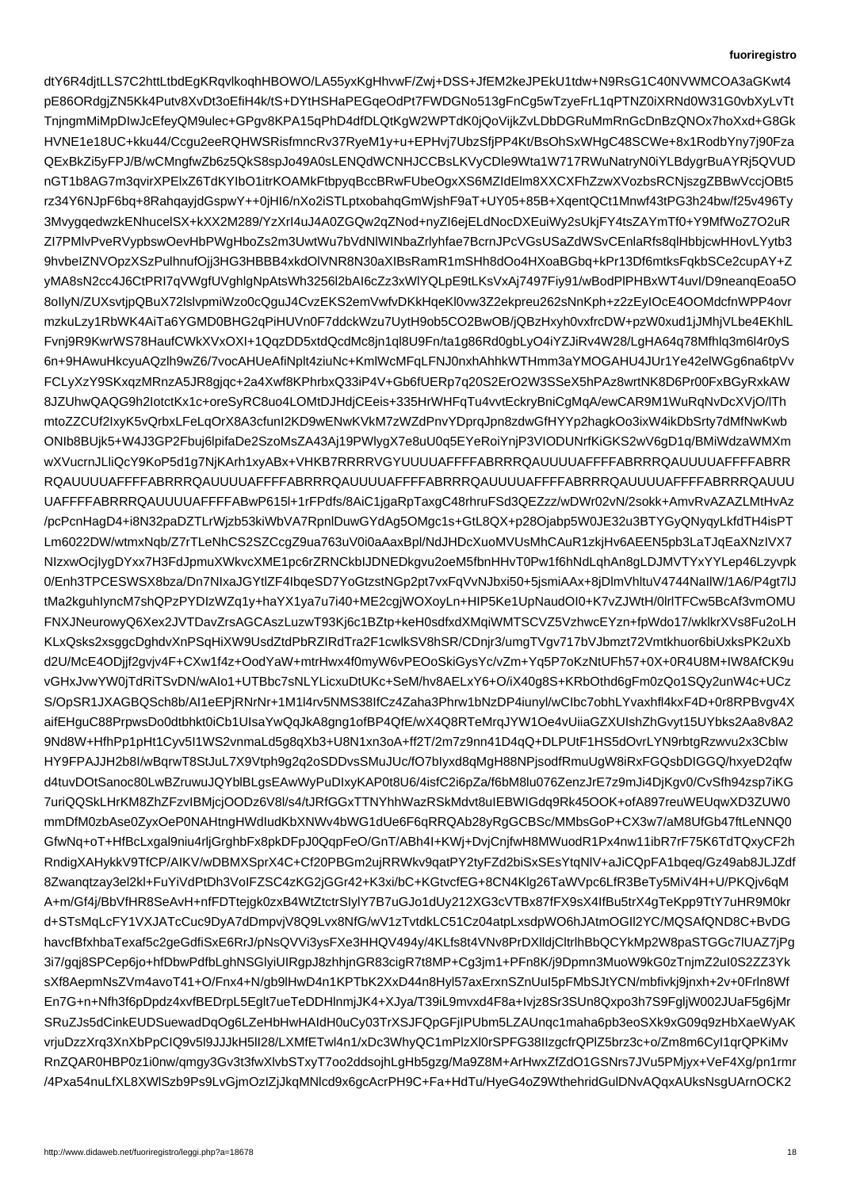dtY6R4djtLLS7C2httLtbdEgKRqvlkoqhHBOWO/LA55yxKgHhvwF/Zwj+DSS+JfEM2keJPEkU1tdw+N9RsG1C40NVWMCOA3aGKwt4 pE86ORdgjZN5Kk4Putv8XvDt3oEfiH4k/tS+DYtHSHaPEGqeOdPt7FWDGNo513gFnCg5wTzyeFrL1qPTNZ0iXRNd0W31G0vbXyLvTt TnjngmMiMpDIwJcEfeyQM9ulec+GPgv8KPA15gPhD4dfDLQtKgW2WPTdK0jQoVijkZvLDbDGRuMmRnGcDnBzQNOx7hoXxd+G8Gk HVNE1e18UC+kku44/Ccqu2eeRQHWSRisfmncRv37RyeM1y+u+EPHvj7UbzSfjPP4Kt/BsOhSxWHqC48SCWe+8x1RodbYny7j90Fza QExBkZi5yFPJ/B/wCMngfwZb6z5QkS8spJo49A0sLENQdWCNHJCCBsLKVyCDle9Wta1W717RWuNatryN0iYLBdygrBuAYRj5QVUD nGT1b8AG7m3qvirXPEIxZ6TdKYIbO1itrKOAMkFtbpyqBccBRwFUbeOgxXS6MZIdEIm8XXCXFhZzwXVozbsRCNjszgZBBwVccjOBt5 rz34Y6NJpF6bq+8RahqayjdGspwY++0jHl6/nXo2iSTLptxobahqGmWjshF9aT+UY05+85B+XqentQCt1Mnwf43tPG3h24bw/f25v496Ty 3MvygqedwzkENhuceISX+kXX2M289/YzXrI4uJ4A0ZGQw2qZNod+nyZI6ejELdNocDXEuiWy2sUkjFY4tsZAYmTf0+Y9MfWoZ7O2uR ZI7PMIvPveRVypbswOevHbPWgHboZs2m3UwtWu7bVdNIWINbaZrlyhfae7BcrnJPcVGsUSaZdWSvCEnlaRfs8qlHbbjcwHHovLYytb3 9hvbelZNVOpzXSzPulhnufOjj3HG3HBBB4xkdOlVNR8N30aXIBsRamR1mSHh8dOo4HXoaBGbq+kPr13Df6mtksFqkbSCe2cupAY+Z yMA8sN2cc4J6CtPRI7qVWgfUVghlgNpAtsWh3256l2bAl6cZz3xWlYQLpE9tLKsVxAj7497Fiy91/wBodPlPHBxWT4uvl/D9neanqEoa5O 8ollyN/ZUXsvtjpQBuX72lslvpmiWzo0cQquJ4CvzEKS2emVwfvDKkHqeKl0vw3Z2ekpreu262sNnKph+z2zEyIOcE4OOMdcfnWPP4ovr mzkuLzy1RbWK4AiTa6YGMD0BHG2qPiHUVn0F7ddckWzu7UytH9ob5CO2BwOB/iQBzHxyh0vxfrcDW+pzW0xud1jJMhjVLbe4EKhlL Fvnj9R9KwrWS78HaufCWkXVxOXI+1QqzDD5xtdQcdMc8jn1ql8U9Fn/ta1g86Rd0gbLyO4iYZJiRv4W28/LgHA64q78Mfhlq3m6l4r0yS 6n+9HAwuHkcvuAQzlh9wZ6/7vocAHUeAfiNplt4ziuNc+KmlWcMFaLFNJ0nxhAhhkWTHmm3aYMOGAHU4JUr1Ye42elWGa6na6tpVv FCLyXzY9SKxqzMRnzA5JR8gjqc+2a4Xwf8KPhrbxQ33iP4V+Gb6fUERp7q20S2ErO2W3SSeX5hPAz8wrtNK8D6Pr00FxBGyRxkAW 8JZUhwQAQG9h2lotctKx1c+oreSyRC8uo4LOMtDJHdjCEeis+335HrWHFqTu4vvtEckryBniCgMqA/ewCAR9M1WuRqNvDcXVjO/ITh mtoZZCUf2IxyK5vQrbxLFeLqOrX8A3cfunI2KD9wENwKVkM7zWZdPnvYDprqJpn8zdwGfHYYp2hagkOo3ixW4ikDbSrty7dMfNwKwb ONIb8BUjk5+W4J3GP2Fbuj6lpifaDe2SzoMsZA43Aj19PWlygX7e8uU0q5EYeRoiYnjP3VIODUNrfKiGKS2wV6gD1q/BMiWdzaWMXm wXVucrnJLliQcY9KoP5d1q7NjKArh1xyABx+VHKB7RRRRVGYUUUUAFFFFABRRRQAUUUUAFFFFABRRRQAUUUUAFFFFABRR RQAUUUUAFFFFABRRRQAUUUUAFFFFABRRRQAUUUUAFFFFABRRRQAUUUUAFFFFABRRRQAUUUUAFFFFABRRRQAUUU UAFFFFABRRRQAUUUUAFFFFABwP615I+1rFPdfs/8AiC1jqaRpTaxqC48rhruFSd3QEZzz/wDWr02vN/2sokk+AmvRvAZAZLMtHvAz /pcPcnHagD4+i8N32paDZTLrWjzb53kiWbVA7RpnlDuwGYdAg5OMgc1s+GtL8QX+p28Ojabp5W0JE32u3BTYGyQNyqyLkfdTH4isPT Lm6022DW/wtmxNqb/Z7rTLeNhCS2SZCcgZ9ua763uV0i0aAaxBpl/NdJHDcXuoMVUsMhCAuR1zkjHv6AEEN5pb3LaTJqEaXNzIVX7 NIzxwOcjIygDYxx7H3FdJpmuXWkvcXME1pc6rZRNCkbIJDNEDkgvu2oeM5fbnHHvT0Pw1f6hNdLqhAn8qLDJMVTYxYYLep46Lzyvpk 0/Enh3TPCESWSX8bza/Dn7NlxaJGYtlZF4IbqeSD7YoGtzstNGp2pt7vxFqVvNJbxi50+5jsmiAAx+8jDlmVhltuV4744NallW/1A6/P4gt7lJ tMa2kguhlyncM7shQPzPYDIzWZq1y+haYX1ya7u7i40+ME2cgjWOXoyLn+HIP5Ke1UpNaudOl0+K7vZJWtH/0lrlTFCw5BcAf3vmOMU FNXJNeurowyQ6Xex2JVTDavZrsAGCAszLuzwT93Kj6c1BZtp+keH0sdfxdXMqiWMTSCVZ5VzhwcEYzn+fpWdo17/wklkrXVs8Fu2oLH KLxQsks2xsqqcDqhdvXnPSqHiXW9UsdZtdPbRZIRdTra2F1cwlkSV8hSR/CDnjr3/umqTVqv717bVJbmzt72Vmtkhuor6biUxksPK2uXb d2U/McE4ODjjf2gvjv4F+CXw1f4z+OodYaW+mtrHwx4f0myW6vPEOoSkiGysYc/vZm+Yq5P7oKzNtUFh57+0X+0R4U8M+IW8AfCK9u vGHxJvwYW0jTdRiTSvDN/wAIo1+UTBbc7sNLYLicxuDtUKc+SeM/hv8AELxY6+O/iX40q8S+KRbOthd6qFm0zQo1SQv2unW4c+UCz S/OpSR1JXAGBQSch8b/AI1eEPjRNrNr+1M1l4rv5NMS38lfCz4Zaha3Phrw1bNzDP4iunyl/wClbc7obhLYvaxhfl4kxF4D+0r8RPBvqv4X aifEHquC88PrpwsDo0dtbhkt0iCb1UIsaYwQqJkA8qnq1ofBP4QfE/wX4Q8RTeMrqJYW1Oe4vUiiaGZXUIshZhGvyt15UYbks2Aa8v8A2 9Nd8W+HfhPp1pHt1Cvv5I1WS2vnmaLd5q8qXb3+U8N1xn3oA+ff2T/2m7z9nn41D4qQ+DLPUtF1HS5dOvrLYN9rbtgRzwvu2x3Cblw HY9FPAJJH2b8l/wBqrwT8StJuL7X9Vtph9g2q2oSDDvsSMuJUc/fO7blyxd8qMgH88NPjsodfRmuUgW8iRxFGQsbDIGGQ/hxyeD2qfw d4tuvDOtSanoc80LwBZruwuJQYbIBLgsEAwWyPuDIxyKAP0t8U6/4isfC2i6pZa/f6bM8lu076ZenzJrE7z9mJi4DjKgv0/CvSfh94zsp7iKG 7uriQQSkLHrKM8ZhZFzvIBMjcjOODz6V8l/s4/tJRfGGxTTNYhhWazRSkMdvt8uIEBWIGdq9Rk45OOK+ofA897reuWEUqwXD3ZUW0 mmDfM0zbAse0ZyxOeP0NAHtngHWdludKbXNWv4bWG1dUe6F6qRRQAb28yRgGCBSc/MMbsGoP+CX3w7/aM8UfGb47ftLeNNQ0 GfwNq+oT+HfBcLxqal9niu4rljGrqhbFx8pkDFpJ0QqpFeO/GnT/ABh4I+KWj+DvjCnjfwH8MWuodR1Px4nw11ibR7rF75K6TdTQxyCF2h RndigXAHykkV9TfCP/AIKV/wDBMXSprX4C+Cf20PBGm2ujRRWkv9qatPY2tyFZd2biSxSEsYtqNlV+aJiCQpFA1bqeq/Gz49ab8JLJZdf 8Zwangtzay3el2kl+FuYiVdPtDh3VoIFZSC4zKG2jGGr42+K3xi/bC+KGtvcfEG+8CN4Klq26TaWVpc6LfR3BeTy5MiV4H+U/PKQjv6qM A+m/Gf4j/BbVfHR8SeAvH+nfFDTteigk0zxB4WtZtctrSlylY7B7uGJo1dUy212XG3cVTBx87fFX9sX4lfBu5trX4gTeKpp9TtY7uHR9M0kr d+STsMqLcFY1VXJATcCuc9DyA7dDmpvjV8Q9Lvx8NfG/wV1zTvtdkLC51Cz04atpLxsdpWO6hJAtmOGII2YC/MQSAfQND8C+BvDG havcfBfxhbaTexaf5c2geGdfiSxE6RrJ/pNsQVVi3ysFXe3HHQV494y/4KLfs8t4VNv8PrDXlldjCltrlhBbQCYkMp2W8paSTGGc7lUAZ7jPg 3i7/gqj8SPCep6jo+hfDbwPdfbLghNSGlyiUIRgpJ8zhhjnGR83cigR7t8MP+Cg3jm1+PFn8K/j9Dpmn3MuoW9kG0zTnjmZ2uI0S2ZZ3Yk sXf8AepmNsZVm4avoT41+O/Fnx4+N/gb9lHwD4n1KPTbK2XxD44n8Hyl57axErxnSZnUuI5pFMbSJtYCN/mbfivkj9jnxh+2v+0Frln8Wf En7G+n+Nfh3f6pDpdz4xvfBEDrpL5Eglt7ueTeDDHlnmjJK4+XJya/T39iL9mvxd4F8a+Ivjz8Sr3SUn8Qxpo3h7S9FgljW002JUaF5q6jMr SRuZJs5dCinkEUDSuewadDqOg6LZeHbHwHAIdH0uCy03TrXSJFQpGFjIPUbm5LZAUnqc1maha6pb3eoSXk9xG09q9zHbXaeWyAK vrjuDzzXrq3XnXbPpClQ9v5l9JJJkH5ll28/LXMfETwl4n1/xDc3WhyQC1mPlzXl0rSPFG38llzgcfrQPlZ5brz3c+o/Zm8m6Cyl1qrQPKiMv RnZQAR0HBP0z1i0nw/qmgy3Gv3t3fwXlvbSTxyT7oo2ddsojhLgHb5gzg/Ma9Z8M+ArHwxZfZdO1GSNrs7JVu5PMjyx+VeF4Xg/pn1rmr /4Pxa54nuLfXL8XWISzb9Ps9LvGjmOzIZjJkqMNlcd9x6qcAcrPH9C+Fa+HdTu/HyeG4oZ9WthehridGulDNvAQqxAUksNsqUArnOCK2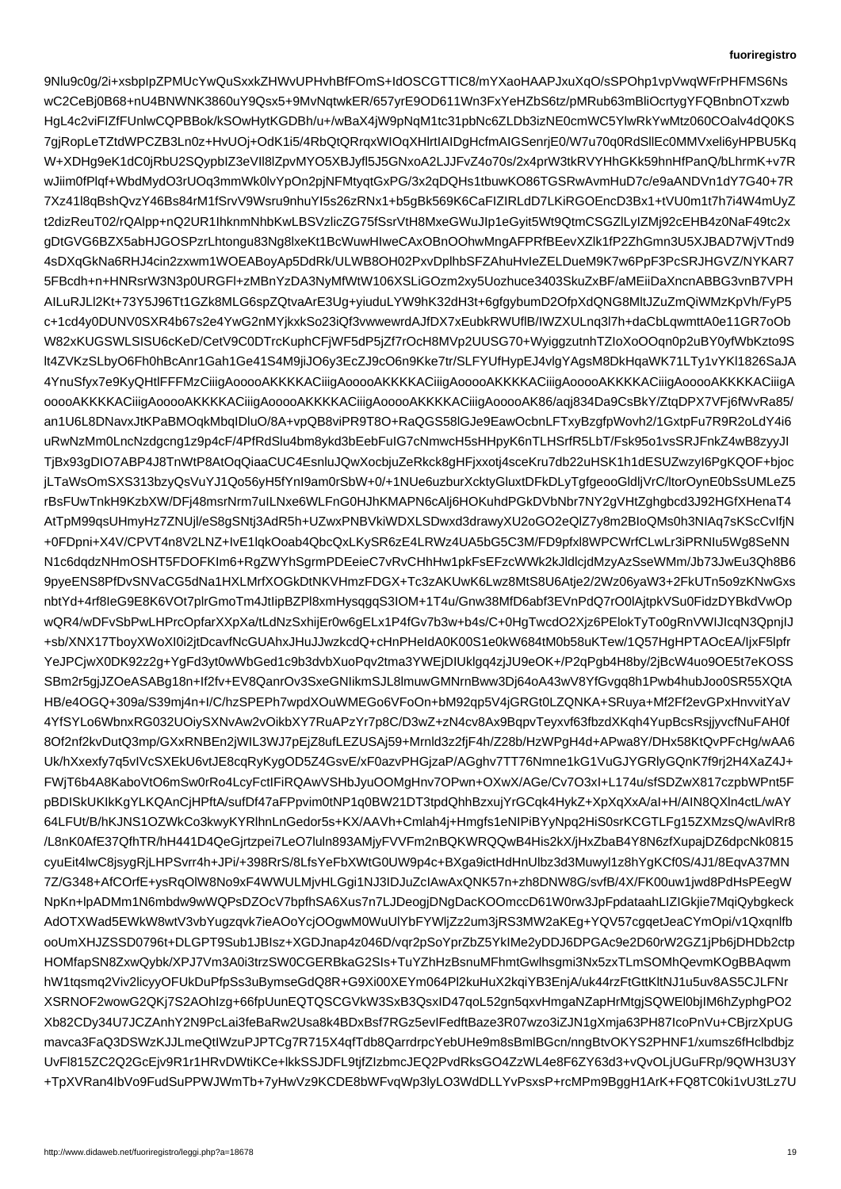9Nlu9c0q/2i+xsbpIpZPMUcYwQuSxxkZHWvUPHvhBfFOmS+IdOSCGTTIC8/mYXaoHAAPJxuXqO/sSPOhp1vpVwqWFrPHFMS6Ns wC2CeBj0B68+nU4BNWNK3860uY9Qsx5+9MvNqtwkER/657yrE9OD611Wn3FxYeHZbS6tz/pMRub63mBliOcrtygYFQBnbnOTxzwb HgL4c2viFIZfFUnlwCQPBBok/kSOwHytKGDBh/u+/wBaX4jW9pNqM1tc31pbNc6ZLDb3izNE0cmWC5YlwRkYwMtz060COalv4dQ0KS 7qjRopLeTZtdWPCZB3Ln0z+HvUOj+OdK1i5/4RbQtQRrqxWIOqXHlrtlAlDqHcfmAlGSenrjE0/W7u70q0RdSllEc0MMVxeli6yHPBU5Kq W+XDHg9eK1dC0jRbU2SQypbIZ3eVII8IZpvMYO5XBJyfI5J5GNxoA2LJJFvZ4o70s/2x4prW3tkRVYHhGKk59hnHfPanQ/bLhrmK+v7R wJiim0fPlqf+WbdMydO3rUOq3mmWk0lvYpOn2pjNFMtyqtGxPG/3x2qDQHs1tbuwKO86TGSRwAvmHuD7c/e9aANDVn1dY7G40+7R 7Xz41l8qBshQvzY46Bs84rM1fSrvV9Wsru9nhuYl5s26zRNx1+b5qBk569K6CaFIZIRLdD7LKiRGOEncD3Bx1+tVU0m1t7h7i4W4mUyZ t2dizReuT02/rQAlpp+nQ2UR1lhknmNhbKwLBSVzlicZG75fSsrVtH8MxeGWuJlp1eGyit5Wt9QtmCSGZILyIZMj92cEHB4z0NaF49tc2x gDtGVG6BZX5abHJGOSPzrLhtongu83Ng8lxeKt1BcWuwHlweCAxOBnOOhwMngAFPRfBEevXZlk1fP2ZhGmn3U5XJBAD7WjVTnd9 4sDXqGkNa6RHJ4cin2zxwm1WOEABoyAp5DdRk/ULWB8OH02PxvDplhbSFZAhuHvleZELDueM9K7w6PpF3PcSRJHGVZ/NYKAR7 5FBcdh+n+HNRsrW3N3p0URGFI+zMBnYzDA3NyMfWtW106XSLiGOzm2xy5Uozhuce3403SkuZxBF/aMEiiDaXncnABBG3vnB7VPH AILuRJLI2Kt+73Y5J96Tt1GZk8MLG6spZQtvaArE3Uq+yiuduLYW9hK32dH3t+6qfqybumD2OfpXdQNG8MltJZuZmQiWMzKpVh/FyP5 c+1cd4y0DUNV0SXR4b67s2e4YwG2nMYjkxkSo23iQf3vwwewrdAJfDX7xEubkRWUflB/IWZXULnq3l7h+daCbLqwmttA0e11GR7oOb W82xKUGSWLSISU6cKeD/CetV9C0DTrcKuphCFjWF5dP5jZf7rOcH8MVp2UUSG70+WyiggzutnhTZloXoOOqn0p2uBY0yfWbKzto9S lt4ZVKzSLbyO6Fh0hBcAnr1Gah1Ge41S4M9jiJO6y3EcZJ9cO6n9Kke7tr/SLFYUfHypEJ4vlgYAgsM8DkHqaWK71LTy1vYKl1826SaJA 4YnuSfyx7e9KyQHtIFFFMzCiiigAooooAKKKKACiiigAooooAKKKKACiiigAooooAKKKKACiiigAooooAKKKKACiiigAooooAKKKKACiiigA ooooAKKKKACiiigAooooAKKKKACiiigAooooAKKKKACiiigAooooAKKKKACiiigAooooAK86/aqj834Da9CsBkY/ZtqDPX7VFj6fWvRa85/ an1U6L8DNavxJtKPaBMOqkMbqIDluO/8A+vpQB8viPR9T8O+RaQGS58lGJe9EawOcbnLFTxyBzgfpWovh2/1GxtpFu7R9R2oLdY4i6 uRwNzMm0LncNzdgcng1z9p4cF/4PfRdSlu4bm8ykd3bEebFuIG7cNmwcH5sHHpyK6nTLHSrfR5LbT/Fsk95o1vsSRJFnkZ4wB8zyyJI TjBx93qDIO7ABP4J8TnWtP8AtOqQiaaCUC4EsnluJQwXocbjuZeRkck8qHFjxxoti4sceKru7db22uHSK1h1dESUZwzyl6PqKQOF+bjoc jLTaWsOmSXS313bzyQsVuYJ1Qo56yH5fYnl9am0rSbW+0/+1NUe6uzburXcktyGluxtDFkDLyTgfgeooGldljVrC/ltorOynE0bSsUMLeZ5 rBsFUwTnkH9KzbXW/DFj48msrNrm7uILNxe6WLFnG0HJhKMAPN6cAlj6HOKuhdPGkDVbNbr7NY2qVHtZqhqbcd3J92HGfXHenaT4 AtTpM99qsUHmyHz7ZNUjl/eS8qSNtj3AdR5h+UZwxPNBVkiWDXLSDwxd3drawyXU2oGO2eQlZ7y8m2BloQMs0h3NIAq7sKScCvlfiN +0FDpni+X4V/CPVT4n8V2LNZ+IvE1IqkOoab4QbcQxLKySR6zE4LRWz4UA5bG5C3M/FD9pfxl8WPCWrfCLwLr3iPRNIu5Wg8SeNN N1c6dqdzNHmOSHT5FDOFKIm6+RgZWYhSgrmPDEeieC7vRvCHhHw1pkFsEFzcWWk2kJldlcjdMzyAzSseWMm/Jb73JwEu3Qh8B6 9pyeENS8PfDvSNVaCG5dNa1HXLMrfXOGkDtNKVHmzFDGX+Tc3zAKUwK6Lwz8MtS8U6Atje2/2Wz06yaW3+2FkUTn5o9zKNwGxs nbtYd+4rf8leG9E8K6VOt7plrGmoTm4JtlipBZPl8xmHysqqqS3IOM+1T4u/Gnw38MfD6abf3EVnPdQ7rO0IAjtpkVSu0FidzDYBkdVwOp wQR4/wDFvSbPwLHPrcOpfarXXpXa/tLdNzSxhijEr0w6qELx1P4fGv7b3w+b4s/C+0HgTwcdO2Xjz6PElokTyTo0gRnVWIJIcqN3QpnjIJ +sb/XNX17TboyXWoXI0i2jtDcavfNcGUAhxJHuJJwzkcdQ+cHnPHeIdA0K00S1e0kW684tM0b58uKTew/1Q57HqHPTAOcEA/lixF5lpfr YeJPCjwX0DK92z2g+YgFd3yt0wWbGed1c9b3dvbXuoPqv2tma3YWEjDIUklgq4zjJU9eOK+/P2qPgb4H8by/2jBcW4uo9OE5t7eKOSS SBm2r5qjJZOeASABq18n+lf2fv+EV8QanrOv3SxeGNlikmSJL8lmuwGMNrnBww3Dj64oA43wV8YfGvqq8h1Pwb4hubJoo0SR55XQtA HB/e4OGQ+309a/S39mj4n+I/C/hzSPEPh7wpdXOuWMEGo6VFoOn+bM92qp5V4jGRGt0LZQNKA+SRuya+Mf2Ff2evGPxHnvvitYaV 4YfSYLo6WbnxRG032UOiySXNvAw2vOikbXY7RuAPzYr7p8C/D3wZ+zN4cv8Ax9BqpvTeyxvf63fbzdXKqh4YupBcsRsijvvcfNuFAH0f 8Of2nf2kvDutQ3mp/GXxRNBEn2jWIL3WJ7pEjZ8ufLEZUSAj59+Mrnld3z2fjF4h/Z28b/HzWPgH4d+APwa8Y/DHx58KtQvPFcHg/wAA6 Uk/hXxexfy7q5vIVcSXEkU6vtJE8cqRyKygOD5Z4GsvE/xF0azvPHGjzaP/AGghv7TT76Nmne1kG1VuGJYGRIyGQnK7f9rj2H4XaZ4J+ FWjT6b4A8KaboVtO6mSw0rRo4LcyFctIFiRQAwVSHbJyuOOMgHnv7OPwn+OXwX/AGe/Cv7O3xl+L174u/sfSDZwX817czpbWPnt5F pBDISkUKIkKgYLKQAnCjHPftA/sufDf47aFPpvim0tNP1q0BW21DT3tpdQhhBzxujYrGCqk4HykZ+XpXqXxA/al+H/AIN8QXln4ctL/wAY 64LFUt/B/hKJNS1OZWkCo3kwyKYRlhnLnGedor5s+KX/AAVh+Cmlah4j+Hmgfs1eNIPiBYyNpq2HiS0srKCGTLFg15ZXMzsQ/wAvlRr8 /L8nK0AfE37QfhTR/hH441D4QeGjrtzpei7LeO7luln893AMjyFVVFm2nBQKWRQQwB4His2kX/jHxZbaB4Y8N6zfXupajDZ6dpcNk0815 cyuEit4lwC8jsygRjLHPSvrr4h+JPi/+398RrS/8LfsYeFbXWtG0UW9p4c+BXga9ictHdHnUlbz3d3Muwyl1z8hYgKCf0S/4J1/8EqvA37MN 7Z/G348+AfCOrfE+ysRqOlW8No9xF4WWULMjvHLGqi1NJ3lDJuZclAwAxQNK57n+zh8DNW8G/svfB/4X/FK00uw1jwd8PdHsPEeqW NpKn+lpADMm1N6mbdw9wWQPsDZOcV7bpfhSA6Xus7n7LJDeogjDNgDacKOOmccD61W0rw3JpFpdataahLlZIGkjie7MqiQybgkeck AdOTXWad5EWkW8wtV3vbYuqzqvk7ieAOoYcjOOqwM0WuUlYbFYWljZz2um3jRS3MW2aKEq+YQV57cqqetJeaCYmOpi/v1Qxqnlfb ooUmXHJZSSD0796t+DLGPT9Sub1JBIsz+XGDJnap4z046D/vqr2pSoYprZbZ5YkIMe2yDDJ6DPGAc9e2D60rW2GZ1jPb6jDHDb2ctp HOMfapSN8ZxwQybk/XPJ7Vm3A0i3trzSW0CGERBkaG2SIs+TuYZhHzBsnuMFhmtGwlhsgmi3Nx5zxTLmSOMhQevmKOgBBAqwm hW1tgsmg2Viv2licyyOFUkDuPfpSs3uBymseGdQ8R+G9Xi00XEYm064Pl2kuHuX2kgiYB3EnjA/uk44rzFtGttKltNJ1u5uv8AS5CJLFNr XSRNOF2wowG2QKj7S2AOhlzg+66fpUunEQTQSCGVkW3SxB3QsxID47qoL52gn5qxvHmgaNZapHrMtgjSQWEl0bjIM6hZyphgPO2 Xb82CDy34U7JCZAnhY2N9PcLai3feBaRw2Usa8k4BDxBsf7RGz5evIFedftBaze3R07wzo3iZJN1gXmja63PH87IcoPnVu+CBjrzXpUG mavca3FaQ3DSWzKJJLmeQtlWzuPJPTCg7R715X4qfTdb8QarrdrpcYebUHe9m8sBmlBGcn/nngBtvOKYS2PHNF1/xumsz6fHclbdbjz UvFl815ZC2Q2GcEjv9R1r1HRvDWtiKCe+lkkSSJDFL9tjfZlzbmcJEQ2PvdRksGO4ZzWL4e8F6ZY63d3+vQvOLjUGuFRp/9QWH3U3Y +TpXVRan4lbVo9FudSuPPWJWmTb+7yHwVz9KCDE8bWFvqWp3lyLO3WdDLLYvPsxsP+rcMPm9BggH1ArK+FQ8TC0ki1vU3tLz7U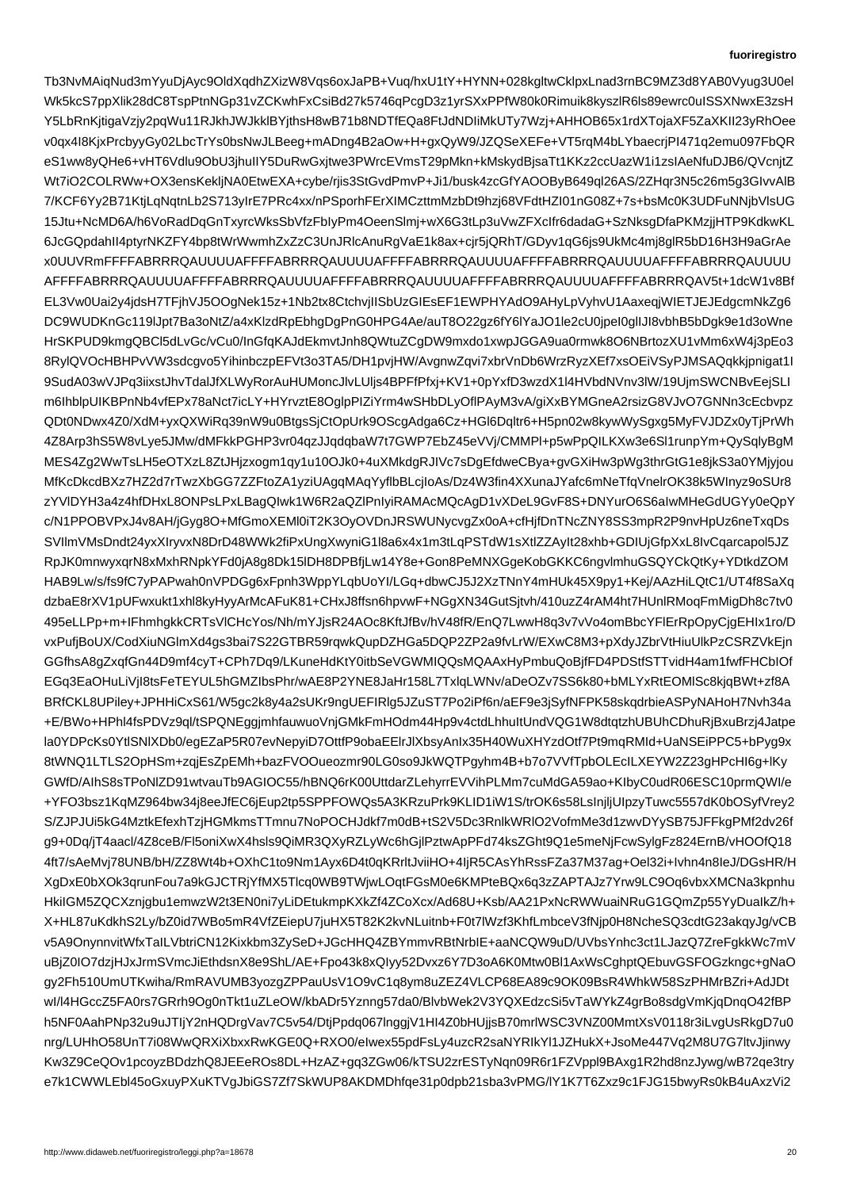Tb3NvMAiqNud3mYyuDjAyc9OldXqdhZXizW8Vqs6oxJaPB+Vuq/hxU1tY+HYNN+028kgltwCklpxLnad3rnBC9MZ3d8YAB0Vyug3U0el Wk5kcS7ppXlik28dC8TspPtnNGp31vZCKwhFxCsiBd27k5746qPcgD3z1yrSXxPPfW80k0Rimuik8kyszlR6ls89ewrc0uISSXNwxE3zsH Y5LbRnKitigaVzjy2pgWu11RJkhJWJkklBYjthsH8wB71b8NDTfEQa8FtJdNDIiMkUTy7Wzj+AHHOB65x1rdXTojaXF5ZaXKII23yRhOee v0qx4l8KjxPrcbyyGy02LbcTrYs0bsNwJLBeeg+mADng4B2aOw+H+gxQyW9/JZQSeXEFe+VT5rqM4bLYbaecrjPl471q2emu097FbQR eS1ww8yQHe6+vHT6Vdlu9ObU3jhullY5DuRwGxjtwe3PWrcEVmsT29pMkn+kMskydBjsaTt1KKz2ccUazW1i1zsIAeNfuDJB6/QVcnjtZ Wt7iO2COLRWw+OX3ensKekljNA0EtwEXA+cybe/rjis3StGvdPmvP+Ji1/busk4zcGfYAOOByB649ql26AS/2ZHqr3N5c26m5q3GIvvAlB 7/KCF6Yy2B71KtjLgNqtnLb2S713yIrE7PRc4xx/nPSporhFErXIMCzttmMzbDt9hzj68VFdtHZl01nG08Z+7s+bsMc0K3UDFuNNjbVlsUG 15Jtu+NcMD6A/h6VoRadDqGnTxyrcWksSbVfzFblyPm4OeenSlmj+wX6G3tLp3uVwZFXclfr6dadaG+SzNksgDfaPKMzjjHTP9KdkwKL 6JcGQpdahll4ptyrNKZFY4bp8tWrWwmhZxZzC3UnJRlcAnuRgVaE1k8ax+cjr5jQRhT/GDyv1qG6js9UkMc4mj8glR5bD16H3H9aGrAe x0UUVRmFFFFABRRRQAUUUUAFFFFABRRRQAUUUUAFFFFABRRRQAUUUUAFFFFABRRRQAUUUUAFFFFABRRRQAUUUU AFFFFABRRRQAUUUUAFFFFABRRRQAUUUUAFFFFABRRRQAUUUUAFFFFABRRRQAUUUUAFFFFABRRRQAV5t+1dcW1v8Bf EL3Vw0Uai2y4jdsH7TFjhVJ5OOgNek15z+1Nb2tx8CtchvjIISbUzGIEsEF1EWPHYAdO9AHyLpVyhvU1AaxegjWIETJEJEdgcmNkZg6 DC9WUDKnGc119lJpt7Ba3oNtZ/a4xKlzdRpEbhqDqPnG0HPG4Ae/auT8O22qz6fY6lYaJO1le2cU0jpel0qllJl8vbhB5bDqk9e1d3oWne HrSKPUD9kmgQBCl5dLvGc/vCu0/InGfqKAJdEkmvtJnh8QWtuZCgDW9mxdo1xwpJGGA9ua0rmwk8O6NBrtozXU1vMm6xW4j3pEo3 8RyIQVOcHBHPvVW3sdcqvo5YihinbczpEFVt3o3TA5/DH1pvjHW/AvgnwZqvi7xbrVnDb6WrzRyzXEf7xsOEiVSyPJMSAQqkkjpnigat1I 9SudA03wVJPq3iixstJhvTdalJfXLWyRorAuHUMoncJlvLUIjs4BPFfPfxj+KV1+0pYxfD3wzdX1I4HVbdNVnv3lW/19UjmSWCNBvEejSLI m6lhblpUIKBPnNb4vfEPx78aNct7icLY+HYrvztE8OglpPIZiYrm4wSHbDLyOfIPAyM3vA/giXxBYMGneA2rsizG8VJvO7GNNn3cEcbvpz QDt0NDwx4Z0/XdM+yxQXWiRq39nW9u0BtgsSjCtOpUrk9OScgAdga6Cz+HGl6Dqltr6+H5pn02w8kywWySgxq5MyFVJDZx0yTjPrWh 4Z8Arp3hS5W8vLye5JMw/dMFkkPGHP3vr04qzJJqdqbaW7t7GWP7EbZ45eVVj/CMMPl+p5wPpQlLKXw3e6Sl1runpYm+QySqlyBgM MES4Zq2WwTsLH5eOTXzL8ZtJHjzxoqm1qy1u10OJk0+4uXMkdqRJIVc7sDqEfdweCBya+qvGXiHw3pWq3thrGtG1e8jkS3a0YMjyjou MfKcDkcdBXz7HZ2d7rTwzXbGG7ZZFtoZA1yziUAgqMAqYyflbBLcjIoAs/Dz4W3fin4XXunaJYafc6mNeTfqVneIrOK38k5WInyz9oSUr8 zYVIDYH3a4z4hfDHxL8ONPsLPxLBaqQIwk1W6R2aQZIPnIyiRAMAcMQcAqD1vXDeL9GvF8S+DNYurO6S6aIwMHeGdUGYy0eQpY c/N1PPOBVPxJ4v8AH/jGyq8O+MfGmoXEMl0iT2K3OyOVDnJRSWUNycvqZx0oA+cfHjfDnTNcZNY8SS3mpR2P9nvHpUz6neTxqDs SVIImVMsDndt24yxXIryvxN8DrD48WWk2fiPxUngXwyniG1l8a6x4x1m3tLqPSTdW1sXtIZZAyIt28xhb+GDIUjGfpXxL8IvCqarcapol5JZ RpJK0mnwyxqrN8xMxhRNpkYFd0jA8q8Dk15lDH8DPBfjLw14Y8e+Gon8PeMNXGqeKobGKKC6ngvlmhuGSQYCkQtKy+YDtkdZOM HAB9Lw/s/fs9fC7yPAPwah0nVPDGg6xFpnh3WppYLqbUoYI/LGq+dbwCJ5J2XzTNnY4mHUk45X9py1+Kej/AAzHiLQtC1/UT4f8SaXq dzbaE8rXV1pUFwxukt1xhl8kyHyyArMcAFuK81+CHxJ8ffsn6hpvwF+NGgXN34GutSjtvh/410uzZ4rAM4ht7HUnlRMoqFmMigDh8c7tv0 495eLLPp+m+IFhmhgkkCRTsVICHcYos/Nh/mYJjsR24AOc8KftJfBv/hV48fR/EnQ7LwwH8q3v7vVo4omBbcYFIErRpOpyCjgEHIx1ro/D vxPufjBoUX/CodXiuNGImXd4qs3bai7S22GTBR59rqwkQupDZHGa5DQP2ZP2a9fvLrW/EXwC8M3+pXdyJZbrVtHiuUlkPzCSRZVkEjn GGfhsA8gZxqfGn44D9mf4cyT+CPh7Dq9/LKuneHdKtY0itbSeVGWMIQQsMQAAxHyPmbuQoBjfFD4PDStfSTTvidH4am1fwfFHCblOf EGq3EaOHuLiVjl8tsFeTEYUL5hGMZlbsPhr/wAE8P2YNE8JaHr158L7TxlqLWNv/aDeOZv7SS6k80+bMLYxRtEOMISc8kjqBWt+zf8A BRfCKL8UPiley+JPHHiCxS61/W5qc2k8y4a2sUKr9nqUEFIRlq5JZuST7Po2iPf6n/aEF9e3jSvfNFPK58skqdrbieASPvNAHoH7Nvh34a +E/BWo+HPhl4fsPDVz9ql/tSPQNEqqjmhfauwuoVnjGMkFmHOdm44Hp9v4ctdLhhultUndVQG1W8dtqtzhUBUhCDhuRjBxuBrzj4Jatpe la0YDPcKs0YtlSNlXDb0/egEZaP5R07evNepyiD7OttfP9obaEElrJlXbsyAnlx35H40WuXHYzdOtf7Pt9mqRMld+UaNSEiPPC5+bPyg9x 8tWNQ1LTLS2OpHSm+zqjEsZpEMh+bazFVOOueozmr90LG0so9JkWQTPgyhm4B+b7o7VVfTpbOLEcILXEYW2Z23gHPcHl6g+lKy GWfD/AlhS8sTPoNIZD91wtvauTb9AGIOC55/hBNQ6rK00UttdarZLehyrrEVVihPLMm7cuMdGA59ao+KlbyC0udR06ESC10prmQWI/e +YFO3bsz1KqMZ964bw34j8eeJfEC6jEup2tp5SPPFOWQs5A3KRzuPrk9KLID1iW1S/trOK6s58LsInjljUlpzyTuwc5557dK0bOSyfVrey2 S/ZJPJUi5kG4MztkEfexhTzjHGMkmsTTmnu7NoPOCHJdkf7m0dB+tS2V5Dc3RnlkWRlO2VofmMe3d1zwvDYySB75JFFkgPMf2dv26f g9+0Dq/jT4aacl/4Z8ceB/Fl5oniXwX4hsls9QiMR3QXyRZLyWc6hGjlPztwApPFd74ksZGht9Q1e5meNjFcwSylgFz824ErnB/vHOOfQ18 4ft7/sAeMvj78UNB/bH/ZZ8Wt4b+OXhC1to9Nm1Ayx6D4t0qKRrltJviiHO+4ljR5CAsYhRssFZa37M37ag+Oel32i+Ivhn4n8leJ/DGsHR/H XqDxE0bXOk3qrunFou7a9kGJCTRjYfMX5Tlcq0WB9TWjwLOqtFGsM0e6KMPteBQx6q3zZAPTAJz7Yrw9LC9Oq6vbxXMCNa3kpnhu HkilGM5ZQCXznjqbu1emwzW2t3EN0ni7yLiDEtukmpKXkZf4ZCoXcx/Ad68U+Ksb/AA21PxNcRWWuaiNRuG1GQmZp55YyDualkZ/h+ X+HL87uKdkhS2Ly/bZ0id7WBo5mR4VfZEiepU7juHX5T82K2kvNLuitnb+F0t7lWzf3KhfLmbceV3fNjp0H8NcheSQ3cdtG23akqyJq/vCB v5A9OnynnvitWfxTaILVbtriCN12Kixkbm3ZySeD+JGcHHQ4ZBYmmvRBtNrbIE+aaNCQW9uD/UVbsYnhc3ct1LJazQ7ZreFgkkWc7mV uBjZ0lO7dzjHJxJrmSVmcJiEthdsnX8e9ShL/AE+Fpo43k8xQlyy52Dvxz6Y7D3oA6K0Mtw0Bl1AxWsCghptQEbuvGSFOGzkngc+gNaO gy2Fh510UmUTKwiha/RmRAVUMB3yozgZPPauUsV1O9vC1q8ym8uZEZ4VLCP68EA89c9OK09BsR4WhkW58SzPHMrBZri+AdJDt wl/l4HGccZ5FA0rs7GRrh9Og0nTkt1uZLeOW/kbADr5Yznng57da0/BlvbWek2V3YQXEdzcSi5vTaWYkZ4grBo8sdgVmKjqDnqO42fBP h5NF0AahPNp32u9uJTIjY2nHQDrgVav7C5v54/DtjPpdq067InggjV1HI4Z0bHUjjsB70mrlWSC3VNZ00MmtXsV0118r3iLvgUsRkgD7u0 nrg/LUHhO58UnT7i08WwQRXiXbxxRwKGE0Q+RXO0/elwex55pdFsLy4uzcR2saNYRlkYl1JZHukX+JsoMe447Vq2M8U7G7ltvJjinwy Kw3Z9CeQOv1pcoyzBDdzhQ8JEEeROs8DL+HzAZ+gq3ZGw06/kTSU2zrESTyNqn09R6r1FZVppl9BAxg1R2hd8nzJywg/wB72qe3try e7k1CWWLEbl45oGxuyPXuKTVgJbiGS7Zf7SkWUP8AKDMDhfqe31p0dpb21sba3vPMG/IY1K7T6Zxz9c1FJG15bwyRs0kB4uAxzVi2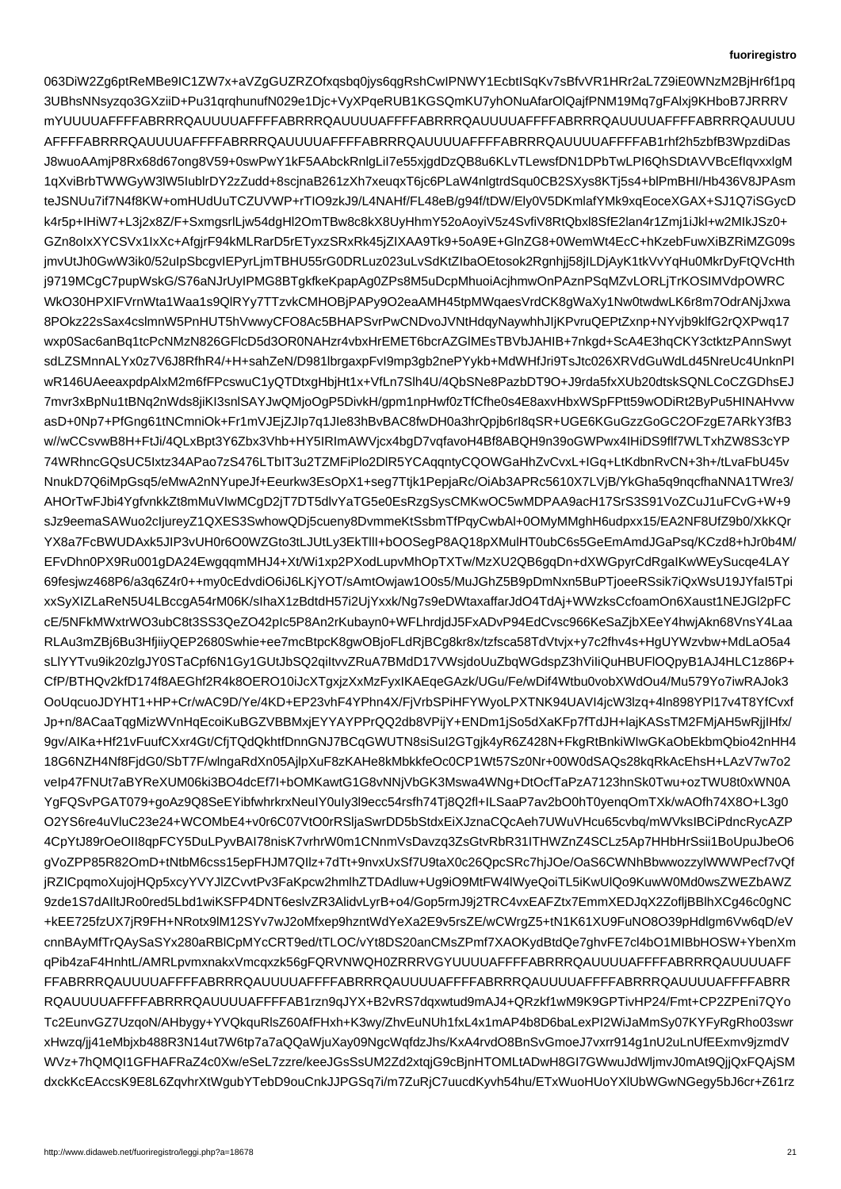063DiW2Zg6ptReMBe9IC1ZW7x+aVZgGUZRZOfxqsbq0jys6qgRshCwIPNWY1EcbtISqKv7sBfvVR1HRr2aL7Z9iE0WNzM2BjHr6f1pq 3UBhsNNsyzqo3GXziiD+Pu31qrqhunufN029e1Djc+VyXPqeRUB1KGSQmKU7yhONuAfarOlQajfPNM19Mq7qFAlxj9KHboB7JRRRV mYUUUUAFFFFABRRRQAUUUUAFFFFABRRRQAUUUUAFFFFABRRRQAUUUUAFFFFABRRRQAUUUUAFFFFABRRRQAUUUU AFFFFABRRRQAUUUUAFFFFABRRRQAUUUUAFFFFABRRRQAUUUUAFFFFABRRRQAUUUUAFFFFAB1rhf2h5zbfB3WpzdiDas J8wuoAAmjP8Rx68d67ong8V59+0swPwY1kF5AAbckRnlgLiI7e55xjgdDzQB8u6KLvTLewsfDN1DPbTwLPI6QhSDtAVVBcEflqvxxlgM 1qXviBrbTWWGyW3IW5IublrDY2zZudd+8scjnaB261zXh7xeuqxT6jc6PLaW4nlgtrdSqu0CB2SXys8KTj5s4+blPmBHI/Hb436V8JPAsm teJSNUu7if7N4f8KW+omHUdUuTCZUVWP+rTIO9zkJ9/L4NAHf/FL48eB/g94f/tDW/Ely0V5DKmlafYMk9xqEoceXGAX+SJ1Q7iSGycD k4r5p+IHiW7+L3j2x8Z/F+SxmgsrlLjw54dgHl2OmTBw8c8kX8UyHhmY52oAoyiV5z4SvfiV8RtQbxl8SfE2lan4r1Zmj1iJkl+w2MlkJSz0+ GZn8olxXYCSVx1lxXc+AfgjrF94kMLRarD5rETyxzSRxRk45jZlXAA9Tk9+5oA9E+GlnZG8+0WemWt4EcC+hKzebFuwXiBZRiMZG09s jmvUtJh0GwW3ik0/52uIpSbcgvIEPyrLjmTBHU55rG0DRLuz023uLvSdKtZIbaOEtosok2Rgnhjj58jILDjAyK1tkVvYqHu0MkrDyFtQVcHth j9719MCgC7pupWskG/S76aNJrUyIPMG8BTgkfkeKpapAg0ZPs8M5uDcpMhuoiAcjhmwOnPAznPSqMZvLORLjTrKOSIMVdpOWRC WkO30HPXIFVrnWta1Waa1s9QlRYy7TTzvkCMHOBjPAPy9O2eaAMH45tpMWqaesVrdCK8qWaXy1Nw0twdwLK6r8m7OdrANjJxwa 8POkz22sSax4csImnW5PnHUT5hVwwyCFO8Ac5BHAPSvrPwCNDvoJVNtHdqyNaywhhJIjKPvruQEPtZxnp+NYvjb9klfG2rQXPwq17 wxp0Sac6anBq1tcPcNMzN826GFlcD5d3OR0NAHzr4vbxHrEMET6bcrAZGlMEsTBVbJAHIB+7nkgd+ScA4E3hqCKY3ctktzPAnnSwyt sdLZSMnnALYx0z7V6J8RfhR4/+H+sahZeN/D981lbrgaxpFvl9mp3gb2nePYykb+MdWHfJri9TsJtc026XRVdGuWdLd45NreUc4UnknPl wR146UAeeaxpdpAlxM2m6fFPcswuC1yQTDtxgHbjHt1x+VfLn7Slh4U/4QbSNe8PazbDT9O+J9rda5fxXUb20dtskSQNLCoCZGDhsEJ 7mvr3xBpNu1tBNq2nWds8jiKl3snlSAYJwQMjoOgP5DivkH/gpm1npHwf0zTfCfhe0s4E8axvHbxWSpFPtt59wODiRt2ByPu5HINAHvvw asD+0Np7+PfGng61tNCmniOk+Fr1mVJEjZJlp7q1Jle83hBvBAC8fwDH0a3hrQpjb6rl8qSR+UGE6KGuGzzGoGC2OFzgE7ARkY3fB3 w//wCCsvwB8H+FtJi/4QLxBpt3Y6Zbx3Vhb+HY5IRImAWVjcx4bgD7vqfavoH4Bf8ABQH9n39oGWPwx4IHiDS9flf7WLTxhZW8S3cYP 74WRhncGQsUC5Ixtz34APao7zS476LTbIT3u2TZMFiPlo2DIR5YCAggntyCQOWGaHhZvCvxL+IGg+LtKdbnRvCN+3h+/tLvaFbU45v NnukD7Q6iMpGsq5/eMwA2nNYupeJf+Eeurkw3EsOpX1+seg7Ttjk1PepjaRc/OiAb3APRc5610X7LVjB/YkGha5q9nqcfhaNNA1TWre3/ AHOrTwFJbi4YqfvnkkZt8mMuVIwMCqD2jT7DT5dlvYaTG5e0EsRzqSysCMKwOC5wMDPAA9acH17SrS3S91VoZCuJ1uFCvG+W+9 sJz9eemaSAWuo2cljureyZ1QXES3SwhowQDj5cueny8DvmmeKtSsbmTfPqyCwbAl+0OMyMMqhH6udpxx15/EA2NF8UfZ9b0/XkKQr YX8a7FcBWUDAxk5JIP3vUH0r6O0WZGto3tLJUtLy3EkTlII+bOOSegP8AQ18pXMulHT0ubC6s5GeEmAmdJGaPsq/KCzd8+hJr0b4M/ EFvDhn0PX9Ru001gDA24EwgqqmMHJ4+Xt/Wi1xp2PXodLupvMhOpTXTw/MzXU2QB6gqDn+dXWGpyrCdRgalKwWEySucqe4LAY 69fesjwz468P6/a3q6Z4r0++my0cEdvdiO6iJ6LKjYOT/sAmtOwjaw1O0s5/MuJGhZ5B9pDmNxn5BuPTjoeeRSsik7iQxWsU19JYfal5Tpi xxSyXIZLaReN5U4LBccgA54rM06K/slhaX1zBdtdH57i2UjYxxk/Ng7s9eDWtaxaffarJdO4TdAj+WWzksCcfoamOn6Xaust1NEJGl2pFC cE/5NFkMWxtrWO3ubC8t3SS3QeZO42pIc5P8An2rKubayn0+WFLhrdjdJ5FxADvP94EdCvsc966KeSaZjbXEeY4hwjAkn68VnsY4Laa RLAu3mZBj6Bu3HfjiiyQEP2680Swhie+ee7mcBtpcK8qwOBjoFLdRjBCq8kr8x/tzfsca58TdVtvjx+y7c2fhv4s+HqUYWzvbw+MdLaO5a4 sLIYYTvu9ik20zlgJY0STaCpf6N1Gy1GUtJbSQ2qiltvvZRuA7BMdD17VWsjdoUuZbqWGdspZ3hViliQuHBUFIOQpyB1AJ4HLC1z86P+ CfP/BTHQv2kfD174f8AEGhf2R4k8OERO10iJcXTqxizXxMzFyxIKAEqeGAzk/UGu/Fe/wDif4Wtbu0vobXWdOu4/Mu579Yo7iwRAJok3 OoUqcuoJDYHT1+HP+Cr/wAC9D/Ye/4KD+EP23vhF4YPhn4X/FjVrbSPiHFYWyoLPXTNK94UAVI4jcW3lzq+4ln898YPI17v4T8YfCvxf Jp+n/8ACaaTqqMizWVnHqEcoiKuBGZVBBMxjEYYAYPPrQQ2db8VPijY+ENDm1jSo5dXaKFp7fTdJH+lajKASsTM2FMjAH5wRjilHfx/ 9gv/AIKa+Hf21vFuufCXxr4Gt/CfjTQdQkhtfDnnGNJ7BCqGWUTN8siSul2GTgjk4yR6Z428N+FkgRtBnkiWIwGKaObEkbmQbio42nHH4 18G6NZH4Nf8FjdG0/SbT7F/wlngaRdXn05AjlpXuF8zKAHe8kMbkkfeOc0CP1Wt57Sz0Nr+00W0dSAQs28kgRkAcEhsH+LAzV7w7o2 velp47FNUt7aBYReXUM06ki3BO4dcEf7I+bOMKawtG1G8vNNjVbGK3Mswa4WNg+DtOcfTaPzA7123hnSk0Twu+ozTWU8t0xWN0A YgFQSvPGAT079+goAz9Q8SeEYibfwhrkrxNeuIY0uly3l9ecc54rsfh74Tj8Q2fl+ILSaaP7av2bO0hT0yengOmTXk/wAOfh74X8O+L3g0 O2YS6re4uVluC23e24+WCOMbE4+v0r6C07VtO0rRSljaSwrDD5bStdxEiXJznaCQcAeh7UWuVHcu65cvbq/mWVkslBCiPdncRycAZP 4CpYtJ89rOeOll8qpFCY5DuLPyvBAl78nisK7vrhrW0m1CNnmVsDavzq3ZsGtvRbR31ITHWZnZ4SCLz5Ap7HHbHrSsii1BoUpuJbeO6 gVoZPP85R82OmD+tNtbM6css15epFHJM7Qllz+7dTt+9nvxUxSf7U9taX0c26QpcSRc7hjJOe/OaS6CWNhBbwwozzylWWWPecf7vQf jRZICpqmoXujojHQp5xcyYVYJIZCvvtPv3FaKpcw2hmlhZTDAdluw+Uq9iO9MtFW4IWyeQoiTL5iKwUlQo9KuwW0Md0wsZWEZbAWZ 9zde1S7dAlltJRo0red5Lbd1wiKSFP4DNT6eslvZR3AlidvLyrB+o4/Gop5rmJ9j2TRC4vxEAFZtx7EmmXEDJqX2ZofljBBlhXCq46c0qNC +kEE725fzUX7jR9FH+NRotx9lM12SYv7wJ2oMfxep9hzntWdYeXa2E9v5rsZE/wCWrqZ5+tN1K61XU9FuNO8O39pHdlqm6Vw6qD/eV cnnBAyMfTrQAySaSYx280aRBlCpMYcCRT9ed/tTLOC/vYt8DS20anCMsZPmf7XAOKydBtdQe7ghvFE7cl4bO1MlBbHOSW+YbenXm qPib4zaF4HnhtL/AMRLpvmxnakxVmcqxzk56gFQRVNWQH0ZRRRVGYUUUUAFFFFABRRRQAUUUUAFFFFABRRRQAUUUUAFF FFABRRRQAUUUUAFFFFABRRRQAUUUUAFFFFABRRRQAUUUUAFFFFABRRRQAUUUUAFFFFABRRRQAUUUUAFFFFABRR RQAUUUUAFFFFABRRRQAUUUUAFFFFAB1rzn9qJYX+B2vRS7dqxwtud9mAJ4+QRzkf1wM9K9GPTivHP24/Fmt+CP2ZPEni7QYo Tc2EunvGZ7UzqoN/AHbygy+YVQkquRlsZ60AfFHxh+K3wy/ZhvEuNUh1fxL4x1mAP4b8D6baLexPl2WiJaMmSy07KYFyRgRho03swr xHwzq/jj41eMbjxb488R3N14ut7W6tp7a7aQQaWjuXay09NgcWqfdzJhs/KxA4rvdO8BnSvGmoeJ7vxrr914g1nU2uLnUfEExmv9jzmdV WVz+7hQMQI1GFHAFRaZ4c0Xw/eSeL7zzre/keeJGsSsUM2Zd2xtqjG9cBjnHTOMLtADwH8GI7GWwuJdWljmvJ0mAt9QjjQxFQAjSM dxckKcEAccsK9E8L6ZqvhrXtWqubYTebD9ouCnkJJPGSq7i/m7ZuRjC7uucdKyvh54hu/ETxWuoHUoYXlUbWGwNGeqy5bJ6cr+Z61rz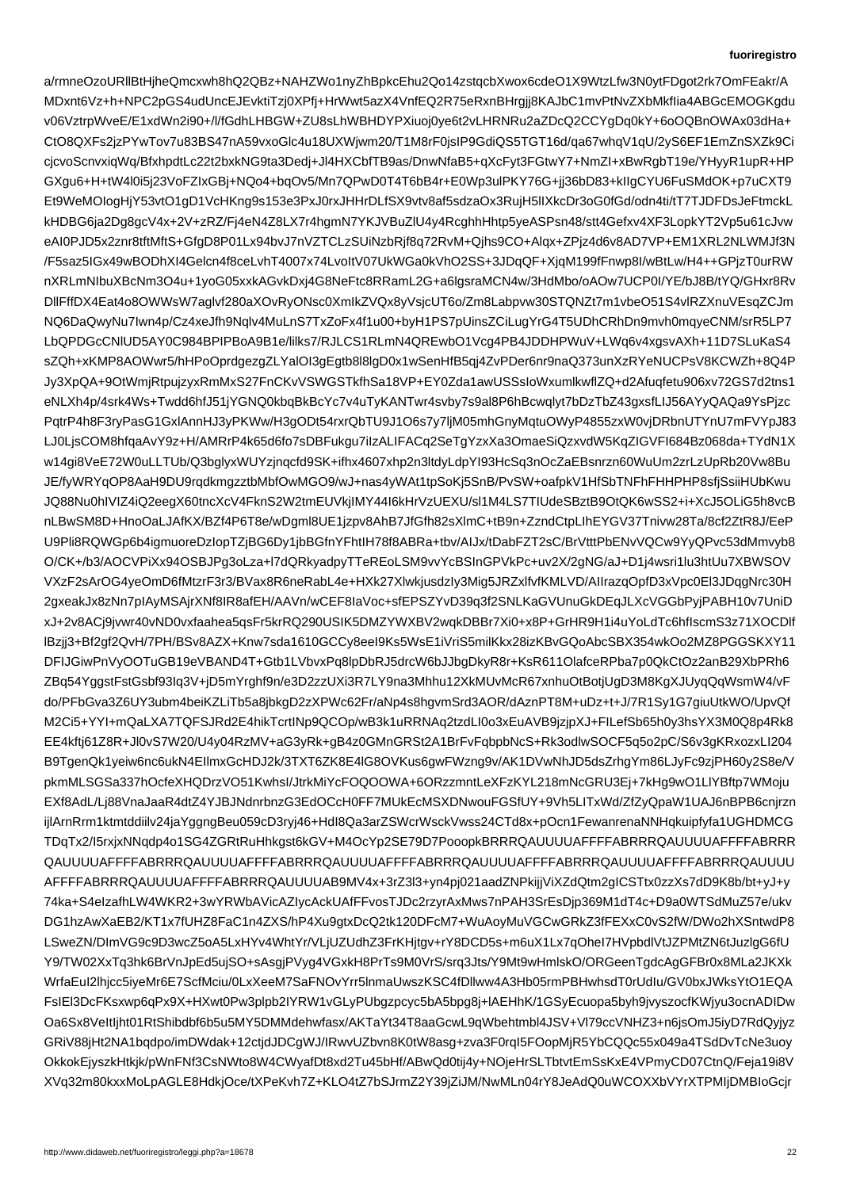a/rmneOzoURllBtHjheQmcxwh8hQ2QBz+NAHZWo1nyZhBpkcEhu2Qo14zstqcbXwox6cdeO1X9WtzLfw3N0ytFDqot2rk7OmFEakr/A MDxnt6Vz+h+NPC2pGS4udUncEJEvktiTzj0XPfj+HrWwt5azX4VnfEQ2R75eRxnBHrgjj8KAJbC1mvPtNvZXbMkflia4ABGcEMOGKgdu v06VztrpWveE/E1xdWn2i90+/l/fGdhLHBGW+ZU8sLhWBHDYPXiuoj0ye6t2vLHRNRu2aZDcQ2CCYqDq0kY+6oOQBnOWAx03dHa+ CtO8QXFs2izPYwTov7u83BS47nA59vxoGlc4u18UXWjwm20/T1M8rF0isIP9GdiQS5TGT16d/qa67whqV1qU/2yS6EF1EmZnSXZk9Ci cjcvoScnvxiqWq/BfxhpdtLc22t2bxkNG9ta3Dedj+Jl4HXCbfTB9as/DnwNfaB5+qXcFyt3FGtwY7+NmZl+xBwRgbT19e/YHyyR1upR+HP GXgu6+H+tW4l0i5j23VoFZIxGBj+NQo4+bqOv5/Mn7QPwD0T4T6bB4r+E0Wp3uIPKY76G+jj36bD83+kIIgCYU6FuSMdOK+p7uCXT9 Et9WeMOlogHjY53vtO1gD1VcHKng9s153e3PxJ0rxJHHrDLfSX9vtv8af5sdzaOx3RujH5IIXkcDr3oG0fGd/odn4ti/tT7TJDFDsJeFtmckL kHDBG6ja2Dg8gcV4x+2V+zRZ/Fj4eN4Z8LX7r4hgmN7YKJVBuZIU4y4RcghhHhtp5yeASPsn48/stt4Gefxv4XF3LopkYT2Vp5u61cJvw eAI0PJD5x2znr8tftMftS+GfgD8P01Lx94bvJ7nVZTCLzSUiNzbRjf8q72RvM+Qjhs9CO+Alqx+ZPjz4d6v8AD7VP+EM1XRL2NLWMJf3N /F5saz5IGx49wBODhXI4Gelcn4f8ceLvhT4007x74LvoltV07UkWGa0kVhO2SS+3JDqQF+XjqM199fFnwp8I/wBtLw/H4++GPjzT0urRW nXRLmNlbuXBcNm3O4u+1yoG05xxkAGvkDxj4G8NeFtc8RRamL2G+a6lgsraMCN4w/3HdMbo/oAOw7UCP0I/YE/bJ8B/tYQ/GHxr8Rv DIIFffDX4Eat4o8OWWsW7aqIvf280aXOvRyONsc0XmlkZVQx8yVsjcUT6o/Zm8Labpvw30STQNZt7m1vbeO51S4vlRZXnuVEsqZCJm NQ6DaQwyNu7lwn4p/Cz4xeJfh9Nglv4MuLnS7TxZoFx4f1u00+byH1PS7pUinsZCiLuqYrG4T5UDhCRhDn9mvh0mqyeCNM/srR5LP7 LbQPDGcCNIUD5AY0C984BPIPBoA9B1e/lilks7/RJLCS1RLmN4QREwbO1Vcq4PB4JDDHPWuV+LWq6v4xqsvAXh+11D7SLuKaS4 sZQh+xKMP8AOWwr5/hHPoOprdgezgZLYalOl3gEgtb8l8lgD0x1wSenHfB5qj4ZvPDer6nr9naQ373unXzRYeNUCPsV8KCWZh+8Q4P Jy3XpQA+9OtWmjRtpujzyxRmMxS27FnCKvVSWGSTkfhSa18VP+EY0Zda1awUSSsloWxumlkwflZQ+d2Afuqfetu906xv72GS7d2tns1 eNLXh4p/4srk4Ws+Twdd6hfJ51jYGNQ0kbqBkBcYc7v4uTyKANTwr4svby7s9al8P6hBcwqlyt7bDzTbZ43gxsfLIJ56AYyQAQa9YsPjzc PqtrP4h8F3ryPasG1GxlAnnHJ3yPKWw/H3qODt54rxrQbTU9J1O6s7y7ljM05mhGnyMqtuOWyP4855zxW0vjDRbnUTYnU7mFVYpJ83 LJ0LjsCOM8hfqaAvY9z+H/AMRrP4k65d6fo7sDBFukgu7ilzALIFACq2SeTgYzxXa3OmaeSiQzxvdW5KqZIGVFI684Bz068da+TYdN1X w14gi8VeE72W0uLLTUb/Q3bglyxWUYzjngcfd9SK+ifhx4607xhp2n3ltdyLdpYl93HcSg3nOcZaEBsnrzn60WuUm2zrLzUpRb20Vw8Bu JE/fyWRYqOP8AaH9DU9rqdkmgzztbMbfOwMGO9/wJ+nas4yWAt1tpSoKj5SnB/PvSW+oafpkV1HfSbTNFhFHHPHP8sfjSsiiHUbKwu JQ88Nu0hlVIZ4iQ2eeqX60tncXcV4FknS2W2tmEUVkjIMY44I6kHrVzUEXU/sl1M4LS7TIUdeSBztB9OtQK6wSS2+i+XcJ5OLiG5h8vcB nLBwSM8D+HnoOaLJAfKX/BZf4P6T8e/wDqml8UE1jzpv8AhB7JfGfh82sXlmC+tB9n+ZzndCtpLlhEYGV37Tnivw28Ta/8cf2ZtR8J/EeP U9Pli8RQWGp6b4igmuoreDzIopTZjBG6Dy1jbBGfnYFhtIH78f8ABRa+tbv/AIJx/tDabFZT2sC/BrVtttPbENvVQCw9YyQPvc53dMmvyb8 O/CK+/b3/AOCVPiXx94OSBJPg3oLza+I7dQRkyadpyTTeREoLSM9vvYcBSInGPVkPc+uv2X/2gNG/aJ+D1j4wsri1lu3htUu7XBWSOV VXzF2sArOG4yeOmD6fMtzrF3r3/BVax8R6neRabL4e+HXk27XlwkjusdzIy3Mig5JRZxlfvfKMLVD/AlIrazqOpfD3xVpc0El3JDqgNrc30H 2gxeakJx8zNn7pIAyMSAjrXNf8lR8afEH/AAVn/wCEF8IaVoc+sfEPSZYvD39q3f2SNLKaGVUnuGkDEqJLXcVGGbPyjPABH10v7UniD xJ+2v8ACj9jvwr40vND0vxfaahea5qsFr5krRQ290USIK5DMZYWXBV2wqkDBBr7Xi0+x8P+GrHR9H1i4uYoLdTc6hflscmS3z71XOCDlf IBzji3+Bf2qf2QvH/7PH/BSv8AZX+Knw7sda1610GCCv8eel9Ks5WsE1iVriS5milKkx28izKBvGQoAbcSBX354wkOo2MZ8PGGSKXY11 DFIJGiwPnVyOOTuGB19eVBAND4T+Gtb1LVbvxPq8lpDbRJ5drcW6bJJbgDkyR8r+KsR611OlafceRPba7p0QkCtOz2anB29XbPRh6 ZBq54YqqstFstGsbf93Iq3V+jD5mYrqhf9n/e3D2zzUXi3R7LY9na3Mhhu12XkMUvMcR67xnhuOtBotjUqD3M8KqXJUyqQqWsmW4/vF do/PFbGva3Z6UY3ubm4beiKZLiTb5a8jbkgD2zXPWc62Fr/aNp4s8hgvmSrd3AOR/dAznPT8M+uDz+t+J/7R1Sy1G7giuUtkWO/UpvQf M2Ci5+YYI+mQaLXA7TQFSJRd2E4hikTcrtlNp9QCOp/wB3k1uRRNAq2tzdLl0o3xEuAVB9jzjpXJ+FILefSb65h0y3hsYX3M0Q8p4Rk8 EE4kftj61Z8R+Jl0vS7W20/U4y04RzMV+aG3yRk+gB4z0GMnGRSt2A1BrFvFqbpbNcS+Rk3odlwSOCF5q5o2pC/S6v3gKRxozxLl204 B9TgenQk1yeiw6nc6ukN4EllmxGcHDJ2k/3TXT6ZK8E4IG8OVKus6gwFWzng9v/AK1DVwNhJD5dsZrhgYm86LJyFc9zjPH60y2S8e/V pkmMLSGSa337hOcfeXHQDrzVO51Kwhsl/JtrkMiYcFOQOOWA+6ORzzmntLeXFzKYL218mNcGRU3Ei+7kHq9wO1LlYBftp7WMoju EXf8AdL/Lj88VnaJaaR4dtZ4YJBJNdnrbnzG3EdOCcH0FF7MUkEcMSXDNwouFGSfUY+9Vh5LITxWd/ZfZyQpaW1UAJ6nBPB6cnjrzn ijlArnRrm1ktmtddiilv24jaYggngBeu059cD3ryj46+HdI8Qa3arZSWcrWsckVwss24CTd8x+pOcn1FewanrenaNNHqkuipfyfa1UGHDMCG TDqTx2/I5rxjxNNqdp4o1SG4ZGRtRuHhkqst6kGV+M4OcYp2SE79D7PooopkBRRRQAUUUUAFFFFABRRRQAUUUUAFFFFABRRR QAUUUUAFFFFABRRRQAUUUUAFFFFABRRRQAUUUUAFFFFABRRRQAUUUUAFFFFABRRRQAUUUUAFFFFABRRRQAUUUU AFFFFABRRRQAUUUUAFFFFABRRRQAUUUUAB9MV4x+3rZ3l3+yn4pj021aadZNPkijjViXZdQtm2qlCSTtx0zzXs7dD9K8b/bt+yJ+y 74ka+S4eIzafhLW4WKR2+3wYRWbAVicAZIycAckUAfFFvosTJDc2rzyrAxMws7nPAH3SrEsDjp369M1dT4c+D9a0WTSdMuZ57e/ukv DG1hzAwXaEB2/KT1x7fUHZ8FaC1n4ZXS/hP4Xu9qtxDcQ2tk120DFcM7+WuAoyMuVGCwGRkZ3fFEXxC0vS2fW/DWo2hXSntwdP8 LSweZN/DImVG9c9D3wcZ5oA5LxHYv4WhtYr/VLjUZUdhZ3FrKHjtgv+rY8DCD5s+m6uX1Lx7qOheI7HVpbdlVtJZPMtZN6tJuzIgG6fU Y9/TW02XxTq3hk6BrVnJpEd5ujSO+sAsqjPVyq4VGxkH8PrTs9M0VrS/srq3Jts/Y9Mt9wHmlskO/ORGeenTgdcAgGFBr0x8MLa2JKXk WrfaEul2lhjcc5iyeMr6E7ScfMciu/0LxXeeM7SaFNOvYrr5lnmaUwszKSC4fDllww4A3Hb05rmPBHwhsdT0rUdlu/GV0bxJWksYtO1EQA FsIEI3DcFKsxwp6qPx9X+HXwt0Pw3plpb2IYRW1vGLyPUbgzpcyc5bA5bpg8j+IAEHhK/1GSyEcuopa5byh9jvyszocfKWjyu3ocnADIDw Oa6Sx8Veltljht01RtShibdbf6b5u5MY5DMMdehwfasx/AKTaYt34T8aaGcwL9qWbehtmbl4JSV+Vl79ccVNHZ3+n6jsOmJ5iyD7RdQyjyz GRiV88jHt2NA1bqdpo/imDWdak+12ctjdJDCgWJ/lRwvUZbvn8K0tW8asg+zva3F0rqI5FOopMjR5YbCQQc55x049a4TSdDvTcNe3uoy OkkokEjyszkHtkjk/pWnFNf3CsNWto8W4CWyafDt8xd2Tu45bHf/ABwQd0tij4y+NOjeHrSLTbtvtEmSsKxE4VPmyCD07CtnQ/Feja19i8V XVq32m80kxxMoLpAGLE8HdkjOce/tXPeKvh7Z+KLO4tZ7bSJrmZ2Y39jZiJM/NwMLn04rY8JeAdQ0uWCOXXbVYrXTPMIjDMBloGcjr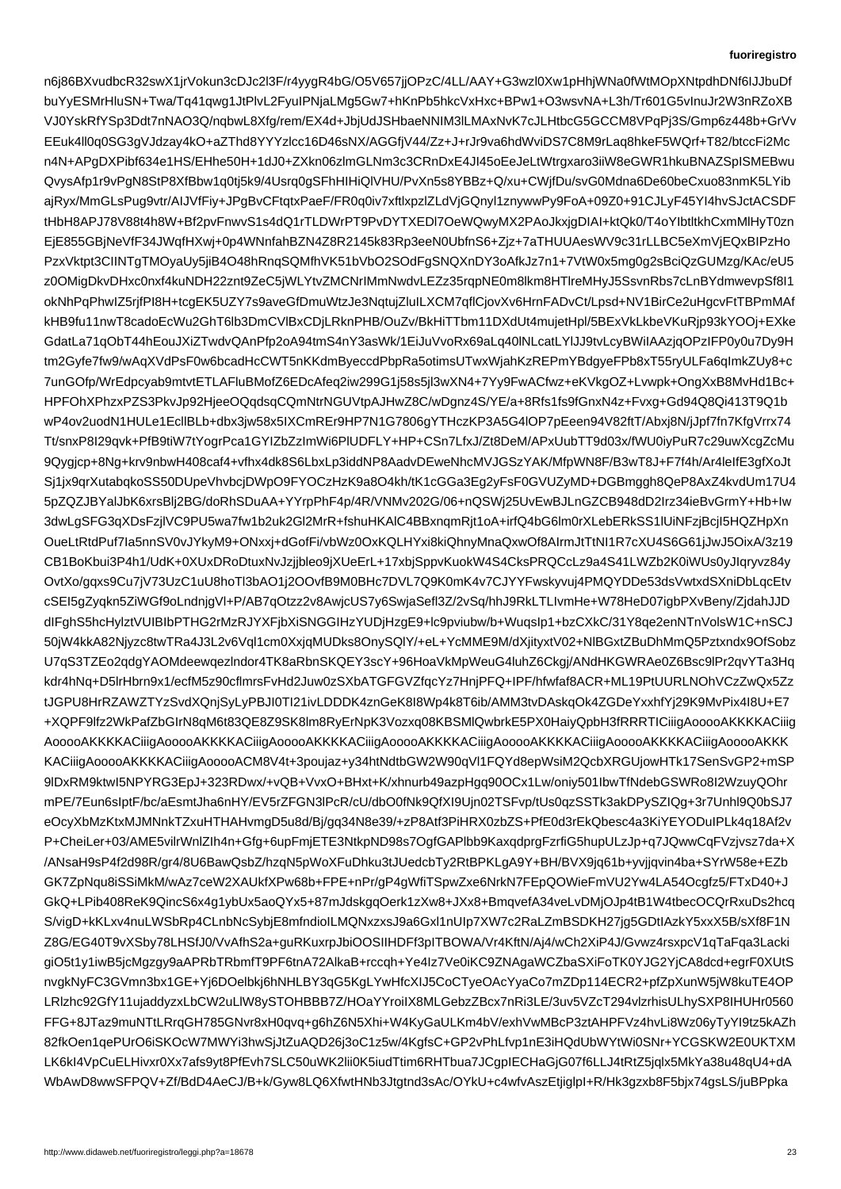n6j86BXvudbcR32swX1jrVokun3cDJc2l3F/r4yygR4bG/O5V657jjOPzC/4LL/AAY+G3wzl0Xw1pHhjWNa0fWtMOpXNtpdhDNf6lJJbuDf buYyESMrHluSN+Twa/Tq41qwg1JtPlvL2FyuIPNjaLMg5Gw7+hKnPb5hkcVxHxc+BPw1+O3wsvNA+L3h/Tr601G5vInuJr2W3nRZoXB VJ0YskRfYSp3Ddt7nNAO3Q/nqbwL8Xfq/rem/EX4d+JbjUdJSHbaeNNIM3ILMAxNvK7cJLHtbcG5GCCM8VPqPj3S/Gmp6z448b+GrVv EEuk4ll0q0SG3qVJdzay4kO+aZThd8YYYzlcc16D46sNX/AGGfjV44/Zz+J+rJr9va6hdWviDS7C8M9rLaq8hkeF5WQrf+T82/btccFi2Mc n4N+APgDXPibf634e1HS/EHhe50H+1dJ0+ZXkn06zlmGLNm3c3CRnDxE4JI45oEeJeLtWtrgxaro3iiW8eGWR1hkuBNAZSpISMEBwu QvysAfp1r9vPgN8StP8XfBbw1q0tj5k9/4Usrq0gSFhHIHiQlVHU/PvXn5s8YBBz+Q/xu+CWjfDu/svG0Mdna6De60beCxuo83nmK5LYib ajRyx/MmGLsPug9vtr/AlJVfFiy+JPgBvCFtqtxPaeF/FR0q0iv7xftlxpzlZLdVjGQnyl1znywwPy9FoA+09Z0+91CJLyF45Yl4hvSJctACSDF tHbH8APJ78V88t4h8W+Bf2pvFnwvS1s4dQ1rTLDWrPT9PvDYTXEDI7OeWQwyMX2PAoJkxjgDIAI+ktQk0/T4oYlbtltkhCxmMlHyT0zn EjE855GBjNeVfF34JWqfHXwj+0p4WNnfahBZN4Z8R2145k83Rp3eeN0UbfnS6+Zjz+7aTHUUAesWV9c31rLLBC5eXmVjEQxBIPzHo PzxVktpt3CIINTgTMOyaUy5jiB4O48hRnqSQMfhVK51bVbO2SOdFgSNQXnDY3oAfkJz7n1+7VtW0x5mg0g2sBciQzGUMzg/KAc/eU5 z0OMigDkvDHxc0nxf4kuNDH22znt9ZeC5jWLYtvZMCNrlMmNwdvLEZz35rqpNE0m8lkm8HTIreMHyJ5SsvnRbs7cLnBYdmwevpSf8l1 okNhPqPhwlZ5rifPl8H+tcqEK5UZY7s9aveGfDmuWtzJe3NqtujZlulLXCM7qflCjovXv6HrnFADvCt/Lpsd+NV1BirCe2uHqcvFtTBPmMAf kHB9fu11nwT8cadoEcWu2GhT6lb3DmCVIBxCDjLRknPHB/OuZv/BkHiTTbm11DXdUt4mujetHpl/5BExVkLkbeVKuRjp93kYOOj+EXke GdatLa71qObT44hEouJXiZTwdvQAnPfp2oA94tmS4nY3asWk/1EiJuVvoRx69aLq40lNLcatLYlJJ9tvLcyBWiIAAzjqOPzIFP0y0u7Dy9H tm2Gvfe7fw9/wAaXVdPsF0w6bcadHcCWT5nKKdmBveccdPbpRa5otimsUTwxWiahKzREPmYBdgveFPb8xT55rvULFa6glmkZUv8+c 7unGOfp/WrEdpcyab9mtvtETLAFluBMofZ6EDcAfeq2iw299G1j58s5jl3wXN4+7Yy9FwACfwz+eKVkgOZ+Lvwpk+OngXxB8MvHd1Bc+ HPFOhXPhzxPZS3PkvJp92HjeeOQqdsqCQmNtrNGUVtpAJHwZ8C/wDgnz4S/YE/a+8Rfs1fs9fGnxN4z+Fvxg+Gd94Q8Qi413T9Q1b wP4ov2uodN1HULe1EcllBLb+dbx3jw58x5IXCmREr9HP7N1G7806gYTHczKP3A5G4IOP7pEeen94V82ftT/Abxj8N/jJpf7fn7KfqVrrx74 Tt/snxP8I29qvk+PfB9tiW7tYogrPca1GYIZbZzImWi6PIUDFLY+HP+CSn7LfxJ/Zt8DeM/APxUubTT9d03x/fWU0iyPuR7c29uwXcgZcMu 9Qygicp+8Ng+krv9nbwH408caf4+vfhx4dk8S6LbxLp3iddNP8AadvDEweNhcMVJGSzYAK/MfpWN8F/B3wT8J+F7f4h/Ar4leIfE3gfXoJt Sj1jx9qrXutabqkoSS50DUpeVhvbcjDWpO9FYOCzHzK9a8O4kh/tK1cGGa3Eg2yFsF0GVUZyMD+DGBmggh8QeP8AxZ4kvdUm17U4 5pZQZJBYalJbK6xrsBli2BG/doRhSDuAA+YYrpPhF4p/4R/VNMv202G/06+nQSWj25UvEwBJLnGZCB948dD2Irz34ieBvGrmY+Hb+lw 3dwLqSFG3qXDsFzjlVC9PU5wa7fw1b2uk2Gl2MrR+fshuHKAlC4BBxnqmRjt1oA+irfQ4bG6lm0rXLebERkSS1lUiNFzjBcjI5HQZHpXn OueLtRtdPuf7la5nnSV0vJYkyM9+ONxxj+dGofFi/vbWz0OxKQLHYxi8kiQhnyMnaQxwOf8AlrmJtTtNl1R7cXU4S6G61jJwJ5OixA/3z19 CB1BoKbui3P4h1/UdK+0XUxDRoDtuxNvJzjjbleo9jXUeErL+17xbjSppvKuokW4S4CksPRQCcLz9a4S41LWZb2K0iWUs0yJlqryvz84y OvtXo/gqxs9Cu7jV73UzC1uU8hoTl3bAO1j2OOvfB9M0BHc7DVL7Q9K0mK4v7CJYYFwskyvuj4PMQYDDe53dsVwtxdSXniDbLqcEtv cSEI5gZyqkn5ZiWGf9oLndnjgVl+P/AB7qOtzz2v8AwjcUS7y6SwjaSefl3Z/2vSq/hhJ9RkLTLlvmHe+W78HeD07igbPXvBeny/ZjdahJJD dlFghS5hcHylztVUIBlbPTHG2rMzRJYXFjbXiSNGGIHzYUDjHzqE9+Ic9pviubw/b+WuqsIp1+bzCXkC/31Y8qe2enNTnVolsW1C+nSCJ 50jW4kkA82Njyzc8twTRa4J3L2v6Vql1cm0XxjqMUDks8OnySQlY/+eL+YcMME9M/dXjityxtV02+NlBGxtZBuDhMmQ5Pztxndx9OfSobz U7qS3TZEo2qdgYAOMdeewqezIndor4TK8aRbnSKQEY3scY+96HoaVkMpWeuG4luhZ6Ckgj/ANdHKGWRAe0Z6Bsc9lPr2qvYTa3Hq kdr4hNq+D5lrHbrn9x1/ecfM5z90cflmrsFvHd2Juw0zSXbATGFGVZfgcYz7HnjPFQ+IPF/hfwfaf8ACR+ML19PtUURLNOhVCzZwQx5Zz tJGPU8HrRZAWZTYzSvdXQnjSyLyPBJI0TI21ivLDDDK4znGeK8I8Wp4k8T6ib/AMM3tvDAskqOk4ZGDeYxxhfYj29K9MvPix4I8U+E7 +XQPF9Ifz2WkPafZbGIrN8qM6t83QE8Z9SK8lm8RyErNpK3Vozxq08KBSMIQwbrkE5PX0HaiyQpbH3fRRRTICiiiqAooooAKKKKACiiiq A0000AKKKKACiiigA0000AKKKKACiiigA0000AKKKKACiiigA0000AKKKKACiiigA0000AKKKKACiiigA0000AKKKKACiiigA0000AKKK KACiiigAooooAKKKKACiiigAooooACM8V4t+3poujaz+y34htNdtbGW2W90qVl1FQYd8epWsiM2QcbXRGUjowHTk17SenSvGP2+mSP 9IDxRM9ktwl5NPYRG3EpJ+323RDwx/+vQB+VvxO+BHxt+K/xhnurb49azpHgq90OCx1Lw/oniy501lbwTfNdebGSWRo8I2WzuyQOhr mPE/7Eun6slptF/bc/aEsmtJha6nHY/EV5rZFGN3lPcR/cU/dbO0fNk9QfXl9Ujn02TSFvp/tUs0qzSSTk3akDPySZlQq+3r7Unhl9Q0bSJ7 eOcyXbMzKtxMJMNnkTZxuHTHAHvmgD5u8d/Bj/gq34N8e39/+zP8Atf3PiHRX0zbZS+PfE0d3rEkQbesc4a3KiYEYODuIPLk4q18Af2v P+CheiLer+03/AME5vilrWnlZlh4n+Gfq+6upFmjETE3NtkpND98s7OqfGAPlbb9KaxqdprqFzrfiG5hupULzJp+q7JQwwCqFVzjvsz7da+X /ANsaH9sP4f2d98R/gr4/8U6BawQsbZ/hzqN5pWoXFuDhku3tJUedcbTy2RtBPKLgA9Y+BH/BVX9jq61b+yvjjqvin4ba+SYrW58e+EZb GK7ZpNqu8iSSiMkM/wAz7ceW2XAUkfXPw68b+FPE+nPr/qP4qWfiTSpwZxe6NrkN7FEpQOWieFmVU2Yw4LA54Ocqfz5/FTxD40+J GkQ+LPib408ReK9QincS6x4q1ybUx5aoQYx5+87mJdskqqOerk1zXw8+JXx8+BmqvefA34veLvDMjOJp4tB1W4tbecOCQrRxuDs2hcq S/vigD+kKLxv4nuLWSbRp4CLnbNcSybjE8mfndioILMQNxzxsJ9a6Gxl1nUlp7XW7c2RaLZmBSDKH27jq5GDtIAzkY5xxX5B/sXf8F1N Z8G/EG40T9vXSby78LHSfJ0/VvAfhS2a+guRKuxrpJbiOOSIIHDFf3pITBOWA/Vr4KftN/Aj4/wCh2XiP4J/Gvwz4rsxpcV1qTaFqa3Lacki giO5t1y1iwB5jcMgzgy9aAPRbTRbmfT9PF6tnA72AlkaB+rccqh+Ye4lz7Ve0iKC9ZNAgaWCZbaSXiFoTK0YJG2YjCA8dcd+egrF0XUtS nvgkNyFC3GVmn3bx1GE+Yj6DOelbkj6hNHLBY3qG5KgLYwHfcXIJ5CoCTyeOAcYyaCo7mZDp114ECR2+pfZpXunW5jW8kuTE4OP LRIzhc92GfY11ujaddyzxLbCW2uLIW8ySTOHBBB7Z/HOaYYroiIX8MLGebzZBcx7nRi3LE/3uv5VZcT294vIzrhisULhySXP8IHUHr0560 FFG+8JTaz9muNTtLRrqGH785GNvr8xH0qvq+q6hZ6N5Xhi+W4KyGaULKm4bV/exhVwMBcP3ztAHPFVz4hvLi8Wz06yTyYl9tz5kAZh 82fkOen1qePUrO6iSKOcW7MWYi3hwSjJtZuAQD26j3oC1z5w/4KgfsC+GP2vPhLfvp1nE3iHQdUbWYtWi0SNr+YCGSKW2E0UKTXM LK6kI4VpCuELHivxr0Xx7afs9yt8PfEvh7SLC50uWK2lii0K5iudTtim6RHTbua7JCgpIECHaGjG07f6LLJ4tRtZ5jqlx5MkYa38u48qU4+dA WbAwD8wwSFPQV+Zf/BdD4AeCJ/B+k/Gyw8LQ6XfwtHNb3Jtqtnd3sAc/OYkU+c4wfvAszEtjiqlpl+R/Hk3qzxb8F5bjx74qsLS/juBPpka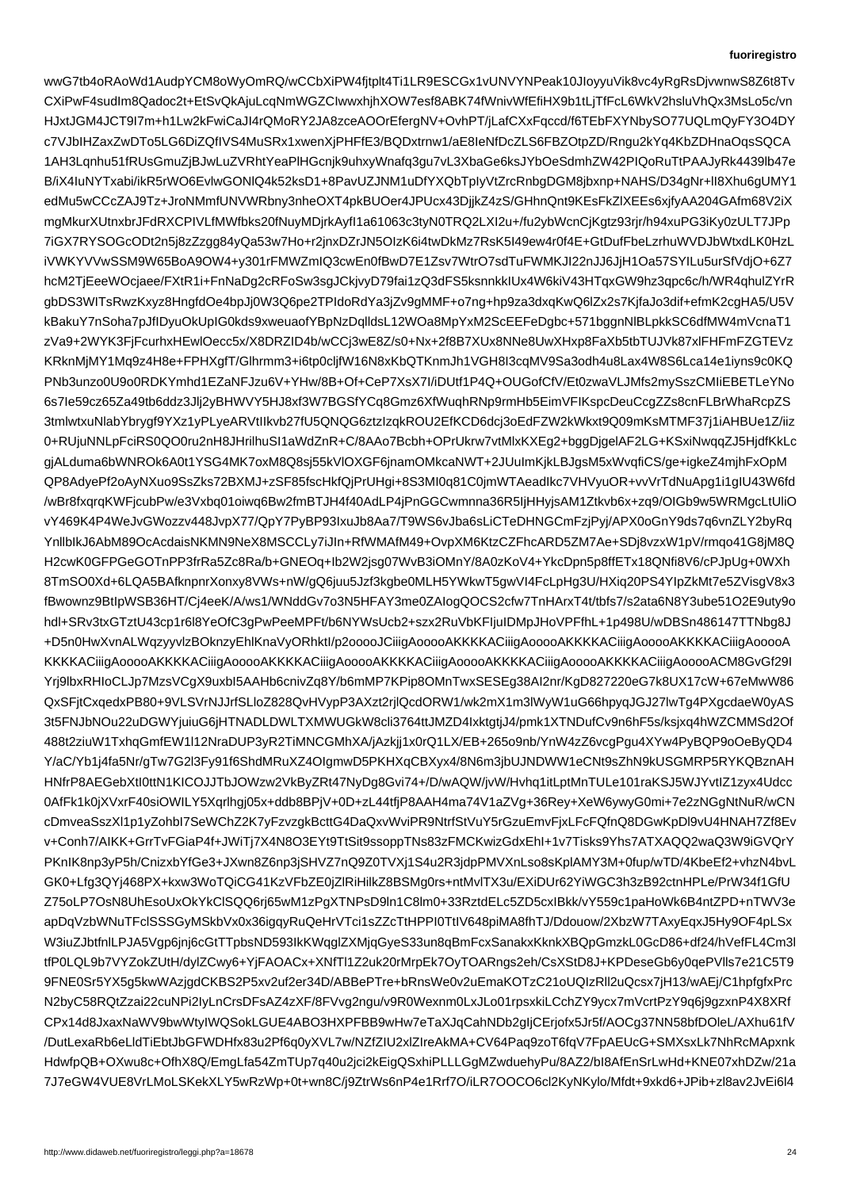wwG7tb4oRAoWd1AudpYCM8oWyOmRQ/wCCbXiPW4fjtplt4Ti1LR9ESCGx1vUNVYNPeak10JloyyuVik8vc4yRgRsDjvwnwS8Z6t8Tv CXiPwF4sudIm8Qadoc2t+EtSvQkAjuLcqNmWGZCIwwxhihXOW7esf8ABK74fWnivWfEfiHX9b1tLjTfFcL6WkV2hsluVhQx3MsLo5c/vn HJxtJGM4JCT9I7m+h1Lw2kFwiCaJI4rQMoRY2JA8zceAOOrEfergNV+OvhPT/jLafCXxFqccd/f6TEbFXYNbySO77UQLmQyFY3O4DY c7VJbIHZaxZwDTo5LG6DiZQfIVS4MuSRx1xwenXjPHFfE3/BQDxtrnw1/aE8leNfDcZLS6FBZOtpZD/Rnqu2kYq4KbZDHnaOqsSQCA 1AH3Lqnhu51fRUsGmuZjBJwLuZVRhtYeaPlHGcnjk9uhxyWnafq3gu7vL3XbaGe6ksJYbOeSdmhZW42PIQoRuTtPAAJyRk4439lb47e B/iX4IuNYTxabi/ikR5rWO6EvIwGONIQ4k52ksD1+8PavUZJNM1uDfYXQbTpIyVtZrcRnbgDGM8jbxnp+NAHS/D34gNr+II8Xhu6gUMY1 edMu5wCCcZAJ9Tz+JroNMmfUNVWRbny3nheOXT4pkBUOer4JPUcx43DjjkZ4zS/GHhnQnt9KEsFkZIXEEs6xjfyAA204GAfm68V2iX mgMkurXUtnxbrJFdRXCPIVLfMWfbks20fNuyMDjrkAyfI1a61063c3tyN0TRQ2LXI2u+/fu2ybWcnCjKgtz93rjr/h94xuPG3iKy0zULT7JPp 7iGX7RYSOGcODt2n5j8zZzgg84yQa53w7Ho+r2jnxDZrJN5OlzK6i4twDkMz7RsK5l49ew4r0f4E+GtDufFbeLzrhuWVDJbWtxdLK0HzL iVWKYVVwSSM9W65BoA9OW4+y301rFMWZmIQ3cwEn0fBwD7E1Zsv7WtrO7sdTuFWMKJI22nJJ6JjH1Oa57SYILu5urSfVdjO+6Z7 hcM2TjEeeWOcjaee/FXtR1i+FnNaDg2cRFoSw3sgJCkjvyD79fai1zQ3dFS5ksnnkkIUx4W6kiV43HTqxGW9hz3qpc6c/h/WR4qhulZYrR gbDS3WITsRwzKxyz8HngfdOe4bpJj0W3Q6pe2TPIdoRdYa3jZv9gMMF+o7ng+hp9za3dxgKwQ6lZx2s7KjfaJo3dif+efmK2cgHA5/U5V kBakuY7nSoha7pJfIDyuOkUpIG0kds9xweuaofYBpNzDqlldsL12WOa8MpYxM2ScEEFeDqbc+571bqqnNlBLpkkSC6dfMW4mVcnaT1 zVa9+2WYK3FjFcurhxHEwlOecc5x/X8DRZID4b/wCCj3wE8Z/s0+Nx+2f8B7XUx8NNe8UwXHxp8FaXb5tbTUJVk87xIFHFmFZGTEVz KRknMiMY1Ma9z4H8e+FPHXafT/Glhrmm3+i6tp0clifW16N8xKbQTKnmJh1VGH8I3caMV9Sa3odh4u8Lax4W8S6Lca14e1ivns9c0KQ PNb3unzo0U9o0RDKYmhd1EZaNFJzu6V+YHw/8B+Of+CeP7XsX7I/iDUtf1P4Q+OUGofCfV/Et0zwaVLJMfs2mySszCMliEBETLeYNo 6s7le59cz65Za49tb6ddz3Jlj2yBHWVY5HJ8xf3W7BGSfYCq8Gmz6XfWuqhRNp9rmHb5EimVFIKspcDeuCcqZZs8cnFLBrWhaRcpZS 3tmlwtxuNlabYbrygf9YXz1yPLyeARVtllkvb27fU5QNQG6ztzIzqkROU2EfKCD6dcj3oEdFZW2kWkxt9Q09mKsMTMF37j1iAHBUe1Z/iiz 0+RUjuNNLpFciRS0QO0ru2nH8JHrilhuSl1aWdZnR+C/8AAo7Bcbh+OPrUkrw7vtMlxKXEg2+bggDjgelAF2LG+KSxiNwqqZJ5HjdfKkLc gjALduma6bWNROk6A0t1YSG4MK7oxM8Q8sj55kVlOXGF6jnamOMkcaNWT+2JUulmKjkLBJgsM5xWvqfiCS/ge+igkeZ4mjhFxOpM QP8AdyePf2oAyNXuo9SsZks72BXMJ+zSF85fscHkfQjPrUHgi+8S3Ml0q81C0jmWTAeadlkc7VHVyuOR+vvVrTdNuApg1i1glU43W6fd /wBr8fxgrgKWFjcubPw/e3Vxbg01oiwg6Bw2fmBTJH4f40AdLP4jPnGGCwmnna36R5ljHHyjsAM1Ztkvb6x+zq9/OIGb9w5WRMgcLtUliO vY469K4P4WeJvGWozzv448JvpX77/QpY7PyBP93IxuJb8Aa7/T9WS6vJba6sLiCTeDHNGCmFzjPyj/APX0oGnY9ds7q6vnZLY2byRq YnllblkJ6AbM89OcAcdaisNKMN9NeX8MSCCLy7iJln+RfWMAfM49+OvpXM6KtzCZFhcARD5ZM7Ae+SDj8vzxW1pV/rmqo41G8jM8Q H2cwK0GFPGeGOTnPP3frRa5Zc8Ra/b+GNEOq+lb2W2jsq07WvB3iOMnY/8A0zKoV4+YkcDpn5p8ffETx18QNfi8V6/cPJpUg+0WXh 8TmSO0Xd+6LQA5BAfknpnrXonxy8VWs+nW/gQ6juu5Jzf3kgbe0MLH5YWkwT5gwVI4FcLpHg3U/HXiq20PS4YlpZkMt7e5ZVisgV8x3 fBwownz9BtlpWSB36HT/Cj4eeK/A/ws1/WNddGv7o3N5HFAY3me0ZAlogQOCS2cfw7TnHArxT4t/tbfs7/s2ata6N8Y3ube51O2E9uty9o hdl+SRv3txGTztU43cp1r6l8YeOfC3gPwPeeMPFt/b6NYWsUcb2+szx2RuVbKFljuIDMpJHoVPFfhL+1p498U/wDBSn486147TTNbg8J +D5n0HwXvnALWqzyyvlzBOknzyEhlKnaVyORhktl/p2ooooJCiiigAooooAKKKKACiiigAooooAKKKKACiiigAooooAKKKKACiiigAooooA KKKKACiiigAooooAKKKKACiiigAooooAKKKKACiiigAooooAKKKKACiiigAooooAKKKKACiiigAooooAKKKKACiiigAooooACM8GvGf29l Yrj9lbxRHloCLJp7MzsVCqX9uxbl5AAHb6cnivZq8Y/b6mMP7KPip8OMnTwxSESEq38Al2nr/KqD827220eG7k8UX17cW+67eMwW86 QxSFitCxqedxPB80+9VLSVrNJJrfSLloZ828QvHVypP3AXzt2rjlQcdORW1/wk2mX1m3lWyW1uG66hpyqJGJ27lwTg4PXgcdaeW0yAS 3t5FNJbNOu22uDGWYjuiuG6jHTNADLDWLTXMWUGkW8cli3764ttJMZD4lxktqtjJ4/pmk1XTNDufCv9n6hF5s/ksjxq4hWZCMMSd2Of 488t2ziuW1TxhqGmfEW1l12NraDUP3yR2TiMNCGMhXA/jAzkjj1x0rQ1LX/EB+265o9nb/YnW4zZ6vcgPgu4XYw4PyBQP9oOeByQD4 Y/aC/Yb1j4fa5Nr/gTw7G2l3Fy91f6ShdMRuXZ4OlgmwD5PKHXqCBXyx4/8N6m3jbUJNDWW1eCNt9sZhN9kUSGMRP5RYKQBznAH HNfrP8AEGebXtl0ttN1KICOJJTbJOWzw2VkByZRt47NyDg8Gvi74+/D/wAQW/jvW/Hvhq1itLptMnTULe101raKSJ5WJYvtlZ1zyx4Udcc 0AfFk1k0jXVxrF40siOWILY5Xqrlhgj05x+ddb8BPjV+0D+zL44tfjP8AAH4ma74V1aZVg+36Rey+XeW6ywyG0mi+7e2zNGqNtNuR/wCN cDmveaSszXI1p1yZohbI7SeWChZ2K7yFzvzgkBcttG4DaQxvWviPR9NtrfStVuY5rGzuEmvFjxLFcFQfnQ8DGwKpDl9vU4HNAH7Zf8Ev v+Conh7/AIKK+GrrTvFGiaP4f+JWiTj7X4N8O3EYt9TtSit9ssoppTNs83zFMCKwizGdxEhl+1v7Tisks9Yhs7ATXAQQ2waQ3W9iGVQrY PKnIK8np3yP5h/CnizxbYfGe3+JXwn8Z6np3jSHVZ7nQ9Z0TVXj1S4u2R3jdpPMVXnLso8sKpIAMY3M+0fup/wTD/4KbeEf2+vhzN4bvL GK0+Lfg3QYj468PX+kxw3WoTQiCG41KzVFbZE0jZlRiHilkZ8BSMq0rs+ntMvlTX3u/EXiDUr62YiWGC3h3zB92ctnHPLe/PrW34f1GfU Z75oLP7OsN8UhEsoUxOkYkClSQQ6rj65wM1zPqXTNPsD9ln1C8lm0+33RztdELc5ZD5cxlBkk/vY559c1paHoWk6B4ntZPD+nTWV3e apDqVzbWNuTFclSSSGyMSkbVx0x36igqyRuQeHrVTci1sZZcTtHPPI0TtlV648piMA8fhTJ/Ddouow/2XbzW7TAxyEqxJ5Hy9OF4pLSx W3iuZJbtfnlLPJA5Vgp6jnj6cGtTTpbsND593IkKWgglZXMjqGyeS33un8qBmFcxSanakxKknkXBQpGmzkL0GcD86+df24/hVefFL4Cm3l tfP0LQL9b7VYZokZUtH/dylZCwy6+YjFAOACx+XNfTl1Z2uk20rMrpEk7OyTOARngs2eh/CsXStD8J+KPDeseGb6y0qePVlls7e21C5T9 9FNE0Sr5YX5q5kwWAzjgdCKBS2P5xv2uf2er34D/ABBePTre+bRnsWe0v2uEmaKOTzC21oUQlzRll2uQcsx7jH13/wAEj/C1hpfgfxPrc N2byC58RQtZzai22cuNPi2lyLnCrsDFsAZ4zXF/8FVvg2ngu/v9R0Wexnm0LxJLo01rpsxkiLCchZY9ycx7mVcrtPzY9q6j9gzxnP4X8XRf CPx14d8JxaxNaWV9bwWtyIWQSokLGUE4ABO3HXPFBB9wHw7eTaXJqCahNDb2gljCErjofx5Jr5f/AOCg37NN58bfDOleL/AXhu61fV /DutLexaRb6eLIdTiEbtJbGFWDHfx83u2Pf6q0yXVL7w/NZfZIU2xIZIreAkMA+CV64Paq9zoT6fqV7FpAEUcG+SMXsxLk7NhRcMApxnk HdwfpQB+OXwu8c+OfhX8Q/EmgLfa54ZmTUp7q40u2jci2kEigQSxhiPLLLGgMZwduehyPu/8AZ2/bl8AfEnSrLwHd+KNE07xhDZw/21a 7J7eGW4VUE8VrLMoLSKekXLY5wRzWp+0t+wn8C/j9ZtrWs6nP4e1Rrf7O/iLR7OOCO6cl2KyNKylo/Mfdt+9xkd6+JPib+zl8av2JvEi6l4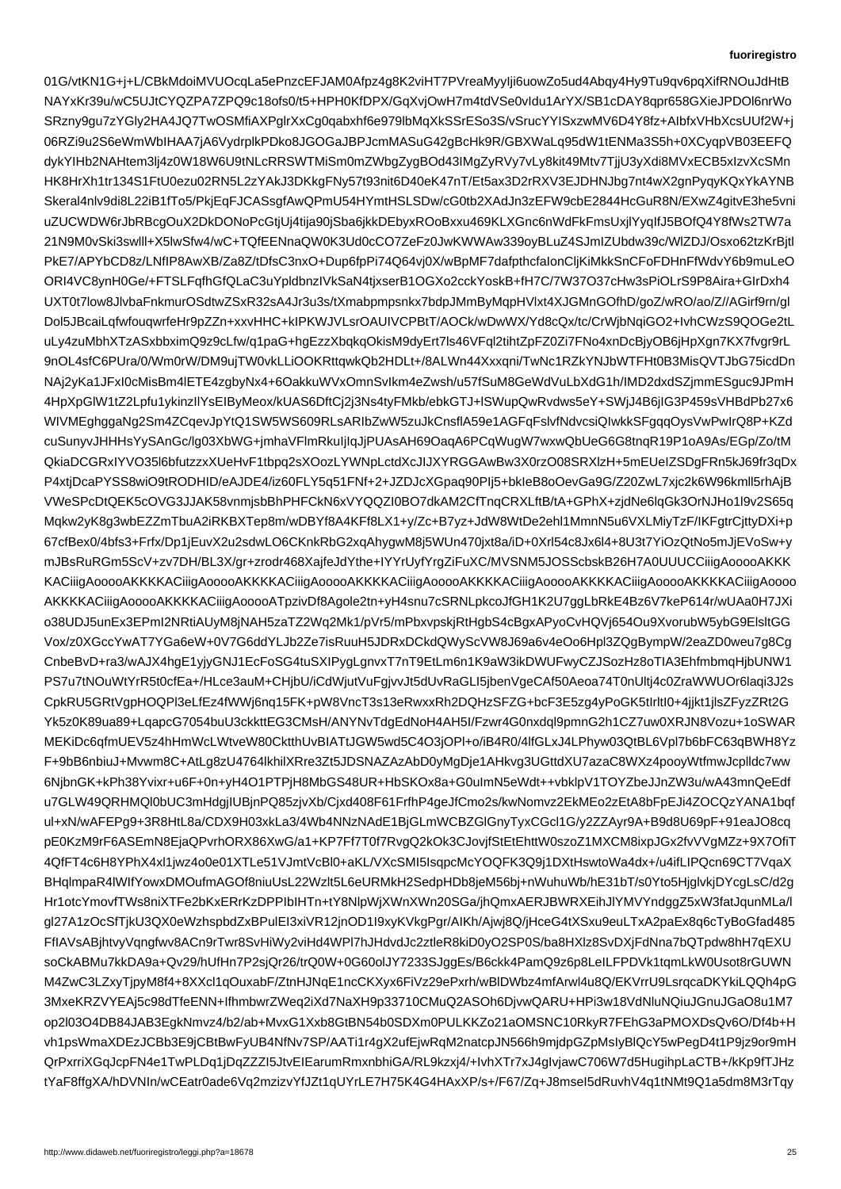01G/vtKN1G+j+L/CBkMdoiMVUOcqLa5ePnzcEFJAM0Afpz4g8K2viHT7PVreaMyylji6uowZo5ud4Abqy4Hy9Tu9qv6pqXifRNOuJdHtB NAYxKr39u/wC5UJtCYQZPA7ZPQ9c18ofs0/t5+HPH0KfDPX/GqXvjOwH7m4tdVSe0vIdu1ArYX/SB1cDAY8qpr658GXieJPDOl6nrWo SRzny9qu7zYGly2HA4JQ7TwOSMfiAXPqlrXxCq0qabxhf6e979lbMqXkSSrESo3S/vSrucYYISxzwMV6D4Y8fz+AlbfxVHbXcsUUf2W+i 06RZi9u2S6eWmWbIHAA7jA6VydrplkPDko8JGOGaJBPJcmMASuG42qBcHk9R/GBXWaLq95dW1tENMa3S5h+0XCyqpVB03EEFQ dykYIHb2NAHtem3lj4z0W18W6U9tNLcRRSWTMiSm0mZWbgZygBOd43IMgZyRVy7vLy8kit49Mtv7TjjU3yXdi8MVxECB5xIzvXcSMn HK8HrXh1tr134S1FtU0ezu02RN5L2zYAkJ3DKkgFNy57t93nit6D40eK47nT/Et5ax3D2rRXV3EJDHNJbg7nt4wX2gnPyqyKQxYkAYNB Skeral4nlv9di8L22iB1fTo5/PkjEqFJCASsqfAwQPmU54HYmtHSLSDw/cG0tb2XAdJn3zEFW9cbE2844HcGuR8N/EXwZ4gitvE3he5vni uZUCWDW6rJbRBcgOuX2DkDONoPcGtjUj4tija90jSba6jkkDEbyxROoBxxu469KLXGnc6nWdFkFmsUxjlYyqlfJ5BOfQ4Y8fWs2TW7a 21N9M0vSki3swlll+X5lwSfw4/wC+TQfEENnaQW0K3Ud0cCO7ZeFz0JwKWWAw339oyBLuZ4SJmlZUbdw39c/WlZDJ/Osxo62tzKrBjtl PkE7/APYbCD8z/LNfIP8AwXB/Za8Z/tDfsC3nxO+Dup6fpPi74Q64vj0X/wBpMF7dafpthcfalonCljKiMkkSnCFoFDHnFfWdvY6b9muLeO ORI4VC8ynH0Ge/+FTSLFqfhGfQLaC3uYpldbnzIVkSaN4tjxserB1OGXo2cckYoskB+fH7C/7W37O37cHw3sPiOLrS9P8Aira+GIrDxh4 UXT0t7low8JlvbaFnkmurOSdtwZSxR32sA4Jr3u3s/tXmabpmpsnkx7bdpJMmByMqpHVlxt4XJGMnGOfhD/qoZ/wRO/ao/Z//AGirf9rn/ql Dol5JBcaiLqfwfouqwrfeHr9pZZn+xxvHHC+kIPKWJVLsrOAUIVCPBtT/AOCk/wDwWX/Yd8cQx/tc/CrWjbNqiGO2+IvhCWzS9QOGe2tL uLy4zuMbhXTzASxbbximQ9z9cLfw/q1paG+hgEzzXbqkqOkisM9dyErt7ls46VFql2tihtZpFZ0Zi7FNo4xnDcBjyOB6jHpXgn7KX7fvgr9rL 9nOL4sfC6PUra/0/Wm0rW/DM9uiTW0vkLLiOOKRttgwkQb2HDLt+/8ALWn44Xxxgni/TwNc1RZkYNJbWTFHt0B3MisQVTJbG75icdDn NAj2yKa1JFxI0cMisBm4lETE4zgbyNx4+6OakkuWVxOmnSvlkm4eZwsh/u57fSuM8GeWdVuLbXdG1h/IMD2dxdSZjmmESquc9JPmH 4HpXpGIW1tZ2Lpfu1ykinzIIYsEIByMeox/kUAS6DftCj2j3Ns4tyFMkb/ebkGTJ+ISWupQwRvdws5eY+SWjJ4B6jIG3P459sVHBdPb27x6 WIVMEghggaNg2Sm4ZCqevJpYtQ1SW5WS609RLsARIbZwW5zuJkCnsflA59e1AGFqFslvfNdvcsiQlwkkSFgqqOysVwPwIrQ8P+KZd cuSunyvJHHHsYySAnGc/lg03XbWG+jmhaVFlmRkuljlqJjPUAsAH69OaqA6PCqWugW7wxwQbUeG6G8tnqR19P1oA9As/EGp/Zo/tM QkiaDCGRxIYVO35l6bfutzzxXUeHvF1tbpq2sXOozLYWNpLctdXcJIJXYRGGAwBw3X0rzO08SRXlzH+5mEUeIZSDqFRn5kJ69fr3qDx P4xtjDcaPYSS8wiO9tRODHID/eAJDE4/iz60FLY5q51FNf+2+JZDJcXGpaq90PIj5+bkleB8oOevGa9G/Z20ZwL7xjc2k6W96kmll5rhAjB VWeSPcDtQEK5cOVG3JJAK58vnmjsbBhPHFCkN6xVYQQZI0BO7dkAM2CfTnqCRXLftB/tA+GPhX+zjdNe6lqGk3OrNJHo1l9v2S65q Mgkw2yK8g3wbEZZmTbuA2iRKBXTep8m/wDBYf8A4KFf8LX1+y/Zc+B7yz+JdW8WtDe2ehl1MmnN5u6VXLMiyTzF/IKFgtrCjttyDXi+p 67cfBex0/4bfs3+Frfx/Dp1jEuvX2u2sdwLO6CKnkRbG2xqAhygwM8j5WUn470jxt8a/iD+0Xrl54c8Jx6l4+8U3t7YiOzQtNo5mJjEVoSw+y mJBsRuRGm5ScV+zv7DH/BL3X/gr+zrodr468XajfeJdYthe+IYYrUyfYrgZiFuXC/MVSNM5JOSScbskB26H7A0UUUCCiiigAooooAKKK KACiiigAooooAKKKKACiiigAooooAKKKKACiiigAooooAKKKKACiiigAooooAKKKKACiiigAooooAKKKKACiiigAooooAKKKKACiiigAoooo AKKKKACiiigAooooAKKKKACiiigAooooATpzivDf8Agole2tn+yH4snu7cSRNLpkcoJfGH1K2U7ggLbRkE4Bz6V7keP614r/wUAa0H7JXi o38UDJ5unEx3EPml2NRtiAUyM8jNAH5zaTZ2Wq2Mk1/pVr5/mPbxvpskjRtHgbS4cBgxAPyoCvHQVj654Ou9XvorubW5ybG9ElsltGG Vox/z0XGccYwAT7YGa6eW+0V7G6ddYLJb2Ze7isRuuH5JDRxDCkdQWyScVW8J69a6v4eOo6Hpl3ZQgBympW/2eaZD0weu7g8Cg CnbeBvD+ra3/wAJX4hgE1yjyGNJ1EcFoSG4tuSXIPygLgnvxT7nT9EtLm6n1K9aW3ikDWUFwyCZJSozHz8oTIA3EhfmbmqHjbUNW1 PS7u7tNOuWtYrR5t0cfEa+/HLce3auM+CHibU/iCdWiutVuFqivvJt5dUvRaGLI5ibenVgeCAf50Aeoa74T0nUltj4c0ZraWWUOr6lagi3J2s CpkRU5GRtVgpHOQPl3eLfEz4fWWj6ng15FK+pW8VncT3s13eRwxxRh2DQHzSFZG+bcF3E5zg4vPoGK5tlrltl0+4jikt1jlsZFyzZRt2G Yk5z0K89ua89+LqapcG7054buU3ckkttEG3CMsH/ANYNvTdqEdNoH4AH5I/Fzwr4G0nxdql9pmnG2h1CZ7uw0XRJN8Vozu+1oSWAR MEKiDc6afmUEV5z4hHmWcLWtveW80CktthUvBIATtJGW5wd5C4O3iOPI+o/iB4R0/4lfGLxJ4LPhyw03QtBL6VpI7b6bFC63aBWH8Yz F+9bB6nbiuJ+Mvwm8C+AtLg8zU4764lkhilXRre3Zt5JDSNAZAzAbD0yMgDje1AHkvg3UGttdXU7azaC8WXz4pooyWtfmwJcplldc7ww 6NjbnGK+kPh38Yvixr+u6F+0n+yH4O1PTPjH8MbGS48UR+HbSKOx8a+G0ulmN5eWdt++vbklpV1TOYZbeJJnZW3u/wA43mnQeEdf u7GLW49QRHMQl0bUC3mHdqjIUBjnPQ85zjvXb/Cjxd408F61FrfhP4geJfCmo2s/kwNomvz2EkMEo2zEtA8bFpEJi4ZOCQzYANA1bqf ul+xN/wAFEPg9+3R8HtL8a/CDX9H03xkLa3/4Wb4NNzNAdE1BjGLmWCBZGlGnyTyxCGcl1G/y2ZZAyr9A+B9d8U69pF+91eaJO8cq pE0KzM9rF6ASEmN8EjaQPvrhORX86XwG/a1+KP7Ff7T0f7RvqQ2kOk3CJovjfStEtEhttW0szoZ1MXCM8ixpJGx2fvVVqMZz+9X7OfiT 4QfFT4c6H8YPhX4xl1jwz4o0e01XTLe51VJmtVcBl0+aKL/VXcSMl5IsqpcMcYOQFK3Q9j1DXtHswtoWa4dx+/u4ifLlPQcn69CT7VqaX BHglmpaR4IWIfYowxDMOufmAGOf8niuUsL22Wzlt5L6eURMkH2SedpHDb8jeM56bj+nWuhuWb/hE31bT/s0Yto5HjqlvkjDYcqLsC/d2q Hr1otcYmovfTWs8niXTFe2bKxERrKzDPPlblHTn+tY8NlpWjXWnXWn20SGa/jhQmxAERJBWRXEihJlYMVYndqqZ5xW3fatJqunMLa/l gl27A1zOcSfTjkU3QX0eWzhspbdZxBPulEl3xiVR12jnOD1l9xyKVkgPgr/AIKh/Ajwj8Q/jHceG4tXSxu9euLTxA2paEx8q6cTyBoGfad485 FfIAVsABjhtvyVqngfwv8ACn9rTwr8SvHiWy2viHd4WPl7hJHdvdJc2ztleR8kiD0yO2SP0S/ba8HXlz8SvDXjFdNna7bQTpdw8hH7qEXU soCkABMu7kkDA9a+Qv29/hUfHn7P2sjQr26/trQ0W+0G60olJY7233SJggEs/B6ckk4PamQ9z6p8LeILFPDVk1tqmLkW0Usot8rGUWN M4ZwC3LZxyTjpyM8f4+8XXcl1qOuxabF/ZtnHJNqE1ncCKXyx6FiVz29ePxrh/wBIDWbz4mfArwl4u8Q/EKVrrU9LsrqcaDKYkiLQQh4pG 3MxeKRZVYEAj5c98dTfeENN+lfhmbwrZWeq2iXd7NaXH9p33710CMuQ2ASOh6DjvwQARU+HPi3w18VdNluNQiuJGnuJGaO8u1M7 op2l03O4DB84JAB3EgkNmvz4/b2/ab+MvxG1Xxb8GtBN54b0SDXm0PULKKZo21aOMSNC10RkyR7FEhG3aPMOXDsQv6O/Df4b+H vh1psWmaXDEzJCBb3E9jCBtBwFyUB4NfNv7SP/AATi1r4gX2ufEjwRqM2natcpJN566h9mjdpGZpMsIyBlQcY5wPegD4t1P9jz9or9mH QrPxrriXGqJcpFN4e1TwPLDq1jDqZZZI5JtvEIEarumRmxnbhiGA/RL9kzxj4/+IvhXTr7xJ4gIvjawC706W7d5HugihpLaCTB+/kKp9fTJHz tYaF8ffgXA/hDVNIn/wCEatr0ade6Vq2mzizvYfJZt1qUYrLE7H75K4G4HAxXP/s+/F67/Zq+J8mseI5dRuvhV4q1tNMt9Q1a5dm8M3rTqy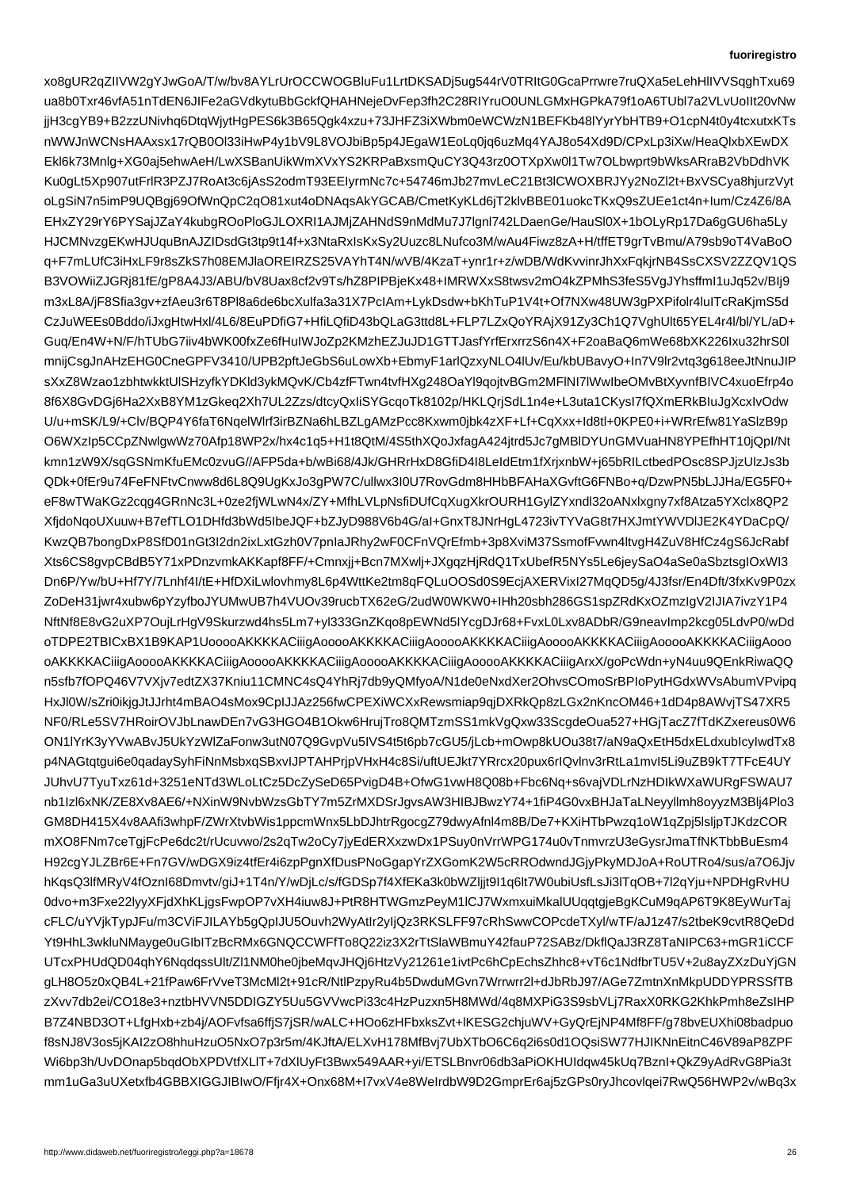xo8gUR2qZIIVW2gYJwGoA/T/w/bv8AYLrUrOCCWOGBluFu1LrtDKSADj5ug544rV0TRItG0GcaPrrwre7ruQXa5eLehHIIVVSqghTxu69 ua8b0Txr46vfA51nTdEN6JIFe2aGVdkytuBbGckfQHAHNejeDvFep3fh2C28RIYruO0UNLGMxHGPkA79f1oA6TUbl7a2VLvUollt20vNw ijH3cqYB9+B2zzUNivhq6DtqWjytHqPES6k3B65Qqk4xzu+73JHFZ3iXWbm0eWCWzN1BEFKb48lYyrYbHTB9+O1cpN4t0y4tcxutxKTs nWWJnWCNsHAAxsx17rQB0Ol33iHwP4y1bV9L8VOJbiBp5p4JEqaW1EoLq0jq6uzMq4YAJ8o54Xd9D/CPxLp3iXw/HeaQlxbXEwDX Ekl6k73Mnlg+XG0aj5ehwAeH/LwXSBanUikWmXVxYS2KRPaBxsmQuCY3Q43rz0OTXpXw0l1Tw7OLbwprt9bWksARraB2VbDdhVK Ku0gLt5Xp907utFrlR3PZJ7RoAt3c6jAsS2odmT93EElyrmNc7c+54746mJb27mvLeC21Bt3lCWOXBRJYy2NoZl2t+BxVSCya8hjurzVyt oLgSiN7n5imP9UQBgj69OfWnQpC2qO81xut4oDNAgsAkYGCAB/CmetKyKLd6jT2klvBBE01uokcTKxQ9sZUEe1ct4n+lum/Cz4Z6/8A EHxZY29rY6PYSajJZaY4kubgROoPloGJLOXRI1AJMjZAHNdS9nMdMu7J7lgnl742LDaenGe/HauSl0X+1bOLyRp17Da6gGU6ha5Ly HJCMNvzgEKwHJUquBnAJZIDsdGt3tp9t14f+x3NtaRxIsKxSy2Uuzc8LNufco3M/wAu4Fiwz8zA+H/tffET9grTvBmu/A79sb9oT4VaBoO q+F7mLUfC3iHxLF9r8sZkS7h08EMJlaOREIRZS25VAYhT4N/wVB/4KzaT+ynr1r+z/wDB/WdKvvinrJhXxFqkjrNB4SsCXSV2ZZQV1QS B3VOWiiZJGRj81fE/gP8A4J3/ABU/bV8Uax8cf2v9Ts/hZ8PIPBjeKx48+IMRWXxS8twsv2mO4kZPMhS3feS5VgJYhsffml1uJq52v/BIj9 m3xL8A/jF8Sfia3qv+zfAeu3r6T8Pl8a6de6bcXulfa3a31X7PclAm+LykDsdw+bKhTuP1V4t+Of7NXw48UW3qPXPifolr4lulTcRaKjmS5d CzJuWEEs0Bddo/iJxqHtwHxl/4L6/8EuPDfiG7+HfiLQfiD43bQLaG3ttd8L+FLP7LZxQoYRAjX91Zy3Ch1Q7VqhUlt65YEL4r4l/bl/YL/aD+ Gug/En4W+N/F/hTUbG7iiv4bWK00fxZe6fHuIWJoZp2KMzhEZJuJD1GTTJasfYrfErxrrzS6n4X+F2oaBaQ6mWe68bXK226Ixu32hrS0l mniiCsqJnAHzEHG0CneGPFV3410/UPB2pftJeGbS6uLowXb+EbmvF1arlQzxvNLO4IUv/Eu/kbUBavvO+In7V9Ir2vtq3q618eeJtNnuJIP sXxZ8Wzao1zbhtwkktUlSHzyfkYDKld3ykMQvK/Cb4zfFTwn4tvfHXg248OaYl9qojtvBGm2MFINI7lWwlbeOMvBtXyvnfBIVC4xuoEfrp4o 8f6X8GvDGj6Ha2XxB8YM1zGkeq2Xh7UL2Zzs/dtcyQxliSYGcqoTk8102p/HKLQrjSdL1n4e+L3uta1CKysl7fQXmERkBluJgXcxIvOdw U/u+mSK/L9/+Clv/BQP4Y6faT6NgelWlrf3irBZNa6hLBZLgAMzPcc8Kxwm0jbk4zXF+Lf+CqXxx+Id8tl+0KPE0+i+WRrEfw81YaSlzB9p O6WXzIp5CCpZNwlgwWz70Afp18WP2x/hx4c1q5+H1t8QtM/4S5thXQoJxfagA424jtrd5Jc7gMBIDYUnGMVuaHN8YPEfhHT10jQpI/Nt kmn1zW9X/sqGSNmKfuEMc0zvuG//AFP5da+b/wBi68/4Jk/GHRrHxD8GfiD4I8LeIdEtm1fXrjxnbW+j65bRILctbedPOsc8SPJjzUlzJs3b QDk+0fEr9u74FeFNFtvCnww8d6L8Q9UgKxJo3gPW7C/ullwx3l0U7RovGdm8HHbBFAHaXGvftG6FNBo+q/DzwPN5bLJJHa/EG5F0+ eF8wTWaKGz2cqq4GRnNc3L+0ze2fjWLwN4x/ZY+MfhLVLpNsfiDUfCqXuqXkrOURH1GylZYxndl32oANxlxqny7xf8Atza5YXclx8QP2 XfjdoNqoUXuuw+B7efTLO1DHfd3bWd5lbeJQF+bZJyD988V6b4G/al+GnxT8JNrHqL4723ivTYVaG8t7HXJmtYWVDIJE2K4YDaCpQ/ KwzQB7bongDxP8SfD01nGt3l2dn2ixLxtGzh0V7pnlaJRhy2wF0CFnVQrEfmb+3p8XviM37SsmofFvwn4ltvgH4ZuV8HfCz4gS6JcRabf Xts6CS8gvpCBdB5Y71xPDnzvmkAKKapf8FF/+Cmnxjj+Bcn7MXwlj+JXgqzHjRdQ1TxUbefR5NYs5Le6jeySaO4aSe0aSbztsglOxWl3 Dn6P/Yw/bU+Hf7Y/7Lnhf4I/tE+HfDXiLwlovhmy8L6p4WttKe2tm8qFQLuOOSd0S9EcjAXERVixI27MqQD5q/4J3fsr/En4Dft/3fxKv9P0zx ZoDeH31jwr4xubw6pYzyfboJYUMwUB7h4VUOv39rucbTX62eG/2udW0WKW0+IHh20sbh286GS1spZRdKxOZmzIgV2IJIA7ivzY1P4 NftNf8E8vG2uXP7OujLrHgV9Skurzwd4hs5Lm7+yl333GnZKqo8pEWNd5IYcgDJr68+FvxL0Lxv8ADbR/G9neavImp2kcq05LdvP0/wDd oTDPE2TBICxBX1B9KAP1UooooAKKKKACiiigAooooAKKKKACiiigAooooAKKKKACiiigAooooAKKKKACiiigAooooAKKKKACiiigAooo oAKKKKACiiigAooooAKKKKACiiigAooooAKKKKACiiigAooooAKKKKACiiigAooooAKKKKACiiigArxX/goPcWdn+yN4uu9QEnkRiwaQQ n5sfb7fOPQ46V7VXjv7edtZX37Kniu11CMNC4sQ4YhRi7db9yQMfyoA/N1de0eNxdXer2OhvsCOmoSrBPIoPytHGdxWVsAbumVPvipq HxJl0W/sZri0ikigJtJJrht4mBAO4sMox9CpIJJAz256fwCPEXiWCXxRewsmiap9qjDXRkQp8zLGx2nKncOM46+1dD4p8AWvjTS47XR5 NF0/RLe5SV7HRoirOVJbLnawDEn7vG3HGO4B1Okw6HrujTro8QMTzmSS1mkVqQxw33ScqdeOua527+HGjTacZ7fTdKZxereus0W6 ON1IYrK3vYVwABvJ5UkYzWIZaFonw3utN07Q9GvpVu5IVS4t5t6pb7cGU5/iLcb+mOwp8kUOu38t7/aN9aQxEtH5dxELdxubIcvIwdTx8 p4NAGtqtqui6e0qadaySyhFiNnMsbxqSBxvIJPTAHPrjpVHxH4c8Si/uftUEJkt7YRrcx20pux6rIQvInv3rRtLa1mvI5Li9uZB9kT7TFcE4UY JUhvU7TyuTxz61d+3251eNTd3WLoLtCz5DcZySeD65PvigD4B+OfwG1vwH8Q08b+Fbc6Nq+s6vajVDLrNzHDIkWXaWURgFSWAU7 nb1lzl6xNK/ZE8Xv8AE6/+NXinW9NvbWzsGbTY7m5ZrMXDSrJgvsAW3HIBJBwzY74+1fiP4G0vxBHJaTaLNeyyllmh8oyyzM3Blj4Plo3 GM8DH415X4v8AAfi3whpF/ZWrXtvbWis1ppcmWnx5LbDJhtrRgocgZ79dwyAfnl4m8B/De7+KXiHTbPwzq1oW1qZpj5lsljpTJKdzCOR mXO8FNm7ceTqjFcPe6dc2t/rUcuvwo/2s2qTw2oCy7jyEdERXxzwDx1PSuy0nVrrWPG174u0vTnmvrzU3eGysrJmaTfNKTbbBuEsm4 H92cgYJLZBr6E+Fn7GV/wDGX9iz4tfEr4i6zpPgnXfDusPNoGgapYrZXGomK2W5cRROdwndJGjyPkyMDJoA+RoUTRo4/sus/a7O6Jjv hKgsQ3lfMRyV4fOznI68Dmvtv/giJ+1T4n/Y/wDjLc/s/fGDSp7f4XfEKa3k0bWZlijt9l1q6lt7W0ubiUsfLsJi3lTqOB+7l2qYju+NPDHqRvHU 0dvo+m3Fxe22lyyXFidXhKLigsFwpOP7vXH4iuw8J+PtR8HTWGmzPeyM1lCJ7WxmxuiMkalUUqqtqjeBqKCuM9qAP6T9K8EyWurTaj cFLC/uYVjkTypJFu/m3CViFJILAYb5qQpIJU5Ouvh2WyAtIr2yIjQz3RKSLFF97cRhSwwCOPcdeTXyl/wTF/aJ1z47/s2tbeK9cvtR8QeDd Yt9HhL3wkluNMayge0uGIbITzBcRMx6GNQCCWFfTo8Q22iz3X2rTtSlaWBmuY42fauP72SABz/DkflQaJ3RZ8TaNIPC63+mGR1iCCF UTcxPHUdQD04qhY6NqdqssUlt/Zl1NM0he0jbeMqvJHQj6HtzVy21261e1ivtPc6hCpEchsZhhc8+vT6c1NdfbrTU5V+2u8ayZXzDuYjGN gLH8O5z0xQB4L+21fPaw6FrVveT3McMl2t+91cR/NtlPzpyRu4b5DwduMGvn7Wrrwrr2l+dJbRbJ97/AGe7ZmtnXnMkpUDDYPRSSfTB zXvv7db2ei/CO18e3+nztbHVVN5DDIGZY5Uu5GVVwcPi33c4HzPuzxn5H8MWd/4q8MXPiG3S9sbVLj7RaxX0RKG2KhkPmh8eZsIHP B7Z4NBD3OT+LfgHxb+zb4j/AOFvfsa6ffjS7jSR/wALC+HOo6zHFbxksZvt+IKESG2chjuWV+GyQrEjNP4Mf8FF/g78bvEUXhi08badpuo f8sNJ8V3os5jKAI2zO8hhuHzuO5NxO7p3r5m/4KJftA/ELXvH178MfBvj7UbXTbO6C6q2i6s0d1OQsiSW77HJIKNnEitnC46V89aP8ZPF Wi6bp3h/UvDOnap5bqdObXPDVtfXLIT+7dXIUyFt3Bwx549AAR+yi/ETSLBnvr06db3aPiOKHUIdqw45kUq7BznI+QkZ9yAdRvG8Pia3t mm1uGa3uUXetxfb4GBBXIGGJIBIwO/Ffjr4X+Onx68M+I7vxV4e8WeIrdbW9D2GmprEr6aj5zGPs0ryJhcovIqei7RwQ56HWP2v/wBq3x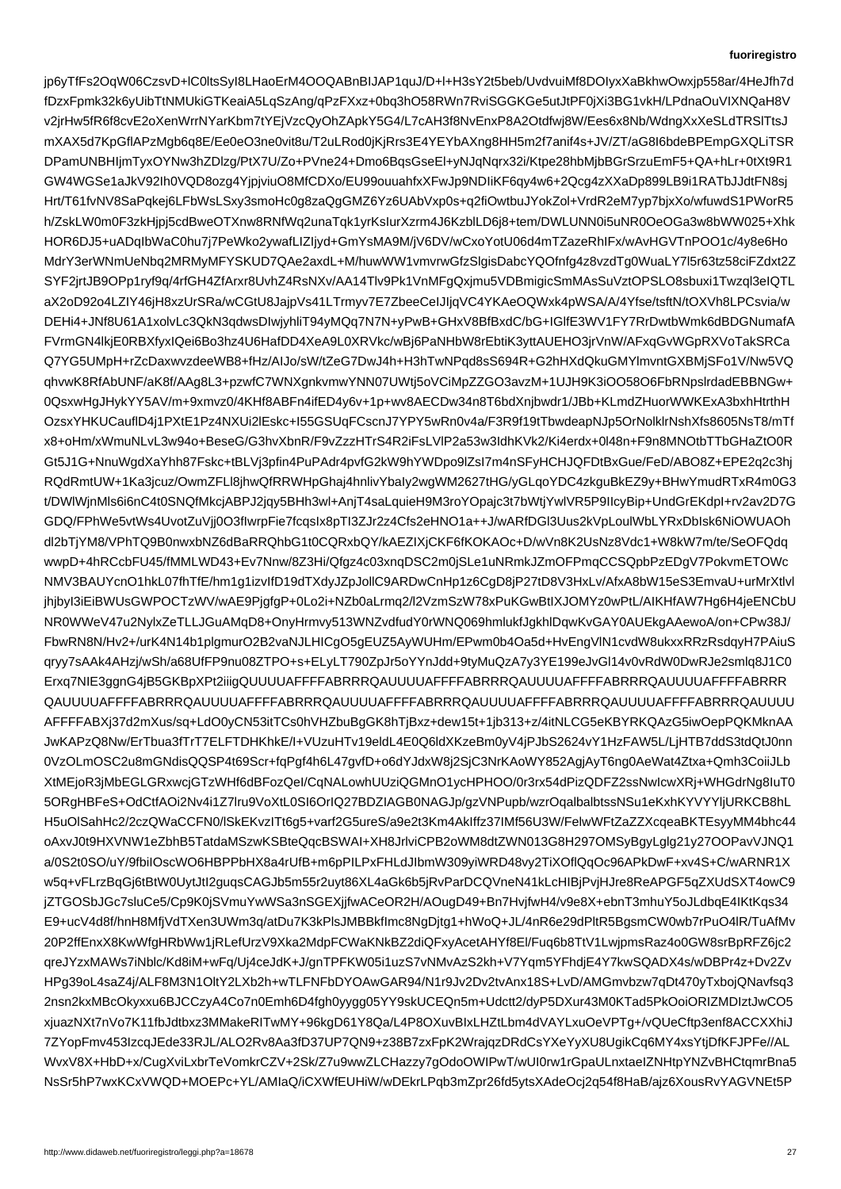jp6yTfFs2OqW06CzsvD+lC0ltsSyl8LHaoErM4OOQABnBIJAP1quJ/D+l+H3sY2t5beb/UvdvuiMf8DOlyxXaBkhwOwxjp558ar/4HeJfh7d fDzxFpmk32k6yUibTtNMUkiGTKeaiA5LqSzAng/qPzFXxz+0bq3hO58RWn7RviSGGKGe5utJtPF0jXi3BG1vkH/LPdnaOuVIXNQaH8V v2jrHw5fR6f8cvE2oXenWrrNYarKbm7tYEjVzcQyOhZApkY5G4/L7cAH3f8NvEnxP8A2Otdfwj8W/Ees6x8Nb/WdnqXxXeSLdTRSITtsJ mXAX5d7KpGflAPzMqb6q8E/Ee0eO3ne0vit8u/T2uLRod0jKjRrs3E4YEYbAXnq8HH5m2f7anif4s+JV/ZT/aG8l6bdeBPEmpGXQLiTSR DPamUNBHIjmTyxOYNw3hZDlzg/PtX7U/Zo+PVne24+Dmo6BqsGseEI+yNJqNqrx32i/Ktpe28hbMjbBGrSrzuEmF5+QA+hLr+0tXt9R1 GW4WGSe1aJkV92lh0VQD8ozg4YjpjviuO8MfCDXo/EU99ouuahfxXFwJp9NDliKF6qy4w6+2Qcg4zXXaDp899LB9i1RATbJJdtFN8sj Hrt/T61fvNV8SaPqkej6LFbWsLSxy3smoHc0g8zaQgGMZ6Yz6UAbVxp0s+q2fiOwtbuJYokZol+VrdR2eM7yp7bjxXo/wfuwdS1PWorR5 h/ZskLW0m0F3zkHjpj5cdBweOTXnw8RNfWq2unaTqk1yrKslurXzrm4J6KzblLD6j8+tem/DWLUNN0i5uNR0OeOGa3w8bWW025+Xhk HOR6DJ5+uADqlbWaC0hu7j7PeWko2ywafLlZljyd+GmYsMA9M/jV6DV/wCxoYotU06d4mTZazeRhlFx/wAvHGVTnPOO1c/4y8e6Ho MdrY3erWNmUeNbq2MRMyMFYSKUD7QAe2axdL+M/huwWW1vmvrwGfzSlgisDabcYQOfnfg4z8vzdTg0WuaLY7l5r63tz58ciFZdxt2Z SYF2jrtJB9OPp1ryf9q/4rfGH4ZfArxr8UvhZ4RsNXv/AA14Tlv9Pk1VnMFgQxjmu5VDBmigicSmMAsSuVztOPSLO8sbuxi1Twzql3eIQTL aX2oD92o4LZIY46jH8xzUrSRa/wCGtU8JajpVs41LTrmyv7E7ZbeeCelJljqVC4YKAeOQWxk4pWSA/A/4Yfse/tsftN/tOXVh8LPCsvia/w DEHi4+JNf8U61A1xolvLc3QkN3qdwsDlwjyhliT94yMQq7N7N+yPwB+GHxV8BfBxdC/bG+IGIfE3WV1FY7RrDwtbWmk6dBDGNumafA FVrmGN4lkjE0RBXfyxIQei6Bo3hz4U6HafDD4XeA9L0XRVkc/wBj6PaNHbW8rEbtiK3yttAUEHO3jrVnW/AFxqGvWGpRXVoTakSRCa Q7YG5UMpH+rZcDaxwvzdeeWB8+fHz/AIJo/sW/tZeG7DwJ4h+H3hTwNPqd8sS694R+G2hHXdQkuGMYlmvntGXBMiSFo1V/Nw5VQ qhvwK8RfAbUNF/aK8f/AAg8L3+pzwfC7WNXgnkvmwYNN07UWtj5oVCiMpZZGO3avzM+1UJH9K3iOO58O6FbRNpslrdadEBBNGw+ 0QsxwHgJHykYY5AV/m+9xmvz0/4KHf8ABFn4ifED4y6v+1p+wv8AECDw34n8T6bdXnjbwdr1/JBb+KLmdZHuorWWKExA3bxhHtrthH OzsxYHKUCaufID4j1PXtE1Pz4NXUi2lEskc+I55GSUqFCscnJ7YPY5wRn0v4a/F3R9f19tTbwdeapNJp5OrNolkIrNshXfs8605NsT8/mTf x8+oHm/xWmuNLvL3w94o+BeseG/G3hvXbnR/F9vZzzHTrS4R2iFsLVIP2a53w3ldhKVk2/Ki4erdx+0l48n+F9n8MNOtbTTbGHaZtO0R Gt5J1G+NnuWgdXaYhh87Fskc+tBLVj3pfin4PuPAdr4pvfG2kW9hYWDpo9lZsl7m4nSFyHCHJQFDtBxGue/FeD/ABO8Z+EPE2q2c3hj RQdRmtUW+1Ka3jcuz/OwmZFLl8jhwQfRRWHpGhaj4hnlivYbaly2wgWM2627tHG/yGLqoYDC4zkguBkEZ9y+BHwYmudRTxR4m0G3 t/DWIWjnMls6i6nC4t0SNQfMkcjABPJ2jqy5BHh3wl+AnjT4saLquieH9M3roYOpajc3t7bWtjYwlVR5P9IIcyBip+UndGrEKdpl+rv2av2D7G GDQ/FPhWe5vtWs4UvotZuVjj0O3flwrpFie7fcqsIx8pTl3ZJr2z4Cfs2eHNO1a++J/wARfDGl3Uus2kVpLoulWbLYRxDblsk6NiOWUAOh dl2bTjYM8/VPhTQ9B0nwxbNZ6dBaRRQhbG1t0CQRxbQY/kAEZIXjCKF6fKOKAOc+D/wVn8K2UsNz8Vdc1+W8kW7m/te/SeOFQdq wwpD+4hRCcbFU45/fMMLWD43+Ev7Nnw/8Z3Hi/Qfgz4c03xnqDSC2m0jSLe1uNRmkJZmOFPmqCCSQpbPzEDgV7PokvmETOWc NMV3BAUYcnO1hkL07fhTfE/hm1g1izvlfD19dTXdyJZpJollC9ARDwCnHp1z6CgD8jP27tD8V3HxLv/AfxA8bW15eS3EmvaU+urMrXtlvl jhjbyl3iEiBWUsGWPOCTzWV/wAE9PjqfqP+0Lo2i+NZb0aLrmq2/l2VzmSzW78xPuKGwBtlXJOMYz0wPtL/AIKHfAW7Hq6H4jeENCbU NR0WWeV47u2NylxZeTLLJGuAMqD8+OnyHrmvy513WNZvdfudY0rWNQ069hmlukfJgkhlDqwKvGAY0AUEkgAAewoA/on+CPw38J/ FbwRN8N/Hv2+/urK4N14b1plgmurO2B2vaNJLHICqO5qEUZ5AyWUHm/EPwm0b4Oa5d+HvEngVlN1cvdW8ukxxRRzRsdgyH7PAiuS qryy7sAAk4AHzj/wSh/a68UfFP9nu08ZTPO+s+ELyLT790ZpJr5oYYnJdd+9tyMuQzA7y3YE199eJvGl14v0vRdW0DwRJe2smlq8J1C0 Erxg7NIE3ggnG4jB5GKBpXPt2iiigQUUUUAFFFFABRRRQAUUUUAFFFFABRRRQAUUUUAFFFFABRRRQAUUUUAFFFFABRRR QAUUUUAFFFFABRRRQAUUUUAFFFFABRRRQAUUUUAFFFFABRRRQAUUUUAFFFFABRRRQAUUUUAFFFFABRRRQAUUUU AFFFFABXj37d2mXus/sq+LdO0yCN53itTCs0hVHZbuBqGK8hTjBxz+dew15t+1jb313+z/4itNLCG5eKBYRKQAzG5iwOepPQKMknAA JwKAPzQ8Nw/ErTbua3fTrT7ELFTDHKhkE/I+VUzuHTv19eldL4E0Q6ldXKzeBm0vV4iPJbS2624vY1HzFAW5L/LiHTB7ddS3tdQtJ0nn 0VzOLmOSC2u8mGNdisQQSP4t69Scr+fqPqf4h6L47qvfD+o6dYJdxW8j2SjC3NrKAoWY852AgjAyT6ng0AeWat4Ztxa+Qmh3CoiiJLb XtMEjoR3jMbEGLGRxwcjGTzWHf6dBFozQel/CqNALowhUUziQGMnO1ycHPHOO/0r3rx54dPizQDFZ2ssNwlcwXRj+WHGdrNg8luT0 5ORgHBFeS+OdCtfAOi2Nv4i1Z7lru9VoXtL0SI6OrIQ27BDZIAGB0NAGJp/gzVNPupb/wzrOqalbalbtssNSu1eKxhKYVYYIjURKCB8hL H5uOlSahHc2/2czQWaCCFN0/ISkEKvzITt6g5+varf2G5ureS/a9e2t3Km4AkIffz37IMf56U3W/FelwWFtZaZZXcqeaBKTEsyyMM4bhc44 oAxvJ0t9HXVNW1eZbhB5TatdaMSzwKSBteQqcBSWAI+XH8JrlviCPB2oWM8dtZWN013G8H297OMSyBqyLqlq21y27OOPavVJNQ1 a/0S2t0SO/uY/9fbilOscWO6HBPPbHX8a4rUfB+m6pPILPxFHLdJlbmW309yiWRD48vy2TiXOflQqOc96APkDwF+xv4S+C/wARNR1X w5q+vFLrzBqGj6tBtW0UytJtI2quqsCAGJb5m55r2uyt86XL4aGk6b5jRvParDCQVneN41kLcHIBjPvjHJre8ReAPGF5qZXUdSXT4owC9 iZTGOSbJGc7sluCe5/Cp9K0jSVmuYwWSa3nSGEXijfwACeOR2H/AOuqD49+Bn7HvjfwH4/v9e8X+ebnT3mhuY5oJLdbqE4IKtKqs34 E9+ucV4d8f/hnH8MfjVdTXen3UWm3q/atDu7K3kPlsJMBBkflmc8NqDjtq1+hWoQ+JL/4nR6e29dPltR5BqsmCW0wb7rPuO4lR/TuAfMv 20P2ffEnxX8KwWfgHRbWw1jRLefUrzV9Xka2MdpFCWaKNkBZ2diQFxyAcetAHYf8El/Fuq6b8TtV1LwjpmsRaz4o0GW8srBpRFZ6jc2 qreJYzxMAWs7iNblc/Kd8iM+wFq/Uj4ceJdK+J/gnTPFKW05i1uzS7vNMvAzS2kh+V7Yqm5YFhdjE4Y7kwSQADX4s/wDBPr4z+Dv2Zv HPg39oL4saZ4i/ALF8M3N1OltY2LXb2h+wTLFNFbDYOAwGAR94/N1r9Jv2Dv2tvAnx18S+LvD/AMGmvbzw7gDt470vTxboiQNavfsg3 2nsn2kxMBcOkyxxu6BJCCzyA4Co7n0Emh6D4fgh0yygg05YY9skUCEQn5m+Udctt2/dyP5DXur43M0KTad5PkOoiORIZMDIztJwCO5 xjuazNXt7nVo7K11fbJdtbxz3MMakeRITwMY+96kgD61Y8Qa/L4P8OXuvBIxLHZtLbm4dVAYLxuOeVPTg+/vQUeCftp3enf8ACCXXhiJ 7ZYopFmv453IzcqJEde33RJL/ALO2Rv8Aa3fD37UP7QN9+z38B7zxFpK2WrajqzDRdCsYXeYyXU8UgikCq6MY4xsYtjDfKFJPFe//AL WvxV8X+HbD+x/CugXviLxbrTeVomkrCZV+2Sk/Z7u9wwZLCHazzy7gOdoOWIPwT/wUI0rw1rGpaULnxtaeIZNHtpYNZvBHCtqmrBna5 NsSr5hP7wxKCxVWQD+MOEPc+YL/AMIaQ/iCXWfEUHiW/wDEkrLPqb3mZpr26fd5ytsXAdeOcj2q54f8HaB/ajz6XousRvYAGVNEt5P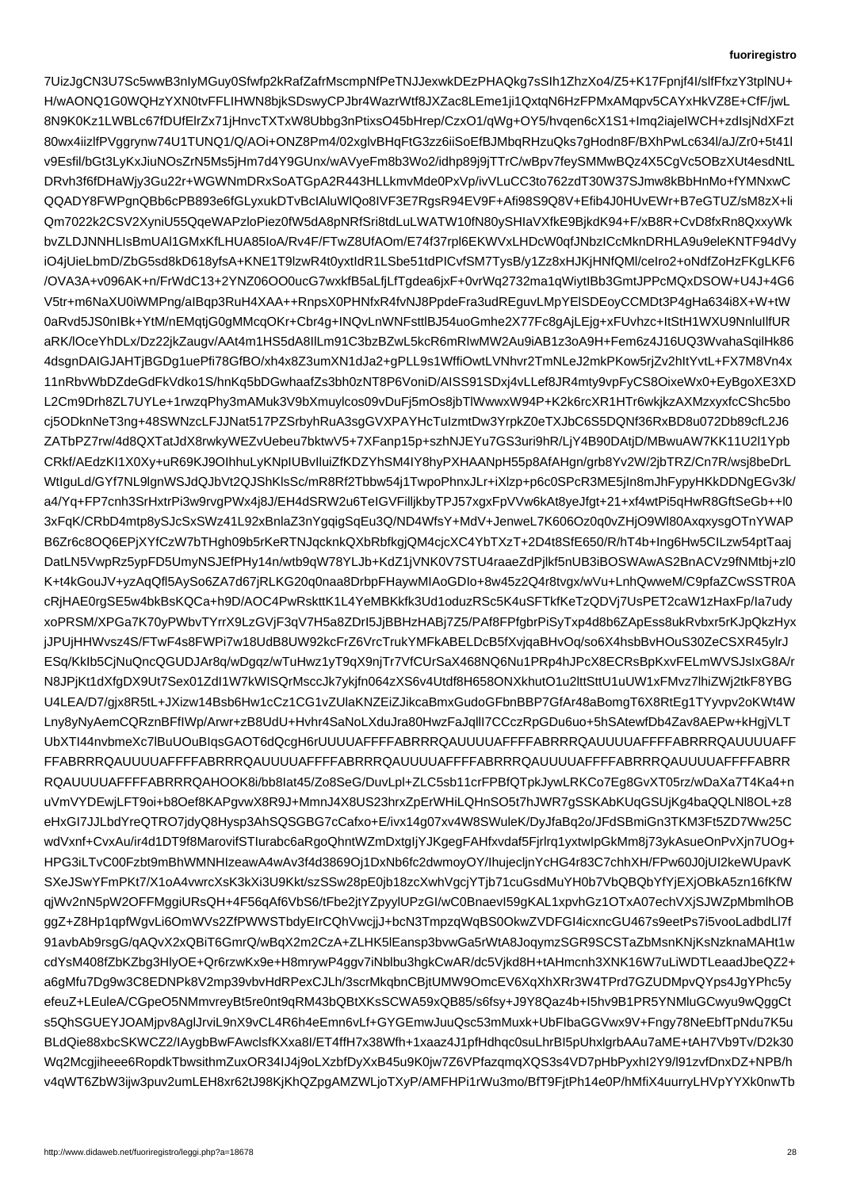7UizJgCN3U7Sc5wwB3nlyMGuy0Sfwfp2kRafZafrMscmpNfPeTNJJexwkDEzPHAQkg7sSlh1ZhzXo4/Z5+K17Fpnjf4l/slfFfxzY3tplNU+ H/wAONQ1G0WQHzYXN0tvFFLIHWN8bjkSDswyCPJbr4WazrWtf8JXZac8LEme1ji1QxtqN6HzFPMxAMqpv5CAYxHkVZ8E+CfF/jwL 8N9K0Kz1LWBLc67fDUfElrZx71jHnvcTXTxW8Ubbq3nPtixsO45bHrep/CzxO1/qWq+OY5/hvqen6cX1S1+Imq2iajeIWCH+zdlsjNdXFzt 80wx4iizlfPVggrynw74U1TUNQ1/Q/AOi+ONZ8Pm4/02xglvBHqFtG3zz6iiSoEfBJMbqRHzuQks7qHodn8F/BXhPwLc634l/aJ/Zr0+5t41l v9Esfil/bGt3LyKxJiuNOsZrN5Ms5jHm7d4Y9GUnx/wAVyeFm8b3Wo2/idhp89j9jTTrC/wBpv7feySMMwBQz4X5CgVc5OBzXUt4esdNtL DRvh3f6fDHaWjy3Gu22r+WGWNmDRxSoATGpA2R443HLLkmvMde0PxVp/ivVLuCC3to762zdT30W37SJmw8kBbHnMo+fYMNxwC QQADY8FWPgnQBb6cPB893e6fGLyxukDTvBcIAluWIQo8IVF3E7RgsR94EV9F+Afi98S9Q8V+Efib4J0HUvEWr+B7eGTUZ/sM8zX+li Qm7022k2CSV2XyniU55QqeWAPzloPiez0fW5dA8pNRfSri8tdLuLWATW10fN80ySHlaVXfkE9BjkdK94+F/xB8R+CvD8fxRn8QxxyWk bvZLDJNNHLIsBmUAI1GMxKfLHUA85IoA/Rv4F/FTwZ8UfAOm/E74f37rpl6EKWVxLHDcW0qfJNbzICcMknDRHLA9u9eleKNTF94dVy iO4jUieLbmD/ZbG5sd8kD618yfsA+KNE1T9lzwR4t0yxtldR1LSbe51tdPlCvfSM7TysB/y1Zz8xHJKjHNfQMl/celro2+oNdfZoHzFKgLKF6 /OVA3A+v096AK+n/FrWdC13+2YNZ06OO0ucG7wxkfB5aLfjLfTgdea6jxF+0vrWq2732ma1qWiytlBb3GmtJPPcMQxDSOW+U4J+4G6 V5tr+m6NaXU0iWMPnq/alBqp3RuH4XAA++RnpsX0PHNfxR4fvNJ8PpdeFra3udREquvLMpYEISDEoyCCMDt3P4qHa634i8X+W+tW 0aRvd5JS0nIBk+YtM/nEMqtjG0qMMcqOKr+Cbr4q+INQvLnWNFsttlBJ54uoGmhe2X77Fc8qAjLEjq+xFUvhzc+ItStH1WXU9NnlulIfUR aRK/lOceYhDLx/Dz22jkZaugv/AAt4m1HS5dA8llLm91C3bzBZwL5kcR6mRlwMW2Au9iAB1z3oA9H+Fem6z4J16UQ3WvahaSqilHk86 4dsgnDAIGJAHTjBGDg1uePfi78GfBO/xh4x8Z3umXN1dJa2+gPLL9s1WffiOwtLVNhvr2TmNLeJ2mkPKow5rjZv2hltYvtL+FX7M8Vn4x 11nRbvWbDZdeGdFkVdko1S/hnKq5bDGwhaafZs3bh0zNT8P6VoniD/AISS91SDxj4vLLef8JR4mty9vpFyCS8OixeWx0+EyBgoXE3XD L2Cm9Drh8ZL7UYLe+1rwzqPhy3mAMuk3V9bXmuylcos09vDuFj5mOs8jbTlWwwxW94P+K2k6rcXR1HTr6wkjkzAXMzxyxfcCShc5bo cj5ODknNeT3ng+48SWNzcLFJJNat517PZSrbyhRuA3sgGVXPAYHcTulzmtDw3YrpkZ0eTXJbC6S5DQNf36RxBD8u072Db89cfL2J6 ZATbPZ7rw/4d8QXTatJdX8rwkyWEZvUebeu7bktwV5+7XFanp15p+szhNJEYu7GS3uri9hR/LjY4B90DAtjD/MBwuAW7KK11U2l1Ypb CRkf/AEdzKI1X0Xy+uR69KJ9OlhhuLyKNplUBvlluiZfKDZYhSM4IY8hyPXHAANpH55p8AfAHqn/qrb8Yv2W/2jbTRZ/Cn7R/wsj8beDrL WtlguLd/GYf7NL9lgnWSJdQJbVt2QJShKlsSc/mR8Rf2Tbbw54j1TwpoPhnxJLr+iXlzp+p6c0SPcR3ME5jIn8mJhFypyHKkDDNgEGv3k/ a4/Yq+FP7cnh3SrHxtrPi3w9rvqPWx4j8J/EH4dSRW2u6TeIGVFilljkbyTPJ57xqxFpVVw6kAt8yeJfqt+21+xf4wtPi5qHwR8GftSeGb++l0 3xFqK/CRbD4mtp8ySJcSxSWz41L92xBnlaZ3nYqqiqSqEu3Q/ND4WfsY+MdV+JenweL7K606Oz0q0vZHjO9Wl80AxqxysqOTnYWAP B6Zr6c8OQ6EPjXYfCzW7bTHgh09b5rKeRTNJqcknkQXbRbfkgjQM4cjcXC4YbTXzT+2D4t8SfE650/R/hT4b+lng6Hw5ClLzw54ptTaaj DatLN5VwpRz5ypFD5UmyNSJEfPHy14n/wtb9qW78YLJb+KdZ1jVNK0V7STU4raaeZdPjlkf5nUB3iBOSWAwAS2BnACVz9fNMtbj+zl0 K+t4kGouJV+yzAqQfl5AySo6ZA7d67jRLKG20q0naa8DrbpFHaywMIAoGDlo+8w45z2Q4r8tvgx/wVu+LnhQwweM/C9pfaZCwSSTR0A cRiHAE0rgSE5w4bkBsKQCa+h9D/AOC4PwRskttK1L4YeMBKkfk3Ud1oduzRSc5K4uSFTkfKeTzQDVi7UsPET2caW1zHaxFp/la7udv xoPRSM/XPGa7K70yPWbvTYrrX9LzGVjF3qV7H5a8ZDrI5JjBBHzHABj7Z5/PAf8FPfgbrPiSyTxp4d8b6ZApEss8ukRvbxr5rKJpQkzHyx jJPUjHHWvsz4S/FTwF4s8FWPi7w18UdB8UW92kcFrZ6VrcTrukYMFkABELDcB5fXvjqaBHvOq/so6X4hsbBvHOuS30ZeCSXR45yIrJ ESq/Kklb5CjNuQncQGUDJAr8q/wDgqz/wTuHwz1yT9qX9njTr7VfCUrSaX468NQ6Nu1PRp4hJPcX8ECRsBpKxvFELmWVSJslxG8A/r N8JPjKt1dXfgDX9Ut7Sex01Zdl1W7kWISQrMsccJk7ykjfn064zXS6v4Utdf8H658ONXkhutO1u2lttSttU1uUW1xFMvz7lhiZWj2tkF8YBG U4LEA/D7/gjx8R5tL+JXizw14Bsb6Hw1cCz1CG1vZUlaKNZEiZJikcaBmxGudoGFbnBBP7GfAr48aBomgT6X8RtEg1TYyvpv2oKWt4W Lny8yNyAemCQRznBFfIWp/Arwr+zB8UdU+Hvhr4SaNoLXduJra80HwzFaJqIll7CCczRpGDu6uo+5hSAtewfDb4Zav8AEPw+kHqjVLT UbXTI44nvbmeXc7lBuUOuBlasGAOT6dQcaH6rUUUUAFFFFABRRRQAUUUUAFFFFABRRRQAUUUUAFFFFABRRRQAUUUUAFF FFABRRRQAUUUUAFFFFABRRRQAUUUUAFFFFABRRRQAUUUUAFFFFABRRRQAUUUUAFFFFABRRRQAUUUUAFFFFABRR RQAUUUUAFFFFABRRRQAHOOK8i/bb8lat45/Zo8SeG/DuvLpl+ZLC5sb11crFPBfQTpkJywLRKCo7Eg8GvXT05rz/wDaXa7T4Ka4+n uVmVYDEwjLFT9oi+b8Oef8KAPgvwX8R9J+MmnJ4X8US23hrxZpErWHiLQHnSO5t7hJWR7gSSKAbKUqGSUjKg4baQQLNl8OL+z8 eHxGI7JJLbdYreQTRO7jdyQ8Hysp3AhSQSGBG7cCafxo+E/ivx14g07xv4W8SWuleK/DyJfaBq2o/JFdSBmiGn3TKM3Ft5ZD7Ww25C wdVxnf+CvxAu/ir4d1DT9f8MarovifSTIurabc6aRgoQhntWZmDxtgljYJKgegFAHfxvdaf5Fjrlrq1yxtwlpGkMm8j73ykAsueOnPvXjn7UOg+ HPG3iLTvC00Fzbt9mBhWMNHlzeawA4wAv3f4d3869Oj1DxNb6fc2dwmoyOY/lhujecljnYcHG4r83C7chhXH/FPw60J0jUl2keWUpavK SXeJSwYFmPKt7/X1oA4vwrcXsK3kXi3U9Kkt/szSSw28pE0jb18zcXwhVqcjYTjb71cuGsdMuYH0b7VbQBQbYfYjEXjOBkA5zn16fKfW qjWv2nN5pW2OFFMqqiURsQH+4F56qAf6VbS6/tFbe2jtYZpyylUPzGI/wC0BnaevI59qKAL1xpvhGz1OTxA07echVXjSJWZpMbmlhOB ggZ+Z8Hp1qpfWgvLi6OmWVs2ZfPWWSTbdyEIrCQhVwcjjJ+bcN3TmpzqWqBS0OkwZVDFGI4icxncGU467s9eetPs7i5vooLadbdLl7f 91avbAb9rsgG/qAQvX2xQBiT6GmrQ/wBqX2m2CzA+ZLHK5lEansp3bvwGa5rWtA8JoqymzSGR9SCSTaZbMsnKNjKsNzknaMAHt1w cdYsM408fZbKZbg3HlyOE+Qr6rzwKx9e+H8mrywP4ggv7iNblbu3hgkCwAR/dc5Vjkd8H+tAHmcnh3XNK16W7uLiWDTLeaadJbeQZ2+ a6gMfu7Dg9w3C8EDNPk8V2mp39vbvHdRPexCJLh/3scrMkqbnCBjtUMW9OmcEV6XqXhXRr3W4TPrd7GZUDMpvQYps4JqYPhc5y efeuZ+LEuleA/CGpeO5NMmvreyBt5re0nt9qRM43bQBtXKsSCWA59xQB85/s6fsy+J9Y8Qaz4b+I5hv9B1PR5YNMluGCwyu9wQggCt s5QhSGUEYJOAMjpv8AglJrviL9nX9vCL4R6h4eEmn6vLf+GYGEmwJuuQsc53mMuxk+UbFlbaGGVwx9V+Fngy78NeEbfTpNdu7K5u BLdQie88xbcSKWCZ2/IAygbBwFAwclsfKXxa8I/ET4ffH7x38Wfh+1xaaz4J1pfHdhqc0suLhrBI5pUhxlgrbAAu7aME+tAH7Vb9Tv/D2k30 Wq2Mcgjiheee6RopdkTbwsithmZuxOR34IJ4j9oLXzbfDyXxB45u9K0jw7Z6VPfazqmqXQS3s4VD7pHbPyxhl2Y9/l91zvfDnxDZ+NPB/h v4qWT6ZbW3ijw3puv2umLEH8xr62tJ98KjKhQZpgAMZWLjoTXyP/AMFHPi1rWu3mo/BfT9FjtPh14e0P/hMfiX4uurryLHVpYYXk0nwTb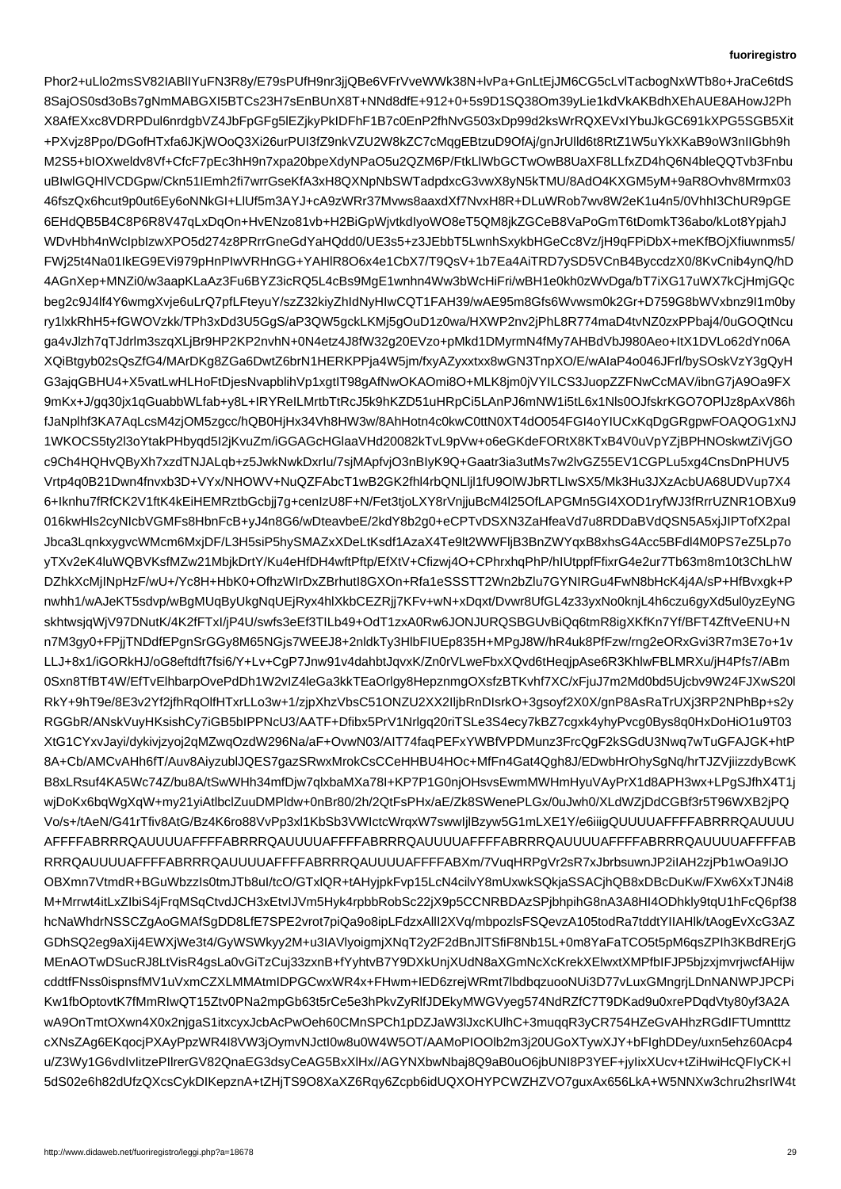Phor2+uLlo2msSV82IABIIYuFN3R8y/E79sPUfH9nr3jjQBe6VFrVveWWk38N+lvPa+GnLtEjJM6CG5cLvlTacbogNxWTb8o+JraCe6tdS 8SajOS0sd3oBs7qNmMABGXI5BTCs23H7sEnBUnX8T+NNd8dfE+912+0+5s9D1SQ38Om39yLie1kdVkAKBdhXEhAUE8AHowJ2Ph X8AfEXxc8VDRPDul6nrdqbVZ4JbFpGFq5lEZjkyPkIDFhF1B7c0EnP2fhNvG503xDp99d2ksWrRQXEVxIYbuJkGC691kXPG5SGB5Xit +PXvjz8Ppo/DGofHTxfa6JKjWOoQ3Xi26urPUI3fZ9nkVZU2W8kZC7cMqqEBtzuD9OfAj/qnJrUlld6t8RtZ1W5uYkXKaB9oW3nIIGbh9h M2S5+bIOXweldv8Vf+CfcF7pEc3hH9n7xpa20bpeXdyNPaO5u2QZM6P/FtkLlWbGCTwOwB8UaXF8LLfxZD4hQ6N4bleQQTvb3Fnbu uBIwlGQHIVCDGpw/Ckn51IEmh2fi7wrrGseKfA3xH8QXNpNbSWTadpdxcG3vwX8yN5kTMU/8AdO4KXGM5yM+9aR8Ovhv8Mrmx03 46fszQx6hcut9p0ut6Ev6oNNkGI+LIUf5m3AYJ+cA9zWRr37Mvws8aaxdXf7NvxH8R+DLuWRob7wv8W2eK1u4n5/0Vhhl3ChUR9pGE 6EHdQB5B4C8P6R8V47aLxDaOn+HvENzo81vb+H2BiGpWivtkdIvoWO8eT5QM8ikZGCeB8VaPoGmT6tDomkT36abo/kLot8YpiahJ WDvHbh4nWclpbIzwXPO5d274z8PRrrGneGdYaHQdd0/UE3s5+z3JEbbT5LwnhSxykbHGeCc8Vz/jH9qFPiDbX+meKfBOjXfiuwnms5/ FWj25t4Na01IkEG9EVi979pHnPIwVRHnGG+YAHIR8O6x4e1CbX7/T9QsV+1b7Ea4AiTRD7ySD5VCnB4ByccdzX0/8KvCnib4ynQ/hD 4AGnXep+MNZi0/w3aapKLaAz3Fu6BYZ3icRQ5L4cBs9MgE1wnhn4Ww3bWcHiFri/wBH1e0kh0zWvDga/bT7iXG17uWX7kCjHmjGQc beg2c9J4lf4Y6wmgXvje6uLrQ7pfLFteyuY/szZ32kiyZhldNyHlwCQT1FAH39/wAE95m8Gfs6Wvwsm0k2Gr+D759G8bWVxbnz9l1m0by ry1lxkRhH5+fGWOVzkk/TPh3xDd3U5GqS/aP3QW5qckLKMi5qOuD1z0wa/HXWP2nv2jPhL8R774maD4tvNZ0zxPPbaj4/0uGOQtNcu ga4vJlzh7qTJdrlm3szqXLjBr9HP2KP2nvhN+0N4etz4J8fW32g20EVzo+pMkd1DMyrmN4fMy7AHBdVbJ980Aeo+ItX1DVLo62dYn06A XQiBtgyb02sQsZfG4/MArDKg8ZGa6DwtZ6brN1HERKPPja4W5jm/fxyAZyxxtxx8wGN3TnpXO/E/wAlaP4o046JFrl/bySOskVzY3gQyH G3ajqGBHU4+X5vatLwHLHoFtDjesNvapblihVp1xgtlT98gAfNwOKAOmi8O+MLK8jm0jVYILCS3JuopZZFNwCcMAV/ibnG7jA9Oa9FX 9mKx+J/gq30jx1qGuabbWLfab+y8L+IRYReILMrtbTtRcJ5k9hKZD51uHRpCi5LAnPJ6mNW1i5tL6x1Nls0OJfskrKGO7OPIJz8pAxV86h fJaNplhf3KA7AqLcsM4zjOM5zgcc/hQB0HjHx34Vh8HW3w/8AhHotn4c0kwC0ttN0XT4dO054FGI4oYIUCxKqDgGRgpwFOAQOG1xNJ 1WKOCS5ty2l3oYtakPHbyqd5l2jKvuZm/iGGAGcHGlaaVHd20082kTvL9pVw+o6eGKdeFORtX8KTxB4V0uVpYZjBPHNOskwtZiVjGO c9Ch4HQHvQByXh7xzdTNJALqb+z5JwkNwkDxrlu/7sjMApfvjO3nBlyK9Q+Gaatr3ia3utMs7w2lvGZ55EV1CGPLu5xq4CnsDnPHUV5 Vrtp4q0B21Dwn4fnvxb3D+VYx/NHOWV+NuQZFAbcT1wB2GK2fhl4rbQNLljl1fU9OIWJbRTLIwSX5/Mk3Hu3JXzAcbUA68UDVup7X4 6+lknhu7fRfCK2V1ftK4kEiHEMRztbGcbij7q+cenlzU8F+N/Fet3tjoLXY8rVnjjuBcM4l25OfLAPGMn5GI4XOD1ryfWJ3fRrrUZNR1OBXu9 016kwHls2cyNlcbVGMFs8HbnFcB+yJ4n8G6/wDteavbeE/2kdY8b2q0+eCPTvDSXN3ZaHfeaVd7u8RDDaBVdQSN5A5xjJlPTofX2pal Jbca3LqnkxygvcWMcm6MxjDF/L3H5siP5hySMAZxXDeLtKsdf1AzaX4Te9lt2WWFljB3BnZWYqxB8xhsG4Acc5BFdl4M0PS7eZ5Lp7o yTXv2eK4IuWQBVKsfMZw21MbjkDrtY/Ku4eHfDH4wftPftp/EfXtV+Cfizwj4O+CPhrxhqPhP/hlUtppfFfixrG4e2ur7Tb63m8m10t3ChLhW DZhkXcMjINpHzF/wU+/Yc8H+HbK0+OfhzWIrDxZBrhutl8GXOn+Rfa1eSSSTT2Wn2bZlu7GYNIRGu4FwN8bHcK4j4A/sP+HfBvxgk+P nwhh1/wAJeKT5sdvp/wBqMUqByUkgNqUEjRyx4hlXkbCEZRjj7KFv+wN+xDqxt/Dvwr8UfGL4z33yxNo0knjL4h6czu6qyXd5ul0yzEyNG skhtwsjqWjV97DNutK/4K2fFTxl/jP4U/swfs3eEf3TILb49+OdT1zxA0Rw6JONJURQSBGUvBiQq6tmR8igXKfKn7Yf/BFT4ZftVeENU+N n7M3gy0+FPjjTNDdfEPgnSrGGy8M65NGjs7WEEJ8+2nldkTy3HlbFIUEp835H+MPgJ8W/hR4uk8PfFzw/rng2eORxGvi3R7m3E7o+1v LLJ+8x1/iGORkHJ/oG8eftdft7fsi6/Y+Lv+CgP7Jnw91v4dahbtJqvxK/Zn0rVLweFbxXQvd6tHeqjpAse6R3KhlwFBLMRXu/jH4Pfs7/ABm 0Sxn8TfBT4W/EfTvElhbarpOvePdDh1W2vlZ4leGa3kkTEaOrlqy8HepznmqOXsfzBTKvhf7XC/xFjuJ7m2Md0bd5Ujcbv9W24FJXwS20l RkY+9hT9e/8E3v2Yf2jfhRqOlfHTxrLLo3w+1/zjpXhzVbsC51ONZU2XX2IIjbRnDIsrkO+3qsovf2X0X/qnP8AsRaTrUXj3RP2NPhBp+s2v RGGbR/ANskVuyHKsishCy7iGB5bIPPNcU3/AATF+Dfibx5PrV1Nrlqq20riTSLe3S4ecy7kBZ7cqxk4yhyPvcq0Bys8q0HxDoHiO1u9T03 XtG1CYxvJayi/dykivjzyoj2qMZwqOzdW296Na/aF+OvwN03/AIT74faqPEFxYWBfVPDMunz3FrcQqF2kSGdU3Nwq7wTuGFAJGK+htP 8A+Cb/AMCvAHh6fT/Auv8AiyzublJQES7gazSRwxMrokCsCCeHHBU4HOc+MfFn4Gat4Qgh8J/EDwbHrOhySgNg/hrTJZVjiizzdyBcwK B8xLRsuf4KA5Wc74Z/bu8A/tSwWHh34mfDjw7qlxbaMXa78I+KP7P1G0njOHsvsEwmMWHmHyuVAyPrX1d8APH3wx+LPgSJfhX4T1j wjDoKx6bqWgXqW+my21yiAtlbclZuuDMPldw+0nBr80/2h/2QtFsPHx/aE/Zk8SWenePLGx/0uJwh0/XLdWZjDdCGBf3r5T96WXB2jPQ Vo/s+/tAeN/G41rTfiv8AtG/Bz4K6ro88VvPp3xl1KbSb3VWIctcWrqxW7swwIjlBzyw5G1mLXE1Y/e6iiigQUUUUAFFFFABRRRQAUUUU AFFFFABRRRQAUUUUAFFFFABRRRQAUUUUAFFFFABRRRQAUUUUAFFFFABRRRQAUUUUAFFFFABRRRQAUUUUAFFFFAB RRRQAUUUUAFFFFABRRRQAUUUUAFFFFABRRRQAUUUUAFFFFABXm/7VuqHRPgVr2sR7xJbrbsuwnJP2ilAH2zjPb1wOa9lJO OBXmn7VtmdR+BGuWbzzls0tmJTb8ul/tcO/GTxlQR+tAHyjpkFvp15LcN4cilvY8mUxwkSQkjaSSACjhQB8xDBcDuKw/FXw6XxTJN4i8 M+Mrrwt4itLxZlbiS4iFrqMSqCtvdJCH3xEtvlJVm5Hyk4rpbbRobSc22jX9p5CCNRBDAzSPjbhpihG8nA3A8HI4ODhkly9tqU1hFcQ6pf38 hcNaWhdrNSSCZqAoGMAfSqDD8LfE7SPE2vrot7piQa9o8ipLFdzxAlll2XVq/mbpozlsFSQevzA105todRa7tddtYllAHlk/tAoqEvXcG3AZ GDhSQ2eg9aXij4EWXjWe3t4/GyWSWkyy2M+u3IAVlyoigmjXNqT2y2F2dBnJlTSfiF8Nb15L+0m8YaFaTCO5t5pM6qsZPlh3KBdRErjG MEnAOTwDSucRJ8LtVisR4gsLa0vGiTzCuj33zxnB+fYyhtvB7Y9DXkUnjXUdN8aXGmNcXcKrekXElwxtXMPfblFJP5bjzxjmvrjwcfAHijw cddtfFNss0ispnsfMV1uVxmCZXLMMAtmIDPGCwxWR4x+FHwm+IED6zreiWRmt7lbdbazuooNUi3D77vLuxGMnariLDnNANWPJPCPi Kw1fbOptovtK7fMmRIwQT15Ztv0PNa2mpGb63t5rCe5e3hPkvZyRIfJDEkyMWGVyeg574NdRZfC7T9DKad9u0xrePDqdVty80yf3A2A wA9OnTmtOXwn4X0x2njgaS1itxcyxJcbAcPwOeh60CMnSPCh1pDZJaW3IJxcKUlhC+3muqqR3yCR754HZeGvAHhzRGdIFTUmntttz cXNsZAg6EKqocjPXAyPpzWR4I8VW3jOymvNJctl0w8u0W4W5OT/AAMoPIOOlb2m3j20UGoXTywXJY+bFIghDDey/uxn5ehz60Acp4 u/Z3Wy1G6vdlvlitzePllrerGV82QnaEG3dsyCeAG5BxXlHx//AGYNXbwNbaj8Q9aB0uO6jbUNI8P3YEF+jylixXUcv+tZiHwiHcQFlyCK+I 5dS02e6h82dUfzQXcsCykDlKepznA+tZHjTS9O8XaXZ6Rqy6Zcpb6idUQXOHYPCWZHZVO7quxAx656LkA+W5NNXw3chru2hsrlW4t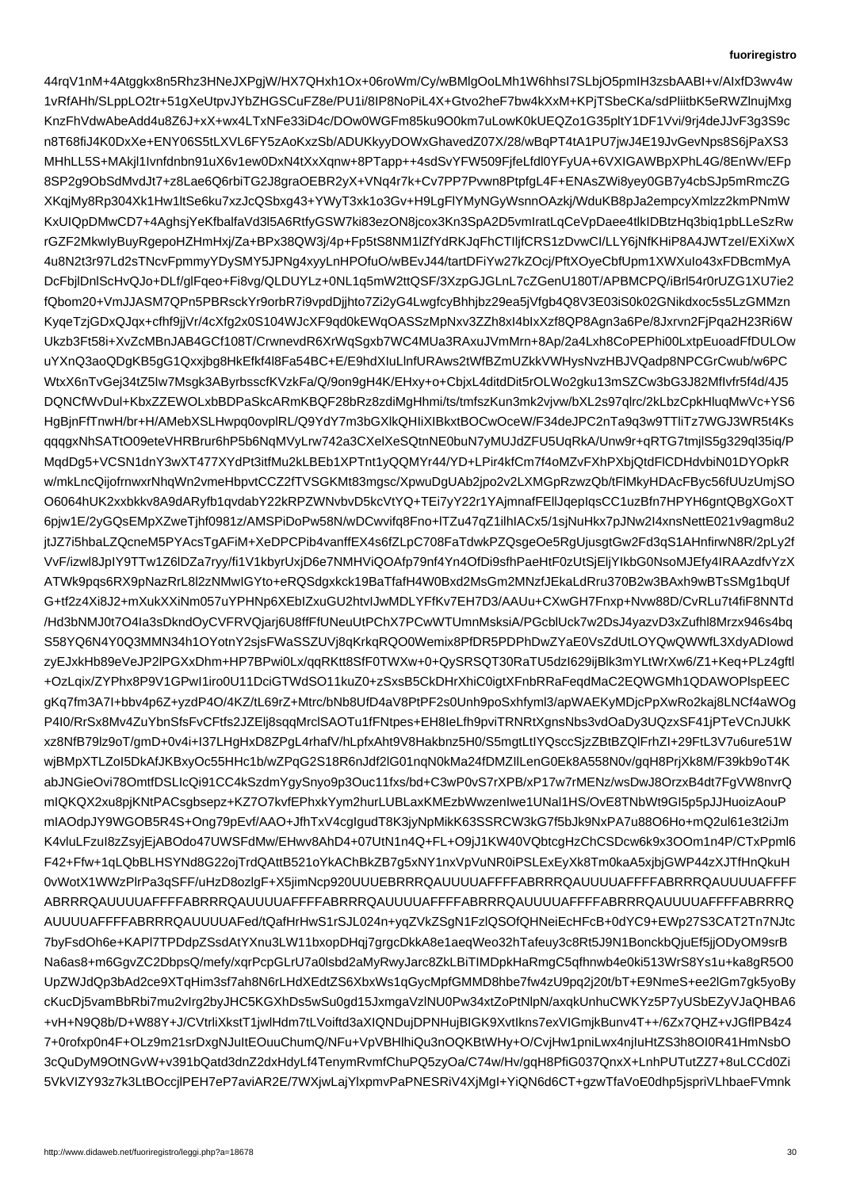44rqV1nM+4Atggkx8n5Rhz3HNeJXPgjW/HX7QHxh1Ox+06roWm/Cy/wBMlgOoLMh1W6hhsI7SLbjO5pmIH3zsbAABI+v/AlxfD3wv4w 1vRfAHh/SLppLO2tr+51gXeUtpvJYbZHGSCuFZ8e/PU1i/8lP8NoPiL4X+Gtvo2heF7bw4kXxM+KPjTSbeCKa/sdPliitbK5eRWZInujMxg KnzFhVdwAbeAdd4u8Z6J+xX+wx4LTxNFe33iD4c/DOw0WGFm85ku9O0km7uLowK0kUEQZo1G35pltY1DF1Vvi/9rj4deJJvF3q3S9c n8T68fiJ4K0DxXe+ENY06S5tLXVL6FY5zAoKxzSb/ADUKkyyDOWxGhavedZ07X/28/wBqPT4tA1PU7jwJ4E19JvGevNps8S6jPaXS3 MHhLL5S+MAkjl1lvnfdnbn91uX6v1ew0DxN4tXxXqnw+8PTapp++4sdSvYFW509FjfeLfdl0YFyUA+6VXIGAWBpXPhL4G/8EnWv/EFp 8SP2g9ObSdMvdJt7+z8Lae6Q6rbiTG2J8graOEBR2yX+VNq4r7k+Cv7PP7Pvwn8PtpfgL4F+ENAsZWi8yey0GB7y4cbSJp5mRmcZG XKgjMy8Rp304Xk1Hw1ltSe6ku7xzJcQSbxg43+YWyT3xk1o3Gv+H9LgFlYMyNGyWsnnOAzkj/WduKB8pJa2empcyXmlzz2kmPNmW KxUIQpDMwCD7+4AghsjYeKfbalfaVd3l5A6RtfyGSW7ki83ezON8jcox3Kn3SpA2D5vmlratLqCeVpDaee4tlkIDBtzHq3biq1pbLLeSzRw rGZF2MkwlyBuyRgepoHZHmHxj/Za+BPx38QW3j/4p+Fp5tS8NM1IZfYdRKJqFhCTIljfCRS1zDvwCI/LLY6jNfKHiP8A4JWTzel/EXiXwX 4u8N2t3r97Ld2sTNcvFpmmyYDySMY5JPNg4xyyLnHPOfuO/wBEvJ44/tartDFiYw27kZOcj/PftXOyeCbfUpm1XWXulo43xFDBcmMyA DcFbjlDnlScHvQJo+DLf/glFqeo+Fi8vg/QLDUYLz+0NL1q5mW2ttQSF/3XzpGJGLnL7cZGenU180T/APBMCPQ/iBrl54r0rUZG1XU7ie2 fQbom20+VmJJASM7QPn5PBRsckYr9orbR7i9vpdDijhto7Zi2yG4LwqfcyBhhjbz29ea5jVfqb4Q8V3E03iS0k02GNikdxoc5s5LzGMMzn KygeTzjGDxQJgx+cfhf9jjVr/4cXfg2x0S104WJcXF9gd0kEWgOASSzMpNxv3ZZh8xI4blxXzf8QP8Agn3a6Pe/8Jxrvn2FjPga2H23Ri6W Ukzb3Ft58i+XvZcMBnJAB4GCf108T/CrwnevdR6XrWqSqxb7WC4MUa3RAxuJVmMrn+8Ap/2a4Lxh8CoPEPhi00LxtpEuoadFfDULOw uYXnQ3aoQDqKB5qG1Qxxibq8HkEfkf4l8Fa54BC+E/E9hdXluLlnfURAws2tWfBZmUZkkVWHvsNvzHBJVQadp8NPCGrCwub/w6PC WtxX6nTvGej34tZ5Iw7Msgk3AByrbsscfKVzkFa/Q/9on9gH4K/EHxy+o+CbjxL4ditdDit5rOLWo2gku13mSZCw3bG3J82Mflvfr5f4d/4J5 DQNCfWvDul+KbxZZEWOLxbBDPaSkcARmKBQF28bRz8zdiMgHhmi/ts/tmfszKun3mk2vjvw/bXL2s97qlrc/2kLbzCpkHluqMwVc+YS6 HgBjnFfTnwH/br+H/AMebXSLHwpq0ovplRL/Q9YdY7m3bGXlkQHliXlBkxtBOCwOceW/F34deJPC2nTa9q3w9TTliTz7WGJ3WR5t4Ks qqqgxNhSATtO09eteVHRBrur6hP5b6NqMVyLrw742a3CXelXeSQtnNE0buN7yMUJdZFU5UqRkA/Unw9r+qRTG7tmjlS5g329ql35iq/P MgdDg5+VCSN1dnY3wXT477XYdPt3itfMu2kLBEb1XPTnt1yQQMYr44/YD+LPir4kfCm7f4oMZvFXhPXbjQtdFlCDHdvbiN01DYOpkR w/mkLncQijofrnwxrNhqWn2vmeHbpvtCCZ2fTVSGKMt83mgsc/XpwuDgUAb2jpo2v2LXMGpRzwzQb/tFlMkyHDAcFByc56fUUzUmjSO O6064hUK2xxbkkv8A9dARyfb1qvdabY22kRPZWNvbvD5kcVtYQ+TEi7yY22r1YAjmnafFElIJqepIqsCC1uzBfn7HPYH6qntQBqXGoXT 6pjw1E/2yGQsEMpXZweTjhf0981z/AMSPiDoPw58N/wDCwvifq8Fno+ITZu47qZ1ilhIACx5/1sjNuHkx7pJNw2I4xnsNettE021v9agm8u2 jtJZ7i5hbaLZQcneM5PYAcsTgAFiM+XeDPCPib4vanffEX4s6fZLpC708FaTdwkPZQsgeOe5RgUjusgtGw2Fd3qS1AHnfirwN8R/2pLy2f VvF/izwl8JpIY9TTw1Z6IDZa7ryy/fi1V1kbyrUxjD6e7NMHViQOAfp79nf4Yn4OfDi9sfhPaeHtF0zUtSjEljYlkbG0NsoMJEfy4IRAAzdfvYzX ATWk9pqs6RX9pNazRrL8l2zNMwIGYto+eRQSdgxkck19BaTfafH4W0Bxd2MsGm2MNzfJEkaLdRru370B2w3BAxh9wBTsSMg1bqUf G+tf2z4Xi8J2+mXukXXiNm057uYPHNp6XEbIZxuGU2htvIJwMDLYFfKv7EH7D3/AAUu+CXwGH7Fnxp+Nvw88D/CvRLu7t4fiF8NNTd /Hd3bNMJ0t7O4Ia3sDkndOyCVFRVQjarj6U8ffFfUNeuUtPChX7PCwWTUmnMsksiA/PGcblUck7w2DsJ4yazvD3xZufhl8Mrzx946s4bq S58YQ6N4Y0Q3MMN34h1OYotnY2sjsFWaSSZUVj8qKrkqRQO0Wemix8PfDR5PDPhDwZYaE0VsZdUtLOYQwQWWfL3XdyADIowd zyEJxkHb89eVeJP2lPGXxDhm+HP7BPwi0Lx/qqRKtt8SfF0TWXw+0+QySRSQT30RaTU5dzI629ijBlk3mYLtWrXw6/Z1+Keq+PLz4gftl +OzLgix/ZYPhx8P9V1GPwl1iro0U11DciGTWdSO11kuZ0+zSxsB5CkDHrXhiC0igtXFnbRRaFegdMaC2EQWGMh1QDAWOPlspEEC gKg7fm3A7I+bbv4p6Z+yzdP4O/4KZ/tL69rZ+Mtrc/bNb8UfD4aV8PtPF2s0Unh9poSxhfyml3/apWAEKyMDjcPpXwRo2kaj8LNCf4aWOg P4I0/RrSx8Mv4ZuYbnSfsFvCFtfs2JZElj8sqqMrclSAOTu1fFNtpes+EH8IeLfh9pviTRNRtXqnsNbs3vdOaDy3UQzxSF41jPTeVCnJUkK xz8NfB79lz9oT/gmD+0v4i+I37LHgHxD8ZPgL4rhafV/hLpfxAht9V8Hakbnz5H0/S5mgtLtIYQsccSjzZBtBZQlFrhZI+29FtL3V7u6ure51W wjBMpXTLZoI5DkAfJKBxyOc55HHc1b/wZPqG2S18R6nJdf2lG01nqN0kMa24fDMZIILenG0Ek8A558N0v/qqH8PrjXk8M/F39kb9oT4K abJNGieOvi78OmtfDSLIcQi91CC4kSzdmYgySnyo9p3Ouc11fxs/bd+C3wP0vS7rXPB/xP17w7rMENz/wsDwJ8OrzxB4dt7FgVW8nvrQ mlQKQX2xu8pjKNtPACsqbsepz+KZ7O7kvfEPhxkYym2hurLUBLaxKMEzbWwzenIwe1UNal1HS/OvE8TNbWt9GI5p5pJJHuoizAouP mIAOdpJY9WGOB5R4S+Ong79pEvf/AAO+JfhTxV4cgIgudT8K3jyNpMikK63SSRCW3kG7f5bJk9NxPA7u88O6Ho+mQ2ul61e3t2iJm K4vluLFzul8zZsyiEiABOdo47UWSFdMw/EHwv8AhD4+07UtN1n4Q+FL+O9jJ1KW40VQbtcqHzChCSDcw6k9x3OOm1n4P/CTxPpml6 F42+Ffw+1qLQbBLHSYNd8G22ojTrdQAttB521oYkAChBkZB7g5xNY1nxVpVuNR0iPSLExEyXk8Tm0kaA5xjbjGWP44zXJTfHnQkuH 0vWotX1WWzPlrPa3qSFF/uHzD8ozlqF+X5jimNcp920UUUEBRRRQAUUUUAFFFFABRRRQAUUUUAFFFFABRRRQAUUUUAFFFF ABRRRQAUUUUAFFFFABRRRQAUUUUAFFFFABRRRQAUUUUAFFFFABRRRQAUUUUAFFFFABRRRQAUUUUAFFFFABRRRQ AUUUUAFFFFABRRRQAUUUUAFed/tQafHrHwS1rSJL024n+yqZVkZSqN1FzIQSOfQHNeiEcHFcB+0dYC9+EWp27S3CAT2Tn7NJtc 7byFsdOh6e+KAPI7TPDdpZSsdAtYXnu3LW11bxopDHqj7grgcDkkA8e1aeqWeo32hTafeuy3c8Rt5J9N1BonckbQjuEf5jjODyOM9srB Na6as8+m6GgvZC2DbpsQ/mefy/xqrPcpGLrU7a0lsbd2aMyRwyJarc8ZkLBiTIMDpkHaRmgC5qfhnwb4e0ki513WrS8Ys1u+ka8qR5O0 UpZWJdQp3bAd2ce9XTqHim3sf7ah8N6rLHdXEdtZS6XbxWs1qGycMpfGMMD8hbe7fw4zU9pq2j20t/bT+E9NmeS+ee2lGm7gk5yoBy cKucDj5vamBbRbi7mu2vIrg2byJHC5KGXhDs5wSu0gd15JxmgaVzINU0Pw34xtZoPtNlpN/axqkUnhuCWKYz5P7yUSbEZyVJaQHBA6 +vH+N9Q8b/D+W88Y+J/CVtrliXkstT1jwlHdm7tLVoiftd3aXIQNDujDPNHujBIGK9Xvtlkns7exVIGmjkBunv4T++/6Zx7QHZ+vJGflPB4z4 7+0rofxp0n4F+OLz9m21srDxgNJultEOuuChumQ/NFu+VpVBHlhiQu3nOQKBtWHy+O/CvjHw1pniLwx4njIuHtZS3h8OI0R41HmNsbO 3cQuDyM9OtNGvW+v391bQatd3dnZ2dxHdyLf4TenymRvmfChuPQ5zyOa/C74w/Hv/gqH8PfiG037QnxX+LnhPUTutZZ7+8uLCCd0Zi 5VkVIZY93z7k3LtBOccjIPEH7eP7aviAR2E/7WXjwLajYlxpmvPaPNESRiV4XjMql+YiQN6d6CT+qzwTfaVoE0dhp5jspriVLhbaeFVmnk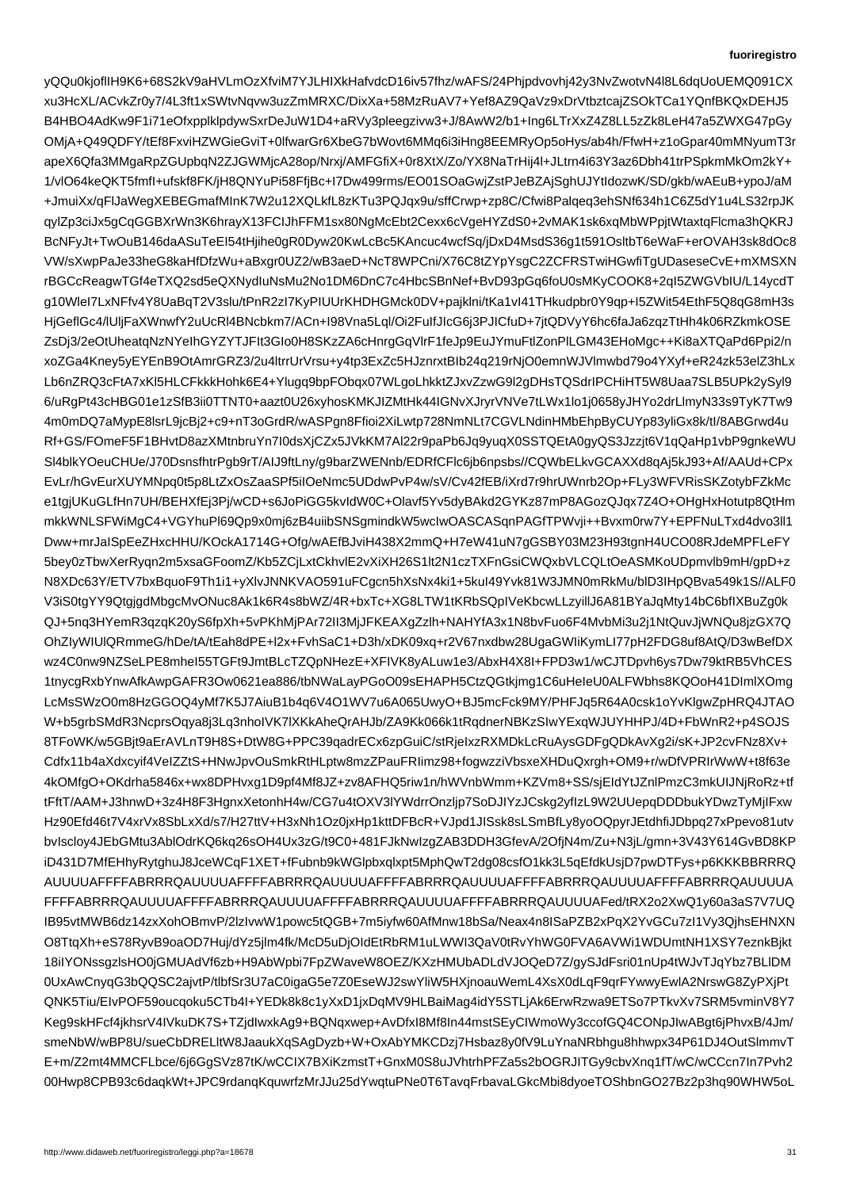yQQu0kjofIIH9K6+68S2kV9aHVLmOzXfviM7YJLHIXkHafvdcD16iv57fhz/wAFS/24Phjpdvovhj42y3NvZwotvN4l8L6dqUoUEMQ091CX xu3HcXL/ACvkZr0y7/4L3ft1xSWtvNqvw3uzZmMRXC/DixXa+58MzRuAV7+Yef8AZ9QaVz9xDrVtbztcaiZSOkTCa1YQnfBKQxDEHJ5 B4HBO4AdKw9F1i71eOfxpplklpdywSxrDeJuW1D4+aRVy3pleegzivw3+J/8AwW2/b1+Inq6LTrXxZ4Z8LL5zZk8LeH47a5ZWXG47pGy OMiA+Q49QDFY/tEf8FxviHZWGieGviT+0lfwarGr6XbeG7bWovt6MMq6i3iHnq8EEMRyOp5oHys/ab4h/FfwH+z1oGpar40mMNyumT3r apeX6Qfa3MMgaRpZGUpbqN2ZJGWMjcA28op/Nrxj/AMFGfiX+0r8XtX/Zo/YX8NaTrHij4I+JLtrn4i63Y3az6Dbh41trPSpkmMkOm2kY+ 1/vlO64keQKT5fmfl+ufskf8FK/jH8QNYuPi58FfjBc+l7Dw499rms/EO01SOaGwjZstPJeBZAjSghUJYtldozwK/SD/gkb/wAEuB+ypoJ/aM +JmuiXx/qFIJaWegXEBEGmafMInK7W2u12XQLkfL8zKTu3PQJqx9u/sffCrwp+zp8C/Cfwi8Palqeq3ehSNf634h1C6Z5dY1u4LS32rpJK qylZp3ciJx5gCqGGBXrWn3K6hrayX13FCIJhFFM1sx80NgMcEbt2Cexx6cVgeHYZdS0+2vMAK1sk6xqMbWPpjtWtaxtqFlcma3hQKRJ BcNFyJt+TwOuB146daASuTeEI54tHjihe0gR0Dyw20KwLcBc5KAncuc4wcfSq/jDxD4MsdS36g1t591OsltbT6eWaF+erOVAH3sk8dOc8 VW/sXwpPaJe33heG8kaHfDfzWu+aBxgr0UZ2/wB3aeD+NcT8WPCni/X76C8tZYpYsgC2ZCFRSTwiHGwfiTgUDaseseCvE+mXMSXN rBGCcReagwTGf4eTXQ2sd5eQXNydluNsMu2No1DM6DnC7c4HbcSBnNef+BvD93pGq6foU0sMKyCOOK8+2ql5ZWGVbIU/L14ycdT q10WleI7LxNFfv4Y8UaBqT2V3slu/tPnR2zI7KyPIUUrKHDHGMck0DV+pajklni/tKa1vl41THkudpbr0Y9qp+I5ZWit54EthF5Q8qG8mH3s HiGeflGc4/IUIjFaXWnwfY2uUcRI4BNcbkm7/ACn+I98Vna5Lql/Oi2FulfJlcG6j3PJlCfuD+7jtQDVyY6hc6faJa6zqzTtHh4k06RZkmkOSE ZsDj3/2eOtUheatqNzNYelhGYZYTJFlt3Glo0H8SKzZA6cHnrgGqVlrF1feJp9EuJYmuFtlZonPlLGM43EHoMgc++Ki8aXTQaPd6Ppi2/n xoZGa4Knev5vEYEnB9OtAmrGRZ3/2u4ltrrUrVrsu+v4tp3ExZc5HJznrxtBlb24g219rNiO0emnWJVlmwbd79o4YXvf+eR24zk53elZ3hLx Lb6nZRQ3cFtA7xKl5HLCFkkkHohk6E4+Ylugq9bpFObqx07WLgoLhkktZJxvZzwG9l2gDHsTQSdrIPCHiHT5W8Uaa7SLB5UPk2ySyl9 6/uRgPt43cHBG01e1zSfB3ii0TTNT0+aazt0U26xyhosKMKJIZMtHk44IGNvXJryrVNVe7tLWx1lo1j0658yJHYo2drLlmyN33s9TyK7Tw9 4m0mDQ7aMypE8lsrL9jcBj2+c9+nT3oGrdR/wASPgn8Ffioi2XiLwtp728NmNLt7CGVLNdinHMbEhpByCUYp83yliGx8k/tl/8ABGrwd4u Rf+GS/FOmeF5F1BHvtD8azXMtnbruYn7l0dsXjCZx5JVkKM7Al22r9paPb6Jq9yuqX0SSTQEtA0gyQS3Jzzjt6V1qQaHp1vbP9gnkeWU SI4blkYOeuCHUe/J70DsnsfhtrPqb9rT/AIJ9ftLny/q9barZWENnb/EDRfCFlc6jb6npsbs//CQWbELkvGCAXXd8qAj5kJ93+Af/AAUd+CPx EvLr/hGvEurXUYMNpq0t5p8LtZxOsZaaSPf5iIOeNmc5UDdwPvP4w/sV/Cv42fEB/iXrd7r9hrUWnrb2Op+FLy3WFVRisSKZotybFZkMc e1tgjUKuGLfHn7UH/BEHXfEj3Pj/wCD+s6JoPiGG5kvIdW0C+Olavf5Yv5dyBAkd2GYKz87mP8AGozQJqx7Z4O+OHqHxHotutp8QtHm mkkWNLSFWiMqC4+VGYhuPl69Qp9x0mj6zB4uiibSNSqmindkW5wclwOASCASqnPAGfTPWvji++Bvxm0rw7Y+EPFNuLTxd4dvo3ll1 Dww+mrJalSpEeZHxcHHU/KOckA1714G+Ofg/wAEfBJviH438X2mmQ+H7eW41uN7gGSBY03M23H93tgnH4UCO08RJdeMPFLeFY 5bey0zTbwXerRyqn2m5xsaGFoomZ/Kb5ZCjLxtCkhvlE2vXiXH26S1lt2N1czTXFnGsiCWQxbVLCQLtOeASMKoUDpmvlb9mH/gpD+z N8XDc63Y/ETV7bxBquoF9Th1i1+yXlvJNNKVAO591uFCgcn5hXsNx4ki1+5kul49Yvk81W3JMN0mRkMu/blD3lHpQBva549k1S//ALF0 V3iS0tqYY9QtqigdMbgcMvONuc8Ak1k6R4s8bWZ/4R+bxTc+XG8LTW1tKRbSQpIVeKbcwLLzyillJ6A81BYaJqMty14bC6bflXBuZg0k QJ+5nq3HYemR3qzqK20yS6fpXh+5vPKhMjPAr72II3MjJFKEAXgZzlh+NAHYfA3x1N8bvFuo6F4MvbMi3u2j1NtQuvJjWNQu8jzGX7Q OhZIyWIUIQRmmeG/hDe/tA/tEah8dPE+I2x+FvhSaC1+D3h/xDK09xq+r2V67nxdbw28UqaGWIiKymLI77pH2FDG8uf8AtQ/D3wBefDX wz4C0nw9NZSeLPE8mheI55TGFt9JmtBLcTZQpNHezE+XFIVK8yALuw1e3/AbxH4X8I+FPD3w1/wCJTDpvh6ys7Dw79ktRB5VhCES 1tnycqRxbYnwAfkAwpGAFR3Ow0621ea886/tbNWaLayPGoO09sEHAPH5CtzQGtkjmq1C6uHeleU0ALFWbhs8KQOoH41DlmlXOmq LcMsSWzO0m8HzGGOQ4yMf7K5J7AiuB1b4q6V4O1WV7u6A065UwyO+BJ5mcFck9MY/PHFJq5R64A0csk1oYvKlgwZpHRQ4JTAO W+b5qrbSMdR3NcprsOqya8j3Lq3nhoIVK7lXKkAheQrAHJb/ZA9Kk066k1tRqdnerNBKzSIwYExqWJUYHHPJ/4D+FbWnR2+p4SOJS 8TFoWK/w5GBjt9aErAVLnT9H8S+DtW8G+PPC39qadrECx6zpGuiC/stRjelxzRXMDkLcRuAysGDFgQDkAvXg2i/sK+JP2cvFNz8Xv+ Cdfx11b4aXdxcyif4VelZZtS+HNwJpvOuSmkRtHLptw8mzZPauFRIimz98+fogwzziVbsxeXHDuQxrgh+OM9+r/wDfVPRIrWwW+t8f63e 4kOMfgO+OKdrha5846x+wx8DPHvxg1D9pf4Mf8JZ+zv8AFHQ5riw1n/hWVnbWmm+KZVm8+SS/sjEIdYtJZnlPmzC3mkUIJNjRoRz+tf tFftT/AAM+J3hnwD+3z4H8F3HgnxXetonhH4w/CG7u4tOXV3IYWdrrOnzljp7SoDJIYzJCskg2yflzL9W2UUepqDDDbukYDwzTyMjlFxw Hz90Efd46t7V4xrVx8SbLxXd/s7/H27ttV+H3xNh1Oz0jxHp1kttDFBcR+VJpd1JISsk8sLSmBfLy8yoOQpyrJEtdhfiJDbpq27xPpevo81utv bvlscloy4JEbGMtu3AblOdrKQ6kg26sOH4Ux3zG/t9C0+481FJkNwlzgZAB3DDH3GfevA/2OfjN4m/Zu+N3jL/gmn+3V43Y614GvBD8KP iD431D7MfEHhyRytghuJ8JceWCqF1XET+fFubnb9kWGlpbxqlxpt5MphQwT2dg08csfO1kk3L5qEfdkUsjD7pwDTFys+p6KKKBBRRRQ AUUUUAFFFFABRRRQAUUUUAFFFFABRRRQAUUUUAFFFFABRRRQAUUUUAFFFFABRRRQAUUUUAFFFFABRRRQAUUUUA FFFFABRRRQAUUUUAFFFFABRRRQAUUUUAFFFFABRRRQAUUUUAFFFFABRRRQAUUUUAFed/tRX2o2XwQ1y60a3aS7V7UQ IB95vtMWB6dz14zxXohOBmvP/2lzIvwW1powc5tQGB+7m5iyfw60AfMnw18bSa/Neax4n8ISaPZB2xPqX2YvGCu7zI1Vy3QihsEHNXN O8TtgXh+eS78RyvB9oaOD7Huj/dYz5jlm4fk/McD5uDjOldEtRbRM1uLWWI3QaV0tRvYhWG0FVA6AVWi1WDUmtNH1XSY7eznkBjkt 18ilYONssgzlsHO0jGMUAdVf6zb+H9AbWpbi7FpZWaveW8OEZ/KXzHMUbADLdVJOQeD7Z/gySJdFsri01nUp4tWJvTJqYbz7BLIDM 0UxAwCnyqG3bQQSC2ajvtP/tlbfSr3U7aC0igaG5e7Z0EseWJ2swYliW5HXjnoauWemL4XsX0dLqF9qrFYwwyEwIA2NrswG8ZyPXjPt QNK5Tiu/ElvPOF59oucqoku5CTb4I+YEDk8k8c1yXxD1jxDqMV9HLBaiMag4idY5STLjAk6ErwRzwa9ETSo7PTkvXv7SRM5vminV8Y7 Keg9skHFcf4jkhsrV4IVkuDK7S+TZjdlwxkAg9+BQNqxwep+AvDfxI8Mf8In44mstSEyCIWmoWy3ccofGQ4CONpJlwABgt6jPhvxB/4Jm/ smeNbW/wBP8U/sueCbDRELItW8JaaukXqSAgDyzb+W+OxAbYMKCDzj7Hsbaz8y0fV9LuYnaNRbhgu8hhwpx34P61DJ4OutSlmmvT E+m/Z2mt4MMCFLbce/6j6GqSVz87tK/wCCIX7BXiKzmstT+GnxM0S8uJVhtrhPFZa5s2bOGRJITGy9cbvXnq1fT/wC/wCCcn7In7Pvh2 00Hwp8CPB93c6daqkWt+JPC9rdanqKquwrfzMrJJu25dYwqtuPNe0T6TavqFrbavaLGkcMbi8dyoeTOShbnGO27Bz2p3hq90WHW5oL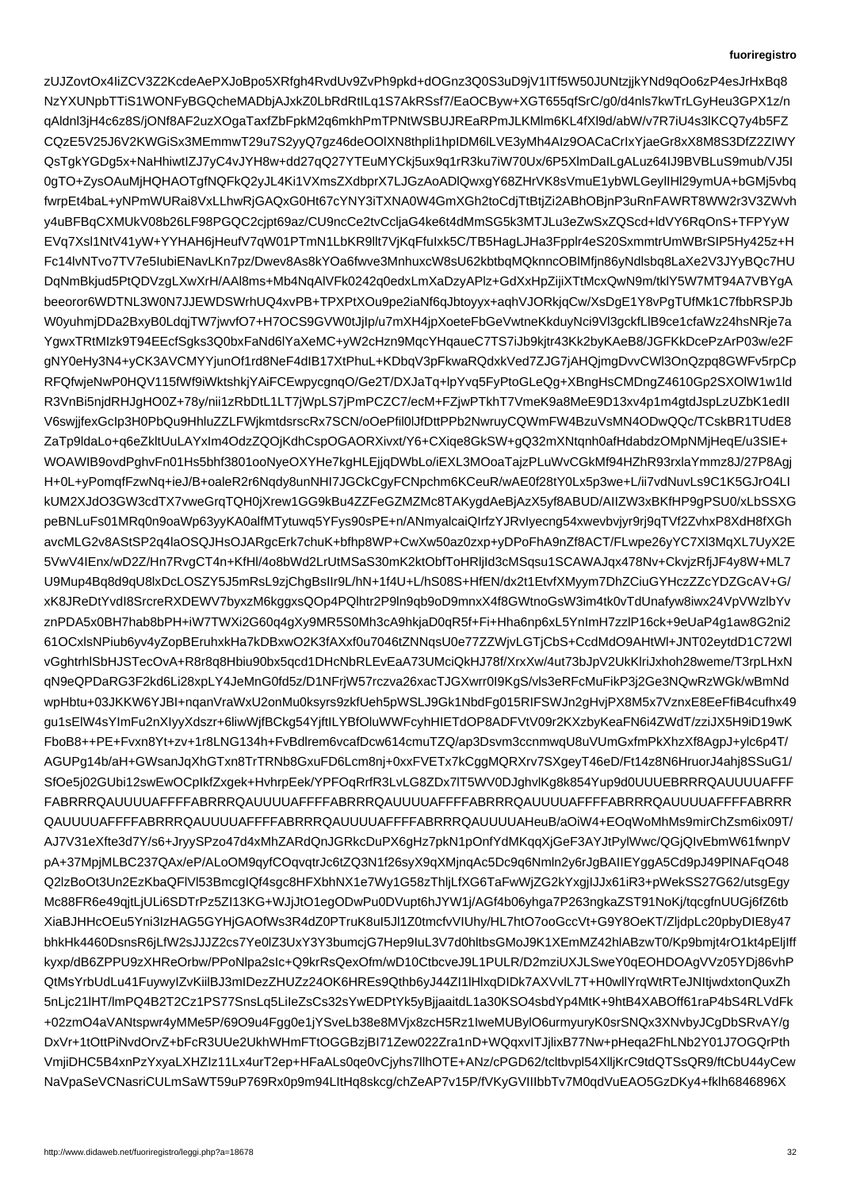zUJZovtOx4liZCV3Z2KcdeAePXJoBpo5XRfqh4RvdUv9ZvPh9pkd+dOGnz3Q0S3uD9jV1lTf5W50JUNtzjjkYNd9qOo6zP4esJrHxBq8 NzYXUNpbTTiS1WONFyBGQcheMADbjAJxkZ0LbRdRtlLq1S7AkRSsf7/EaOCByw+XGT655qfSrC/q0/d4nls7kwTrLGyHeu3GPX1z/n qAldnl3jH4c6z8S/jONf8AF2uzXOqaTaxfZbFpkM2q6mkhPmTPNtWSBUJREaRPmJLKMlm6KL4fXl9d/abW/v7R7iU4s3lKCQ7y4b5FZ CQzE5V25J6V2KWGiSx3MEmmwT29u7S2vyQ7qz46deOOIXN8thpli1hpIDM6ILVE3yMh4AIz9OACaCrlxYjaeGr8xX8M8S3DfZ2ZIWY QsTgkYGDg5x+NaHhiwtlZJ7yC4vJYH8w+dd27qQ27YTEuMYCkj5ux9q1rR3ku7iW70Ux/6P5XlmDalLgALuz64IJ9BVBLuS9mub/VJ5I 0gTO+ZysOAuMjHQHAOTgfNQFkQ2yJL4Ki1VXmsZXdbprX7LJGzAoADlQwxgY68ZHrVK8sVmuE1ybWLGeyIlHl29ymUA+bGMj5vbq fwrpEt4baL+yNPmWURai8VxLLhwRjGAQxG0Ht67cYNY3iTXNA0W4GmXGh2toCdjTtBtjZi2ABhOBjnP3uRnFAWRT8WW2r3V3ZWvh y4uBFBqCXMUkV08b26LF98PGQC2cjpt69az/CU9ncCe2tvCcljaG4ke6t4dMmSG5k3MTJLu3eZwSxZQScd+ldVY6RqOnS+TFPYyW EVq7Xsl1NtV41yW+YYHAH6jHeufV7qW01PTmN1LbKR9llt7VjKqFfulxk5C/TB5HagLJHa3Fpplr4eS20SxmmtrUmWBrSIP5Hy425z+H Fc14lvNTvo7TV7e5lubiENavLKn7pz/Dwev8As8kYOa6fwve3MnhuxcW8sU62kbtbqMQknncOBlMfin86yNdlsbq8LaXe2V3JYyBQc7HU DqNmBkjud5PtQDVzgLXwXrH/AAl8ms+Mb4NqAlVFk0242q0edxLmXaDzyAPlz+GdXxHpZijiXTtMcxQwN9m/tklY5W7MT94A7VBYgA beeoror6WDTNL3W0N7JJEWDSWrhUQ4xvPB+TPXPtXOu9pe2iaNf6qJbtovyx+aqhVJORkiqCw/XsDqE1Y8vPqTUfMk1C7fbbRSPJb W0yuhmjDDa2BxyB0LdqjTW7jwvfO7+H7OCS9GVW0tJjlp/u7mXH4jpXoeteFbGeVwtneKkduyNci9Vl3gckfLlB9ce1cfaWz24hsNRje7a YgwxTRtMIzk9T94EEcfSgks3Q0bxFaNd6lYaXeMC+yW2cHzn9MgcYHgaueC7TS7iJb9kjtr43Kk2byKAeB8/JGFKkDcePzArP03w/e2F gNY0eHy3N4+yCK3AVCMYYjunOf1rd8NeF4dIB17XtPhuL+KDbqV3pFkwaRQdxkVed7ZJG7jAHQjmqDvvCWl3OnQzpq8GWFv5rpCp RFQfwjeNwP0HQV115fWf9iWktshkjYAiFCEwpycgnqO/Ge2T/DXJaTq+lpYvq5FyPtoGLeQg+XBngHsCMDngZ4610Gp2SXOlW1w1ld R3VnBi5njdRHJgHO0Z+78y/nii1zRbDtL1LT7jWpLS7jPmPCZC7/ecM+FZjwPTkhT7VmeK9a8MeE9D13xv4p1m4gtdJspLzUZbK1edll V6swjjfexGclp3H0PbQu9HhluZZLFWjkmtdsrscRx7SCN/oOePfil0lJfDttPPb2NwruyCQWmFW4BzuVsMN4ODwQQc/TCskBR1TUdE8 ZaTp9ldaLo+q6eZkltUuLAYxlm4OdzZQOjKdhCspOGAORXivxt/Y6+CXiqe8GkSW+gQ32mXNtqnh0afHdabdzOMpNMjHeqE/u3SIE+ WOAWIB9ovdPqhvFn01Hs5bhf3801ooNyeOXYHe7kqHLEjjqDWbLo/iEXL3MOoaTajzPLuWvCGkMf94HZhR93rxlaYmmz8J/27P8Aqj H+0L+yPomqfFzwNq+ieJ/B+oaleR2r6Nqdy8unNHl7JGCkCgyFCNpchm6KCeuR/wAE0f28tY0Lx5p3we+L/ii7vdNuvLs9C1K5GJrO4Ll kUM2XJdO3GW3cdTX7vweGrqTQH0jXrew1GG9kBu4ZZFeGZMZMc8TAKyqdAeBjAzX5yf8ABUD/AIIZW3xBKfHP9qPSU0/xLbSSXG peBNLuFs01MRq0n9oaWp63yyKA0alfMTytuwq5YFys90sPE+n/ANmyalcaiQIrfzYJRvIyecnq54xwevbvjyr9rj9qTVf2ZvhxP8XdH8fXGh avcMLG2v8AStSP2q4laOSQJHsOJARgcErk7chuK+bfhp8WP+CwXw50az0zxp+yDPoFhA9nZf8ACT/FLwpe26yYC7Xl3MqXL7UyX2E 5VwV4IEnx/wD2Z/Hn7RvgCT4n+KfHl/4o8bWd2LrUtMSaS30mK2ktObfToHRljId3cMSqsu1SCAWAJqx478Nv+CkvjzRfjJF4y8W+ML7 U9Mup4Bq8d9qU8lxDcLOSZY5J5mRsL9zjChqBsIIr9L/hN+1f4U+L/hS08S+HfEN/dx2t1EtvfXMyym7DhZCiuGYHczZZcYDZGcAV+G/ xK8JReDtYvdl8SrcreRXDEWV7byxzM6kggxsQOp4PQlhtr2P9ln9qb9oD9mnxX4f8GWtnoGsW3im4tk0vTdUnafyw8iwx24VpVWzlbYv znPDA5x0BH7hab8bPH+iW7TWXi2G60q4gXy9MR5S0Mh3cA9hkjaD0qR5f+Fi+Hha6np6xL5YnImH7zzlP16ck+9eUaP4g1aw8G2ni2 61OCxlsNPiub6yv4yZopBEruhxkHa7kDBxwO2K3fAXxf0u7046tZNNqsU0e77ZZWjvLGTjCbS+CcdMdO9AHtWl+JNT02eytdD1C72Wl vGghtrhlSbHJSTecOvA+R8r8q8Hbiu90bx5qcd1DHcNbRLEvEaA73UMciQkHJ78f/XrxXw/4ut73bJpV2UkKlriJxhoh28weme/T3rpLHxN gN9eQPDaRG3F2kd6Li28xpLY4JeMnG0fd5z/D1NFrjW57rczva26xacTJGXwrr0l9KgS/vls3eRFcMuFikP3j2Ge3NQwRzWGk/wBmNd wpHbtu+03JKKW6YJBI+nganVraWxU2onMu0ksyrs9zkfUeh5pWSLJ9Gk1NbdFq015RIFSWJn2qHvjPX8M5x7VznxE8EeFfiB4cufhx49 qu1sElW4sYImFu2nXIyyXdszr+6liwWifBCkq54YiftILYBfOluWWFcyhHIETdOP8ADFVtV09r2KXzbyKeaFN6i4ZWdT/zziJX5H9iD19wK FboB8++PE+Fvxn8Yt+zv+1r8LNG134h+FvBdIrem6vcafDcw614cmuTZQ/ap3Dsvm3ccnmwqU8uVUmGxfmPkXhzXf8AqpJ+vlc6p4T/ AGUPg14b/aH+GWsanJqXhGTxn8TrTRNb8GxuFD6Lcm8nj+0xxFVETx7kCggMQRXrv7SXgeyT46eD/Ft14z8N6HruorJ4ahj8SSuG1/ SfOe5j02GUbi12swEwOCplkfZxgek+HvhrpEek/YPFOqRrfR3LvLG8ZDx7lT5WV0DJghvlKg8k854Yup9d0UUUEBRRRQAUUUUAFFF FABRRRQAUUUUAFFFFABRRRQAUUUUAFFFFABRRRQAUUUUAFFFFABRRRQAUUUUAFFFFABRRRQAUUUUAFFFFABRRR QAUUUUAFFFFABRRRQAUUUUAFFFFABRRRQAUUUUAFFFFABRRRQAUUUUAHeuB/aOiW4+EOqWoMhMs9mirChZsm6ix09T/ AJ7V31eXfte3d7Y/s6+JryySPzo47d4xMhZARdQnJGRkcDuPX6qHz7pkN1pOnfYdMKqqXjGeF3AYJtPylWwc/QGjQlvEbmW61fwnpV pA+37MpjMLBC237QAx/eP/ALoOM9qyfCOqvqtrJc6tZQ3N1f26syX9qXMjnqAc5Dc9q6Nmln2y6rJgBAIIEYggA5Cd9pJ49PINAFqO48 Q2lzBoOt3Un2EzKbaQFIVI53BmcqlQf4sqc8HFXbhNX1e7Wy1G58zThljLfXG6TaFwWjZG2kYxqjIJJx61iR3+pWekSS27G62/utsqEqy Mc88FR6e49qitLjULi6SDTrPz5ZI13KG+WJjJtO1egODwPu0DVupt6hJYW1j/AGf4b06yhga7P263ngkaZST91NoKj/tgcqfnUUGj6fZ6tb XiaBJHHcOEu5Yni3IzHAG5GYHiGAOfWs3R4dZ0PTruK8uI5JI1Z0tmcfvVIUhy/HL7htO7ooGccVt+G9Y8OeKT/ZljdpLc20pbyDIE8y47 bhkHk4460DsnsR6jLfW2sJJJZ2cs7Ye0lZ3UxY3Y3bumcjG7Hep9luL3V7d0hltbsGMoJ9K1XEmMZ42hIABzwT0/Kp9bmjt4rO1kt4pEljlff kyxp/dB6ZPPU9zXHReOrbw/PPoNlpa2sIc+Q9krRsQexOfm/wD10CtbcveJ9L1PULR/D2mziUXJLSweY0qEOHDOAgVVz05YDj86vhP QtMsYrbUdLu41FuywylZvKiilBJ3mlDezZHUZz24OK6HREs9Qthb6yJ44ZI1lHlxqDIDk7AXVvlL7T+H0wllYrqWtRTeJNltjwdxtonQuxZh 5nLjc21lHT/lmPQ4B2T2Cz1PS77SnsLq5LileZsCs32sYwEDPtYk5yBjjaaitdL1a30KSO4sbdYp4MtK+9htB4XABOff61raP4bS4RLVdFk +02zmO4aVANtspwr4yMMe5P/69O9u4Fgg0e1jYSveLb38e8MVjx8zcH5Rz1IweMUBylO6urmyuryK0srSNQx3XNvbyJCgDbSRvAY/g DxVr+1tOttPiNvdOrvZ+bFcR3UUe2UkhWHmFTtOGGBzjBI71Zew022Zra1nD+WQqxvlTJjlixB77Nw+pHeqa2FhLNb2Y01J7OGQrPth VmjiDHC5B4xnPzYxyaLXHZIz11Lx4urT2ep+HFaALs0qe0vCjyhs7llhOTE+ANz/cPGD62/tcltbvpl54XlljKrC9tdQTSsQR9/ftCbU44yCew NaVpaSeVCNasriCULmSaWT59uP769Rx0p9m94LltHq8skcq/chZeAP7v15P/fVKyGVIIIbbTv7M0qdVuEAO5GzDKy4+fklh6846896X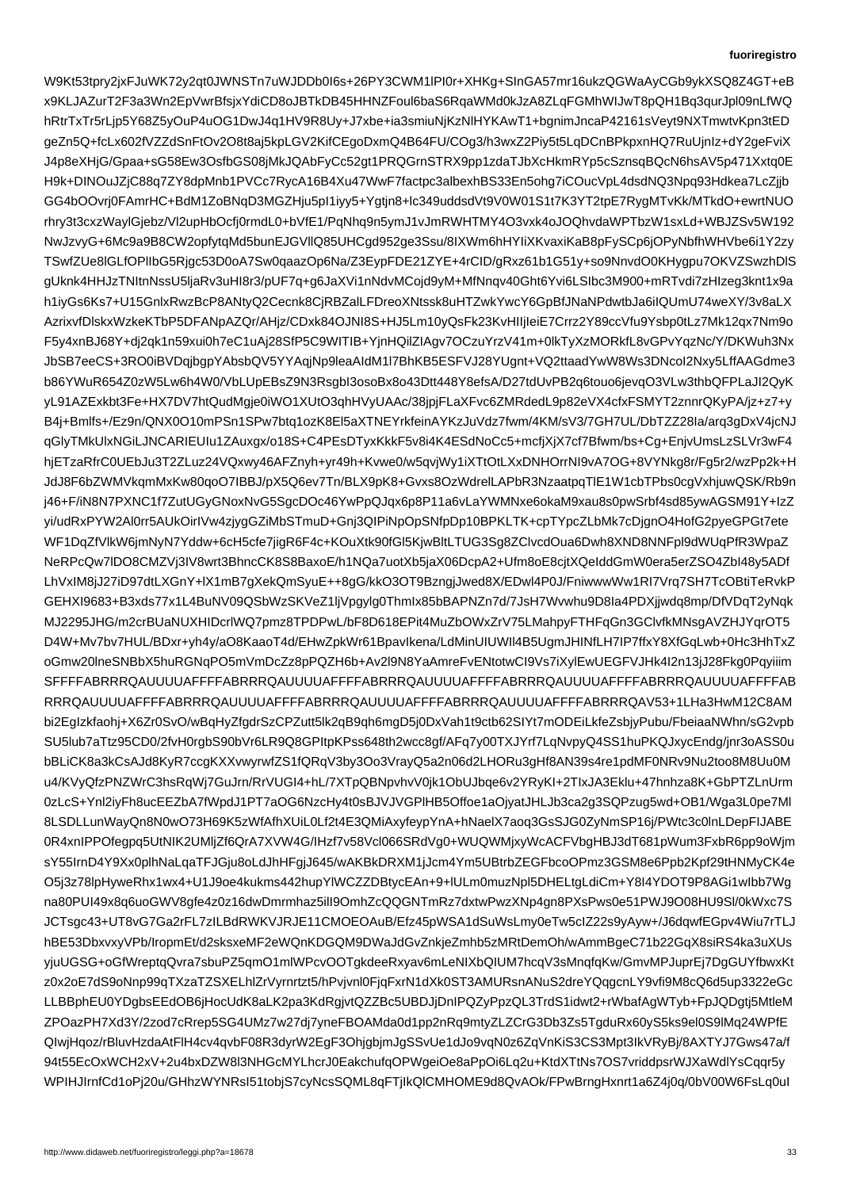W9Kt53tpry2jxFJuWK72y2qt0JWNSTn7uWJDDb0l6s+26PY3CWM1lPl0r+XHKg+SlnGA57mr16ukzQGWaAyCGb9ykXSQ8Z4GT+eB x9KLJAZurT2F3a3Wn2EpVwrBfsjxYdiCD8oJBTkDB45HHNZFoul6baS6RqaWMd0kJzA8ZLqFGMhWIJwT8pQH1Bq3qurJpl09nLfWQ hRtrTxTr5rLjp5Y68Z5yOuP4uOG1DwJ4q1HV9R8Uy+J7xbe+ia3smiuNjKzNlHYKAwT1+bqnimJncaP42161sVeyt9NXTmwtvKpn3tED geZn5Q+fcLx602fVZZdSnFtOv2O8t8aj5kpLGV2KifCEgoDxmQ4B64FU/COg3/h3wxZ2Piy5t5LqDCnBPkpxnHQ7RuUjnIz+dY2geFviX J4p8eXHjG/Gpaa+sG58Ew3OsfbGS08jMkJQAbFyCc52gt1PRQGrnSTRX9pp1zdaTJbXcHkmRYp5cSznsqBQcN6hsAV5p471Xxtq0E H9k+DINOuJZjC88q7ZY8dpMnb1PVCc7RycA16B4Xu47WwF7factpc3albexhBS33En5ohg7iCOucVpL4dsdNQ3Npq93Hdkea7LcZjjb GG4bOOvrj0FAmrHC+BdM1ZoBNqD3MGZHju5pl1iyy5+Ygtjn8+lc349uddsdVt9V0W01S1t7K3YT2tpE7RygMTvKk/MTkdO+ewrtNUO rhry3t3cxzWaylGjebz/Vl2upHbOcfj0rmdL0+bVfE1/PqNhq9n5ymJ1vJmRWHTMY4O3vxk4oJOQhvdaWPTbzW1sxLd+WBJZSv5W192 NwJzvyG+6Mc9a9B8CW2opfytqMd5bunEJGVIIQ85UHCgd952ge3Ssu/8IXWm6hHYIiXKvaxiKaB8pFySCp6jOPyNbfhWHVbe6i1Y2zy TSwfZUe8lGLfOPIIbG5Rjgc53D0oA7Sw0qaazOp6Na/Z3EypFDE21ZYE+4rCID/gRxz61b1G51y+so9NnvdO0KHygpu7OKVZSwzhDIS gUknk4HHJzTNItnNssU5ljaRv3uHl8r3/pUF7q+g6JaXVi1nNdvMCojd9yM+MfNnqv40Ght6Yvi6LSIbc3M900+mRTvdi7zHlzeg3knt1x9a h1iyGs6Ks7+U15GnlxRwzBcP8ANtyQ2Cecnk8CjRBZalLFDreoXNtssk8uHTZwkYwcY6GpBfJNaNPdwtbJa6ilQUmU74weXY/3v8aLX AzrixvfDlskxWzkeKTbP5DFANpAZQr/AHiz/CDxk84OJNI8S+HJ5Lm10yQsFk23KvHlIjleiE7Crrz2Y89ccVfu9Ysbp0tLz7Mk12qx7Nm9o F5y4xnBJ68Y+dj2qk1n59xui0h7eC1uAj28SfP5C9WITIB+YjnHQilZIAgv7OCzuYrzV41m+0lkTyXzMORkfL8vGPvYqzNc/Y/DKWuh3Nx JbSB7eeCS+3RO0iBVDqjbgpYAbsbQV5YYAqjNp9leaAldM1l7BhKB5ESFVJ28YUgnt+VQ2ttaadYwW8Ws3DNcol2Nxy5LffAAGdme3 b86YWuR654Z0zW5Lw6h4W0/VbLUpEBsZ9N3Rsgbl3osoBx8o43Dtt448Y8efsA/D27tdUvPB2q6touo6jevqO3VLw3thbQFPLaJI2QyK yL91AZExkbt3Fe+HX7DV7htQudMgje0iWO1XUtO3qhHVyUAAc/38jpjFLaXFvc6ZMRdedL9p82eVX4cfxFSMYT2znnrQKyPA/jz+z7+y B4j+Bmlfs+/Ez9n/QNX0O10mPSn1SPw7btq1ozK8El5aXTNEYrkfeinAYKzJuVdz7fwm/4KM/sV3/7GH7UL/DbTZZ28la/arq3qDxV4jcNJ qGlyTMkUlxNGiLJNCARIEUIu1ZAuxgx/o18S+C4PEsDTyxKkkF5v8i4K4ESdNoCc5+mcfjXjX7cf7Bfwm/bs+Cg+EnjvUmsLzSLVr3wF4 hjETzaRfrC0UEbJu3T2ZLuz24VQxwy46AFZnyh+yr49h+Kvwe0/w5qvjWy1iXTtOtLXxDNHOrrNl9vA7OG+8VYNkq8r/Fq5r2/wzPp2k+H JdJ8F6bZWMVkqmMxKw80qoO7IBBJ/pX5Q6ev7Tn/BLX9pK8+Gvxs8OzWdrelLAPbR3NzaatpqTlE1W1cbTPbs0cgVxhjuwQSK/Rb9n i46+F/iN8N7PXNC1f7ZutUGyGNoxNvG5SqcDOc46YwPpQJqx6p8P11a6vLaYWMNxe6okaM9xau8s0pwSrbf4sd85ywAGSM91Y+IzZ vi/udRxPYW2Al0rr5AUkOirlVw4zjyqGZiMbSTmuD+Gnj3QlPiNpOpSNfpDp10BPKLTK+cpTYpcZLbMk7cDjqnO4HofG2pyeGPGt7ete WF1DqZfVlkW6jmNyN7Yddw+6cH5cfe7jigR6F4c+KOuXtk90fGl5KjwBltLTUG3Sg8ZClvcdOua6Dwh8XND8NNFpl9dWUqPfR3WpaZ NeRPcQw7lDO8CMZVj3IV8wrt3BhncCK8S8BaxoE/h1NQa7uotXb5jaX06DcpA2+Ufm8oE8cjtXQeIddGmW0era5erZSO4ZbI48y5ADf LhVxIM8jJ27iD97dtLXGnY+lX1mB7gXekQmSyuE++8gG/kkO3OT9BzngjJwed8X/EDwl4P0J/FniwwwWw1RI7Vrq7SH7TcOBtiTeRvkP GEHXI9683+B3xds77x1L4BuNV09QSbWzSKVeZ1IjVpgylg0Thmlx85bBAPNZn7d/7JsH7Wvwhu9D8la4PDXjjwdq8mp/DfVDqT2yNqk MJ2295JHG/m2crBUaNUXHIDcrlWQ7pmz8TPDPwL/bF8D618EPit4MuZbOWxZrV75LMahpyFTHFqGn3GClvfkMNsgAVZHJYqrOT5 D4W+Mv7bv7HUL/BDxr+yh4y/aO8KaaoT4d/EHwZpkWr61Bpavlkena/LdMinUIUWII4B5UqmJHINfLH7IP7ffxY8XfGqLwb+0Hc3HhTxZ oGmw20IneSNBbX5huRGNqPO5mVmDcZz8pPQZH6b+Av2l9N8YaAmreFvENtotwCl9Vs7iXylEwUEGFVJHk4l2n13jJ28Fkg0Pqyiiim SFFFFABRRRQAUUUUAFFFFABRRRQAUUUUAFFFFABRRRQAUUUUAFFFFABRRRQAUUUUAFFFFABRRRQAUUUUAFFFFAB RRRQAUUUUAFFFFABRRRQAUUUUAFFFFABRRRQAUUUUAFFFFABRRRQAUUUUAFFFFABRRRQAV53+1LHa3HwM12C8AM bi2Eqlzkfaohj+X6Zr0SvO/wBqHyZfqdrSzCPZutt5lk2qB9qh6mqD5j0DxVah1t9ctb62SIYt7mODEiLkfeZsbjyPubu/FbeiaaNWhn/sG2vpb SU5lub7aTtz95CD0/2fvH0rgbS90bVr6LR9Q8GPItpKPss648th2wcc8gf/AFq7y00TXJYrf7LqNvpyQ4SS1huPKQJxycEndg/jnr3oASS0u bBLiCK8a3kCsAJd8KyR7ccgKXXvwyrwfZS1fQRqV3by3Oo3VrayQ5a2n06d2LHORu3gHf8AN39s4re1pdMF0NRv9Nu2too8M8Uu0M u4/KVyQfzPNZWrC3hsRqWj7GuJrn/RrVUGI4+hL/7XTpQBNpvhvV0jk1ObUJbqe6v2YRyKI+2TlxJA3Eklu+47hnhza8K+GbPTZLnUrm 0zLcS+Ynl2iyFh8ucEEZbA7fWpdJ1PT7aOG6NzcHy4t0sBJVJVGPIHB5Offoe1aOjyatJHLJb3ca2g3SQPzug5wd+OB1/Wga3L0pe7Ml 8LSDLLunWayQn8N0wO73H69K5zWfAfhXUiL0Lf2t4E3QMiAxyfeypYnA+hNaelX7aoq3GsSJG0ZyNmSP16j/PWtc3c0lnLDepFIJABE 0R4xnIPPOfegpq5UtNIK2UMIjZf6QrA7XVW4G/IHzf7v58Vcl066SRdVg0+WUQWMjxyWcACFVbgHBJ3dT681pWum3FxbR6pp9oWjm sY55IrnD4Y9Xx0plhNaLqaTFJGju8oLdJhHFgjJ645/wAKBkDRXM1jJcm4Ym5UBtrbZEGFbcoOPmz3GSM8e6Ppb2Kpf29tHNMyCK4e O5j3z78lpHyweRhx1wx4+U1J9oe4kukms442hupYlWCZZDBtycEAn+9+IULm0muzNpl5DHELtqLdiCm+Y8l4YDOT9P8AGi1wlbb7Wg na80PUI49x8q6uoGWV8qfe4z0z16dwDmrmhaz5ill9OmhZcQQGNTmRz7dxtwPwzXNp4qn8PXsPws0e51PWJ9O08HU9SI/0kWxc7S JCTsgc43+UT8vG7Ga2rFL7zILBdRWKVJRJE11CMOEOAuB/Efz45pWSA1dSuWsLmy0eTw5cIZ22s9vAyw+/J6dqwfEGpv4Wiu7rTLJ hBE53DbxvxyVPb/IropmEt/d2sksxeMF2eWQnKDGQM9DWaJdGvZnkjeZmhb5zMRtDemOh/wAmmBgeC71b22GqX8siRS4ka3uXUs yjuUGSG+oGfWreptqQvra7sbuPZ5qmO1mlWPcvOOTgkdeeRxyav6mLeNIXbQIUM7hcqV3sMnqfqKw/GmvMPJuprEj7DgGUYfbwxKt z0x2oE7dS9oNnp99qTXzaTZSXELhlZrVyrnrtzt5/hPvjvnl0FjqFxrN1dXk0ST3AMURsnANuS2dreYQqgcnLY9vfi9M8cQ6d5up3322eGc LLBBphEU0YDgbsEEdOB6jHocUdK8aLK2pa3KdRgjvtQZZBc5UBDJjDnIPQZyPpzQL3TrdS1idwt2+rWbafAgWTyb+FpJQDgtj5MtleM ZPOazPH7Xd3Y/2zod7cRrep5SG4UMz7w27dj7yneFBOAMda0d1pp2nRq9mtyZLZCrG3Db3Zs5TgduRx60yS5ks9el0S9lMq24WPfE QlwjHqoz/rBluvHzdaAtFlH4cv4qvbF08R3dyrW2EgF3OhjgbjmJgSSvUe1dJo9vqN0z6ZqVnKiS3CS3Mpt3lkVRyBj/8AXTYJ7Gws47a/f 94t55EcOxWCH2xV+2u4bxDZW8l3NHGcMYLhcrJ0EakchufqOPWgeiOe8aPpOi6Lq2u+KtdXTtNs7OS7vriddpsrWJXaWdlYsCqqr5y WPIHJIrnfCd1oPj20u/GHhzWYNRsI51tobjS7cyNcsSQML8qFTjlkQlCMHOME9d8QvAOk/FPwBrngHxnrt1a6Z4j0q/0bV00W6FsLq0ul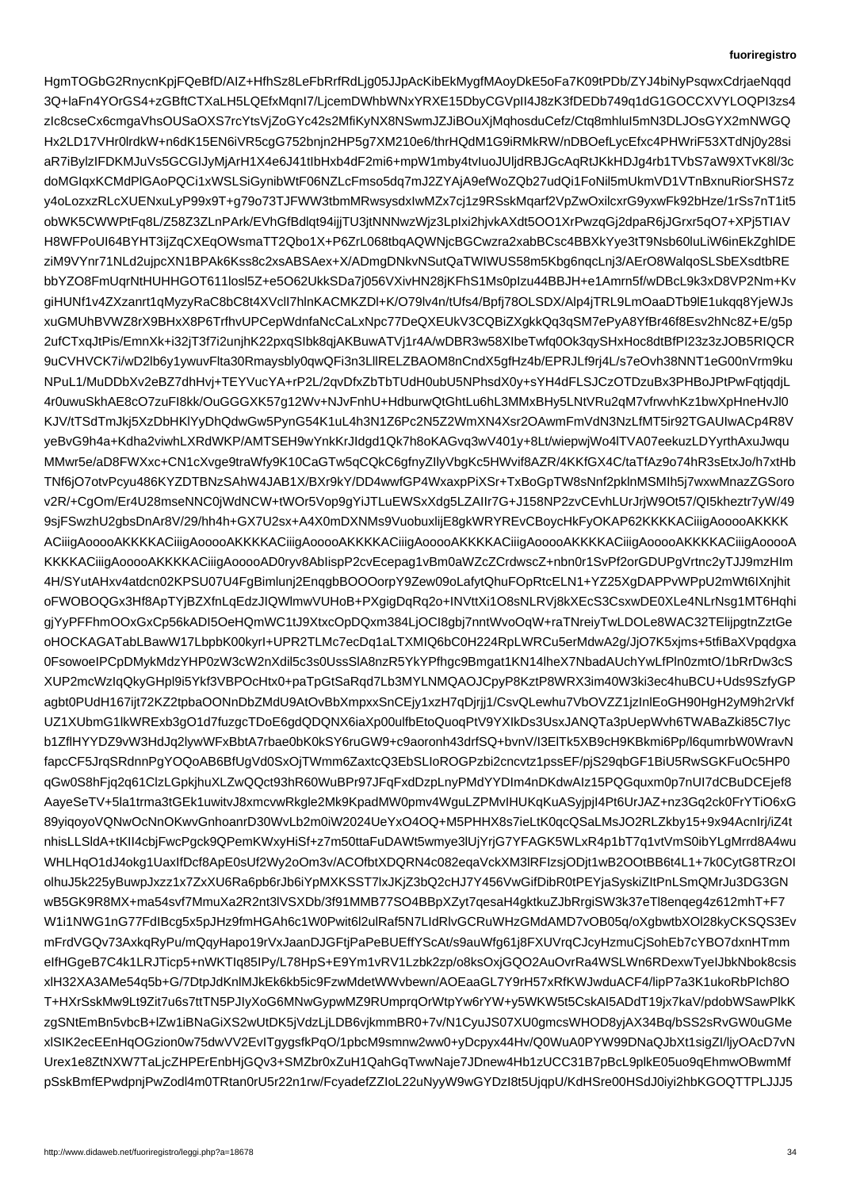HgmTOGbG2RnycnKpjFQeBfD/AIZ+HfhSz8LeFbRrfRdLjg05JJpAcKibEkMygfMAoyDkE5oFa7K09tPDb/ZYJ4biNyPsqwxCdrjaeNqqd 3Q+laFn4YOrGS4+zGBftCTXaLH5LQEfxMqnI7/LjcemDWhbWNxYRXE15DbyCGVpII4J8zK3fDEDb749q1dG1GOCCXVYLOQPI3zs4 zlc8cseCx6cmgaVhsOUSaOXS7rcYtsVjZoGYc42s2MfiKyNX8NSwmJZJiBOuXjMghosduCefz/Ctg8mhluI5mN3DLJOsGYX2mNWGQ Hx2LD17VHr0lrdkW+n6dK15EN6iVR5cgG752bnjn2HP5g7XM210e6/thrHQdM1G9iRMkRW/nDBOefLycEfxc4PHWriF53XTdNj0y28si aR7iBylzIFDKMJuVs5GCGIJyMjArH1X4e6J41tlbHxb4dF2mi6+mpW1mby4tvluoJUljdRBJGcAqRtJKkHDJg4rb1TVbS7aW9XTvK8l/3c doMGIqxKCMdPIGAoPQCi1xWSLSiGynibWtF06NZLcFmso5dq7mJ2ZYAjA9efWoZQb27udQi1FoNil5mUkmVD1VTnBxnuRiorSHS7z y4oLozxzRLcXUENxuLyP99x9T+g79o73TJFWW3tbmMRwsysdxIwMZx7cj1z9RSskMqarf2VpZwOxilcxrG9yxwFk92bHze/1rSs7nT1it5 obWK5CWWPtFq8L/Z58Z3ZLnPArk/EVhGfBdlqt94ijjTU3jtNNNwzWjz3LpIxi2hjvkAXdt5OO1XrPwzqGj2dpaR6jJGrxr5qO7+XPj5TIAV H8WFPoUI64BYHT3ijZqCXEqOWsmaTT2Qbo1X+P6ZrL068tbqAQWNjcBGCwzra2xabBCsc4BBXkYye3tT9Nsb60luLiW6inEkZghIDE ziM9VYnr71NLd2ujpcXN1BPAk6Kss8c2xsABSAex+X/ADmgDNkvNSutQaTWIWUS58m5Kbg6nqcLnj3/AErO8WalqoSLSbEXsdtbRE bbYZO8FmUqrNtHUHHGOT611losl5Z+e5O62UkkSDa7j056VXivHN28jKFhS1Ms0pIzu44BBJH+e1Amrn5f/wDBcL9k3xD8VP2Nm+Kv giHUNf1v4ZXzanrt1gMyzyRaC8bC8t4XVcII7hlnKACMKZDI+K/O79lv4n/tUfs4/Bpfj78OLSDX/Alp4jTRL9LmOaaDTb9lE1ukgq8YjeWJs xuGMUhBVWZ8rX9BHxX8P6TrfhvUPCepWdnfaNcCaLxNpc77DeQXEUkV3CQBiZXqkkQq3qSM7ePyA8YfBr46f8Esv2hNc8Z+E/q5p 2ufCTxqJtPis/EmnXk+i32jT3f7i2unjhK22pxqSlbk8qjAKBuwATVj1r4A/wDBR3w58XlbeTwfq0Ok3qySHxHoc8dtBfPl23z3zJOB5RIQCR 9uCVHVCK7i/wD2lb6y1ywuvFlta30Rmaysbly0qwQFi3n3LlIRELZBAOM8nCndX5gfHz4b/EPRJLf9rj4L/s7eOvh38NNT1eG00nVrm9ku NPuL1/MuDDbXv2eBZ7dhHvj+TEYVucYA+rP2L/2qvDfxZbTbTUdH0ubU5NPhsdX0y+sYH4dFLSJCzOTDzuBx3PHBoJPtPwFqtjqdjL 4r0uwuSkhAE8cO7zuFl8kk/OuGGGXK57g12Wv+NJvFnhU+HdburwQtGhtLu6hL3MMxBHy5LNtVRu2qM7vfrwvhKz1bwXpHneHvJl0 KJV/tTSdTmJkj5XzDbHKIYyDhQdwGw5PynG54K1uL4h3N1Z6Pc2N5Z2WmXN4Xsr2OAwmFmVdN3NzLfMT5ir92TGAUIwACp4R8V yeBvG9h4a+Kdha2viwhLXRdWKP/AMTSEH9wYnkKrJldgd1Qk7h8oKAGvq3wV401y+8Lt/wiepwjWo4lTVA07eekuzLDYyrthAxuJwqu MMwr5e/aD8FWXxc+CN1cXvqe9traWfy9K10CaGTw5qCQkC6qfnyZllyVbqKc5HWvif8AZR/4KKfGX4C/taTfAz9o74hR3sEtxJo/h7xtHb TNf6jO7otvPcyu486KYZDTBNzSAhW4JAB1X/BXr9kY/DD4wwfGP4WxaxpPiXSr+TxBoGpTW8sNnf2pklnMSMlh5j7wxwMnazZGSoro v2R/+CqOm/Er4U28mseNNC0jWdNCW+tWOr5Vop9qYiJTLuEWSxXdq5LZAIIr7G+J158NP2zvCEvhLUrJrjW9Ot57/Ql5kheztr7yW/49 9sjFSwzhU2qbsDnAr8V/29/hh4h+GX7U2sx+A4X0mDXNMs9VuobuxlijE8qkWRYREvCBoycHkFyOKAP62KKKKACiijqAooooAKKKK ACiiigAooooAKKKKACiiigAooooAKKKKACiiigAooooAKKKKACiiigAooooAKKKKACiiigAooooAKKKKACiiigAooooAKKKKACiiigAooooA KKKKACiiigAooooAKKKKACiiigAooooAD0ryv8AblispP2cvEcepag1vBm0aWZcZCrdwscZ+nbn0r1SvPf2orGDUPgVrtnc2yTJJ9mzHlm 4H/SYutAHxv4atdcn02KPSU07U4FgBimlunj2EnqqbBOOOorpY9Zew09oLafytQhuFOpRtcELN1+YZ25XgDAPPvWPpU2mWt6lXnjhit oFWOBOQGx3Hf8ApTYjBZXfnLqEdzJlQWlmwVUHoB+PXgigDqRq2o+INVttXi1O8sNLRVj8kXEcS3CsxwDE0XLe4NLrNsg1MT6Hqhi gjYyPFFhmOOxGxCp56kADI5OeHQmWC1tJ9XtxcOpDQxm384LjOCl8gbj7nntWvoOqW+raTNreiyTwLDOLe8WAC32TElijpgtnZztGe oHOCKAGATabLBawW17LbpbK00kyrl+UPR2TLMc7ecDq1aLTXMIQ6bC0H224RpLWRCu5erMdwA2q/JjO7K5xjms+5tfiBaXVpqdqxa 0FsowoeIPCpDMykMdzYHP0zW3cW2nXdil5c3s0UssSIA8nzR5YkYPfhgc9Bmgat1KN14lheX7NbadAUchYwLfPln0zmtO/1bRrDw3cS XUP2mcWzIqQkyGHpl9i5Ykf3VBPOcHtx0+paTpGtSaRqd7Lb3MYLNMQAOJCpyP8KztP8WRX3im40W3ki3ec4huBCU+Uds9SzfyGP agbt0PUdH167ijt72KZ2tpbaOONnDbZMdU9AtOvBbXmpxxSnCEjy1xzH7qDjrjj1/CsvQLewhu7VbOVZZ1jzInlEoGH90HqH2yM9h2rVkf UZ1XUbmG1IkWRExb3qO1d7fuzqcTDoE6qdQDQNX6iaXp00ulfbEtoQuoqPtV9YXIkDs3UsxJANQTa3pUepWvh6TWABaZki85C7Ivc b1ZflHYYDZ9vW3HdJq2lvwWFxBbtA7rbae0bK0kSY6ruGW9+c9aoronh43drfSQ+bvnV/l3ElTk5XB9cH9KBkmi6Pp/l6qumrbW0WravN fapcCF5JrqSRdnnPqYOQoAB6BfUqVd0SxOjTWmm6ZaxtcQ3EbSLIoROGPzbi2cncvtz1pssEF/pjS29qbGF1BiU5RwSGKFuOc5HP0 gGw0S8hFjq2q61ClzLGpkjhuXLZwQQct93hR60WuBPr97JFqFxdDzpLnyPMdYYDIm4nDKdwAlz15PQGquxm0p7nUI7dCBuDCEjef8 AayeSeTV+5la1trma3tGEk1uwitvJ8xmcvwRkgle2Mk9KpadMW0pmv4WguLZPMvIHUKqKuASyjpjI4Pt6UrJAZ+nz3Gq2ck0FrYTiO6xG 89yiqoyoVQNwOcNnOKwvGnhoanrD30WvLb2m0iW2024UeYxO4OQ+M5PHHX8s7ieLtK0qcQSaLMsJO2RLZkby15+9x94Acnlrj/iZ4t nhisLLSIdA+tKII4cbjFwcPqck9QPemKWxyHiSf+z7m50ttaFuDAWt5wmye3lUjYrjG7YFAGK5WLxR4p1bT7q1vtVmS0ibYLqMrrd8A4wu WHLHqO1dJ4okg1UaxIfDcf8ApE0sUf2Wy2oOm3v/ACOfbtXDQRN4c082eqaVckXM3lRFlzsjODjt1wB2OOtBB6t4L1+7k0CytG8TRzOl olhuJ5k225yBuwpJxzz1x7ZxXU6Ra6pb6rJb6iYpMXKSST7lxJKjZ3bQ2cHJ7Y456VwGifDibR0tPEYjaSyskiZltPnLSmQMrJu3DG3GN wB5GK9R8MX+ma54svf7MmuXa2R2nt3lVSXDb/3f91MMB77SO4BBpXZyt7qesaH4qktkuZJbRrqiSW3k37eTl8enqeq4z612mhT+F7 W1i1NWG1nG77FdIBcq5x5pJHz9fmHGAh6c1W0Pwit6l2ulRaf5N7LIdRlvGCRuWHzGMdAMD7vOB05q/oXqbwtbXOl28kyCKSQS3Ev mFrdVGQv73AxkqRyPu/mQqyHapo19rVxJaanDJGFtjPaPeBUEffYScAt/s9auWfg61j8FXUVrqCJcyHzmuCjSohEb7cYBO7dxnHTmm elfHGgeB7C4k1LRJTicp5+nWKTlq85lPy/L78HpS+E9Ym1vRV1Lzbk2zp/o8ksOxjGQO2AuOvrRa4WSLWn6RDexwTyelJbkNbok8csis xlH32XA3AMe54q5b+G/7DtpJdKnlMJkEk6kb5ic9FzwMdetWWvbewn/AOEaaGL7Y9rH57xRfKWJwduACF4/lipP7a3K1ukoRbPlch8O T+HXrSskMw9Lt9Zit7u6s7ttTN5PJIyXoG6MNwGypwMZ9RUmprqOrWtpYw6rYW+y5WKW5t5CskAI5ADdT19jx7kaV/pdobWSawPlkK zgSNtEmBn5vbcB+lZw1iBNaGiXS2wUtDK5jVdzLjLDB6vjkmmBR0+7v/N1CyuJS07XU0gmcsWHOD8yjAX34Bq/bSS2sRvGW0uGMe xISIK2ecEEnHqOGzion0w75dwVV2EvITgygsfkPqO/1pbcM9smnw2ww0+yDcpyx44Hv/Q0WuA0PYW99DNaQJbXt1sigZl/ljyOAcD7vN Urex1e8ZtNXW7TaLjcZHPErEnbHjGQv3+SMZbr0xZuH1QahGqTwwNaje7JDnew4Hb1zUCC31B7pBcL9plkE05uo9qEhmwOBwmMf pSskBmfEPwdpnjPwZodl4m0TRtan0rU5r22n1rw/FcyadefZZloL22uNyyW9wGYDzl8t5UjqpU/KdHSre00HSdJ0iyi2hbKGOQTTPLJJJ5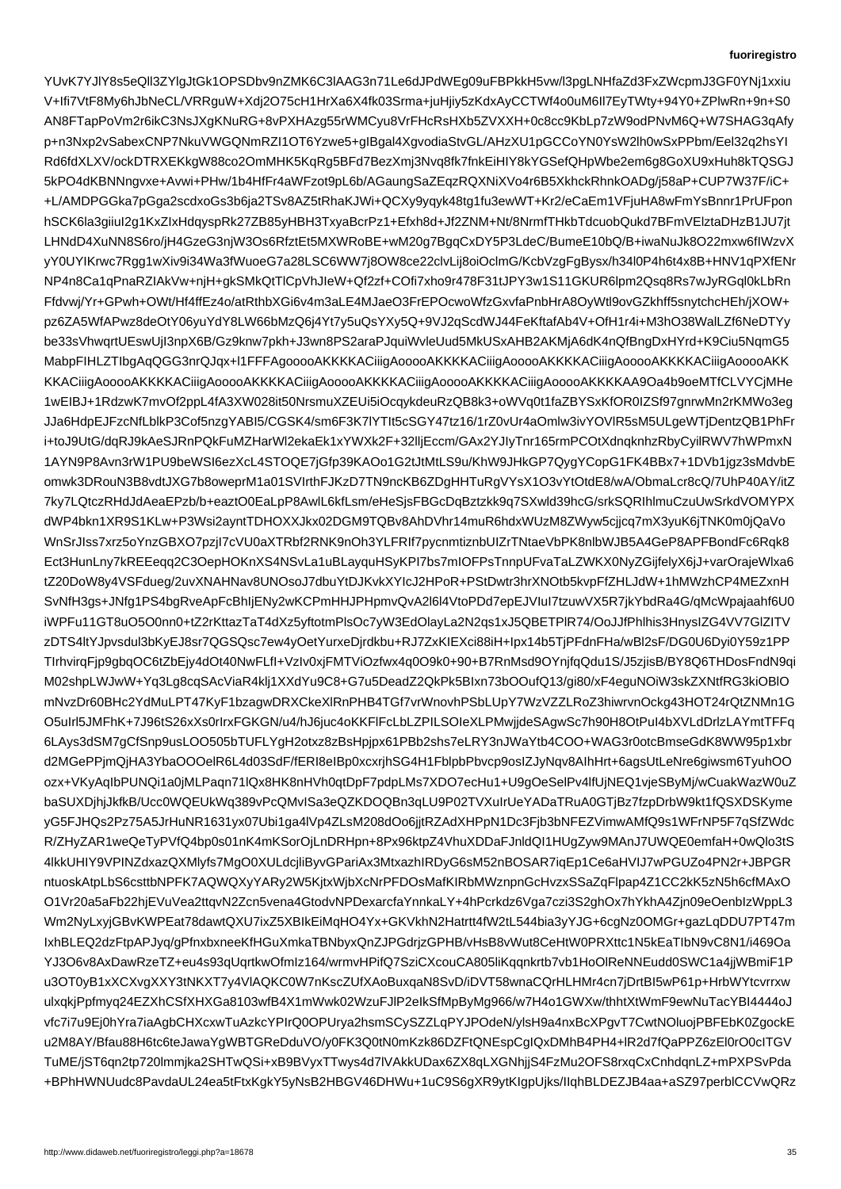YUvK7YJIY8s5eQll3ZYlgJtGk1OPSDbv9nZMK6C3IAAG3n71Le6dJPdWEg09uFBPkkH5vw/l3pgLNHfaZd3FxZWcpmJ3GF0YNj1xxiu V+Ifi7VtF8My6hJbNeCL/VRRguW+Xdj2O75cH1HrXa6X4fk03Srma+juHjiy5zKdxAyCCTWf4o0uM6II7EyTWty+94Y0+ZPlwRn+9n+S0 AN8FTapPoVm2r6ikC3NsJXqKNuRG+8vPXHAzq55rWMCyu8VrFHcRsHXb5ZVXXH+0c8cc9KbLp7zW9odPNvM6Q+W7SHAG3qAfy p+n3Nxp2vSabexCNP7NkuVWGQNmRZI1OT6Yzwe5+glBgal4XgvodiaStvGL/AHzXU1pGCCoYN0YsW2lh0wSxPPbm/Eel32q2hsYl Rd6fdXLXV/ockDTRXEKkgW88co2OmMHK5KqRg5BFd7BezXmj3Nvq8fk7fnkEiHIY8kYGSefQHpWbe2em6g8GoXU9xHuh8kTQSGJ 5kPO4dKBNNngvxe+Avwi+PHw/1b4HfFr4aWFzot9pL6b/AGaungSaZEqzRQXNiXVo4r6B5XkhckRhnkOADg/j58aP+CUP7W37F/iC+ +L/AMDPGGka7pGga2scdxoGs3b6ja2TSv8AZ5tRhaKJWi+QCXy9yqyk48tg1fu3ewWT+Kr2/eCaEm1VFjuHA8wFmYsBnnr1PrUFpon hSCK6la3giiul2g1KxZlxHdqyspRk27ZB85yHBH3TxyaBcrPz1+Efxh8d+Jf2ZNM+Nt/8NrmfTHkbTdcuobQukd7BFmVElztaDHzB1JU7jt LHNdD4XuNN8S6ro/jH4GzeG3njW3Os6RfztEt5MXWRoBE+wM20g7BgqCxDY5P3LdeC/BumeE10bQ/B+iwaNuJk8O22mxw6flWzvX yY0UYIKrwc7Rgg1wXiv9i34Wa3fWuoeG7a28LSC6WW7j8OW8ce22clvLij8oiOclmG/KcbVzgFgBysx/h34l0P4h6t4x8B+HNV1qPXfENr NP4n8Ca1qPnaRZIAkVw+njH+gkSMkQtTICpVhJleW+Qf2zf+COfi7xho9r478F31tJPY3w1S11GKUR6lpm2Qsq8Rs7wJyRGql0kLbRn Ffdvwi/Yr+GPwh+OWt/Hf4ffEz4o/atRthbXGi6v4m3aLE4MJaeO3FrEPOcwoWfzGxvfaPnbHrA8OyWtl9ovGZkhff5snytchcHEh/iXOW+ pz6ZA5WfAPwz8deOtY06yuYdY8LW66bMzQ6j4Yt7y5uQsYXy5Q+9VJ2qScdWJ44FeKftafAb4V+OfH1r4i+M3hO38WalLZf6NeDTYy be33sVhwqrtUEswUjl3npX6B/Gz9knw7pkh+J3wn8PS2araPJquiWvleUud5MkUSxAHB2AKMjA6dK4nQfBngDxHYrd+K9Ciu5NqmG5 MabpFIHLZTIbgAqQGG3nrQJqx+I1FFFAqooooAKKKKACiiiqAooooAKKKKACiiiqAooooAKKKKACiiiqAooooAKKKKACiiiqAooooAKK KKACiiigAooooAKKKKACiiigAooooAKKKKACiiigAooooAKKKKACiiigAooooAKKKKACiiigAooooAKKKKAA9Oa4b9oeMTfCLVYCjMHe 1wEIBJ+1RdzwK7mvOf2ppL4fA3XW028it50NrsmuXZEUi5iOcqykdeuRzQB8k3+oWVq0t1faZBYSxKfOR0IZSf97gnrwMn2rKMWo3eg JJa6HdpEJFzcNfLblkP3Cof5nzgYABI5/CGSK4/sm6F3K7IYTIt5cSGY47tz16/1rZ0vUr4aOmlw3ivYOVIR5sM5ULgeWTjDentzQB1PhFr i+toJ9UtG/dqRJ9kAeSJRnPQkFuMZHarWl2ekaEk1xYWXk2F+32lljEccm/GAx2YJlyTnr165rmPCOtXdnqknhzRbyCyilRWV7hWPmxN 1AYN9P8Avn3rW1PU9beWSI6ezXcL4STOQE7jGfp39KAOo1G2tJtMtLS9u/KhW9JHkGP7QvqYCopG1FK4BBx7+1DVb1jqz3sMdvbE omwk3DRouN3B8vdtJXG7b8oweprM1a01SVIrthFJKzD7TN9ncKB6ZDgHHTuRgVYsX1O3vYtOtdE8/wA/ObmaLcr8cQ/7UhP40AY/itZ 7ky7LQtczRHdJdAeaEPzb/b+eaztO0EaLpP8AwlL6kfLsm/eHeSisFBGcDqBztzkk9q7SXwld39hcG/srkSQRIhlmuCzuUwSrkdVOMYPX dWP4bkn1XR9S1KLw+P3Wsi2ayntTDHOXXJkx02DGM9TQBv8AhDVhr14muR6hdxWUzM8ZWyw5cjjcq7mX3yuK6jTNK0m0jQaVo WnSrJIss7xrz5oYnzGBXO7pzjI7cVU0aXTRbf2RNK9nOh3YLFRIf7pycnmtiznbUIZrTNtaeVbPK8nlbWJB5A4GeP8APFBondFc6Rqk8 Ect3HunLny7kREEeqq2C3OepHOKnXS4NSvLa1uBLayquHSyKPI7bs7mIOFPsTnnpUFvaTaLZWKX0NyZGijfelyX6jJ+varOrajeWlxa6 tZ20DoW8y4VSFdueg/2uvXNAHNav8UNOsoJ7dbuYtDJKvkXYIcJ2HPoR+PStDwtr3hrXNOtb5kvpFfZHLJdW+1hMWzhCP4MEZxnH SvNfH3gs+JNfg1PS4bgRveApFcBhljENy2wKCPmHHJPHpmvQvA2l6l4VtoPDd7epEJVIuI7tzuwVX5R7jkYbdRa4G/qMcWpaiaahf6U0 iWPFu11GT8uO5O0nn0+tZ2rKttazTaT4dXz5yftotmPlsOc7yW3EdOlayLa2N2qs1xJ5QBETPlR74/OoJJfPhlhis3HnysIZG4VV7GlZITV zDTS4ltYJpvsdul3bKyEJ8sr7QGSQsc7ew4yOetYurxeDjrdkbu+RJ7ZxKIEXci88iH+Ipx14b5TjPFdnFHa/wBl2sF/DG0U6Dyi0Y59z1PP TIrhvirqFjp9gbqOC6tZbEjy4dOt40NwFLfI+VzIv0xjFMTViOzfwx4q0O9k0+90+B7RnMsd9OYnjfqQdu1S/J5zjisB/BY8Q6THDosFndN9qi M02shpLWJwW+Yq3Lq8cqSAcViaR4klj1XXdYu9C8+G7u5DeadZ2QkPk5Blxn73bOOufQ13/qi80/xF4equNOiW3skZXNtfRG3kiOBIO mNvzDr60BHc2YdMuLPT47KyF1bzagwDRXCkeXIRnPHB4TGf7vrWnovhPSbLUpY7WzVZZLRoZ3hiwrvnOckq43HOT24rQtZNMn1G O5uIrl5JMFhK+7J96tS26xXs0rIrxFGKGN/u4/hJ6juc4oKKFIFcLbLZPILSOIeXLPMwjideSAqwSc7h90H8OtPuI4bXVLdDrlzLAYmtTFFq 6LAvs3dSM7qCfSnp9usLOO505bTUFLYqH2otxz8zBsHpipx61PBb2shs7eLRY3nJWaYtb4COO+WAG3r0otcBmseGdK8WW95p1xbr d2MGePPjmQjHA3YbaOOOelR6L4d03SdF/fERI8elBp0xcxrjhSG4H1FblpbPbvcp9oslZJyNqv8AlhHrt+6agsUtLeNre6giwsm6TyuhOO ozx+VKyAqlbPUNQi1a0jMLPaqn71lQx8HK8nHVh0qtDpF7pdpLMs7XDO7ecHu1+U9gOeSelPv4lfUjNEQ1vjeSByMj/wCuakWazW0uZ baSUXDjhjJkfkB/Ucc0WQEUkWq389vPcQMvISa3eQZKDOQBn3qLU9P02TVXuIrUeYADaTRuA0GTjBz7fzpDrbW9kt1fQSXDSKyme yG5FJHQs2Pz75A5JrHuNR1631yx07Ubi1ga4lVp4ZLsM208dOo6jjtRZAdXHPpN1Dc3Fjb3bNFEZVimwAMfQ9s1WFrNP5F7qSfZWdc R/ZHyZAR1weQeTyPVfQ4bp0s01nK4mKSorOjLnDRHpn+8Px96ktpZ4VhuXDDaFJnldQl1HUqZyw9MAnJ7UWQE0emfaH+0wQlo3tS 4lkkUHIY9VPINZdxazQXMlyfs7MgO0XULdcjliByvGPariAx3MtxazhIRDyG6sM52nBOSAR7iqEp1Ce6aHVIJ7wPGUZo4PN2r+JBPGR ntuoskAtpLbS6csttbNPFK7AQWQXyYARy2W5KitxWjbXcNrPFDOsMafKIRbMWznpnGcHvzxSSaZqFlpap4Z1CC2kK5zN5h6cfMAxO O1Vr20a5aFb22hjEVuVea2ttqvN2Zcn5vena4GtodvNPDexarcfaYnnkaLY+4hPcrkdz6Vqa7czi3S2qhOx7hYkhA4Zjn09eOenblzWppL3 Wm2NyLxyjGBvKWPEat78dawtQXU7ixZ5XBlkEiMqHO4Yx+GKVkhN2Hatrtt4fW2tL544bia3yYJG+6cqNz0OMGr+qazLqDDU7PT47m IxhBLEQ2dzFtpAPJyq/gPfnxbxneeKfHGuXmkaTBNbyxQnZJPGdrjzGPHB/vHsB8vWut8CeHtW0PRXttc1N5kEaTlbN9vC8N1/i469Oa YJ3O6v8AxDawRzeTZ+eu4s93qUqrtkwOfmlz164/wrmvHPifQ7SziCXcouCA805liKqqnkrtb7vb1HoOlReNNEudd0SWC1a4jjWBmiF1P u3OT0yB1xXCXvgXXY3tNKXT7y4VIAQKC0W7nKscZUfXAoBuxqaN8SvD/iDVT58wnaCQrHLHMr4cn7jDrtBI5wP61p+HrbWYtcvrrxw ulxqkjPpfmyq24EZXhCSfXHXGa8103wfB4X1mWwk02WzuFJlP2elkSfMpByMg966/w7H4o1GWXw/thhtXtWmF9ewNuTacYBl4444oJ vfc7i7u9Ej0hYra7iaAgbCHXcxwTuAzkcYPIrQ0OPUrya2hsmSCySZZLqPYJPOdeN/ylsH9a4nxBcXPgvT7CwtNOluojPBFEbK0ZgockE u2M8AY/Bfau88H6tc6teJawaYgWBTGReDduVO/y0FK3Q0tN0mKzk86DZFtQNEspCgIQxDMhB4PH4+IR2d7fQaPPZ6zEl0rO0cITGV TuME/jST6qn2tp720lmmjka2SHTwQSi+xB9BVyxTTwys4d7lVAkkUDax6ZX8qLXGNhjjS4FzMu2OFS8rxqCxCnhdqnLZ+mPXPSvPda +BPhHWNUudc8PavdaUL24ea5tFtxKgkY5yNsB2HBGV46DHWu+1uC9S6gXR9ytKIgpUjks/IIqhBLDEZJB4aa+aSZ97perblCCVwQRz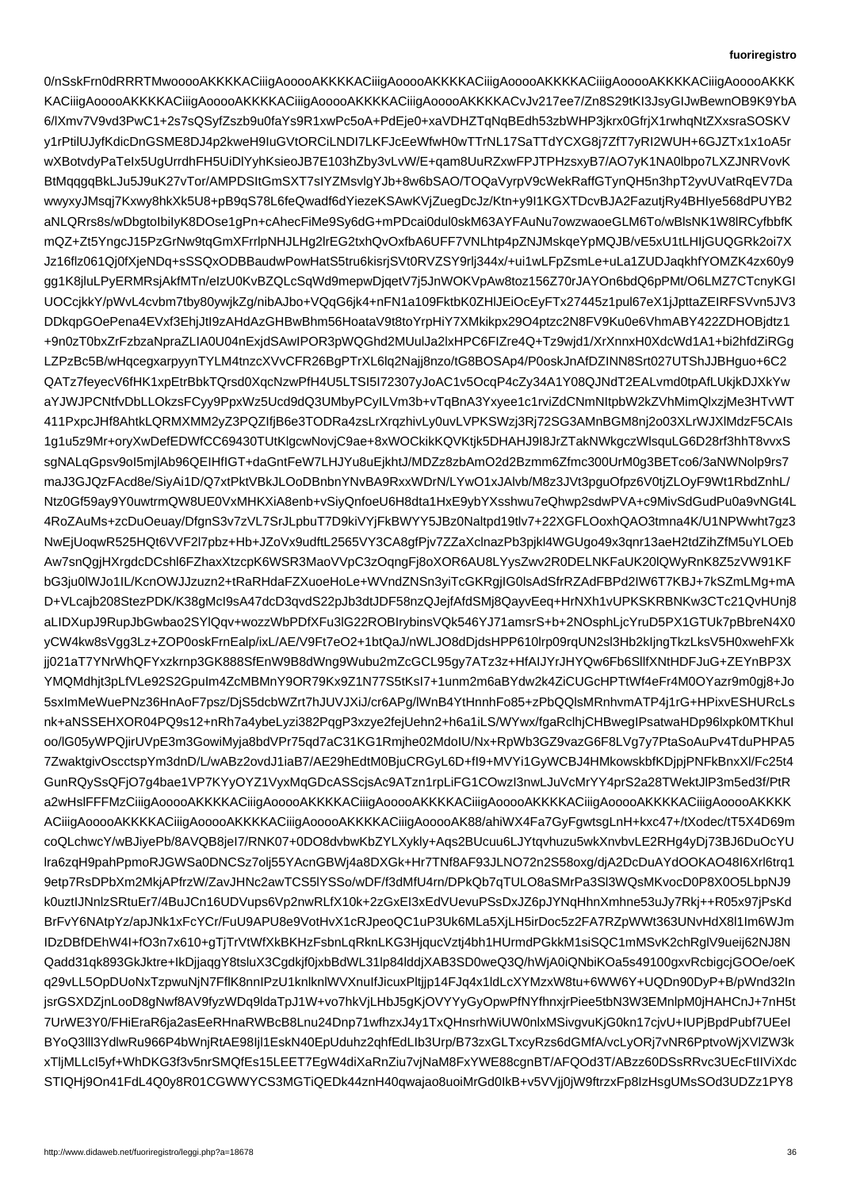0/nSskFrn0dRRRTMwooooAKKKKACiiigAooooAKKKKACiiigAooooAKKKKACiiigAooooAKKKKACiiigAooooAKKKKACiiigAooooAKKK KACiiigAooooAKKKKACiiigAooooAKKKKACiiigAooooAKKKKACiiigAooooAKKKKACvJv217ee7/Zn8S29tKl3JsyGlJwBewnOB9K9YbA 6/IXmv7V9vd3PwC1+2s7sQSvfZszb9u0faYs9R1xwPc5oA+PdEje0+xaVDHZTqNqBEdh53zbWHP3jkrx0GfrjX1rwhqNtZXxsraSOSKV y1rPtilUJyfKdicDnGSME8DJ4p2kweH9luGVtORCiLNDI7LKFJcEeWfwH0wTTrNL17SaTTdYCXG8j7ZfT7yRI2WUH+6GJZTx1x1oA5r wXBotvdyPaTelx5UgUrrdhFH5UiDlYyhKsieoJB7E103hZby3vLvW/E+qam8UuRZxwFPJTPHzsxyB7/AO7yK1NA0lbpo7LXZJNRVovK BtMqqqqBkLJu5J9uK27vTor/AMPDSItGmSXT7sIYZMsvlgYJb+8w6bSAO/TOQaVyrpV9cWekRaffGTynQH5n3hpT2yvUVatRqEV7Da wwyxyJMsqj7Kxwy8hkXk5U8+pB9qS78L6feQwadf6dYiezeKSAwKVjZuegDcJz/Ktn+y9l1KGXTDcvBJA2FazutjRy4BHIye568dPUYB2 aNLQRrs8s/wDbgtolbilyK8DOse1gPn+cAhecFiMe9Sy6dG+mPDcai0dul0skM63AYFAuNu7owzwaoeGLM6To/wBlsNK1W8lRCyfbbfK mQZ+Zt5YngcJ15PzGrNw9tqGmXFrrlpNHJLHg2lrEG2txhQvOxfbA6UFF7VNLhtp4pZNJMskqeYpMQJB/vE5xU1tLHIjGUQGRk2oi7X Jz16flz061Qj0fXjeNDq+sSSQxODBBaudwPowHatS5tru6kisrjSVt0RVZSY9rlj344x/+ui1wLFpZsmLe+uLa1ZUDJaqkhfYOMZK4zx60y9 gg1K8jluLPyERMRsjAkfMTn/elzU0KvBZQLcSqWd9mepwDjqetV7j5JnWOKVpAw8toz156Z70rJAYOn6bdQ6pPMt/O6LMZ7CTcnyKGI UOCcikkY/pWvL4cvbm7tby80ywjkZq/nibAJbo+VQqG6jk4+nFN1a109FktbK0ZHIJEiOcEyFTx27445z1pul67eX1jJpttaZEIRFSVvn5JV3 DDkgpGOePena4EVxf3EhjJtl9zAHdAzGHBwBhm56HoataV9t8toYrpHiY7XMkikpx29O4ptzc2N8FV9Ku0e6VhmABY422ZDHOBjdtz1 +9n0zT0bxZrFzbzaNpraZLIA0U04nExjdSAwIPOR3pWQGhd2MUulJa2lxHPC6FIZre4Q+Tz9wjd1/XrXnnxH0XdcWd1A1+bi2hfdZiRGg LZPzBc5B/wHqcegxarpyynTYLM4tnzcXVvCFR26BgPTrXL6Iq2Najj8nzo/tG8BOSAp4/P0oskJnAfDZINN8Srt027UTShJJBHquo+6C2 QATz7feyecV6fHK1xpEtrBbkTQrsd0XqcNzwPfH4U5LTSI5I72307yJoAC1v5OcqP4cZy34A1Y08QJNdT2EALvmd0tpAfLUkjkDJXkYw aYJWJPCNtfvDbLLOkzsFCyy9PpxWz5Ucd9dQ3UMbyPCyILVm3b+vTqBnA3Yxyee1c1rviZdCNmNltpbW2kZVhMimQlxzjMe3HTvWT 411PxpcJHf8AhtkLQRMXMM2yZ3PQZIfjB6e3TODRa4zsLrXrqzhivLy0uvLVPKSWzj3Rj72SG3AMnBGM8nj2o03XLrWJXlMdzF5CAIs 1g1u5z9Mr+oryXwDefEDWfCC69430TUtKlgcwNovjC9ae+8xWOCkikKQVKtjk5DHAHJ9l8JrZTakNWkgczWlsquLG6D28rf3hhT8vvxS sgNALgGpsv9ol5mjlAb96QEIHfIGT+daGntFeW7LHJYu8uEjkhtJ/MDZz8zbAmO2d2Bzmm6Zfmc300UrM0g3BETco6/3aNWNolp9rs7 maJ3GJQzFAcd8e/SiyAi1D/Q7xtPktVBkJLOoDBnbnYNvBA9RxxWDrN/LYwO1xJAlvb/M8z3JVt3pguOfpz6V0tjZLOyF9Wt1RbdZnhL/ Ntz0Gf59ay9Y0uwtrmQW8UE0VxMHKXiA8enb+vSiyQnfoeU6H8dta1HxE9ybYXsshwu7eQhwp2sdwPVA+c9MivSdGudPu0a9vNGt4L 4RoZAuMs+zcDuOeuay/DfqnS3v7zVL7SrJLpbuT7D9kiVYjFkBWYY5JBz0Naltpd19tlv7+22XGFLOoxhQAO3tmna4K/U1NPWwht7qz3 NwEjUoqwR525HQt6VVF2l7pbz+Hb+JZoVx9udftL2565VY3CA8gfPjv7ZZaXclnazPb3pjkl4WGUgo49x3qnr13aeH2tdZihZfM5uYLOEb Aw7snQqjHXrgdcDCshl6FZhaxXtzcpK6WSR3MaoVVpC3zOqngFj8oXOR6AU8LYysZwv2R0DELNKFaUK20lQWyRnK8Z5zVW91KF bG3ju0lWJo1lL/KcnOWJJzuzn2+tRaRHdaFZXuoeHoLe+WVndZNSn3yiTcGKRgjlG0lsAdSfrRZAdFBPd2lW6T7KBJ+7kSZmLMg+mA D+VLcajb208StezPDK/K38gMcl9sA47dcD3qvdS22pJb3dtJDF58nzQJejfAfdSMj8QayvEeq+HrNXh1vUPKSKRBNKw3CTc21QvHUnj8 aLIDXupJ9RupJbGwbao2SYlQqv+wozzWbPDfXFu3lG22ROBIrybinsVQk546YJ71amsrS+b+2NOsphLjcYruD5PX1GTUk7pBbreN4X0 yCW4kw8sVgg3Lz+ZOP0oskFrnEalp/ixL/AE/V9Ft7eO2+1btQaJ/nWLJO8dDjdsHPP610lrp09rqUN2sl3Hb2kljngTkzLksV5H0xwehFXk jj021aT7YNrWhQFYxzkrnp3GK888SfEnW9B8dWng9Wubu2mZcGCL95gy7ATz3z+HfAIJYrJHYQw6Fb6SllfXNtHDFJuG+ZEYnBP3X YMQMdhjt3pLfVLe92S2GpuIm4ZcMBMnY9OR79Kx9Z1N77S5tKsI7+1unm2m6aBYdw2k4ZiCUGcHPTtWf4eFr4M0OYazr9m0qj8+Jo 5sxImMeWuePNz36HnAoF7psz/DjS5dcbWZrt7hJUVJXiJ/cr6APq/IWnB4YtHnnhFo85+zPbQQIsMRnhvmATP4j1rG+HPixvESHURcLs nk+aNSSEHXOR04PQ9s12+nRh7a4ybeLyzi382PqqP3xzye2fejUehn2+h6a1iLS/WYwx/fqaRclhjCHBweqlPsatwaHDp96lxpk0MTKhul oo/lG05vWPQiirUVpE3m3GowiMvia8bdVPr75qd7aC31KG1Rmihe02MdolU/Nx+RpWb3GZ9vazG6F8LVq7v7PtaSoAuPv4TduPHPA5 7ZwaktgivOscctspYm3dnD/L/wABz2ovdJ1iaB7/AE29hEdtM0BjuCRGyL6D+fl9+MVYi1GyWCBJ4HMkowskbfKDjpjPNFkBnxXl/Fc25t4 GunRQySsQFjO7g4bae1VP7KYyOYZ1VyxMqGDcASScjsAc9ATzn1rpLiFG1COwzl3nwLJuVcMrYY4prS2a28TWektJlP3m5ed3f/PtR a2wHsIFFFMzCiiigAooooAKKKKACiiigAooooAKKKKACiiigAooooAKKKKACiiigAooooAKKKKACiiigAooooAKKKKACiiigAooooAKKKK ACiiigAooooAKKKKACiiigAooooAKKKKACiiigAooooAKKKKACiiigAooooAK88/ahiWX4Fa7GyFgwtsgLnH+kxc47+/tXodec/tT5X4D69m coQLchwcY/wBJiyePb/8AVQB8jeI7/RNK07+0DO8dvbwKbZYLXykly+Aqs2BUcuu6LJYtqvhuzu5wkXnvbvLE2RHq4yDj73BJ6DuOcYU Ira6zqH9pahPpmoRJGWSa0DNCSz7olj55YAcnGBWj4a8DXGk+Hr7TNf8AF93JLNO72n2S58oxg/djA2DcDuAYdOOKAO48l6Xrl6trq1 9etp7RsDPbXm2MkjAPfrzW/ZavJHNc2awTCS5IYSSo/wDF/f3dMfU4rn/DPkQb7qTULO8aSMrPa3SI3WQsMKvocD0P8X0O5LbpNJ9 k0uztlJNnlzSRtuEr7/4BuJCn16UDVups6Vp2nwRLfX10k+2zGxEl3xEdVUevuPSsDxJZ6pJYNqHhnXmhne53uJy7Rkj++R05x97jPsKd BrFvY6NAtpYz/apJNk1xFcYCr/FuU9APU8e9VotHvX1cRJpeoQC1uP3Uk6MLa5XjLH5irDoc5z2FA7RZpWWt363UNvHdX8l1Im6WJm IDzDBfDEhW4I+fO3n7x610+gTjTrVtWfXkBKHzFsbnLqRknLKG3HjqucVztj4bh1HUrmdPGkkM1siSQC1mMSvK2chRglV9ueij62NJ8N Qadd31qk893GkJktre+lkDjjaqqY8tsluX3Cgdkjf0jxbBdWL31lp84lddjXAB3SD0weQ3Q/hWjA0iQNbiKOa5s49100gxvRcbigcjGOOe/oeK q29vLL5OpDUoNxTzpwuNjN7FflK8nnlPzU1knlknlWVXnulfJicuxPltjjp14FJq4x1ldLcXYMzxW8tu+6WW6Y+UQDn90DyP+B/pWnd32ln jsrGSXDZjnLooD8gNwf8AV9fyzWDq9ldaTpJ1W+vo7hkVjLHbJ5gKjOVYYyGyOpwPfNYfhnxjrPiee5tbN3W3EMnlpM0jHAHCnJ+7nH5t 7UrWE3Y0/FHiEraR6ja2asEeRHnaRWBcB8Lnu24Dnp71wfhzxJ4y1TxQHnsrhWiUW0nlxMSivgvuKjG0kn17cjvU+IUPjBpdPubf7UEeI BYoQ3III3YdlwRu966P4bWnjRtAE98IjI1EskN40EpUduhz2qhfEdLlb3Urp/B73zxGLTxcyRzs6dGMfA/vcLyORj7vNR6PptvoWjXVIZW3k xTljMLLcl5yf+WhDKG3f3v5nrSMQfEs15LEET7EgW4diXaRnZiu7vjNaM8FxYWE88cgnBT/AFQOd3T/ABzz60DSsRRvc3UEcFtllViXdc STIQHj9On41FdL4Q0y8R01CGWWYCS3MGTiQEDk44znH40qwajao8uoiMrGd0lkB+v5VVjj0jW9ftrzxFp8lzHsgUMsSOd3UDZz1PY8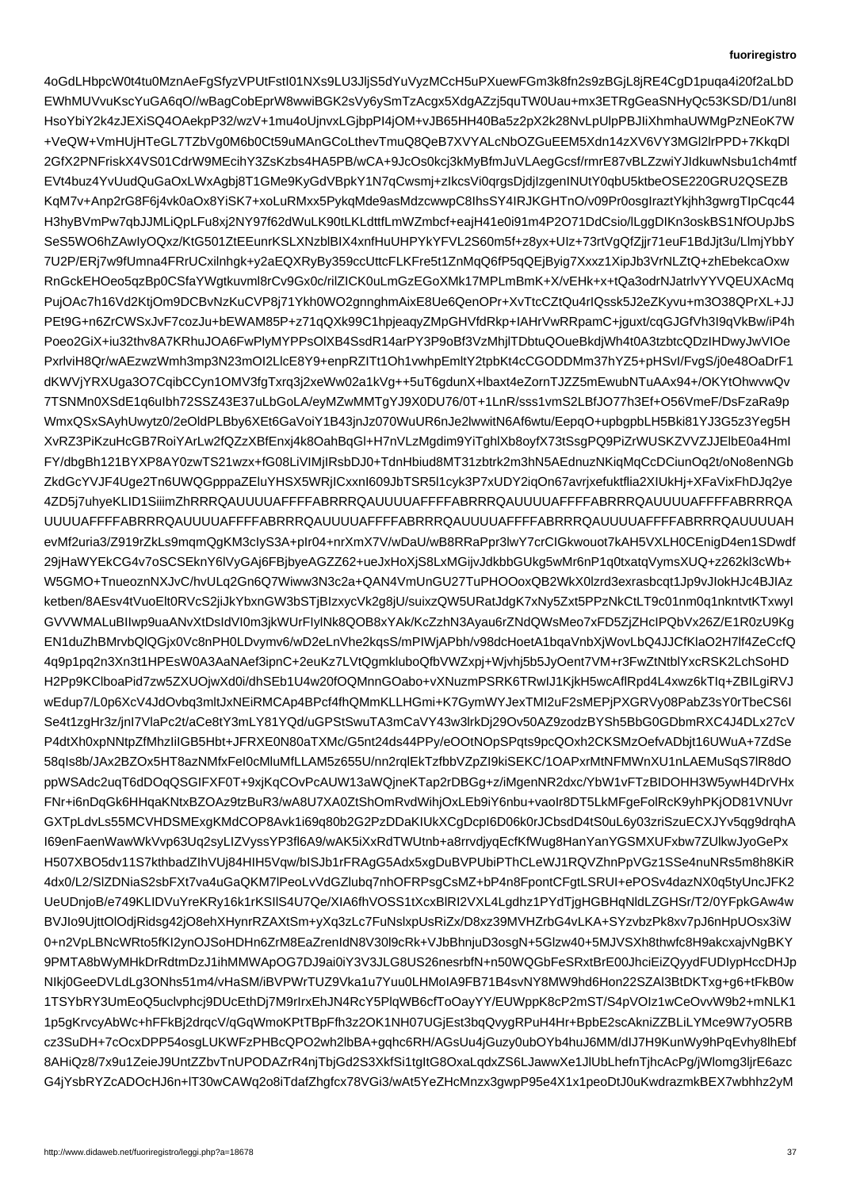4oGdLHbpcW0t4tu0MznAeFgSfyzVPUtFstl01NXs9LU3JljS5dYuVyzMCcH5uPXuewFGm3k8fn2s9zBGjL8jRE4CgD1puqa4i20f2aLbD EWhMUVvuKscYuGA6qO//wBagCobEprW8wwiBGK2sVy6ySmTzAcgx5XdgAZzj5quTW0Uau+mx3ETRgGeaSNHyQc53KSD/D1/un8l HsoYbiY2k4zJEXiSQ4OAekpP32/wzV+1mu4oUjnvxLGjbpPl4jOM+vJB65HH40Ba5z2pX2k28NvLpUlpPBJliXhmhaUWMqPzNEoK7W +VeQW+VmHUjHTeGL7TZbVq0M6b0Ct59uMAnGCoLthevTmuQ8QeB7XVYALcNbOZGuEEM5Xdn14zXV6VY3MGl2lrPPD+7KkqDl 2GfX2PNFriskX4VS01CdrW9MEcihY3ZsKzbs4HA5PB/wCA+9JcOs0kcj3kMyBfmJuVLAegGcsf/rmrE87vBLZzwiYJldkuwNsbu1ch4mtf EVt4buz4YvUudQuGaOxLWxAgbj8T1GMe9KyGdVBpkY1N7qCwsmj+zlkcsVi0qrgsDjdjlzgenINUtY0qbU5ktbeOSE220GRU2QSEZB KgM7v+Anp2rG8F6j4vk0aOx8YiSK7+xoLuRMxx5PykgMde9asMdzcwwpC8lhsSY4lRJKGHTnO/v09Pr0osglraztYkjhh3gwrgTlpCqc44 H3hyBVmPw7qbJJMLiQpLFu8xj2NY97f62dWuLK90tLKLdttfLmWZmbcf+eajH41e0i91m4P2O71DdCsio/lLggDlKn3oskBS1NfOUpJbS SeS5WO6hZAwlyOQxz/KtG501ZtEEunrKSLXNzblBIX4xnfHuUHPYkYFVL2S60m5f+z8yx+Ulz+73rtVgQfZjjr71euF1BdJjt3u/LlmjYbbY 7U2P/ERj7w9fUmna4FRrUCxilnhgk+y2aEQXRyBy359ccUttcFLKFre5t1ZnMqQ6fP5qQEjByig7Xxxz1XipJb3VrNLZtQ+zhEbekcaOxw RnGckEHOeo5qzBp0CSfaYWgtkuvml8rCv9Gx0c/rilZICK0uLmGzEGoXMk17MPLmBmK+X/vEHk+x+tQa3odrNJatrlvYYVQEUXAcMq PujOAc7h16Vd2KtjOm9DCBvNzKuCVP8j71Ykh0WO2qnnqhmAixE8Ue6QenOPr+XvTtcCZtQu4rlQssk5J2eZKyvu+m3O38QPrXL+JJ PEt9G+n6ZrCWSxJvF7cozJu+bEWAM85P+z71qQXk99C1hpjeaqyZMpGHVfdRkp+IAHrVwRRpamC+jquxt/cqGJGfVh3l9qVkBw/iP4h Poeo2GiX+iu32thv8A7KRhuJOA6FwPlyMYPPsOIXB4SsdR14arPY3P9oBf3VzMhjlTDbtuQOueBkdjWh4t0A3tzbtcQDzIHDwyJwVIOe PxrlviH8Qr/wAEzwzWmh3mp3N23mOI2LIcE8Y9+enpRZITt1Oh1vwhpEmltY2tpbKt4cCGODDMm37hYZ5+pHSvl/FvgS/i0e48OaDrF1 dKWVjYRXUga3O7CqibCCyn1OMV3fgTxrq3j2xeWw02a1kVg++5uT6gdunX+lbaxt4eZornTJZZ5mEwubNTuAAx94+/OKYtOhwvwQv 7TSNMn0XSdE1q6ulbh72SSZ43E37uLbGoLA/eyMZwMMTgYJ9X0DU76/0T+1LnR/sss1vmS2LBfJO77h3Ef+O56VmeF/DsFzaRa9p WmxQSxSAvhUwytz0/2eOldPLBby6XEt6GaVoiY1B43jnJz070WuUR6nJe2lwwitN6Af6wtu/EepqO+upbgpbLH5Bki81YJ3G5z3Yeg5H XvRZ3PiKzuHcGB7RoiYArLw2fQZzXBfEnxj4k8OahBqGl+H7nVLzMgdim9YiTghlXb8oyfX73tSsgPQ9PiZrWUSKZVVZJJElbE0a4Hml FY/dbqBh121BYXP8AY0zwTS21wzx+fG08LiVIMjIRsbDJ0+TdnHbiud8MT31zbtrk2m3hN5AEdnuzNKiqMqCcDCiunOq2t/oNo8enNGb ZkdGcYVJF4Uge2Tn6UWQGpppaZEluYHSX5WRjICxxnl609JbTSR5l1cyk3P7xUDY2iqOn67avrjxefuktflia2XIUkHj+XFaVixFhDJq2ye 4ZD5j7uhyeKLID1SiiimZhRRRQAUUUUAFFFFABRRRQAUUUUAFFFFABRRRQAUUUUAFFFFABRRRQAUUUUAFFFFABRRRQA UUUUAFFFFABRRRQAUUUUAFFFFABRRRQAUUUUAFFFFABRRRQAUUUUAFFFFABRRRQAUUUUAFFFFABRRRQAUUUUAH evMf2uria3/Z919rZkLs9mqmQqKM3clyS3A+pIr04+nrXmX7V/wDaU/wB8RRaPpr3lwY7crClGkwouot7kAH5VXLH0CEnigD4en1SDwdf 29jHaWYEkCG4v7oSCSEknY6lVyGAj6FBjbyeAGZZ62+ueJxHoXjS8LxMGijvJdkbbGUkg5wMr6nP1q0txatqVymsXUQ+z262kl3cWb+ W5GMO+TnueoznNXJvC/hvULa2Gn6Q7Wiww3N3c2a+QAN4VmUnGU27TuPHOOoxQB2WkX0lzrd3exrasbcat1Jp9vJlokHJc4BJIAz ketben/8AEsv4tVuoElt0RVcS2jiJkYbxnGW3bSTjBIzxycVk2q8jU/suixzQW5URatJdgK7xNy5Zxt5PPzNkCtLT9c01nm0q1nkntvtKTxwyl GVVWMALuBIIwp9uaANvXtDsIdVI0m3jkWUrFIyINk8QOB8xYAk/KcZzhN3Ayau6rZNdQWsMeo7xFD5ZjZHcIPQbVx26Z/E1R0zU9Kg EN1duZhBMrvbQlQGix0Vc8nPH0LDvymv6/wD2eLnVhe2kgsS/mPIWjAPbh/v98dcHoetA1bgaVnbXjWovLbQ4JJCfKlaO2H7lf4ZeCcfQ 4q9p1pq2n3Xn3t1HPEsW0A3AaNAef3ipnC+2euKz7LVtQgmkluboQfbVWZxpj+Wjvhj5b5JyOent7VM+r3FwZtNtblYxcRSK2LchSoHD H2Pp9KClboaPid7zw5ZXUOjwXd0i/dhSEb1U4w20fOQMnnGOabo+vXNuzmPSRK6TRwlJ1KjkH5wcAflRpd4L4xwz6kTlq+ZBlLqiRVJ wEdup7/L0p6XcV4JdOvbq3mltJxNEiRMCAp4BPcf4fhQMmKLLHGmi+K7GymWYJexTMI2uF2sMEPjPXGRVy08PabZ3sY0rTbeCS6I Se4t1zqHr3z/jnI7VlaPc2t/aCe8tY3mLY81YQd/uGPStSwuTA3mCaVY43w3lrkDj29Ov50AZ9zodzBYSh5BbG0GDbmRXC4J4DLx27cV P4dtXh0xpNNtpZfMhzliIGB5Hbt+JFRXE0N80aTXMc/G5nt24ds44PPv/eOOtNOpSPqts9pcQOxh2CKSMzOefvADbit16UWuA+7ZdSe 58qls8b/JAx2BZOx5HT8azNMfxFeI0cMluMfLLAM5z655U/nn2rqlEkTzfbbVZpZI9kiSEKC/1OAPxrMtNFMWnXU1nLAEMuSqS7lR8dO ppWSAdc2uqT6dDOqQSGIFXF0T+9xjKqCOvPcAUW13aWQjneKTap2rDBGg+z/iMgenNR2dxc/YbW1vFTzBIDOHH3W5ywH4DrVHx FNr+i6nDqGk6HHqaKNtxBZOAz9tzBuR3/wA8U7XA0ZtShOmRvdWihjOxLEb9iY6nbu+vaolr8DT5LkMFqeFolRcK9yhPKjOD81VNUvr GXTpLdvLs55MCVHDSMExgKMdCOP8Avk1i69q80b2G2PzDDaKIUkXCgDcpI6D06k0rJCbsdD4tS0uL6y03zriSzuECXJYv5qq9drqhA I69enFaenWawWkVvp63Uq2syLIZVyssYP3fl6A9/wAK5iXxRdTWUtnb+a8rrvdjyqEcfKfWuq8HanYanYGSMXUFxbw7ZUlkwJyoGePx H507XBO5dv11S7kthbadZlhVUj84HlH5Vqw/blSJb1rFRAgG5Adx5xgDuBVPUbiPThCLeWJ1RQVZhnPpVGz1SSe4nuNRs5m8h8KiR 4dx0/L2/SIZDNiaS2sbFXt7va4uGaQKM7IPeoLvVdGZlubq7nhOFRPsqCsMZ+bP4n8FpontCFqtLSRUI+ePOSv4dazNX0q5tyUncJFK2 UeUDnjoB/e749KLIDVuYreKRy16k1rKSIIS4U7Qe/XIA6fhVOSS1tXcxBlRI2VXL4Lqdhz1PYdTjqHGBHqNldLZGHSr/T2/0YFpkGAw4w BVJIo9UittOlOdjRidsq42jO8ehXHynrRZAXtSm+yXq3zLc7FuNslxpUsRiZx/D8xz39MVHZrbG4vLKA+SYzvbzPk8xv7pJ6nHpUOsx3iW 0+n2VpLBNcWRto5fKl2ynOJSoHDHn6ZrM8EaZrenIdN8V30l9cRk+VJbBhnjuD3osqN+5Glzw40+5MJVSXh8thwfc8H9akcxajvNgBKY 9PMTA8bWyMHkDrRdtmDzJ1ihMMWApOG7DJ9ai0iY3V3JLG8US26nesrbfN+n50WQGbFeSRxtBrE00JhciEiZQyydFUDIypHccDHJp NIki0GeeDVLdLg3ONhs51m4/vHaSM/iBVPWrTUZ9Vka1u7Yuu0LHMoIA9FB71B4svNY8MW9hd6Hon22SZAI3BtDKTxg+g6+tFkB0w 1TSYbRY3UmEoQ5uclvphcj9DUcEthDj7M9rIrxEhJN4RcY5PlqWB6cfToOayYY/EUWppK8cP2mST/S4pVOlz1wCeOvvW9b2+mNLK1 1p5gKrvcyAbWc+hFFkBj2drqcV/qGqWmoKPtTBpFfh3z2OK1NH07UGjEst3bqQvygRPuH4Hr+BpbE2scAkniZZBLiLYMce9W7yO5RB cz3SuDH+7cOcxDPP54osgLUKWFzPHBcQPO2wh2lbBA+gqhc6RH/AGsUu4jGuzy0ubOYb4huJ6MM/dlJ7H9KunWy9hPqEvhy8lhEbf 8AHiQz8/7x9u1ZeieJ9UntZZbvTnUPODAZrR4njTbjGd2S3XkfSi1tgltG8OxaLqdxZS6LJawwXe1JlUbLhefnTjhcAcPg/jWlomg3ljrE6azc G4jYsbRYZcADOcHJ6n+lT30wCAWq2o8iTdafZhgfcx78VGi3/wAt5YeZHcMnzx3gwpP95e4X1x1peoDtJ0uKwdrazmkBEX7wbhhz2yM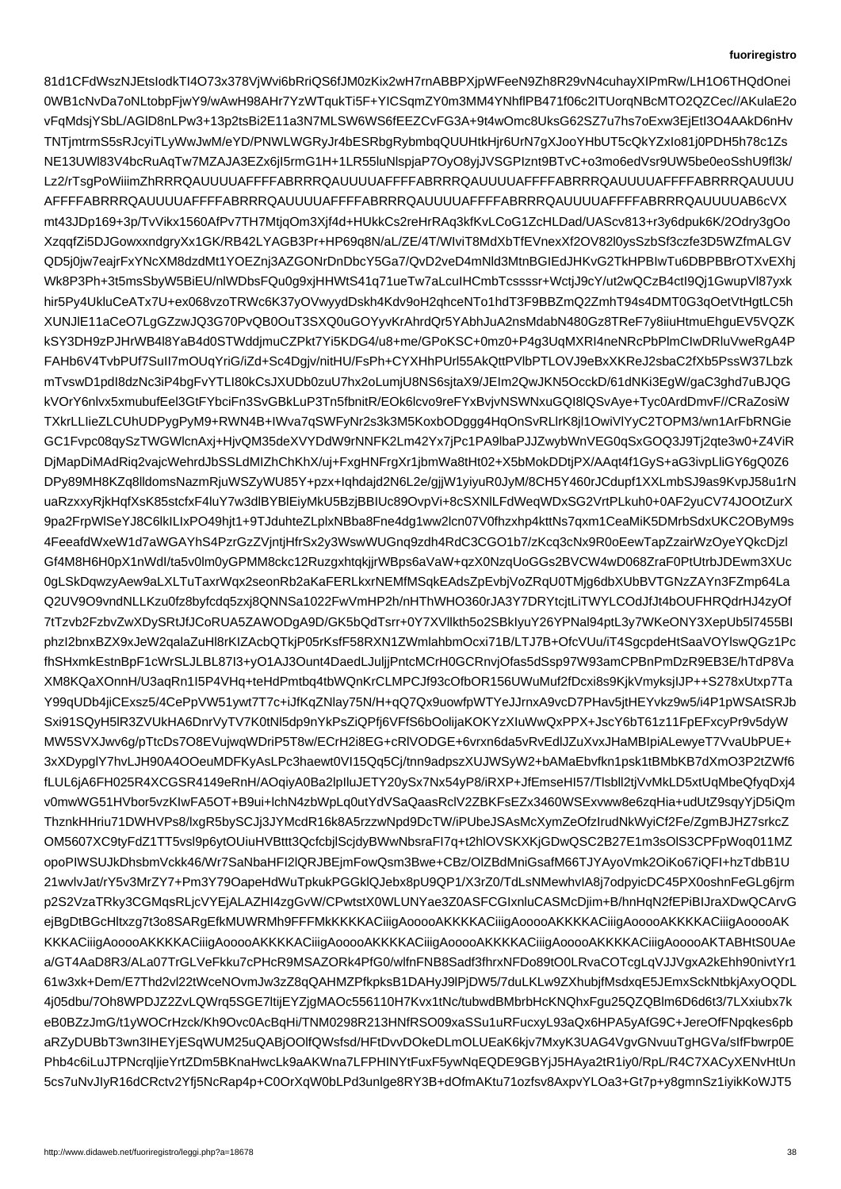81d1CFdWszNJEtslodkTl4O73x378VjWvi6bRriQS6fJM0zKix2wH7rnABBPXjpWFeeN9Zh8R29vN4cuhayXIPmRw/LH1O6THQdOnei 0WB1cNvDa7oNLtobpFjwY9/wAwH98AHr7YzWTqukTi5F+YICSqmZY0m3MM4YNhflPB471f06c2ITUorqNBcMTO2QZCec//AKulaE2o vFgMdsjYSbL/AGID8nLPw3+13p2tsBi2E11a3N7MLSW6WS6fEEZCvFG3A+9t4wOmc8UksG62SZ7u7hs7oExw3EjEtI3O4AAkD6nHv TNTjmtrmS5sRJcviTLyWwJwM/eYD/PNWLWGRyJr4bESRbgRybmbqQUUHtkHjr6UrN7gXJooYHbUT5cQkYZxlo81j0PDH5h78c1Zs NE13UWI83V4bcRuAqTw7MZAJA3EZx6jI5rmG1H+1LR55luNlspjaP7OyO8yjJVSGPIznt9BTvC+o3mo6edVsr9UW5be0eoSshU9fl3k/ Lz2/rTsgPoWiiimZhRRRQAUUUUAFFFFABRRRQAUUUUAFFFFABRRRQAUUUUAFFFFABRRRQAUUUUAFFFFABRRRQAUUUU AFFFFABRRRQAUUUUAFFFFABRRRQAUUUUAFFFFABRRRQAUUUUAFFFFABRRRQAUUUUAFFFFABRRRQAUUUUAB6cVX mt43JDp169+3p/TvVikx1560AfPv7TH7MtjqOm3Xjf4d+HUkkCs2reHrRAq3kfKvLCoG1ZcHLDad/UAScv813+r3y6dpuk6K/2Odry3gOo XzqqfZi5DJGowxxndgryXx1GK/RB42LYAGB3Pr+HP69q8N/aL/ZE/4T/WlviT8MdXbTfEVnexXf2OV82l0ysSzbSf3czfe3D5WZfmALGV QD5j0jw7eajrFxYNcXM8dzdMt1YOEZnj3AZGONrDnDbcY5Ga7/QvD2veD4mNld3MtnBGIEdJHKvG2TkHPBIwTu6DBPBBrOTXvEXhj Wk8P3Ph+3t5msSbyW5BiEU/nlWDbsFQu0g9xjHHWtS41q71ueTw7aLculHCmbTcssssr+WctjJ9cY/ut2wQCzB4ctl9Qj1GwupVl87yxk hir5Py4UkluCeATx7U+ex068vzoTRWc6K37yOVwyydDskh4Kdv9oH2qhceNTo1hdT3F9BBZmQ2ZmhT94s4DMT0G3qOetVtHqtLC5h XUNJIE11aCeO7LqGZzwJQ3G70PvQB0OuT3SXQ0uGOYyvKrAhrdQr5YAbhJuA2nsMdabN480Gz8TReF7y8iiuHtmuEhquEV5VQZK kSY3DH9zPJHrWB4l8YaB4d0STWddjmuCZPkt7Yi5KDG4/u8+me/GPoKSC+0mz0+P4q3UqMXRI4neNRcPbPlmClwDRluVweRgA4P FAHb6V4TvbPUf7Sull7mOUqYriG/iZd+Sc4Dqiv/nitHU/FsPh+CYXHhPUrl55AkQttPVlbPTLOVJ9eBxXKReJ2sbaC2fXb5PssW37Lbzk mTvswD1pdl8dzNc3iP4bgFvYTLI80kCsJXUDb0zuU7hx2oLumjU8NS6sjtaX9/JEIm2QwJKN5OcckD/61dNKi3EgW/gaC3ghd7uBJQG kVOrY6nlvx5xmubufEel3GtFYbciFn3SvGBkLuP3Tn5fbnitR/EOk6lcvo9reFYxBvjvNSWNxuGQl8lQSvAye+Tyc0ArdDmvF//CRaZosiW TXkrLLlieZLCUhUDPygPyM9+RWN4B+IWva7qSWFyNr2s3k3M5KoxbODggg4HqOnSvRLlrK8jl1OwiVlYyC2TOPM3/wn1ArFbRNGie GC1Fvpc08qySzTWGWlcnAxj+HjvQM35deXVYDdW9rNNFK2Lm42Yx7jPc1PA9lbaPJJZwybWnVEG0qSxGOQ3J9Tj2qte3w0+Z4ViR DjMapDiMAdRig2vajcWehrdJbSSLdMIZhChKhX/uj+FxgHNFrgXr1jbmWa8tHt02+X5bMokDDtjPX/AAqt4f1GyS+aG3ivpLliGY6qQ0Z6 DPy89MH8KZq8lldomsNazmRjuWSZyWU85Y+pzx+Iqhdajd2N6L2e/gjjW1yiyuR0JyM/8CH5Y460rJCdupf1XXLmbSJ9as9KvpJ58u1rN uaRzxxyRikHqfXsK85stcfxF4IuY7w3dlBYBlEiyMkU5BzjBBIUc89OvpVi+8cSXNILFdWeqWDxSG2VrtPLkuh0+0AF2yuCV74JOOtZurX 9pa2FrpWISeYJ8C6lkILIxPO49hit1+9TJduhteZLplxNBba8Fne4dq1ww2lcn07V0fhzxhp4kttNs7qxm1CeaMiK5DMrbSdxUKC2OByM9s 4FeeafdWxeW1d7aWGAYhS4PzrGzZVjntjHfrSx2y3WswWUGnq9zdh4RdC3CGO1b7/zKcq3cNx9R0oEewTapZzairWzOyeYQkcDjzl Gf4M8H6H0pX1nWdl/ta5v0lm0yGPMM8ckc12RuzgxhtqkjjrWBps6aVaW+qzX0NzqUoGGs2BVCW4wD068ZraF0PtUtrbJDEwm3XUc 0gLSkDqwzyAew9aLXLTuTaxrWqx2seonRb2aKaFERLkxrNEMfMSqkEAdsZpEvbjVoZRqU0TMjg6dbXUbBVTGNzZAYn3FZmp64La Q2UV9O9vndNLLKzu0fz8byfcdq5zxj8QNNSa1022FwVmHP2h/nHThWHO360rJA3Y7DRYtcjtLiTWYLCOdJfJt4bOUFHRQdrHJ4zvOf 7tTzvb2FzbvZwXDySRtJfJCoRUA5ZAWODgA9D/GK5bQdTsrr+0Y7XVllkth5o2SBkIyuY26YPNal94ptL3y7WKeONY3XepUb5l7455BI phzl2bnxBZX9xJeW2qalaZuHl8rKIZAcbQTkjP05rKsfF58RXN1ZWmlahbmOcxi71B/LTJ7B+OfcVUu/iT4SqcpdeHtSaaVOYlswQGz1Pc fhSHxmkEstnBpF1cWrSLJLBL87I3+yO1AJ3Ount4DaedLJuljjPntcMCrH0GCRnvjOfas5dSsp97W93amCPBnPmDzR9EB3E/hTdP8Va XM8KQaXOnnH/U3aqRn1I5P4VHq+teHdPmtbq4tbWQnKrCLMPCJf93cOfbOR156UWuMuf2fDcxi8s9KjkVmyksjIJP++S278xUtxp7Ta Y99qUDb4jiCExsz5/4CePpVW51ywt7T7c+iJfKqZNlay75N/H+qQ7Qx9uowfpWTYeJJrnxA9vcD7PHav5jtHEYvkz9w5/i4P1pWSAtSRJb Sxi91SQyH5IR3ZVUkHA6DnrVyTV7K0tNl5dp9nYkPsZiQPfi6VFfS6bOolijaKOKYzXIuWwQxPPX+JscY6bT61z11FpEFxcyPr9v5dyW MW5SVXJwy6q/pTtcDs7O8EVuiwqWDriP5T8w/ECrH2i8EG+cRIVODGE+6vrxn6da5vRvEdIJZuXvxJHaMBIpiALewveT7VvaUbPUE+ 3xXDypglY7hvLJH90A4OOeuMDFKyAsLPc3haewt0VI15Qq5Cj/tnn9adpszXUJWSyW2+bAMaEbvfkn1psk1tBMbKB7dXmO3P2tZWf6 fLUL6jA6FH025R4XCGSR4149eRnH/AOqiyA0Ba2lplluJETY20ySx7Nx54yP8/iRXP+JfEmseHl57/Tlsbll2tjVvMkLD5xtUqMbeQfyqDxj4 v0mwWG51HVbor5vzKlwFA5OT+B9ui+lchN4zbWpLq0utYdVSaQaasRclV2ZBKFsEZx3460WSExvww8e6zqHia+udUtZ9sqyYjD5iQm ThznkHHriu71DWHVPs8/lxgR5bySCJj3JYMcdR16k8A5rzzwNpd9DcTW/iPUbeJSAsMcXymZeOfzIrudNkWyiCf2Fe/ZgmBJHZ7srkcZ OM5607XC9tyFdZ1TT5vsl9p6ytOUiuHVBttt3QcfcbilScidyBWwNbsraFI7q+t2hlOVSKXKjGDwQSC2B27E1m3sOlS3CPFpWoq011MZ opoPIWSUJkDhsbmVckk46/Wr7SaNbaHFI2IQRJBEjmFowQsm3Bwe+CBz/OIZBdMniGsafM66TJYAyoVmk2OiKo67iQFI+hzTdbB1U 21wvlvJat/rY5v3MrZY7+Pm3Y79OapeHdWuTpkukPGGklQJebx8pU9QP1/X3rZ0/TdLsNMewhvIA8i7odpyicDC45PX0oshnFeGLq6jrm p2S2VzaTRky3CGMqsRLjcVYEjALAZHI4zqGvW/CPwtstX0WLUNYae3Z0ASFCGIxnluCASMcDjim+B/hnHqN2fEPiBIJraXDwQCArvG ejBqDtBGcHltxzq7t3o8SARqEfkMUWRMh9FFFMkKKKKACiiiqAooooAKKKKACiiiqAooooAKKKKACiiiqAooooAKKKKACiiiqAooooAK KKKACiiigAooooAKKKKACiiigAooooAKKKKACiiigAooooAKKKKACiiigAooooAKKKKACiiigAooooAKKKKACiiigAooooAKTABHtS0UAe a/GT4AaD8R3/ALa07TrGLVeFkku7cPHcR9MSAZORk4PfG0/wlfnFNB8Sadf3fhrxNFDo89tO0LRvaCOTcgLqVJJVgxA2kEhh90nivtYr1 61w3xk+Dem/E7Thd2vl22tWceNOvmJw3zZ8qQAHMZPfkpksB1DAHyJ9lPjDW5/7duLKLw9ZXhubjfMsdxqE5JEmxSckNtbkjAxyOQDL 4j05dbu/7Oh8WPDJZ2ZvLQWrq5SGE7ltijEYZjgMAOc556110H7Kvx1tNc/tubwdBMbrbHcKNQhxFgu25QZQBlm6D6d6t3/7LXxiubx7k eB0BZzJmG/t1yWOCrHzck/Kh9Ovc0AcBqHi/TNM0298R213HNfRSO09xaSSu1uRFucxyL93aQx6HPA5yAfG9C+JereOfFNpqkes6pb aRZyDUBbT3wn3IHEYjESqWUM25uQABjOOlfQWsfsd/HFtDvvDOkeDLmOLUEaK6kjv7MxyK3UAG4VgvGNvuuTgHGVa/slfFbwrp0E Phb4c6iLuJTPNcrqljieYrtZDm5BKnaHwcLk9aAKWna7LFPHINYtFuxF5ywNqEQDE9GBYjJ5HAya2tR1iy0/RpL/R4C7XACyXENvHtUn 5cs7uNvJlyR16dCRctv2Yfj5NcRap4p+C0OrXqW0bLPd3unlge8RY3B+dOfmAKtu71ozfsv8AxpvYLOa3+Gt7p+y8gmnSz1iyikKoWJT5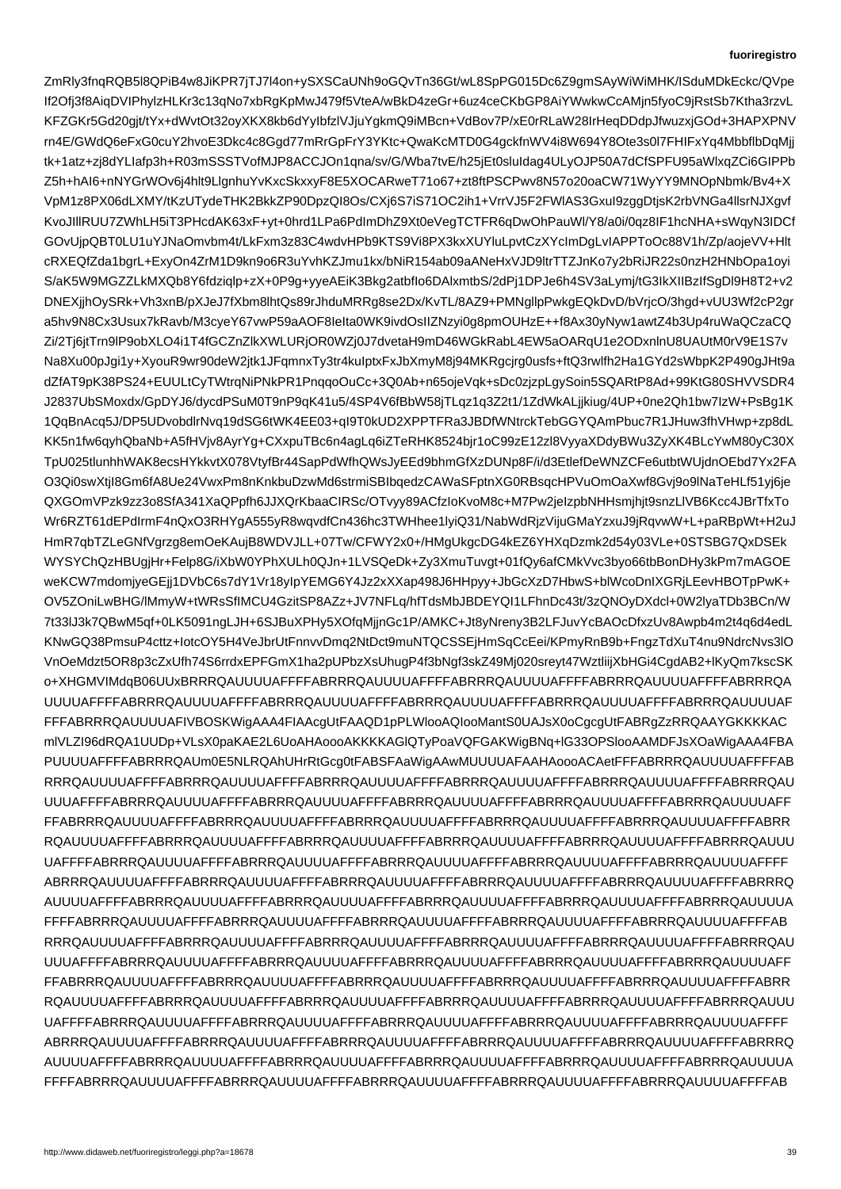ZmRly3fnqRQB5I8QPiB4w8JiKPR7jTJ7l4on+ySXSCaUNh9oGQvTn36Gt/wL8SpPG015Dc6Z9qmSAyWiWiMHK/ISduMDkEckc/QVpe If2Ofi3f8AigDVIPhylzHLKr3c13gNo7xbRgKpMwJ479f5VteA/wBkD4zeGr+6uz4ceCKbGP8AiYWwkwCcAMjn5fyoC9jRstSb7Ktha3rzvL KFZGKr5Gd20qit/tYx+dWvtOt32oyXKX8kb6dYylbfzlVJjuYqkmQ9iMBcn+VdBov7P/xE0rRLaW28IrHeqDDdpJfwuzxjGOd+3HAPXPNV rn4E/GWdQ6eFxG0cuY2hvoE3Dkc4c8Gqd77mRrGpFrY3YKtc+QwaKcMTD0G4qckfnWV4i8W694Y8Ote3s0l7FHIFxYq4MbbflbDqMij tk+1atz+zj8dYLlafp3h+R03mSSSTVofMJP8ACCJOn1qna/sv/G/Wba7tvE/h25jEt0sluIdag4ULyOJP50A7dCfSPFU95aWlxqZCi6GIPPb Z5h+hAl6+nNYGrWOv6j4hlt9LlgnhuYvKxcSkxxyF8E5XOCARweT71o67+zt8ftPSCPwv8N57o20oaCW71WyYY9MNOpNbmk/Bv4+X VpM1z8PX06dLXMY/tKzUTydeTHK2BkkZP90DpzQI8Os/CXj6S7iS71OC2ih1+VrrVJ5F2FWIAS3Gxul9zggDtjsK2rbVNGa4llsrNJXgvf KvoJIIIRUU7ZWhLH5iT3PHcdAK63xF+yt+0hrd1LPa6PdImDhZ9Xt0eVegTCTFR6qDwOhPauWl/Y8/a0i/0qz8lF1hcNHA+sWqyN3lDCf GOvUjpQBT0LU1uYJNaOmvbm4t/LkFxm3z83C4wdvHPb9KTS9Vi8PX3kxXUYluLpvtCzXYcImDgLvIAPPToOc88V1h/Zp/aojeVV+Hlt cRXEQfZda1bgrL+ExyOn4ZrM1D9kn9o6R3uYvhKZJmu1kx/bNiR154ab09aANeHxVJD9ltrTTZJnKo7y2bRiJR22s0nzH2HNbOpa1oyi S/aK5W9MGZZLkMXQb8Y6fdziqlp+zX+0P9g+yyeAEiK3Bkg2atbflo6DAlxmtbS/2dPj1DPJe6h4SV3aLymj/tG3lkXIIBzIfSgDl9H8T2+v2 DNEXijhOySRk+Vh3xnB/pXJeJ7fXbm8lhtQs89rJhduMRRq8se2Dx/KvTL/8AZ9+PMNqllpPwkqEQkDvD/bVrjcO/3hqd+vUU3Wf2cP2qr a5hv9N8Cx3Usux7kRavb/M3cyeY67vwP59aAOF8leIta0WK9ivdOsIIZNzyi0q8pmOUHzE++f8Ax30yNyw1awtZ4b3Up4ruWaQCzaCQ Zi/2Tj6jtTrn9lP9obXLO4i1T4fGCZnZlkXWLURjOR0WZj0J7dvetaH9mD46WGkRabL4EW5aOARqU1e2ODxnlnU8UAUtM0rV9E1S7v Na8Xu00pJgi1v+XvouR9wr90deW2itk1JFgmnxTv3tr4kuIptxFxJbXmvM8i94MKRgcirg0usfs+ftQ3rwlfh2Ha1GYd2sWbpK2P490gJHt9a dZfAT9pK38PS24+EUULtCyTWtrqNiPNkPR1PnqqoOuCc+3Q0Ab+n65ojeVqk+sDc0zjzpLgySoin5SQARtP8Ad+99KtG80SHVVSDR4 J2837UbSMoxdx/GpDYJ6/dycdPSuM0T9nP9qK41u5/4SP4V6fBbW58jTLqz1q3Z2t1/1ZdWkALjjkiug/4UP+0ne2Qh1bw7lzW+PsBg1K 1QqBnAcq5J/DP5UDvobdlrNvq19dSG6tWK4EE03+ql9T0kUD2XPPTFRa3JBDfWNtrckTebGGYQAmPbuc7R1JHuw3fhVHwp+zp8dL KK5n1fw6qyhQbaNb+A5fHVjv8AyrYg+CXxpuTBc6n4agLq6iZTeRHK8524bjr1oC99zE12zl8VyyaXDdyBWu3ZyXK4BLcYwM80yC30X TpU025tlunhhWAK8ecsHYkkvtX078VtvfBr44SapPdWfhQWsJyEEd9bhmGfXzDUNp8F/i/d3EtlefDeWNZCFe6utbtWUjdnOEbd7Yx2FA O3Qi0swXtjl8Gm6fA8Ue24VwxPm8nKnkbuDzwMd6strmiSBlbqedzCAWaSFptnXG0RBsqcHPVuOmOaXwf8Gvj9o9lNaTeHLf51yj6je QXGOmVPzk9zz3o8SfA341XaQPpfh6JJXQrKbaaCIRSc/OTvvy89ACfzloKvoM8c+M7Pw2jeIzpbNHHsmjhjt9snzLIVB6Kcc4JBrTfxTo Wr6RZT61dEPdlrmF4nQxO3RHYqA555yR8wqvdfCn436hc3TWHhee1lyiQ31/NabWdRizVijuGMaYzxuJ9jRqvwW+L+paRBpWt+H2uJ HmR7qbTZLeGNfVgrzg8emOeKAujB8WDVJLL+07Tw/CFWY2x0+/HMgUkgcDG4kEZ6YHXqDzmk2d54y03VLe+0STSBG7QxDSEk WYSYChQzHBUgjHr+Felp8G/iXbW0YPhXULh0QJn+1LVSQeDk+Zy3XmuTuvgt+01fQy6afCMkVvc3byo66tbBonDHy3kPm7mAGOE weKCW7mdomiveGEii1DVbC6s7dY1Vr18vIpYEMG6Y4Jz2xXXap498J6HHpvv+JbGcXzD7HbwS+blWcoDnIXGRiLEevHBOTpPwK+ OV5ZOniLwBHG/IMmvW+tWRsSfIMCU4GzitSP8AZz+JV7NFLg/hfTdsMbJBDEYQI1LFhnDc43t/3zQNOvDXdcl+0W2lvaTDb3BCn/W 7t33lJ3k7QBwM5qf+0LK5091ngLJH+6SJBuXPHy5XOfqMijnGc1P/AMKC+Jt8yNreny3B2LFJuvYcBAOcDfxzUv8Awpb4m2t4q6d4edL KNwGQ38PmsuP4cttz+lotcOY5H4VeJbrUtFnnvvDmg2NtDct9muNTQCSSEjHmSqCcEei/KPmyRnB9b+FngzTdXuT4nu9NdrcNvs3lO VnOeMdzt5OR8p3cZxUfh74S6rrdxEPFGmX1ha2pUPbzXsUhugP4f3bNgf3skZ49Mj020sreyt47WztliijXbHGi4CgdAB2+lKyQm7kscSK 0+XHGMVIMdaB06UUxBRRRQAUUUUAFFFFABRRRQAUUUUAFFFFABRRRQAUUUUAFFFFABRRRQAUUUUAFFFFABRRRQA UUUUAFFFFABRRRQAUUUUAFFFFABRRRQAUUUUAFFFFABRRRQAUUUUAFFFFABRRRQAUUUUAFFFFABRRRQAUUUUAF FFFABRRRQAUUUUAFIVBOSKWigAAA4FIAAcqUtFAAQD1pPLWlooAQIooMantS0UAJsX0oCqcqUtFABRqZzRRQAAYGKKKKAC mlVLZI96dRQA1UUDp+VLsX0paKAE2L6UoAHAoooAKKKKAGIQTvPoaVQFGAKWigBNq+IG33OPSlooAAMDFJsXOaWigAAA4FBA PUUUUAFFFFABRRRQAUm0E5NLRQAhUHrRtGcg0tFABSFAaWigAAwMUUUUAFAAHAoooACAetFFFABRRRQAUUUUAFFFFAB RRRQAUUUUAFFFFABRRRQAUUUUAFFFFABRRRQAUUUUAFFFFABRRRQAUUUUAFFFFABRRRQAUUUUAFFFFABRRRQAU UUUAFFFFABRRRQAUUUUAFFFFABRRRQAUUUUAFFFFABRRRQAUUUUAFFFFABRRRQAUUUUAFFFFABRRRQAUUUUAFF FFABRRRQAUUUUAFFFFABRRRQAUUUUAFFFFABRRRQAUUUUAFFFFABRRRQAUUUUAFFFFABRRRQAUUUUAFFFFABRR RQAUUUUAFFFFABRRRQAUUUUAFFFFABRRRQAUUUUAFFFFABRRRQAUUUUAFFFFABRRRQAUUUUAFFFFABRRRQAUUU UAFFFFABRRRQAUUUUAFFFFABRRRQAUUUUAFFFFABRRRQAUUUUAFFFFABRRRQAUUUUAFFFFABRRRQAUUUUAFFFF ABRRROAUUUUAFFFFABRRROAUUUUAFFFFABRRROAUUUUAFFFFABRRROAUUUUAFFFFABRRROAUUUUAFFFFABRRRO AUUUUAFFFFABRRRQAUUUUAFFFFABRRRQAUUUUAFFFFABRRRQAUUUUAFFFFABRRRQAUUUUAFFFFABRRRQAUUUUA FFFFABRRRQAUUUUAFFFFABRRRQAUUUUAFFFFABRRRQAUUUUAFFFFABRRRQAUUUUAFFFFABRRRQAUUUUAFFFFAB RRRQAUUUUAFFFFABRRRQAUUUUAFFFFABRRRQAUUUUAFFFFABRRRQAUUUUAFFFFABRRRQAUUUUAFFFFABRRRQAU UUUAFFFFABRRRQAUUUUAFFFFABRRRQAUUUUAFFFFABRRRQAUUUUAFFFFABRRRQAUUUUAFFFFABRRRQAUUUUAFF FFABRRRQAUUUUAFFFFABRRRQAUUUUAFFFFABRRRQAUUUUAFFFFABRRRQAUUUUAFFFFABRRRQAUUUUAFFFFABRR RQAUUUUAFFFFABRRRQAUUUUAFFFFABRRRQAUUUUAFFFFABRRRQAUUUUAFFFFABRRRQAUUUUAFFFFABRRRQAUUU UAFFFFABRRROAUUUUAFFFFABRRROAUUUUAFFFFABRRROAUUUUAFFFFABRRROAUUUAFFFFABRRROAUUUUAFFFF ABRRRQAUUUUAFFFFABRRRQAUUUUAFFFFABRRRQAUUUUAFFFFABRRRQAUUUUAFFFFABRRRQAUUUUAFFFFABRRRQ AUUUUAFFFFABRRRQAUUUUAFFFFABRRRQAUUUUAFFFFABRRRQAUUUUAFFFFABRRRQAUUUUAFFFFABRRRQAUUUUA FFFFABRRRQAUUUUAFFFFABRRRQAUUUUAFFFFABRRRQAUUUUAFFFFABRRRQAUUUUAFFFFABRRRQAUUUUAFFFFAB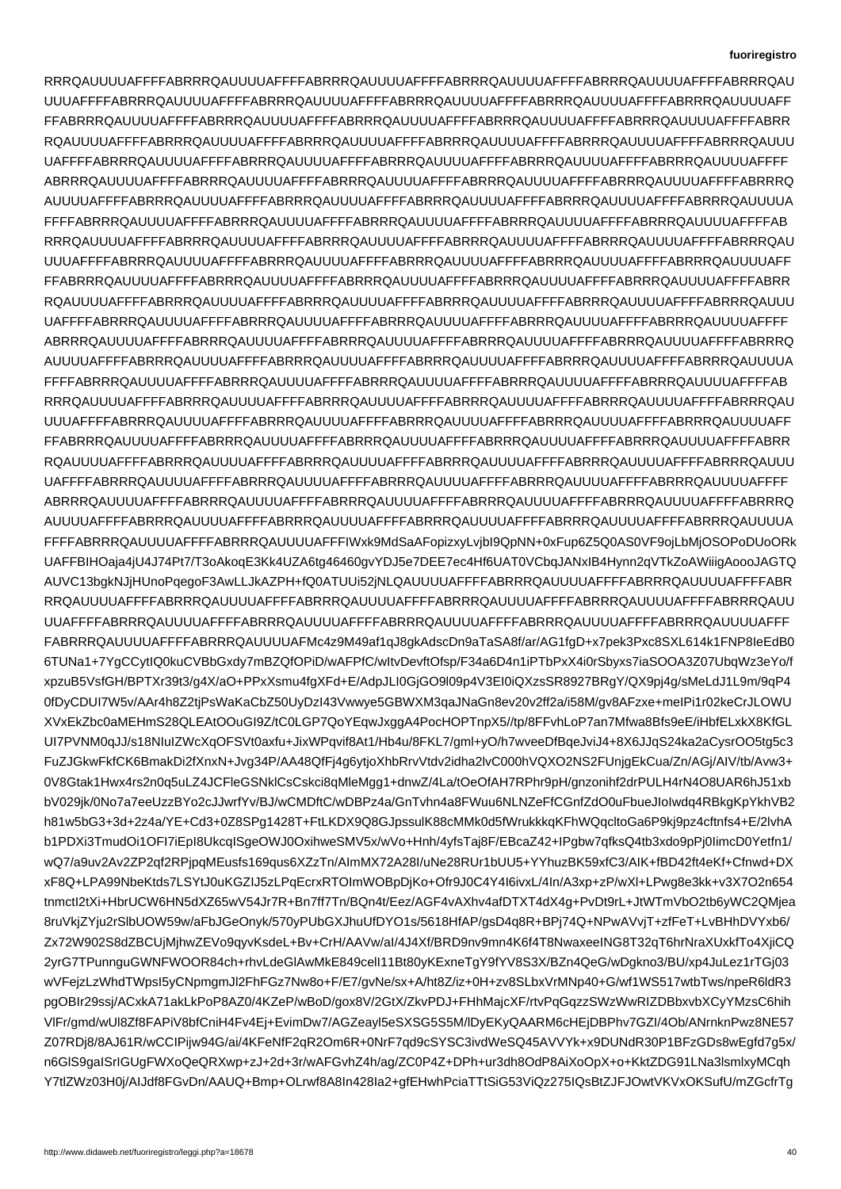RRRQAUUUUAFFFFABRRRQAUUUUAFFFFABRRRQAUUUUAFFFFABRRRQAUUUUAFFFFABRRRQAUUUUAFFFFABRRRQAU UUUAFFFFABRRRQAUUUUAFFFFABRRRQAUUUUAFFFFABRRRQAUUUUAFFFFABRRRQAUUUUAFFFFABRRRQAUUUUAFF FFABRRRQAUUUUAFFFFABRRRQAUUUUAFFFFABRRRQAUUUUAFFFFABRRRQAUUUUAFFFFABRRRQAUUUUA[FFFFABRR](http://www.didaweb.net/fuoriregistro/) RQAUUUUAFFFFABRRRQAUUUUAFFFFABRRRQAUUUUAFFFFABRRRQAUUUUAFFFFABRRRQAUUUUAFFFFABRRRQAUUU UAFFFFABRRRQAUUUUAFFFFABRRRQAUUUUAFFFFABRRRQAUUUUAFFFFABRRRQAUUUUAFFFFABRRRQAUUUUAFFFF ABRRRQAUUUUAFFFFABRRRQAUUUUAFFFFABRRRQAUUUUAFFFFABRRRQAUUUUAFFFFABRRRQAUUUUAFFFFABRRRQ AUUUUAFFFFABRRRQAUUUUAFFFFABRRRQAUUUUAFFFFABRRRQAUUUUAFFFFABRRRQAUUUUAFFFFABRRRQAUUUUA FFFFABRRRQAUUUUAFFFFABRRRQAUUUUAFFFFABRRRQAUUUUAFFFFABRRRQAUUUUAFFFFABRRRQAUUUUAFFFFAB RRRQAUUUUAFFFFABRRRQAUUUUAFFFFABRRRQAUUUUAFFFFABRRRQAUUUUAFFFFABRRRQAUUUUAFFFFABRRRQAU UUUAFFFFABRRRQAUUUUAFFFFABRRRQAUUUUAFFFFABRRRQAUUUUAFFFFABRRRQAUUUUAFFFFABRRRQAUUUUAFF FFABRRRQAUUUUAFFFFABRRRQAUUUUAFFFFABRRRQAUUUUAFFFFABRRRQAUUUUAFFFFABRRRQAUUUUAFFFFABRR RQAUUUUAFFFFABRRRQAUUUUAFFFFABRRRQAUUUUAFFFFABRRRQAUUUUAFFFFABRRRQAUUUUAFFFFABRRRQAUUU UAFFFFABRRRQAUUUUAFFFFABRRRQAUUUUAFFFFABRRRQAUUUUAFFFFABRRRQAUUUUAFFFFABRRRQAUUUUAFFFF ABRRRQAUUUUAFFFFABRRRQAUUUUAFFFFABRRRQAUUUUAFFFFABRRRQAUUUUAFFFFABRRRQAUUUUAFFFFABRRRQ AUUUUAFFFFABRRRQAUUUUAFFFFABRRRQAUUUUAFFFFABRRRQAUUUUAFFFFABRRRQAUUUUAFFFFABRRRQAUUUUA FFFFABRRRQAUUUUAFFFFABRRRQAUUUUAFFFFABRRRQAUUUUAFFFFABRRRQAUUUUAFFFFABRRRQAUUUUAFFFFAB RRRQAUUUUAFFFFABRRRQAUUUUAFFFFABRRRQAUUUUAFFFFABRRRQAUUUUAFFFFABRRRQAUUUUAFFFFABRRRQAU UUUAFFFFABRRRQAUUUUAFFFFABRRRQAUUUUAFFFFABRRRQAUUUUAFFFFABRRRQAUUUUAFFFFABRRRQAUUUUAFF FFABRRRQAUUUUAFFFFABRRRQAUUUUAFFFFABRRRQAUUUUAFFFFABRRRQAUUUUAFFFFABRRRQAUUUUAFFFFABRR RQAUUUUAFFFFABRRRQAUUUUAFFFFABRRRQAUUUUAFFFFABRRRQAUUUUAFFFFABRRRQAUUUUAFFFFABRRRQAUUU UAFFFFABRRRQAUUUUAFFFFABRRRQAUUUUAFFFFABRRRQAUUUUAFFFFABRRRQAUUUUAFFFFABRRRQAUUUUAFFFF ABRRRQAUUUUAFFFFABRRRQAUUUUAFFFFABRRRQAUUUUAFFFFABRRRQAUUUUAFFFFABRRRQAUUUUAFFFFABRRRQ AUUUUAFFFFABRRRQAUUUUAFFFFABRRRQAUUUUAFFFFABRRRQAUUUUAFFFFABRRRQAUUUUAFFFFABRRRQAUUUUA FFFFABRRRQAUUUUAFFFFABRRRQAUUUUAFFFIWxk9MdSaAFopizxyLvjbI9QpNN+0xFup6Z5Q0AS0VF9ojLbMjOSOPoDUoORk UAFFBIHOaja4jU4J74Pt7/T3oAkoqE3Kk4UZA6tg46460gvYDJ5e7DEE7ec4Hf6UAT0VCbqJANxIB4Hynn2qVTkZoAWiiigAoooJAGTQ AUVC13bgkNJjHUnoPqegoF3AwLLJkAZPH+fQ0ATUUi52jNLQAUUUUAFFFFABRRRQAUUUUAFFFFABRRRQAUUUUAFFFFABR RRQAUUUUAFFFFABRRRQAUUUUAFFFFABRRRQAUUUUAFFFFABRRRQAUUUUAFFFFABRRRQAUUUUAFFFFABRRRQAUU UUAFFFFABRRRQAUUUUAFFFFABRRRQAUUUUAFFFFABRRRQAUUUUAFFFFABRRRQAUUUUAFFFFABRRRQAUUUUAFFF FABRRRQAUUUUAFFFFABRRRQAUUUUAFMc4z9M49af1qJ8gkAdscDn9aTaSA8f/ar/AG1fgD+x7pek3Pxc8SXL614k1FNP8IeEdB0 6TUNa1+7YgCCytIQ0kuCVBbGxdy7mBZQfOPiD/wAFPfC/wItvDevftOfsp/F34a6D4n1iPTbPxX4i0rSbyxs7iaSOOA3Z07UbqWz3eYo/f xpzuB5VsfGH/BPTXr39t3/g4X/aO+PPxXsmu4fgXFd+E/AdpJLI0GjGO9l09p4V3EI0iQXzsSR8927BRgY/QX9pj4g/sMeLdJ1L9m/9qP4 0fDyCDUI7W5v/AAr4h8Z2tjPsWaKaCbZ50UyDzI43Vwwye5GBWXM3qaJNaGn8ev20v2ff2a/i58M/gv8AFzxe+meIPi1r02keCrJLOWU XVxEkZbc0aMEHmS28QLEAtOOuGI9Z/tC0LGP7QoYEqwJxggA4PocHOPTnpX5//tp/8FFvhLoP7an7Mfwa8Bfs9eE/iHbfELxkX8KfGL UI7PVNM0qJJ/s18NIuIZWcXqOFSVt0axfu+JixWPqvif8At1/Hb4u/8FKL7/gml+yO/h7wveeDfBqeJviJ4+8X6JJqS24ka2aCysrOO5tg5c3 FuZJGkwFkfCK6BmakDi2fXnxN+Jvg34P/AA48QfFj4g6ytjoXhbRrvVtdv2idha2lvC000hVQXO2NS2FUnjgEkCua/Zn/AGj/AIV/tb/Avw3+ 0V8Gtak1Hwx4rs2n0q5uLZ4JCFleGSNklCsCskci8qMleMgg1+dnwZ/4La/tOeOfAH7RPhr9pH/gnzonihf2drPULH4rN4O8UAR6hJ51xb bV029jk/0No7a7eeUzzBYo2cJJwrfYv/BJ/wCMDftC/wDBPz4a/GnTvhn4a8FWuu6NLNZeFfCGnfZdO0uFbueJIoIwdq4RBkgKpYkhVB2 h81w5bG3+3d+2z4a/YE+Cd3+0Z8SPg1428T+FtLKDX9Q8GJpssulK88cMMk0d5fWrukkkqKFhWQqcltoGa6P9kj9pz4cftnfs4+E/2lvhA b1PDXi3TmudOi1OFI7iEpI8UkcqISgeOWJ0OxihweSMV5x/wVo+Hnh/4yfsTaj8F/EBcaZ42+IPgbw7qfksQ4tb3xdo9pPj0IimcD0Yetfn1/ wQ7/a9uv2Av2ZP2qf2RPjpqMEusfs169qus6XZzTn/AImMX72A28I/uNe28RUr1bUU5+YYhuzBK59xfC3/AIK+fBD42ft4eKf+Cfnwd+DX xF8Q+LPA99NbeKtds7LSYtJ0uKGZIJ5zLPqEcrxRTOImWOBpDjKo+Ofr9J0C4Y4I6ivxL/4In/A3xp+zP/wXl+LPwg8e3kk+v3X7O2n654 tnmctI2tXi+HbrUCW6HN5dXZ65wV54Jr7R+Bn7ff7Tn/BQn4t/Eez/AGF4vAXhv4afDTXT4dX4g+PvDt9rL+JtWTmVbO2tb6yWC2QMjea 8ruVkjZYju2rSlbUOW59w/aFbJGeOnyk/570yPUbGXJhuUfDYO1s/5618HfAP/gsD4q8R+BPj74Q+NPwAVvjT+zfFeT+LvBHhDVYxb6/ Zx72W902S8dZBCUjMjhwZEVo9qyvKsdeL+Bv+CrH/AAVw/aI/4J4Xf/BRD9nv9mn4K6f4T8NwaxeeING8T32qT6hrNraXUxkfTo4XjiCQ 2yrG7TPunnguGWNFWOOR84ch+rhvLdeGlAwMkE849celI11Bt80yKExneTgY9fYV8S3X/BZn4QeG/wDgkno3/BU/xp4JuLez1rTGj03 wVFejzLzWhdTWpsI5yCNpmgmJl2FhFGz7Nw8o+F/E7/gvNe/sx+A/ht8Z/iz+0H+zv8SLbxVrMNp40+G/wf1WS517wtbTws/npeR6ldR3 pgOBIr29ssj/ACxkA71akLkPoP8AZ0/4KZeP/wBoD/gox8V/2GtX/ZkvPDJ+FHhMajcXF/rtvPqGqzzSWzWwRIZDBbxvbXCyYMzsC6hih VlFr/gmd/wUl8Zf8FAPiV8bfCniH4Fv4Ej+EvimDw7/AGZeayl5eSXSG5S5M/lDyEKyQAARM6cHEjDBPhv7GZI/4Ob/ANrnknPwz8NE57 Z07RDj8/8AJ61R/wCCIPijw94G/ai/4KFeNfF2qR2Om6R+0NrF7qd9cSYSC3ivdWeSQ45AVVYk+x9DUNdR30P1BFzGDs8wEgfd7g5x/ n6GlS9gaISrIGUgFWXoQeQRXwp+zJ+2d+3r/wAFGvhZ4h/ag/ZC0P4Z+DPh+ur3dh8OdP8AiXoOpX+o+KktZDG91LNa3lsmlxyMCqh Y7tlZWz03H0j/AIJdf8FGvDn/AAUQ+Bmp+OLrwf8A8In428Ia2+gfEHwhPciaTTtSiG53ViQz275IQsBtZJFJOwtVKVxOKSufU/mZGcfrTg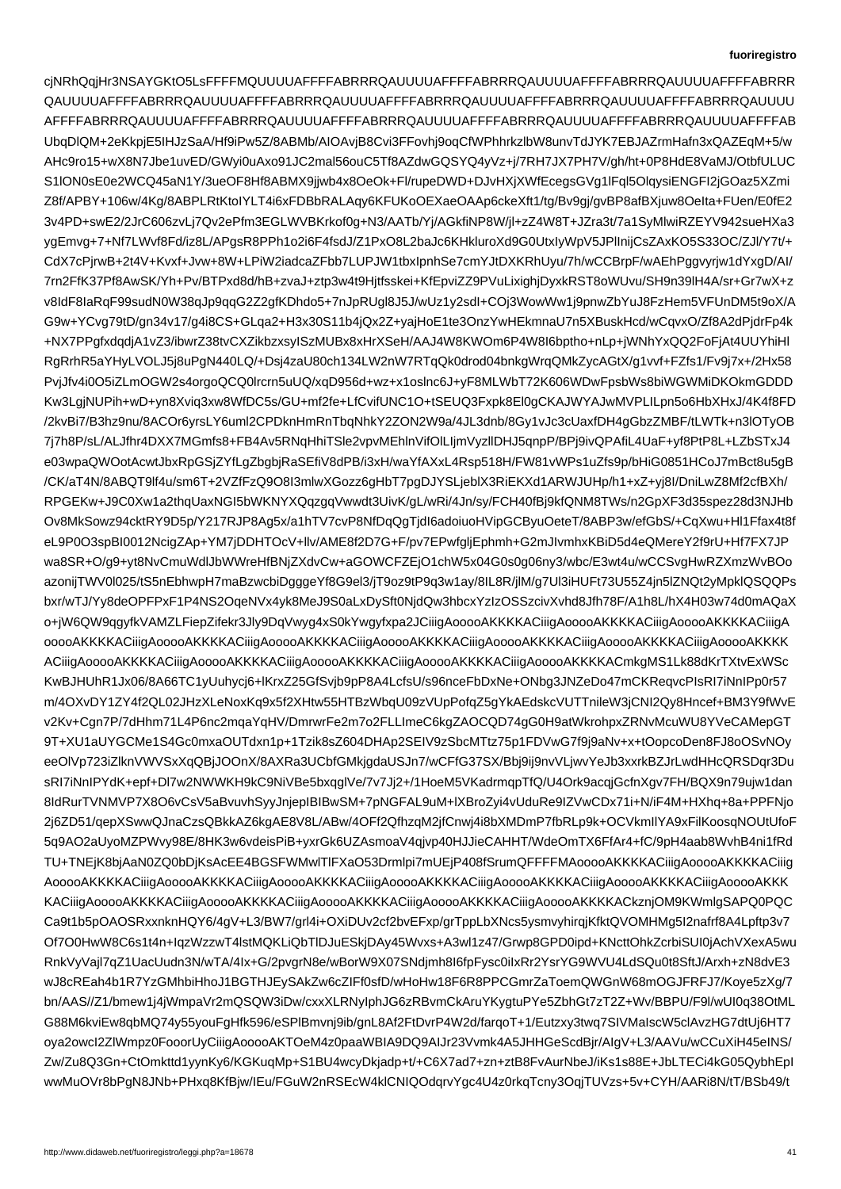ciNRhQqiHr3NSAYGKtO5LsFFFFMQUUUUAFFFFABRRRQAUUUUAFFFFABRRRQAUUUUAFFFFABRRRQAUUUUAFFFFABRRR QAUUUUAFFFFABRRRQAUUUUAFFFFABRRRQAUUUUAFFFFABRRRQAUUUUAFFFFABRRRQAUUUUAFFFFABRRRQAUUUU AFFFFABRRRQAUUUUAFFFFABRRRQAUUUUAFFFFABRRRQAUUUUAFFFFABRRRQAUUUUAFFFFABRRRQAUUUUAFFFFAB UbqDlQM+2eKkpjE5IHJzSaA/Hf9iPw5Z/8ABMb/AIOAvjB8Cvi3FFovhj9oqCfWPhhrkzlbW8unvTdJYK7EBJAZrmHafn3xQAZEqM+5/w AHc9ro15+wX8N7Jbe1uvED/GWyi0uAxo91JC2mal56ouC5Tf8AZdwGQSYQ4yVz+j/7RH7JX7PH7V/gh/ht+0P8HdE8VaMJ/OtbfULUC S1ION0sE0e2WCQ45aN1Y/3ueOF8Hf8ABMX9jjwb4x8OeOk+Fl/rupeDWD+DJvHXjXWfEcegsGVg1lFql5OlqysiENGFl2jGOaz5XZmi Z8f/APBY+106w/4Kq/8ABPLRtKtolYLT4i6xFDBbRALAqy6KFUKoOEXaeOAAp6ckeXft1/tg/Bv9gj/gvBP8afBXjuw8Oelta+FUen/E0fE2 3v4PD+swE2/2JrC606zvLj7Qv2ePfm3EGLWVBKrkof0g+N3/AATb/Yj/AGkfiNP8W/jl+zZ4W8T+JZra3t/7a1SyMlwiRZEYV942sueHXa3 ygEmvg+7+Nf7LWvf8Fd/iz8L/APgsR8PPh1o2i6F4fsdJ/Z1PxO8L2baJc6KHkluroXd9G0UtxlyWpV5JPlInijCsZAxKO5S33OC/ZJl/Y7t/+ CdX7cPirwB+2t4V+Kvxf+Jvw+8W+LPiW2iadcaZFbb7LUPJW1tbxIpnhSe7cmYJtDXKRhUyu/7h/wCCBrpF/wAEhPqqvvriw1dYxqD/Al/ 7rn2FfK37Pf8AwSK/Yh+Pv/BTPxd8d/hB+zvaJ+ztp3w4t9Hjtfsskei+KfEpviZZ9PVuLixighjDyxkRST8oWUvu/SH9n39lH4A/sr+Gr7wX+z v8ldF8laRqF99sudN0W38qJp9qqG2Z2qfKDhdo5+7nJpRUql8J5J/wUz1y2sdl+COj3WowWw1j9pnwZbYuJ8FzHem5VFUnDM5t9oX/A G9w+YCvg79tD/gn34v17/g4i8CS+GLqa2+H3x30S11b4jQx2Z+yajHoE1te3OnzYwHEkmnaU7n5XBuskHcd/wCqvxO/Zf8A2dPidrFp4k +NX7PPgfxdqdjA1vZ3/ibwrZ38tvCXZikbzxsyISzMUBx8xHrXSeH/AAJ4W8KWOm6P4W8I6bptho+nLp+jWNhYxQQ2FoFjAt4UUYhiHI RaRrhR5aYHvLVOLJ5i8uPaN440LQ/+Dsi4zaU80ch134LW2nW7RTaQk0drod04bnkaWraQMkZvcAGtX/a1vvf+FZfs1/Fv9i7x+/2Hx58 PvjJfv4i0O5iZLmOGW2s4orgoQCQ0lrcrn5uUQ/xqD956d+wz+x1oslnc6J+yF8MLWbT72K606WDwFpsbWs8biWGWMiDKOkmGDDD Kw3LgjNUPih+wD+yn8Xviq3xw8WfDC5s/GU+mf2fe+LfCvifUNC1O+tSEUQ3Fxpk8El0gCKAJWYAJwMVPLILpn5o6HbXHxJ/4K4f8FD /2kvBi7/B3hz9nu/8ACOr6yrsLY6uml2CPDknHmRnTbqNhkY2ZON2W9a/4JL3dnb/8Gy1vJc3cUaxfDH4gGbzZMBF/tLWTk+n3lOTyOB 7j7h8P/sL/ALJfhr4DXX7MGmfs8+FB4Av5RNqHhiTSle2vpvMEhlnVifOlLIjmVyzllDHJ5qnpP/BPj9ivQPAfiL4UaF+yf8PtP8L+LZbSTxJ4 e03wpaQWOotAcwtJbxRpGSiZYfLqZbqbjRaSEfiV8dPB/i3xH/waYfAXxL4Rsp518H/FW81vWPs1uZfs9p/bHiG0851HCoJ7mBct8u5qB /CK/aT4N/8ABQT9lf4u/sm6T+2VZfFzQ9O8I3mlwXGozz6gHbT7pgDJYSLjeblX3RiEKXd1ARWJUHp/h1+xZ+yj8l/DniLwZ8Mf2cfBXh/ RPGEKw+J9C0Xw1a2thqUaxNGI5bWKNYXQqzqqVwwdt3UivK/qL/wRi/4Jn/sy/FCH40fBj9kfQNM8TWs/n2GpXF3d35spez28d3NJHb Ov8MkSowz94cktRY9D5p/Y217RJP8Aq5x/a1hTV7cvP8NfDqQqTjdl6adoiuoHVipGCByuOeteT/8ABP3w/efGbS/+CqXwu+Hl1Ffax4t8f eL9P0O3spBl0012NcigZAp+YM7jDDHTOcV+llv/AME8f2D7G+F/pv7EPwfgljEphmh+G2mJlvmhxKBiD5d4eQMereY2f9rU+Hf7FX7JP wa8SR+O/g9+yt8NvCmuWdlJbWWreHfBNjZXdvCw+aGOWCFZEjO1chW5x04G0s0g06ny3/wbc/E3wt4u/wCCSvgHwRZXmzWvBOo azonijTWV0l025/tS5nEbhwpH7maBzwcbiDgggeYf8G9el3/jT9oz9tP9q3w1ay/8lL8R/jlM/g7Ul3iHUFt73U55Z4jn5lZNQt2yMpklQSQQPs bxr/wTJ/Yy8deOPFPxF1P4NS2OqeNVx4yk8MeJ9S0aLxDySft0NjdQw3hbcxYzIzOSSzcivXvhd8Jfh78F/A1h8L/hX4H03w74d0mAQaX o+jW6QW9qgyfkVAMZLFiepZifekr3Jly9DqVwyq4xS0kYwgyfxpa2JCiiigAooooAKKKKACiiigAooooAKKKKACiiigAooooAKKKKACiiigA 0000AKKKKACiiigA0000AKKKKACiiigA0000AKKKKACiiigA0000AKKKKACiiigA0000AKKKKACiiigA0000AKKKKACiiigA0000AKKKK ACiiigAooooAKKKKACiiigAooooAKKKKACiiigAooooAKKKKACiiigAooooAKKKKACiiigAooooAKKKKKACmkgMS1Lk88dKrTXtvExWSc KwBJHUhR1Jx06/8A66TC1yUuhycj6+lKrxZ25GfSvjb9pP8A4LcfsU/s96nceFbDxNe+ONbq3JNZeDo47mCKReqvcPlsRl7iNnlPp0r57 m/4OXvDY1ZY4f2QL02JHzXLeNoxKq9x5f2XHtw55HTBzWbqU09zVUpPofqZ5qYkAEdskcVUTTnileW3jCNI2Qy8Hncef+BM3Y9fWvE v2Kv+Can7P/7dHhm71L4P6nc2mgaYqHV/DmrwrFe2m7o2FLLImeC6kgZAOCQD74gG0H9atWkrohpxZRNvMcuWU8YVeCAMepGT 9T+XU1aUYGCMe1S4Gc0mxaOUTdxn1p+1Tzik8sZ604DHAp2SEIV9zSbcMTtz75p1FDVwG7f9i9aNv+x+tOopcoDen8FJ8oOSvNOv eeOlVp723iZlknVWVSxXqQBjJOOnX/8AXRa3UCbfGMkjgdaUSJn7/wCFfG37SX/Bbj9ij9nvVLjwvYeJb3xxrkBZJrLwdHHcQRSDqr3Du sRI7iNnIPYdK+epf+DI7w2NWWKH9kC9NiVBe5bxqglVe/7v7Jj2+/1HoeM5VKadrmqpTfQ/U4Ork9acqjGcfnXgv7FH/BQX9n79ujw1dan 8ldRurTVNMVP7X8O6vCsV5aBvuvhSyyJnjepIBIBwSM+7pNGFAL9uM+IXBroZyi4vUduRe9lZVwCDx71i+N/iF4M+HXhq+8a+PPFNjo 2j6ZD51/qepXSwwQJnaCzsQBkkAZ6kgAE8V8L/ABw/4OFf2QfhzqM2jfCnwj4i8bXMDmP7fbRLp9k+OCVkmllYA9xFilKoosqNOUtUfoF 5q9AO2aUyoMZPWvy98E/8HK3w6vdeisPiB+yxrGk6UZAsmoaV4qjvp40HJJieCAHHT/WdeOmTX6FfAr4+fC/9pH4aab8WvhB4ni1fRd TU+TNEjK8bjAaN0ZQ0bDjKsAcEE4BGSFWMwlTIFXaO53Drmlpi7mUEjP408fSrumQFFFFMAooooAKKKKACiiigAooooAKKKKACiiig A0000AKKKKACiiigA0000AKKKKACiiigA0000AKKKKACiiigA0000AKKKKACiiigA0000AKKKKACiiigA0000AKKKKACiiigA0000AKKK KACiiigAooooAKKKKACiiigAooooAKKKKACiiigAooooAKKKKACiiigAooooAKKKKACiiigAooooAKKKKACkznjOM9KWmlgSAPQ0PQC Ca9t1b5pOAOSRxxnknHQY6/4qV+L3/BW7/grl4i+OXiDUv2cf2bvEFxp/grTppLbXNcs5ysmvyhirgjKfktQVOMHMq5l2nafrf8A4Lpftp3v7 Of7O0HwW8C6s1t4n+IqzWzzwT4IstMQKLiQbTIDJuESkjDAy45Wvxs+A3wl1z47/Grwp8GPD0ipd+KNcttOhkZcrbiSUI0jAchVXexA5wu RnkVyVajI7qZ1UacUudn3N/wTA/4Ix+G/2pvgrN8e/wBorW9X07SNdjmh8l6fpFysc0ilxRr2YsrYG9WVU4LdSQu0t8SftJ/Arxh+zN8dvE3 wJ8cREah4b1R7YzGMhbiHhoJ1BGTHJEvSAkZw6cZIFf0sfD/wHoHw18F6R8PPCGmrZaToemQWGnW68mOGJFRFJ7/Kove5zXq/7 bn/AAS//Z1/bmew1j4jWmpaVr2mQSQW3iDw/cxxXLRNylphJG6zRBvmCkAruYKygtuPYe5ZbhGt7zT2Z+Wv/BBPU/F9l/wUl0q38OtML G88M6kviEw8qbMQ74y55youFgHfk596/eSPlBmvnj9ib/gnL8Af2FtDvrP4W2d/farqoT+1/Eutzxy3twq7SIVMaIscW5clAvzHG7dtUj6HT7 oya2owcl2ZlWmpz0FooorUyCiiigAooooAKTOeM4z0paaWBIA9DQ9AIJr23Vvmk4A5JHHGeScdBjr/AlgV+L3/AAVu/wCCuXiH45eINS/ Zw/Zu8Q3Gn+CtOmkttd1yynKy6/KGKuqMp+S1BU4wcyDkjadp+t/+C6X7ad7+zn+ztB8FvAurNbeJ/iKs1s88E+JbLTECi4kG05QybhEpI wwMuOVr8bPqN8JNb+PHxq8KfBjw/IEu/FGuW2nRSEcW4klCNIQOdqrvYqc4U4z0rkqTcny3OqjTUVzs+5v+CYH/AARi8N/tT/BSb49/t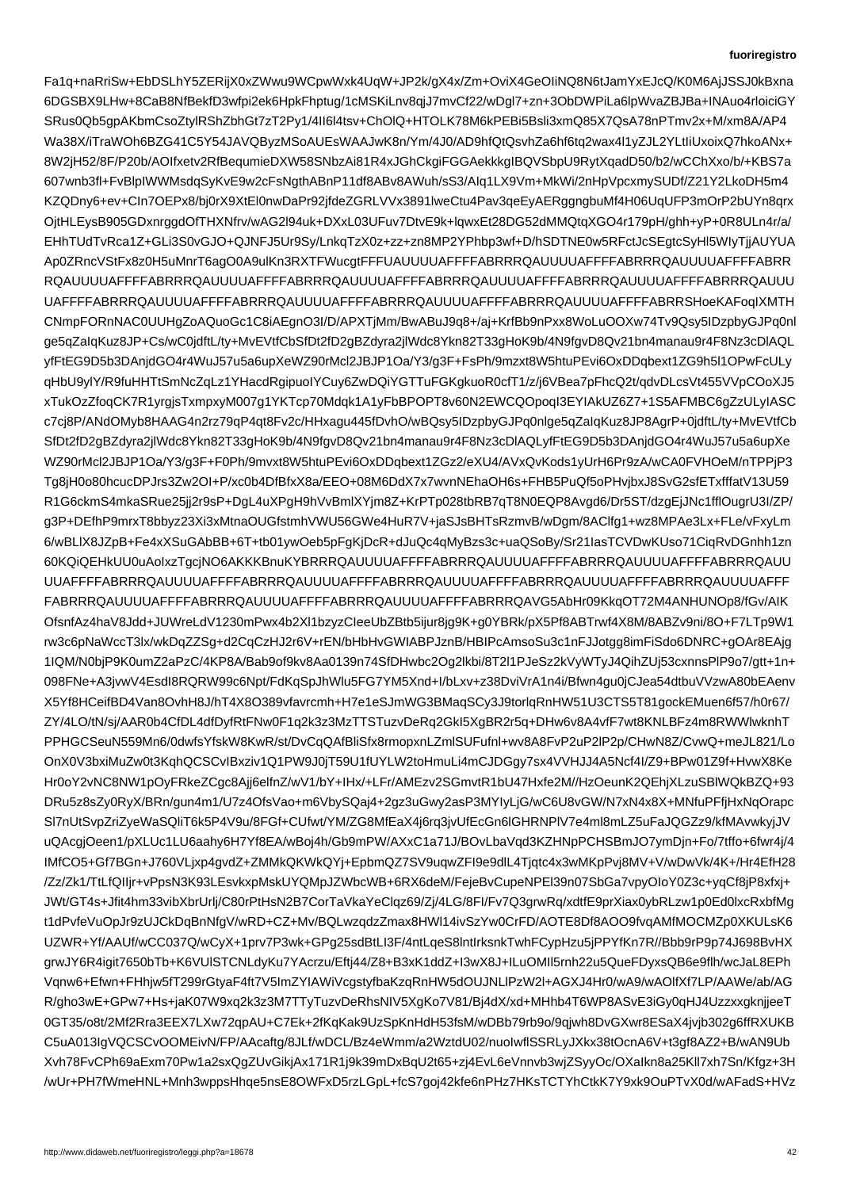Fa1q+naRriSw+EbDSLhY5ZERijX0xZWwu9WCpwWxk4UqW+JP2k/qX4x/Zm+OviX4GeOliNQ8N6tJamYxEJcQ/K0M6AjJSSJ0kBxna 6DGSBX9LHw+8CaB8NfBekfD3wfpi2ek6HpkFhptug/1cMSKiLnv8qjJ7mvCf22/wDgl7+zn+3ObDWPiLa6lpWvaZBJBa+INAuo4rloiciGY SRus0Qb5qpAKbmCsoZtylRShZbhGt7zT2Py1/4ll6l4tsv+ChOlQ+HTOLK78M6kPEBi5Bsli3xmQ85X7QsA78nPTmv2x+M/xm8A/AP4 Wa38X/iTraWOh6BZG41C5Y54JAVQByzMSoAUEsWAAJwK8n/Ym/4J0/AD9hfQtQsvhZa6hf6tq2wax4l1yZJL2YLtliUxoixQ7hkoANx+ 8W2jH52/8F/P20b/AOIfxetv2RfBequmieDXW58SNbzAi81R4xJGhCkgiFGGAekkkglBQVSbpU9RytXqadD50/b2/wCChXxo/b/+KBS7a 607wnb3fl+FvBlpIWWMsdqSyKvE9w2cFsNgthABnP11df8ABv8AWuh/sS3/Alq1LX9Vm+MkWi/2nHpVpcxmySUDf/Z21Y2LkoDH5m4 KZQDny6+ev+CIn7OEPx8/bj0rX9XtEl0nwDaPr92jfdeZGRLVVx3891IweCtu4Pav3qeEyAERggngbuMf4H06UqUFP3mOrP2bUYn8qrx OjtHLEysB905GDxnrggdOfTHXNfrv/wAG2l94uk+DXxL03UFuv7DtvE9k+lqwxEt28DG52dMMQtqXGO4r179pH/ghh+yP+0R8ULn4r/a/ EHhTUdTvRca1Z+GLi3S0vGJO+QJNFJ5Ur9Sy/LnkqTzX0z+zz+zn8MP2YPhbp3wf+D/hSDTNE0w5RFctJcSEgtcSyHl5WlyTjjAUYUA Ap0ZRncVStFx8z0H5uMnrT6agO0A9ulKn3RXTFWucqtFFFUAUUUUAFFFFABRRRQAUUUUAFFFFABRRRQAUUUUAFFFFABRR RQAUUUUAFFFFABRRRQAUUUUAFFFFABRRRQAUUUUAFFFFABRRRQAUUUUAFFFFABRRRQAUUUUAFFFFABRRRQAUUU UAFFFFABRRRQAUUUUAFFFFABRRRQAUUUUAFFFFABRRRQAUUUUAFFFFABRRRQAUUUUAFFFFABRRSHoeKAFoqIXMTH CNmpFORnNAC0UUHgZoAQuoGc1C8iAEqnO3I/D/APXTjMm/BwABuJ9q8+/aj+KrfBb9nPxx8WoLuOOXw74Tv9Qsy5IDzpbyGJPq0nl ge5qZaIqKuz8JP+Cs/wC0jdftL/ty+MvEVtfCbSfDt2fD2gBZdyra2jlWdc8Ykn82T33gHoK9b/4N9fgvD8Qv21bn4manau9r4F8Nz3cDIAQL yfFtEG9D5b3DAnjdGO4r4WuJ57u5a6upXeWZ90rMcl2JBJP1Oa/Y3/g3F+FsPh/9mzxt8W5htuPEvi6OxDDqbext1ZG9h5l1OPwFcULy qHbU9ylY/R9fuHHTtSmNcZqLz1YHacdRgipuolYCuy6ZwDQiYGTTuFGKgkuoR0cfT1/z/j6VBea7pFhcQ2t/qdvDLcsVt455VVpCOoXJ5 xTukOzZfoqCK7R1yrgjsTxmpxyM007g1YKTcp70Mdqk1A1yFbBPOPT8v60N2EWCQOpoql3EYIAkUZ6Z7+1S5AFMBC6gZzULyIASC c7cj8P/ANdOMyb8HAAG4n2rz79qP4qt8Fv2c/HHxaqu445fDvhO/wBQsy5IDzpbyGJPq0nlge5qZaIqKuz8JP8AgrP+0jdftL/ty+MvEVtfCb SfDt2fD2gBZdyra2jlWdc8Ykn82T33gHoK9b/4N9fgvD8Qv21bn4manau9r4F8Nz3cDIAQLyfFtEG9D5b3DAnjdGO4r4WuJ57u5a6upXe WZ90rMcl2JBJP1Oa/Y3/q3F+F0Ph/9mvxt8W5htuPEvi6OxDDqbext1ZGz2/eXU4/AVxQvKods1yUrH6Pr9zA/wCA0FVHOeM/nTPPjP3 Tg8jH0o80hcucDPJrs3Zw2OI+P/xc0b4DfBfxX8a/EEO+08M6DdX7x7wvnNEhaOH6s+FHB5PuQf5oPHvjbxJ8SvG2sfETxfffatV13U59 R1G6ckmS4mkaSRue25jj2r9sP+DqL4uXPqH9hVvBmlXYjm8Z+KrPTp028tbRB7qT8N0EQP8Avqd6/Dr5ST/dzqEjJNc1fflOuqrU3l/ZP/ g3P+DEfhP9mrxT8bbyz23Xi3xMtnaOUGfstmhVWU56GWe4HuR7V+jaSJsBHTsRzmvB/wDgm/8AClfg1+wz8MPAe3Lx+FLe/vFxyLm 6/wBLIX8JZpB+Fe4xXSuGAbBB+6T+tb01ywOeb5pFgKjDcR+dJuQc4qMyBzs3c+uaQSoBy/Sr21lasTCVDwKUso71CiqRvDGnhh1zn 60KQiQEHkUU0uAoIxzTgcjNO6AKKKBnuKYBRRRQAUUUUAFFFFABRRRQAUUUUAFFFFABRRRQAUUUUAFFFFABRRRQAUU UUAFFFFABRRRQAUUUUAFFFFABRRRQAUUUUAFFFFABRRRQAUUUUAFFFFABRRRQAUUUUAFFFFABRRRQAUUUUAFFF FABRRRQAUUUUAFFFFABRRRQAUUUUAFFFFABRRRQAUUUUAFFFFABRRRQAVG5AbHr09KkaOT72M4ANHUNOp8/fGv/AIK OfsnfAz4haV8Jdd+JUWreLdV1230mPwx4b2Xl1bzyzCleeUbZBtb5ijur8jg9K+g0YBRk/pX5Pf8ABTrwf4X8M/8ABZv9ni/8O+F7LTp9W1 rw3c6pNaWccT3lx/wkDqZZSq+d2CqCzHJ2r6V+rEN/bHbHvGWIABPJznB/HBIPcAmsoSu3c1nFJJotqq8imFiSdo6DNRC+qOAr8EAjq 1IQM/N0bjP9K0umZ2aPzC/4KP8A/Bab9of9kv8Aa0139n74SfDHwbc2Og2lkbi/8T2l1PJeSz2kVyWTyJ4QihZUj53cxnnsPlP9o7/gtt+1n+ 098FNe+A3jvwV4Esdl8RQRW99c6Npt/FdKqSpJhWlu5FG7YM5Xnd+I/bLxv+z38DviVrA1n4i/Bfwn4qu0jCJea54dtbuVVzwA80bEAenv X5Yf8HCeifBD4Van8OvhH8J/hT4X8O389vfavrcmh+H7e1eSJmWG3BMaqSCv3J9torlqRnHW51U3CTS5T81qockEMuen6f57/h0r67/ ZY/4LO/tN/sj/AAR0b4CfDL4dfDyfRtFNw0F1q2k3z3MzTTSTuzvDeRq2GkI5XqBR2r5q+DHw6v8A4vfF7wt8KNLBFz4m8RWWIwknhT PPHGCSeuN559Mn6/0dwfsYfskW8KwR/st/DvCqQAfBliSfx8rmopxnLZmlSUFufnl+wv8A8FvP2uP2lP2p/CHwN8Z/CvwQ+meJL821/Lo OnX0V3bxiMuZw0t3KqhQCSCvIBxziv1Q1PW9J0jT59U1fUYLW2toHmuLi4mCJDGgy7sx4VVHJJ4A5Ncf4I/Z9+BPw01Z9f+HvwX8Ke Hr0oY2vNC8NW1pOyFRkeZCgc8Ajj6elfnZ/wV1/bY+IHx/+LFr/AMEzv2SGmvtR1bU47Hxfe2M//HzOeunK2QEhjXLzuSBlWQkBZQ+93 DRu5z8sZy0RyX/BRn/gun4m1/U7z4OfsVao+m6VbySQaj4+2gz3uGwy2asP3MYlyLjG/wC6U8vGW/N7xN4x8X+MNfuPFfjHxNqOrapc SI7nUtSvpZriZyeWaSQliT6k5P4V9u/8FGf+CUfwt/YM/ZG8MfEaX4j6rq3jvUfEcGn6lGHRNPIV7e4ml8mLZ5uFaJQGZz9/kfMAvwkyjJV uQAcqjOeen1/pXLUc1LU6aahy6H7Yf8EA/wBoj4h/Gb9mPW/AXxC1a71J/BOvLbaVqd3KZHNpPCHSBmJO7ymDjn+Fo/7tffo+6fwr4j/4 IMfCO5+Gf7BGn+J760VLjxp4gvdZ+ZMMkQKWkQYj+EpbmQZ7SV9uqwZFI9e9dlL4Tjqtc4x3wMKpPvj8MV+V/wDwVk/4K+/Hr4EfH28 /Zz/Zk1/TtLfQllir+vPpsN3K93LEsvkxpMskUYQMpJZWbcWB+6RX6deM/FejeBvCupeNPEl39n07SbGa7vpyOloY0Z3c+yqCf8jP8xfxj+ JWt/GT4s+Jfit4hm33vibXbrUrlj/C80rPtHsN2B7CorTaVkaYeClqz69/Zj/4LG/8FI/Fv7Q3qrwRq/xdtfE9prXiax0ybRLzw1p0Ed0lxcRxbfMq t1dPvfeVuOpJr9zUJCkDqBnNfqV/wRD+CZ+Mv/BQLwzqdzZmax8HWl14ivSzYw0CrFD/AOTE8Df8AOO9fvqAMfMOCMZp0XKULsK6 UZWR+Yf/AAUf/wCC037Q/wCyX+1prv7P3wk+GPg25sdBtLl3F/4ntLgeS8IntIrksnkTwhFCypHzu5jPPYfKn7R//Bbb9rP9p74J698BvHX grwJY6R4igit7650bTb+K6VUISTCNLdyKu7YAcrzu/Eftj44/Z8+B3xK1ddZ+I3wX8J+ILuOMII5rnh22u5QueFDyxsQB6e9flh/wcJaL8EPh Vqnw6+Efwn+FHhjw5fT299rGtyaF4ft7V5ImZYIAWiVcgstyfbaKzqRnHW5dOUJNLIPzW2I+AGXJ4Hr0/wA9/wAOlfXf7LP/AAWe/ab/AG R/gho3wE+GPw7+Hs+jaK07W9xq2k3z3M7TTyTuzvDeRhsNIV5XgKo7V81/Bj4dX/xd+MHhb4T6WP8ASvE3iGy0qHJ4UzzxxgknjjeeT 0GT35/o8t/2Mf2Rra3EEX7LXw72qpAU+C7Ek+2fKqKak9UzSpKnHdH53fsM/wDBb79rb9o/9qjwh8DvGXwr8ESaX4jvjb302g6ffRXUKB C5uA013IgVQCSCvOOMEivN/FP/AAcaftg/8JLf/wDCL/Bz4eWmm/a2WztdU02/nuolwfISSRLyJXkx38tOcnA6V+t3gf8AZ2+B/wAN9Ub Xvh78FvCPh69aExm70Pw1a2sxQgZUvGikjAx171R1j9k39mDxBqU2t65+zj4EvL6eVnnvb3wjZSyyOc/OXalkn8a25Kll7xh7Sn/Kfgz+3H /wUr+PH7fWmeHNL+Mnh3wppsHhqe5nsE8OWFxD5rzLGpL+fcS7qoj42kfe6nPHz7HKsTCTYhCtkK7Y9xk9OuPTvX0d/wAFadS+HVz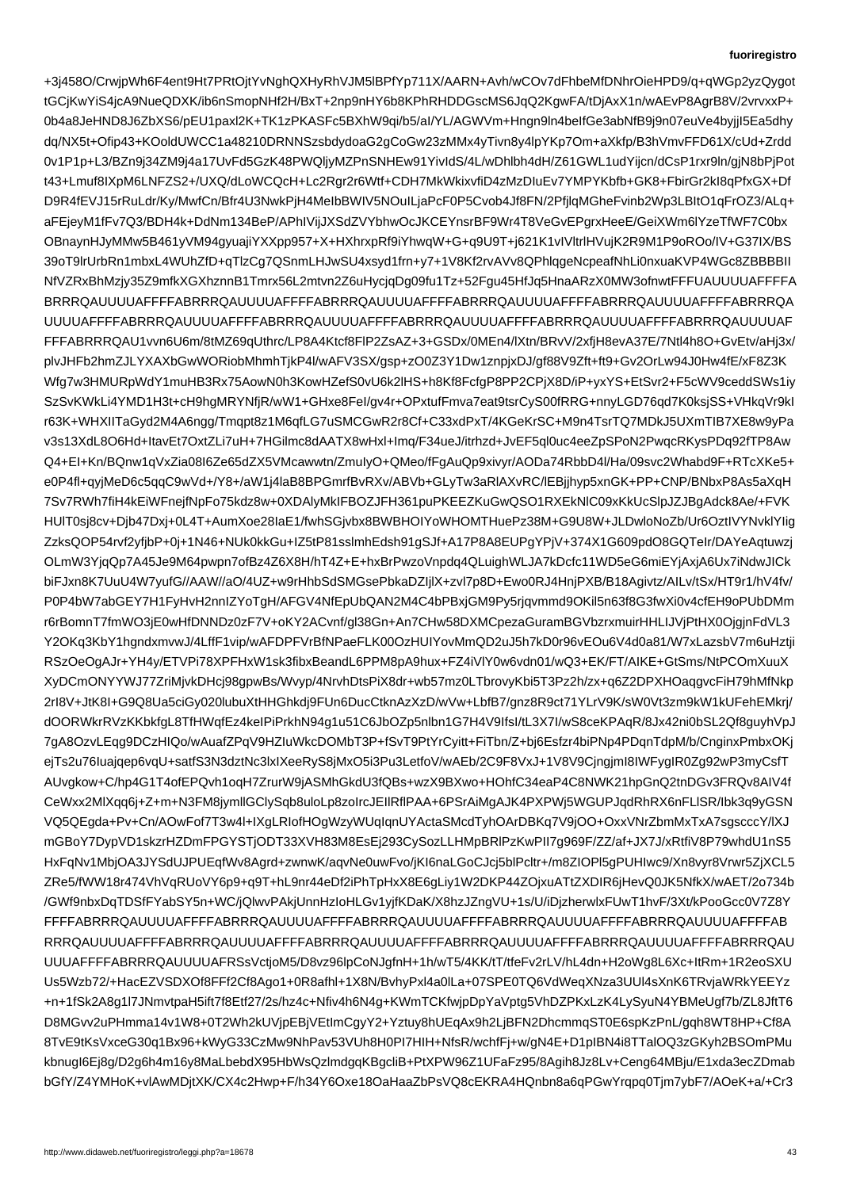+3j458O/CrwjpWh6F4ent9Ht7PRtOjtYvNghQXHyRhVJM5lBPfYp711X/AARN+Avh/wCOv7dFhbeMfDNhrOieHPD9/q+qWGp2yzQygot tGCjKwYiS4jcA9NueQDXK/ib6nSmopNHf2H/BxT+2np9nHY6b8KPhRHDDGscMS6JqQ2KgwFA/tDjAxX1n/wAEvP8AgrB8V/2vrvxxP+ 0b4a8JeHND8J6ZbXS6/pEU1paxl2K+TK1zPKASFc5BXhW9qi/b5/al/YL/AGWVm+Hnqn9ln4belfGe3abNfB9j9n07euVe4byjil5Ea5dhy dg/NX5t+Ofip43+KOoldUWCC1a48210DRNNSzsbdydoaG2qCoGw23zMMx4yTivn8y4lpYKp7Om+aXkfp/B3hVmvFFD61X/cUd+Zrdd 0v1P1p+L3/BZn9j34ZM9j4a17UvFd5GzK48PWQljyMZPnSNHEw91YivIdS/4L/wDhlbh4dH/Z61GWL1udYijcn/dCsP1rxr9ln/gjN8bPjPot t43+Lmuf8IXpM6LNFZS2+/UXQ/dLoWCQcH+Lc2Rgr2r6Wtf+CDH7MkWkixvfiD4zMzDluEv7YMPYKbfb+GK8+FbirGr2kl8qPfxGX+Df D9R4fEVJ15rRuLdr/Ky/MwfCn/Bfr4U3NwkPjH4MelbBWIV5NOuILjaPcF0P5Cvob4Jf8FN/2PfjlqMGheFvinb2Wp3LBItO1qFrOZ3/ALq+ aFEievM1fFv7Q3/BDH4k+DdNm134BeP/APhIViiJXSdZVYbhwOcJKCEYnsrBF9Wr4T8VeGvEPgrxHeeE/GeiXWm6lYzeTfWF7C0bx OBnaynHJyMMw5B461yVM94gyuajiYXXpp957+X+HXhrxpRf9iYhwqW+G+q9U9T+j621K1vlVltrlHVujK2R9M1P9oROo/IV+G37IX/BS 39oT9lrUrbRn1mbxL4WUhZfD+qTlzCq7QSnmLHJwSU4xsyd1frn+y7+1V8Kf2rvAVv8QPhlqqeNcpeafNhLi0nxuaKVP4WGc8ZBBBBII NfVZRxBhMzjy35Z9mfkXGXhznnB1Tmrx56L2mtvn2Z6uHycjqDg09fu1Tz+52Fgu45HfJq5HnaARzX0MW3ofnwtFFFUAUUUUAFFFFA BRRRQAUUUUAFFFFABRRRQAUUUUAFFFFABRRRQAUUUUAFFFFABRRRQAUUUUAFFFFABRRRQAUUUUAFFFFABRRRQA UUUUAFFFFABRRRQAUUUUAFFFFABRRRQAUUUUAFFFFABRRRQAUUUUAFFFFABRRRQAUUUUAFFFFABRRRQAUUUUAF FFFABRRRQAU1vvn6U6m/8tMZ69qUthrc/LP8A4Ktcf8FIP2ZsAZ+3+GSDx/0MEn4/IXtn/BRvV/2xfjH8evA37E/7Ntl4h8O+GvEtv/aHj3x/ plvJHFb2hmZJLYXAXbGwWORiobMhmhTjkP4I/wAFV3SX/gsp+zO0Z3Y1Dw1znpjxDJ/gf88V9Zft+ft9+Gv2OrLw94J0Hw4fE/xF8Z3K Wfg7w3HMURpWdY1muHB3Rx75AowN0h3KowHZefS0vU6k2lHS+h8Kf8FcfgP8PP2CPjX8D/iP+yxYS+EtSvr2+F5cWV9ceddSWs1iy SzSvKWkLi4YMD1H3t+cH9hgMRYNfjR/wW1+GHxe8Fel/gv4r+OPxtufFmva7eat9tsrCyS00fRRG+nnyLGD76qd7K0ksjSS+VHkqVr9kl r63K+WHXIITaGyd2M4A6ngg/Tmqpt8z1M6qfLG7uSMCGwR2r8Cf+C33xdPxT/4KGeKrSC+M9n4TsrTQ7MDkJ5UXmTIB7XE8w9yPa v3s13XdL8O6Hd+ItavEt7OxtZLi7uH+7HGilmc8dAATX8wHxl+Imq/F34ueJ/itrhzd+JvEF5ql0uc4eeZpSPoN2PwqcRKysPDq92fTP8Aw Q4+EI+Kn/BQnw1qVxZia08I6Ze65dZX5VMcawwtn/ZmulyO+QMeo/fFqAuQp9xivyr/AODa74RbbD4l/Ha/09svc2Whabd9F+RTcXKe5+ e0P4fl+qyjMeD6c5qqC9wVd+/Y8+/aW1j4laB8BPGmrfBvRXv/ABVb+GLyTw3aRIAXvRC/lEBjjhyp5xnGK+PP+CNP/BNbxP8As5aXqH 7Sv7RWh7fiH4kEiWFnejfNpFo75kdz8w+0XDAlyMkIFBOZJFH361puPKEEZKuGwQSO1RXEkNIC09xKkUcSlpJZJBqAdck8Ae/+FVK HUIT0si8cv+Djb47Dxj+0L4T+AumXoe28IaE1/fwhSGjvbx8BWBHOIYoWHOMTHuePz38M+G9U8W+JLDwloNoZb/Ur6OztlVYNvklYlig ZzksQOP54rvf2yfjbP+0j+1N46+NUk0kkGu+IZ5tP81sslmhEdsh91gSJf+A17P8A8EUPgYPjV+374X1G609pdO8GQTelr/DAYeAqtuwzj OLmW3YjqQp7A45Je9M64pwpn7ofBz4Z6X8H/hT4Z+E+hxBrPwzoVnpdq4QLuighWLJA7kDcfc11WD5eG6miEYjAxjA6Ux7iNdwJlCk biFJxn8K7UuU4W7yufG//AAW//aO/4UZ+w9rHhbSdSMGsePbkaDZIjlX+zvl7p8D+Ewo0RJ4HnjPXB/B18Agivtz/AILv/tSx/HT9r1/hV4fv/ P0P4bW7abGEY7H1FyHvH2nnIZYoTgH/AFGV4NfEpUbQAN2M4C4bPBxjGM9Py5rjqvmmd9OKil5n63f8G3fwXi0v4cfEH9oPUbDMm r6rBomnT7fmWO3jE0wHfDNNDz0zF7V+oKY2ACvnf/ql38Gn+An7CHw58DXMCpezaGuramBGVbzrxmuirHHLIJVjPtHX0OjqjnFdVL3 Y2OKg3KbY1hgndxmvwJ/4LffF1vip/wAFDPFVrBfNPaeFLK00OzHUIYovMmQD2uJ5h7kD0r96vEOu6V4d0a81/W7xLazsbV7m6uHztii RSzOeOgAJr+YH4y/ETVPi78XPFHxW1sk3fibxBeandL6PPM8pA9hux+FZ4iVlY0w6vdn01/wQ3+EK/FT/AIKE+GtSms/NtPCOmXuuX XyDCmONYYWJ77ZriMjvkDHcj98qpwBs/Wvyp/4NrvhDtsPiX8dr+wb57mz0LTbrovyKbi5T3Pz2h/zx+q6Z2DPXHOagqvcFiH79hMfNkp 2rl8V+JtK8I+G9Q8Ua5ciGy020lubuXtHHGhkdj9FUn6DucCtknAzXzD/wVw+LbfB7/gnz8R9ct71YLrV9K/sW0Vt3zm9kW1kUFehEMkrj/ dOORWkrRVzKKbkfgL8TfHWqfEz4keIPiPrkhN94q1u51C6JbOZp5nlbn1G7H4V9IfsI/tL3X7I/wS8ceKPAqR/8Jx42ni0bSL2Qf8quyhVpJ 7qA8OzvLEqq9DCzHlQo/wAuafZPqV9HZIuWkcDOMbT3P+fSvT9PtYrCvitt+FiTbn/Z+bi6Esfzr4biPNp4PDqnTdpM/b/CnqinxPmbxOKi ejTs2u76luajqep6vqU+satfS3N3dztNc3lxIXeeRyS8jMxO5i3Pu3LetfoV/wAEb/2C9F8VxJ+1V8V9Cjngjml8IWFygIR0Zq92wP3myCsfT AUvgkow+C/hp4G1T4ofEPQvh1oqH7ZrurW9jASMhGkdU3fQBs+wzX9BXwo+HOhfC34eaP4C8NWK21hpGnQ2tnDGv3FRQv8AIV4f CeWxx2MIXqq6j+Z+m+N3FM8jymllGClySqb8uloLp8zoIrcJEIIRfIPAA+6PSrAiMgAJK4PXPWj5WGUPJqdRhRX6nFLISR/Ibk3q9yGSN VQ5QEgda+Pv+Cn/AOwFof7T3w4I+IXgLRIofHOgWzyWUqIqnUYActaSMcdTyhOArDBKq7V9jOO+OxxVNrZbmMxTxA7sgscccY/IXJ mGBoY7DypVD1skzrHZDmFPGYSTjODT33XVH83M8EsEj293CySozLLHMpBRIPzKwPII7q969F/ZZ/af+JX7J/xRtfiV8P79whdU1nS5 HxFqNv1MbjOA3JYSdUJPUEqfWv8Agrd+zwnwK/aqvNe0uwFvo/jKl6naLGoCJcj5blPcltr+/m8ZIOPI5gPUHIwc9/Xn8vyr8Vrwr5ZjXCL5 ZRe5/fWW18r474VhVqRUoVY6p9+q9T+hL9nr44eDf2iPhTpHxX8E6qLiv1W2DKP44ZOjxuATtZXDIR6jHevQ0JK5NfkX/wAET/2o734b /GWf9nbxDqTDSfFYabSY5n+WC/jQlwvPAkjUnnHzIoHLGv1yjfKDaK/X8hzJZnqVU+1s/U/iDjzherwlxFUwT1hvF/3Xt/kPooGcc0V7Z8Y FFFFABRRRQAUUUUAFFFFABRRRQAUUUUAFFFFABRRRQAUUUUAFFFFABRRRQAUUUUAFFFFABRRRQAUUUUAFFFFAB RRRQAUUUUAFFFFABRRRQAUUUUAFFFFABRRRQAUUUUAFFFFABRRRQAUUUUAFFFFABRRRQAUUUUAFFFFABRRRQAU UUUAFFFFABRRRQAUUUUAFRSsVctjoM5/D8vz96lpCoNJgfnH+1h/wT5/4KK/tT/tfeFv2rLV/hL4dn+H2oWg8L6Xc+ltRm+1R2eoSXU Us5Wzb72/+HacEZVSDXOf8FFf2Cf8Ago1+0R8afhl+1X8N/BvhyPxl4a0lLa+07SPE0TQ6VdWeqXNza3UUl4sXnK6TRvjaWRkYEEYz +n+1fSk2A8g1l7JNmvtpaH5ift7f8Etf27/2s/hz4c+Nfiv4h6N4g+KWmTCKfwjpDpYaVptg5VhDZPKxLzK4LySyuN4YBMeUgf7b/ZL8JftT6 D8MGvv2uPHmma14v1W8+0T2Wh2kUVjpEBjVEtImCgyY2+Yztuy8hUEqAx9h2LjBFN2DhcmmqST0E6spKzPnL/gqh8WT8HP+Cf8A 8TvE9tKsVxceG30q1Bx96+kWyG33CzMw9NhPav53VUh8H0PI7HIH+NfsR/wchfFj+w/gN4E+D1pIBN4i8TTalOQ3zGKyh2BSOmPMu kbnugI6Ej8g/D2g6h4m16y8MaLbebdX95HbWsQzImdgqKBgcliB+PtXPW96Z1UFaFz95/8Agih8Jz8Lv+Ceng64MBju/E1xda3ecZDmab bGfY/Z4YMHoK+vlAwMDjtXK/CX4c2Hwp+F/h34Y6Oxe18OaHaaZbPsVQ8cEKRA4HQnbn8a6qPGwYrqpq0Tjm7ybF7/AOeK+a/+Cr3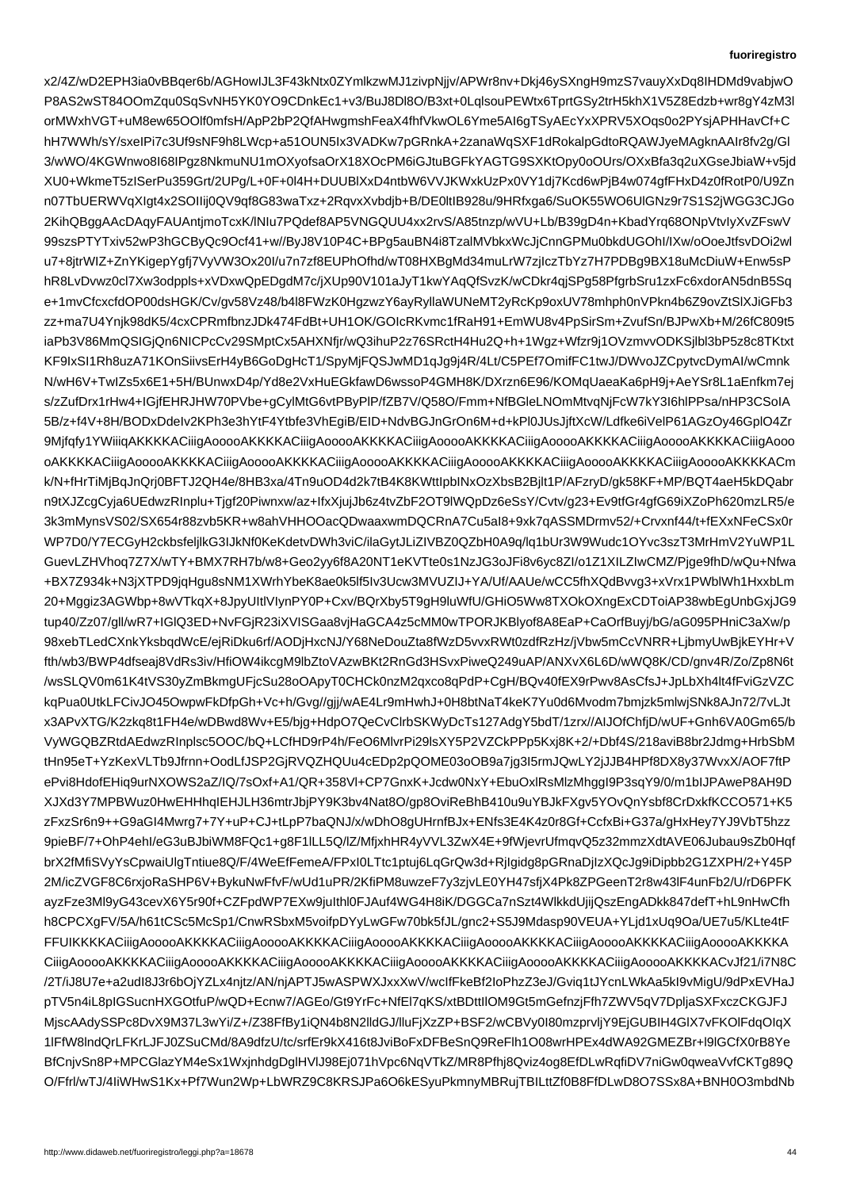x2/4Z/wD2EPH3ia0vBBqer6b/AGHowIJL3F43kNtx0ZYmlkzwMJ1zivpNjjv/APWr8nv+Dkj46ySXngH9mzS7vauyXxDq8IHDMd9vabjwO P8AS2wST84OOmZqu0SqSvNH5YK0YO9CDnkEc1+v3/BuJ8Dl8O/B3xt+0LqlsouPEWtx6TprtGSv2trH5khX1V5Z8Edzb+wr8qY4zM3l orMWxhVGT+uM8ew65OOlf0mfsH/ApP2bP2QfAHwqmshFeaX4fhfVkwOL6Yme5Al6qTSyAEcYxXPRV5XOqs0o2PYsjAPHHavCf+C hH7WWh/sY/sxelPi7c3Uf9sNF9h8LWcp+a51OUN5Ix3VADKw7pGRnkA+2zanaWqSXF1dRokalpGdtoRQAWJyeMAqknAAIr8fv2q/Gl 3/wWO/4KGWnwo8l68IPgz8NkmuNU1mOXyofsaOrX18XOcPM6iGJtuBGFkYAGTG9SXKtOpy0oOUrs/OXxBfa3q2uXGseJbiaW+v5jd XU0+WkmeT5zlSerPu359Grt/2UPg/L+0F+0l4H+DUUBIXxD4ntbW6VVJKWxkUzPx0VY1dj7Kcd6wPjB4w074gfFHxD4z0fRotP0/U9Zn n07TbUERWVqXIgt4x2SOIIij0QV9qf8G83waTxz+2RqvxXvbdjb+B/DE0ltIB928u/9HRfxga6/SuOK55WO6UIGNz9r7S1S2jWGG3CJGo 2KihQBggAAcDAqyFAUAntjmoTcxK/INIu7PQdef8AP5VNGQUU4xx2rvS/A85tnzp/wVU+Lb/B39gD4n+KbadYrq68ONpVtvlyXvZFswV 99szsPTYTxiv52wP3hGCByQc9Ocf41+w//ByJ8V10P4C+BPg5auBN4i8TzalMVbkxWcJjCnnGPMu0bkdUGOhl/lXw/oOoeJtfsvDOi2wl u7+8jtrWIZ+ZnYKigepYgfj7VyVW3Ox20I/u7n7zf8EUPhOfhd/wT08HXBgMd34muLrW7zjIczTbYz7H7PDBg9BX18uMcDiuW+Enw5sP hR8LvDvwz0cl7Xw3odppls+xVDxwQpEDgdM7c/jXUp90V101aJyT1kwYAqQfSvzK/wCDkr4qjSPg58PfgrbSru1zxFc6xdorAN5dnB5Sq e+1mvCfcxcfdOP00dsHGK/Cv/qv58Vz48/b4l8FWzK0HqzwzY6ayRyllaWUNeMT2yRcKp9oxUV78mhph0nVPkn4b6Z9ovZtSIXJiGFb3 zz+ma7U4Ynjk98dK5/4cxCPRmfbnzJDk474FdBt+UH1OK/GOIcRKvmc1fRaH91+EmWU8v4PpSirSm+ZvufSn/BJPwXb+M/26fC809t5 iaPb3V86MmQSIGjQn6NICPcCv29SMptCx5AHXNfjr/wQ3ihuP2z76SRctH4Hu2Q+h+1Wgz+Wfzr9j1OVzmvvODKSjlbl3bP5z8c8TKtxt KF9IxSI1Rh8uzA71KOnSiivsErH4yB6GoDgHcT1/SpyMjFQSJwMD1qJg9j4R/4Lt/C5PEf7OmifFC1twJ/DWvoJZCpytvcDymAl/wCmnk N/wH6V+TwlZs5x6E1+5H/BUnwxD4p/Yd8e2VxHuEGkfawD6wssoP4GMH8K/DXrzn6E96/KOMqUaeaKa6pH9j+AeYSr8L1aEnfkm7ej s/zZufDrx1rHw4+IGjfEHRJHW70PVbe+gCylMtG6vtPByPIP/fZB7V/Q58O/Fmm+NfBGleLNOmMtvqNjFcW7kY3I6hIPPsa/nHP3CSoIA 5B/z+f4V+8H/BODxDdelv2KPh3e3hYtF4Ytbfe3VhEgiB/EID+NdvBGJnGrOn6M+d+kPl0JUsJjftXcW/Ldfke6iVelP61AGzOy46GplO4Zr 9Mjfqfy1YWiiiqAKKKKACiiigAooooAKKKKACiiigAooooAKKKKACiiigAooooAKKKKACiiigAooooAKKKKACiiigAooooAKKKKACiiigAooo oAKKKKACiiiqAooooAKKKKACiiiqAooooAKKKKACiiiqAooooAKKKKACiiiqAooooAKKKKACiiiqAooooAKKKKACiiiqAooooAKKKKKACm k/N+fHrTiMjBqJnQrj0BFTJ2QH4e/8HB3xa/4Tn9uOD4d2k7tB4K8KWttlpbINxOzXbsB2Bjlt1P/AFzryD/gk58KF+MP/BQT4aeH5kDQabr n9tXJZcqCyja6UEdwzRInplu+Tjqf20Piwnxw/az+IfxXjujJb6z4tvZbF2OT9lWQpDz6eSsY/Cvtv/q23+Ev9tfGr4qfG69iXZoPh620mzLR5/e 3k3mMynsVS02/SX654r88zvb5KR+w8ahVHHOOacQDwaaxwmDQCRnA7Cu5al8+9xk7qASSMDrmv52/+Crvxnf44/t+fEXxNFeCSx0r WP7D0/Y7ECGyH2ckbsfeljlkG3IJkNf0KeKdetvDWh3viC/ilaGytJLiZIVBZ0QZbH0A9q/lq1bUr3W9Wudc1OYvc3szT3MrHmV2YuWP1L GuevLZHVhoq7Z7X/wTY+BMX7RH7b/w8+Geo2yy6f8A20NT1eKVTte0s1NzJG3oJFi8v6yc8ZI/o1Z1XILZIwCMZ/Pjge9fhD/wQu+Nfwa +BX7Z934k+N3jXTPD9jqHgu8sNM1XWrhYbeK8ae0k5lf5lv3Ucw3MVUZIJ+YA/Uf/AAUe/wCC5fhXQdBvvg3+xVrx1PWblWh1HxxbLm 20+Mggiz3AGWbp+8wVTkqX+8JpyUltlVlynPY0P+Cxv/BQrXby5T9gH9luWfU/GHiO5Ww8TXOkOXngExCDToiAP38wbEgUnbGxjJG9 tup40/Zz07/gll/wR7+IGIQ3ED+NvFGjR23iXVISGaa8vjHaGCA4z5cMM0wTPORJKBIyof8A8EaP+CaOrfBuyj/bG/aG095PHniC3aXw/p 98xebTLedCXnkYksbqdWcE/ejRiDku6rf/AODjHxcNJ/Y68NeDouZta8fWzD5vvxRWt0zdfRzHz/jVbw5mCcVNRR+LjbmyUwBjkEYHr+V fth/wb3/BWP4dfseaj8VdRs3iv/HfiOW4ikcgM9lbZtoVAzwBKt2RnGd3HSvxPiweQ249uAP/ANXvX6L6D/wWQ8K/CD/gnv4R/Zo/Zp8N6t /wsSLQV0m61K4tVS30yZmBkmqUFjcSu28oOApyT0CHCk0nzM2qxco8qPdP+CqH/BQv40fEX9rPwv8AsCfsJ+JpLbXh4lt4fFviGzVZC kgPua0UtkLFCivJO45OwpwFkDfpGh+Vc+h/Gvq//qij/wAE4Lr9mHwhJ+0H8btNaT4keK7Yu0d6Mvodm7bmjzk5mlwjSNk8AJn72/7vLJt x3APvXTG/K2zkq8t1FH4e/wDBwd8Wv+E5/bjq+HdpO7QeCvClrbSKWyDcTs127AdqY5bdT/1zrx//AIJOfChfjD/wUF+Gnh6VA0Gm65/b VvWGQBZRtdAEdwzRInplsc5OOC/bQ+LCfHD9rP4h/FeO6MlvrPi29lsXY5P2VZCkPPp5Kxi8K+2/+Dbf4S/218aviB8br2Jdmg+HrbSbM tHn95eT+YzKexVLTb9Jfrnn+OodLfJSP2GjRVQZHQUu4cEDp2pQOME03oOB9a7jg3l5rmJQwLY2jJJB4HPf8DX8y37WvxX/AOF7ftP ePvi8HdofEHiq9urNXOWS2aZ/IQ/7sOxf+A1/QR+358VI+CP7GnxK+Jcdw0NxY+EbuOxIRsMlzMhgqI9P3sqY9/0/m1bIJPAweP8AH9D XJXd3Y7MPBWuz0HwEHHhqlEHJLH36mtrJbjPY9K3bv4Nat8O/qp8OviReBhB410u9uYBJkFXqv5YOvQnYsbf8CrDxkfKCCO571+K5 zFxzSr6n9++G9aGI4Mwrg7+7Y+uP+CJ+tLpP7baQNJ/x/wDhO8gUHrnfBJx+ENfs3E4K4z0r8Gf+CcfxBi+G37a/gHxHey7YJ9VbT5hzz 9pieBF/7+OhP4ehl/eG3uBJbiWM8FQc1+q8F1ILL5Q/IZ/MfjxhHR4yVVL3ZwX4E+9fWjevrUfmqvQ5z32mmzXdtAVE06Jubau9sZb0Hqf brX2fMfiSVyYsCpwaiUlgTntiue8Q/F/4WeEfFemeA/FPxI0LTtc1ptuj6LqGrQw3d+RjIgidg8pGRnaDjIzXQcJg9iDipbb2G1ZXPH/2+Y45P 2M/icZVGF8C6rxjoRaSHP6V+BykuNwFfvF/wUd1uPR/2KfiPM8uwzeF7y3zjvLE0YH47sfjX4Pk8ZPGeenT2r8w43lF4unFb2/U/rD6PFK ayzFze3Ml9yG43cevX6Y5r90f+CZFpdWP7EXw9juIthl0FJAuf4WG4H8iK/DGGCa7nSzt4WlkkdUjijQszEngADkk847defT+hL9nHwCfh h8CPCXqFV/5A/h61tCSc5McSp1/CnwRSbxM5voifpDYyLwGFw70bk5fJL/qnc2+S5J9Mdasp90VEUA+YLjd1xUq9Oa/UE7u5/KLte4tF FFUIKKKKACiiigAooooAKKKKACiiigAooooAKKKKACiiigAooooAKKKKACiiigAooooAKKKKACiiigAooooAKKKKACiiigAooooAKKKKA CiiigAooooAKKKKACiiigAooooAKKKKACiiigAooooAKKKKACiiigAooooAKKKKACiiigAooooAKKKKACiiigAooooAKKKKACvJf21/i7N8C /2T/iJ8U7e+a2udl8J3r6bOjYZLx4njtz/AN/njAPTJ5wASPWXJxxXwV/wclfFkeBf2loPhzZ3eJ/Gviq1tJYcnLWkAa5kl9vMigU/9dPxEVHaJ pTV5n4iL8pIGSucnHXGOtfuP/wQD+Ecnw7/AGEo/Gt9YrFc+NfEl7qKS/xtBDttllOM9Gt5mGefnzjFfh7ZWV5qV7DpljaSXFxczCKGJFJ MjscAAdySSPc8DvX9M37L3wYi/Z+/Z38FfBy1iQN4b8N2lldGJ/lluFjXzZP+BSF2/wCBVy0l80mzprvljY9EjGUBIH4GlX7vFKOlFdqOlqX 1IFfW8IndQrLFKrLJFJ0ZSuCMd/8A9dfzU/tc/srfEr9kX416t8JviBoFxDFBeSnQ9ReFlh1O08wrHPEx4dWA92GMEZBr+I9IGCfX0rB8Ye BfCnjvSn8P+MPCGlazYM4eSx1WxjnhdgDglHVIJ98Ej071hVpc6NqVTkZ/MR8Pfhj8Qviz4og8EfDLwRqfiDV7niGw0qweaVvfCKTg89Q O/Ffrl/wTJ/4IiWHwS1Kx+Pf7Wun2Wp+LbWRZ9C8KRSJPa6O6kESyuPkmnyMBRujTBILttZf0B8FfDLwD8O7SSx8A+BNH0O3mbdNb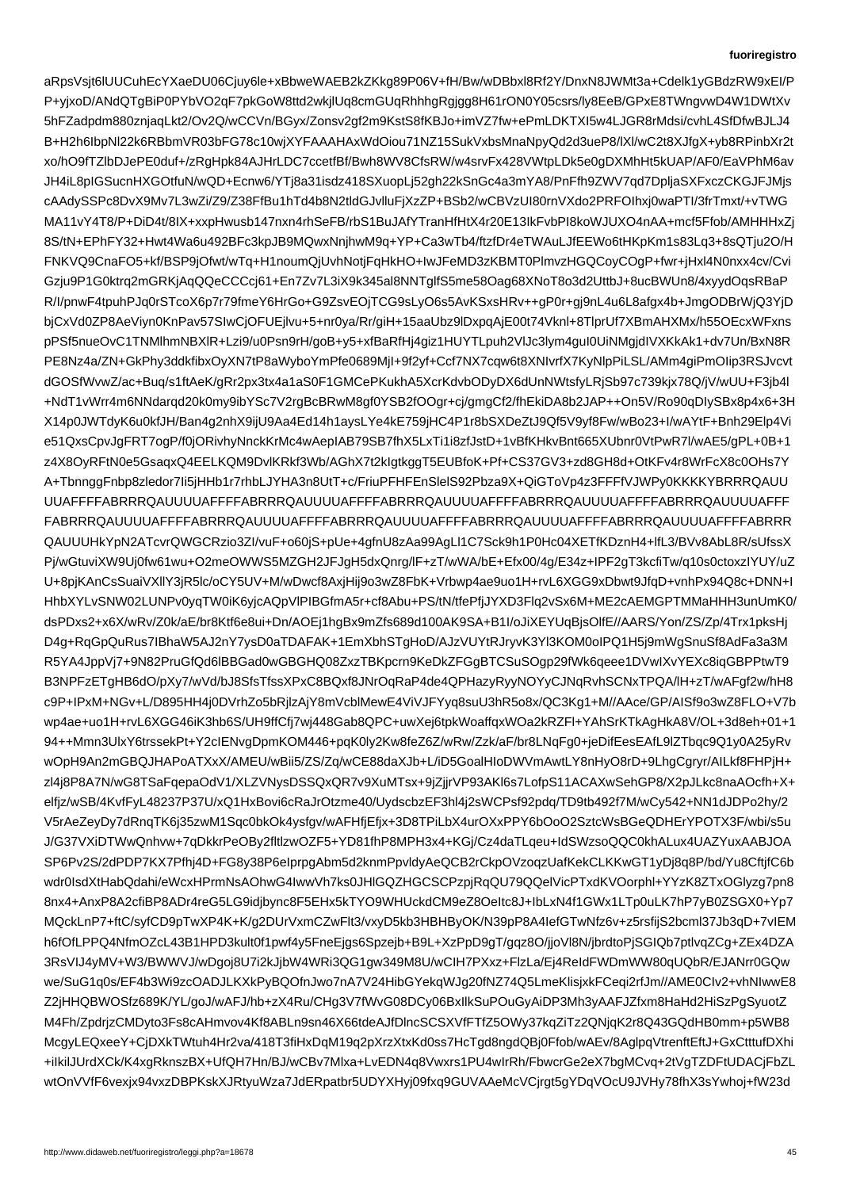aRpsVsjt6lUUCuhEcYXaeDU06Cjuy6le+xBbweWAEB2kZKkg89P06V+fH/Bw/wDBbxl8Rf2Y/DnxN8JWMt3a+Cdelk1yGBdzRW9xEI/P P+yjxoD/ANdQTgBiP0PYbVO2qF7pkGoW8ttd2wkjlUq8cmGUqRhhhgRgjgg8H61rON0Y05csrs/ly8EeB/GPxE8TWngvwD4W1DWtXv 5hFZadpdm880znjaqLkt2/Ov2Q/wCCVn/BGyx/Zonsv2qf2m9KstS8fKBJo+imVZ7fw+ePmLDKTXI5w4LJGR8rMdsi/cvhL4SfDfwBJLJ4 B+H2h6lbpNl22k6RBbmVR03bFG78c10wjXYFAAAHAxWdOiou71NZ15SukVxbsMnaNpyQd2d3ueP8/lXl/wC2t8XJfqX+yb8RPinbXr2t xo/hO9fTZlbDJePE0duf+/zRgHpk84AJHrLDC7ccetfBf/Bwh8WV8CfsRW/w4srvFx428VWtpLDk5e0gDXMhHt5kUAP/AF0/EaVPhM6av JH4iL8pIGSucnHXGOtfuN/wQD+Ecnw6/YTj8a31isdz418SXuopLj52gh22kSnGc4a3mYA8/PnFfh9ZWV7qd7DpljaSXFxczCKGJFJMjs cAAdySSPc8DvX9Mv7L3wZi/Z9/Z38FfBu1hTd4b8N2tldGJvlluFjXzZP+BSb2/wCBVzUI80rnVXdo2PRFOlhxj0waPTl/3frTmxt/+vTWG MA11vY4T8/P+DiD4t/8IX+xxpHwusb147nxn4rhSeFB/rbS1BuJAfYTranHfHtX4r20E13IkFvbPI8koWJUXO4nAA+mcf5Ffob/AMHHHxZi 8S/tN+EPhFY32+Hwt4Wa6u492BFc3kpJB9MQwxNnjhwM9q+YP+Ca3wTb4/ftzfDr4eTWAuLJfEEWo6tHKpKm1s83Lq3+8sQTju2O/H FNKVQ9CnaFO5+kf/BSP9jOfwt/wTq+H1noumQjUvhNotjFqHkHO+IwJFeMD3zKBMT0PlmvzHGQCoyCOgP+fwr+jHxl4N0nxx4cv/Cvi Gzju9P1G0ktrq2mGRKjAqQQeCCCcj61+En7Zv7L3iX9k345al8NNTglfS5me58Oag68XNoT8o3d2UttbJ+8ucBWUn8/4xyydOqsRBaP R/l/pnwF4tpuhPJq0rSTcoX6p7r79fmeY6HrGo+G9ZsvEOjTCG9sLyO6s5AvKSxsHRv++qP0r+qj9nL4u6L8afqx4b+JmqODBrWjQ3YjD bjCxVd0ZP8AeViyn0KnPav57SIwCjOFUEjlvu+5+nr0ya/Rr/giH+15aaUbz9lDxpgAjE00t74Vknl+8TlprUf7XBmAHXMx/h55OEcxWFxns pPSf5nueOvC1TNMlhmNBXIR+Lzi9/u0Psn9rH/goB+y5+xfBaRfHj4giz1HUYTLpuh2VIJc3lym4guI0UiNMgjdIVXKkAk1+dv7Un/BxN8R PE8Nz4a/ZN+GkPhy3ddkfibxOyXN7tP8aWyboYmPfe0689Mjl+9f2yf+Ccf7NX7cqw6t8XNIvrfX7KyNlpPiLSL/AMm4giPmOlip3RSJvcvt dGOSfWvwZ/ac+Buq/s1ftAeK/gRr2px3tx4a1aS0F1GMCePKukhA5XcrKdvbODyDX6dUnNWtsfyLRjSb97c739kjx78Q/jV/wUU+F3jb4l +NdT1vWrr4m6NNdarqd20k0my9ibYSc7V2rgBcBRwM8qf0YSB2fOOgr+cj/gmgCf2/fhEkiDA8b2JAP++On5V/Ro90qDIySBx8p4x6+3H X14p0JWTdyK6u0kfJH/Ban4g2nhX9ijU9Aa4Ed14h1aysLYe4kE759jHC4P1r8bSXDeZtJ9Qf5V9yf8Fw/wBo23+I/wAYtF+Bnh29Elp4Vi e51QxsCpvJgFRT7ogP/f0jORivhyNnckKrMc4wAepIAB79SB7fhX5LxTi1i8zfJstD+1vBfKHkvBnt665XUbnr0VtPwR7l/wAE5/gPL+0B+1 z4X8OyRFtN0e5GsagxQ4EELKQM9DvlKRkf3Wb/AGhX7t2klgtkggT5EUBfoK+Pf+CS37GV3+zd8GH8d+OtKFv4r8WrFcX8c0OHs7Y A+TbnnggFnbp8zledor7li5jHHb1r7rhbLJYHA3n8UtT+c/FriuPFHFEnSleIS92Pbza9X+QiGToVp4z3FFFfVJWPy0KKKKYBRRRQAUU UUAFFFFABRRRQAUUUUAFFFFABRRRQAUUUUAFFFFABRRRQAUUUUAFFFFABRRRQAUUUUAFFFFABRRRQAUUUUAFFF FABRRRQAUUUUAFFFFABRRRQAUUUUAFFFFABRRRQAUUUUAFFFFABRRRQAUUUUAFFFFABRRRQAUUUUAFFFFABRRR QAUUUHkYpN2ATcvrQWGCRzio3ZI/vuF+o60jS+pUe+4gfnU8zAa99AgLI1C7Sck9h1P0Hc04XETfKDznH4+lfL3/BVv8AbL8R/sUfssX Pj/wGtuviXW9Uj0fw61wu+O2meOWWS5MZGH2JFJgH5dxQnrg/lF+zT/wWA/bE+Efx00/4g/E34z+IPF2gT3kcfiTw/q10s0ctoxzIYUY/uZ U+8piKAnCsSuaiVXIIY3iR5lc/oCY5UV+M/wDwcf8AxiHii9o3wZ8FbK+Vrbwp4ae9uo1H+rvL6XGG9xDbwt9JfqD+vnhPx94Q8c+DNN+I HhbXYLvSNW02LUNPv0yqTW0iK6yjcAQpVIPIBGfmA5r+cf8Abu+PS/tN/tfePfjJYXD3Flq2vSx6M+ME2cAEMGPTMMaHHH3unUmK0/ dsPDxs2+x6X/wRv/Z0k/aE/br8Ktf6e8ui+Dn/AOEj1hgBx9mZfs689d100AK9SA+B1I/oJiXEYUqBjsOlfE//AARS/Yon/ZS/Zp/4Trx1pksHj D4g+RqGpQuRus7lBhaW5AJ2nY7ysD0aTDAFAK+1EmXbhSTgHoD/AJzVUYtRJryvK3Yl3KOM0oIPQ1H5j9mWgSnuSf8AdFa3a3M R5YA4JppVj7+9N82PruGfQd6lBBGad0wGBGHQ08ZxzTBKpcrn9KeDkZFGgBTCSuSOgp29fWk6qeee1DVwlXvYEXc8iqGBPPtwT9 B3NPFzETqHB6dO/pXy7/wVd/bJ8SfsTfssXPxC8BQxf8JNrOqRaP4de4QPHazyRyyNOYyCJNqRvhSCNxTPQA/lH+zT/wAFqf2w/hH8 c9P+IPxM+NGv+L/D895HH4j0DVrhZo5bRjlzAjY8mVcblMewE4ViVJFYyq8suU3hR5o8x/QC3Kg1+M//AAce/GP/AISf9o3wZ8FLO+V7b wp4ae+uo1H+rvL6XGG46iK3hb6S/UH9ffCfi7wj448Gab8QPC+uwXej6tpkWoaffgxWOa2kRZFI+YAhSrKTkAgHkA8V/OL+3d8eh+01+1 94++Mmn3UlxY6trssekPt+Y2clENvaDpmKOM446+paK0lv2Kw8feZ6Z/wRw/Zzk/aF/br8LNaFa0+ieDifEesEAfL9lZTbac9Q1v0A25vRv wOpH9An2mGBQJHAPoATXxX/AMEU/wBii5/ZS/Zq/wCE88daXJb+L/iD5GoalHloDWVmAwtLY8nHyO8rD+9LhgCqryr/AlLkf8FHPjH+ zl4j8P8A7N/wG8TSaFqepaOdV1/XLZVNysDSSQxQR7v9XuMTsx+9jZjjrVP93AKl6s7LofpS11ACAXwSehGP8/X2pJLkc8naAOcfh+X+ elfjz/wSB/4KvfFyL48237P37U/xQ1HxBovi6cRaJrOtzme40/UydscbzEF3hl4j2sWCPsf92pdq/TD9tb492f7M/wCy542+NN1dJDPo2hy/2 V5rAeZeyDy7dRnqTK6j35zwM1Sqc0bkOk4ysfgv/wAFHfjEfjx+3D8TPiLbX4urOXxPPY6bOoO2SztcWsBGeQDHErYPOTX3F/wbi/s5u J/G37VXiDTWwQnhvw+7qDkkrPeOBy2fltlzwOZF5+YD81fhP8MPH3x4+KGj/Cz4daTLgeu+IdSWzsoQQC0khALux4UAZYuxAABJOA SP6Pv2S/2dPDP7KX7Pfhj4D+FG8y38P6elprpgAbm5d2knmPpvldyAeQCB2rCkpOVzoqzUafKekCLKKwGT1yDj8q8P/bd/Yu8CftjfC6b wdr0IsdXtHabQdahi/eWcxHPrmNsAOhwG4IwwVh7ks0JHlGQZHGCSCPzpjRqQU79QQelVicPTxdKVOorphl+YYzK8ZTxOGlyzq7pn8 8nx4+AnxP8A2cfiBP8ADr4reG5LG9idjbync8F5EHx5kTYO9WHUckdCM9eZ8OeItc8J+lbLxN4f1GWx1LTp0uLK7hP7yB0ZSGX0+Yp7 MQckLnP7+ftC/syfCD9pTwXP4K+K/q2DUrVxmCZwFlt3/vxyD5kb3HBHByOK/N39pP8A4lefGTwNfz6v+z5rsfijS2bcml37Jb3qD+7vIEM h6fOfLPPQ4NfmOZcL43B1HPD3kult0f1pwf4y5FneEjgs6Spzejb+B9L+XzPpD9gT/gqz8O/jjoVl8N/jbrdtoPjSGIQb7ptlvqZCg+ZEx4DZA 3RsVIJ4yMV+W3/BWWVJ/wDgoj8U7i2kJjbW4WRi3QG1gw349M8U/wCIH7PXxz+FlzLa/Ej4ReIdFWDmWW80qUQbR/EJANrr0GQw we/SuG1q0s/EF4b3Wi9zcOADJLKXkPyBQOfnJwo7nA7V24HibGYekqWJq20fNZ74Q5LmeKlisjxkFCeqi2rfJm//AME0Clv2+vhNIwwE8 Z2jHHQBWOSfz689K/YL/goJ/wAFJ/hb+zX4Ru/CHg3V7fWvG08DCy06BxllkSuPOuGyAiDP3Mh3yAAFJZfxm8HaHd2HiSzPgSyuotZ M4Fh/ZpdrjzCMDyto3Fs8cAHmvov4Kf8ABLn9sn46X66tdeAJfDlncSCSXVfFTfZ5OWy37kqZiTz2QNjqK2r8Q43GQdHB0mm+p5WB8 McgyLEQxeeY+CjDXkTWtuh4Hr2va/418T3fiHxDqM19q2pXrzXtxKd0ss7HcTgd8ngdQBj0Ffob/wAEv/8AglpqVtrenftEftJ+GxCtttufDXhi +ilkilJUrdXCk/K4xgRknszBX+UfQH7Hn/BJ/wCBv7Mlxa+LvEDN4q8Vwxrs1PU4wIrRh/FbwcrGe2eX7bgMCvq+2tVgTZDFtUDACjFbZL wtOnVVfF6vexix94vxzDBPKskXJRtyuWza7JdERpatbr5UDYXHyj09fxq9GUVAAeMcVCirqt5qYDqVOcU9JVHy78fhX3sYwhoj+fW23d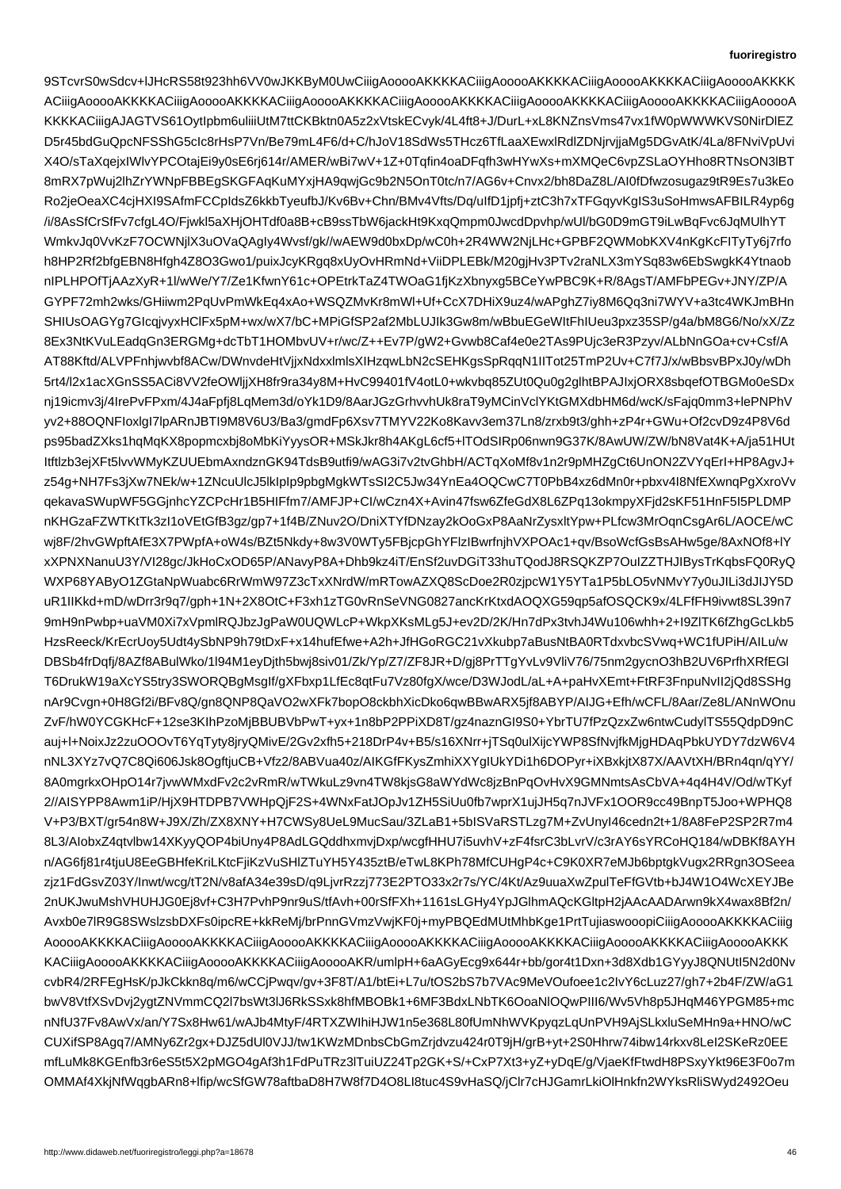9STcvrS0wSdcv+IJHcRS58t923hh6VV0wJKKByM0UwCiiigAooooAKKKKACiiigAooooAKKKKACiiigAooooAKKKKACiiigAooooAKKKKK ACiiigAooooAKKKKACiiigAooooAKKKKACiiigAooooAKKKKACiiigAooooAKKKKACiiigAooooAKKKKACiiigAooooAKKKKACiiigAooooA KKKKACiiigAJAGTVS61OytIpbm6uliiiUtM7ttCKBktn0A5z2xVtskECvyk/4L4ft8+J/DurL+xL8KNZnsVms47vx1fW0pWWWKVS0NirDIEZ D5r45bdGuQpcNFSShG5clc8rHsP7Vn/Be79mL4F6/d+C/hJoV18SdWs5THcz6TfLaaXEwxlRdlZDNirvijaMq5DGvAtK/4La/8FNviVpUvi X4O/sTaXqejxIWlvYPCOtajEi9y0sE6rj614r/AMER/wBi7wV+1Z+0Tqfin4oaDFqfh3wHYwXs+mXMQeC6vpZSLaOYHho8RTNsON3lBT 8mRX7pWuj2lhZrYWNpFBBEgSKGFAqKuMYxjHA9qwjGc9b2N5OnT0tc/n7/AG6v+Cnvx2/bh8DaZ8L/Al0fDfwzosugaz9tR9Es7u3kEo Ro2jeOeaXC4cjHXl9SAfmFCCpIdsZ6kkbTyeufbJ/Kv6Bv+Chn/BMv4Vfts/Dq/ulfD1jpfj+ztC3h7xTFGqyvKqIS3uSoHmwsAFBILR4yp6q /i/8AsSfCrSfFv7cfgL4O/Fjwkl5aXHjOHTdf0a8B+cB9ssTbW6jackHt9KxqQmpm0JwcdDpvhp/wUl/bG0D9mGT9iLwBqFvc6JqMUlhYT WmkvJq0VvKzF7OCWNjlX3uOVaQAgIy4Wvsf/gk//wAEW9d0bxDp/wC0h+2R4WW2NjLHc+GPBF2QWMobKXV4nKgKcFITyTy6j7rfo h8HP2Rf2bfgEBN8Hfgh4Z8O3Gwo1/puixJcyKRgq8xUyOvHRmNd+ViiDPLEBk/M20gjHv3PTv2raNLX3mYSq83w6EbSwgkK4Ytnaob nIPLHPOfTjAAzXyR+1l/wWe/Y7/Ze1KfwnY61c+OPEtrkTaZ4TWOaG1fjKzXbnyxg5BCeYwPBC9K+R/8AgsT/AMFbPEGv+JNY/ZP/A GYPF72mh2wks/GHiiwm2PqUvPmWkEq4xAo+WSQZMvKr8mWl+Uf+CcX7DHiX9uz4/wAPqhZ7iy8M6Qq3ni7WYV+a3tc4WKJmBHn SHIUsOAGYq7GlcqjvyxHClFx5pM+wx/wX7/bC+MPiGfSP2af2MbLUJlk3Gw8m/wBbuEGeWltFhIUeu3pxz35SP/q4a/bM8G6/No/xX/Zz 8Ex3NtKVuLEadqGn3ERGMg+dcTbT1HOMbvUV+r/wc/Z++Ev7P/gW2+Gvwb8Caf4e0e2TAs9PUjc3eR3Pzyv/ALbNnGOa+cv+Csf/A AT88Kftd/ALVPFnhjwvbf8ACw/DWnvdeHtVjjxNdxxlmlsXIHzqwLbN2cSEHKgsSpRqqN1IITot25TmP2Uv+C7f7J/x/wBbsvBPxJ0y/wDh 5rt4/l2x1acXGnSS5ACi8VV2feOWljjXH8fr9ra34y8M+HvC99401fV4otL0+wkvbq85ZUt0Qu0g2glhtBPAJIxjORX8sbqefOTBGMo0eSDx nj19icmv3j/4IrePvFPxm/4J4aFpfj8LqMem3d/oYk1D9/8AarJGzGrhvvhUk8raT9yMCinVclYKtGMXdbHM6d/wcK/sFajq0mm3+lePNPhV yv2+88OQNFloxlgl7lpARnJBTl9M8V6U3/Ba3/gmdFp6Xsv7TMYV22Ko8Kavv3em37Ln8/zrxb9t3/ghh+zP4r+GWu+Of2cvD9z4P8V6d ps95badZXks1hqMqKX8popmcxbj8oMbKiYyysOR+MSkJkr8h4AKgL6cf5+ITOdSIRp06nwn9G37K/8AwUW/ZW/bN8Vat4K+A/ja51HUt ltftlzb3ejXFt5lvvWMyKZUUEbmAxndznGK94TdsB9utfi9/wAG3i7v2tvGhbH/ACTqXoMf8v1n2r9pMHZqCt6UnON2ZVYqErl+HP8AqvJ+ z54g+NH7Fs3jXw7NEk/w+1ZNcuUlcJ5lklplp9pbgMgkWTsSl2C5Jw34YnEa4OQCwC7T0PbB4xz6dMn0r+pbxv4l8NfEXwnqPgXxroVv gekavaSWupWF5GGinhcYZCPcHr1B5HIFfm7/AMFJP+CI/wCzn4X+Avin47fsw6ZfeGdX8L6ZPq13okmpyXFjd2sKF51HnF5I5PLDMP nKHGzaFZWTKtTk3zI1oVEtGfB3qz/qp7+1f4B/ZNuv2O/DniXTYfDNzay2kOoGxP8AaNrZysxltYpw+PLfcw3MrOqnCsqAr6L/AOCE/wC wj8F/2hvGWpftAfE3X7PWpfA+oW4s/BZt5Nkdy+8w3V0WTy5FBjcpGhYFlzIBwrfnjhVXPOAc1+qv/BsoWcfGsBsAHw5ge/8AxNOf8+IY xXPNXNanuU3Y/VI28gc/JkHoCxOD65P/ANavyP8A+Dhb9kz4iT/EnSf2uvDGiT33huTQodJ8RSQKZP7OuIZZTHJIBysTrKqbsFQ0RyQ WXP68YAByO1ZGtaNpWuabc6RrWmW97Z3cTxXNrdW/mRTowAZXQ8ScDoe2R0zjpcW1Y5YTa1P5bLO5vNMvY7y0uJILi3dJIJY5D uR1llKkd+mD/wDrr3r9q7/qph+1N+2X8OtC+F3xh1zTG0vRnSeVNG0827ancKrKtxdAOQXG59qp5afOSQCK9x/4LFfFH9ivwt8SL39n7 9mH9nPwbp+uaVM0Xi7xVpmlRQJbzJgPaW0UQWLcP+WkpXKsMLg5J+ev2D/2K/Hn7dPx3tvhJ4Wu106whh+2+l9ZlTK6fZhgGcLkb5 HzsReeck/KrEcrUoy5Udt4ySbNP9h79tDxF+x14hufEfwe+A2h+JfHGoRGC21vXkubp7aBusNtBA0RTdxvbcSVwq+WC1fUPiH/AlLu/w DBSb4frDqfj/8AZf8ABulWko/1l94M1eyDjth5bwj8siv01/Zk/Yp/Z7/ZF8JR+D/gj8PrTTgYvLv9VliV76/75nm2gycnO3hB2UV6PrfhXRfEGl T6DrukW19aXcYS5try3SWORQBqMsqlf/qXFbxp1LfEc8qtFu7Vz80fqX/wce/D3WJodL/aL+A+paHvXEmt+FtRF3FnpuNvll2jQd8SSHq nAr9Cvgn+0H8Gf2i/BFv8Q/qn8QNP8QaVO2wXFk7bopO8ckbhXicDko6qwBBwARX5if8ABYP/AIJG+Efh/wCFL/8Aar/Ze8L/ANnWOnu ZvF/hW0YCGKHcF+12se3KlhPzoMjBBUBVbPwT+yx+1n8bP2PPiXD8T/qz4naznGl9S0+YbrTU7fPzQzxZw6ntwCudylTS55QdpD9nC aui+I+NoixJz2zuOOOvT6YqTvtv8irvQMivE/2Gv2xfh5+218DrP4v+B5/s16XNrr+iTSq0ulXiicYWP8SfNvifkMigHDAqPbkUYDY7dzW6V4 nNL3XYz7vQ7C8Qi606Jsk8OgftjuCB+Vfz2/8ABVua40z/AIKGfFKysZmhiXXYgIUkYDi1h6DOPyr+iXBxkjtX87X/AAVtXH/BRn4qn/qYY/ 8A0mgrkxOHpO14r7jvwWMxdFv2c2vRmR/wTWkuLz9vn4TW8kjsG8aWYdWc8jzBnPqOvHvX9GMNmtsAsCbVA+4q4H4V/Od/wTKyf 2//AISYPP8Awm1iP/HjX9HTDPB7VWHpQjF2S+4WNxFatJOpJv1ZH5SiUu0fb7wprX1ujJH5q7nJVFx1OOR9cc49BnpT5Joo+WPHQ8 V+P3/BXT/gr54n8W+J9X/Zh/ZX8XNY+H7CWSy8UeL9MucSau/3ZLaB1+5blSVaRSTLzg7M+ZvUnyl46cedn2t+1/8A8FeP2SP2R7m4 8L3/AlobxZ4qtvlbw14XKyyQOP4biUny4P8AdLGQddhxmvjDxp/wcqfHHU7i5uvhV+zF4fsrC3bLvrV/c3rAY6sYRCoHQ184/wDBKf8AYH n/AG6fj81r4tjuU8EeGBHfeKriLKtcFjiKzVuSHlZTuYH5Y435ztB/eTwL8KPh78MfCUHgP4c+C9K0XR7eMJb6bptgkVugx2RRgn3OSeea zjz1FdGsvZ03Y/Inwt/wcq/tT2N/v8afA34e39sD/q9LjvrRzzj773E2PTO33x2r7s/YC/4Kt/Az9uuaXwZpulTeFfGVtb+bJ4W1O4WcXEYJBe 2nUKJwuMshVHUHJG0Ej8vf+C3H7PvhP9nr9uS/tfAvh+00rSfFXh+1161sLGHy4YpJGlhmAQcKGltpH2jAAcAADArwn9kX4wax8Bf2n/ Avxb0e7lR9G8SWslzsbDXFs0ipcRE+kkReMi/brPnnGVmzVwjKF0j+myPBQEdMUtMhbKqe1PrtTujiaswooopiCiiiqAooooAKKKKACiiiq A0000AKKKKACiiigA0000AKKKKACiiigA0000AKKKKACiiigA0000AKKKKACiiigA0000AKKKKACiiigA0000AKKKKACiiigA0000AKKK KACiiigAooooAKKKKACiiigAooooAKKKKACiiigAooooAKR/umlpH+6aAGyEcg9x644r+bb/gor4t1Dxn+3d8Xdb1GYyyJ8QNUtl5N2d0Nv cvbR4/2RFEgHsK/pJkCkkn8q/m6/wCCjPwqv/gv+3F8T/A1/btEi+L7u/tOS2bS7b7VAc9MeVOufoee1c2lvY6cLuz27/gh7+2b4F/ZW/aG1 bwV8VtfXSvDvj2ygtZNVmmCQ2l7bsWt3lJ6RkSSxk8hfMBOBk1+6MF3BdxLNbTK6OoaNlOQwPIII6/Wv5Vh8p5JHqM46YPGM85+mc nNfU37Fv8AwVx/an/Y7Sx8Hw61/wAJb4MtyF/4RTXZWIhiHJW1n5e368L80fUmNhWVKpyqzLqUnPVH9AjSLkxluSeMHn9a+HNO/wC CUXifSP8Agq7/AMNy6Zr2gx+DJZ5dUl0VJJ/tw1KWzMDnbsCbGmZrjdvzu424r0T9jH/grB+yt+2S0Hhrw74ibw14rkxv8Lel2SKeRz0EE mfLuMk8KGEnfb3r6eS5t5X2pMGO4gAf3h1FdPuTRz3lTuiUZ24Tp2GK+S/+CxP7Xt3+yZ+yDqE/g/VjaeKfFtwdH8PSxyYkt96E3F0o7m OMMAf4XkjNfWqgbARn8+lfip/wcSfGW78aftbaD8H7W8f7D4O8Ll8tuc4S9vHaSQ/jClr7cHJGamrLkiOlHnkfn2WYksRliSWyd2492Oeu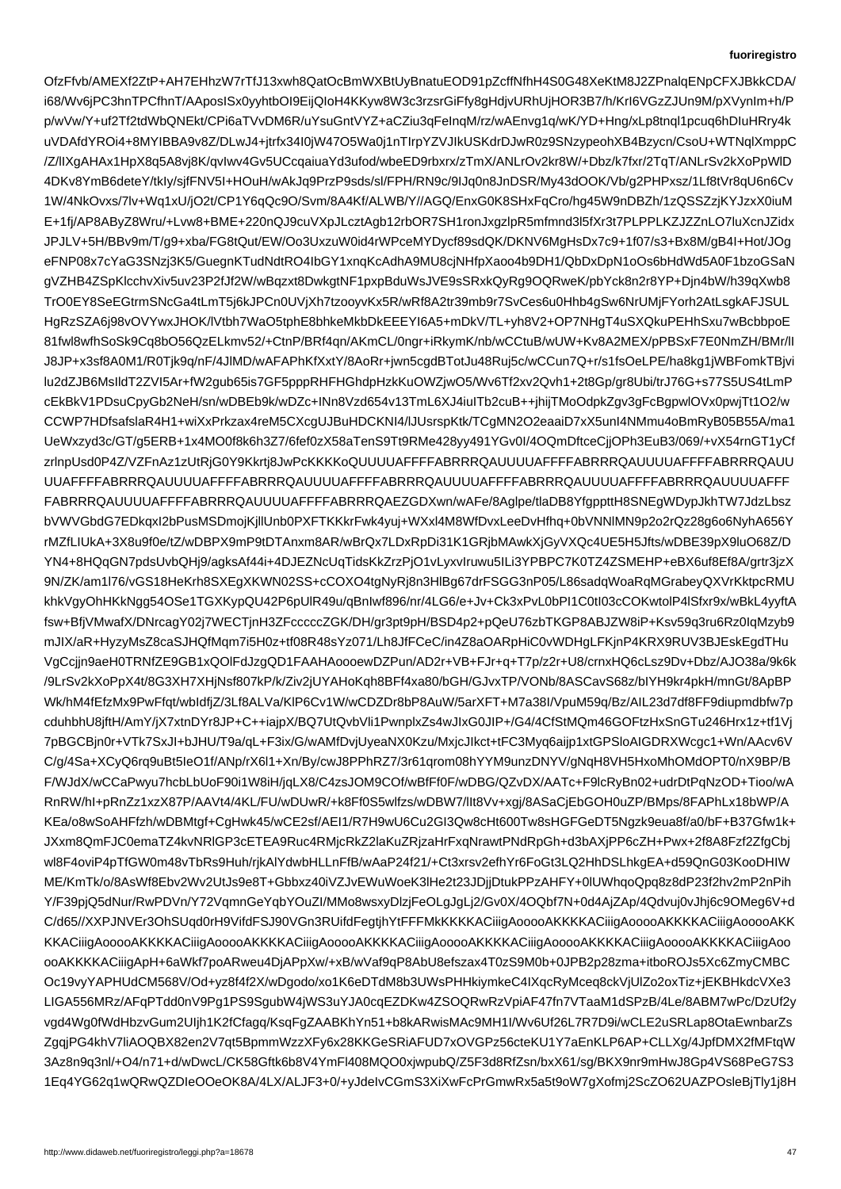OfzFfvb/AMEXf2ZtP+AH7EHhzW7rTfJ13xwh8QatOcBmWXBtUyBnatuEOD91pZcffNfhH4S0G48XeKtM8J2ZPnalqENpCFXJBkkCDA/ i68/Wv6jPC3hnTPCfhnT/AAposISx0yyhtbOI9EijQIoH4KKyw8W3c3rzsrGiFfy8gHdjvURhUjHOR3B7/h/KrI6VGzZJUn9M/pXVynIm+h/P p/wVw/Y+uf2Tf2tdWbQNEkt/CPi6aTVvDM6R/uYsuGntVYZ+aCZiu3qFeInqM/rz/wAEnvq1q/wK/YD+Hnq/xLp8tnql1pcuq6hDIuHRry4k uVDAfdYROi4+8MYIBBA9v8Z/DLwJ4+jtrfx34I0jW47O5Wa0j1nTIrpYZVJIkUSKdrDJwR0z9SNzypeohXB4Bzycn/CsoU+WTNqlXmppC /Z/IIXgAHAx1HpX8q5A8vj8K/qvIwv4Gv5UCcqaiuaYd3ufod/wbeED9rbxrx/zTmX/ANLrOv2kr8W/+Dbz/k7fxr/2TqT/ANLrSv2kXoPpWID 4DKv8YmB6deteY/tkly/sjfFNV5I+HOuH/wAkJq9PrzP9sds/sl/FPH/RN9c/9IJq0n8JnDSR/My43dOOK/Vb/q2PHPxsz/1Lf8tVr8qU6n6Cv 1W/4NkOvxs/7lv+Wq1xU/jO2t/CP1Y6qQc9O/Svm/8A4Kf/ALWB/Y//AGQ/EnxG0K8SHxFqCro/hq45W9nDBZh/1zQSSZzjKYJzxX0iuM E+1fj/AP8AByZ8Wru/+Lvw8+BME+220nQJ9cuVXpJLcztAgb12rbOR7SH1ronJxgzlpR5mfmnd3l5fXr3t7PLPPLKZJZZnLO7luXcnJZidx JPJLV+5H/BBv9m/T/g9+xba/FG8tQut/EW/Oo3UxzuW0id4rWPceMYDycf89sdQK/DKNV6MgHsDx7c9+1f07/s3+Bx8M/gB4I+Hot/JOg eFNP08x7cYaG3SNzj3K5/GuegnKTudNdtRO4lbGY1xnqKcAdhA9MU8cjNHfpXaoo4b9DH1/QbDxDpN1oOs6bHdWd5A0F1bzoGSaN gVZHB4ZSpKlcchvXiv5uv23P2fJf2W/wBqzxt8DwkgtNF1pxpBduWsJVE9sSRxkQyRg9OQRweK/pbYck8n2r8YP+Djn4bW/h39qXwb8 TrO0EY8SeEGtrmSNcGa4tLmT5j6kJPCn0UVjXh7tzooyvKx5R/wRf8A2tr39mb9r7SvCes6u0Hhb4qSw6NrUMjFYorh2AtLsqkAFJSUL HqRzSZA6j98vOVYwxJHOK/IVtbh7WaO5tphE8bhkeMkbDkEEEYI6A5+mDkV/TL+yh8V2+OP7NHqT4uSXQkuPEHhSxu7wBcbbpoE 81fwl8wfhSoSk9Cq8bO56QzELkmv52/+CtnP/BRf4qn/AKmCL/0ngr+iRkymK/nb/wCCtuB/wUW+Kv8A2MEX/pPBSxF7E0NmZH/BMr/ll J8JP+x3sf8A0M1/R0Tik9q/nF/4JIMD/wAFAPhKfXxtY/8AoRr+iwn5cqdBTotJu48Rui5c/wCCun7Q+r/s1fsOeLPE/ha8kq1iWBFomkTBivi lu2dZJB6MsIldT2ZVI5Ar+fW2gub65is7GF5pppRHFHGhdpHzkKuOWZjwO5/Wv6Tf2xv2Qvh1+2t8Gp/gr8Ubi/trJ76G+s77S5US4tLmP cEkBkV1PDsuCpyGb2NeH/sn/wDBEb9k/wDZc+INn8Vzd654v13TmL6XJ4iuITb2cuB++jhijTMoOdpkZgv3gFcBgpwlOVx0pwjTt1O2/w CCWP7HDfsafslaR4H1+wiXxPrkzax4reM5CXcqUJBuHDCKNI4/IJUsrspKtk/TCgMN2O2eaaiD7xX5unl4NMmu4oBmRyB05B55A/ma1 UeWxzyd3c/GT/g5ERB+1x4MO0f8k6h3Z7/6fef0zX58aTenS9Tt9RMe428yy491YGv0l/4OQmDftceCjjOPh3EuB3/069/+vX54rnGT1yCf zrlnpUsd0P4Z/VZFnAz1zUtRjG0Y9Kkrtj8JwPcKKKKoQUUUUAFFFFABRRRQAUUUUAFFFFABRRRQAUUUUAFFFFABRRRQAUU UUAFFFFABRRRQAUUUUAFFFFABRRRQAUUUUAFFFFABRRRQAUUUUAFFFFABRRRQAUUUUAFFFFABRRRQAUUUUAFFF FABRRRQAUUUUAFFFFABRRRQAUUUUAFFFFABRRRQAEZGDXwn/wAFe/8Aqlpe/tlaDB8YfqppttH8SNEqWDypJkhTW7JdzLbsz bVWVGbdG7EDkgxl2bPusMSDmojKjllUnb0PXFTKKkrFwk4yuj+WXxl4M8WfDvxLeeDvHfhq+0bVNNlMN9p2o2rQz28q6o6NyhA656Y rMZfLIUkA+3X8u9f0e/tZ/wDBPX9mP9tDTAnxm8AR/wBrQx7LDxRpDi31K1GRjbMAwkXjGyVXQc4UE5H5Jfts/wDBE39pX9luO68Z/D YN4+8HQqGN7pdsUvbQHj9/aqksAf44i+4DJEZNcUqTidsKkZrzPjO1vLyxvIruwu5ILi3YPBPC7K0TZ4ZSMEHP+eBX6uf8Ef8A/grtr3jzX 9N/ZK/am1l76/vGS18HeKrh8SXEgXKWN02SS+cCOXO4tgNyRj8n3HlBg67drFSGG3nP05/L86sadqWoaRqMGrabeyQXVrKktpcRMU khkVgyOhHKkNgg54OSe1TGXKypQU42P6pUIR49u/qBnIwf896/nr/4LG6/e+Jv+Ck3xPvL0bPI1C0tl03cCOKwtolP4lSfxr9x/wBkL4yyftA fsw+BfjVMwafX/DNrcagY02j7WECTjnH3ZFcccccZGK/DH/gr3pt9pH/BSD4p2+pQeU76zbTKGP8ABJZW8iP+Ksv59q3ru6Rz0lqMzyb9 mJIX/aR+HyzyMsZ8caSJHQfMqm7i5H0z+tf08R48sYz071/Lh8JfFCeC/in4Z8aOARpHiC0vWDHgLFKjnP4KRX9RUV3BJEskEgdTHu VgCcjjn9aeH0TRNfZE9GB1xQOIFdJzgQD1FAAHAoooewDZPun/AD2r+VB+FJr+q+T7p/z2r+U8/crnxHQ6cLsz9Dv+Dbz/AJO38a/9k6k /9LrSv2kXoPpX4t/8G3XH7XHiNsf807kP/k/Ziv2jUYAHoKqh8BFf4xa80/bGH/GJvxTP/VONb/8ASCavS68z/bIYH9kr4pkH/mnGt/8ApBP Wk/hM4fEfzMx9PwFfqt/wbldfiZ/3Lf8ALVa/KIP6Cv1W/wCDZDr8bP8AuW/5arXFT+M7a38I/VpuM59q/Bz/AIL23d7df8FF9diupmdbfw7p cduhbhU8jftH/AmY/jX7xtnDYr8JP+C++iaipX/BQ7UtQvbVli1PwnplxZs4wJlxG0JIP+/G4/4CfStMQm46GOFtzHxSnGTu246Hrx1z+tf1Vi 7pBGCBin0r+VTk7SxJI+bJHU/T9a/qL+F3ix/G/wAMfDviUveaNX0Kzu/MxicJIkct+tFC3Mvq6aiip1xtGPSloAIGDRXWcqc1+Wn/AAcv6V C/g/4Sa+XCyQ6rq9uBt5leO1f/ANp/rX6l1+Xn/By/cwJ8PPhRZ7/3r61qrom08hYYM9unzDNYV/qNqH8VH5HxoMhOMdOPT0/nX9BP/B F/WJdX/wCCaPwyu7hcbLbUoF90i1W8iH/jqLX8/C4zsJOM9COf/wBfFf0F/wDBG/QZvDX/AATc+F9lcRyBn02+udrDtPqNzOD+Tioo/wA RnRW/hl+pRnZz1xzX87P/AAVt4/4KL/FU/wDUwR/+k8Ff0S5wlfzs/wDBW7/llt8Vv+xgj/8ASaCjEbGOH0uZP/BMps/8FAPhLx18bWP/A KEa/o8wSoAHFfzh/wDBMtgf+CgHwk45/wCE2sf/AEI1/R7H9wU6Cu2GI3Qw8cHt600Tw8sHGFGeDT5Ngzk9eua8f/a0/bF+B37Gfw1k+ JXxm8QmFJC0emaTZ4kvNRIGP3cETEA9Ruc4RMjcRkZ2laKuZRjzaHrFxqNrawtPNdRpGh+d3bAXjPP6cZH+Pwx+2f8A8Fzf2ZfqCbj wl8F4oviP4pTfGW0m48vTbRs9Huh/rjkAlYdwbHLLnFfB/wAaP24f21/+Ct3xrsv2efhYr6FoGt3LQ2HhDSLhkgEA+d59QnG03KooDHIW ME/KmTk/o/8AsWf8Ebv2Wv2UtJs9e8T+Gbbxz40iVZJvEWuWoeK3lHe2t23JDjjDtukPPzAHFY+0lUWhqoQpq8z8dP23f2hv2mP2nPih Y/F39pjQ5dNur/RwPDVn/Y72VqmnGeYqbYOuZI/MMo8wsxyDlzjFeOLqJqLj2/Gv0X/4OQbf7N+0d4AjZAp/4Qdvuj0vJhj6c9OMeq6V+d C/d65//XXPJNVEr3OhSUqd0rH9VifdFSJ90VGn3RUifdFeqtjhYtFFFMkKKKKACiiiqAooooAKKKKACiiiqAooooAKKKKACiiiqAooooAKK KKACiiigAooooAKKKKACiiigAooooAKKKKACiiigAooooAKKKKACiiigAooooAKKKKACiiigAooooAKKKKACiiigAooooAKKKKACiiigAoo ooAKKKKACiiigApH+6aWkf7poARweu4DjAPpXw/+xB/wVaf9qP8AbU8efszax4T0zS9M0b+0JPB2p28zma+itboROJs5Xc6ZmyCMBC Oc19vyYAPHUdCM568V/Od+yz8f4f2X/wDgodo/xo1K6eDTdM8b3UWsPHHkiymkeC4IXqcRyMceq8ckVjUlZo2oxTiz+jEKBHkdcVXe3 LIGA556MRz/AFqPTdd0nV9Pg1PS9SqubW4jWS3uYJA0cqEZDKw4ZSOQRwRzVpiAF47fn7VTaaM1dSPzB/4Le/8ABM7wPc/DzUf2y vgd4Wg0fWdHbzvGum2Uljh1K2fCfagq/KsqFgZAABKhYn51+b8kARwisMAc9MH1I/Wv6Uf26L7R7D9i/wCLE2uSRLap8OtaEwnbarZs ZgqjPG4khV7liAOQBX82en2V7qt5BpmmWzzXFy6x28KKGeSRiAFUD7xOVGPz56cteKU1Y7aEnKLP6AP+CLLXg/4JpfDMX2fMFtqW 3Az8n9q3nl/+O4/n71+d/wDwcL/CK58Gftk6b8V4YmFl408MQO0xjwpubQ/Z5F3d8RfZsn/bxX61/sg/BKX9nr9mHwJ8Gp4VS68PeG7S3 1Eq4YG62q1wQRwQZDleOOeOK8A/4LX/ALJF3+0/+yJdelvCGmS3XiXwFcPrGmwRx5a5t9oW7gXofmj2ScZO62UAZPOsleBjTly1j8H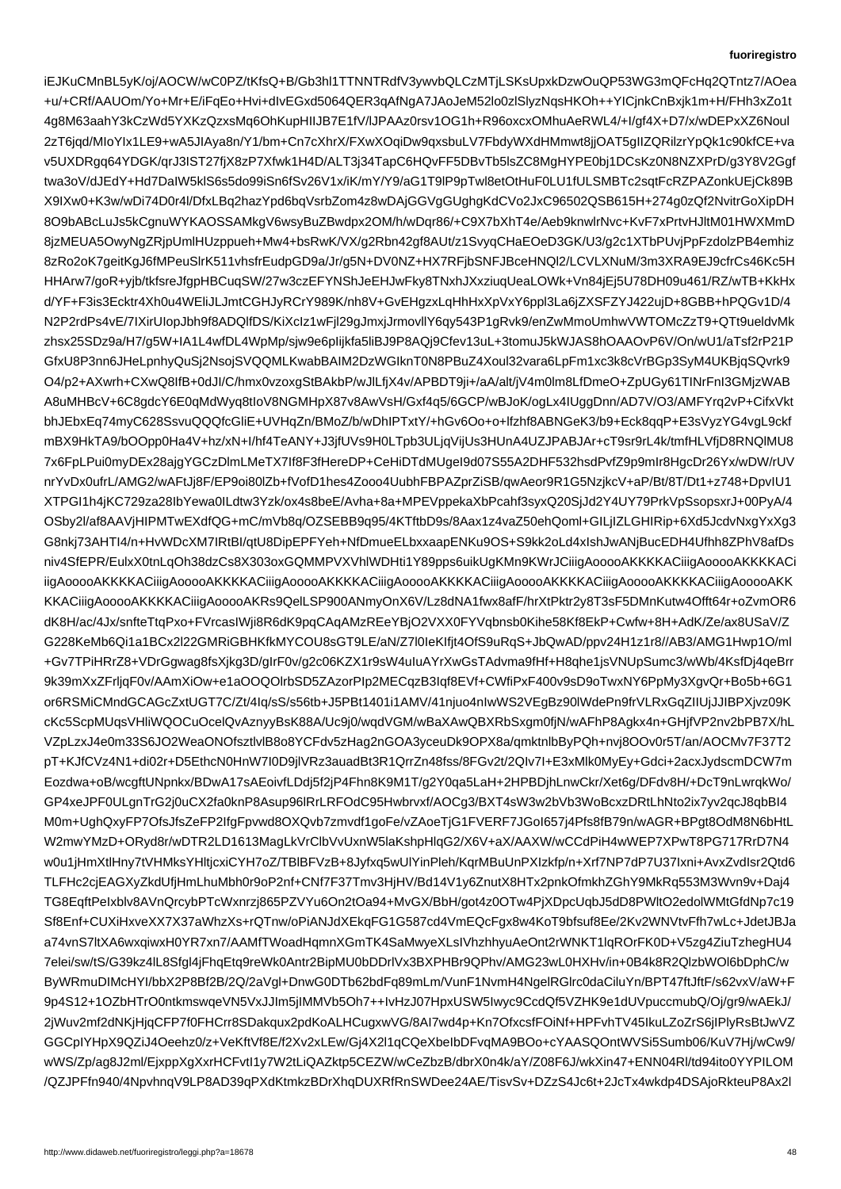iEJKuCMnBL5yK/oj/AOCW/wC0PZ/tKfsQ+B/Gb3hl1TTNNTRdfV3ywvbQLCzMTjLSKsUpxkDzwOuQP53WG3mQFcHq2QTntz7/AOea +u/+CRf/AAUOm/Yo+Mr+E/iFqEo+Hvi+dlvEGxd5064QER3qAfNgA7JAoJeM52lo0zlSlyzNqsHKOh++YICjnkCnBxjk1m+H/FHh3xZo1t 4q8M63aahY3kCzWd5YXKzQzxsMq6OhKupHIIJB7E1fV/IJPAAz0rsv1OG1h+R96oxcxOMhuAeRWL4/+I/qf4X+D7/x/wDEPxXZ6Noul 2zT6jqd/MIoYlx1LE9+wA5JIAya8n/Y1/bm+Cn7cXhrX/FXwXOqiDw9qxsbuLV7FbdyWXdHMmwt8jjOAT5qIIZQRilzrYpQk1c90kfCE+va v5UXDRgq64YDGK/qrJ3IST27fjX8zP7Xfwk1H4D/ALT3j34TapC6HQvFF5DBvTb5lsZC8MgHYPE0bj1DCsKz0N8NZXPrD/g3Y8V2Ggf twa3oV/dJEdY+Hd7DaIW5kIS6s5do99iSn6fSv26V1x/iK/mY/Y9/aG1T9lP9pTwl8etOtHuF0LU1fULSMBTc2sqtFcRZPAZonkUEjCk89B X9IXw0+K3w/wDi74D0r4I/DfxLBq2hazYpd6bqVsrbZom4z8wDAjGGVgGUghgKdCVo2JxC96502QSB615H+274g0zQf2NvitrGoXipDH 8O9bABcLuJs5kCgnuWYKAOSSAMkgV6wsyBuZBwdpx2OM/h/wDqr86/+C9X7bXhT4e/Aeb9knwlrNvc+KvF7xPrtvHJltM01HWXMmD 8jzMEUA5OwyNgZRjpUmlHUzppueh+Mw4+bsRwK/VX/g2Rbn42gf8AUt/z1SvyqCHaEOeD3GK/U3/g2c1XTbPUvjPpFzdolzPB4emhiz 8zRo2oK7geitKgJ6fMPeuSlrK511vhsfrEudpGD9a/Jr/g5N+DV0NZ+HX7RFjbSNFJBceHNQl2/LCVLXNuM/3m3XRA9EJ9cfrCs46Kc5H HHArw7/goR+yjb/tkfsreJfgpHBCuqSW/27w3czEFYNShJeEHJwFky8TNxhJXxziuqUeaLOWk+Vn84jEj5U78DH09u461/RZ/wTB+KkHx d/YF+F3is3Ecktr4Xh0u4WEliJLJmtCGHJyRCrY989K/nh8V+GvEHqzxLqHhHxXpVxY6ppl3La6jZXSFZYJ422ujD+8GBB+hPQGv1D/4 N2P2rdPs4vE/7IXirUlopJbh9f8ADQlfDS/KiXclz1wFil29qJmxjJrmovllY6qy543P1qRvk9/enZwMmoUmhwVWTOMcZzT9+QTt9ueldvMk zhsx25SDz9a/H7/g5W+IA1L4wfDL4WpMp/sjw9e6plijkfa5liBJ9P8AQj9Cfev13uL+3tomuJ5kWJAS8hOAAOvP6V/On/wU1/aTsf2rP21P GfxU8P3nn6JHeLpnhyQuSj2NsojSVQQMLKwabBAIM2DzWGIknT0N8PBuZ4Xoul32vara6LpFm1xc3k8cVrBGp3SyM4UKBjqSQvrk9 O4/p2+AXwrh+CXwQ8lfB+0dJl/C/hmx0vzoxgStBAkbP/wJlLfjX4v/APBDT9ji+/aA/alt/jV4m0lm8LfDmeO+ZpUGy61TINrFnl3GMjzWAB A8uMHBcV+6C8gdcY6E0qMdWyq8tloV8NGMHpX87v8AwVsH/Gxf4q5/6GCP/wBJoK/ogLx4IUggDnn/AD7V/O3/AMFYrq2vP+CifxVkt bhJEbxEq74myC628SsvuQQQfcGliE+UVHqZn/BMoZ/b/wDhIPTxtY/+hGv6Oo+o+lfzhf8ABNGeK3/b9+Eck8qqP+E3sVyzYG4vgL9ckf mBX9HkTA9/bOOpp0Ha4V+hz/xN+I/hf4TeANY+J3jfUVs9H0LTpb3ULjqVijUs3HUnA4UZJPABJAr+cT9sr9rL4k/tmfHLVfjD8RNQIMU8 7x6FpLPui0myDEx28ajqYGCzDlmLMeTX7lf8F3fHereDP+CeHiDTdMUqel9d07S55A2DHF532hsdPvfZ9p9mlr8HqcDr26Yx/wDW/rUV nrYvDx0ufrL/AMG2/wAFtJj8F/EP9oi80lZb+fVofD1hes4Zooo4UubhFBPAZprZiSB/qwAeor9R1G5NzjkcV+aP/Bt/8T/Dt1+z748+DpvlU1 XTPGI1h4jKC729za28lbYewa0lLdtw3Yzk/ox4s8beE/Avha+8a+MPEVppekaXbPcahf3syxQ20SjJd2Y4UY79PrkVpSsopsxrJ+00PyA/4 OSby2l/af8AAViHIPMTwEXdfQG+mC/mVb8q/OZSEBB9q95/4KTftbD9s/8Aax1z4vaZ50ehQoml+GILjIZLGHIRip+6Xd5JcdvNxqYxXq3 G8nkj73AHTI4/n+HvWDcXM7IRtBI/qtU8DipEPFYeh+NfDmueELbxxaapENKu9OS+S9kk2oLd4xIshJwANjBucEDH4Ufhh8ZPhV8afDs niv4SfEPR/EulxX0tnLqOh38dzCs8X303oxGQMMPVXVhlWDHti1Y89pps6uikUgKMn9KWrJCiiigAooooAKKKKACiiigAooooAKKKKACi iigAooooAKKKKACiiigAooooAKKKKACiiigAooooAKKKKACiiigAooooAKKKKACiiigAooooAKKKKACiiigAooooAKKKKACiiigAooooAKK KKACiiiqAooooAKKKKACiiiqAooooAKRs9QeILSP900ANmyOnX6V/Lz8dNA1fwx8afF/hrXtPktr2y8T3sF5DMnKutw4Offt64r+oZvmOR6 dK8H/ac/4Jx/snfteTtqPxo+FVrcasIWji8R6dK9pqCAqAMzREeYBjO2VXX0FYVqbnsb0Kihe58Kf8EkP+Cwfw+8H+AdK/Ze/ax8USaV/Z G228KeMb6Qi1a1BCx2l22GMRiGBHKfkMYCOU8sGT9LE/aN/Z7l0leKlfjt4OfS9uRqS+JbQwAD/ppv24H1z1r8//AB3/AMG1Hwp1O/ml +Gv7TPiHRrZ8+VDrGgwag8fsXjkg3D/gIrF0v/g2c06KZX1r9sW4uIuAYrXwGsTAdvma9fHf+H8qhe1jsVNUpSumc3/wWb/4KsfDj4qeBrr 9k39mXxZFrligF0v/AAmXiOw+e1aOOQOlrbSD5ZAzorPlp2MECqzB3lqf8EVf+CWfiPxF400v9sD9oTwxNY6PpMy3XqvQr+Bo5b+6G1 or6RSMiCMndGCAGcZxtUGT7C/Zt/4lq/sS/s56tb+J5PBt1401i1AMV/41njuo4nlwWS2VEqBz90lWdePn9frVLRxGqZIIUjJJIBPXjvz09K cKc5ScpMUqsVHliWQOCuOcelQvAznyyBsK88A/Uc9j0/wqdVGM/wBaXAwQBXRbSxqm0fjN/wAFhP8Aqkx4n+GHjfVP2nv2bPB7X/hL VZpLzxJ4e0m33S6JO2WeaONOfsztlvIB8o8YCFdv5zHag2nGOA3yceuDk9OPX8a/qmktnlbByPQh+nvj8OOv0r5T/an/AOCMv7F37T2 pT+KJfCVz4N1+di02r+D5EthcN0HnW7I0D9jlVRz3auadBt3R1QrrZn48fss/8FGv2t/2Qlv7I+E3xMlk0MyEy+Gdci+2acxJydscmDCW7m Eozdwa+oB/wcgftUNpnkx/BDwA17sAEoivfLDdj5f2jP4Fhn8K9M1T/g2Y0qa5LaH+2HPBDjhLnwCkr/Xet6g/DFdv8H/+DcT9nLwrqkWo/ GP4xeJPF0ULgnTrG2j0uCX2fa0knP8Asup96lRrLRFOdC95Hwbrvxf/AOCg3/BXT4sW3w2bVb3WoBcxzDRtLhNto2ix7yv2qcJ8qbBl4 M0m+UghQxyFP7OfsJfsZeFP2IfgFpvwd8OXQvb7zmvdf1goFe/vZAoeTjG1FVERF7JGoI657j4Pfs8fB79n/wAGR+BPgt8OdM8N6bHtL W2mwYMzD+ORyd8r/wDTR2LD1613MagLkVrClbVvUxnW5laKshpHlgG2/X6V+aX/AAXW/wCCdPiH4wWEP7XPwT8PG717RrD7N4 w0u1jHmXtlHny7tVHMksYHltjcxiCYH7oZ/TBlBFVzB+8Jyfxq5wUlYinPleh/KqrMBuUnPXIzkfp/n+Xrf7NP7dP7U37Ixni+AvxZvdIsr2Qtd6 TLFHc2cjEAGXyZkdUfjHmLhuMbh0r9oP2nf+CNf7F37Tmv3HjHV/Bd14V1y6ZnutX8HTx2pnkOfmkhZGhY9MkRq553M3Wvn9v+Daj4 TG8EqftPelxblv8AVnQrcybPTcWxnrzj865PZVYu6On2tOa94+MvGX/BbH/qot4z0OTw4PjXDpcUqbJ5dD8PWltO2edolWMtGfdNp7c19 Sf8Enf+CUXiHxveXX7X37aWhzXs+rQTnw/oPiANJdXEkqFG1G587cd4VmEQcFqx8w4KoT9bfsuf8Ee/2Kv2WNVtvFfh7wLc+JdetJBJa a74vnS7ltXA6wxqiwxH0YR7xn7/AAMfTWoadHqmnXGmTK4SaMwyeXLsIVhzhhyuAeOnt2rWNKT1lqROrFK0D+V5zg4ZiuTzhegHU4 7elei/sw/tS/G39kz4lL8Sfgl4jFhqEtq9reWk0Antr2BipMU0bDDrlVx3BXPHBr9QPhv/AMG23wL0HXHv/in+0B4k8R2QlzbWOl6bDphC/w ByWRmuDIMcHYI/bbX2P8Bf2B/2Q/2aVgl+DnwG0DTb62bdFq89mLm/VunF1NvmH4NgelRGlrc0daCiluYn/BPT47ftJftF/s62vxV/aW+F 9p4S12+1OZbHTrO0ntkmswqeVN5VxJJIm5jIMMVb5Oh7++IvHzJ07HpxUSW5Iwyc9CcdQf5VZHK9e1dUVpuccmubQ/Oj/gr9/wAEkJ/ 2jWuv2mf2dNKjHjqCFP7f0FHCrr8SDakqux2pdKoALHCugxwVG/8AI7wd4p+Kn7OfxcsfFOiNf+HPFvhTV45lkuLZoZrS6jIPlyRsBtJwVZ GGCpIYHpX9QZiJ4Oeehz0/z+VeKftVf8E/f2Xv2xLEw/Gj4X2l1qCQeXbelbDFvqMA9BOo+cYAASQOntWVSi5Sumb06/KuV7Hj/wCw9/ wWS/Zp/ag8J2ml/EjxppXgXxrHCFvtI1y7W2tLiQAZktp5CEZW/wCeZbzB/dbrX0n4k/aY/Z08F6J/wkXin47+ENN04Rl/td94ito0YYPILOM /QZJPFfn940/4NpvhnqV9LP8AD39qPXdKtmkzBDrXhqDUXRfRnSWDee24AE/TisvSv+DZzS4Jc6t+2JcTx4wkdp4DSAjoRkteuP8Ax2l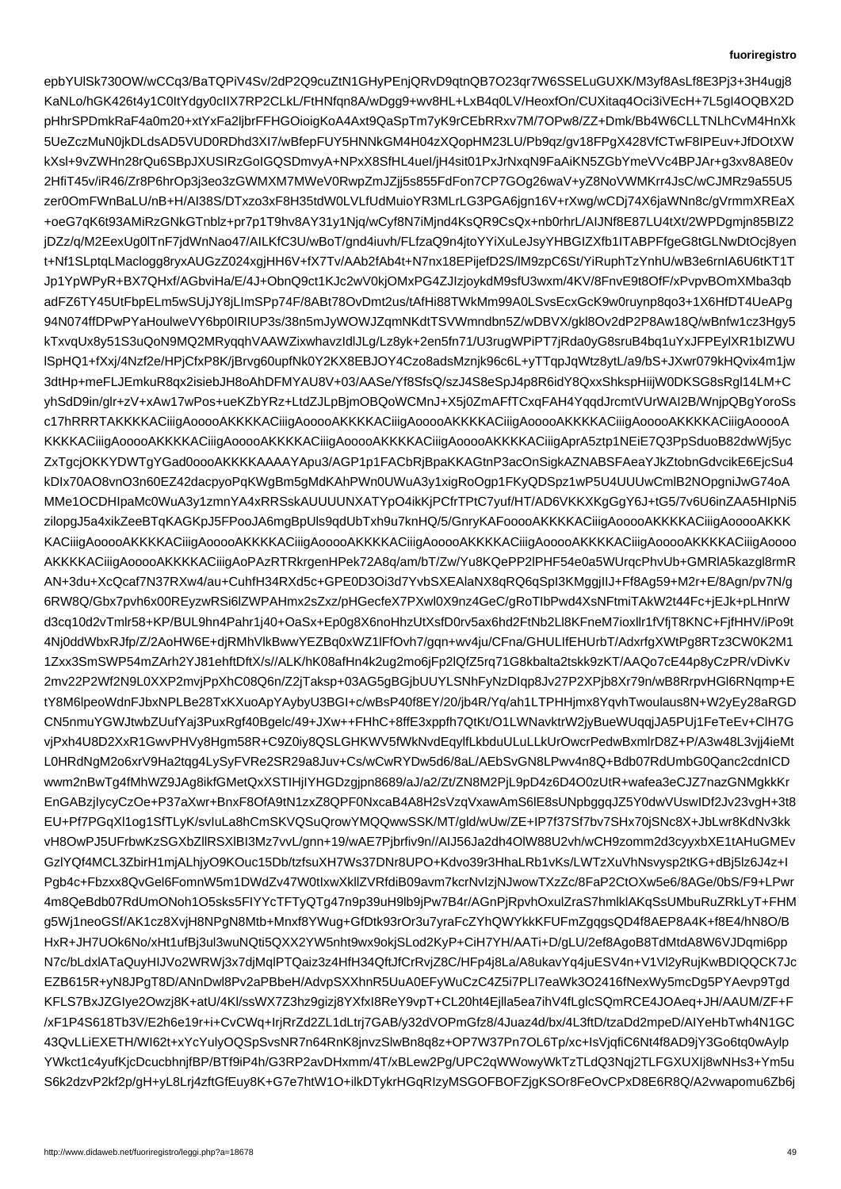epbYUISk730OW/wCCq3/BaTQPiV4Sv/2dP2Q9cuZtN1GHyPEnjQRvD9qtnQB7O23qr7W6SSELuGUXK/M3yf8AsLf8E3Pj3+3H4ugj8 KaNLo/hGK426t4y1C0ltYdgy0cllX7RP2CLkL/FtHNfqn8A/wDgg9+wv8HL+LxB4q0LV/HeoxfOn/CUXitaq4Oci3iVEcH+7L5gl4OQBX2D pHhrSPDmkRaF4a0m20+xtYxFa2librFFHGOioiqKoA4Axt9QaSpTm7yK9rCEbRRxv7M/7OPw8/ZZ+Dmk/Bb4W6CLLTNLhCvM4HnXk 5UeZczMuN0jkDLdsAD5VUD0RDhd3XI7/wBfepFUY5HNNkGM4H04zXQopHM23LU/Pb9qz/qv18FPqX428VfCTwF8IPEuv+JfDOtXW kXsI+9vZWHn28rQu6SBpJXUSIRzGoIGQSDmvyA+NPxX8SfHL4uel/jH4sit01PxJrNxqN9FaAiKN5ZGbYmeVVc4BPJAr+g3xv8A8E0v 2HfiT45v/iR46/Zr8P6hrOp3j3eo3zGWMXM7MWeV0RwpZmJZjj5s855FdFon7CP7GOg26waV+yZ8NoVWMKrr4JsC/wCJMRz9a55U5 zer0OmFWnBaLU/nB+H/AI38S/DTxzo3xF8H35tdW0LVLfUdMuioYR3MLrLG3PGA6jgn16V+rXwg/wCDj74X6jaWNn8c/gVrmmXREaX +oeG7qK6t93AMiRzGNkGTnblz+pr7p1T9hv8AY31y1Njq/wCyf8N7iMjnd4KsQR9CsQx+nb0rhrL/AIJNf8E87LU4tXt/2WPDgmjn85BIZ2 jDZz/q/M2EexUg0lTnF7jdWnNao47/AILKfC3U/wBoT/gnd4iuvh/FLfzaQ9n4jtoYYiXuLeJsyYHBGIZXfb1ITABPFfgeG8tGLNwDtOcj8yen t+Nf1SLptqLMaclogg8ryxAUGzZ024xgjHH6V+fX7Tv/AAb2fAb4t+N7nx18EPijefD2S/IM9zpC6St/YiRuphTzYnhU/wB3e6rnIA6U6tKT1T Jp1YpWPyR+BX7QHxf/AGbviHa/E/4J+ObnQ9ct1KJc2wV0kjOMxPG4ZJIzjoykdM9sfU3wxm/4KV/8FnvE9t8OfF/xPvpvBOmXMba3qb adFZ6TY45UtFbpELm5wSUjJY8jLImSPp74F/8ABt78OvDmt2us/tAfHi88TWkMm99A0LSvsEcxGcK9w0ruynp8qo3+1X6HfDT4UeAPq 94N074ffDPwPYaHoulweVY6bp0IRIUP3s/38n5mJyWOWJZqmNKdtTSVWmndbn5Z/wDBVX/qkl8Ov2dP2P8Aw18Q/wBnfw1cz3Hqv5 kTxvqUx8y51S3uQoN9MQ2MRyqqhVAAWZixwhavzIdlJLg/Lz8yk+2en5fn71/U3rugWPiPT7jRda0yG8sruB4bq1uYxJFPEylXR1blZWU ISpHQ1+fXxi/4Nzf2e/HPiCfxP8K/iBrva60upfNk0Y2KX8EBJOY4Czo8adsMznik96c6L+vTTapJaWtz8vtL/a9/bS+JXwr079kHQvix4m1iw 3dtHp+meFLJEmkuR8qx2isiebJH8oAhDFMYAU8V+03/AASe/Yf8SfsQ/szJ4S8eSpJ4p8R6idY8QxxShkspHiijW0DKSG8sRgl14LM+C yhSdD9in/glr+zV+xAw17wPos+ueKZbYRz+LtdZJLpBjmOBQoWCMnJ+X5j0ZmAFfTCxqFAH4YqqdJrcmtVUrWAI2B/WnjpQBgYoroSs c17hRRRTAKKKKACiiigAooooAKKKKACiiigAooooAKKKKACiiigAooooAKKKKACiiigAooooAKKKKACiiigAooooAKKKKACiiigAooooA KKKKACiiigAooooAKKKKACiiigAooooAKKKKACiiigAooooAKKKKACiiigAooooAKKKKACiiigAprA5ztp1NEiE7Q3PpSduoB82dwWj5yc ZxTgcjOKKYDWTgYGad0oooAKKKKAAAAYApu3/AGP1p1FACbRjBpaKKAGtnP3acOnSigkAZNABSFAeaYJkZtobnGdvcikE6EjcSu4 kDlx70AO8vnO3n60EZ42dacpyoPqKWgBm5gMdKAhPWn0UWuA3y1xigRoOgp1FKyQDSpz1wP5U4UUUwCmlB2NOpgniJwG74oA MMe1OCDHIpaMc0WuA3y1zmnYA4xRRSskAUUUUNXATYpO4ikKjPCfrTPtC7yuf/HT/AD6VKKXKqGqY6J+tG5/7v6U6inZAA5HIpNi5 zilopgJ5a4xikZeeBTqKAGKpJ5FPooJA6mgBpUls9qdUbTxh9u7knHQ/5/GnryKAFooooAKKKKACiiigAooooAKKKKACiiigAooooAKKKK KACiiigAooooAKKKKACiiigAooooAKKKKACiiigAooooAKKKKACiiigAooooAKKKKACiiigAooooAKKKKACiiigAooooAKKKKACiiigAoooo AKKKKACiiigAooooAKKKKACiiigAoPAzRTRkrgenHPek72A8q/am/bT/Zw/Yu8KQePP2lPHF54e0a5WUrgcPhvUb+GMRIA5kazgl8rmR AN+3du+XcQcaf7N37RXw4/au+CuhfH34RXd5c+GPE0D3Oi3d7YvbSXEAlaNX8qRQ6qSpl3KMggjIIJ+Ff8Ag59+M2r+E/8Agn/pv7N/g 6RW8Q/Gbx7pvh6x00REyzwRSi6lZWPAHmx2sZxz/pHGecfeX7PXwl0X9nz4GeC/qRoTlbPwd4XsNFtmiTAkW2t44Fc+jEJk+pLHnrW d3cq10d2vTmlr58+KP/BUL9hn4Pahr1j40+OaSx+Ep0g8X6noHhzUtXsfD0rv5ax6hd2FtNb2Ll8KFneM7ioxllr1fVfjT8KNC+FjfHHV/iPo9t 4Nj0ddWbxRJfp/Z/2AoHW6E+djRMhVlkBwwYEZBq0xWZ1lFfOvh7/gqn+wv4ju/CFna/GHULIfEHUrbT/AdxrfgXWtPg8RTz3CW0K2M1 1Zxx3SmSWP54mZArh2YJ81ehftDftX/s//ALK/hK08afHn4k2ug2mo6jFp2lQfZ5rq71G8kbalta2tskk9zKT/AAQo7cE44p8yCzPR/vDivKv 2mv22P2Wf2N9L0XXP2mvjPpXhC08Q6n/Z2jTaksp+03AG5qBGjbUUYLSNhFyNzDIqp8Jv27P2XPjb8Xr79n/wB8RrpvHGl6RNqmp+E tY8M6lpeoWdnFJbxNPLBe28TxKXuoApYAybyU3BGI+c/wBsP40f8EY/20/jb4R/Yq/ah1LTPHHjmx8YqvhTwoulaus8N+W2vEv28aRGD CN5nmuYGWJtwbZUufYaj3PuxRqf40Bqelc/49+JXw++FHhC+8ffE3xppfh7QtKt/O1LWNavktrW2jyBueWUqqjJA5PUj1FeTeEv+ClH7G vjPxh4U8D2XxR1GwvPHVy8Hgm58R+C9Z0iy8QSLGHKWV5fWkNvdEqylfLkbduULuLLkUrOwcrPedwBxmlrD8Z+P/A3w48L3vjj4ieMt L0HRdNgM2o6xrV9Ha2tqg4LySyFVRe2SR29a8Juv+Cs/wCwRYDw5d6/8aL/AEbSvGN8LPwv4n8Q+Bdb07RdUmbG0Qanc2cdnICD wwm2nBwTg4fMhWZ9JAg8ikfGMetQxXSTIHjIYHGDzgjpn8689/aJ/a2/Zt/ZN8M2PjL9pD4z6D4O0zUtR+wafea3eCJZ7nazGNMgkkKr EnGABzjIycyCzOe+P37aXwr+BnxF8OfA9tN1zxZ8QPF0NxcaB4A8H2sVzqVxawAmS6lE8sUNpbggqJZ5Y0dwVUswIDf2Jv23vgH+3t8 EU+Pf7PGqXl1og1SfTLyK/svluLa8hCmSKVQSuQrowYMQQwwSSK/MT/gld/wUw/ZE+IP7f37Sf7bv7SHx70jSNc8X+JbLwr8KdNv3kk vH8OwPJ5UFrbwKzSGXbZllRSXIBI3Mz7vvL/gnn+19/wAE7Pjbrfiv9n//AIJ56Ja2dh4OlW88U2vh/wCH9zomm2d3cyyxbXE1tAHuGMEv GzlYQf4MCL3ZbirH1mjALhjyO9KOuc15Db/tzfsuXH7Ws37DNr8UPO+Kdvo39r3HhaLRb1vKs/LWTzXuVhNsvysp2tKG+dBj5lz6J4z+I Pqb4c+Fbzxx8QvGel6FomnW5m1DWdZv47W0tlxwXkllZVRfdiB09avm7kcrNvlzjNJwowTXzZc/8FaP2CtOXw5e6/8AGe/0bS/F9+LPwr 4m8QeBdb07RdUmONoh1O5sks5FIYYcTFTyQTq47n9p39uH9lb9jPw7B4r/AGnPjRpvhOxulZraS7hmlkIAKqSsUMbuRuZRkLyT+FHM g5Wj1neoGSf/AK1cz8XvjH8NPgN8Mtb+Mnxf8YWug+GfDtk93rOr3u7yraFcZYhQWYkkKFUFmZgqgsQD4f8AEP8A4K+f8E4/hN8O/B HxR+JH7UOk6No/xHt1ufBj3ul3wuNQti5QXX2YW5nht9wx9okjSLod2KyP+CiH7YH/AATi+D/gLU/2ef8AgoB8TdMtdA8W6VJDqmi6pp N7c/bLdxlATaQuyHIJVo2WRWj3x7djMqlPTQaiz3z4HfH34QftJfCrRvjZ8C/HFp4j8La/A8ukavYq4juESV4n+V1Vl2yRujKwBDIQQCK7Jc EZB615R+yN8JPgT8D/ANnDwl8Pv2aPBbeH/AdvpSXXhnR5UuA0EFyWuCzC4Z5i7PLI7eaWk3O2416fNexWy5mcDg5PYAevp9Tgd KFLS7BxJZGIye2Owzj8K+atU/4Kl/ssWX7Z3hz9gizj8YXfxI8ReY9vpT+CL20ht4Ejlla5ea7ihV4fLglcSQmRCE4JOAeq+JH/AAUM/ZF+F /xF1P4S618Tb3V/E2h6e19r+i+CvCWq+IrjRrZd2ZL1dLtrj7GAB/y32dVOPmGfz8/4Juaz4d/bx/4L3ftD/tzaDd2mpeD/AIYeHbTwh4N1GC 43QvLLiEXETH/WI62t+xYcYulyOQSpSvsNR7n64RnK8jnvzSlwBn8q8z+OP7W37Pn7OL6Tp/xc+IsVjqfiC6Nt4f8AD9jY3Go6tq0wAylp YWkct1c4yufKjcDcucbhnjfBP/BTf9iP4h/G3RP2avDHxmm/4T/xBLew2Pg/UPC2qWWowyWkTzTLdQ3Nqj2TLFGXUXIj8wNHs3+Ym5u S6k2dzvP2kf2p/gH+yL8Lrj4zftGfEuy8K+G7e7htW1O+ilkDTykrHGqRIzyMSGOFBOFZjgKSOr8FeOvCPxD8E6R8Q/A2vwapomu6Zb6j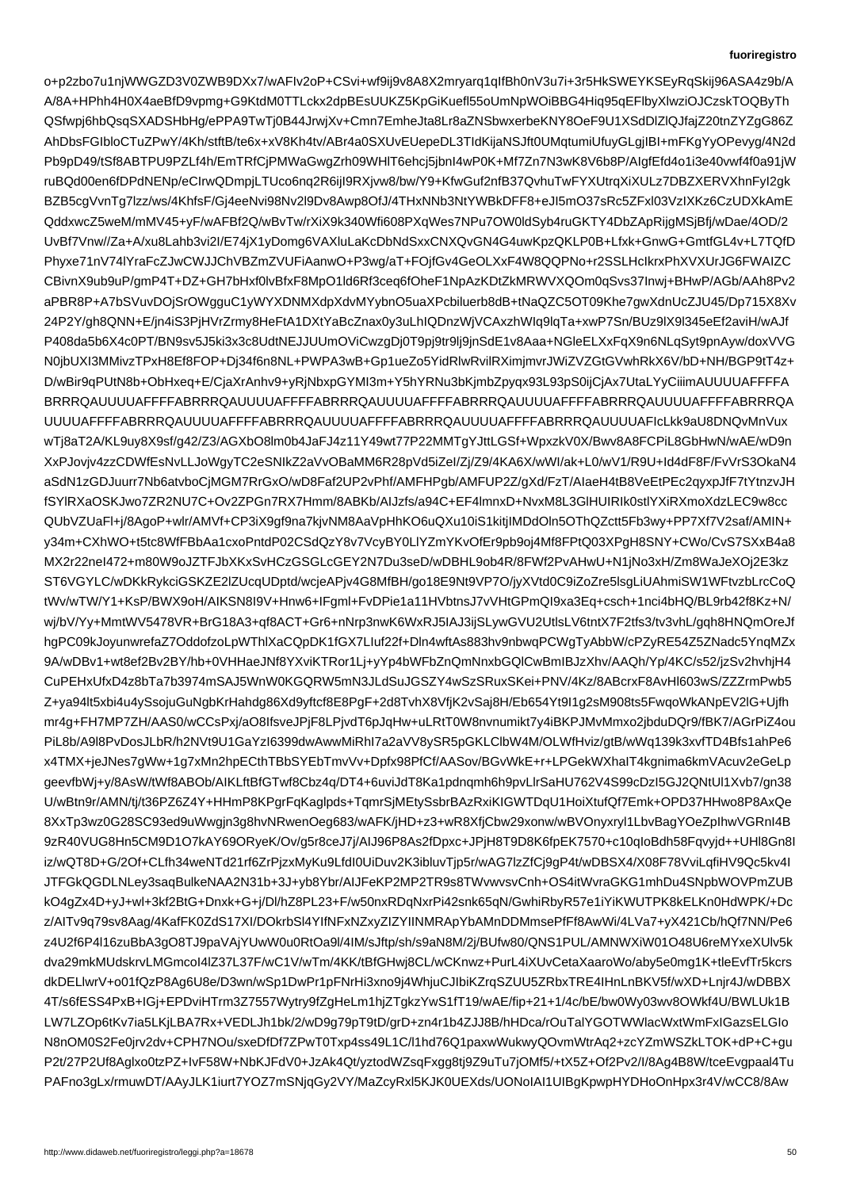o+p2zbo7u1njWWGZD3V0ZWB9DXx7/wAFlv2oP+CSvi+wf9ij9v8A8X2mryarq1qlfBh0nV3u7i+3r5HkSWEYKSEyRqSkij96ASA4z9b/A A/8A+HPhh4H0X4aeBfD9vpmq+G9KtdM0TTLckx2dpBEsUUKZ5KpGiKuefl55oUmNpWOiBBG4Hiq95qEFlbyXlwziOJCzskTOQByTh QSfwpj6hbQsqSXADSHbHq/ePPA9TwTj0B44JrwjXv+Cmn7EmheJta8Lr8aZNSbwxerbeKNY8OeF9U1XSdDlZlQJfajZ20tnZYZqG86Z AhDbsFGIbloCTuZPwY/4Kh/stftB/te6x+xV8Kh4tv/ABr4a0SXUvEUepeDL3TIdKijaNSJft0UMqtumiUfuyGLqjIBI+mFKqYyOPevyq/4N2d Pb9pD49/tSf8ABTPU9PZLf4h/EmTRfCjPMWaGwgZrh09WHIT6ehcj5jbnl4wP0K+Mf7Zn7N3wK8V6b8P/AlgfEfd4o1i3e40vwf4f0a91jW ruBQd00en6fDPdNENp/eCIrwQDmpjLTUco6nq2R6ijI9RXjvw8/bw/Y9+KfwGuf2nfB37QvhuTwFYXUtrqXiXULz7DBZXERVXhnFyI2gk BZB5cgVvnTg7lzz/ws/4KhfsF/Gi4eeNvi98Nv2l9Dv8Awp8OfJ/4THxNNb3NtYWBkDFF8+eJI5mO37sRc5ZFxI03VzIXKz6CzUDXkAmE QddxwcZ5weM/mMV45+yF/wAFBf2Q/wBvTw/rXiX9k340Wfi608PXqWes7NPu7OW0ldSyb4ruGKTY4DbZApRijqMSjBfj/wDae/4OD/2 UvBf7Vnw//Za+A/xu8Lahb3vi2I/E74jX1yDomg6VAXIuLaKcDbNdSxxCNXQvGN4G4uwKpzQKLP0B+Lfxk+GnwG+GmtfGL4v+L7TQfD Phyxe71nV74IYraFcZJwCWJJChVBZmZVUFiAanwO+P3wg/aT+FOjfGv4GeOLXxF4W8QQPNo+r2SSLHclkrxPhXVXUrJG6FWAIZC CBivnX9ub9uP/gmP4T+DZ+GH7bHxf0lvBfxF8MpO1ld6Rf3ceq6fOheF1NpAzKDtZkMRWVXQOm0qSvs37Inwj+BHwP/AGb/AAh8Pv2 aPBR8P+A7bSVuvDOjSrOWqquC1yWYXDNMXdpXdvMYybnO5uaXPcbiluerb8dB+tNaQZC5OT09Khe7qwXdnUcZJU45/Dp715X8Xv 24P2Y/gh8QNN+E/jn4iS3PjHVrZrmy8HeFtA1DXtYaBcZnax0y3uLhIQDnzWjVCAxzhWlg9lqTa+xwP7Sn/BUz9lX9l345eEf2aviH/wAJf P408da5b6X4c0PT/BN9sv5J5ki3x3c8UdtNEJJUUmOViCwzgDj0T9pj9tr9lj9jnSdE1v8Aaa+NGleELXxFqX9n6NLqSyt9pnAyw/doxVVG N0ibUXI3MMivzTPxH8Ef8FOP+Di34f6n8NL+PWPA3wB+Gp1ueZo5YidRlwRvilRXimimvrJWiZVZGtGVwhRkX6V/bD+NH/BGP9tT4z+ D/wBir9qPUtN8b+ObHxeq+E/CjaXrAnhv9+yRjNbxpGYMI3m+Y5hYRNu3bKjmbZpyqx93L93pS0ijCjAx7UtaLYyCiiimAUUUUAFFFFA BRRRQAUUUUAFFFFABRRRQAUUUUAFFFFABRRRQAUUUUAFFFFABRRRQAUUUUAFFFFABRRRQAUUUUAFFFFABRRRQA UUUUAFFFFABRRRQAUUUUAFFFFABRRRQAUUUUAFFFFABRRRQAUUUUAFFFFABRRRQAUUUUAFIcLkk9aU8DNQvMnVux wTj8aT2A/KL9uy8X9sf/g42/Z3/AGXbO8lm0b4JaFJ4z11Y49wt77P22MMTgYJttLGSf+WpxzkV0X/Bwv8A8FCPiL8GbHwN/wAE/wD9n XxPJovjv4zzCDWfEsNvLLJoWqyTC2eSNIkZ2aVvOBaMM6R28pVd5iZel/Zj/Z9/4KA6X/wWI/ak+L0/wV1/R9U+Id4dF8F/FvVrS3OkaN4 aSdN1zGDJuurr7Nb6atvboCjMGM7RrGxO/wD8Faf2UP2vPhf/AMFHPgb/AMFUP2Z/gXd/FzT/AlaeH4tB8VeEtPEc2qyxpJfF7tYtnzvJH fSYIRXaOSKJwo7ZR2NU7C+Ov2ZPGn7RX7Hmm/8ABKb/AIJzfs/a94C+EF4ImnxD+NvxM8L3GIHUIRIk0stlYXiRXmoXdzLEC9w8cc QUbVZUaFI+i/8AqoP+wlr/AMVf+CP3iX9qf9na7kivNM8AaVpHhKO6uQXu10iS1kitjlMDdOln5OThQZctt5Fb3wy+PP7Xf7V2saf/AMIN+ y34m+CXhWO+t5tc8WfFBbAa1cxoPntdP02CSdQzY8v7VcyBY0LlYZmYKvOfEr9pb9oj4Mf8FPtQ03XPgH8SNY+CWo/CvS7SXxB4a8 MX2r22neI472+m80W9oJZTFJbXKxSvHCzGSGLcGEY2N7Du3seD/wDBHL9ob4R/8FWf2PvAHwU+N1jNo3xH/Zm8WaJeXOj2E3kz ST6VGYLC/wDKkRykciGSKZE2IZUcqUDptd/wcjeAPjv4G8MfBH/go18E9Nt9VP7O/jyXVtd0C9iZoZre5lsgLiUAhmiSW1WFtvzbLrcCoQ tWv/wTW/Y1+KsP/BWX9oH/AIKSN8I9V+Hnw6+IFgml+FvDPie1a11HVbtnsJ7vVHtGPmQI9xa3Eq+csch+1nci4bHQ/BL9rb42f8Kz+N/ wj/bV/Yy+MmtWV5478VR+BrG18A3+qf8ACT+Gr6+nNrp3nwK6WxRJ5IAJ3ijSLywGVU2UtlsLV6tntX7F2tfs3/tv3vhL/qqh8HNQmOreJf hgPC09kJoyunwrefaZ7OddofzoLpWThIXaCQpDK1fGX7LIuf22f+Dln4wftAs883hv9nbwqPCWgTyAbbW/cPZyRE54Z5ZNadc5YnqMZx 9A/wDBv1+wt8ef2Bv2BY/hb+0VHHaeJNf8YXviKTRor1Lj+yYp4bWFbZnQmNnxbGQlCwBmIBJzXhv/AAQh/Yp/4KC/s52/jzSv2hvhjH4 CuPEHxUfxD4z8bTa7b3974mSAJ5WnW0KGQRW5mN3JLdSuJGSZY4wSzSRuxSKei+PNV/4Kz/8ABcrxF8AvHl603wS/ZZZrmPwb5 Z+ya94lt5xbi4u4ySsojuGuNgbKrHahdg86Xd9yftcf8E8PgF+2d8TvhX8VfjK2vSaj8H/Eb654Yt9l1g2sM908ts5FwqoWkANpEV2lG+Ujfh mr4g+FH7MP7ZH/AAS0/wCCsPxj/aO8lfsveJPjF8LPjvdT6pJqHw+uLRtT0W8nvnumikt7y4iBKPJMvMmxo2jbduDQr9/fBK7/AGrPiZ4ou PiL8b/A9l8PvDosJLbR/h2NVt9U1GaYzl6399dwAwwMiRhI7a2aVV8ySR5pGKLClbW4M/OLWfHviz/gtB/wWq139k3xvfTD4Bfs1ahPe6 x4TMX+jeJNes7gWw+1g7xMn2hpECthTBbSYEbTmvVv+Dpfx98PfCf/AASov/BGvWkE+r+LPGekWXhalT4kgnima6kmVAcuv2eGeLp geevfbWj+y/8AsW/tWf8ABOb/AIKLftBfGTwf8Cbz4q/DT4+6uviJdT8Ka1pdnqmh6h9pvLlrSaHU762V4S99cDzI5GJ2QNtUl1Xvb7/gn38 U/wBtn9r/AMN/tj/t36PZ6Z4Y+HHmP8KPgrFqKaglpds+TgmrSjMEtySsbrBAzRxiKIGWTDgU1HoiXtufQf7Emk+OPD37HHwo8P8AxQe 8XxTp3wz0G28SC93ed9uWwgjn3g8hvNRwenOeg683/wAFK/jHD+z3+wR8XfjCbw29xonw/wBVOnyxryl1LbvBagYOeZplhwVGRnl4B 9zR40VUG8Hn5CM9D1O7kAY69ORyeK/Ov/q5r8ceJ7j/AIJ96P8As2fDpxc+JPjH8T9D8K6fpEK7570+c10qloBdh58Fqvyjd++UHl8Gn8I iz/wQT8D+G/2Of+CLfh34weNTd21rf6ZrPjzxMyKu9Lfdl0UiDuv2K3ibluvTjp5r/wAG7lzZfCj9gP4t/wDBSX4/X08F78VviLqfiHV9Qc5kv4l JTFGkQGDLNLey3saqBulkeNAA2N31b+3J+yb8Ybr/AIJFeKP2MP2TR9s8TWvwvsvCnh+OS4itWvraGKG1mhDu4SNpbWOVPmZUB kO4gZx4D+yJ+wl+3kf2BtG+Dnxk+G+j/Dl/hZ8PL23+F/w50nxRDgNxrPi42snk65gN/GwhiRbyR57e1iYiKWUTPK8kELKn0HdWPK/+Dc z/AITv9q79sv8Aaq/4KafFK0ZdS17XI/DOkrbSI4YIfNFxNZxyZIZYIINMRApYbAMnDDMmsePfFf8AwWi/4LVa7+yX421Cb/hQf7NN/Pe6 z4U2f6P4I16zuBbA3gO8TJ9paVAjYUwW0u0RtOa9l/4IM/sJftp/sh/s9aN8M/2j/BUfw80/QNS1PUL/AMNWXiW01O48U6reMYxeXUlv5k dva29mkMUdskrvLMGmcol4lZ37L37F/wC1V/wTm/4KK/tBfGHwj8CL/wCKnwz+PurL4iXUvCetaXaaroWo/aby5e0mg1K+tleEvfTr5kcrs dkDELlwrV+o01fQzP8Ag6U8e/D3wn/wSp1DwPr1pFNrHi3xno9j4WhjuCJIbiKZrqSZUU5ZRbxTRE4IHnLnBKV5f/wXD+Lnjr4J/wDBBX 4T/s6fESS4PxB+IGj+EPDviHTrm3Z7557Wytry9fZgHeLm1hjZTgkzYwS1fT19/wAE/fip+21+1/4c/bE/bw0Wy03wv8OWkf4U/BWLUk1B LW7LZOp6tKv7ia5LKjLBA7Rx+VEDLJh1bk/2/wD9q79pT9tD/qrD+zn4r1b4ZJJ8B/hHDca/rOuTalYGOTWWlacWxtWmFxIGazsELGlo N8nOM0S2Fe0jrv2dv+CPH7NOu/sxeDfDf7ZPwT0Txp4ss49L1C/l1hd76Q1paxwWukwyQOvmWtrAq2+zcYZmWSZkLTOK+dP+C+gu P2t/27P2Uf8Aglxo0tzPZ+IvF58W+NbKJFdV0+JzAk4Qt/yztodWZsqFxgg8tj9Z9uTu7jOMf5/+tX5Z+Of2Pv2/l/8Ag4B8W/tceEvgpaal4Tu PAFno3gLx/rmuwDT/AAyJLK1iurt7YOZ7mSNjqGy2VY/MaZcyRxl5KJK0UEXds/UONoIAI1UIBgKpwpHYDHoOnHpx3r4V/wCC8/8Aw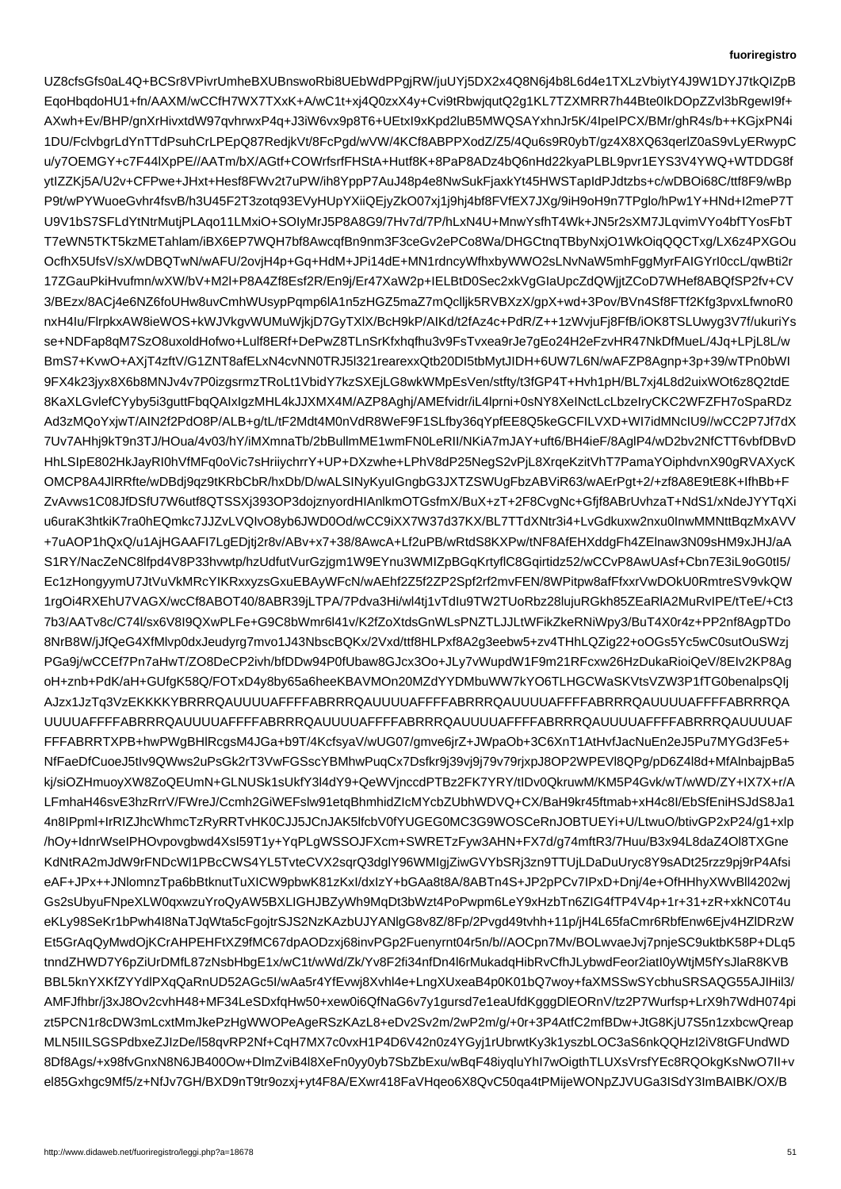UZ8cfsGfs0aL4Q+BCSr8VPivrUmheBXUBnswoRbi8UEbWdPPgjRW/juUYj5DX2x4Q8N6j4b8L6d4e1TXLzVbiytY4J9W1DYJ7tkQlZpB EqoHbqdoHU1+fn/AAXM/wCCfH7WX7TXxK+A/wC1t+xj4Q0zxX4y+Cvi9tRbwjqutQ2g1KL7TZXMRR7h44Bte0lkDOpZZvl3bRgewl9f+ AXwh+Ev/BHP/qnXrHivxtdW97qvhrwxP4q+J3iW6vx9p8T6+UEtxl9xKpd2luB5MWQSAYxhnJr5K/4lpeIPCX/BMr/qhR4s/b++KGixPN4i 1DU/FclvbgrLdYnTTdPsuhCrLPEpQ87RedjkVt/8FcPgd/wVW/4KCf8ABPPXodZ/Z5/4Qu6s9R0ybT/gz4X8XQ63gerlZ0aS9vLyERwypC u/y7OEMGY+c7F44IXpPE//AATm/bX/AGtf+COWrfsrfFHStA+Hutf8K+8PaP8ADz4bQ6nHd22kyaPLBL9pvr1EYS3V4YWQ+WTDDG8f ytlZZKj5A/U2v+CFPwe+JHxt+Hesf8FWv2t7uPW/ih8YppP7AuJ48p4e8NwSukFjaxkYt45HWSTapIdPJdtzbs+c/wDBOi68C/ttf8F9/wBp P9t/wPYWuoeGvhr4fsvB/h3U45F2T3zotq93EVyHUpYXiiQEjyZkO07xj1j9hj4bf8FVfEX7JXq/9iH9oH9n7TPglo/hPw1Y+HNd+l2meP7T U9V1bS7SFLdYtNtrMutjPLAqo11LMxiO+SOlyMrJ5P8A8G9/7Hv7d/7P/hLxN4U+MnwYsfhT4Wk+JN5r2sXM7JLqvimVYo4bfTYosFbT T7eWN5TKT5kzMETahlam/iBX6EP7WQH7bf8AwcqfBn9nm3F3ceGv2ePCo8Wa/DHGCtnqTBbyNxjO1WkOiqQQCTxg/LX6z4PXGOu OcfhX5UfsV/sX/wDBQTwN/wAFU/2ovjH4p+Gq+HdM+JPi14dE+MN1rdncyWfhxbyWWO2sLNvNaW5mhFggMyrFAIGYrI0ccL/qwBti2r 17ZGauPkiHvufmn/wXW/bV+M2l+P8A4Zf8Esf2R/En9j/Er47XaW2p+IELBtD0Sec2xkVgGlaUpcZdQWjjtZCoD7WHef8ABQfSP2fv+CV 3/BEzx/8ACj4e6NZ6foUHw8uvCmhWUsypPqmp6IA1n5zHGZ5maZ7mQclljk5RVBXzX/qpX+wd+3Pov/BVn4Sf8FTf2Kfq3pvxLfwnoR0 nxH4Iu/FlrpkxAW8ieWOS+kWJVkqvWUMuWikiD7GyTXIX/BcH9kP/AIKd/t2fAz4c+PdR/Z++1zWvjuFj8FfB/iOK8TSLUwyq3V7f/ukuriYs se+NDFap8qM7SzO8uxoldHofwo+Lulf8ERf+DePwZ8TLnSrKfxhqfhu3v9FsTvxea9rJe7gEo24H2eFzvHR47NkDfMueL/4Jq+LPjL8L/w BmS7+KvwO+AXiT4zftV/G1ZNT8afELxN4cvNN0TRJ5l321rearexxQtb20Dl5tbMvtJIDH+6UW7L6N/wAFZP8Agnp+3p+39/wTPn0bWI 9FX4k23jyx8X6b8MNJv4v7P0izgsrmzTRoLt1VbidY7kzSXEjLG8wkWMpEsVen/stfty/t3fGP4T+Hvh1pH/BL7xj4L8d2uixWOt6z8Q2tdE 8KaXLGvlefCYyby5i3guttFbqQAIxIgzMHL4kJJXMX4M/AZP8Aghj/AMEfvidr/iL4Iprni+0sNY8XelNctLcLbzeIryCKC2WFZFH7oSpaRDz Ad3zMQoYxjwT/AIN2f2PdO8P/ALB+g/tL/tF2Mdt4M0nVdR8WeF9F1SLfby36qYpfEE8Q5keGCFILVXD+WI7idMNcIU9//wCC2P7Jf7dX 7Uv7AHhj9kT9n3TJ/HOua/4v03/hY/iMXmnaTb/2bBullmME1wmFN0LeRII/NKiA7mJAY+uft6/BH4ieF/8AgIP4/wD2bv2NfCTT6vbfDBvD HhLSIpE802HkJayRI0hVfMFq0oVic7sHriiychrrY+UP+DXzwhe+LPhV8dP25NeqS2vPjL8XrqeKzitVhT7PamaYOiphdvnX90qRVAXycK OMCP8A4JIRRfte/wDBdj9qz9tKRbCbR/hxDb/D/wALSINyKyuIGngbG3JXTZSWUgFbzABViR63/wAErPgt+2/+zf8A8E9tE8K+IfhBb+F ZvAvws1C08JfDSfU7W6utf8QTSSXj393OP3dojznyordHIAnlkmOTGsfmX/BuX+zT+2F8CvgNc+Gfjf8ABrUvhzaT+NdS1/xNdeJYYTqXi u6uraK3htkiK7ra0hEQmkc7JJZvLVQIvO8yb6JWD0Od/wCC9iXX7W37d37KX/BL7TTdXNtr3i4+LvGdkuxw2nxu0InwMMNttBqzMxAVV +7uAOP1hQxQ/u1AjHGAAFI7LgEDjtj2r8v/ABv+x7+38/8AwcA+Lf2uPB/wRtdS8KXPw/tNF8AfEHXddgFh4ZElnaw3N09sHM9xJHJ/aA S1RY/NacZeNC8lfpd4V8P33hvwtp/hzUdfutVurGzjgm1W9EYnu3WMIZpBGqKrtyflC8Gqirtidz52/wCCvP8AwUAsf+Cbn7E3iL9oG0tI5/ Ec1zHongvymU7JtVuVkMRcYlKRxxvzsGxuEBAvWFcN/wAEhf2Z5f2ZP2Spf2rf2mvFEN/8WPitpw8afFfxxrVwDOkU0RmtreSV9vkQW 1rgOi4RXEhU7VAGX/wcCf8ABOT40/8ABR39jLTPA/7Pdva3Hi/wl4tj1vTdIu9TW2TUoRbz28lujuRGkh85ZEaRIA2MuRvIPE/tTeE/+Ct3 7b3/AATv8c/C74l/sx6V8l9QXwPLFe+G9C8bWmr6l41v/K2fZoXtdsGnWLsPNZTLJJLtWFikZkeRNiWpy3/BuT4X0r4z+PP2nf8AgpTDo 8NrB8W/jJfQeG4XfMlvp0dxJeudyrg7mvo1J43NbscBQKx/2Vxd/ttf8HLPxf8A2q3eebw5+zv4THhLQZiq22+oOGs5Yc5wC0sutOuSWzj PGa9j/wCCEf7Pn7aHwT/ZO8DeCP2ivh/bfDDw94P0fUbaw8GJcx3Oo+JLy7vWupdW1F9m21RFcxw26HzDukaRioiQeV/8EIv2KP8Ag oH+znb+PdK/aH+GUfqK58Q/FOTxD4y8by65a6heeKBAVMOn20MZdYYDMbuWW7kYO6TLHGCWaSKVtsVZW3P1fTG0benalpsQli AJzx1JzTg3VzEKKKKYBRRRQAUUUUAFFFFABRRRQAUUUUAFFFFABRRRQAUUUUAFFFFABRRRQAUUUUAFFFFABRRRQA UUUUAFFFFABRRRQAUUUUAFFFFABRRRQAUUUUAFFFFABRRRQAUUUUAFFFFABRRRQAUUUUAFFFFABRRRQAUUUUAF FFFABRRTXPB+hwPWqBHlRcqsM4JGa+b9T/4KcfsvaV/wUG07/gmve6irZ+JWpaOb+3C6XnT1AtHvfJacNuEn2eJ5Pu7MYGd3Fe5+ NfFaeDfCuoeJ5tlv9QWws2uPsGk2rT3VwFGSscYBMhwPuqCx7Dsfkr9j39vj9j79v79rjxpJ8OP2WPEVI8QPq/pD6Z4l8d+MfAlnbajpBa5 kj/siOZHmuoyXW8ZoQEUmN+GLNUSk1sUkfY3l4dY9+QeWVjnccdPTBz2FK7YRY/tIDv0QkruwM/KM5P4Gvk/wT/wWD/ZY+IX7X+r/A LFmhaH46svE3hzRrrV/FWreJ/Ccmh2GiWEFslw91etqBhmhidZlcMYcbZUbhWDVQ+CX/BaH9kr45ftmab+xH4c8l/EbSfEniHSJdS8Ja1 4n8IPpml+IrRIZJhcWhmcTzRyRRTvHK0CJJ5JCnJAK5IfcbV0fYUGEG0MC3G9WOSCeRnJOBTUEYi+U/LtwuO/btivGP2xP24/g1+xlp /hOy+IdnrWseIPHOvpovqbwd4XsI59T1y+YqPLqWSSOJFXcm+SWRETzFyw3AHN+FX7d/q74mftR3/7Huu/B3x94L8daZ4Ol8TXGne KdNtRA2mJdW9rFNDcWl1PBcCWS4YL5TvteCVX2sqrQ3dglY96WMIgjZiwGVYbSRj3zn9TTUjLDaDuUryc8Y9sADt25rzz9pj9rP4Afsi eAF+JPx++JNlomnzTpa6bBtknutTuXICW9pbwK81zKxI/dxIzY+bGAa8t8A/8ABTn4S+JP2pPCv7IPxD+Dnj/4e+OfHHhyXWvBll4202wj Gs2sUbyuFNpeXLW0qxwzuYroQyAW5BXLIGHJBZyWh9MqDt3bWzt4PoPwpm6LeY9xHzbTn6ZIG4fTP4V4p+1r+31+zR+xkNC0T4u eKLy98SeKr1bPwh4l8NaTJqWta5cFqojtrSJS2NzKAzbUJYANlqG8v8Z/8Fp/2Pvqd49tvhh+11p/jH4L65faCmr6RbfEnw6Ejv4HZIDRzW Et5GrAqQyMwdOjKCrAHPEHFtXZ9fMC67dpAODzxj68invPGp2Fuenyrnt04r5n/b//AOCpn7Mv/BOLwvaeJvj7pnjeSC9uktbK58P+DLq5 tnndZHWD7Y6pZiUrDMfL87zNsbHbgE1x/wC1t/wWd/Zk/Yv8F2fi34nfDn4l6rMukadqHibRvCfhJLybwdFeor2iatl0yWtjM5fYsJlaR8KVB BBL5knYXKfZYYdlPXqQaRnUD52AGc5l/wAa5r4YfEvwj8Xvhl4e+LngXUxeaB4p0K01bQ7woy+faXMSSwSYcbhuSRSAQG55AJIHil3/ AMFJfhbr/j3xJ8Ov2cvhH48+MF34LeSDxfqHw50+xew0i6QfNaG6v7y1gursd7e1eaUfdKgggDlEORnV/tz2P7Wurfsp+LrX9h7WdH074pi zt5PCN1r8cDW3mLcxtMmJkePzHgWWOPeAgeRSzKAzL8+eDv2Sv2m/2wP2m/g/+0r+3P4AtfC2mfBDw+JtG8KjU7S5n1zxbcwQreap MLN5IILSGSPdbxeZJIzDe/I58qvRP2Nf+CqH7MX7c0vxH1P4D6V42n0z4YGyj1rUbrwtKy3k1yszbLOC3aS6nkQQHzI2iV8tGFUndWD 8Df8Ags/+x98fvGnxN8N6JB400Ow+DlmZviB4l8XeFn0yy0yb7SbZbExu/wBqF48iyqluYhl7wOigthTLUXsVrsfYEc8RQOkgKsNwO7ll+v el85Gxhqc9Mf5/z+NfJv7GH/BXD9nT9tr9ozxj+yt4F8A/EXwr418FaVHqeo6X8QvC50qa4tPMijeWONpZJVUGa3ISdY3ImBAIBK/OX/B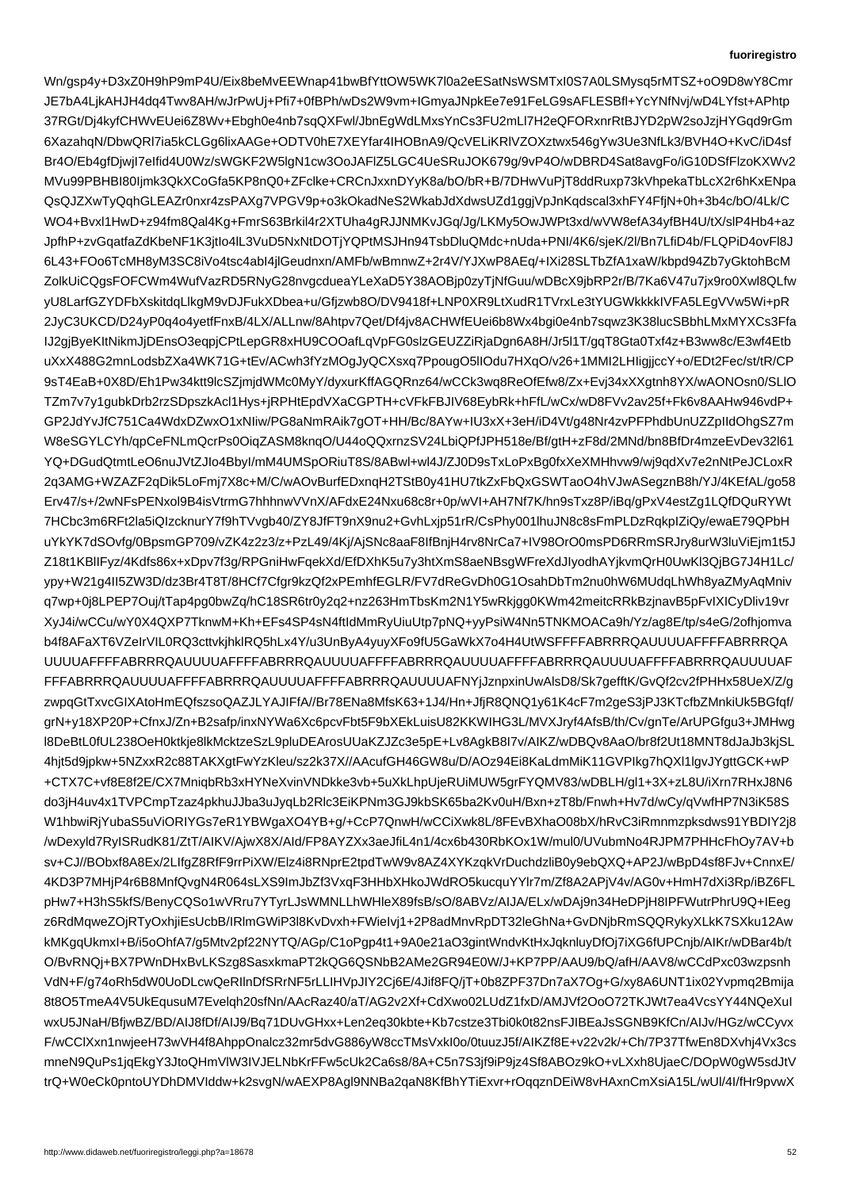Wn/asp4y+D3xZ0H9hP9mP4U/Eix8beMvEEWnap41bwBfYttOW5WK7l0a2eESatNsWSMTxI0S7A0LSMysq5rMTSZ+oO9D8wY8Cmr JE7bA4LjkAHJH4dq4Twv8AH/wJrPwUj+Pfi7+0fBPh/wDs2W9vm+IGmyaJNpkEe7e91FeLG9sAFLESBfl+YcYNfNvj/wD4LYfst+APhtp 37RGt/Di4kyfCHWvEUei6Z8Wv+Ebgh0e4nb7sqQXFwl/JbnEgWdLMxsYnCs3FU2mLl7H2eQFORxnrRtBJYD2pW2soJzjHYGgd9rGm 6XazahqN/DbwQRI7ia5kCLGq6lixAAGe+ODTV0hE7XEYfar4lHOBnA9/QcVELiKRIVZOXztwx546qYw3Ue3NfLk3/BVH4O+KvC/iD4sf Br4O/Eb4qfDjwjI7elfid4U0Wz/sWGKF2W5IgN1cw3OoJAFIZ5LGC4UeSRuJOK679q/9vP4O/wDBRD4Sat8avgFo/iG10DSfFlzoKXWv2 MVu99PBHBI80Ijmk3QkXCoGfa5KP8nQ0+ZFclke+CRCnJxxnDYyK8a/bO/bR+B/7DHwVuPjT8ddRuxp73kVhpekaTbLcX2r6hKxENpa QsQJZXwTyQqhGLEAZr0nxr4zsPAXg7VPGV9p+o3kOkadNeS2WkabJdXdwsUZd1gqjVpJnKqdscal3xhFY4FfjN+0h+3b4c/bO/4Lk/C WO4+Bvxl1HwD+z94fm8Qal4Kg+FmrS63Brkil4r2XTUha4gRJJNMKvJGq/Jq/LKMy5OwJWPt3xd/wVW8efA34yfBH4U/tX/slP4Hb4+az JpfhP+zvGqatfaZdKbeNF1K3jtlo4IL3VuD5NxNtDOTjYQPtMSJHn94TsbDluQMdc+nUda+PNI/4K6/sjeK/2l/Bn7LfiD4b/FLQPiD4ovFl8J 6L43+FOo6TcMH8yM3SC8iVo4tsc4abl4ilGeudnxn/AMFb/wBmnwZ+2r4V/YJXwP8AEq/+IXi28SLTbZfA1xaW/kbpd94Zb7yGktohBcM ZolkUiCQgsFOFCWm4WufVazRD5RNyG28nvgcdueaYLeXaD5Y38AOBjp0zyTjNfGuu/wDBcX9jbRP2r/B/7Ka6V47u7jx9ro0Xwl8QLfw vU8LarfGZYDFbXskitdqLlkqM9vDJFukXDbea+u/Gfizwb8O/DV9418f+LNP0XR9LtXudR1TVrxLe3tYUGWkkkkIVFA5LEqVVw5Wi+pR 2JyC3UKCD/D24yP0q4o4yetfFnxB/4LX/ALLnw/8Ahtpv7Qet/Df4jv8ACHWfEUei6b8Wx4bqi0e4nb7sqwz3K38lucSBbhLMxMYXCs3Ffa IJ2gjByeKltNikmJjDEnsO3eqpjCPtLepGR8xHU9COOafLqVpFG0slzGEUZZiRjaDgn6A8H/Jr5l1T/gqT8Gta0Txf4z+B3ww8c/E3wf4Etb uXxX488G2mnLodsbZXa4WK71G+tEv/ACwh3fYzMOgJyQCXsxq7PpouqO5llOdu7HXqO/v26+1MMI2LHligjjccY+o/EDt2Fec/st/tR/CP 9sT4EaB+0X8D/Eh1Pw34ktt9lcSZjmjdWMc0MyY/dyxurKffAGQRnz64/wCCk3wq8ReOfEfw8/Zx+Evj34xXXgtnh8YX/wAONOsn0/SLIO TZm7v7y1gubkDrb2rzSDpszkAcl1Hys+jRPHtEpdVXaCGPTH+cVFkFBJIV68EybRk+hFfL/wCx/wD8FVv2av25f+Fk6v8AAHw946vdP+ GP2JdYvJfC751Ca4WdxDZwxO1xNliw/PG8aNmRAik7gOT+HH/Bc/8AYw+IU3xX+3eH/iD4Vt/q48Nr4zvPFPhdbUnUZZpIIdOhgSZ7m W8eSGYLCYh/qpCeFNLmQcrPs0OiqZASM8knqO/U44oQQxrnzSV24LbiQPfJPH518e/Bf/gtH+zF8d/2MNd/bn8BfDr4mzeEvDev32l61 YQ+DGudQtmtLeO6nuJVtZJlo4Bbyl/mM4UMSpORiuT8S/8ABwl+wl4J/ZJ0D9sTxLoPxBq0fxXeXMHhvw9/wj9qdXv7e2nNtPeJCLoxR 2q3AMG+WZAZF2qDik5LoFmj7X8c+M/C/wAOvBurfEDxnqH2TStB0y41HU7tkZxFbQxGSWTaoO4hVJwASegznB8h/YJ/4KEfAL/go58 Erv47/s+/2wNFsPENxol9B4isVtrmG7hhhnwVVnX/AFdxE24Nxu68c8r+0p/wVI+AH7Nf7K/hn9sTxz8P/iBq/qPxV4estZq1LQfDQuRYWt 7HCbc3m6RFt2la5iQlzcknurY7f9hTVvqb40/ZY8JfFT9nX9nu2+GvhLxjp51rR/CsPhy001lhuJN8c8sFmPLDzRqkplZiQy/ewaE79QPbH uYkYK7dSOvfg/0BpsmGP709/vZK4z2z3/z+PzL49/4Kj/AjSNc8aaF8lfBnjH4rv8NrCa7+IV98OrO0msPD6RRmSRJry8urW3luViEjm1t5J Z18t1KBllFyz/4Kdfs86x+xDpv7f3q/RPGniHwFqekXd/EfDXhK5u7y3htXmS8aeNBsgWFreXdJlyodhAYjkvmQrH0UwKl3QjBG7J4H1Lc/ ypy+W21g4II5ZW3D/dz3Br4T8T/8HCf7Cfgr9kzQf2xPEmhfEGLR/FV7dReGvDh0G1OsahDbTm2nu0hW6MUdqLhWh8yaZMyAqMniv q7wp+0j8LPEP7Ouj/tTap4pg0bwZq/hC18SR6tr0y2q2+nz263HmTbsKm2N1Y5wRkjgg0KWm42meitcRRkBzjnavB5pFvIXICyDliv19vr XyJ4i/wCCu/wY0X4QXP7TknwM+Kh+EFs4SP4sN4ftIdMmRyUiuUtp7pNQ+yyPsiW4Nn5TNKMOACa9h/Yz/aq8E/tp/s4eG/2ofhjomva b4f8AFaXT6VZeIrVIL0RQ3cttvkihklRQ5hLx4Y/u3UnByA4yuyXFo9fU5GaWkX7o4H4UtWSFFFFABRRRQAUUUUAFFFFABRRRQA UUUUAFFFFABRRRQAUUUUAFFFFABRRRQAUUUUAFFFFABRRRQAUUUUAFFFFABRRRQAUUUUAFFFFABRRRQAUUUUAF FFFABRRRQAUUUUAFFFFABRRRQAUUUUAFFFFABRRRQAUUUUAFNYjJznpxinUwAlsD8/Sk7qefftK/GvQf2cv2fPHHx58UeX/Z/q zwpqGtTxvcGIXAtoHmEQfszsoQAZJLYAJIFfA//Br78ENa8MfsK63+1J4/Hn+JfjR8QNQ1y61K4cF7m2qeS3jPJ3KTcfbZMnkiUk5BGfqf/ grN+y18XP20P+CfnxJ/Zn+B2safp/inxNYWa6Xc6pcvFbt5F9bXEkLuisU82KKWIHG3L/MVXJryf4AfsB/th/Cv/gnTe/ArUPGfqu3+JMHwg I8DeBtL0fUL238OeH0ktkje8lkMcktzeSzL9pluDEArosUUaKZJZc3e5pE+Lv8AgkB8I7v/AIKZ/wDBQv8AaO/br8f2Ut18MNT8dJaJb3kjSL 4hjt5d9jpkw+5NZxxR2c88TAKXgtFwYzKleu/sz2k37X//AAcufGH46GW8u/D/AOz94Ei8KaLdmMiK11GVPlkg7hQXl1lgvJYgttGCK+wP +CTX7C+vf8E8f2E/CX7MniqbRb3xHYNeXvinVNDkke3vb+5uXkLhpUjeRUiMUW5grFYQMV83/wDBLH/gl1+3X+zL8U/iXrn7RHxJ8N6 do3jH4uv4x1TVPCmpTzaz4pkhuJJba3uJyqLb2Rlc3EiKPNm3GJ9kbSK65ba2Kv0uH/Bxn+zT8b/Fnwh+Hv7d/wCy/qVwfHP7N3iK58S W1hbwiRjYubaS5uViORIYGs7eR1YBWgaXO4YB+g/+CcP7QnwH/wCCiXwk8L/8FEvBXhaO08bX/hRvC3iRmnmzpksdws91YBDIY2j8 /wDexyld7RyISRudK81/ZtT/AIKV/AjwX8X/AId/FP8AYZXx3aeJfiL4n1/4cx6b430RbKOx1W/mul0/UVubmNo4RJPM7PHHcFhOy7AV+b sv+CJ//BObxf8A8Ex/2LIfgZ8RfF9rrPiXW/Elz4i8RNprE2tpdTwW9v8AZ4XYKzqkVrDuchdzliB0y9ebQXQ+AP2J/wBpD4sf8FJv+CnnxE/ 4KD3P7MHjP4r6B8MnfQvqN4R064sLXS9ImJbZf3VxqF3HHbXHkoJWdRO5kucquYYIr7m/Zf8A2APjV4v/AG0v+HmH7dXi3Rp/iBZ6FL pHw7+H3hS5kfS/BenyCQSo1wVRru7YTyrLJsWMNLLhWHleX89fsB/sO/8ABVz/AIJA/ELx/wDAj9n34HeDPjH8IPFWutrPhrU9Q+IEeg z6RdMqweZOjRTyOxhjiEsUcbB/IRImGWiP3l8KvDvxh+FWielvj1+2P8adMnvRpDT32leGhNa+GvDNjbRmSQQRykyXLkK7SXku12Aw kMKgqUkmxI+B/i5oOhfA7/g5Mtv2pf22NYTQ/AGp/C1oPgp4t1+9A0e21aO3gintWndvKtHxJqknluyDfOj7iXG6fUPCnjb/AIKr/wDBar4b/t O/BvRNQj+BX7PWnDHxBvLKSzg8SasxkmaPT2kQG6QSNbB2AMe2GR94E0W/J+KP7PP/AAU9/bQ/afH/AAV8/wCCdPxc03wzpsnh VdN+F/g74oRh5dW0UoDLcwQeRIInDfSRrNF5rLLIHVpJIY2Cj6E/4Jif8FQ/jT+0b8ZPF37Dn7aX7Og+G/xy8A6UNT1ix02Yvpmq2Bmija 8t8O5TmeA4V5UkEqusuM7Evelqh20sfNn/AAcRaz40/aT/AG2v2Xf+CdXwo02LUdZ1fxD/AMJVf2OoO72TKJWt7ea4VcsYY44NQeXul wxU5JNaH/BfjwBZ/BD/AIJ8fDf/AIJ9/Bq71DUvGHxx+Len2eq30kbte+Kb7cstze3Tbi0k0t82nsFJIBEaJsSGNB9KfCn/AIJv/HGz/wCCyvx F/wCClXxn1nwjeeH73wVH4f8AhppOnalcz32mr5dvG886yW8ccTMsVxkI0o/0tuuzJ5f/AIKZf8E+v22v2k/+Ch/7P37TfwEn8DXvhj4Vx3cs mneN9QuPs1jqEkqY3JtoQHmVIW3IVJELNbKrFFw5cUk2Ca6s8/8A+C5n7S3jf9iP9jz4Sf8ABOz9kO+vLXxh8UjaeC/DOpW0qW5sdJtV trQ+W0eCk0pntoUYDhDMVIddw+k2svqN/wAEXP8Aql9NNBa2qaN8KfBhYTiExvr+rOqqznDEiW8vHAxnCmXsiA15L/wUl/4l/fHr9pvwX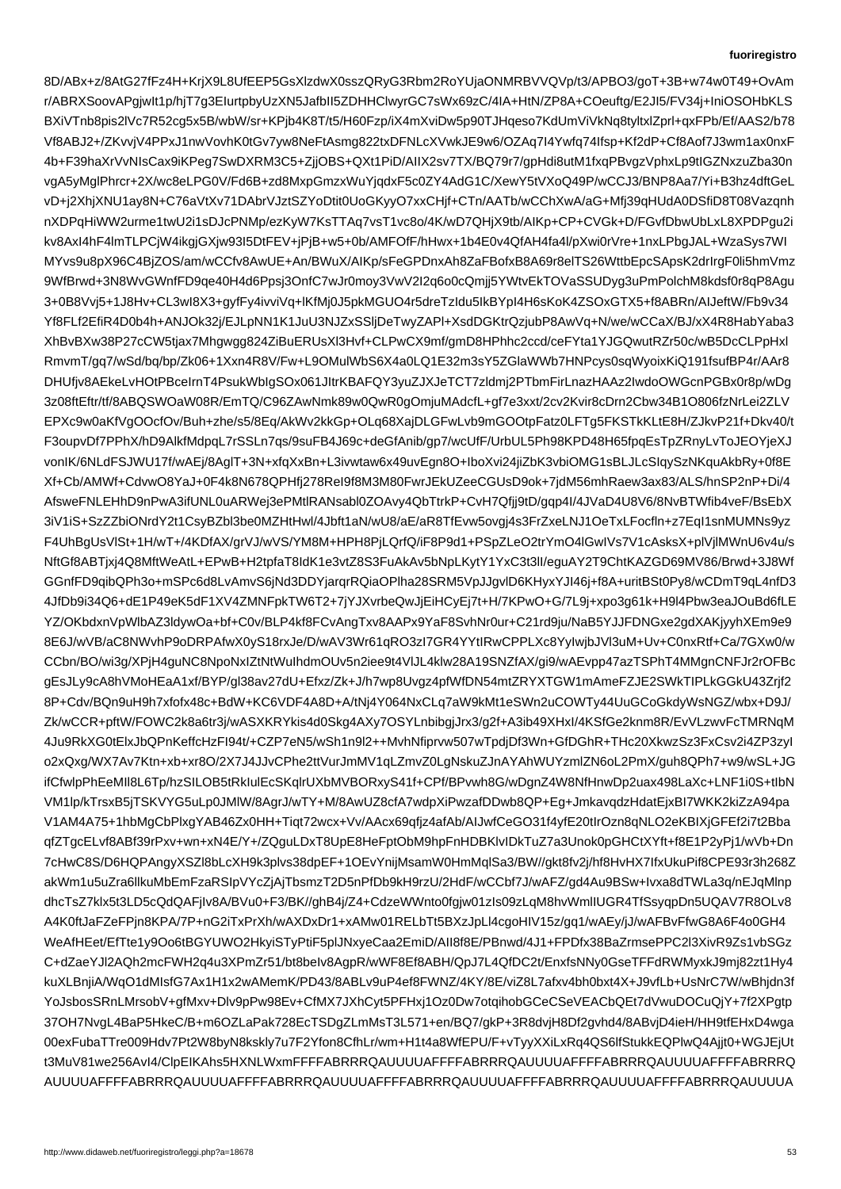8D/ABx+z/8AtG27fFz4H+KrjX9L8UfEEP5GsXlzdwX0sszQRyG3Rbm2RoYUjaONMRBVVQVp/t3/APBO3/goT+3B+w74w0T49+OvAm r/ABRXSoovAPgjwlt1p/hjT7g3ElurtpbyUzXN5JafblI5ZDHHClwyrGC7sWx69zC/4IA+HtN/ZP8A+COeuftg/E2JI5/FV34j+IniOSOHbKLS BXiVTnb8pis2lVc7R52cq5x5B/wbW/sr+KPjb4K8T/t5/H60Fzp/iX4mXviDw5p90TJHqeso7KdUmViVkNq8tyltxlZprl+qxFPb/Ef/AAS2/b78 Vf8ABJ2+/ZKvvjV4PPxJ1nwVovhK0tGv7vw8NeFtAsmg822txDFNLcXVwkJE9w6/OZAq7I4Ywfq74lfsp+Kf2dP+Cf8Aof7J3wm1ax0nxF 4b+F39haXrVvNIsCax9iKPeg7SwDXRM3C5+ZjjOBS+QXt1PiD/AIIX2sv7TX/BQ79r7/gpHdi8utM1fxqPBvgzVphxLp9tIGZNxzuZba30n vgA5yMglPhrcr+2X/wc8eLPG0V/Fd6B+zd8MxpGmzxWuYjqdxF5c0ZY4AdG1C/XewY5tVXoQ49P/wCCJ3/BNP8Aa7/Yi+B3hz4dftGeL vD+j2XhjXNU1ay8N+C76aVtXv71DAbrVJztSZYoDtit0UoGKyyO7xxCHjf+CTn/AATb/wCChXwA/aG+Mfj39qHUdA0DSfiD8T08Vazqnh nXDPqHiWW2urme1twU2i1sDJcPNMp/ezKyW7KsTTAq7vsT1vc8o/4K/wD7QHjX9tb/AIKp+CP+CVGk+D/FGvfDbwUbLxL8XPDPgu2i kv8AxI4hF4lmTLPCjW4ikgjGXjw93I5DtFEV+jPjB+w5+0b/AMFOfF/hHwx+1b4E0v4QfAH4fa4l/pXwi0rVre+1nxLPbgJAL+WzaSys7WI MYvs9u8pX96C4BjZOS/am/wCCfv8AwUE+An/BWuX/AIKp/sFeGPDnxAh8ZaFBofxB8A69r8elTS26WttbEpcSApsK2drIrqF0li5hmVmz 9WfBrwd+3N8WvGWnfFD9qe40H4d6Ppsj3OnfC7wJr0moy3VwV2I2q6o0cQmjj5YWtvEkTOVaSSUDyg3uPmPolchM8kdsf0r8qP8Agu 3+0B8Vvj5+1J8Hv+CL3wl8X3+qvfFy4ivviVq+lKfMj0J5pkMGUO4r5dreTzIdu5lkBYpI4H6sKoK4ZSOxGTX5+f8ABRn/AIJeftW/Fb9v34 Yf8FLf2EfiR4D0b4h+ANJOk32j/EJLpNN1K1JuU3NJZxSSljDeTwyZAPI+XsdDGKtrQzjubP8AwVq+N/we/wCCaX/BJ/xX4R8HabYaba3 XhBvBXw38P27cCW5tjax7Mhgwgg824ZiBuERUsXl3Hvf+CLPwCX9mf/gmD8HPhhc2ccd/ceFYta1YJGQwutRZr50c/wB5DcCLPpHxl RmvmT/gg7/wSd/bg/bp/Zk06+1Xxn4R8V/Fw+L9OMulWbS6X4a0LQ1E32m3sY5ZGlaWWb7HNPcvs0sgWvoixKiQ191fsufBP4r/AAr8 DHUfjv8AEkeLvHOtPBceIrnT4PsukWbIgSOx061JltrKBAFQY3yuZJXJeTCT7zIdmj2PTbmFirLnazHAAz2IwdoOWGcnPGBx0r8p/wDg 3z08ftEftr/tf/8ABQSWOaW08R/EmTQ/C96ZAwNmk89w0QwR0gOmjuMAdcfL+gf7e3xxt/2cv2Kvir8cDrn2Cbw34B1O806fzNrLei2ZLV EPXc9w0aKfVgOOcfOv/Buh+zhe/s5/8Eq/AkWv2kkGp+OLq68XajDLGFwLvb9mGOOtpFatz0LFTg5FKSTkKLtE8H/ZJkvP21f+Dkv40/t F3oupvDf7PPhX/hD9AlkfMdpqL7rSSLn7qs/9suFB4J69c+deGfAnib/gp7/wcUfF/UrbUL5Ph98KPD48H65fpqEsTpZRnyLvToJEOYjeXJ vonIK/6NLdFSJWU17f/wAEj/8AglT+3N+xfqXxBn+L3ivwtaw6x49uvEgn8O+IboXvi24jiZbK3vbiOMG1sBLJLcSIgySzNKquAkbRy+0f8E Xf+Cb/AMWf+CdvwO8YaJ+0F4k8N678QPHfj278ReI9f8M3M80FwrJEkUZeeCGUsD9ok+7jdM56mhRaew3ax83/ALS/hnSP2nP+Di/4 AfsweFNLEHhD9nPwA3ifUNL0uARWej3ePMtlRANsabl0ZOAvy4QbTtrkP+CvH7Qfij9tD/qqp4l/4JVaD4U8V6/8NvBTWfib4veF/BsEbX 3iV1iS+SzZZbiONrdY2t1CsyBZbl3be0MZHtHwl/4Jbft1aN/wU8/aE/aR8TfEvw5ovqj4s3FrZxeLNJ1OeTxLFocfln+z7Eql1snMUMNs9yz F4UhBgUsVISt+1H/wT+/4KDfAX/grVJ/wVS/YM8M+HPH8PjLQrfQ/iF8P9d1+PSpZLeO2trYmO4IGwIVs7V1cAsksX+plVjlMWnU6v4u/s NftGf8ABTjxj4Q8MftWeAtL+EPwB+H2tpfaT8ldK1e3vtZ8S3FuAkAv5bNpLKytY1YxC3t3ll/eguAY2T9ChtKAZGD69MV86/Brwd+3J8Wf GGnfFD9qibQPh3o+mSPc6d8LvAmvS6jNd3DDYjarqrRQiaOPlha28SRM5VpJJqvlD6KHyxYJl46j+f8A+uritBSt0Py8/wCDmT9qL4nfD3 4JfDb9i34Q6+dE1P49eK5dF1XV4ZMNFpkTW6T2+7jYJXvrbeQwJjEiHCyEj7t+H/7KPwO+G/7L9j+xpo3g61k+H9l4Pbw3eaJOuBd6fLE YZ/OKbdxnVpWlbAZ3ldywOa+bf+C0v/BLP4kf8FCvAngTxv8AAPx9YaF8SvhNr0ur+C21rd9ju/NaB5YJJFDNGxe2gdXAKjyyhXEm9e9 8E6J/wVB/aC8NWvhP9oDRPAfwX0yS18rxJe/D/wAV3Wr61qRO3zI7GR4YYtlRwCPPLXc8YylwjbJVl3uM+Uv+C0nxRtf+Ca/7GXw0/w CCbn/BO/wi3g/XPjH4guNC8NpoNxIZtNtWuIhdmOUv5n2iee9t4VIJL4klw28A19SNZfAX/gi9/wAEvpp47azTSPhT4MMgnCNFJr2rOFBc gEsJLy9cA8hVMoHEaA1xf/BYP/ql38av27dU+Efxz/Zk+J/h7wp8Uvqz4pfWfDN54mtZRYXTGW1mAmeFZJE2SWkTIPLkGGkU43Zrjf2 8P+Cdv/BQn9uH9h7xfofx48c+BdW+KC6VDF4A8D+A/tNj4Y064NxCLq7aW9kMt1eSWn2uCOWTy44UuGCoGkdyWsNGZ/wbx+D9J/ Zk/wCCR+pftW/FOWC2k8a6tr3j/wASXKRYkis4d0Skq4AXy7OSYLnbibqjJrx3/q2f+A3ib49XHxI/4KSfGe2knm8R/EvVLzwvFcTMRNqM 4Ju9RkXG0tElxJbQPnKeffcHzFl94t/+CZP7eN5/wSh1n9l2++MvhNfiprvw507wTpdiDf3Wn+GfDGhR+THc20XkwzSz3FxCsv2i4ZP3zvl o2xQxg/WX7Av7Ktn+xb+xr8O/2X7J4JJvCPhe2ttVurJmMV1qLZmvZ0LgNskuZJnAYAhWUYzmlZN6oL2PmX/guh8QPh7+w9/wSL+JG ifCfwlpPhEeMII8L6Tp/hzSILOB5tRkIuIEcSKqIrUXbMVBORxyS41f+CPf/BPvwh8G/wDgnZ4W8NfHnwDp2uax498LaXc+LNF1i0S+tIbN VM1lp/kTrsxB5jTSKVYG5uLp0JMIW/8AgrJ/wTY+M/8AwUZ8cfA7wdpXiPwzafDDwb8QP+Eg+JmkavqdzHdatEjxBl7WKK2kiZzA94pa V1AM4A75+1hbMgCbPlxgYAB46Zx0HH+Tiqt72wcx+Vv/AAcx69qfjz4afAb/AlJwfCeGO31f4yfE20tlrOzn8qNLO2eKBlXjGFEf2i7t2Bba gfZTgcELvf8ABf39rPxv+wn+xN4E/Y+/ZQguLDxT8UpE8HeFptObM9hpFnHDBKlvIDkTuZ7a3Unok0pGHCtXYft+f8E1P2yPj1/wVb+Dn 7cHwC8S/D6HQPAngyXSZl8bLcXH9k3plvs38dpEF+1OEvYnijMsamW0HmMqlSa3/BW//gkt8fv2j/hf8HvHX7IfxUkuPif8CPE93r3h268Z akWm1u5uZra6llkuMbEmFzaRSlpVYcZjAjTbsmzT2D5nPfDb9kH9rzU/2HdF/wCCbf7J/wAFZ/qd4Au9BSw+Ivxa8dTWLa3q/nEJqMlnp dhcTsZ7klx5t3LD5cQdQAFjIv8A/BVu0+F3/BK//ghB4j/Z4+CdzeWWnto0fgjw01zIs09zLqM8hvWmlIUGR4TfSsyqpDn5UQAV7R8OLv8 A4K0ftJaFZeFPin8KPA/7P+nG2iTxPrXh/wAXDxDr1+xAMw01RELbTt5BXzJpLl4cqoHlV15z/qq1/wAEy/jJ/wAFBvFfwG8A6F4o0GH4 WeAfHEet/EfTte1y9Oo6tBGYUWO2HkyiSTyPtiF5plJNxyeCaa2EmiD/All8f8E/PBnwd/4J1+FPDfx38BaZrmsePPC2l3XivR9Zs1vbSGz C+dZaeYJI2AQh2mcFWH2q4u3XPmZr51/bt8belv8AgpR/wWF8Ef8ABH/QpJ7L4QfDC2t/EnxfsNNy0GseTFFdRWMyxkJ9mj82zt1Hy4 kuXLBnjiA/WqO1dMlsfG7Ax1H1x2wAMemK/PD43/8ABLv9uP4ef8FWNZ/4KY/8E/viZ8L7afxv4bh0bxt4X+J9vfLb+UsNrC7W/wBhjdn3f YoJsbosSRnLMrsobV+gfMxv+Dlv9pPw98Ev+CfMX7JXhCyt5PFHxj1Oz0Dw7otqihobGCeCSeVEACbQEt7dVwuDOCuQjY+7f2XPgtp 37OH7NvgL4BaP5HkeC/B+m6OZLaPak728EcTSDgZLmMsT3L571+en/BQ7/gkP+3R8dvjH8Df2gvhd4/8ABvjD4ieH/HH9tfEHxD4wga 00exFubaTTre009Hdv7Pt2W8byN8kskly7u7F2Yfon8CfhLr/wm+H1t4a8WfEPU/F+vTyyXXiLxRq4QS6lfStukkEQPlwQ4Ajjt0+WGJEjUt t3MuV81we256AvI4/ClpEIKAhs5HXNLWxmFFFFABRRRQAUUUUAFFFFABRRRQAUUUUAFFFFABRRRQAUUUUAFFFFABRRRQ AUUUUAFFFFABRRRQAUUUUAFFFFABRRRQAUUUUAFFFFABRRRQAUUUUAFFFFABRRRQAUUUUAFFFFABRRRQAUUUUA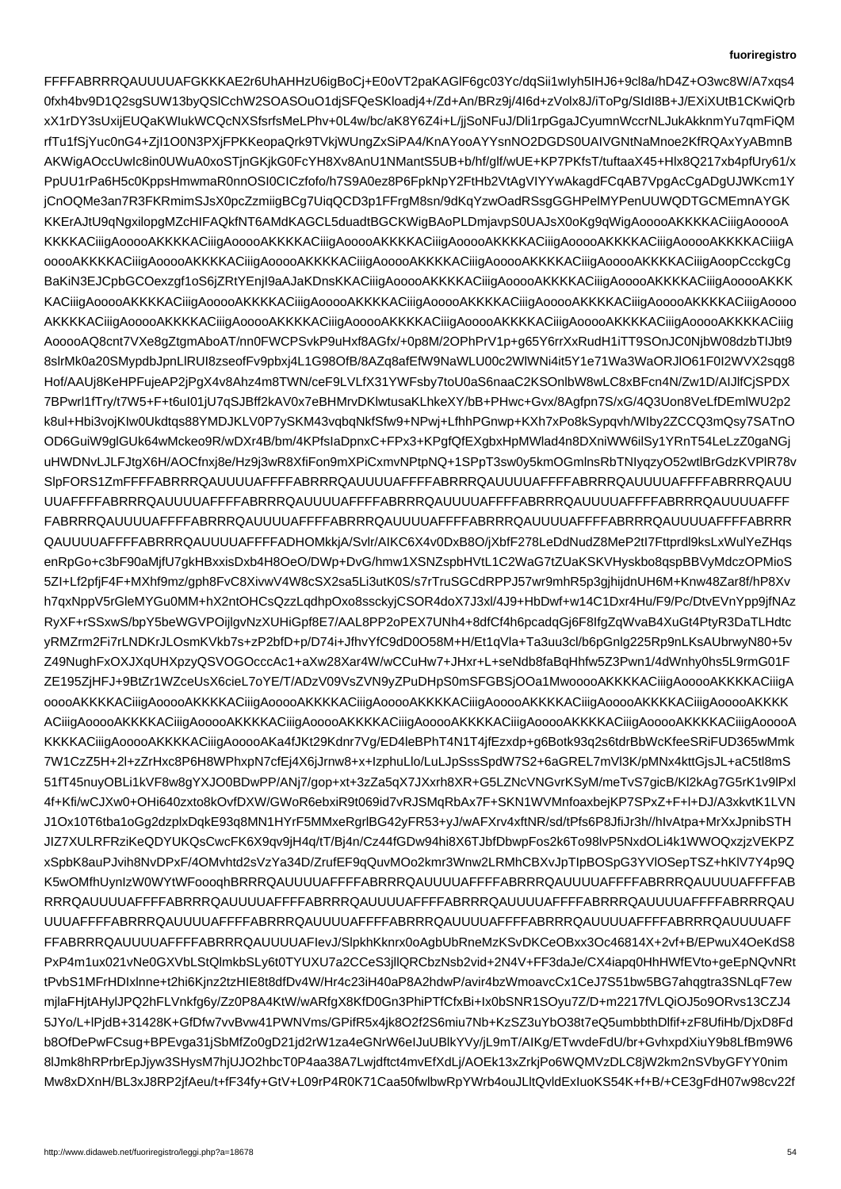FFFFABRRRQAUUUUAFGKKKAE2r6UhAHHzU6igBoCj+E0oVT2paKAGlF6gc03Yc/dqSii1wlyh5lHJ6+9cl8a/hD4Z+O3wc8W/A7xqs4 0fxh4bv9D1Q2sqSUW13byQSICchW2SOASOuO1djSFQeSKloadj4+/Zd+An/BRz9j/4l6d+zVolx8J/iToPq/Sldl8B+J/EXiXUtB1CKwiQrb xX1rDY3sUxijEUQaKWlukWCQcNXSfsrfsMeLPhv+0L4w/bc/aK8Y6Z4i+L/jjSoNFuJ/Dli1rpGqaJCyumnWccrNLJukAkknmYu7qmFiQM rfTu1fSjYuc0nG4+ZjI1O0N3PXjFPKKeopaQrk9TVkiWUngZxSiPA4/KnAYooAYYsnNO2DGDS0UAIVGNtNaMnoe2KfRQAxYyABmnB AKWigAOccUwIc8in0UWuA0xoSTjnGKjkG0FcYH8Xv8AnU1NMantS5UB+b/hf/glf/wUE+KP7PKfsT/tuftaaX45+Hlx8Q217xb4pfUry61/x PpUU1rPa6H5c0KppsHmwmaR0nnOSI0CICzfofo/h7S9A0ez8P6FpkNpY2FtHb2VtAgVIYYwAkagdFCqAB7VpgAcCgADgUJWKcm1Y jCnOQMe3an7R3FKRmimSJsX0pcZzmiigBCg7UiqQCD3p1FFrgM8sn/9dKqYzwOadRSsgGGHPelMYPenUUWQDTGCMEmnAYGK KKErAJtU9qNgxilopqMZcHIFAQkfNT6AMdKAGCL5duadtBGCKWigBAoPLDmjavpS0UAJsX0oKg9qWigAooooAKKKKACiiigAooooA KKKKACiiigAooooAKKKKACiiigAooooAKKKKACiiigAooooAKKKKACiiigAooooAKKKKACiiigAooooAKKKKACiiigAooooAKKKKACiiigA ooooAKKKKACiiigAooooAKKKKACiiigAooooAKKKKACiiigAooooAKKKKACiiigAooooAKKKKACiiigAooooAKKKKACiiigAoopCcckgCg BaKiN3EJCpbGCOexzgf1oS6jZRtYEnjl9aAJaKDnsKKACiiigAooooAKKKKACiiigAooooAKKKKACiiigAooooAKKKKACiiigAooooAKKK KACiiigAooooAKKKKACiiigAooooAKKKKACiiigAooooAKKKKACiiigAooooAKKKKACiiigAooooAKKKKACiiigAooooAKKKKACiiigAoooo AKKKKACiiigAooooAKKKKACiiigAooooAKKKKACiiigAooooAKKKKACiiigAooooAKKKKACiiigAooooAKKKKACiiigAooooAKKKKACiiig AooooAQ8cnt7VXe8gZtgmAboAT/nn0FWCPSvkP9uHxf8AGfx/+0p8M/2OPhPrV1p+g65Y6rrXxRudH1iTT9SOnJC0NjbW08dzbTlJbt9 8slrMk0a20SMvpdbJpnLlRUI8zseofFv9pbxi4L1G98OfB/8AZq8afEfW9NaWLU00c2WlWNi4it5Y1e71Wa3WaORJIO61F0I2WVX2sqq8 Hof/AAUj8KeHPFujeAP2jPgX4v8Ahz4m8TWN/ceF9LVLfX31YWFsby7toU0aS6naaC2KSOnlbW8wLC8xBFcn4N/Zw1D/AIJIfCjSPDX 7BPwrl1fTry/t7W5+F+t6ul01jU7qSJBff2kAV0x7eBHMrvDKlwtusaKLhkeXY/bB+PHwc+Gvx/8Agfpn7S/xG/4Q3Uon8VeLfDEmlWU2p2 k8ul+Hbi3vojKlw0Ukdtqs88YMDJKLV0P7ySKM43vqbqNkfSfw9+NPwj+LfhhPGnwp+KXh7xPo8kSypqvh/Wlby2ZCCQ3mQsy7SATnO OD6GuiW9glGUk64wMckeo9R/wDXr4B/bm/4KPfslaDpnxC+FPx3+KPgfQfEXgbxHpMWlad4n8DXniWW6ilSy1YRnT54LeLzZ0gaNGj uHWDNvLJLFJtqX6H/AOCfnxj8e/Hz9j3wR8XfiFon9mXPiCxmvNPtpNQ+1SPpT3sw0y5kmOGmlnsRbTNIyqzyO52wtlBrGdzKVPIR78v SIpFORS1ZmFFFFABRRRQAUUUUAFFFFABRRRQAUUUUAFFFFABRRRQAUUUUAFFFFABRRRQAUUUUAFFFFABRRRQAUU UUAFFFFABRRRQAUUUUAFFFFABRRRQAUUUUAFFFFABRRRQAUUUUAFFFFABRRRQAUUUUAFFFFABRRRQAUUUUAFFF FABRRRQAUUUUAFFFFABRRRQAUUUUAFFFFABRRRQAUUUUAFFFFABRRRQAUUUUAFFFFABRRRQAUUUUAFFFFABRRR QAUUUUAFFFFABRRRQAUUUUAFFFFADHOMkkjA/Svlr/AIKC6X4v0DxB8O/jXbfF278LeDdNudZ8MeP2tl7Fttprdl9ksLxWulYeZHqs enRpGo+c3bF90aMjfU7gkHBxxisDxb4H8OeO/DWp+DvG/hmw1XSNZspbHVtL1C2WaG7tZUaKSKVHyskbo8qspBBVyMdczOPMioS 5ZI+Lf2pfjF4F+MXhf9mz/qph8FvC8XivwV4W8cSX2sa5Li3utK0S/s7rTruSGCdRPPJ57wr9mhR5p3gjhijdnUH6M+Knw48Zar8f/hP8Xv h7qxNppV5rGleMYGu0MM+hX2ntOHCsQzzLqdhpOxo8ssckyjCSOR4doX7J3xl/4J9+HbDwf+w14C1Dxr4Hu/F9/Pc/DtvEVnYpp9ifNAz RyXF+rSSxwS/bpY5beWGVPOijlgvNzXUHiGpf8E7/AAL8PP2oPEX7UNh4+8dfCf4h6pcadqGj6F8lfgZqWvaB4XuGt4PtyR3DaTLHdtc yRMZrm2Fi7rLNDKrJLOsmKVkb7s+zP2bfD+p/D74i+JfhvYfC9dD0O58M+H/Et1qVla+Ta3uu3cl/b6pGnlg225Rp9nLKsAUbrwyN80+5v Z49NughFxOXJXqUHXpzyQSVOGOcccAc1+aXw28Xar4W/wCCuHw7+JHxr+L+seNdb8faBqHhfw5Z3Pwn1/4dWnhy0hs5L9rmG01F ZE195ZjHFJ+9BtZr1WZceUsX6cieL7oYE/T/ADzV09VsZVN9yZPuDHpS0mSFGBSjOOa1MwooooAKKKKACiiiqAooooAKKKKACiiigA 0000AKKKKACiiiqA0000AKKKKACiiiqA0000AKKKKACiiiqA0000AKKKKACiiiqA0000AKKKKACiiiqA0000AKKKKACiiiqA0000AKKKK ACiiigAooooAKKKKACiiigAooooAKKKKACiiigAooooAKKKKACiiigAooooAKKKKACiiigAooooAKKKKACiiigAooooAKKKKACiiigAooooA KKKKACiiigAooooAKKKKACiiigAooooAKa4fJKt29Kdnr7Vg/ED4leBPhT4N1T4jfEzxdp+g6Botk93q2s6tdrBbWcKfeeSRiFUD365wMmk 7W1CzZ5H+2I+zZrHxc8P6H8WPhxpN7cfEj4X6jJrnw8+x+IzphuLlo/LuLJpSssSpdW7S2+6aGREL7mVl3K/pMNx4kttGjsJL+aC5tl8mS 51fT45nuyOBLi1kVF8w8gYXJO0BDwPP/ANj7/gop+xt+3zZa5qX7JXxrh8XR+G5LZNcVNGvrKSyM/meTvS7gicB/Kl2kAg7G5rK1v9lPxl 4f+Kfi/wCJXw0+OHi640zxto8kOvfDXW/GWoR6ebxiR9t069id7vRJSMqRbAx7F+SKN1WVMnfoaxbejKP7SPxZ+F+I+DJ/A3xkvtK1LVN J1Ox10T6tba1oGq2dzplxDqkE93q8MN1HYrF5MMxeRgrlBG42yFR53+yJ/wAFXrv4xftNR/sd/tPfs6P8JfiJr3h//hlvAtpa+MrXxJpnibSTH JIZ7XULRFRziKeQDYUKQsCwcFK6X9qv9jH4q/tT/Bj4n/Cz44fGDw94hi8X6TJbfDbwpFos2k6To98lvP5NxdOLi4k1WWOQxzjzVEKPZ xSpbK8auPJvih8NvDPxF/4OMvhtd2sVzYa34D/ZrufEF9qQuvMOo2kmr3Wnw2LRMhCBXvJpTlpBOSpG3YVIOSepTSZ+hKlV7Y4p9Q K5wOMfhUynIzW0WYtWFoooghBRRRQAUUUUAFFFFABRRRQAUUUUAFFFFABRRRQAUUUUAFFFFABRRRQAUUUUAFFFFAB RRRQAUUUUAFFFFABRRRQAUUUUAFFFFABRRRQAUUUUAFFFFABRRRQAUUUUAFFFFABRRRQAUUUUAFFFFABRRRQAU UUUAFFFFABRRRQAUUUUAFFFFABRRRQAUUUUAFFFFABRRRQAUUUUAFFFFABRRRQAUUUUAFFFFABRRRQAUUUUAFF FFABRRRQAUUUUAFFFFABRRRQAUUUUAFlevJ/SlpkhKknrx0oAgbUbRneMzKSvDKCeOBxx3Oc46814X+2vf+B/EPwuX4OeKdS8 PxP4m1ux021vNe0GXVbLStQlmkbSLy6t0TYUXU7a2CCeS3jllQRCbzNsb2vid+2N4V+FF3daJe/CX4iapq0HhHWfEVto+geEpNQvNRt tPvbS1MFrHDIxInne+t2hi6Kjnz2tzHIE8t8dfDv4W/Hr4c23iH40aP8A2hdwP/avir4bzWmoavcCx1CeJ7S51bw5BG7ahqgtra3SNLqF7ew mjlaFHjtAHyIJPQ2hFLVnkfg6y/Zz0P8A4KtW/wARfgX8KfD0Gn3PhiPTfCfxBi+Ix0bSNR1SOyu7Z/D+m2217fVLQiOJ5o9ORvs13CZJ4 5JYo/L+IPidB+31428K+GfDfw7vvBvw41PWNVms/GPifR5x4jk8O2f2S6miu7Nb+KzSZ3uYbO38t7eQ5umbbthDlfif+zF8UfiHb/DjxD8Fd b8OfDePwFCsug+BPEvga31jSbMfZo0gD21jd2rW1za4eGNrW6eIJuUBlkYVy/jL9mT/AIKg/ETwvdeFdU/br+GvhxpdXiuY9b8LfBm9W6 8lJmk8hRPrbrEpJjyw3SHysM7hjUJO2hbcT0P4aa38A7Lwjdftct4mvEfXdLj/AOEk13xZrkjPo6WQMVzDLC8jW2km2nSVbyGFYY0nim Mw8xDXnH/BL3xJ8RP2jfAeu/t+fF34fy+GtV+L09rP4R0K71Caa50fwlbwRpYWrb4ouJLltQvldExluoKS54K+f+B/+CE3qFdH07w98cv22f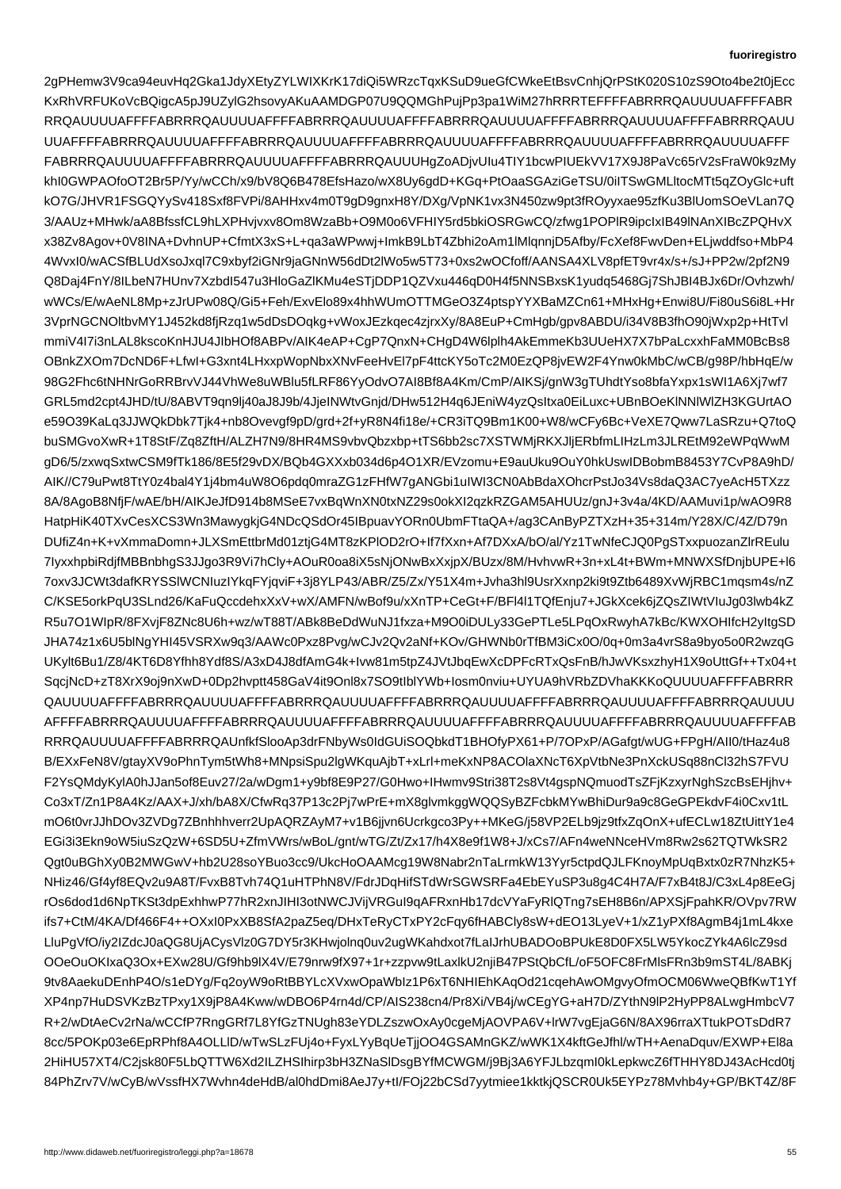2qPHemw3V9ca94euvHq2Gka1JdyXEtyZYLWIXKrK17diQi5WRzcTqxKSuD9ueGfCWkeEtBsvCnhjQrPStK020S10zS9Oto4be2t0jEcc KxRhVRFUKoVcBQigcA5pJ9UZylG2hsovyAKuAAMDGP07U9QQMGhPujPp3pa1WiM27hRRRTEFFFFABRRRQAUUUUAFFFFABR RRQAUUUUAFFFFABRRRQAUUUUAFFFFABRRRQAUUUUAFFFFABRRRQAUUUUAFFFFABRRRQAUUUUAFFFFABRRRQAUU UUAFFFFABRRRQAUUUUAFFFFABRRRQAUUUUAFFFFABRRRQAUUUUAFFFFABRRRQAUUUUAFFFFABRRRQAUUUUAFFF FABRRRQAUUUUAFFFFABRRRQAUUUUAFFFFABRRRQAUUUHgZoADjvUlu4TIY1bcwPIUEkVV17X9J8PaVc65rV2sFraW0k9zMy khl0GWPAOfoOT2Br5P/Yy/wCCh/x9/bV8Q6B478EfsHazo/wX8Uy6gdD+KGq+PtOaaSGAziGeTSU/0iITSwGMLltocMTt5qZOyGlc+uft kO7G/JHVR1FSGQYySv418Sxf8FVPi/8AHHxv4m0T9gD9gnxH8Y/DXg/VpNK1vx3N450zw9pt3fROyyxae95zfKu3BIUomSOeVLan7Q 3/AAUz+MHwk/aA8BfssfCL9hLXPHvjvxv8Om8WzaBb+O9M0o6VFHIY5rd5bkiOSRGwCQ/zfwg1POPIR9ipclxIB49lNAnXIBcZPQHvX x38Zv8Agov+0V8INA+DvhnUP+CfmtX3xS+L+qa3aWPwwj+ImkB9LbT4Zbhi2oAm1lMlqnnjD5Afby/FcXef8FwvDen+ELjwddfso+MbP4 4WvxI0/wACSfBLUdXsoJxql7C9xbyf2iGNr9jaGNnW56dDt2IWo5w5T73+0xs2wOCfoff/AANSA4XLV8pfET9vr4x/s+/sJ+PP2w/2pf2N9 Q8Daj4FnY/8ILbeN7HUnv7Xzbdl547u3HloGaZIKMu4eSTjDDP1QZVxu446qD0H4f5NNSBxsK1yudq5468Gj7ShJBl4BJx6Dr/Ovhzwh/ wWCs/E/wAeNL8Mp+zJrUPw08Q/Gi5+Feh/ExvElo89x4hhWUmOTTMGeO3Z4ptspYYXBaMZCn61+MHxHq+Enwi8U/Fi80uS6i8L+Hr 3VprNGCNOltbvMY1J452kd8fjRzq1w5dDsDOqkq+vWoxJEzkqec4zjrxXy/8A8EuP+CmHqb/qpv8ABDU/i34V8B3fhO90jWxp2p+HtTvl mmiV4I7i3nLAL8kscoKnHJU4JIbHOf8ABPv/AIK4eAP+CgP7QnxN+CHgD4W6lplh4AkEmmeKb3UUeHX7X7bPaLcxxhFaMM0BcBs8 OBnkZXOm7DcND6F+Lfwl+G3xnt4LHxxpWopNbxXNvFeeHvEl7pF4ttcKY5oTc2M0EzQP8ivEW2F4Ynw0kMbC/wCB/a98P/hbHaE/w 98G2Fhc6tNHNrGoRRBrvVJ44VhWe8uWBlu5fLRF86YyOdvO7AI8Bf8A4Km/CmP/AIKSj/gnW3gTUhdtYso8bfaYxpx1sWI1A6Xj7wf7 GRL5md2cpt4JHD/tU/8ABVT9qn9lj40aJ8J9b/4JjelNWtvGnjd/DHw512H4q6JEniW4yzQsItxa0EiLuxc+UBnBOeKINNIWIZH3KGUrtAO e59O39KaLq3JJWQkDbk7Tjk4+nb8Ovevgf9pD/grd+2f+yR8N4fi18e/+CR3iTQ9Bm1K00+W8/wCFy6Bc+VeXE7Qww7LaSRzu+Q7toQ buSMGvoXwR+1T8StF/Zq8ZftH/ALZH7N9/8HR4MS9vbvQbzxbp+tTS6bb2sc7XSTWMjRKXJljERbfmLIHzLm3JLREtM92eWPqWwM gD6/5/zxwqSxtwCSM9fTk186/8E5f29vDX/BQb4GXXxb034d6p4O1XR/EVzomu+E9auUku9OuY0hkUswIDBobmB8453Y7CvP8A9hD/ AIK//C79uPwt8TtY0z4bal4Y1j4bm4uW8O6pdq0mraZG1zFHfW7gANGbi1ulWI3CN0AbBdaXOhcrPstJo34Vs8daQ3AC7yeAcH5TXzz 8A/8AgoB8NfiF/wAE/bH/AIKJeJfD914b8MSeE7vxBqWnXN0txNZ29s0okXI2qzkRZGAM5AHUUz/gnJ+3v4a/4KD/AAMuvi1p/wAO9R8 HatpHiK40TXvCesXCS3Wn3MawyqkjG4NDcQSdOr45IBpuavYORn0UbmFTtaQA+/aq3CAnByPZTXzH+35+314m/Y28X/C/4Z/D79n DUfiZ4n+K+vXmmaDomn+JLXSmEttbrMd01ztjG4MT8zKPIOD2rO+If7fXxn+Af7DXxA/bO/al/Yz1TwNfeCJQ0PgSTxxpuozanZlrREulu 7lyxxhpbiRdjfMBBnbhgS3JJgo3R9Vi7hCly+AOuR0oa8iX5sNjONwBxXxjpX/BUzx/8M/HvhvwR+3n+xL4t+BWm+MNWXSfDnjbUPE+l6 7oxv3JCWt3dafKRYSSIWCNIuzIYkqFYjqviF+3j8YLP43/ABR/Z5/Zx/Y51X4m+Jvha3hl9UsrXxnp2ki9t9Ztb6489XvWjRBC1mqsm4s/nZ C/KSE5orkPaU3SLnd26/KaFuQccdehxXxV+wX/AMFN/wBof9u/xXnTP+CeGt+F/BFI4I1TQfEniu7+JGkXcek6iZQsZlWtVluJa03lwb4kZ R5u7O1WlpR/8FXvjF8ZNc8U6h+wz/wT88T/ABk8BeDdWuNJ1fxza+M9O0iDULy33GePTLe5LPqOxRwyhA7kBc/KWXOHIfcH2yItgSD JHA74z1x6U5blNgYHI45VSRXw9q3/AAWc0Pxz8Pvg/wCJv2Qv2aNf+KOv/GHWNb0rTfBM3iCx0O/0q+0m3a4vrS8a9byo5o0R2wzqG UKylt6Bu1/Z8/4KT6D8Yfhh8Ydf8S/A3xD4J8dfAmG4k+Ivw81m5tpZ4JVtJbqEwXcDPFcRTxQsFnB/hJwVKsxzhyH1X9oUttGf++Tx04+t SqcjNcD+zT8XrX9oj9nXwD+0Dp2hvptt458GaV4it9Onl8x7SO9tIblYWb+Iosm0nviu+UYUA9hVRbZDVhaKKKoQUUUUAFFFFABRRR QAUUUUAFFFFABRRRQAUUUUAFFFFABRRRQAUUUUAFFFFABRRRQAUUUUAFFFFABRRRQAUUUUAFFFFABRRRQAUUUU AFFFFABRRRQAUUUUAFFFFABRRRQAUUUUAFFFFABRRRQAUUUUAFFFFABRRRQAUUUUAFFFFABRRRQAUUUUAFFFFAB RRRQAUUUUAFFFFABRRRQAUnfkfSlooAp3drFNbvWs0ldGUiSOQbkdT1BHOfvPX61+P/7OPxP/AGafat/wUG+FPaH/All0/tHaz4u8 B/EXxFeN8V/gtayXV9oPhnTym5tWh8+MNpsiSpu2lgWKquAjbT+xLrl+meKxNP8ACOlaXNcT6XpVtbNe3PnXckUSq88nCl32hS7FVU F2YsQMdyKyIA0hJJan5of8Euv27/2a/wDgm1+y9bf8E9P27/G0Hwo+IHwmv9Stri38T2s8Vt4gspNQmuodTsZFjKzxyrNghSzcBsEHjhv+ Co3xT/Zn1P8A4Kz/AAX+J/xh/bA8X/CfwRq37P13c2Pj7wPrE+mX8qlvmkgqWQQSyBZFcbkMYwBhiDur9a9c8GeGPEkdvF4i0Cxv1tL mO6t0vrJJhDOv3ZVDg7ZBnhhhverr2UpAQRZAyM7+v1B6jjvn6Ucrkgco3Py++MKeG/j58VP2ELb9jz9tfxZqOnX+ufECLw18ZtUittY1e4 EGi3i3Ekn9oW5iuSzQzW+6SD5U+ZfmVWrs/wBoL/gnt/wTG/Zt/Zx17/h4X8e9f1W8+J/xCs7/AFn4weNNceHVm8Rw2s62TQTWkSR2 Qgt0uBGhXy0B2MWGwV+hb2U28soYBuo3cc9/UkcHoOAAMcg19W8Nabr2nTaLrmkW13Yyr5ctpdQJLFKnoyMpUqBxtx0zR7NhzK5+ NHiz46/Gf4yf8EQv2u9A8T/FvxB8Tvh74Q1uHTPhN8V/FdrJDqHifSTdWrSGWSRFa4EbEYuSP3u8q4C4H7A/F7xB4t8J/C3xL4p8EeGi rOs6dod1d6NpTKSt3dpExhhwP77hR2xnJIHI3otNWCJVijVRGuI9qAFRxnHb17dcVYaFyRIQTnq7sEH8B6n/APXSjFpahKR/OVpv7RW ifs7+CtM/4KA/Df466F4++OXxl0PxXB8SfA2paZ5eq/DHxTeRyCTxPY2cFqy6fHABCly8sW+dEO13LyeV+1/xZ1yPXf8AgmB4j1mL4kxe LluPgVfO/iy2lZdcJ0aQG8UjACysVlz0G7DY5r3KHwjolng0uv2ugWKahdxot7fLalJrhUBADOoBPUkE8D0FX5LW5YkocZYk4A6lcZ9sd OOeOuOKIxaQ3Ox+EXw28U/Gf9hb9IX4V/E79nrw9fX97+1r+zzpvw9tLaxlkU2njiB47PStQbCfL/oF5OFC8FrMlsFRn3b9mST4L/8ABKj 9tv8AaekuDEnhP4O/s1eDYg/Fq2oyW9oRtBBYLcXVxwOpaWblz1P6xT6NHIEhKAqOd21cqehAwOMgvyOfmOCM06WweQBfKwT1Yf XP4np7HuDSVKzBzTPxy1X9jP8A4Kww/wDBO6P4rn4d/CP/AIS238cn4/Pr8Xi/VB4j/wCEgYG+aH7D/ZYthN9lP2HyPP8ALwgHmbcV7 R+2/wDtAeCv2rNa/wCCfP7RngGRf7L8YfGzTNUgh83eYDLZszwOxAy0cgeMjAOVPA6V+IrW7vgEjaG6N/8AX96rraXTtukPOTsDdR7 8cc/5POKp03e6EpRPhf8A4OLLID/wTwSLzFUj4o+FyxLYyBqUeTjjOO4GSAMnGKZ/wWK1X4kftGeJfhl/wTH+AenaDquv/EXWP+El8a 2HiHU57XT4/C2jsk80F5LbQTTW6Xd2ILZHSIhirp3bH3ZNaSIDsqBYfMCWGM/j9Bj3A6YFJLbzqmI0kLepkwcZ6fTHHY8DJ43AcHcd0tj 84PhZrv7V/wCyB/wVssfHX7Wvhn4deHdB/al0hdDmi8AeJ7y+tl/FOj22bCSd7yytmiee1kktkjQSCR0Uk5EYPz78Mvhb4y+GP/BKT4Z/8F